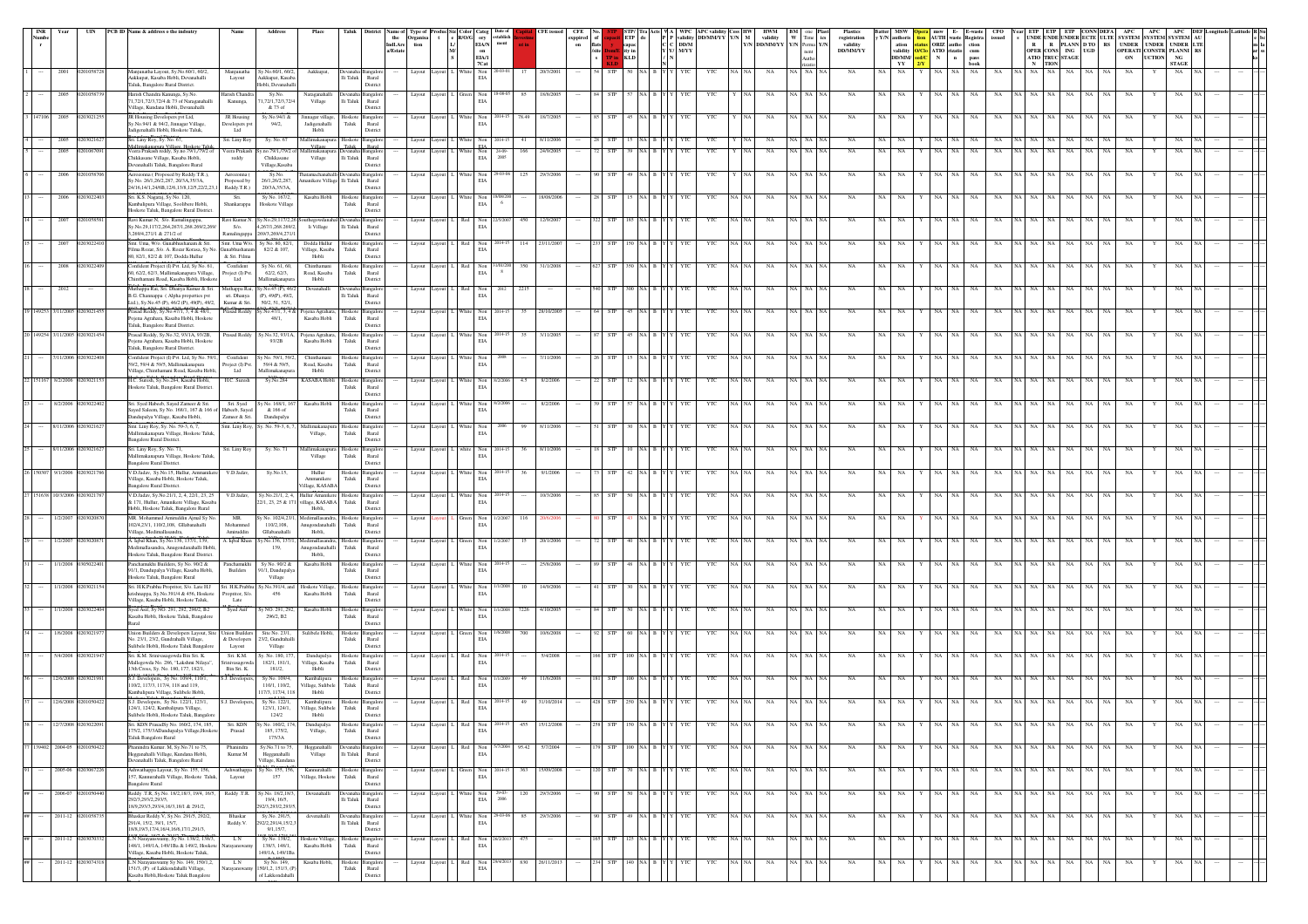| <b>INR</b> | Year             | UIN               | PCB ID Name & address o the indsutry                                                                                            | Nam                                            | Addre                                                                   | Place                                                   |                                                                  | Type of                                                                                                                      | Produc Siz Color Categ<br>t e R/O/G ory | establish                                  |                   | $\boldsymbol{\mathrm{ex} }$ of |                | STP/<br>ETP de   | WPC                | <b>APC</b> validi<br>validity DD/MM/YY Y/N M |         | HWM<br>validity            | BM<br>$\ensuremath{\text{W}}$ $\ensuremath{\text{Time}}$ ics | registration                | <b>MSW</b><br>y Y/N authoris                                   | <b>pera</b> msw E-<br><b>E-waste</b><br><b>Registra</b><br><b>Registra</b> |                          | CFO<br>issued |                           |                      |    | UNDE UNDE UNDER ECTE ULTE SYSTEM SYSTEM SYSTEM AU                   |  |
|------------|------------------|-------------------|---------------------------------------------------------------------------------------------------------------------------------|------------------------------------------------|-------------------------------------------------------------------------|---------------------------------------------------------|------------------------------------------------------------------|------------------------------------------------------------------------------------------------------------------------------|-----------------------------------------|--------------------------------------------|-------------------|--------------------------------|----------------|------------------|--------------------|----------------------------------------------|---------|----------------------------|--------------------------------------------------------------|-----------------------------|----------------------------------------------------------------|----------------------------------------------------------------------------|--------------------------|---------------|---------------------------|----------------------|----|---------------------------------------------------------------------|--|
|            |                  |                   |                                                                                                                                 |                                                |                                                                         |                                                         |                                                                  | $\begin{tabular}{ll} the & Organisa\\ \hline \textbf{Indl}.\textbf{Are} & \textbf{tion}\\ \textbf{a/Estate} & \end{tabular}$ | $\mathbf{L}$<br>$\mathbf{M}$            | $_{\rm ment}$<br>EIA/N<br>on               |                   | $^{\rm on}$                    | flats<br>/site | capac<br>ity in  | DD/M<br>$\bf{M/}Y$ |                                              |         | Y/N DD/MM/YY Y/N Perma Y/N | nent                                                         | validity<br><b>DD/MM/YY</b> | $\begin{array}{c} \text{ation} \\ \text{validity} \end{array}$ | tatus ORIZ autho<br><mark>D/Clo</mark> ATIO rizatio                        | $_{\rm cum}^{\rm ction}$ |               |                           | OPER CONS ING UGD    |    | R R PLANN D TO RS UNDER UNDER UNDER LTE<br>OPERATI CONSTR PLANNI RS |  |
|            |                  |                   |                                                                                                                                 |                                                |                                                                         |                                                         |                                                                  |                                                                                                                              |                                         | EIA/I<br>7Cat                              |                   |                                |                | KLD              |                    |                                              |         |                            |                                                              |                             | DD/MM/<br>YY                                                   | $\mathbf N$<br>$\mathbf{n}$                                                | pass<br>book             |               | ATIO TRUC STAGE<br>N TION |                      | ON | <b>UCTION</b><br>NG<br><b>STAGE</b>                                 |  |
|            | 2001             |                   | Manjunatha Layout, Sy.No.60/1, 60/2,<br>Aakkupat, Kasaba Hobli, Devanahalli<br>Taluk, Bangalore Rural District.                 | Manjunath<br>Layout                            | y.No.60/1, 60/.<br>Aakkupat, Kasab<br>Hobli, Devanahal                  | Aakkupat,                                               | :vanaha Bangale<br>li Taluk<br>Rural<br>District                 | Layout                                                                                                                       |                                         | $_{\rm Non}$<br>$\rm EIA$                  | 20/3/200<br>17    |                                |                |                  | ΥT                 | YTC                                          |         | NA                         |                                                              | NA                          | NA<br>NA                                                       |                                                                            | NA                       | NA            | NA                        | NA                   | NA | NA                                                                  |  |
|            | 2005             |                   | farish Chandra Kanunga, Sy.No.<br>1,72/1,72/3,72/4 & 73 of Naraganahalli<br>/illage. Kundana Hobli. Devanahalli                 | Harish Chands<br>Kanunga                       | Sy.No.<br>1,72/1,72/3,72/<br>& 73 of                                    | Naraganahall<br>Village                                 | vanaha Bangalor<br>lli Taluk<br>Rural<br>District                | Layout                                                                                                                       |                                         | Non<br>EIA                                 | 18/8/2005<br>85   |                                |                |                  |                    | YTC                                          |         | NA                         | <b>NA</b>                                                    | NA                          |                                                                |                                                                            |                          |               |                           |                      |    |                                                                     |  |
|            | 147106 2005      | 12030212          | JR Housing Developers pvt Ltd,<br>v.No.94/1 & 94/2, Jinnagar Village<br>adigenahalli Hobli, Hoskote Taluk.                      | JR Housing<br>Developers py<br>Ltd             | Sy.No.94/1 &<br>94/2,                                                   | innagar village<br>Jadigenahalli<br>Hobli               | Hoskoto<br>langalor<br>Taluk<br>Rural<br>District                | Layout Layout                                                                                                                |                                         | White $\quad$ Non<br>EIA                   | 78.49<br>18/7/200 |                                |                |                  |                    | YTC                                          |         | NA                         | NA NA                                                        | <b>NA</b>                   | NA                                                             |                                                                            |                          | NA            |                           |                      | NA | NA                                                                  |  |
|            | 2005             | 020302162         | Sri. Liny Roy, Sy. No. 67,<br>limskananura Village. Hoskote Talı                                                                | Sri. Liny Roy                                  | Sy. No. 67                                                              | Village                                                 | Aallimakanapura Hoskote Bangalore<br>Rural<br>Table              |                                                                                                                              | Layout Layout L White Non               | 2014-15                                    | 41<br>8/11/2006   |                                | STP            |                  |                    | YTC                                          |         | NA                         | NA NA                                                        | NA                          | NA<br><b>NA</b>                                                |                                                                            | <b>NA</b>                | NA            |                           |                      | NA | NA                                                                  |  |
|            | 2005             | 20106709          | Veera Prakash reddy, Sy.no.79/1,/79/2 of<br>Chikkasane Village, Kasaba Hobli,                                                   | Veera Prakash<br>reddy                         | no.79/1,79/2<br>Chikkasane                                              | allimakanapur<br>Village                                | i Devanaha<br>langalo<br>lli Taluk<br>Rural                      | Layout                                                                                                                       |                                         | Non<br>EIA<br>2005                         | 24/9/200<br>166   |                                |                |                  |                    |                                              |         | NA                         |                                                              |                             |                                                                |                                                                            |                          |               |                           |                      |    |                                                                     |  |
|            | 2006             | 20105870          | Devanahalli Taluk, Bangalore Rural<br>Aerozonna (Proposed by Reddy.T.R.),<br>y.No. 26/1,26/2,287, 20/3A,35/3A,                  | Aerozonna (<br>Proposed by                     | Village, Kasaba<br>Sy.No.<br>26/1,26/2,287,                             | nanikere Village Ili Taluk                              | District<br>hatamachanahalli Devanaha Bangalor<br>Rural          | Layout Layout                                                                                                                |                                         | White Non<br>EIA                           | 125<br>29/3/2006  |                                |                |                  |                    | YTC                                          |         | NA                         | NA NA                                                        | NA                          | NA.                                                            |                                                                            |                          |               |                           |                      |    |                                                                     |  |
|            | 2006             |                   | 24/16,14/1,24/6B,12/6,13/8,12/5,22/2,23<br>iri. K.S. Nagaraj, Sy No. 120,                                                       | Reddy.T.R.)<br>Sri.                            | 20/3A,35/3A<br>Sy No. 167/2.                                            | Kasaba Hobl                                             | District<br>loskote<br>langalor                                  | Layout                                                                                                                       |                                         |                                            |                   |                                |                |                  |                    |                                              |         |                            |                                                              |                             |                                                                |                                                                            |                          |               |                           |                      |    |                                                                     |  |
|            | 2007             |                   | Cambalipura Village, Soolibere Hobli,<br>Hoskote Taluk, Bangalore Rural District.<br>Ravi Kumar.N, S/o. Ramalingappa.           | Shankarappa<br>Ravi Kumar.N.                   | Hoskote Village<br>Sy.No.29,117/2,2                                     | uthegowd:                                               | Taluk<br>$\rm{Rural}$<br>District<br>angalo                      | Layout                                                                                                                       |                                         | $_{\rm EIA}$<br>-6<br>$_{\rm Non}$         | 450<br>12/9/200   |                                |                |                  |                    | YTC                                          |         | NA                         |                                                              | NA                          |                                                                |                                                                            |                          |               |                           |                      |    |                                                                     |  |
|            |                  |                   | y.No.29,117/2,264,267/1,268.269/2,269<br>269/4,271/1 & 271/2 of                                                                 | $S/\sigma$ .<br>Ramalingappa                   | 4,267/1,268.269/<br>269/3.269/4.271/                                    | li Village                                              | $\rm{Ili}$ Taluk<br>Rural<br>District                            |                                                                                                                              |                                         | EIA                                        |                   |                                |                |                  |                    |                                              |         |                            |                                                              |                             |                                                                |                                                                            |                          |               |                           |                      |    |                                                                     |  |
|            | 2007             |                   | Smt. Uma, W/o. Gunabhushanam & Sri.<br>'ilma Rozar, S/o. A. Rozar Korasa, Sy No<br>80, 82/1, 82/2 & 107, Dodda Hullur           | Smt. Uma W/o.<br>Gunabhushan<br>& Sri, Filma   | Sy No. 80, 82/1,<br>82/2 & 107,                                         | Dodda Hullur<br>/illage, Kasaba<br>Hobli                | Hoskote Bangalore<br>Taluk<br>Rural<br>District                  | Layout Layout                                                                                                                | Red                                     | $\mbox{Non}$<br>EIA                        | 114<br>23/11/200  |                                | <b>STP</b>     |                  |                    | YTC                                          |         | NA                         | NA NA                                                        | <b>NA</b>                   | NA                                                             |                                                                            |                          |               |                           |                      |    |                                                                     |  |
|            | 2008             |                   | onfident Project (I) Pvt. Ltd, Sy No. 61,<br>60. 62/2. 62/3, Mallimakanapura Village,<br>hinthamani Road, Kasaba Hobli, Hoskota | Confident<br>Project (I) Pvt.<br>Ltd           | Sy No. 61, 60<br>62/2, 62/3,<br>fallimakanapur                          | Chinthamar<br>Road, Kasaba<br>Hobli                     | Hoskote<br>angalor<br>Taluk<br>Rural<br>District                 | Layout                                                                                                                       |                                         | Non<br>EIA                                 | 31/1/200          |                                |                |                  |                    |                                              |         |                            |                                                              |                             |                                                                |                                                                            |                          |               |                           |                      |    |                                                                     |  |
|            | 2012             |                   | Muthappa Rai, Sri, Dhanya Kumar & Sri,<br>3.G. Channappa ( Alpha properties pvt<br>Ltd.), Sy.No.45 (P), 46/2 (P), 49(P), 49/2,  | sri. Dhanya<br>Kumar & Sri.                    | Muthappa Rai, Sy.No.45 (P), 46/2<br>(P), 49(P), 49/2<br>50/2, 51, 52/1, | Devanahalli                                             | Jevanaha Bangalon<br>li Taluk<br>Rural<br>District               | Layout Layout I                                                                                                              |                                         | Red Non<br>$_{\rm EIA}$                    | 2215              |                                | <b>STP</b>     |                  |                    | YTC                                          |         | <b>NA</b>                  |                                                              | <b>NA</b>                   |                                                                |                                                                            |                          |               |                           |                      |    |                                                                     |  |
|            | 149253 3/11/2005 | 2030214           | rasad Reddy, Sy.No.47/1, 3, 4 & 48/1,<br>ojena Agrahara, Kasaba Hobli, Hoskote<br><b>Taluk</b> , Bangalore Rural District.      | Prasad Reddy                                   | No.47/1, 3, 4 8<br>48/1,                                                | ojena Agrahara, Hoskote<br>Kasaba Hobli                 | angalor<br>Taluk<br>Rural<br>District                            | Layout Layout                                                                                                                |                                         | Non<br>EIA                                 | 28/10/20<br>35    |                                |                |                  |                    | YTC                                          |         | NA.                        |                                                              | NA                          |                                                                |                                                                            |                          |               |                           |                      |    |                                                                     |  |
| 49254      | 3/11/200         |                   | asad Reddy, Sy.No.32, 93/1A, 93/2B,<br>ojena Agrahara, Kasaba Hobli, Hoskote                                                    | Prasad Reddy                                   | sy.No.32, 93/1A,<br>93/2B                                               | Pojena Agrahara,<br>Kasaba Hobli                        | langalor<br>Hoskote<br>Taluk<br>Rural<br>District                | Layout                                                                                                                       |                                         | Non<br>EIA                                 | 3/11/200          |                                |                |                  |                    |                                              |         |                            |                                                              |                             |                                                                |                                                                            |                          |               |                           |                      |    |                                                                     |  |
|            | 7/11/2006        |                   | Taluk, Bangalore Rural District.<br>Confident Project (I) Pvt. Ltd, Sy No. 59/1<br>59/2, 59/4 & 59/5, Mallimakanapura           | Confident<br>Project (I) Pvt.                  | y No. 59/1, 59/<br>59/4 & 59/5.                                         | Chinthamar<br>Road, Kasaba                              | langalor<br>loskot<br>Taluk<br>Rural                             | Layout                                                                                                                       | Layout                                  | Non<br>EIA                                 | 7/11/200          |                                |                |                  |                    | YTC                                          |         | NA                         |                                                              | NA                          |                                                                |                                                                            | NA                       | NA            |                           | NA                   | NA |                                                                     |  |
|            |                  |                   | Village, Chinthamani Road, Kasaba Hobli<br>H.C. Suresh, Sy.No.284, Kasaba Hobli,<br>Hoskote Taluk, Bangalore Rural District.    | Ltd<br>H.C. Suresh                             | Mallimakanap<br>Sy.No.284                                               | Hobli<br><b>KASABA Hobl</b>                             | District<br>Hosko<br>angalo<br>Taluk<br>Rural                    | Layou                                                                                                                        |                                         | Non<br>EIA                                 |                   |                                |                |                  |                    |                                              |         |                            |                                                              |                             |                                                                |                                                                            |                          |               |                           |                      |    |                                                                     |  |
|            | 8/2/2006         |                   | Sri. Syed Habeeb, Sayed Zameer & Sri.<br>Saved Saleem, Sv No. 168/1, 167 & 166 of Habeeb, Saved                                 | Sri. Syed                                      | Sy No. 168/1, 16<br>& 166 of                                            | Kasaba Hobli                                            | District<br>Hoskote<br>nealo<br>Taluk<br>Rural                   | Layout Layout                                                                                                                |                                         | Non<br>EIA                                 | 8/2/2006          |                                |                |                  |                    |                                              |         |                            |                                                              |                             |                                                                |                                                                            |                          |               |                           |                      |    |                                                                     |  |
|            | 8/11/2006        |                   | andupalya Village, Kasaba Hobli,<br>Smt. Liny Roy, Sy. No. 59-3, 6, 7.                                                          | Zameer & Sri.                                  | Dandupalya<br>Smt. Liny Roy, Sy. No. 59-3, 6, 7                         | Mallimakanap                                            | District<br>a Hoskoto<br>angalop                                 | Layout Layout                                                                                                                |                                         | White Non                                  | 8/11/2006<br>99   |                                |                |                  |                    | YTC                                          |         | NA                         | NA NA                                                        | <b>NA</b>                   |                                                                |                                                                            |                          |               |                           |                      |    |                                                                     |  |
|            | 8/11/2006        |                   | Mallimakanapura Village, Hoskote Taluk<br>Bangalore Rural District.<br>Sri. Liny Roy, Sy. No. 71,                               | Sri. Liny Roy                                  | Sy. No. 71                                                              | Village,<br>Aallimakanap                                | Taluk<br>Rural<br>District<br>Hoskote<br>langalo                 | Layout Layout                                                                                                                |                                         | $_{\rm EIA}$<br>Non                        | 8/11/2006         |                                |                |                  |                    | YTC                                          |         | NA                         |                                                              |                             |                                                                |                                                                            |                          |               |                           |                      |    |                                                                     |  |
|            | 150307 9/1/2006  |                   | Mallimakanapura Village, Hoskote Taluk<br>angalore Rural District.<br>V.D.Jadav, Sy.No.15, Hullur, Ammanikere                   | V.D.Jadav,                                     | Sy.No.15,                                                               | Village<br>Hullur                                       | Taluk<br>Rural<br>District<br>Hoskote Bangalor                   | Layout Layout                                                                                                                |                                         | $_{\rm EIA}$<br>White Non                  | 9/1/2006<br>36    |                                |                |                  |                    | YTC                                          |         | NA                         | NA NA                                                        | NA                          |                                                                |                                                                            |                          |               |                           |                      |    |                                                                     |  |
|            | 51638 10/3/2006  |                   | illage, Kasaba Hobli, Hoskote Taluk,<br>angalore Rural District.<br>/.D.Jadav, Sy.No.21/1, 2, 4, 22/1, 23, 25                   | V.D.Jadav,                                     | Sy.No.21/1, 2, 4                                                        | Ammanikere<br>illage, KASABA<br><b>Jullur Amanikere</b> | ${\rm Taluk}$<br>Rural<br>District<br>Hoskote Bangalon           | Layout                                                                                                                       |                                         | EIA<br>$_{\rm Non}$                        | 10/3/200          |                                |                |                  |                    |                                              |         |                            |                                                              |                             |                                                                |                                                                            |                          |               |                           |                      |    |                                                                     |  |
|            |                  |                   | k 171, Hullur, Amanikere Village, Kasaba<br>Hobli, Hoskote Taluk, Bangalore Rural                                               |                                                | 2/1, 23, 25 & 17                                                        | illage, KASABA<br>Hobli,                                | Taluk<br>Rural<br>District                                       |                                                                                                                              |                                         | $\rm EIA$                                  |                   |                                |                |                  |                    |                                              |         |                            |                                                              |                             |                                                                |                                                                            |                          |               |                           |                      |    |                                                                     |  |
|            | 1/2/2007         |                   | MR. Mohammed Amiruddin Ajmal Sy No<br>102/4,23/1, 110/2,108, Gllabanahalli<br>'illare. Medimallasandra.                         | MR.<br>Mohammed<br>Amiruddin                   | v No. 102/4,23<br>110/2,108,<br>Gllabanahalli                           | ledimallasan<br>nugondanahalli<br>Hobli.                | Hoskoto<br>langalor<br>Taluk<br>Rural<br>District                | Layout                                                                                                                       |                                         | Non<br>EIA                                 |                   |                                |                |                  |                    |                                              |         |                            | <b>NA</b>                                                    |                             |                                                                |                                                                            |                          |               |                           |                      |    |                                                                     |  |
|            | 1/2/2007         | 2030200           | L Iqbal Khan, Sy.No.136, 137/1, 139,<br>edimallasandra. Anugondanahalli Hobl<br>loskote Taluk, Bangalore Rural District.        | A. Iqbal Khan                                  | Sy.No.136, 137/1<br>139,                                                | nugondanahalli<br>Hobli.                                | Iedimallasandra, Hoskote Bangalore<br>Taluk<br>Rural<br>District | Layout L                                                                                                                     |                                         | $Green$ Non<br>EIA                         | 20/1/2006<br>15   |                                |                |                  |                    | YTC                                          |         |                            | NA NA                                                        | <b>NA</b>                   | NA                                                             |                                                                            |                          |               |                           |                      |    |                                                                     |  |
|            | 1/1/2008         | 105022            | anchamakhi Builders, Sy No. 90/2 &<br>91/1, Dandupalya Village, Kasaba Hobli,<br>loskote Taluk, Bangalore Rural                 | Panchamukhi<br>Builders                        | Sy No. 90/2 &<br>91/1, Dandupaly<br>Village                             | Kasaba Hobl                                             | loskot<br>nealor<br>Taluk<br>Rural<br>District                   | Layout                                                                                                                       |                                         | Non<br>EIA                                 | 25/8/200          |                                |                |                  |                    |                                              |         |                            |                                                              |                             |                                                                |                                                                            |                          |               |                           |                      |    |                                                                     |  |
|            | 1/1/2008         |                   | iri. H.K.Prabhu Propritor, S/o. Late H.J<br>shnappa, Sy.No.391/4 & 456, Hoskote<br>llage, Kasaba Hobli, Hoskote Taluk,          | Sri. H.K.Prabhu<br>Propritor, S/o.<br>Late     | y.No.391/4, and<br>456                                                  | loskote Village,<br>Kasaba Hobli                        | <b>Bangalor</b><br>Hoskote<br>Taluk<br>Rural<br>District         | Layout                                                                                                                       |                                         | Non<br>EIA                                 | 14/9/200          |                                |                |                  |                    |                                              |         |                            |                                                              |                             |                                                                |                                                                            |                          |               |                           |                      |    |                                                                     |  |
|            | 1/1/2008         | 2030224           | Syed Asif, Sy NO. 291, 292, 296/2, B2<br>Casaba Hobli, Hoskote Taluk, Bangalore                                                 | Syed Asif                                      | y NO. 291, 292<br>296/2, B2                                             | Kasaba Hobli                                            | angalor<br>Hoskote<br>Taluk<br>$\rm{Rural}$<br>District          | Layout Layout                                                                                                                |                                         | White Non<br>EIA                           | 7226<br>4/10/2005 |                                | <b>STP</b>     |                  |                    | YTC                                          |         | NA                         |                                                              | <b>NA</b>                   |                                                                |                                                                            |                          |               |                           |                      |    |                                                                     |  |
|            | /6/2008          |                   | Jnion Builders & Developers Layout, Site<br>.<br>No. 23/1, 23/2, Gundrahalli Village,<br>sulibele Hobli, Hoskote Taluk Bangalon | <b>Union Builder</b><br>& Developers<br>Layout | Site No. 23/1,<br>23/2, Gundrahalli<br>Village                          | ulibele Hobl                                            | loskot<br>langalor<br>Taluk<br>Rural<br>District                 | Layout                                                                                                                       |                                         | Non<br>EIA                                 | 10/6/200          |                                |                |                  |                    |                                              |         |                            |                                                              |                             |                                                                |                                                                            |                          |               |                           |                      |    |                                                                     |  |
|            | 5/4/2008         |                   | Sri. K.M. Srinivasagowda Bin Sri. K.<br>Mallegowda No. 286, "Lakshmi Nilaya",<br>13th Cross, Sy. No. 180, 177, 182/1,           | Sri. K.M.<br>nivasago<br>Bin Sri. K.           | y. No. 180, 17<br>182/1, 181/1,<br>181/2,                               | Dandupalya<br>Village, Kasaba<br>Hobli                  | <b>Bangalon</b><br>Hoskote<br>Taluk<br>Rural<br>District         | Layout Layout                                                                                                                |                                         | Non<br>EIA                                 | 5/4/200           |                                |                |                  |                    | YTC                                          |         | NA                         |                                                              | NA                          |                                                                |                                                                            | NA                       | NA            |                           | NA                   | NA | NA                                                                  |  |
|            | 2/6/2008         |                   | 3.J. Developers, Sy No. 109/4, 110/1,<br>110/2, 117/3, 117/4, 118 and 119.                                                      | S.J. Develop                                   | Sy No. 109/4,<br>110/1.110/2.                                           | Kambalipura<br>/illage, Sulibele                        | Hoskot<br>ingaloi<br>Taluk<br>Rural                              | Layout                                                                                                                       |                                         | Non<br>EIA                                 | 11/6/2008         |                                |                |                  |                    | YTC                                          |         |                            |                                                              | NA                          |                                                                |                                                                            |                          |               |                           |                      |    |                                                                     |  |
|            | 12/6/2008        |                   | Cambalipura Village, Sulibele Hobli.<br>S.J. Developers, Sy No. 122/1, 123/1,<br>124/1, 124/2. Kambalipura Village.             | S.J. Developers.                               | 17/3, 117/4, 113<br>Sv No. 122/1<br>123/1.124/1.                        | Hobli<br>Kambalipura<br>/illage, Sulibele               | District<br><b>loskot</b><br>ingaloi<br>Taluk<br>Rural           | Layout Layout I                                                                                                              |                                         | Non<br>EIA                                 | 1/10/201          |                                |                |                  |                    | YΤC                                          |         |                            |                                                              |                             |                                                                |                                                                            |                          |               |                           |                      |    |                                                                     |  |
|            |                  |                   | Sulibele Hobli, Hoskote Taluk, Bangalore<br>175/2, 175/3ADandupalya Village, Hoskote                                            | Prasad                                         | 124/2<br>No. 160/2 11<br>185, 175/2,                                    | Hobli<br>Village,                                       | District<br>Taluk<br>Rural                                       |                                                                                                                              |                                         | $_{\rm EIA}$                               |                   |                                |                |                  |                    |                                              |         |                            |                                                              |                             |                                                                |                                                                            |                          |               |                           |                      |    |                                                                     |  |
|            | 139402 2004-05   |                   | Taluk Bangalore Rural<br>Phanindra Kumar. M, Sy.No.71 to 75,<br>Hegganahalli Village, Kundana Hobli,                            | Phanindra<br>Kumar.M                           | 175/3A<br>Sy.No.71 to 75,<br>Hegganahalli                               | Hegganahal<br>Village                                   | District<br>evanaha l<br>langalor<br>li Taluk<br>Rural           | Layout Layout 1                                                                                                              |                                         | Non<br>$_{\rm EIA}$                        | 95.42<br>5/7/2004 |                                | <b>STP</b>     | 100 NA B Y       |                    | <b>YTC</b>                                   | NA NA   | NA                         | NA NA NA                                                     | NA                          | NA<br><b>NA</b>                                                | NA<br>Y I                                                                  | NA 1<br>NA               | NA            | NA NA NA                  | NA NA<br>NA          | NA | NA                                                                  |  |
|            | 2005-06          |                   | Devanahalli Taluk, Bangalore Rural<br>Ashwathappa Layout, Sy No. 155, 156,<br>157, Kannurahalli Village, Hoskote Talul          | Ashwathappa<br>Layout                          | Village, Kundan<br>y No. 155, 156<br>157                                | Kannurahal<br>Village, Hoskote                          | District<br>loskote Bangalon<br>Taluk<br>Rural                   | Layout                                                                                                                       |                                         | Non<br>EIA                                 |                   |                                | <b>STP</b>     |                  |                    | YTC                                          |         | NA                         | NA NA                                                        | NA                          | NA                                                             |                                                                            | NA                       | NA            |                           | NA                   | NA | NA                                                                  |  |
|            | 2006-07          |                   | Bangalore Rural<br>Reddy .T.R, Sy.No. 18/2,18/3, 19/4, 16/5,<br>292/3.293/2.293/5.                                              |                                                | Reddy .T.R. Sy.No. 18/2,18/3<br>19/4, 16/5,                             | Devanahalli                                             | District<br>evanaha Bangalore<br>li Taluk<br>Rural               | Layout Layout                                                                                                                |                                         | White $\quad$ Non<br>29-03-<br>2006<br>EIA | 29/3/2006<br>120  |                                | STP            |                  | YTC                | YTC                                          | NA NA   | NA                         | NA NA NA                                                     | NA                          | NA<br>NA                                                       | $_{\rm NA}$<br>NA                                                          | NA                       | $_{\rm NA}$   | NA NA NA                  | $_{\rm NA}$<br>NA NA | NA | NA                                                                  |  |
|            | $2011 - 12$ 0    |                   | 18/9, 293/3, 293/4, 16/3, 18/1 & 291/2,<br>Bhaskar Reddy. V, Sy. No. 291/5, 292/2,<br>291/4, 15/2, 39/1, 15/7,                  | Bhaskar                                        | 92/3.293/2.293/5<br>Sy.No. 291/5.                                       | devenahal                                               | District<br>langalon                                             | Layout                                                                                                                       |                                         | Non<br>EIA                                 | 29/3/2006<br>85   |                                | <b>STP</b>     |                  |                    | YTC                                          | NA NA   | NA                         | NA NA                                                        | NA                          | NA<br>NA.                                                      | NA                                                                         | NA                       | NA            |                           | NA<br>NA             | NA | NA                                                                  |  |
|            | $2011 - 12$      |                   | 18/8.19/3.17/4.16/4.16/6.17/1.291/3.<br>N Narayanswamy, Sy No. 138/2, 138/3.<br>148/1 149/1A 149/1Ba & 149/2 Hoskot             | Reddy.V.<br>L N                                | 92/2,291/4,15/2,<br>9/1.15/7.<br>Sv No. 138/2.                          | loskote Village                                         | li Taluk<br>Rural<br>District<br>Hoskote Bangalon                | Layout                                                                                                                       |                                         | Non<br>Red                                 | 475               |                                | <b>STP</b>     | 125 NA           |                    | YTC                                          |         | NA                         | NA NA                                                        | NA                          | NA<br>NA.                                                      | NA<br>NA                                                                   | NA                       | NA            | - NA                      | NA.<br>NA<br>NA      | NA | NA                                                                  |  |
|            |                  | 2011-12 020307431 | Village, Kasaba Hobli, Hoskote Taluk.<br>L N Narayanswamy Sy No. 149, 150/1,2,                                                  | LN.                                            | 138/3, 148/1.<br>149/1A, 149/1Ba<br>Sv No. 149.                         | Kasaba Hobli<br>Kasaba Hobli                            | Taluk<br>Rural<br>District<br>Hoskote Bangalore                  |                                                                                                                              | Layout L. Red Non                       | EIA                                        | 830<br>26/11/2013 |                                |                | 4 STP 140 NA B Y | YTC                | YTC                                          | NA   NA | NA                         | NA NA NA                                                     | NA                          | NA.<br>NA                                                      | Y NA NA                                                                    | NA                       | NA            | NA NA NA                  | NA<br>NA NA          | NA | NA                                                                  |  |
|            |                  |                   | 151/3, (P) of Lakkondahalli Village,<br>Kasaba Hobli, Hoskote Taluk Bangalore                                                   |                                                | 150/1,2, 151/3, (P<br>of Lakkondahalli                                  |                                                         | Taluk<br>Rural<br>District                                       |                                                                                                                              |                                         | $_{\rm EIA}$                               |                   |                                |                |                  |                    |                                              |         |                            |                                                              |                             |                                                                |                                                                            |                          |               |                           |                      |    |                                                                     |  |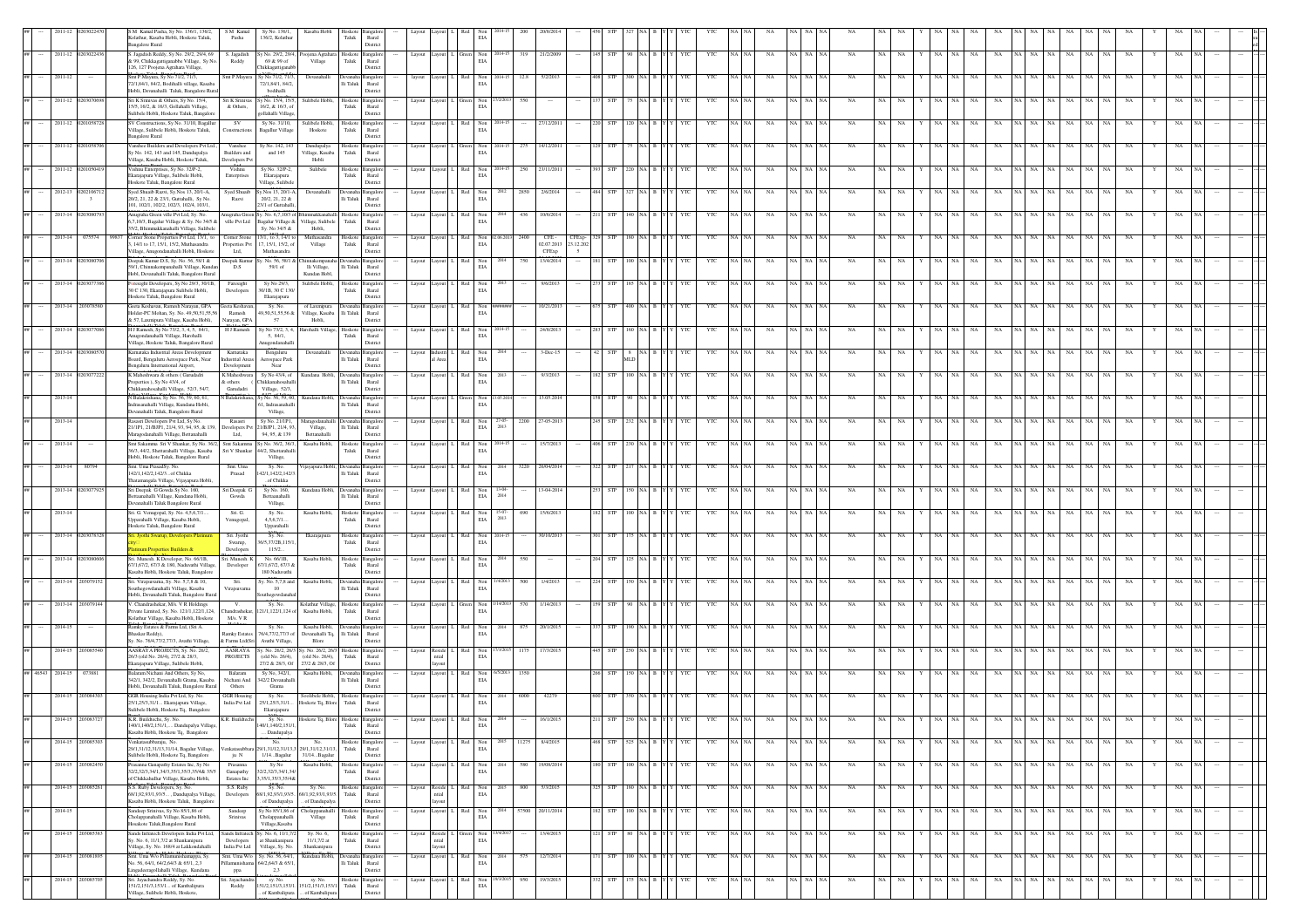|                  |                         | M Kamal Pasha, Sy No. 136/1, 136/2,<br>olathur, Kasaba Hobli, Hoskote Taluk,<br>angalore Rural                                                          | S M Kamal<br>Pasha                                 | Sy No. 136/1,<br>136/2, Kolathur                                                    | Kasaba Hobli                                                 | Hoskote Bangalo<br>${\rm Taluk}$    | $\rm{Rural}$<br>Distric                                              |        |                     |              |                        |                |      |                                              |                               |         |                      |                  |         |     |     |         |             |                         |    |       |                                      |    |       |             |         |                               |    |             |         |     |  |  |
|------------------|-------------------------|---------------------------------------------------------------------------------------------------------------------------------------------------------|----------------------------------------------------|-------------------------------------------------------------------------------------|--------------------------------------------------------------|-------------------------------------|----------------------------------------------------------------------|--------|---------------------|--------------|------------------------|----------------|------|----------------------------------------------|-------------------------------|---------|----------------------|------------------|---------|-----|-----|---------|-------------|-------------------------|----|-------|--------------------------------------|----|-------|-------------|---------|-------------------------------|----|-------------|---------|-----|--|--|
|                  | 2011-12 020302243       | Jagadish Reddy, Sy No. 29/2, 29/4, 69<br>k 99, Chikkagattiganabbe Village, Sy No.<br>126, 127 Poojena Agrahara Village,                                 | S. Jagadish<br>Reddy                               | No. 29/2, 29/4<br>69 & 99 of<br>hikkagattiganab                                     | xojena Agrahara<br>Village                                   | Hoskote<br>Taluk                    | <b>Bangalo</b><br>Rural<br>Distric                                   | Layout |                     |              | $\mbox{Non}$<br>EIA    |                | 319  | 21/2/200                                     |                               |         |                      |                  |         |     | YTC |         | NA          | NA                      |    |       | NA                                   |    | NA    |             |         | NA                            |    |             | NA      | NA  |  |  |
| 2011-12          |                         | Smt P.Mayura, Sy No 71/2, 71/3,<br>72/1,84/1, 84/2, Bodihalli village, Kasaba<br>Hobli, Devanahalli Taluk, Bangalore Rural                              | Smt P.Mayur                                        | y No 71/2, 71/3<br>72/1.84/1.84/2.<br>bodihalli                                     | Devanahal                                                    | Ili Taluk Rural                     | Distric                                                              |        |                     |              | Non<br>$\rm EIA$       |                |      |                                              |                               |         |                      |                  |         |     |     |         |             |                         |    |       |                                      |    |       |             |         |                               |    |             |         |     |  |  |
| 2011-12          |                         | iri K Srinivas & Others, Sy No. 15/4,<br>15/5, 16/2, & 16/3, Gollahalli Village,<br>ulibele Hobli, Hoskote Taluk, Bangalor                              | & Others.                                          | Sri K Sriniyas Sv No. 15/4, 15/5<br>16/2, & 16/3, of<br>gollahalli Village          | Sulibele Hobli.                                              | Hoskote<br>Taluk                    | Rural<br>Distric                                                     | Layout |                     |              | Non<br>$\rm EIA$       |                |      |                                              |                               |         |                      |                  |         |     | YT  |         |             |                         |    |       |                                      |    |       |             |         |                               |    |             |         |     |  |  |
| 2011-12          |                         | SV Constructions, Sy No. 31/10, Bagallur<br>Village, Sulibele Hobli, Hoskote Taluk,<br>angalore Rural                                                   | <b>SV</b><br>Constructions                         | Sv No. 31/10.<br><b>Bagallur</b> Village                                            | Sulibele Hobli. Hoskote Bangalo<br>Hoskote                   | Taluk                               | Rural<br>Distric                                                     | Layout |                     |              | Non<br>EIA             |                |      | 27/12/201                                    |                               |         |                      |                  |         |     | YTC |         | NA          |                         |    |       |                                      |    |       |             |         |                               |    |             |         |     |  |  |
| 2011-12          |                         | anshee Builders and Developers Pvt Ltd.,<br>y No. 142, 143 and 145, Dandupalya<br>illage, Kasaba Hobli, Hoskote Taluk,                                  | Vanshee<br><b>Builders</b> and<br>Developers Pvt   | Sy No. 142, 14.<br>and 145                                                          | Dandupalya<br>Village, Kasaba<br>Hobli                       | Hoskote Bangalo<br>${\rm T}$ aluk   | Rural<br>District                                                    | Layout |                     |              | $_{\rm EIA}$           |                |      | 14/12/201                                    |                               |         |                      |                  |         |     | YT  |         |             |                         |    |       |                                      |    |       |             |         |                               |    |             |         |     |  |  |
| 2011-12          |                         | Vishnu Enterprises, Sy No. 32/P-2,<br>ikarajapura Village, Sulibele Hobli,<br>Hoskote Taluk, Bangalore Rural                                            | Vishnu<br>Enterprises                              | Sy No. 32/P-2,<br>Ekarajapura<br>Village, Sulibele                                  | Sulibele                                                     | Hoskote Bangalor<br>Taluk           | $\ensuremath{\mathsf{R}\text{ural}}$<br>Distric                      | Layout |                     |              | Non<br>EIA             |                | 250  | 23/11/201                                    |                               |         |                      |                  |         |     | YTC |         |             |                         |    |       |                                      |    |       |             |         |                               |    |             |         |     |  |  |
| 2012-13 02021067 | $\overline{\mathbf{3}}$ | Syed Shuaib Razvi, Sy.Nos 13, 20/1-A,<br>20/2, 21, 22 & 23/1, Guttahalli, Sy No.<br>101, 102/1, 102/2, 102/3, 102/4, 103/1,                             | Syed Shuaib<br>Razvi                               | Sy.Nos 13, 20/1-A<br>20/2, 21, 22 &<br>23/1 of Guttahall                            | Devanahalli                                                  |                                     | Devanaha Bangalo<br>$\rm Ili$ Taluk Rural<br>Distric                 | Layout |                     |              | EIA                    |                | 2850 | 2/6/201                                      |                               |         |                      |                  |         |     | YTO |         |             |                         |    |       |                                      |    |       |             |         |                               |    |             |         |     |  |  |
| 2013-14          |                         | nugraha Green ville Pvt Ltd, Sy. No.<br>7,10/3, Bagalur Village & Sy. No 34/5 &<br>5/2, Bhimmakkanahalli Village, Sulibele                              | Anugraha Green S<br>ville Pvt Ltd                  | y. No. 6,7,10/3 c<br>Bagalur Village &<br>Sv. No 34/5 &                             | Village, Sulibele<br>Hobli.                                  | Hoskot<br>Taluk                     | Bangalo<br>Rural<br>Distric                                          |        |                     |              | Non<br>EIA             |                | 436  | 10/6/201                                     |                               |         |                      |                  |         |     |     |         |             |                         |    |       |                                      |    |       |             |         |                               |    |             |         |     |  |  |
| $2013 - 14$      | 075574                  | omer Stone Properties Pvt Ltd, 13/1, to<br>. 14/1 to 17, 15/1, 15/2. Muthasandra<br>'illage, Anugondanahalli Hobli. Hoskote                             | Corner Stone<br>Properties Pvt<br>Ltd.             | 13/1, to 3, 14/1 to<br>7.15/1.15/2. of<br>Muthasandra                               | Muthasandra<br>Village                                       | Taluk                               | Hoskote Bangalor<br>Rural<br>Distric                                 | Layout |                     | Red          | Non<br>EIA             |                | 2400 | $\mbox{CFE}$ -<br>02.07.2013<br><b>CFExp</b> | CFExp-<br>23.12.202<br>$\sim$ |         |                      |                  |         |     | YTO |         |             | NA.                     |    |       |                                      |    |       |             |         |                               |    | NA          |         |     |  |  |
| 2013-14          |                         | Deepak Kumar D.S., Sy. No. 56, 58/1 &<br>59/1, Chinnakempanahalli Village, Kundar<br>Hobl, Devanahalli Taluk, Bangalore Rural                           | Deepak Kuma<br>D.S                                 | v. No. 56, 58/1 a<br>59/1 of                                                        | innakem<br>lli Village,<br>Kundan Hobl,                      | Ili Taluk                           | Rural<br>District                                                    | Lavout | avout               |              | Non<br>EIA             |                |      | 13/4/201-                                    |                               |         |                      |                  |         |     | YTC |         | NA          |                         |    |       |                                      |    | NA    |             |         |                               |    |             |         |     |  |  |
| 2013-14          |                         | presight Developers, Sy No 29/3, 30/1B,<br>30 C 130, Ekarajapura Sulibele Hobli,<br>loskote Taluk, Bangalore Rural                                      | Faresight<br>Developers                            | Sy No 29/3.<br>30/1B, 30 C 130/<br>Ekarajapura                                      | Sulibele Hobli,                                              | Hoskote Bangalo<br>Taluk            | Rural<br>Distric                                                     | Layout |                     |              | Non<br>$\rm EIA$       |                |      | 9/6/201                                      |                               |         |                      |                  |         |     |     |         |             |                         |    |       |                                      |    |       |             |         |                               |    |             |         |     |  |  |
| 2013-14          | 2030785                 | Geeta Keshavan, Ramesh Narayan, GPA<br>folder-PC Mohan, Sy. No. 49,50,51,55,56<br>k 57, Laxmipura Village, Kasaba Hobli,                                | Geeta Keshavar<br>Ramesh<br>Narayan, GPA           | Sy. No.<br>9,50,51,55,56 &<br>57                                                    | of Laxmipura<br>Village, Kasaba<br>Hobli,                    | Devanaha Bangalo<br>lli Taluk       | Rural<br>District                                                    | Layout | tuova               |              | Non<br>EIA             |                |      | 10/21/201                                    |                               |         |                      |                  |         |     | YTC |         | NA          |                         |    |       |                                      |    |       |             |         |                               |    |             |         |     |  |  |
| 2013-14          |                         | 1 J Ramesh, Sy No 73/2, 3, 4, 5, 84/1,<br>unugondanahalli Village, Harohalli<br>'illage, Hoskote Taluk, Bangalore Rural                                 | HJ Ramesh                                          | y No 73/2, 3, 4<br>5, 84/1,<br>nugondanahal                                         | rohalli Village                                              | Hoskote<br>${\rm Taluk}$            | Bangalo<br>Rural<br>Distric                                          | Layout |                     |              | Non<br>EIA             |                |      | 24/8/201                                     |                               |         |                      |                  |         |     |     |         |             |                         |    |       |                                      |    |       |             |         |                               |    |             |         |     |  |  |
| 2013-14          |                         | Carnataka Industrial Areas Development<br>Board, Bengaluru Aerospace Park, Near<br>dengaluru International Airport,                                     | Kamataka<br><b>Industrial Areas</b><br>Development | Bengaluru<br>Aerospace Park<br>Near                                                 | Devanahalli                                                  | Ili Taluk Rural                     | Distric                                                              | Layout | Anna                |              | Non<br>$\rm EIA$       |                |      | $3-D\alpha-1$                                |                               |         | $\mathfrak n$ D      |                  |         |     | YT  |         |             |                         |    |       |                                      |    |       |             |         |                               |    |             |         |     |  |  |
| $2013 - 14$      |                         | K Maheshwara & others (Garudadri<br>roperties), Sy No 43/4, of<br>Chikkanahosahalli Village, 52/3, 54/7,                                                | ${\bf K}$ Maheshwara<br>& others<br>Garudadri      | Sy No 43/4, of<br>Chikkanahosahal<br>Village, 52/3,                                 | Kundana Hobli, Devanaha Bangalo                              |                                     | Ili Taluk Rural<br>Distric                                           |        | Layout Layout       | Red          | Non<br>EIA             |                |      | 9/3/2013                                     |                               |         |                      |                  |         |     | YTC |         |             |                         |    |       |                                      |    |       |             |         |                               |    |             |         |     |  |  |
| 2013-14          |                         | V Balakrishana, Sy No. 56, 59, 60, 61,<br>ndrasanahalli Village, Kundana Hobli,<br>Devanahalli Taluk, Bangalore Rural                                   |                                                    | N Balakrishana, Sy No. 56, 59, 60.<br>51. Indrasanahall<br>Village,                 | Kundana Hobl                                                 | Ili Taluk Rural                     | Distric                                                              | Layout |                     |              | Non<br>$\rm EIA$       |                |      | 13.05.201                                    |                               |         |                      |                  |         |     |     |         |             |                         |    |       |                                      |    |       |             |         |                               |    |             |         |     |  |  |
| $2013 - 14$      |                         | Rasasri Developers Pvt Ltd. Sv No.<br>1/1P1, 21/BJP1, 21/4, 93, 94, 95, & 139,<br>Maragodanahalli Village, Bettanahalli                                 | Rasasri<br>Developers Pvt<br>Ltd,                  | Sv No. 21/1P1.<br>21/BJP1, 21/4, 93<br>94, 95, & 139                                | Maragodanahalli Devanaha Bangalo<br>Village,<br>Bettanahalli |                                     | Ili Taluk Rural<br>Distric                                           | Layout |                     | Red          | Non<br>EIA             | 27-05-<br>2013 | 2200 | 27-05-2013                                   |                               |         |                      |                  |         |     | YTC |         | NA          |                         |    |       |                                      |    |       |             |         |                               |    |             |         |     |  |  |
| 2013-14          |                         | Smt Sakamma Sri V Shankar, Sy No. 36/2, Smt Sakamma S<br>36/3, 44/2, Shettarahalli Village, Kasaba<br>Hobli, Hoskote Taluk, Bangalore Rural             | Sri V Shankar                                      | y No. 36/2, 36/3<br>.<br>4/2, Shettarahall<br>Village,                              | Kasaba Hobli,                                                | Hoskote Bangalo<br>Taluk            | Rural<br>Distric                                                     | Layout |                     |              | Non<br>EIA             |                |      | 15/7/2013                                    |                               |         |                      |                  |         |     | YTC |         | NA          |                         |    |       |                                      |    |       |             |         |                               |    |             |         |     |  |  |
| 2013-14          |                         | Smt. Uma PrasadSy. No.<br>142/1,142/2,142/3of Chikka<br>hatamangala Village, Vijayapura Hobli,                                                          | Smt. Uma<br>Prasad                                 | Sy. No.<br>12/1,142/2,142/<br>of Chikka                                             | 'ijayapura He                                                | lli Taluk                           | Rural<br>Distric                                                     | Layou  |                     |              | $_{\rm EIA}$           |                |      | 06/04/20                                     |                               |         |                      |                  |         |     |     |         |             |                         |    |       |                                      |    |       |             |         |                               |    |             |         |     |  |  |
| 2013-14          |                         | iri Deepak G Gowda Sy No. 160,<br>aanahalli Village, Kundana Hobli,<br>evanahalli Taluk Bangalore Rural                                                 | Sri Deepak (<br>Gowda                              | Sy No. 160,<br>Bettaanahalli<br>Village,                                            | Kundana Hobl                                                 | Devanaha Bangalo<br>$\rm Ili$ Taluk | Rural<br>Distric                                                     | Layou  |                     |              | Non<br>$\rm EIA$       | 2014           |      | 13-04-201                                    |                               |         |                      |                  |         |     | YTO |         |             |                         |    |       |                                      |    |       |             |         |                               |    |             |         |     |  |  |
| 2013-14          |                         | iri. G. Venugopal, Sy. No. 4,5,6,7/1<br>pparahalli Village, Kasaba Hobli,<br>loskote Taluk, Bangalore Rural                                             | Sri. G.<br>Venugopal,                              | Sy. No.<br>4,5,6,7/1<br>Upparahalli                                                 | Kasaba Hobl                                                  | Hoskote<br>Taluk                    | angale<br>Rural<br>Distric                                           |        |                     |              | Non<br>EIA             | 2013           |      | 15/6/201                                     |                               |         |                      |                  |         |     |     |         |             |                         |    |       |                                      |    |       |             |         |                               |    |             |         |     |  |  |
| $2013 - 14$      |                         | num Properties Builders &                                                                                                                               | Sri. Jyoth<br>Swarup,<br>Developers                | Sy. No.<br>6/5.37/2B.115/1<br>115/2                                                 | Ekarajapura                                                  | Hoskote Bangalo<br>Taluk            | Rural<br>Distric                                                     | Layout |                     |              | Non<br>EIA             |                |      | 0/10/201                                     |                               |         |                      |                  |         |     | YTC |         | <b>NA</b>   |                         |    |       |                                      |    |       |             |         |                               |    |             |         |     |  |  |
| 2013-14 0203080  |                         | Sri. Munesh. K Developer. No. 66/1B.<br>7/1,67/2, 67/3 & 180, Naduvathi Village<br>asaba Hobli, Hoskote Taluk, Bangalore                                | Sri, Munesh, K<br>Developer                        | No. 66/1B.<br>7/1,67/2, 67/3 &<br>180 Naduvathi                                     | Kasaba Hobli.                                                | Hoskote Bangalo<br>Taluk            | Rural<br>Distric                                                     | Layout | Lavout              | Red          | Non<br>EIA             |                |      |                                              |                               |         |                      |                  |         |     | YTC |         | NA          | <b>NA</b>               |    |       |                                      |    | NA    |             |         |                               |    |             |         |     |  |  |
| 2013-14          |                         | ri. Virajsuvarna, Sy. No. 5,7,8 & 10,<br>uthegowdanahalli Village, Kasaba<br>Iobli, Devanahalli Taluk, Bangalore Rural                                  | Sri.<br>Virajsuvarn                                | Sy. No. 5,7,8 and<br>10<br>thegowdar                                                | Kasaba Hobl                                                  | Devanaha Bangalo<br>lli Taluk       | Rural<br>Distric                                                     | Layout |                     |              | Non<br>$\rm EIA$       |                |      | 1/4/201                                      |                               |         |                      |                  |         |     | YΤ  |         |             |                         |    |       |                                      |    |       |             |         |                               |    |             |         |     |  |  |
| 2013-14          |                         | . Chandrashekar, M/s. V R Holdings<br>ivate Limited, Sy. No. 121/1,122/1,124,                                                                           | andrashekar,<br>M/s. V ${\bf R}$                   | Sy. No.<br>21/1,122/1,124                                                           | Kolathur Village,<br>Kasaba Hobli.                           | Hoskot<br>Taluk                     | <b>Bangalo</b><br>Rural<br>Distric                                   | Layout |                     |              | Non<br>EIA             |                |      |                                              |                               |         |                      |                  |         |     | YΤ  |         |             |                         |    |       |                                      |    |       |             |         |                               |    |             |         |     |  |  |
| 2014-15          |                         | Colathur Village, Kasaba Hobli, Hoskote<br>Ramky Estates & Farms Ltd, (Sri A.<br>Bhaskar Reddy),                                                        | Ramky Estates                                      | Sy. No.<br>76/4.77/2.77/3 of                                                        | Kasaba Hobli,<br>Devanahalli Tq.<br>Blore                    | Ili Taluk Rural                     | a Bangalo<br>Distric                                                 | Layout |                     |              | $_{\rm EIA}^{\rm Non}$ |                | 875  | 20/1/201                                     |                               |         |                      |                  |         |     | YTC |         | NA          |                         |    |       |                                      |    |       |             |         |                               |    |             |         |     |  |  |
| 2014-15          | 2030855                 | ly. No. 76/4,77/2,77/3, Avathi Village,<br>AASRAYA PROJECTS, Sy. No. 26/2,<br>26/3 (old No. 26/4), 27/2 & 28/3,<br>Ekarajapura Village, Sulibele Hobli, | & Farms Ltd(Sri<br><b>PROJECTS</b>                 | Avathi Village,<br>AASRAYA Sy. No. 26/2, 26/3<br>(old No. 26/4).<br>27/2 & 28/3, Of | r. No. 26/2, 26/3<br>(old No. 26/4).<br>27/2 & 28/3, Of      | Hoskote<br>Taluk                    | <b>Bangalo</b><br>Rural<br>Distric                                   | Layout | Reside<br>leitr     | Red          | Non<br>$\rm EIA$       |                | 1175 | 17/3/201                                     |                               |         |                      |                  |         |     |     |         |             |                         |    |       |                                      |    |       |             |         |                               |    |             |         |     |  |  |
| $2014 - 15$      | 07388                   | Balaram Nichani And Others, Sy No,<br>342/1, 342/2, Devanahalli Grama, Kasaba                                                                           | Balaram<br>Nichani And                             | Sy No, 342/1,<br>342/2 Devanahall                                                   | Kasaba Hobli.                                                | Ili Taluk Rural                     |                                                                      | Layout | ayout               | Red          | Non<br>EIA             |                | 1350 |                                              |                               |         |                      |                  |         |     | YTC |         | NA          | NA                      |    |       |                                      |    |       |             |         |                               |    |             |         |     |  |  |
| 2014-15 2030843  |                         | Hobli, Devanahalli Taluk, Bangalore Rural<br>GGR Housing India Pvt Ltd. Sv. No.<br>25/1,25/3,31/1 Ekarajapura Village,                                  | Others<br><b>GGR Housins</b><br>India Pvt Ltd      | Grama<br>Sy. No.<br>25/1,25/3,31/1                                                  | Soolibele Hobli. Hoskote<br>loskote Tq, Blore Taluk          |                                     | Distric<br>Rural                                                     |        | Layout Layout       |              | Non<br>EIA             |                | 6000 | 42279                                        |                               |         |                      |                  |         |     | YTC |         |             |                         |    |       |                                      |    |       |             |         |                               |    |             |         |     |  |  |
|                  |                         | iulibele Hobli, Hoskote Tq, Bangalore<br>140/1,140/2,151/1, Dandupalya Village,                                                                         |                                                    | Ekarajapura<br>140/1,140/2,151/1,                                                   |                                                              | Taluk                               | Distric<br>Rural                                                     |        |                     |              | $\rm EIA$              |                |      |                                              |                               |         |                      |                  |         |     |     |         |             |                         |    |       |                                      |    |       |             |         |                               |    |             |         |     |  |  |
|                  | 2014-15 203085303       | Kasaba Hobli, Hoskote Tq. Bangalore<br>.<br>Venkatasubbaraju, No.<br>29/1,31/12,31/13,31/14, Bagalur Village,                                           |                                                    | . Dandupalya<br>No<br>29/1,31/12,31/13,                                             | 29/1,31/12,31/13,                                            | ${\rm Tauk}$                        | District<br>Hoskote Bangalor<br>$\ensuremath{\mathsf{R}\text{ural}}$ |        | Layout Layout L Red |              | Non<br>EIA             | 2015           |      | 11275 8/4/2015                               |                               | 468     | STP 525 NA B Y Y YTC |                  |         |     | YTC | NA NA   | NA          | NA NA NA<br>NA          |    | NA NA | $\mathbf{Y}=\mathbf{NA}=\mathbf{NA}$ |    | NA NA |             |         | NA NA NA NA                   |    | $\rm NA-NA$ | NA<br>Y | NA  |  |  |
| 2014-15          | 30824                   | Sulibele Hobli, Hoskote Tq, Bangalore<br>rasanna Ganapathy Estates Inc, Sy No<br>32/2,32/3,34/1,34/3,35/1,35/3,35/4&35/5                                | ju N<br>Prasanna<br>Ganapathy                      | $1/14\ldots$ Bagalur<br>Sy No<br>2/2,32/3,34/1,34                                   | 31/14Bagalur<br>Kasaba Hol                                   | loskote<br>Taluk                    | District<br>Bangalo<br>$\mathop{\rm Rural}\nolimits$                 | Layout |                     |              | EIA                    |                |      | 9/08/201                                     |                               |         |                      |                  |         |     | YTC |         | NA          | NA                      | NA |       |                                      |    |       | NA          |         | NA                            | NA | - NA        | NA      | NA  |  |  |
|                  | 2014-15 20308526        | of Chikkahullur Village, Kasaba Hobli,<br>S.S. Ruby Developers, Sy. No.<br>68/1,92,93/1,93/5, Dandupalya Village                                        | Estates Inc<br>S.S. Ruby<br>Developers             | 35/1.35/3.35/4&<br>Sy. No.<br>8/1.92.93/1.93/5                                      | Sy. No.<br>68/1,92,93/1,93/5.                                | Taluk                               | Distric<br>Hoskote Bangalor<br>Rural                                 | Layout | eside               |              | Non<br>EIA             | 2015           | 800  | 5/3/2015                                     |                               |         | <b>STP</b>           | 180 NA B         |         |     | YTC | NA NA   | NA          | NA NA NA<br>NA          | NA | NA    | NA.                                  | NA | NA    | NA          | NA      | NA<br>NA                      |    | NA NA       | NA      | NA  |  |  |
| 2014-15          |                         | Kasaba Hobli, Hoskote Taluk, Bangalore<br>Sandeep Srinivas, Sy No 85/1,86 of<br>Cholappanahalli Village, Kasaba Hobli,                                  | Sandeep<br>Srinivas                                | of Dandupalva<br>Sy No 85/1,86 of<br>Cholappanahalli                                | of Dandupalya<br>holappanahalli<br>Village                   | Taluk                               | Distric<br>Hoskote Bangalor<br>Rural                                 |        | Layout Layout       | Red          | Non<br>EIA             | 2014           |      | 57500 20/11/2014                             |                               | 182 STP |                      | $100$ NA $B$     | Y Y YTC |     | YTC | NA NA   | $_{\rm NA}$ | NA NA NA<br>$_{\rm NA}$ | NA | NA    | $_{\rm NA}$                          | NA | NA    | $_{\rm NA}$ | NA NA   | $\mathbf{NA}$ – $\mathbf{NA}$ |    | NA NA       | NA      | NA  |  |  |
| 2014-15          | 20308538                | Hosakote Taluk, Bangalore Rural<br>ands Infratech Developers India Pvt Ltd,<br>v. No. 6, 11/1,7/2 at Shankanipura                                       | Developers                                         | Village.Kasaba<br>Sands Infratech Sy. No. 6, 11/1,7/<br>at Shankanipura             | Sv. No. 6.<br>$11/1.7/2$ at                                  | Taluk                               | Distric<br>Hoskote Bangalo<br>Rural                                  | Layout | eside<br>stial      |              | Non<br>EIA             |                |      | 13/4/2015                                    |                               |         | <b>STP</b>           | 80 NA B          |         |     | YTC | NA   NA | NA          | NA NA NA<br>NA          | NA |       | NA.                                  | NA | NA    | <b>NA</b>   | VA I NA | NA<br>NA                      |    | NA NA       | NA      | NA. |  |  |
|                  | 2014-15 203081895       | .<br>Village, Sy. No. 168/4 at Lakkondahalli<br>Smt. Uma W/o Pillamunishamappa, Sy.<br>vo. 56, 64/1, 64/2, 64/3 & 65/1, 2,3                             | India Pvt Ltd<br>Smt. Uma W/o<br>amunisha          | Village, Sy. No.<br>Sy. No. 56, 64/1,<br>4/2,64/3 & 65/1                            | Shankanipura<br>Kundana Hobli.                               | Ili Taluk                           | Distric<br>Devanaha Bangalo<br>Rural                                 | Layout |                     | Lavout L Red | Non<br>EIA             | 2014           | 575  | 12/7/2014                                    |                               |         | <b>STP</b>           | 100 NA B Y Y YTC |         |     | YTC | NA NA   | NA          | NA NA NA<br><b>NA</b>   | NA | NA.   | NA                                   | NA | NA    | NA          |         | NA NA NA NA                   |    | NA NA       | NA      | NA  |  |  |
| 2014-15          | 20308570                | ingadeeragollahalli Village, Kundana<br>Sri. Jayachandra Reddy, Sy. No.<br>1/2,151/3,153/1 of Kambalipura                                               | ppa<br>iri. Jayachandra<br>Reddy                   | 2,3<br>sy. No.<br>51/2,151/3,153/1.                                                 | sy. No.<br>151/2,151/3,153/1                                 | Taluk                               | District<br>Hoskote Bangalor<br>Rural                                | Layout | tuova               | Red          | Non<br>EIA             |                | 950  | 19/3/2015                                    |                               |         | STP                  | 175 NA B         |         | YTC | YTC | NA NA   | NA          | VA NA NA<br>NA          | NA | NA    | $_{\rm NA}$                          | NA | NA    | NA          | VA NA   | NA<br>NA                      | NA | NA          | NA      | NA  |  |  |
|                  |                         | e, Sulibele Hobli, Hoskote,                                                                                                                             |                                                    | of Kambalipura                                                                      | of Kambalip                                                  |                                     | Distric                                                              |        |                     |              |                        |                |      |                                              |                               |         |                      |                  |         |     |     |         |             |                         |    |       |                                      |    |       |             |         |                               |    |             |         |     |  |  |

Bangalore Rural

Village, Sulibele

Village, Sulibele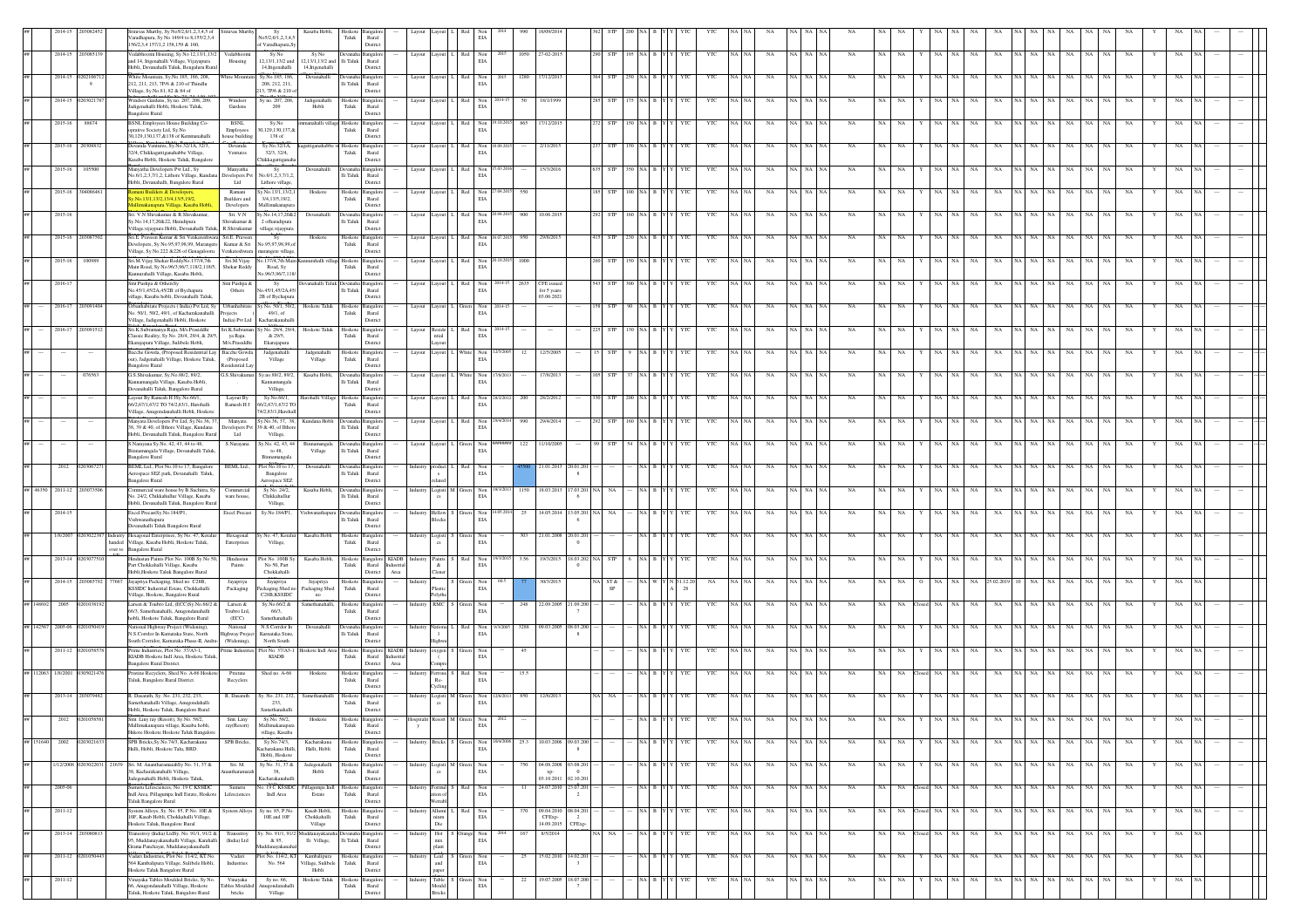|        |                          |                  |       | ivas Murthy, Sy No5/2,6/1,2,3,4,5 of<br>aradhapura, Sy No 149/4 to 8,155/2,3,4<br>156/2.3.4 157/1.2 158.159 & 160.                                                  |                                              | Sy<br>No5/2,6/1,2,3,4,5<br>of Varadhapura.S                             | Kasaba Hobl                                  | ioskote<br>Taluk          | $\rm{Rural}$<br>Distric                                         |          |                                                      |     |                                    |        |                                                                                   |                             |            |              |     |              |         |             |          |             |             |             |                 |             |                            |         |             |             |             |             |    |  |  |
|--------|--------------------------|------------------|-------|---------------------------------------------------------------------------------------------------------------------------------------------------------------------|----------------------------------------------|-------------------------------------------------------------------------|----------------------------------------------|---------------------------|-----------------------------------------------------------------|----------|------------------------------------------------------|-----|------------------------------------|--------|-----------------------------------------------------------------------------------|-----------------------------|------------|--------------|-----|--------------|---------|-------------|----------|-------------|-------------|-------------|-----------------|-------------|----------------------------|---------|-------------|-------------|-------------|-------------|----|--|--|
|        |                          | 2014-15 20308513 |       | edabhoomi Housing, Sy No 12,13/1,13/2<br>and 14, Irigenahalli Village, Vijayapura<br>Hobli, Devanahalli Taluk, Bengaluru Rural                                      | Vedabhoom<br>Housing                         | $Sy No$<br>12,13/1,13/2 and<br>14, Irigenahalli                         | Sy No<br>12,13/1,13/2 and<br>14.Irigenahalli | lli Taluk                 | ingalo<br>Rural<br>Distric                                      | Layout   | Layout L Red                                         |     | $_{\rm EIA}^{\rm Non}$             |        | 1050 27-02-2015                                                                   |                             | <b>STP</b> |              |     | YTC          | NA NA   | NA          | NA NA N  | NA          | NA          |             | NA              | NA          | NA<br>NA                   |         |             | NA<br>NA    | NA          | NA          | NA |  |  |
|        | 2014-15                  | 02021067<br>-9   |       | White Mountain, Sy.No.185, 186, 208,<br>212, 211, 213, 7P/6 & 210 of Thindlu<br>Village, Sy.No.81, 82 & 84 of                                                       |                                              | Sy.No.185, 186,<br>208, 212, 211,<br>213, 7P/6 & 210                    | Devanaballi                                  | li Taluk                  | ngale<br>Rural<br>Distric                                       |          |                                                      |     | EIA                                | 1280   | 17/12/201                                                                         |                             |            |              |     | YR           |         |             |          |             |             |             |                 |             |                            |         |             |             |             |             |    |  |  |
|        | 2014-15 02030217         |                  |       | Windsor Gardens, Sy no. 207, 208, 209,<br>Jadigenahalli Hobli, Hoskote Taluk,<br>angalore Rural                                                                     | Windsor<br>Gardens                           | Sy no. 207, 208,<br>209                                                 | Jadigenahall<br>Hobli                        | Hoskote<br>Taluk          | Bangalo<br>Rural<br>Distric                                     | Layout   | Layout L Rec                                         |     | EIA                                |        | 18/1/1999                                                                         |                             |            |              |     | YTC          |         |             |          |             |             |             |                 |             |                            |         |             |             |             |             |    |  |  |
|        | 2015-16 88674            |                  |       | BSNL Employees House Building Co-<br>prative Society Ltd, Sy.No<br>30,129,130,137,&138 of Kemmanahall                                                               | BSNL<br>Employees<br>house building          | Sy.No<br>129, 130, 137, 8<br>138 of                                     | manahalli village Hoskote Bangalor           | ${\rm Taluk}$             | Rural<br>Distric                                                | Layout   | Layout L Red                                         |     | Non 1<br>EIA                       | 865    | 17/12/2015                                                                        |                             |            |              |     | YTC          |         | NA          |          |             |             |             |                 |             |                            |         |             |             |             |             |    |  |  |
|        | 2015-16                  |                  |       | evarala Ventures, Sy.No.32/1A, 32/3,<br>32/4, Chikkagattiganahabbe Village,<br>Kasaba Hobli, Hoskote Taluk, Bangalore                                               | Devarala<br>Ventures                         | Sy.No.32/1A,<br>32/3, 32/4,                                             |                                              | loskote<br>${\rm Taluk}$  | ingaloi<br>Rural<br>Distric                                     | Layou    |                                                      |     | EIA                                |        | 2/11/201                                                                          |                             |            |              |     | YT           |         |             |          |             |             |             |                 |             |                            |         |             |             |             |             |    |  |  |
|        | 2015-16                  | 10550            |       | Manyatha Developers Pvt Ltd., Sy<br>No.6/1,2,3,7/1,2, Lithore Village, Kuno                                                                                         | Manyatha<br>evelopers Pvt                    | hikkagattiganah<br>Sy<br>No.6/1,2,3,7/1,2                               | Devanahalli                                  | evan<br>li Taluk          | ingalor<br>$\rm{Rural}$<br>Distric                              | Layout   | ayout                                                | Red | EIA                                |        | 15/3/2016                                                                         |                             |            |              |     | YTC          |         | NA          |          | NA          |             |             |                 |             | NA                         |         |             |             |             |             |    |  |  |
|        | 2015-16 304086           |                  |       | Hobli, Devanahalli, Bangalore Rural<br>mani Builders & Developers<br>7.No.13/1.13/2.13/4.13/5.19/2.                                                                 | Ltd<br>Ramani<br><b>Builders</b> and         | Lithore village,<br>Sy.No.13/1,13/2,1<br>3/4.13/5.19/2.                 | Hoskote                                      | Taluk                     | Hoskote Bangalor<br>Rural                                       | Layout   | ayout L Red                                          |     | Non 27.04.20<br>EIA                | 550    |                                                                                   |                             |            |              |     | YTC          |         | NA          | NA NA N  | NA          |             |             |                 | NA          | NA                         |         |             | NA          |             |             |    |  |  |
|        | 2015-16                  |                  |       | allimakanapura Village, Kasaba Hobli<br>Sri. V.N Shivakumar & R.Shivakumar.<br>Sv.No.14.17.20&22. Haradipura                                                        | Developers<br>Sri. V.N<br>Shiyakumar &       | Mallimakanapura<br>y.No.14,17,20&2<br>2 ofharadipura                    | Devanahall                                   | li Taluk                  | District<br>mealo<br>Rural                                      | Layout   | Lavout L Red                                         |     | Non<br>EL4                         | 900    | 10.06.201                                                                         |                             |            |              |     | YTC          |         | NA          | NA NA    |             |             |             |                 |             |                            |         |             | NA<br>NA    | NA          |             |    |  |  |
|        | 2015-16 2030875          |                  |       | .<br>'illage.vijavpura Hobli, Devanahalli Taluk. R.Shivakumar<br>Sri F. Prayoen Kumar & Sri Venkateshwara Sri F. Prayoe<br>levelopers, Sy No.95,97,98,99, Marangere | Kumar & Sri                                  | illage, vijaypun<br>$S_V$<br>io.95,97,98,99,of                          | Hoskote                                      | Hoskote<br>$_{\rm Taluk}$ | District<br>Bangalor<br>Runal                                   | Layout   | Layout L Red                                         |     | Non 16.07.20<br>EI/                | 950    | 29/8/2015                                                                         |                             |            |              |     | YTC          | NA   NA | NA          | NA NA N  | <b>NA</b>   | NA          |             | NA.             | NA          | <b>NA</b><br><b>NA</b>     |         |             | NA.<br>NA   | <b>NA</b>   | NA          |    |  |  |
|        | 2015-16                  | 10098            |       | 'illage, Sy No.222 & 226 of Ganagalooru<br>Sri.M.Vijay Shekar ReddyNo.137/4,7th<br>Main Road, Sy No.96/3,96/7,118/2,118/5,                                          | Venkateshwara<br>Sri.M.Vijay<br>Shekar Reddy | narangere village<br>o.137/4,7th Main<br>Road, Sy                       | urahalli villag                              | Hoskote<br>Taluk          | Distric<br>Bangalo<br>Rural                                     | Layout   | ayout L Red                                          |     | Non<br>EIA                         | 1000   |                                                                                   |                             |            |              |     | YTC          |         | NA          |          | <b>NA</b>   |             |             |                 |             |                            |         |             |             |             |             |    |  |  |
|        | $2016 - 1$               |                  |       | nnurahalli Village, Kasaba Hobli,<br>Smt Pushpa & OthersSy<br>No.45/1,45/2A,45/2B of Bychapura                                                                      | Smt Pushpa &<br>Others                       | io.96/3,96/7,11<br>$\frac{1}{s_y}$<br>io.45/1,45/2A,45                  | vanahalli Taluk                              | Devan<br>li Taluk         | Distric<br><b>Bangalo</b><br>Rural                              | Layout   | ayout                                                |     | Non<br>EIA                         |        | CFE issued<br>for 5 years                                                         |                             |            |              |     | YTC          |         |             |          |             |             |             |                 |             |                            |         |             |             |             |             |    |  |  |
|        | 2016-17                  | 203091           |       | rillage, Kasaba hobli, Devanahalli Taluk,<br>Jrbanhabitate Projects (India) Pvt Ltd, Sy<br>No. 50/1, 50/2, 49/1, of Kacharakanahalli                                | Urbanhabitatı<br>jects                       | 2B of Bychapura<br>y No. 50/1, 50/2,<br>49/1, of                        | Hoskote Taluk                                | Hoskote<br>Taluk          | Distric<br>angalor<br>Rural                                     | Layout   | Layout 1                                             |     | $_{\rm Non}$<br><b>FIA</b>         |        | 03.06.2021                                                                        |                             |            |              |     | YTC          |         |             |          | NA          |             |             |                 |             |                            |         |             |             |             |             |    |  |  |
|        | 2016-17                  |                  |       | Village, Jadigenahalli Hobli, Hoskote<br>Sri.K.Subramanya Raju, M/s.Prasiddhi<br>Classic Reality, Sy No. 28/4, 29/4, & 29/5,                                        | India) Pvt Ltd<br>Sri.K.Subram<br>ya Raju.   | acharakanaha<br>y No. 28/4, 29/4,<br>& 29/5.                            | Hoskote Taluk                                | Hoskote<br>Taluk          | Distric<br>ingalo<br>Rural                                      | Layou    | ntial                                                |     | EIA                                |        |                                                                                   |                             |            |              |     | YTC          |         |             |          |             |             |             |                 |             |                            |         |             |             |             |             |    |  |  |
|        |                          |                  |       | Ekarajapura Village, Sulibele Hobli,<br>Bacche Gowda, (Proposed Residential Lay<br>out), Jadgenahalli Village, Hoskote Taluk,                                       | M/s.Prasiddh<br>Bacche Gowda<br>(Proposed    | Ekarajapura<br>Jadgenahalli<br>Village                                  | Jadgenahalli<br>Village                      | Hoskote<br>Taluk          | Distric<br>ngalc<br>Rural                                       |          | Layout Layout                                        |     | Non<br>EIA                         | 12     | 12/5/200                                                                          |                             |            |              |     | YTC          |         | NA          |          | NA          |             |             |                 |             |                            |         |             |             |             |             |    |  |  |
|        |                          | 076563           |       | Bangalore Rural<br>G.S.Shivakumar, Sv.No.88/2, 89/2.<br>Kannamangala Village, Kasaba Hobli,                                                                         | esidential La                                | G.S.Shivakumar Sy.no.88/2, 89/2,<br>Kannamangala                        | Kasaba Hobli                                 | evanaha<br>li Taluk       | District<br>Bangalo<br>Rural                                    |          | Layout Layout L Whit                                 |     | Non<br>EIA                         |        | 17/8/2013                                                                         |                             |            |              |     | YTC          |         | NA          |          |             |             |             |                 |             |                            |         |             |             |             |             |    |  |  |
|        |                          |                  |       | evanahalli Taluk, Bangalore Rural<br>Layout By Ramesh H JSy.No.66/1,                                                                                                | Layout By                                    | Village,<br>Sy.No.66/1,                                                 | larohalli Village                            | Hoskote                   | Distric<br>Bangalo                                              | Layout   | Layout L Re                                          |     |                                    | 200    | 28/2/2012                                                                         |                             |            |              |     | YTC          |         |             |          |             |             |             |                 |             |                            |         |             |             |             |             |    |  |  |
|        |                          |                  |       | 66/2,67/1,67/2 TO 74/2,83/1, Harohalli<br>Village, Anugondanahalli Hobli, Hoskote<br>Manyata Developers Pvt Ltd, Sy.No.36, 37,                                      | Ramesh H J<br>Manyata                        | 66/2,67/1,67/2 TO<br>74/2,83/1, Harohall<br>Sy.No.36, 37, 38,           | Kundana Hobli                                | Taluk                     | Rural<br>Distric<br>Devanaha Bangalor                           | Layout   | Layout L Red                                         |     | EIA<br>Non                         | 990    | 29/4/2014                                                                         |                             |            |              |     | YTC          |         | NA          |          |             |             |             |                 |             |                            |         |             |             |             |             |    |  |  |
|        |                          |                  |       | 38, 39 & 40, of Ilthore Village, Kundana<br>Hobli, Devanahalli Taluk, Bangalore Rural<br>S.Narayana Sy.No. 42, 43, 44 to 48,                                        | evelopers Pv<br>Ltd<br>S.Narayana            | 9 & 40, of Ilthor<br>Village,<br>šy. No. 42, 43, 44                     | Binnamangal:                                 | li Taluk                  | $\operatorname{Rural}$<br>District<br>evanaha Bangalor          | Layout   | Layout L Green                                       |     | EIA                                | 122    | 11/10/2005                                                                        |                             |            |              |     | YTC          |         | NA          |          |             |             |             |                 |             |                            |         |             |             |             |             |    |  |  |
|        | 2012                     |                  |       | namangala Village, Devanahalli Taluk<br><b>Bangalore Rural</b><br>BEML Ltd., Plot No.10 to 17, Bangalore                                                            | BEML Ltd.,                                   | to 48,<br>Binnamangala<br>Plot No.10 to 17                              | Village<br>Devanahall                        | li Taluk                  | $\rm{Rural}$<br>Distric<br>ingaloi                              |          | roduct                                               |     | EIA                                |        | 21.01.2013                                                                        | 20.01.20                    |            |              |     | YTC          |         |             |          |             |             |             |                 |             |                            |         |             |             |             |             |    |  |  |
| 46350  | 2011-12 203073           |                  |       | Aerospace SEZ park, Devanahalli Taluk,<br><b>Bangalore Rural</b><br>ommercial ware house by B.Suchitra, Sy                                                          | Commercial                                   | Bangalore<br>Aerospace SEZ<br>Sy No. 24/2,                              | Kasaba Hobli,                                | li Taluk                  | $\rm{Rural}$<br>Distric<br>evanaha Bangalor                     | Industr  | related<br>Logisti M Gree                            |     | EIA<br>Non 18/3/201                | 1150   | 18.03.2013                                                                        | 8<br>17.03.201              |            |              |     | YTC          |         | NA          | NA NA N  | NA          |             |             |                 |             |                            |         |             |             |             |             |    |  |  |
|        | 2014-15                  |                  |       | No. 24/2, Chikkahullur Village, Kasaba<br>Hobli, Devanahalli Taluk, Bangalore Rural<br>Excel PrecastSy.No.184/P1,                                                   | ware house<br><b>Excel Precas</b>            | Chikkahullur<br>Village,<br>Sv.No.184/P1.                               | ishwanatha                                   | li Taluk                  | Rural<br>Distric                                                | ndustry  | Hellow                                               |     | EIA<br>Non                         | 25     | 14.05.2014                                                                        | 6<br>13.05.201              |            |              |     | YTC          |         | NA          | NA   NA  | <b>NA</b>   |             |             |                 |             | NA                         |         |             | NA.<br>NA   | NA          |             |    |  |  |
|        | 1/8/2007                 |                  |       | Vishwanathapura<br>Devanahalli Taluk Bangalore Rural<br>Hexagonal Enterprises, Sy No. 47, Koralur                                                                   | Hexagonal                                    | y No. 47, Koralui                                                       | Kasaba Hobli                                 | li Taluk<br>loskote       | Rural<br>District<br>Bangalor                                   | ndustry  | <b>Blocks</b>                                        |     | EIA<br>Non                         | 303    | 21.01.2008                                                                        | 6<br>20.01.20               |            |              |     | YTC          |         | NA          |          |             |             |             |                 |             |                            |         |             |             |             |             |    |  |  |
|        |                          |                  | anded | Village, Kasaba Hobli, Hoskote Taluk,<br>ver to Bangalore Rural<br>findustan Paints Plot No. 100B Sy No 50                                                          | Enterprises                                  | Village,                                                                |                                              | Taluk                     | Rural<br>Distric                                                |          | Logisti                                              |     | EIA                                |        |                                                                                   | $\overline{0}$              |            |              |     |              |         |             |          |             |             |             |                 |             |                            |         |             |             |             |             |    |  |  |
|        | 2013-14 020307           |                  |       | Part Chokkahalli Village, Kasaba<br>Hobli, Hoskote Taluk Bangalore Rural                                                                                            | Hindustan<br>Paints                          | lot No. 100B Sy<br>No 50, Part<br>Chokkahalli                           | Kasaba Hobli,                                | Hoskote<br>Taluk          | Bangalore KIADB<br>Rural<br>ustria<br>District<br>Area          |          | industry Paints S<br>Clener                          |     | Non<br>EI/                         | 3.56   | 19/3/2015                                                                         | 18.03.202                   |            |              |     | YTC          |         | NA          |          | NA          |             |             |                 |             |                            |         |             |             |             |             |    |  |  |
|        |                          |                  |       | Jayapriya Packaging, Shed no C28B,<br>KSSIDC Industrial Estate, Chokkahalli<br>Village, Hoskote, Bangalore Rural                                                    | Jayapriya<br>Packaging                       | Jayapriya<br>sckaging Shed n<br>C28B, KSSIDC                            | Jayapriya<br>ackaging Shed<br>no             | Hoskote<br>${\rm Taluk}$  | Bangalo<br>Rural<br>Distric                                     |          | Plastic<br>blythe <sup></sup>                        |     | $\rm EIA$                          |        | 30/3/201                                                                          |                             | ST &       |              |     | NA           |         |             |          |             |             |             |                 |             |                            |         |             |             |             |             |    |  |  |
|        | 2005                     |                  |       | arsen & Toubro Ltd, (ECC)Sy.No.66/2 &<br>66/3, Samethanahalli, Anugondanahalli<br>tobli, Hoskote Taluk, Bangalore Rural                                             | Larsen &<br>Toubro Ltd,<br>(ECC)             | Sy.No.66/2 &<br>66/3,<br>Samethanahall                                  | amethanahal                                  | loskoto<br>${\rm Tauk}$   | ngale<br>Rural<br>Distric                                       |          | RMC                                                  |     | Non<br>EIA                         | 248    | 22.09.2005                                                                        | 21.09.20                    |            |              |     | YTC          |         |             |          |             |             |             |                 |             |                            |         |             |             |             |             |    |  |  |
|        | 2005-06                  |                  |       | tional Highway Project (Widening),<br>N.S.Corrdor In Karnataka State, North<br>South Corridor, Kamataka Phase-II, Andr                                              | National<br>ighway Project<br>(Widening).    | $\operatorname{N.S. Corr dor}$<br>In<br>Karnataka State.<br>North South | Devanahalli                                  | li Taluk                  | ngalo<br>Rural<br>Distric                                       |          | $\mathbf{1}$                                         | Red | $\mathop{\rm Non}\nolimits$<br>EIA | 3288   | 09.03.2005                                                                        | 08.03.200                   |            |              |     | YTC          |         | NA          | I NA     | NA          |             |             |                 |             |                            |         |             |             |             |             |    |  |  |
|        | $2011 - 12$              |                  |       | rime Industries, Plot No. 37/A3-1.<br>KIADB Hoskote Indl Area, Hoskote Taluk<br><b>Bangalore Rural District.</b>                                                    | me Indust                                    | lot No. 37/A3-1<br><b>KIADB</b>                                         | Hoskote Indi Area                            | Hoskote<br>Taluk          | <b>KIADB</b><br>ngalor<br>Rural<br>ndustria<br>Area<br>District |          | oxygen                                               |     | Non<br>$_{\rm EIA}$                | 45     |                                                                                   |                             |            |              |     | YTC          |         | NA          |          | NA          |             |             |                 |             |                            |         |             |             |             |             |    |  |  |
| 112063 | 1/8/2001                 |                  |       | Pristine Recyclers, Shed No. A-66 Hoskote<br>Taluk, Bangalore Rural District.                                                                                       | Pristine<br>Recyclers                        | Shed no. A-66                                                           | Hoskote                                      | Taluk                     | Hoskote Bangalor<br>Rural<br>Distric                            |          | Industry Ferrous S Red<br>$\rm Re$<br><b>Cycling</b> |     | Non<br>EIA                         | 15.5   |                                                                                   |                             |            |              |     | YTC          |         | NA          |          | NA          |             |             |                 |             |                            |         |             |             |             |             |    |  |  |
|        | 2013-14 203079           |                  |       | R. Dasarath, Sy. No. 231, 232, 233,<br>Samethanahalli Village, Anugondahalli<br>Hobli, Hoskote Taluk, Bangalore Rural                                               | R. Dasarath                                  | Sy. No. 231, 232,<br>233,<br>Samethanahalli                             | Samethanahal                                 | Hoskote<br>${\rm Taluk}$  | Bangalo<br>$\operatorname{Rural}$<br>District                   |          | Logisti M Gree                                       |     | EL/                                | 850    | 12/6/2013                                                                         |                             |            |              |     | YTC          |         |             |          |             |             |             |                 |             |                            |         |             |             |             |             |    |  |  |
|        |                          |                  |       | Smt. Liny ray (Resort), Sy.<br>Mallimakanapara village, Kasaba hobli,<br>Hskote Hoskote Hoskote Taluk Bangalore                                                     | Smt. Liny<br>ray(Resort)                     | Sy.No. 58/2,<br>Mallimakanapara<br>village, Kasaba                      | Hoskot                                       | Taluk                     | Rural<br>District                                               |          |                                                      |     | EIA                                |        |                                                                                   |                             |            |              |     |              |         |             |          |             |             |             |                 |             |                            |         |             |             |             |             |    |  |  |
|        | ## 151640 2002 020302163 |                  |       | SPB Bricks, Sy.No.74/3, Kacharakana<br>Halli, Hobli, Hoskote Talu, BRD.                                                                                             | SPB Bricks,                                  | Sy.No.74/3,<br>acharakana Halli,<br>Hobli, Hoskote                      | Kacharakana<br>Halli, Hobli                  | Taluk                     | Hoskote Bangalore<br>Rural<br>District                          |          | Industry Bricks S Green                              |     | Non 10/4/2006<br><b>EIA</b>        | 25.3   | 10.03.2006 09.03.200                                                              | 8                           |            | NA B Y Y     | YTC | $_{\rm YTC}$ | NA NA   | NA          | NA NA NA | NA          | NA NA       |             |                 | $\rm NA-NA$ | NA<br>NA                   |         | NA NA NA NA |             | NA NA       | NA          | NA |  |  |
|        | 1/12/2008 0203022        |                  |       | 21639 Sri. M. AnantharamaiahSy No. 31, 37 &<br>38, Kacharakanahalli Village<br>Jadegenahalli Hobli, Hoskote Taluk,                                                  | Sri, M.                                      | sy No. 31, 37 &<br>38,<br>Kacharakanahalli                              | Jadegen<br>Hobli                             | loskot<br>Taluk           | Bangalor<br>Rural<br>District                                   |          | Logisti M Greet                                      |     | Non<br>EIA                         |        | 04.08.2008<br>$\begin{array}{c} \tt xp. \ 0 \ 03.10.2011 \ 02.10.201 \end{array}$ | 03.08.20                    |            | NA B         |     | YTC          | NA NA   | NA          | NA NA NA | NA          | NA          | <b>NA</b>   | NA              | NA          | NA<br>NA                   | NA NA   | NA 1        | NA          | NA NA       | NA          | NA |  |  |
|        | 2005-06                  |                  |       | sumeru Lifesciences. No. 19 C KSSIDC<br>Indl Area, Pillagumpa Indl Estate, Hoskote<br>Taluk Bangalore Rural                                                         | Sumeru<br>Lifescience                        | io. 19 C KSSIDC<br>Indi Area                                            | Pillagumpa Indl<br>Estate                    | loskote<br>Taluk          | Bangalor<br>Rural<br>District                                   | Industry | Formul <sup>1</sup><br>ation of<br>Wettabl           | Red | Non<br>EIA                         |        | 24.07.2010                                                                        | 23.07.201<br>$\overline{2}$ |            | NA B Y       |     | YTC          | NA NA   | NA          | NA NA NA | NA          | NA          | NA.         | losed NA        | NA          | NA<br>NA                   | NA I NA | NA 1        | NA          | NA NA       | <b>NA</b>   | NA |  |  |
|        | $2011 - 12$              |                  |       | System Alloys, Sv. No. 85, P.No. 10E &<br>10F, Kasab Hobli, Chokkahalli Village,                                                                                    | System Alloys                                | Sv no. 85, P.No.<br>10E and 10F                                         | Kasab Hobli.<br>Chokkahalli                  | Taluk                     | Hoskote Bangalore<br>Rural                                      |          | Industry Allumi L. Red<br>nium                       |     | Non<br>EIA                         | 370    | 09.04.2010 08.04.201<br>CFExp-                                                    | $\overline{2}$              |            | NA B Y Y YTC |     | YTC          | NA NA   | <b>NA</b>   | NA NA NA | NA          | NA.         |             | NA Closed NA NA |             | NA<br>NA                   |         | NA NA NA NA |             | NA NA       | NA          | NA |  |  |
|        | 2013-14 2030808          |                  |       | Hoskote Taluk, Bangalore Rural<br>Fransstroy (India) LtdSy. No. 91/1, 91/2 &<br>95, Muddanayakanahalli Village, Karahalli                                           | Transstroy<br>(India) Ltd                    | y. No. 91/1, 91/<br>& 95,                                               | Village<br>addanayakana<br>Ili Village,      | li Taluk                  | District<br>Bangalo<br>Rural                                    | ndustry  | Die<br>Hot 1<br>mix                                  |     | Non<br>$_{\rm EIA}$                | 167    | 14.09.2015<br>8/5/2014                                                            | CFExp-                      |            |              |     | YTC          | NA   NA | NA          | NA NA NA | NA          | NA          | NA          | osed NA         | NA          | NA<br>NA                   | √A∣ NA  | NA          | NA          | NA NA       | NA          | NA |  |  |
|        | 2011-12 02010504         |                  |       | Grama Panchayat, Muddanayakanahalli<br>Vadari Industries, Plot No. 114/2, KT No.<br>564 Kambalipura Village, Sulibele Hobli,                                        | Vadari<br>Industries                         | ot No. 114/2, K<br>No. 564                                              | Kambalipura<br>'illage, Sulibele             | Hoskote<br>${\rm Taluk}$  | Distric<br>Bangalor<br>Rural                                    |          | plant<br>industry Leaf                               |     | Non<br>EIA                         | 25     | 15.02.2010                                                                        | 14.02.201                   |            | NA B YY      | YTC | YTC          | NA NA   | <b>NA</b>   | NA NA NA | NA          | NA          | NA          | NA<br>Y         | NA          | NA<br>NA                   |         | NA NA NA    | $_{\rm NA}$ | $\rm NA-NA$ | NA          | NA |  |  |
|        | $2011 - 12$              |                  |       | Hoskote Taluk Bangalore Rural<br>Vinayaka Tables Moulded Bricks, Sy No.<br>56, Anugondanahalli Village, Hoskote                                                     | Vinayaka<br><b>Tables Moulded</b>            | Sy no. 66,<br>ugondanahal                                               | Hobli<br>Hoskote Taluk                       | loskote<br>Taluk          | District<br>Bangalor<br>$\rm{Rural}$                            |          | paper<br>Table<br>Mould                              |     | $\mathop{\rm Non}\nolimits$<br>EIA | $22\,$ | 19.07.2005                                                                        | 18.07.200                   |            |              | ΥTΟ | YTC          | NA NA   | $_{\rm NA}$ | NA NA NA | $_{\rm NA}$ | $_{\rm NA}$ | $_{\rm NA}$ | $_{\rm NA}$     | NA          | $_{\rm NA}$<br>$_{\rm NA}$ | NA NA   | $_{\rm NA}$ | $_{\rm NA}$ | $\rm NA-NA$ | $_{\rm NA}$ | NA |  |  |
|        |                          |                  |       | Taluk, Hoskote Taluk, Bangalore Rural                                                                                                                               | bricks                                       | Village                                                                 |                                              |                           | Distric                                                         |          | Bricks                                               |     |                                    |        |                                                                                   |                             |            |              |     |              |         |             |          |             |             |             |                 |             |                            |         |             |             |             |             |    |  |  |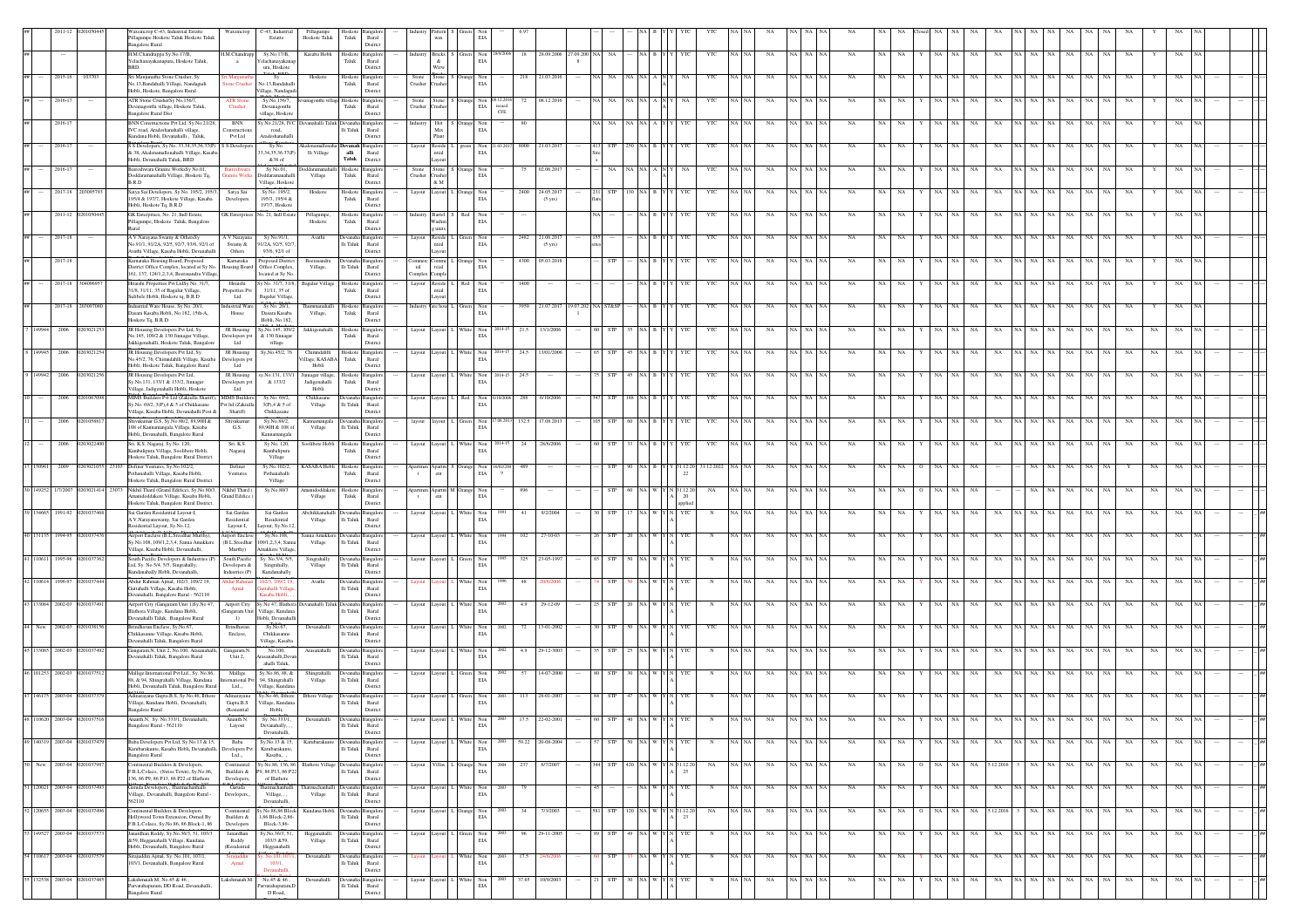|                              |          | xsincrop C-43, Industrial Estatte<br>illagumpe Hoskote Taluk Hoskote Taluk<br>ngalore Rural                                                | Waxsincrop                                      | C-43, Industrial<br>Estatte                                      | Pillagumpe<br>Hoskote Taluk                 | ${\rm T}$ aluk              | Hoskote Bangalor<br>$\rm{Rural}$<br>Distric |                   |                                  | $_{\rm EIA}$                                                                                      |                     |                                      |              |                 |                                   |        |                           |                      |          |          |             |             |           |                   |    |                      |                   |                  |    |                |                      |             |     |     |
|------------------------------|----------|--------------------------------------------------------------------------------------------------------------------------------------------|-------------------------------------------------|------------------------------------------------------------------|---------------------------------------------|-----------------------------|---------------------------------------------|-------------------|----------------------------------|---------------------------------------------------------------------------------------------------|---------------------|--------------------------------------|--------------|-----------------|-----------------------------------|--------|---------------------------|----------------------|----------|----------|-------------|-------------|-----------|-------------------|----|----------------------|-------------------|------------------|----|----------------|----------------------|-------------|-----|-----|
|                              |          | H.M.Chandrappa Sy.No.17/B,<br>Yelachanayakanapura, Hoskote Taluk,                                                                          | H.M.Chandrapp                                   | Sy.No.17/B,<br>elachanayaka                                      | Kasaba Hobli                                | Hoskote<br>Taluk            | angalor<br>Rural                            |                   | Bricks<br>$\&$                   | Green Non<br>EIA                                                                                  | 18                  | 28.09.2006                           | 27.09.200 NA | NA              |                                   |        | YTC                       | NA                   |          |          | NA          |             |           | NA                | NA | NA                   |                   | NA               | NA | NA             |                      |             |     |     |
| 2015-16                      |          | BRD.<br>Sri Manjunatha Stone Crusher, Sy<br>No.13, Bandahalli Village, Nandagudi                                                           | itone Cr                                        | ura, Hoskote<br>No.13.Bandahall                                  | Hoskot                                      | Hoskot<br>${\rm Taluk}$     | District<br>Rural                           | Stone<br>Crusher  | Wirw<br>Stone<br>'rusher         | $$\tt Non$ EIA                                                                                    |                     | 21.03.201                            |              |                 |                                   |        |                           |                      |          |          |             |             |           |                   |    |                      |                   |                  |    |                |                      |             |     |     |
| 2016-13                      |          | Hobli, Hoskote, Bangalore Rural<br>ATR Stone CrusherSy No.156/7,<br>Devanagonthi village, Hoskote Taluk,                                   | <b>ATR Stop</b><br>Crusher                      | illage, Nandagu<br>Sy No.156/7,<br>Devanagonthi                  | onthi village Hoskot                        | Taluk                       | District<br>ngale<br>Rural                  | Stone<br>Crusher  | Stone<br>Crusher                 | Non<br>$_{\rm EIA}$                                                                               |                     | 08.12.201                            |              |                 |                                   |        | YR                        |                      |          |          |             |             |           |                   |    |                      |                   |                  |    |                |                      |             |     |     |
| 2016-17                      |          | <b>Bangalore Rural Dist</b><br>BNN Constructions Pvt Ltd. Sv No.21/28.                                                                     | <b>BNN</b>                                      | village, Hoskot<br>y No.21/28, IVC                               | evanahalli Taluk Devana                     |                             | District                                    |                   | Hot                              | Orange Non                                                                                        | issued<br>CFE<br>80 |                                      |              |                 |                                   |        | YTC                       | NA                   |          |          |             |             |           |                   | NA | NA                   |                   | NA.              | NA |                |                      |             |     |     |
| 2016-17                      |          | IVC road, Aradeshanahalli village,<br>Cundana Hobli, Devanahalli, Taluk<br>S S Developers, Sy No. 33,34,35,36.37(P) S S Developer          | Construction<br>Pvt Ltd                         | road,<br>Aradeshanahal<br>Sy No.                                 |                                             | lli Taluk<br>Devana         | Rural<br>District                           | Lavout            | $_{\rm Mix}$<br>Plant<br>Reside  | $_{\rm EIA}$<br>Non                                                                               |                     | 8000 21.03.201                       |              |                 |                                   |        | YTC                       |                      |          |          |             |             |           |                   |    |                      |                   |                  |    |                |                      |             |     |     |
|                              |          | & 38, Akalenamallenahalli Village, Kasaba<br>Hobli, Devanahalli Taluk, BRD                                                                 |                                                 | 3,34,35,36.37(P)<br>&38 of                                       | lli Village                                 | $\,$ alli<br>Taluk          | Rural<br>District                           |                   | $_{\rm ntid}$<br>Layout          | $_{\rm EIA}$                                                                                      |                     |                                      |              |                 |                                   |        |                           |                      |          |          |             |             |           |                   |    |                      |                   |                  |    |                |                      |             |     |     |
| 2016-17                      |          | Baireshwara Granite WorksSy No.01,<br>Doddaramanahalli Village, Hoskote Tq,<br>B.R.D                                                       | Baireshwara                                     | Sy No.01,<br><b>oddaramanahal</b><br>Village, Hoskote            | oddaramanahalli Hoskote Bangalor<br>Village | ${\rm T}$ aluk              | Rural<br>District                           | Stone<br>Crusher  | rusher<br>$\&$ M                 | Stone S Orange Non<br>$_{\rm EIA}$                                                                |                     | 75 02.06.2017                        |              |                 | $A \mid N$                        |        | YTC                       | NA                   |          |          | <b>NA</b>   | NA          |           |                   | NA | NA                   |                   | NA.              | NA |                |                      |             |     |     |
| 2017-18                      |          | Satya Sai Developers, Sy No. 195/2, 195/3,<br>195/4 & 197/7, Hoskote Village, Kasaba<br>Hobli, Hoskote Tq, B.R.D                           | Satya Sai<br>Developers                         | Sy No. 195/2,<br>195/3, 195/4 &<br>197/7, Hoskote                | Hoskote                                     | Taluk                       | Hoskote Bangalor<br>Rural<br>District       | Layout            | ayout                            | Orange Non<br>EIA                                                                                 | 2400                | 24.05.201<br>$(5 \text{ yrs})$       |              |                 |                                   |        | YTC                       |                      |          |          |             |             |           |                   |    |                      |                   |                  |    |                |                      |             |     |     |
| 2011-12                      |          | GK Enterprises, No. 21, Indl Estate,<br>Fillagumpe, Hoskote Taluk, Bangalord                                                               | <b>GK</b> Enterprise                            | Vo. 21, Indl Estate                                              | Pillagumpe<br>Hoskote                       | Hoskote<br>Taluk            | Bangalon<br>Rural<br>District               |                   | Barrel<br>Vashin<br>units        | Red Non<br>EIA                                                                                    |                     |                                      |              |                 |                                   |        | YTC                       | NA                   |          |          |             |             |           |                   |    |                      |                   |                  |    |                |                      |             |     |     |
| 2017-18                      |          | A V Narayana Swamy & OthersSy<br>No.91/1, 91/2A, 92/5, 92/7, 93/6, 92/1 o                                                                  | A V Narayana<br>Swamy &                         | Sy No.91/1,<br>1/2A, 92/5, 92/7                                  | Avathi                                      | Ili Taluk                   | Jevanaha Bangalor<br>Rural                  |                   | Reside<br>ntial                  | $\begin{tabular}{ll} \bf L & Green & Non \\ \bf ELA & \end{tabular}$                              |                     | 2482 21.06.2017<br>$(5 \text{ yrs})$ |              |                 |                                   |        | YTC                       | NA                   | NA NA NA |          | <b>NA</b>   | NA          |           |                   | NA | NA                   |                   | NA               |    |                |                      |             |     |     |
| 2017-18                      |          | Vathi Village, Kasaba Hobli, Devanahalli<br>Carnataka Housing Board, Proposed<br>District Office Complex, located at Sy No. Housing Board  | Others<br>Kamataka                              | 93/6, 92/1 of<br>roposed Distric<br>Office Complex.              | Reerasandra<br>Village,                     | $\rm{Ili}$ Taluk            | District<br>Rural                           | ial               | ayout<br>'omme<br>reial          | Non<br>$_{\rm EIA}$                                                                               |                     | 4300 05.03.201                       |              |                 |                                   |        | YTC                       | NA                   |          |          |             |             |           |                   |    |                      |                   |                  |    |                |                      |             |     |     |
| 2017-18                      |          | 161, 137, 124/1,2,3,4, Beerasandra Village,<br>Hitaishi Properties Pvt LtdSy No. 31/7,                                                     | Hitaishi                                        | ocated at Sy No<br>y No. 31/7, 31/8,                             | Bagalur Village                             |                             | District<br>Hoskote Bangalor                | Complex<br>Layout | Comple<br>Reside                 | Red Non                                                                                           | 1400                |                                      |              |                 |                                   |        | YR                        |                      |          |          |             |             |           |                   |    |                      |                   |                  |    |                |                      |             |     |     |
| 2017-18                      | 1030970  | 31/8, 31/11, 35 of Bagalur Village,<br>ulibele Hobli, Hoskote tq, B.R.D<br>ndustrial Ware House, Sy No. 20/1,                              | roperties Pv<br>$_{\rm Ltd}$<br>dustrial Ware   | 31/11, 35 of<br>Bagalur Village,<br>Sy No. 20/1,                 | hummanahalli                                | Taluk<br>Hoskote            | Rural<br>District<br>Bangalon               | ndustry           | $_{\rm ntid}$<br>you<br>are hous | $_{\rm EIA}$                                                                                      |                     | 3950 21.07.2017                      | 9.07.202     | <b>ST&amp;S</b> |                                   |        | YTC                       | NA                   |          |          | <b>NA</b>   |             |           |                   |    |                      |                   |                  |    |                |                      |             |     |     |
| 200                          |          | asara Kasaba Hobli, No.182, 15th-A,<br>Hoskote Tq, B.R.D                                                                                   | House<br>JR Housing                             | Dasara Kasaba<br>Hobli, No.182,<br>y, No.145, 109/2              | Village,                                    | Taluk                       | Rural<br>District                           |                   | ayout                            | $\begin{tabular}{ll} Green & Non\\ ELA \\ \end{tabular}$                                          | 21.5                | 13/1/200                             |              |                 |                                   |        | YR                        |                      |          |          |             |             |           |                   |    |                      |                   |                  |    |                |                      |             |     |     |
|                              |          | JR Housing Developers Pvt Ltd, Sy.<br>No.145, 109/2 & 130 Jinnagar Village,<br>Jakkigenahalli, Hoskote Taluk, Bangalor                     | Developers pvt<br>Ltd                           | & 130 Jinnagar<br>village                                        | Jakkigenahalli                              | Hoskote<br>${\rm Taluk}$    | Bangalo<br>Rural<br>District                |                   |                                  | White Non<br>$_{\rm EIA}$                                                                         |                     |                                      |              |                 |                                   |        |                           | NA                   |          |          |             |             |           |                   |    |                      |                   |                  |    |                |                      |             |     |     |
| 8 149945<br>2006             |          | JR Housing Developers Pvt Ltd, Sy.<br>No.45/2, 76, Chimndahlli Village, Kasaba<br>Hobli, Hoskote Taluk, Bangalore Rural                    | JR Housing<br>Developers py<br>Ltd              | Sy,No.45/2, 76                                                   | Chimndahlli<br>illage, KASABA<br>Hobli      | Hoskot<br>Taluk             | angalor<br>Rural<br>District                |                   | ayout                            | $\begin{tabular}{ll} \hline \textbf{White} & \textbf{Non} \\ \hline \textbf{EIA} & \end{tabular}$ |                     | 24.5 13/01/200                       |              |                 |                                   |        | YR                        |                      |          |          |             |             |           |                   |    |                      |                   |                  |    |                |                      |             |     |     |
| 2006<br>9 149942             |          | JR Housing Developers Pvt Ltd,<br>Sy.No.131, 133/1 & 133/2, Jinnagar<br>/illage, Jadigenahalli Hobli, Hoskote                              | JR Housing<br>Developers py<br>Ltd              | v.No.131, 133/1<br>& 133/2                                       | innagar village<br>Jadigenahalli<br>Hobli   | Hoskote<br>Taluk            | ngalor<br>Rural<br>District                 |                   | ayout                            | $\begin{tabular}{ll} \hline \textbf{White} & \textbf{Non} \\ & \textbf{EIA} \end{tabular}$        | 24.5                |                                      |              |                 |                                   |        | YTC                       | NA                   |          |          | NA          |             |           |                   |    |                      |                   |                  |    |                |                      |             |     |     |
| 2006                         |          | MIMS Builders Pvt Ltd (Zakiulla Shariff), MIMS Build<br>Sv No. 69/2, 3(P) 4 & 5 of Chikkasane<br>Village, Kasaba Hobli, Devanahalli Post & | Pyt Itd (Zakiulla                               | Sv.No. 69/2<br>3(P).4 & 5 of                                     | Chikkasane<br>Village                       | Ili Taluk                   | Rural                                       |                   | ayout                            | Red Non<br>EIA                                                                                    |                     | 288 6/10/200                         |              |                 |                                   |        | YTC                       | NA                   |          |          |             |             |           |                   |    |                      |                   |                  |    |                |                      |             |     |     |
| 2006                         |          | Shiyakumar G.S. Sv.No.88/2, 89.90H &<br>108 of Kannamangala Village, Kasaba                                                                | Shariff)<br>Shiyakuma<br>G.S.                   | Chikkasane<br>Sv.No.88/2<br>39,90H & 108 of                      | Kannamangala<br>Village                     | lli Taluk                   | District<br>nealo<br>Rural                  |                   | tuovi                            | Green Non<br>$_{\rm EIA}$                                                                         |                     | 132.5 17.08.2013                     |              |                 |                                   |        | YTC                       | NA                   | NA I     |          | <b>NA</b>   | NA.         |           |                   | NA | NA                   |                   | NA.              | NA |                |                      |             |     |     |
| 2006                         | 12030224 | Hobli, Devanahalli, Bangalore Rural<br>Sri. K.S. Nagaraj, Sy No. 120,<br>Kambalipura Village, Soolibere Hobli,                             | Sri. K.S.<br>Nagaraj                            | Kannamangala<br>Sy No. 120,<br>Kambalipura                       | Soolibere Hobli                             | Hoskote<br>${\rm Taluk}$    | District<br>Bangalo<br>$\rm{Rural}$         |                   | svout                            | White Non<br>$_{\rm EIA}$                                                                         | 24                  | 28/6/2006                            |              |                 |                                   |        | YTC                       | NA                   |          |          | NA          | NA          |           |                   |    |                      |                   |                  |    |                |                      |             |     |     |
|                              |          | Hoskote Taluk, Bangalore Rural District<br>Definer Ventures, Sy.No.102/2,                                                                  | Definer                                         | Village<br>Sy.No.102/2                                           | KASABA Hobl                                 | Hoskot                      | District<br>angalo                          |                   | <b>Apartm</b>                    | ange Non                                                                                          |                     |                                      |              |                 |                                   |        | 1.12.20                   |                      |          |          |             |             |           |                   |    |                      |                   |                  |    |                |                      |             |     |     |
| 30 149252<br>1/7/200         |          | thanahalli Village, Kasaba Hobli,<br>Hoskote Taluk, Bangalore Rural District<br>Nikhil Thard (Grand Edifice), Sy.No.80/3,                  | Ventures<br>Nikhil Thard (                      | Pethanahalli<br>Village<br>Sy.No.80/3                            | manidoddake                                 | ${\rm T}$ aluk              | Rural<br>District<br>Hoskote Bangalor       | partmen           | $_{\rm ent}$                     | $_{\rm EIA}$<br>Apartm M Orange Non                                                               | 896                 |                                      |              |                 |                                   | 1.12.2 | NA                        |                      |          |          |             |             |           |                   |    |                      |                   |                  |    |                |                      |             |     |     |
| 39 134665 1991-92            |          | anidoddakere Village, Kasaba Hobli,<br>Hoskote Taluk, Bangalore Rural District                                                             | Grand Edifice                                   |                                                                  | Village<br>Abchikkanal                      | Taluk                       | Rural<br>District                           |                   | ent                              | EIA                                                                                               | 41                  | 9/2/200                              |              |                 |                                   | $20\,$ |                           |                      |          |          |             |             |           |                   |    |                      |                   |                  |    |                |                      |             |     |     |
|                              |          | Sai Garden Residential Layout-I<br>A.V.Narayanswamy, Sai Garden<br>esidential Lavout, Sv.No.12.                                            | Sai Garden<br>Residential<br>Layout-L           | Sai Garden<br>Residential<br>avout, Sv.No.12                     | Village                                     | $\rm Ili$ Taluk             | angalo<br>Rural<br>District                 |                   | ayout                            | White Non<br>EIA                                                                                  |                     |                                      |              |                 |                                   |        |                           | NA                   |          |          |             |             |           |                   |    |                      |                   |                  |    |                |                      |             |     |     |
| 40 131135<br>1994-91         |          | <b>Virport Enclaye (B.L.Sreedhar Murthy)</b><br>v.No.108, 109/1.2.3.4. Sanna Amakker<br>'illage, Kasaba Hobli, Devanahalli,                | Airport Enclay<br>(B.L.Sreedhar<br>Murthy)      | Sv.No.108.<br>09/1.2.3.4. Sam<br>makkere Village                 | Sanna Amakker<br>Village                    | <b>Jevanal</b><br>Ili Taluk | angalor<br>Rural<br>District                |                   | avout                            | White Non<br>EIA                                                                                  | 102                 | $27 - 10 - 0$                        |              |                 |                                   |        |                           | NA                   |          |          | <b>NA</b>   |             |           |                   | NA |                      |                   | NA               |    |                |                      |             |     |     |
| 41 110611 1995-96            | 1010373  | South Pacific Developers & Industries (F<br>Ltd, Sy. No.5/4, 5/5, Singrahally,<br>Cundanahally Hobli, Devanahalli,                         | South Pacific<br>Developers &<br>Industries (P) | Sv. No.5/4, 5/5<br>Singrahally,<br>Kundanahally                  | Singrahally<br>Village                      | lli Taluk                   | Devanaha Bangalon<br>Rural<br>District      | Layout            | ayout                            | $\begin{tabular}{ll} Green & Non\\ EIA & \end{tabular}$                                           |                     | 325 23-05-199                        |              |                 |                                   |        |                           | NA                   | NA NA N  |          | <b>NA</b>   |             |           |                   | NA | NA                   |                   | NA.              | NA | - NA           | <b>NA</b>            |             |     |     |
| 42 110614<br>1996-9          |          | Mdur Rahman Ajmal, 102/3, 109/2 19,<br>Guttahalli Village, Kasaba Hobli,                                                                   | bdur Rahi<br>Ajmal                              | 02/3, 109/2 1<br>ittahalli Villa                                 | Avathi                                      | Devanah<br>$\rm{Ili}$ Taluk | langalo<br>Rural                            |                   |                                  | White Non<br>$_{\rm EIA}$                                                                         |                     |                                      |              |                 |                                   |        |                           |                      |          |          |             |             |           |                   |    |                      |                   |                  | NA |                |                      |             |     |     |
| 13 133084 2002-03            |          | vanahalli, Bangalore Rural - 562110<br>Virport City (Gangaram Unit 1)Sy.No 47<br>llathora Village, Kundana Hobli,                          | Airport City<br>Gangaram Unit                   | isaba Hobli,<br>y.No 47, Illatho<br>Village, Kundana             | evanahalli Talui                            | $\rm{Ili}$ Taluk            | District<br>ngalo<br>Rural                  |                   | ayout                            | White Non<br>$_{\rm EIA}$                                                                         | 4.9                 | 29-12-0                              |              |                 |                                   |        |                           |                      |          |          |             |             |           |                   |    |                      |                   |                  |    |                |                      |             |     |     |
| 44 New 2002-03               |          | anahalli Taluk, Bangalore Rural<br>Brindhavan Enclave, Sy.No.67,<br>Chikkasanne Village, Kasaba Hobli,                                     | 1)<br>Brindhavan<br>Enclave,                    | Hobli, Devanahall<br>Sy.No.67,<br>Chikkasanne                    | Devanahalli                                 | Ili Taluk                   | Distric<br>angalo<br>Rural                  |                   | ayout                            | $\begin{tabular}{ll} \bf{White} & \bf{Non} \\ & \bf{EIA} \end{tabular}$                           | 72                  | 13-01-2002                           |              |                 |                                   |        | YTC                       | NA                   |          |          |             |             |           |                   |    | NA                   |                   |                  |    |                |                      |             |     |     |
| 45 133085 2002-03            |          | evanahalli Taluk, Bangalore Rural<br>Gangaram.N, Unit 2, No.100, Arasanahall                                                               | Gangaram N                                      | Village, Kasaba<br>No.100,                                       |                                             |                             | Distric                                     |                   | ayout                            | White<br>$$\tt Non$ EIA                                                                           | 4.9                 | 29-12-300                            |              |                 |                                   |        |                           |                      |          |          |             |             |           |                   |    |                      |                   |                  |    |                |                      |             |     |     |
| 46 101253 2002-03            |          | Devanahalli Taluk, Bangalore Rural<br>Mallige International Pvt Ltd., Sy. No.86,                                                           | Unit 2,<br>Mallige                              | asanahalli,Deva<br>ahalli Taluk.<br>Sy.No.86, 88, &              | Shingrahalli                                | lli Taluk                   | Rural<br>District                           |                   | ayout                            |                                                                                                   |                     | 14-07-2000                           |              |                 |                                   |        |                           | NA                   | NA       |          | NA          |             |           |                   | NA |                      |                   |                  |    |                |                      |             |     |     |
|                              |          | 88, & 94, Shingrahalli Village, Kundana<br>Hobli, Devanahalli Taluk, Bangalore Rural -<br>Adinarayana Gupta.B.S, Sy.No.46. Ilthore         | mational Py<br>Ltd<br>Adinarayana               | 94. Shinerahalli<br>Village, Kundan<br>v.No.46, llthor           | Village                                     | Ili Taluk                   | Rural<br>District                           |                   |                                  | Non<br>EIA<br>Green Non                                                                           |                     | 28-01-200                            |              |                 |                                   |        |                           |                      |          |          |             |             |           |                   |    |                      |                   |                  |    |                |                      |             |     |     |
| 47 146175 2003-04            |          | /illage. Kundana Hobli. Devanahalli.<br><b>Bangalore Rural</b>                                                                             | Gupta.B.S<br>(Resiential                        | Village, Kundana<br>Hobli,                                       | <b>Ilthore Village</b>                      | $\rm{Hi}$ Taluk             | Rural<br>District                           |                   | ayout                            | $_{\rm EIA}$                                                                                      | 113                 |                                      |              |                 |                                   |        |                           |                      |          |          |             |             |           |                   |    |                      |                   |                  |    |                |                      |             |     |     |
|                              |          | Bangalore Rural - 562110                                                                                                                   | Layout                                          | Devanahally,<br>Devanahalli.                                     |                                             | $\rm Ili$ Taluk Rural       | District                                    |                   |                                  | EIA                                                                                               |                     |                                      |              |                 |                                   |        |                           |                      |          |          |             |             |           |                   |    |                      |                   |                  |    |                |                      |             |     |     |
| 49 140319 2003-04 0201037479 |          | Baba Developers Pvt Ltd, Sy.No.13 & 15,<br>trubarakunte, Kasaba Hobli, Devanahalli,<br><b>Bangalore Rural</b>                              | Baba<br>velopers Pv<br>Ltd                      | Sy.No.13 & 15,<br>Karubarakunte,<br>Kasaba,,                     | Karubarakunt                                | $\rm Ili$ Taluk             | Devanaha Bangalon<br>Rural<br>District      | Layout            |                                  | Layout L White Non<br>$_{\rm EIA}$                                                                |                     | 59.22 20-08-2004                     | 1000         | 57 STP          | $50$ $\,$ NA $\,$ W $\,$ Y $\,$ N | YTC    | ${\bf N}$                 | NA<br>NA NA          | NA NA NA |          | NA          | NA NA       |           | $Y$ NA NA         |    | NA                   |                   | NA NA NA NA NA   |    |                | NA NA NA<br>NA 1     | NA          | NA. | me. |
| 2003-04<br>New               |          | ontinental Builders & Developers,<br>F.B.L.Colaco, (Swiss Town), Sy.No.86,                                                                 | Continental<br>Builders $\&$                    | y.No.86, 136, 86<br>9, 86 P13, 86 P22                            |                                             | Devana<br>$\rm Ili$ Taluk   | langalo<br>Rural                            |                   |                                  | Irange Non<br>$_{\rm EIA}$                                                                        | 237                 | 6/7/200                              |              | <b>STP</b>      |                                   |        | NA                        | NA                   | NA       |          | NA          | NA          | NA        | NA                | NA | 12.201               |                   | NA<br>NA         | NA | NA             | NA                   | NA          |     |     |
| 51 120021 2003-04            |          | 136, 86 P9, 86 P13, 86 P22 of Illathore<br>Garuda Developers., Thatmachanhalli<br>Village, Devanahalli, Bangalore Rural                    | Developers,<br>Garuda<br>Developers,            | of Illathore<br>Thatmachanhalli<br>Village, ,                    | Village                                     | $\rm Ili$ Taluk             | District<br>evanaha Bangalon<br>Rural       |                   | ayout                            | White Non<br>EIA                                                                                  |                     |                                      |              |                 | a I w I                           |        | N                         | NA                   | NA NA NA |          | NA          | NA          | <b>NA</b> | NA                | NA | NA<br>NA             | NA NA             | NA<br>NA         | NA | <b>NA</b>      | NA                   | NA          |     |     |
| 52 120655 2003-04            | 2010374  | 562110<br>Continental Builders & Developers                                                                                                | Continental<br>Builders &                       | Devanahalli.<br>y.No.86,86 Block- Kundana Hob<br>1.86 Block-2.86 |                                             | lli Taluk                   | District<br>ngalor                          |                   | ayout                            | Drange Non<br>EIA                                                                                 | 34                  | 7/3/2003                             |              | STP             | 120 NA W Y N 31.12.20             | 23     | $_{\rm NA}$               | NA<br>NA NA          | NA NA NA |          | $_{\rm NA}$ | NA NA       |           | NA NA<br>$\Omega$ |    | NA 5.12.2016         | NA NA             | $_{\rm NA}$      |    | NA NA          | NA<br>NA             | $_{\rm NA}$ |     |     |
| 3 149527 2003-04             |          | Hollywood Town Extension, Owned By<br>F.B.L.Colaco, Sy.No.86, 86 Block-1, 86<br>Janardhan Reddy, Sy. No. 36/3, 51, 103/3                   | Developers<br>Janardhar                         | Block-3.86-<br>Sy.No.36/3, 51,                                   | Hegganahalli                                |                             | Rural<br>District<br>levanaha Bangalor      |                   | ayout                            | Green Non                                                                                         |                     | 29-11-200                            |              | <b>STP</b>      | VA W YN                           |        |                           | NA<br>A   NA         | NA NA NA |          | NA          | NA          | <b>NA</b> | NA.               | NA | NA<br>NA.            | VA NA             | NA<br>NA         | NA | NA             | NA.                  |             |     |     |
|                              |          | &59, Hegganahalli Village, Kundana<br>Hobli, Devanahalli, Bangalore Rural                                                                  | Reddy                                           | 103/3 & 59,                                                      | Village                                     | lli Taluk                   | Rural<br>District                           |                   |                                  | $\mathop{\hbox{\rm EIA}}$                                                                         |                     |                                      |              |                 |                                   |        |                           |                      |          |          |             |             |           |                   |    |                      |                   |                  |    |                |                      |             |     |     |
| 54 110617 2003-04            | 12010375 |                                                                                                                                            | (Residential                                    | Hegganahalli<br>No.101.107                                       |                                             |                             | Devanaha Bangalon                           |                   |                                  |                                                                                                   |                     |                                      |              | <b>STP</b>      | NA WYNI                           | YTC    |                           | NA I NA              |          | NA NA NA |             |             |           | NA NA             |    |                      |                   |                  |    |                |                      |             |     |     |
| 132538 2003-04               | 2010374  | Sirajuddin Ajmal, Sy. No.101, 107/1,<br>103/1, Devanahalli, Bangalore Rural<br>Lakshmaiah.M, No.45 & 46,                                   | Sirajuddir<br>Ajmal<br>Lakshmaiah.M.            | 103/1,<br>Devanahalli<br>No.45 & 46,                             | Devanahall<br>Devanahalli                   | lli Taluk                   | Rural<br>District<br>Devanaha Bangalon      | Layout            | ayout                            | White Non<br>$_{\rm EIA}$<br>White Non                                                            | 17.5<br>37.65       | 24/6/200<br>10/9/2003                |              | STP             | 30 NA W Y                         | YTC    | $_{\rm N}$<br>$\mathbb N$ | NA<br>NA.<br>VA I NA | NA NA NA |          | NA<br>NA    | NA NA<br>NA | NA        | NA NA             |    | NA<br>NA<br>NA<br>NA | NA NA NA<br>NA NA | NA<br>NA  <br>NA |    | NA NA<br>NA NA | NA<br>NA<br>NA<br>NA | NA<br>NA    |     |     |

Devanahalli,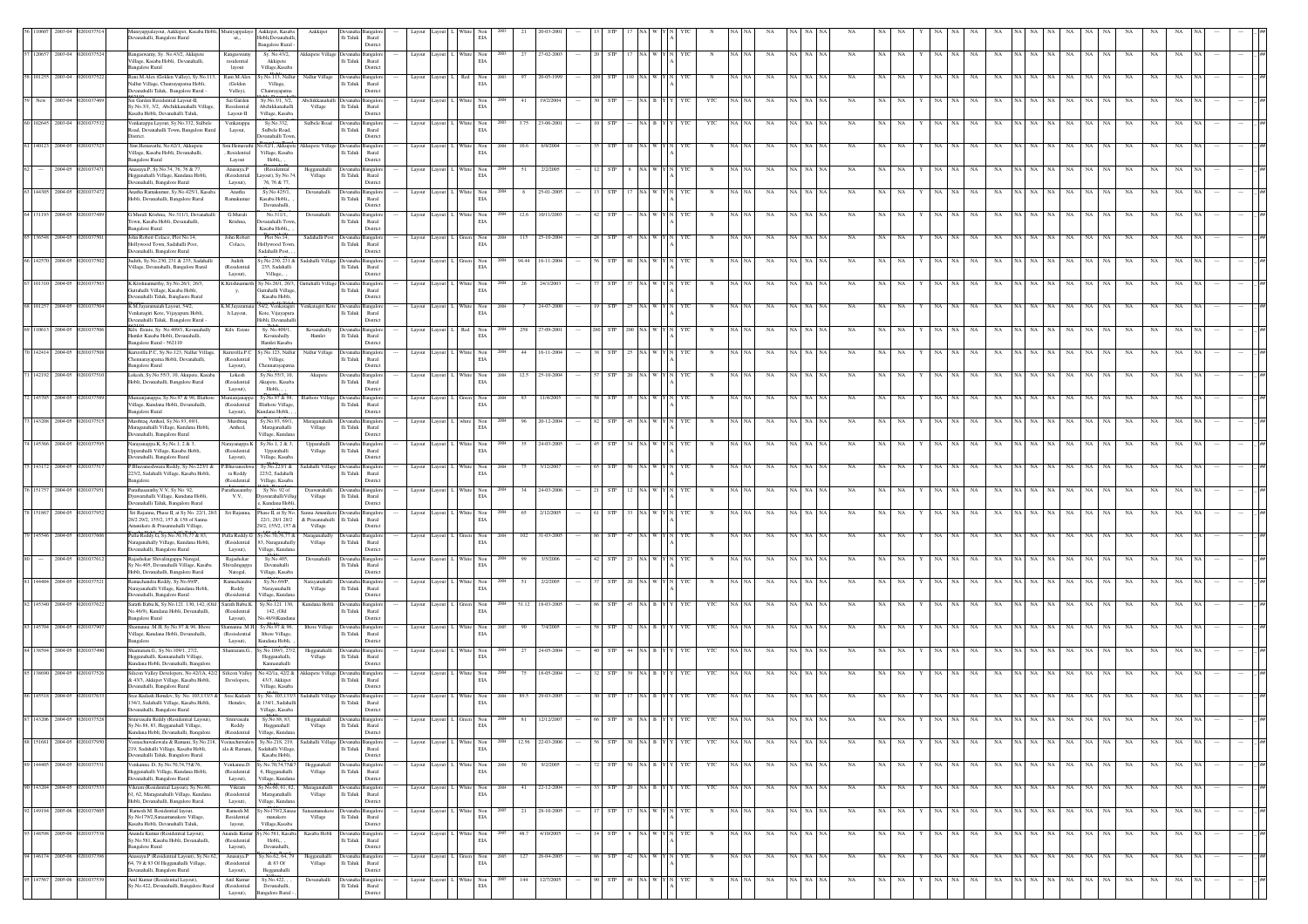|                            |                            |                              | uniyappalayout, Aakkipet, Kasaba Hobli, Muniyappalayo<br>anahalli, Bangalore Rural                                      | ut.,                                        | Aakkipet, Kasaba<br>Hobli, Devanahall<br><b>Bangalore Rural</b>       | Aakkipe                                        | lli Taluk                         | $\rm{Rural}$<br>District             |                           |                                                                                            | EIA                                                            |                          |            |                      |                               |          |           |                  |           |                 |            |                   |              |                  |    |             |           |       |
|----------------------------|----------------------------|------------------------------|-------------------------------------------------------------------------------------------------------------------------|---------------------------------------------|-----------------------------------------------------------------------|------------------------------------------------|-----------------------------------|--------------------------------------|---------------------------|--------------------------------------------------------------------------------------------|----------------------------------------------------------------|--------------------------|------------|----------------------|-------------------------------|----------|-----------|------------------|-----------|-----------------|------------|-------------------|--------------|------------------|----|-------------|-----------|-------|
|                            | 120657 2003-04             |                              | Rangaswamy, Sy. No.43/2, Akkipete<br>/illage, Kasaba Hobli, Devanahalli,                                                | Rangaswam<br>residential                    | Sy. No.43/2,<br>Akkipete                                              | kkupete Village                                | li Taluk                          | langalor<br>Rural                    | Layout Layout             | $\begin{tabular}{ll} \hline \textbf{White} & \textbf{Non} \\ & \textbf{EIA} \end{tabular}$ |                                                                | 27-02-2003<br>27         | STP        |                      |                               |          | NA        |                  | NA        |                 |            | NA<br>NA          |              | NA               | NA | $_{\rm NA}$ |           |       |
|                            | 2003-0                     |                              | angalore Rural<br>Rani.M.Alex (Golden Valley), Sy.No.113                                                                | layout<br>Rani.M.Alex                       | Village, Kasab<br>y.No.113, Nall                                      | Nallur Village                                 |                                   | District                             |                           |                                                                                            | Non                                                            |                          |            |                      |                               |          |           |                  |           |                 |            |                   |              |                  |    |             |           |       |
|                            |                            |                              | Nallur Village, Chanrayapatna Hobli,<br>Devanahalli Taluk, Bangalore Rural                                              | (Golden<br>Valley),                         | Village,<br>Chanravapatn                                              |                                                | lli Taluk                         | Rural<br>District                    |                           |                                                                                            | $_{\rm EIA}$                                                   |                          |            |                      |                               |          |           |                  |           |                 |            |                   |              |                  |    |             |           |       |
| New                        | 2003-04                    |                              | sai Garden Residential Layout-II,<br>v.No.3/1, 3/2, Abchikkanahalli Village,                                            | Sai Garden<br>Residential                   | Sv.No.3/1, 3/2.<br>Abchikkanahalli                                    | Abchikkanah<br>Village                         | Ili Taluk                         | Rural                                | Layout                    |                                                                                            | Non<br>$_{\rm EIA}$                                            | 19/2/200<br>41           |            |                      |                               |          |           |                  |           |                 |            |                   |              |                  |    |             |           |       |
| 102645                     | 2003-04                    |                              | Kasaba Hobli, Devanahalli Taluk,<br>/enkatappa Layout, Sy.No.332. Sulbele                                               | Layout-II<br>Venkatappa                     | Village, Kasaba<br>Sv.No.332.                                         | Sulbele Road                                   | evanaha Bangalop                  | District                             | Layout Layout             | $\begin{tabular}{ll} \bf{White} & \bf{Non} \\ & \bf{EIA} \end{tabular}$                    |                                                                | 3.75<br>23-06-200        |            |                      | YTC                           |          | NA        | NA.<br><b>NA</b> | N/        |                 |            |                   |              |                  |    |             |           |       |
|                            |                            |                              | coad, Devanahalli Town, Bangalore Rura<br>istrict.                                                                      | Layout,                                     | Sulbele Road,<br>Jevanahalli Tow                                      |                                                | li Taluk                          | Rural<br>District                    |                           |                                                                                            |                                                                |                          |            |                      |                               |          |           |                  |           |                 |            |                   |              |                  |    |             |           |       |
|                            | 140123 2004-05             |                              | Smt.Hemavathi, No.62/1, Akkupete<br>Village, Kasaba Hobli, Devanahalli,<br>Bangalore Rural                              | , Residential<br>Layout                     | Smt.Hemavathi No.62/1, Akkupet<br>Village, Kasaba<br>Hobli            | kkupete Village Devanal                        | li Taluk                          | langalo<br>Rural<br>District         | Layout Layout             |                                                                                            | Non<br>$_{\rm EIA}$                                            | 6/8/2004<br>10.6         |            |                      |                               |          | NA        |                  |           |                 |            |                   |              |                  |    |             |           |       |
|                            | 2004-05                    |                              | Anasuya.P, Sy.No.74, 76, 76 & 77,<br>Hegganahalli Village, Kundana Hobli,                                               | Anasuya.P<br>(Residential                   | (Residential<br>ayout), Sy.No.7                                       | Hegganahall<br>Village                         | Devanaha Bangalor<br>$i$ Taluk    | Rural                                | Layout Layout             | White Non                                                                                  | $_{\rm EIA}$                                                   | 2/2/2005<br>51           |            |                      |                               |          | NA        | NA NA            | <b>NA</b> |                 |            |                   |              |                  |    |             |           |       |
|                            | 144305 2004-05             |                              | Jevanahalli, Bangalore Rural<br>Anatha Ramakumar, Sy.No.425/1, Kasab                                                    | Layout),<br>Anatha                          | 76, 76 & 77,<br>Sy.No.425/1,                                          | Devanahalli                                    | evanaha Bangalor                  | District                             | Layout                    |                                                                                            | $_{\rm Non}$                                                   | 25-01-20                 |            |                      |                               |          |           |                  |           |                 |            |                   |              |                  |    |             |           |       |
|                            |                            |                              | lobli, Devanahalli, Bangalore Rural                                                                                     | Ramakumar                                   | Kasaba Hobli,,<br>Devanahalli,                                        |                                                | li Taluk                          | Rural<br>District                    |                           |                                                                                            | EIA                                                            |                          |            |                      |                               |          |           |                  |           |                 |            |                   |              |                  |    |             |           |       |
| 31193                      | 2004-05                    |                              | 3.Murali Krishna, No.311/1, Devanahal<br>lown, Kasaba Hobli, Devanahalli,<br>angalore Rural                             | G.Murali<br>Krishna,                        | No.311/1.<br>evanahalli To<br>Kasaba Hobli.                           | Devanahalli                                    | evanaha<br>li Taluk               | langalor<br>Rural<br>District        |                           |                                                                                            | Non<br>$_{\rm EIA}$                                            | 12.6<br>10/11/20         |            |                      |                               |          |           |                  |           |                 |            |                   |              |                  |    |             |           |       |
|                            | 136548 2004-05             |                              | John Robert Colaco, Plot No.14,<br>Hollywood Town, Sadahalli Post,                                                      | John Rober<br>Colaco,                       | Plot No.14,<br>Hollywood Tow                                          | Sadahalli Post                                 | Devanaha Bangalor<br>Ili Taluk    | Rural                                | Layout Layout L           | $\begin{tabular}{ll} Green & Non\\ ELA \end{tabular}$                                      |                                                                | 25-10-200-<br>115        |            |                      |                               |          | NA        | NA NA            | NA        |                 |            |                   |              |                  |    | NA          |           |       |
|                            | 142570 2004-05             |                              | evanahalli, Bangalore Rural<br>Judith, Sy.No.230, 231 & 235, Sadahalli                                                  | Judith                                      | Sadahalli Post.<br>y.No.230, 231 &                                    | adahalli Villas                                | <b>Jevanal</b>                    | District                             | Layout                    |                                                                                            | Non                                                            | 94.44<br>$16 - 11 - 200$ |            |                      |                               |          |           |                  |           |                 |            |                   |              |                  |    |             |           |       |
|                            |                            |                              | /illage, Devanahalli, Bangalore Rural                                                                                   | (Residential<br>Layout),                    | 235, Sadahalli<br>Village., ,                                         |                                                | li Taluk                          | Rural<br>District                    |                           |                                                                                            | $_{\rm EIA}$                                                   |                          |            |                      |                               |          |           |                  |           |                 |            |                   |              |                  |    |             |           |       |
| 101310                     | $2004 - 0.$                |                              | CKrishnamarthy, Sy.No.26/1, 26/3,<br>Guttahalli Village, Kasaba Hobli,<br>anahalli Taluk, Banglaore Rural               | у,                                          | K.Krishnamurth Sy.No.26/1, 26/3,<br>Guttahalli Villag<br>Kasaba Hobli | Juttahalli Village Devanaha                    | lli Taluk                         | <b>Bangalor</b><br>Rural<br>District | Layout                    |                                                                                            | White Non<br>$_{\rm EIA}$                                      | 24/1/200                 |            |                      |                               |          |           |                  |           |                 |            |                   |              |                  |    |             |           |       |
| 101257                     | 2004-05                    |                              | K.M.Jayaramaiah Layout, 54/2,<br>/enkatagiri Kote, Vijayapura Hobli,                                                    | h Layout,                                   | K.M.Jayaramaia 54/2, Venkatagiri<br>Kote, Vijayapun                   | /enkatagiri Kote Devanaha                      | li Taluk                          | langalor<br>Rural                    | Layout                    |                                                                                            | White Non<br>EIA                                               | 24-07-200                |            |                      |                               |          | NA        |                  | NA        |                 |            |                   |              |                  |    |             |           |       |
|                            |                            |                              | Jevanahalli Taluk, Bangalore Rural -<br>Kilx Estate, Sy. No.409/1, Kevanahally                                          | Kilx Estat                                  | Hobli, Devanahal<br>Sy. No.409/1                                      | Kevanahally                                    | evana                             | District<br>langalo                  | Layout                    |                                                                                            | Non                                                            | 27-09-20                 |            |                      |                               |          |           |                  |           |                 |            |                   |              |                  |    |             |           |       |
|                            |                            |                              | Hamlet Kasaba Hobli, Devanahalli,<br>Bangalore Rural - 562110                                                           |                                             | Kevanahally<br>Hamlet Kasaba                                          | Hamlet                                         | li Taluk                          | Rural<br>District                    |                           |                                                                                            | $_{\rm EIA}$                                                   |                          |            |                      |                               |          |           |                  |           |                 |            |                   |              |                  |    |             |           |       |
|                            | 142414 2004-05             |                              | Kuruvilla.P.C, Sy.No.123, Nallur Village<br>Chennarayapatna Hobli, Devanahalli,<br>Bangalore Rural                      | Kuruvilla.P.C<br>(Residential<br>Layout).   | Sy.No.123, Nallt<br>Village,<br>Chennarayapatn                        | Nallur Village                                 | lli Taluk                         | langalor<br>Rural<br>District        | Layout Layout             | White Non                                                                                  | $\rm EIA$                                                      | $16 - 11 - 200$<br>44    |            |                      |                               |          |           |                  |           |                 |            |                   |              |                  |    |             |           |       |
| 142192                     | 2004-05                    |                              | Lokesh, Sy.No.55/3, 10, Akupete, Kasaba<br>Hobli, Devanahalli, Bangalore Rural                                          | Lokesh<br>(Residential                      | Sy.No.55/3, 10<br>Akupete, Kasaba                                     | Akupete                                        | li Taluk                          | angalor<br>Rural                     |                           | $\begin{tabular}{ll} \bf{White} & \bf{Non} \\ & \bf{EIA} \end{tabular}$                    |                                                                | 12.5<br>25-10-200        |            |                      |                               |          | NA        | NA.              | N/        |                 |            |                   |              |                  |    |             |           |       |
| 45705                      | 2004-05                    |                              | 4unianjanappa, Sy.No.97 & 98, Illathor                                                                                  | Layout).<br>Munianjanapp.                   | Hobli<br>Sy.No.97 & 98.                                               | <b>Ilathore Village</b>                        |                                   | District                             | Layout Layout             |                                                                                            |                                                                | 11/4/200<br>83           |            |                      |                               |          |           |                  |           |                 |            |                   |              |                  |    |             |           |       |
|                            |                            |                              | Village, Kundana Hobli, Devanahalli,<br>Bangalore Rural                                                                 | (Residential<br>Layout),                    | <b>Illathore Village</b><br>Kundana Hobli,                            |                                                | Ili Taluk Rural                   | District                             |                           |                                                                                            | Non<br>EIA                                                     |                          |            |                      |                               |          |           |                  |           |                 |            |                   |              |                  |    |             |           |       |
|                            | 143208 2004-05             |                              | Musthtag Amhed Sv No.93 69/1<br>Aaraganahalli Village, Kundana Hobli,<br>Devanahalli, Bangalore Rural                   | Musthtag<br>Amhed,                          | Sv.No.93, 69/1<br>Maraganahalli<br>Village, Kundar                    | Maraganahalli<br>Village                       | Devanaha Bangalor<br>Ili Taluk    | Rural<br>District                    | Layout Layout             |                                                                                            | $\begin{tabular}{ll} \bf white & Non \\ \bf ELA \end{tabular}$ | $20 - 12 - 200$<br>96    |            |                      |                               |          | NA        | NA NA            | NA        |                 |            |                   |              |                  |    |             |           |       |
|                            | 74 145366 2004-05          |                              | Varayanappa.K, Sy.No.1, 2 & 3,<br>Upparahalli Village, Kasaba Hobli,                                                    | Narayanappa.K<br>$(\operatorname{Residual}$ | Sy.No.1, 2 & 3,<br>Upparahalli                                        | Upparahall<br>Village                          | evanaha Bangalo<br>li Taluk       | Rural                                | Layout                    | White                                                                                      | Non<br>$_{\rm EIA}$                                            | 24-03-200                |            |                      |                               |          | <b>NA</b> | NA NA            |           |                 |            |                   |              |                  |    | NA          |           |       |
|                            |                            |                              | vanahalli, Bangalore Rural<br>P.Bhuvaneshwara Reddy, Sy.No.223/1 &                                                      | Layout),<br>P.Bhuvanesh                     | Village, Kasaba<br>Sy.No.223/1 &                                      | adahalli Villaş                                | Jevana                            | District<br>langalo                  | Layout                    |                                                                                            | Non                                                            | 12/20                    |            |                      |                               |          |           |                  |           |                 |            |                   |              |                  |    |             |           |       |
|                            |                            |                              | 223/2, Sadahalli Village, Kasaba Hobli,<br>Bangalore.                                                                   | ra Reddy<br>(Residential                    | 223/2, Sadahalli<br>Village, Kasaba                                   |                                                | lli Taluk                         | $\rm{Rural}$<br>District             |                           |                                                                                            | $_{\rm EIA}$                                                   |                          |            |                      |                               |          |           |                  |           |                 |            |                   |              |                  |    |             |           |       |
| 151757                     | 2004-05                    |                              | Parathasarathy.V.V, Sy No. 92,<br>Dyawarahalli Village, Kundana Hobli,                                                  | Parathasarathy<br>V.V,                      | Sy No. 92 of<br>yawarahalliVilla<br>e, Kundana Hobl                   | Dyawarahall<br>Village                         | Devanaha Bangalor<br>lli Taluk    | Rural                                | Layout                    |                                                                                            | $_{\rm Non}$<br>$_{\rm EIA}$                                   | 24-03-200                |            |                      |                               |          |           |                  |           |                 |            |                   |              |                  |    |             |           |       |
|                            | 151867 2004-05             |                              | Devanahalli Taluk, Bangalore Rural<br>Sri Rajanna, Phase II, at Sy No. 22/1, 28<br>28/2 29/2, 155/2, 157 & 158 of Sanna | Sri Rajanna,                                | Phase II, at Sy No<br>22/1.28/128/2                                   | sanna Amanik<br>k Prasannahalli                | $\rm{Ili}$ Taluk                  | District<br>Bangalor<br>Rural        |                           |                                                                                            | Non<br>$_{\rm EIA}$                                            | 65<br>2/12/200           |            |                      |                               |          |           |                  |           |                 |            |                   |              |                  |    |             |           |       |
|                            | 145546 2004-05             |                              | Amanikere & Prasannahalli Village,<br>Pulla Reddy.G. Sv.No.70.76.77 & 83.                                               | Pulla Reddy.G                               | 29/2, 155/2, 157 8<br>Sv.No.70.76.772                                 | Village<br>Naraganahally                       | vanaha Bangalop                   | District                             | Layout                    |                                                                                            | Green Non                                                      | 102<br>31-03-20          |            |                      |                               |          |           | - NA             |           |                 |            |                   |              |                  |    |             |           |       |
|                            |                            |                              | laraganahally Village, Kundana Hobli,<br>evanahalli, Bangalore Rural                                                    | (Residential<br>Layout),                    | 3. Naraganahall<br>Village, Kundan                                    | Village                                        | li Taluk                          | Rural<br>District                    |                           |                                                                                            | EIA                                                            |                          |            |                      |                               |          |           |                  |           |                 |            |                   |              |                  |    |             |           |       |
|                            | 2004-05 0201037            |                              | Rajashekar Shivalingappa Naregal,<br>y.No.405, Devanahalli Village, Kasaba<br>lobli, Devanahalli, Bangalore Rural       | Rajashekar<br>Shivalingappa<br>Naregal,     | Sv.No.405.<br>Devanahalli<br>Village, Kasaba                          | Devanahalli                                    | Devanaha Bangalon<br>li Taluk     | Rural<br>District                    | Layout Layout L           | $\begin{tabular}{ll} \bf{White} & \bf{Non} \\ & \bf{EIA} \end{tabular}$                    |                                                                | 3/5/2006<br>99           |            |                      |                               |          | <b>NA</b> | NA NA            | <b>NA</b> |                 |            |                   |              |                  | NA | NA          |           |       |
| 44404                      | $2004 - 0.$                |                              | amachandra Reddy, Sy.No.69/P,<br>larayanahalli Village, Kundana Hobli,                                                  | Ramachandra<br>Reddy                        | Sy.No.69/P,<br>Narayanahalli                                          | Narayanahall<br>Village                        | evanaha <sup>1</sup><br>lli Taluk | <b>Bangalor</b><br>Rural             | Layout                    |                                                                                            | White Non<br>$_{\rm EIA}$                                      | 2/2/200                  |            |                      |                               |          |           |                  |           |                 |            |                   |              |                  |    |             |           |       |
|                            | $2004 - 0.$                |                              | anahalli, Bangalore Rural<br>arath Babu.K, Sy.No.121. 130, 142, (Olo                                                    | (Residential<br>Sarath Babu.K.              | 'illage, Kundan<br>šy.No.121. 130                                     | Kundana Hobl                                   |                                   | District<br>angalo                   | Layout                    |                                                                                            | Non                                                            |                          |            |                      |                               |          |           |                  |           |                 |            |                   |              |                  |    |             |           |       |
|                            |                            |                              | lo.46/9), Kundana Hobli, Devanahalli,<br>angalore Rural                                                                 | (Residential<br>Layout),                    | 142, (Old<br>o.46/9)Kunda                                             |                                                | li Taluk                          | Rural<br>District                    |                           |                                                                                            | EIA                                                            |                          |            |                      |                               |          |           |                  |           |                 |            |                   |              |                  |    |             |           |       |
| 145704                     | 2004-05                    |                              | hamanna .M.H, Sy.No.97 & 96, Ithore<br>/illage, Kundana Hobli, Devanahalli,                                             | (Resisdential                               | Shamanna .M.H Sy.No.97 & 96,<br>Ithore Village                        | Ithore Village                                 | Devanaha Bangalor<br>li Taluk     | Rural                                | Layout I                  | $\begin{tabular}{ll} \hline \textbf{White} & \textbf{Non} \\ & \textbf{EIA} \end{tabular}$ |                                                                | 7/4/200                  |            |                      | YTC                           |          | NA        |                  | NA        |                 |            |                   |              |                  |    |             |           |       |
| 138594                     | 2004-05                    |                              | angalore<br>Shantaram.G., Sy.No.109/1, 27/2,<br>Hegganahalli, Kannanahalli Village,                                     | Layout),<br>Shantaram G.,                   | Kundana Hobli<br>Sy.No.109/1, 27/.<br>Hegganahalli,                   | Hegganahal<br>Village                          | lli Taluk                         | District<br>angalo<br>Rural          | Layout                    |                                                                                            | Non<br>$\rm EIA$                                               | 24-05-20                 |            |                      |                               |          |           |                  |           |                 |            |                   |              |                  |    |             |           |       |
|                            | 2004-05                    |                              | Gundana Hobli, Devanahalli, Bangalore<br>Silicon Valley Developers, No.42/1A, 42/2                                      | Silicon Valley                              | Kannanahalli<br>No.42/1a, 42/2 &                                      | kkupete Villag                                 |                                   | District                             | Layout                    |                                                                                            |                                                                | 18-05-200                |            |                      | YΤ                            |          | NA        | NA               | N/        |                 |            |                   |              |                  |    |             |           |       |
|                            |                            |                              | & 43/3, Akkipet Village, Kasaba Hobli,<br>Jevanahalli, Bangalore Rural                                                  | Developers,                                 | 43/3, Akkipet<br>Village, Kasaba                                      |                                                | lli Taluk                         | Rural<br>District                    |                           | $\begin{tabular}{ll} \hline \textbf{White} & \textbf{Non} \\ & \textbf{EIA} \end{tabular}$ |                                                                |                          |            |                      |                               |          |           |                  |           |                 |            |                   |              |                  |    |             |           |       |
|                            |                            |                              | Sree.Kailash Hemdev, Sv. No. 103.133/3 &<br>134/1, Sadahalli Village, Kasaba Hobli,                                     | Hemdev,                                     | Sree.Kailash Sv. No. 103.133/<br>& 134/1, Sadahalli                   | adahalli Village Devanaha                      | li Taluk                          | Rural                                | Layout Layout             | White Non                                                                                  | $_{\rm EIA}$                                                   |                          |            |                      |                               |          |           |                  |           |                 |            |                   |              |                  |    |             |           |       |
|                            |                            |                              | evanahalli, Bangalore Rural<br>Sy.No.88, 83, Hegganahall Village,                                                       | Reddy                                       | Village, Kasaba<br>Hegganahall                                        |                                                | Ili Taluk Rural                   | District                             |                           |                                                                                            | $\rm EIA$                                                      |                          |            |                      |                               |          |           |                  |           |                 |            |                   |              |                  |    |             |           |       |
|                            |                            | 88 151681 2004-05 0201037950 | Kundana Hobli, Devanahalli, Bangalore<br>.<br>Veenachuwalewala & Ramani, Sy.No.218, Veenachuwalew Sy.No.218, 219,       | (Residential                                | Village, Kundan                                                       | Village<br>Sadahalli Village Devanaha Bangalon |                                   | District                             | Layout Layout L White Non |                                                                                            |                                                                | 2004 12.56 22-03-2006    |            |                      | 56 STP 30 NA B Y Y YTC<br>YTC | NA NA NA |           | NA NA NA         | NA        |                 |            |                   |              |                  |    | NA 1        | NA NA     |       |
|                            |                            |                              | 219, Sadahalli Village, Kasaba Hobli,<br>Devanahalli Taluk, Bangalore Rural.                                            | ala & Ramani,                               | Sadahalli Village,<br>Kasaba Hobli,                                   |                                                | li Taluk                          | Rural<br>District                    |                           |                                                                                            | EIA                                                            |                          |            |                      |                               |          |           |                  |           |                 |            |                   |              |                  |    |             |           |       |
|                            | 144405 2004-05             |                              | Venkanna. D, Sy.No.70,74,75&76,<br>Hegganahalli Village, Kundana Hobli,                                                 | Venkanna.D.<br>(Residential                 | y.No.70,74,75&<br>6, Hegganahalli                                     | Hegganahai<br>Village                          | ia Bangaloi<br>li Taluk           | Rural                                | Layout                    |                                                                                            | Non<br>EIA                                                     | 9/2/200                  |            |                      | YTC                           |          | NA        | NA NA            | NA        | NA              |            | NA<br>NA          |              | NA<br>NA         | NA |             | NA        |       |
| 90 143204 2004-05          |                            |                              | Devanahalli, Bangalore Rural<br>/ikram (Residential Layout), Sy.No.60,                                                  | Layout),<br>Vikram                          | Village, Kundan<br>Sy.No.60, 61, 62.                                  | Maraganahall                                   | vanaha Bangalore                  | District                             | Layout Layout             |                                                                                            | White Non                                                      | 22-12-2004<br>41         | STP        |                      | YTC                           | NA NA    | NA        | NA NA N          | NA        | NA<br>NA        | NA<br>NA   | NA<br>NA          | NA NA        | NA<br>NA<br>NA   | NA | NA          | NA        |       |
| 92 149194 2005-06 02010376 |                            |                              | 1, 62, Maraganahalli Village, Kundana<br>Hobli, Devanahalli, Bangalore Rural.<br>Ramesh.M. Residential layout,          | (Residential<br>Layout),                    | Maraganahalli<br>Village, Kundana                                     | Village<br>Sanaamanake                         | lli Taluk<br>vanaha Bangalon      | Rural<br>District                    |                           |                                                                                            | EIA                                                            |                          | <b>STP</b> | $17$ NA W $\uparrow$ | YTC<br>$_{\rm N}$             | NA NA    |           | NA NA N          | NA        | NA  <br>NA      | Y NA NA    |                   | NA NA NA NA  | NA NA            |    |             | <b>NA</b> |       |
|                            |                            |                              | Sy.No179/2,Sanaamanakere Village,<br>Kasaba Hobli, Devanahalli Taluk,                                                   | Ramesh.M.<br>Residential<br>layout.         | Sy.No179/2,Sana<br>manakere<br>Village.Kasaba                         | Village                                        | Ili Taluk Rural                   | District                             | Layout Layout I.          | White Non                                                                                  | EIA                                                            | 21<br>$28 - 10 - 2005$   |            |                      |                               |          | NA        |                  |           |                 |            | NA<br>$_{\rm NA}$ |              |                  | NA | $_{\rm NA}$ | NA        | $***$ |
|                            | 148598 2005-06             |                              | Ananda Kumar (Residential Layout),<br>Sy.No.581, Kasaba Hobli, Devanahalli,                                             | Ananda Kumar<br>(Residential                | y.No.581, Kasaba<br>Hobli                                             | Kasaba Hobl                                    | evanaha Bangalon<br>li Taluk      | Rural                                | Layout Layout 1           | White Non                                                                                  | EIA                                                            | 48.7<br>4/10/2005        | <b>STP</b> |                      |                               | NA I NA  | NA        | NA NA N          | NA        | NA<br><b>NA</b> | NA<br>NA   | NA<br>NA          | NA   NA   NA | NA.<br>NA<br>NA  | NA | NA          | NA        |       |
|                            |                            |                              | angalore Rural                                                                                                          | Layout),                                    | Devanahalli,                                                          |                                                |                                   | District                             |                           |                                                                                            |                                                                |                          |            |                      |                               |          |           |                  |           |                 |            |                   |              |                  |    |             |           |       |
|                            | 94 146174 2005-06 02010373 |                              | Anasuya.P (Residential Layout), Sy.No.62,                                                                               | Anasuva.P                                   | v.No.62, 64, 79                                                       | Hegganahalli                                   | Devanaha Bangalore                |                                      | Layout Layout L Green Non |                                                                                            |                                                                | 127 26-04-2005           |            | STP 42 NA WY         | YTC<br>$\mathbb{N}$           | NA NA    | <b>NA</b> | NA NA NA         | NA        | NA NA           | Y NA NA I  | NA 1<br>NA        | NA NA NA NA  | NA NA            | NA | NA          | NA<br>NA. | $+44$ |
|                            | 5 147567 2005-06 02010375  |                              | 54, 79 & 83 Of Hegganahalli Village,<br>Devanahalli, Bangalore Rural<br>Anil Kumar (Residential Layout),                | (Residential<br>Layout),<br>Anil Kumar      | & 83 Of<br>Hegganahalli<br>Sy.No.422, .                               | Village<br>Devanahalli                         | li Taluk<br>Devanaha Bangalon     | Rural<br>District                    | Layout Layout             | White Non                                                                                  | $_{\rm EIA}$                                                   | 12/7/2005<br>144         | STP        | 49 INAI W IY         | YTC<br>$_{\rm N}$             | NA NA    | NA.       | NA NA NA         | NA        | NA<br>NA        | Y NA<br>NA | NA<br>$_{\rm NA}$ | NA NA NA     | NA  <br>NA<br>NA | NA | NA          | NA        | H     |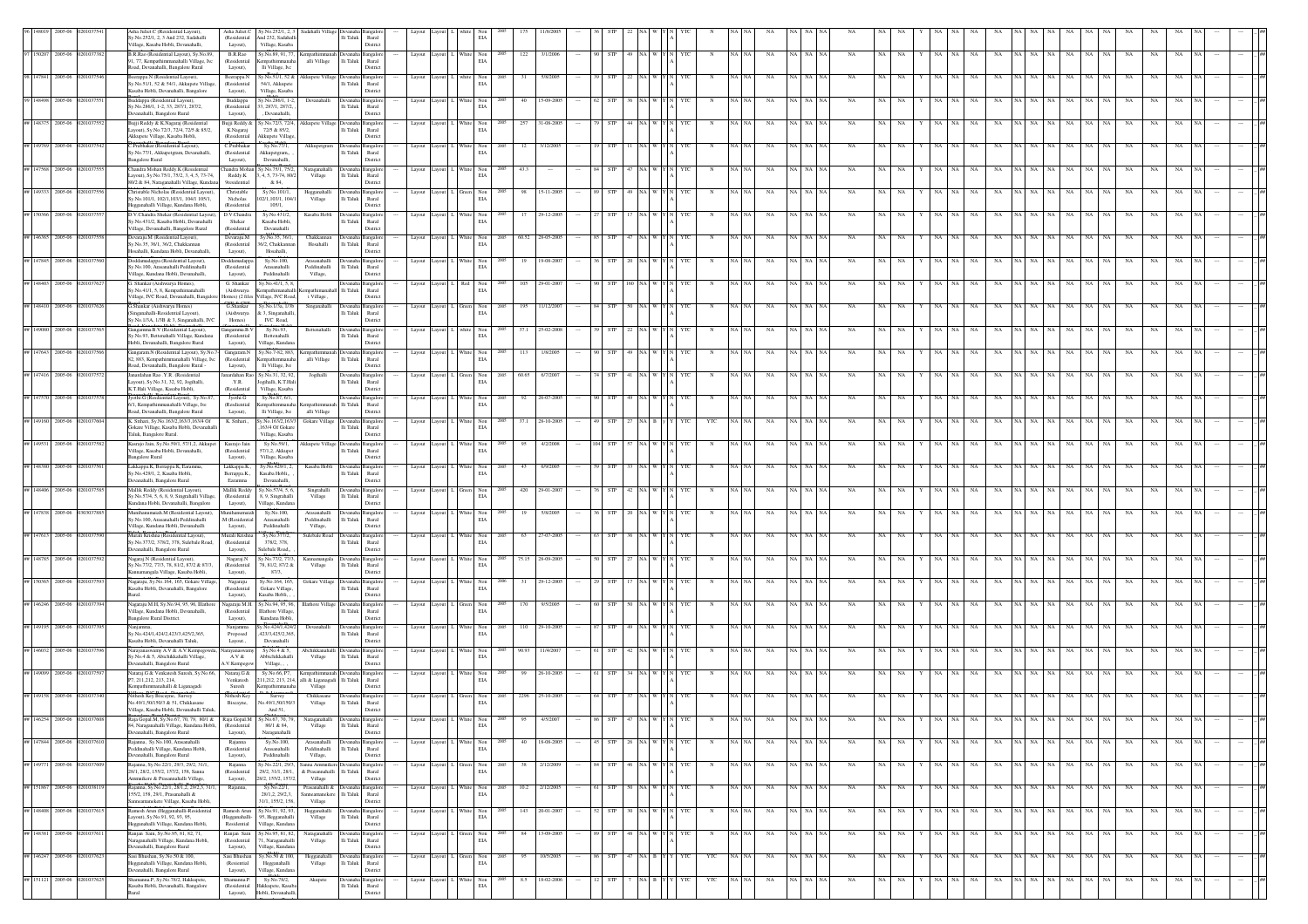|                                |                |                              | sha Juliet.C (Residential Layout),<br>y.No.252/1, 2, 3 And 232, Sadahalli<br>illage, Kasaba Hobli, Devanahalli,             | Asha Juliet.C<br>(Residential<br>Layout),           | sy.No.252/1, 2, 3<br>And 232, Sadahalli<br>Village, Kasaba                | Sadahalli Village                          | $\rm Ili$ Taluk<br>Distric                                   | Rural           |                           | $_{\rm EIA}$                                                                                      |             |                 |                  |         |                           |            |               |             |          |                  |             |           |           |             |          |          |                    |    |             |             |           |           |
|--------------------------------|----------------|------------------------------|-----------------------------------------------------------------------------------------------------------------------------|-----------------------------------------------------|---------------------------------------------------------------------------|--------------------------------------------|--------------------------------------------------------------|-----------------|---------------------------|---------------------------------------------------------------------------------------------------|-------------|-----------------|------------------|---------|---------------------------|------------|---------------|-------------|----------|------------------|-------------|-----------|-----------|-------------|----------|----------|--------------------|----|-------------|-------------|-----------|-----------|
|                                | 150207 2005-06 |                              | B.R.Rao (Residential Layout), Sy.No.89,<br>11, 77, Kempathimmanahalli Village, Ivc                                          | B.R.Rao<br>(Residential                             | sy.No.89, 91, 77.<br>mpathi                                               | alli Village                               | lli Taluk                                                    | angalo<br>Rural | Layout Layout             | $\begin{tabular}{ll} White & Non\\ ELA \\ \end{tabular}$                                          | 122         | 3/1/2006        | STP              |         |                           |            | $_{\rm NA}$   |             |          | $_{\rm NA}$      |             | NA        | NA        | NA          |          | NA       | NA                 |    | NA          | $_{\rm NA}$ |           |           |
|                                | 2005-01        |                              | oad, Devanahalli, Bangalore Rural<br>erappa.N (Residential Layout),                                                         | Layout),<br>Beerappa.N                              | lli Village, Ivc<br>sy.No.51/1, 52 &                                      | kkupete Villag                             | Distric                                                      |                 |                           | $$\rm Non$ EIA                                                                                    |             |                 |                  |         |                           |            |               |             |          |                  |             |           |           |             |          |          |                    |    |             |             |           |           |
|                                |                |                              | v.No.51/1, 52 & 54/1, Akkupete Village<br>Casaba Hobli, Devanahalli, Bangalore                                              | (Residential<br>Layout).                            | 54/1, Akkupete<br>Village, Kasaba<br>y.No.286/1, 1-2                      |                                            | lli Taluk<br>Rural<br>Distric                                |                 |                           |                                                                                                   |             |                 |                  |         |                           |            |               |             |          |                  |             |           |           |             |          |          |                    |    |             |             |           |           |
| 148498                         | 2005-06        |                              | ddappa (Residential Layout),<br>v.No.286/1, 1-2, 33, 287/1, 287/2.<br>evanahalli, Bangalore Rural                           | Buddappa<br>(Residential<br>Layout),                | 3. 287/1. 287/2.<br>, Devanahalli,                                        | Devanahall                                 | Ili Taluk Rural<br>Distric                                   |                 | Layout<br>avout           | White Non<br>EIA                                                                                  |             | 15-09-200       |                  |         |                           |            |               |             |          |                  |             |           |           |             |          |          |                    |    |             |             |           |           |
| 148375                         | 2005-06        |                              | Bujji Reddy & K.Nagaraj (Residential<br>ayout), Sy.No.72/3, 72/4, 72/5 & 85/2,                                              | Buiii Reddy & 5<br>K.Nagaraj                        | v.No.72/3, 72/4<br>72/5 & 85/2,                                           |                                            | kkupete Village Devanaha Bangalo<br>Ili Taluk<br>Rural       |                 | Layout Layout             | $\begin{tabular}{ll} \bf{White} & \bf{Non} \\ & \bf{EIA} \end{tabular}$                           | 257         | 31-08-2005      |                  |         |                           |            | NA            |             |          |                  |             |           |           |             |          |          |                    |    | NA.         |             |           |           |
| ## 149769 2005-06              |                |                              | <b>Akkupete Village</b> , Kasaba Hobli,<br>Prabhakar (Residential Layout),                                                  | (Residential<br>C.Prabhakar                         | kkupete Villag<br>Sy.No.77/1,                                             | Akkupetgram                                | Distric<br>langalo<br>Devanaha                               |                 | Layout Layout             | Non                                                                                               | 12          | 3/12/2005       |                  |         |                           |            |               |             |          |                  |             |           |           |             |          |          |                    |    | NA          |             |           |           |
| ## 147568 2005-06              |                |                              | y.No.77/1, Akkupetgram, Devanahalli,<br>angalore Rural<br>Chandra Mohan Reddy.K (Residential                                | (Residential<br>Layout),                            | Akkupetgram,<br>Devanahalli<br>Chandra Mohan Sy.No.75/1, 75/2             | Naraganahall                               | Ili Taluk<br>Rural<br>Distric                                |                 |                           | $_{\rm EIA}$<br>White Non                                                                         | 43.3        |                 |                  |         |                           |            |               |             |          | NA               |             |           |           |             |          |          |                    |    | NA.         |             |           |           |
|                                |                |                              | ayout), Sy.No.75/1, 75/2, 3, 4, 5, 73-74,<br>.<br>0/2 & 84, Naraganahalli Village, Kunda                                    | Reddy.K<br><b>9</b> residential                     | 4, 5, 73-74, 80/<br>& 84,                                                 | Village                                    | Devanaha Bangalo<br>$\rm{Ili}$ Taluk<br>District             | Rural           | Layout                    | $_{\rm EIA}$                                                                                      |             |                 |                  |         |                           |            | NA            |             |          | NA               |             |           |           |             |          |          |                    |    |             |             |           |           |
| ## 149333 2005-06              |                |                              | Thristable Nicholas (Residential Layout).<br>y.No.101/1, 102/1,103/1, 104/1 105/1,                                          | Christable<br>Nicholas                              | Sy.No.101/1<br>02/1,103/1, 104/                                           | Hegganahal<br>Village                      | evanaha Bangalor<br>lli Taluk                                | Rural           | Layout                    | Non<br>$_{\rm EIA}$                                                                               |             | $15 - 11 - 200$ |                  |         |                           |            |               |             |          |                  |             |           |           |             |          |          |                    |    |             |             |           |           |
|                                | 150366 2005-06 |                              | legganahalli Village, Kundana Hobli,<br>.<br>V.Chandra Shekar (Residential Layout<br>y.No.431/2, Kasaba Hobli, Devanahalli  | (Residential<br>D.V.Chandra<br>Shekar               | 105/1,<br>Sy.No.431/2<br>Kasaba Hobli                                     | Kasaba Hobl                                | Distric<br><b>Bangalo</b><br>lli Taluk                       | Rural           | Layout                    | Vhite Non<br>$_{\rm EIA}$                                                                         |             | 29-12-200       |                  |         |                           |            |               |             |          |                  |             |           |           |             |          |          |                    |    |             |             |           |           |
| ## 146365 2005-06              |                |                              | illage, Devanahalli, Bangalore Rural<br>evaraju.M (Residential Layout),                                                     | (Residential<br>Devaraju.M                          | Devanahalli<br>Sy.No.35, 36/1,                                            | Chakkannar                                 | Distric<br><b>Devanaha</b> Bangalor                          |                 | Layout Layout             |                                                                                                   |             | 60.52 28-05-200 |                  |         |                           |            |               | NA NA       |          | NA               |             |           |           |             |          |          |                    |    |             |             |           |           |
|                                |                |                              | v.No.35, 36/1, 36/2, Chakkannan<br>osahalli. Kundana Hobli. Devanahalli                                                     | (Residential<br>Layout),                            | 6/2. Chakkanna<br>Hosahalli.                                              | Hosahalli                                  | lli Taluk<br>Rural<br>Distric                                |                 |                           | $\begin{tabular}{ll} \hline \textbf{White} & \textbf{Non} \\ \hline \textbf{EIA} & \end{tabular}$ |             |                 |                  |         |                           |            |               |             |          |                  |             |           |           |             |          |          |                    |    |             |             |           |           |
| ## 147845 2005-06              |                |                              | oddamadappa (Residential Layout),<br>sy.No.100, Arasanahalli Peddinahalli<br>illage, Kundana Hobli, Devanahalli,            | Doddamadape<br>(Residential<br>Layout),             | Sv.No.100<br>Arasanahalli<br>Peddinahalli                                 | Arasanahall<br>Peddinahalli<br>Village,    | li Taluk<br>Rural<br>Distric                                 |                 | Layout                    | White Non<br>EIA                                                                                  |             | 19-08-20        |                  |         |                           |            | NA            |             |          |                  |             |           |           |             |          |          |                    |    |             |             |           |           |
| 148403                         | 2005-06        |                              | Shankar (Aishwarya Homes),<br>y.No.41/1, 5, 8, Kempathimanahalli                                                            | G. Shankar<br>(Aishwarya                            | sy.No.41/1, 5, 8<br>mpathimanaha                                          | pathimanahall Ili Taluk                    | Jevanaha Bangalo<br>Rural                                    |                 | Layout                    | Red Non<br>$_{\rm EIA}$                                                                           | 105         | $29 - 01 - 20$  |                  |         |                           |            |               |             |          |                  |             |           |           |             |          |          |                    |    |             |             |           |           |
|                                | 148410 2005-06 |                              | llage, IVC Road, Devanahalli, Bangal<br>3. Shankar (Aishwarya Homes)                                                        | Homes) (2 files<br>G.Shankar                        | illage, IVC Road,<br>Sy.No.1/3a, 1/3b                                     | i Village,<br>Singanahalli                 | District<br>Devanaha <sup>1</sup><br><b>Bangalo</b>          |                 | Layout<br>Layout          | $\begin{tabular}{ll} Green & Non\\ EIA & \end{tabular}$                                           | 195         | 11/12/200       |                  |         |                           |            | NA            |             |          |                  |             |           |           |             |          |          |                    |    |             |             |           |           |
|                                |                |                              | inganahalli-Residential Layout),<br>y.No.1/3A, 1/3B & 3, Singanahalli, IVC<br>langamma.B.V (Residential Layout),            | (Aishwarya<br>Homes)<br>Gangamma.B.V                | 2 3, Singanahal<br>IVC Road,<br>Sy.No.93,                                 | Bettenahal                                 | li Taluk<br>Rural<br>District                                |                 |                           |                                                                                                   |             | 25-02-200       |                  |         |                           |            |               |             |          |                  |             |           |           |             |          |          |                    |    |             |             |           |           |
|                                |                |                              | y.No.93, Bettenahalli Village, Kundana<br>Iobli, Devanahalli, Bangalore Rural                                               | (Residential<br>Layout),                            | Bettenahalli<br>Village, Kundan                                           |                                            | langalo<br>levana<br>lli Taluk<br>Distric                    | Rural           | Layout                    | Non<br>$_{\rm EIA}$                                                                               |             |                 |                  |         |                           |            |               |             |          |                  |             |           |           |             |          |          |                    |    |             |             |           |           |
| ## 147643 2005-06              |                |                              | angaram.N (Residential Layout), Sy.No.7<br>82, 883, Kempathimmanahalli Village, Ivc<br>coad, Devanahalli, Bangalore Rural - | Gangaram.N<br>(Residential<br>Layout),              | Sy.No.7-82, 883,<br>mpathimmana<br>lli Village, Ive                       | alli Village                               | lli Taluk<br>Distric                                         | angalo<br>Rural | Layout Layout             | $\begin{tabular}{ll} \hline \textbf{White} & \textbf{Non} \\ & \textbf{ELA} \end{tabular}$        |             | 1/8/200         |                  |         |                           |            |               |             |          |                  |             |           |           |             |          |          |                    |    |             |             |           |           |
| 147416                         | 2005-06        |                              | mardahan Rao .Y.R. (Residential<br>ayout), Sy.No.31, 32, 92, Jogihalli,                                                     | Y.R.                                                | Janardahan Rao Sy.No.31, 32, 92.<br>Jogihalli, K.T.Hal                    | Jogihalli                                  | Ili Taluk Rural                                              |                 |                           | $\begin{tabular}{ll} Green & Non\\ ELA \\ \end{tabular}$                                          | 60.65       | 6/7/200         |                  |         |                           |            | NA            |             |          | NA               |             |           |           |             |          |          |                    |    |             |             |           |           |
|                                | 147570 2005-06 |                              | K.T.Hali Village, Kasaba Hobli,<br>vothi.G (Resdiential Layout), Sy.No.87                                                   | (Residential<br>Jyothi.G                            | Village, Kasaba<br>Sy.No.87, 6/1,                                         |                                            | Distric                                                      |                 | Layout Layout             | White Non<br>EIA                                                                                  | 92          | 26-07-200       |                  |         |                           |            |               |             |          |                  |             |           |           |             |          |          |                    |    |             |             |           |           |
|                                |                |                              | 6/1. Kempathimmanahalli Village, Ive<br>coad, Devanahalli, Bangalore Rural                                                  | (Resdiential<br>Layout),                            | empathimmanaha<br>Ili Village, Ive                                        | alli Village                               | empathimmanah Ili Taluk Rural<br>Distric                     |                 |                           |                                                                                                   |             |                 |                  |         |                           |            |               |             |          |                  |             |           |           |             |          |          |                    |    |             |             |           |           |
| 149160                         | 2005-06        |                              | K. Srihari, Sv.No.163/2,163/3,163/4 Of<br>Gokare Village, Kasaba Hobli, Devanahalli<br>Taluk, Bangalore Rural.              | K. Srihari                                          | Sv.No.163/2.163/<br>163/4 Of Gokare<br>Village, Kasaba                    | Gokare Village                             | Devanaha Bangalo<br>Ili Taluk Rural<br>Distric               |                 | Layout Layout             | $\begin{tabular}{ll} \bf{White} & \bf{Non} \\ & \bf{EIA} \end{tabular}$                           | 37.1        | 28-10-2005      |                  |         |                           | YTC        | NA            | NA   NA     |          | NA               |             |           |           |             |          |          |                    |    | NA.         |             |           |           |
| ## 149531 2005-06              |                |                              | Kasrajo Jain, Sy.No.59/1, 57/1,2, Akkupet<br>Village, Kasaba Hobli, Devanahalli,                                            | Kasrajo Jain<br>(Residential                        | Sy.No.59/1,<br>57/1,2, Akkupet                                            |                                            | Akkupete Village Devanaha Bangalo<br>$\rm{Ili}$ Taluk        | Rural           | Layout                    | White Non<br>$_{\rm EIA}$                                                                         | 95          | 4/2/2008        | <b>STP</b>       |         |                           |            | NA            |             |          |                  |             |           |           |             |          |          |                    |    | NA.         |             |           |           |
|                                |                |                              | <b>Bangalore Rural</b><br>Lakkappa.K, Berrappa.K, Earamma<br>y.No.429/1, 2, Kasaba Hobli,                                   | Layout),<br>Lakkappa.K.,<br>Berrappa.K.,            | Village, Kasaba<br>Sy.No.429/1, 2,<br>Kasaba Hobli,                       | Kasaba Hob                                 | District<br>levana<br>langalo<br>lli Taluk                   | $\rm{Rural}$    | Layout                    | Non<br>$_{\rm EIA}$                                                                               |             | 6/9/200         |                  |         |                           |            |               |             |          |                  |             |           |           |             |          |          |                    |    |             |             |           |           |
| ## 148406 2005-06              |                |                              | levanahalli, Bangalore Rural<br>Aallik Reddy (Residential Layout),                                                          | Earamma<br>Mallik Reddy                             | Devanahalli.<br>Sy.No.57/4, 5, 6                                          | Singrahalli                                | Distric<br>Devanaha Bangalor                                 |                 | Layout                    | $\mbox{Non}$                                                                                      | 420         | 29-01-20        |                  |         |                           |            |               |             |          |                  |             |           |           |             |          |          |                    |    |             |             |           |           |
|                                |                |                              | y.No.57/4, 5, 6, 8, 9, Singrahalli Village<br>undana Hobli, Devanahalli, Bangalore                                          | (Residential<br>Layout),                            | 8, 9, Singrahalli<br>Village, Kundana                                     | Village                                    | lli Taluk<br>Distric                                         | Rural           |                           | $_{\rm EIA}$                                                                                      |             |                 |                  |         |                           |            |               |             |          |                  |             |           |           |             |          |          |                    |    |             |             |           |           |
| ## 147838 2005-06              |                |                              |                                                                                                                             |                                                     | Sy.No.100,                                                                | Arasanahal                                 | evanaha Bangalo<br>lli Taluk<br>Rural                        |                 | Layout                    | White Non<br>$_{\rm EIA}$                                                                         |             | 5/8/200         |                  |         |                           |            |               |             |          |                  |             |           |           |             |          |          |                    |    |             |             |           |           |
|                                | 147613 2005-06 |                              | ihanumaiah.M (Residential Layout)<br>y.No.100, Arasanahalli Peddinahalli<br>illare, Kundana Hobli, Devanahalli              | Muniham<br>.M (Residential                          | Arasanahalli<br>Peddinahalli                                              | $\operatorname{Pedinahalli}$               |                                                              | Distric         |                           |                                                                                                   |             |                 |                  |         |                           |            |               |             |          |                  |             |           |           |             |          |          |                    |    |             |             |           |           |
| ## 148785 2005-06              |                |                              | lurali Krishna (Residential Layout),<br>v.No.377/2, 378/2, 378, Sulebale Road,                                              | Layout),<br>Murali Krishna<br>(Residential          | Sy.No.377/2,<br>378/2, 378.                                               | Village,<br>Sulebale Road                  | levanaha Bangalo<br>lli Taluk                                | Rural           | Layout                    | White Non<br>$_{\rm EIA}$                                                                         | 63          | 27-07-200       |                  |         |                           |            |               |             |          |                  |             |           |           |             |          |          |                    |    |             |             |           |           |
|                                |                |                              | vanahalli, Bangalore Rural<br>Vagarai.N (Residential Lavout).                                                               | Layout),<br>Nagaraj.N                               | ulebale Road,<br>y.No.77/2, 77/3.                                         | Kannamangala                               | Distric<br>Devanaha Bangalo                                  |                 | Layout Layout L           |                                                                                                   |             | 75.15 28-09-200 |                  |         |                           |            | NA            | NA I NA     |          | <b>NA</b>        |             |           | <b>NA</b> | NA          |          |          | NA                 |    | <b>NA</b>   | NA.         |           |           |
|                                |                |                              | v.No.77/2, 77/3, 78, 81/2, 87/2 & 87/3,<br>annamangala Village, Kasaba Hobli,                                               | (Residential<br>Layout),                            | 78, 81/2, 87/2 &<br>87/3,                                                 | Village                                    | lli Taluk<br>Rural<br>Distric                                |                 |                           | $\begin{tabular}{ll} \bf{White} & \bf{Non} \\ & \bf{EIA} \end{tabular}$                           |             |                 |                  |         |                           |            |               |             |          |                  |             |           |           |             |          |          |                    |    |             |             |           |           |
| 150365                         | 2005-06        |                              | agaraju, Sy.No.164, 165, Gokare Village<br>Casaba Hobli, Devanahalli, Bangalore                                             | Nagaraju<br>(Residential<br>Layout),                | Sy.No.164, 165,<br>Gokare Village<br>Kasaba Hobli,                        | <b>Gokare Village</b>                      | Devanaha Bangalo<br>lli Taluk<br>Rural<br>Distric            |                 | Layout                    | White Non<br>$_{\rm EIA}$                                                                         |             | $29 - 12 - 20$  |                  |         |                           |            |               |             |          |                  |             |           |           |             |          |          |                    |    |             |             |           |           |
|                                | 2005-01        |                              | agaraju M.H. Sy.No.94, 95, 96, Illatho<br>Ilage, Kundana Hobli, Devanahalli,                                                | Vagaraju M.H.<br>(Residential                       | y.No.94, 95, 96.<br>llathore Village                                      | <b>Illathore Village</b>                   | $\rm{Ili}$ Taluk                                             | angalo<br>Rural | Layout<br>ayout           | Green Non<br>$_{\rm EIA}$                                                                         |             |                 |                  |         |                           |            |               |             |          |                  |             |           |           |             |          |          |                    |    |             |             |           |           |
| 149195                         | 2005-06        |                              | angalore Rural District.                                                                                                    | Layout),<br>Nanjamm                                 | Kundana Hobli<br>y.No.424/1,424/                                          | Devanahalli                                | Devanaha Bangalo                                             | District        | Layout Layout             |                                                                                                   | 110         | 29-10-200       |                  |         |                           |            | NA            |             |          |                  |             |           |           |             |          |          |                    |    |             |             |           |           |
|                                | 146032 2005-06 |                              | v.No.424/1.424/2.423/3.425/2.365.<br>asaba Hobli, Devanahalli Taluk.                                                        | Proposed<br>Layout.,<br>rayanas                     | 423/3,425/2,365<br>Devanahalli                                            | Abchikkanahai                              | lli Taluk<br>Rural<br>Distric                                | angalo          | Layout Layout             | $\begin{tabular}{ll} White & Non\\ ELA \\ \end{tabular}$                                          | 90.93       | 11/4/200        |                  |         |                           |            |               |             |          |                  |             |           |           |             |          |          |                    |    |             |             |           |           |
|                                |                |                              | ayanaswamy A.V & A.V.Kempego<br>Sy.No.4 & 5, Abichikkahalli Village,<br>evanahalli, Bangalore Rural                         | A.V &<br>A.V.Kempego                                | Sy.No.4 & 5,<br>Abbichikkahalli<br>Village, .                             | Village                                    | lli Taluk<br>Rural<br>Distric                                |                 |                           | White Non<br>$_{\rm EIA}$                                                                         |             |                 |                  |         |                           |            |               |             |          |                  |             |           |           |             |          |          |                    |    |             |             |           |           |
|                                | 2005-06        |                              | Vataraj.G & Venkatesh Suresh, Sy.No.6<br>P7, 211, 212, 213, 214,<br>empathimmanahalli & Liganagad                           | Nataraj.<br>G $\&$<br>Venkatesh<br>Suresh           | Sy.No.66, P7,<br>11,212, 213, 214,<br>mpathimmana                         | alli & Liganagadi Ili Taluk  <br>Village   | Rural<br>Distric                                             |                 | Layout                    | $\begin{tabular}{ll} White & Non\\ ELA \\ \end{tabular}$                                          |             | 26-10-200       |                  |         |                           |            | NA            |             |          | NA<br>NA         |             |           |           |             |          |          |                    |    | $_{\rm NA}$ | NA          |           |           |
|                                | 2005-01        |                              | vithesh Key Biscayne, Survey<br>vo.49/1,50/150/3 & 51, Chikkasane                                                           | Nithesh Key<br>Biscayne,                            | Surve<br>lo.49/1,50/150/3                                                 | Chikkasane<br>Village                      | lli Taluk<br>Rural                                           |                 | Layout Layout             | Green Non<br>$_{\rm EIA}$                                                                         | 2296        | 25-10-200       |                  |         |                           |            |               |             |          |                  |             |           |           |             |          |          |                    |    |             |             |           |           |
|                                |                |                              | .<br>Village, Kasaba Hobli, Devanahalli Taluk                                                                               |                                                     | And 51.                                                                   |                                            | Distric                                                      |                 |                           |                                                                                                   |             |                 |                  |         |                           |            |               |             |          |                  |             |           |           |             |          |          |                    |    |             |             |           |           |
|                                |                |                              | 84, Naraganahalli Village, Kundana Hobli,<br>anahalli, Bangalore Rural                                                      | (Residential<br>Layout),                            | 80/1 & 84,<br>Naraganahalli                                               | Village                                    | Ili Taluk Rural<br>Distric                                   |                 |                           | $_{\rm EIA}$                                                                                      |             |                 |                  |         |                           |            |               |             |          |                  |             |           |           |             |          |          |                    |    |             |             |           |           |
|                                |                | ## 147844 2005-06 0201037610 | Rajanna, Sy.No.100, Arasanahalli<br>eddinahalli Village, Kundana Hobli,<br>Devanahalli, Bangalore Rural                     | Rajanna<br>(Residential<br>Layout),                 | Sy.No.100,<br>Arasanahalli<br>Peddinahalli                                | Arasanahalli<br>Peddinahalli<br>Village,   | Devanaha Bangalor<br>lli Taluk<br>Distric                    | Rural           | Layout Layout L White Non | $_{\rm EIA}$                                                                                      | 2005        | 40 18-08-2005   |                  |         | -- 45 STP 26 NA W Y N YTC | N          | NA NA<br>NA   |             | NA NA NA | NA               |             |           |           |             |          |          |                    |    |             |             |           | ##        |
|                                | 2005-06        |                              | Rajanna, Sy.No.22/1, 29/3, 29/2, 31/1,<br>28/1, 28/2, 155/2, 157/2, 158, Sanna                                              | Rajanna<br>(Residential                             | y.No.22/1, 29/3<br>29/2, 31/1, 28/1,                                      | Sanna Ammnike<br>& Prasannahalli Ili Taluk | langalo                                                      | Rural           | Layout                    | Non<br>$_{\rm EIA}$                                                                               |             | 2/12/200        | STP              |         |                           |            | $_{\rm NA}$   |             |          | NA<br>NA         |             |           | NA        | NA          |          | NA       | NA                 |    | NA          |             | NA        |           |
| ## 149771<br>## 151867 2005-06 |                |                              | Ammnikere & Prasannahalli Village,<br>kajanna, Sy. No. 22/1, 28/1, 2, 29/2, 3, 31/1,<br>155/2, 158, 29/1, Prasanahalli &    | Layout),<br>Rajanna,                                | 28/2, 155/2, 157/2,<br>Sy.No.22/1,<br>28/1.2, 29/2.3.                     | Village<br>Prasanahalli &                  | Distric<br>evanaha Bangalon                                  |                 | Layout                    | White Non<br>EIA                                                                                  | 200<br>10.2 | 2/12/2005       | <b>STP</b>       | NA W    |                           |            | NA            |             | NA NA    | NA<br>NA         | NA.         | NA        | NA        | NA          | NA NA    | NA       | NA                 |    | NA          | NA          | NA        |           |
|                                |                | ## 148408 2005-06 020103761  | anneamanekere Village, Kasaba Hobli,<br>Ramesh Arun (Hegganahalli-Residential                                               |                                                     | 31/1, 155/2, 158.<br>Ramesh Arun Sy.No.91, 92, 93,                        | Village<br>Hegganahalli                    | anneamanekere Ili Taluk Rural<br>District<br>evanaha Bangalo |                 | Layout Layout I           | White Non                                                                                         | 2005        | 143 20-01-2007  | $52$ STP         | 30 NA W | YTC                       | $_{\rm N}$ | NA NA         | $_{\rm NA}$ | NA NA N  | NA               | NA NA<br>Y. | NA NA     | NA        | $_{\rm NA}$ | NA NA NA |          | $\rm NA$ $ \rm NA$ | NA | NA          | NA          | NA<br>NA. |           |
|                                |                |                              | Layout), Sv.No.91, 92, 93, 95,<br>Hegganahalli Village, Kundana Hobli,                                                      | (Hegganahalli-<br>Residential                       | 95, Hegganahalli<br>Village, Kundana                                      | Village                                    | lli Taluk Rural<br>District                                  |                 |                           | EIA                                                                                               |             |                 | 48               |         |                           |            |               |             |          |                  |             |           |           |             |          |          |                    |    |             |             |           |           |
|                                |                | ## 148381 2005-06 02010376   | .<br>Ranjan Sain, Sy.No.95, 81, 82, 71,<br>Varaganahalli Village, Kundana Hobli,<br>Devanahalli, Bangalore Rural            | Ranjan Sain<br>(Residential<br>Layout),             | Sy.No.95, 81, 82,<br>1. Naraganahalli<br>Village, Kundana                 | Naraganahall<br>Village                    | evanaha Bangalor<br>lli Taluk Rural<br>Distric               |                 | Layout<br>Lavout          | Green Non<br>$_{\rm EIA}$                                                                         | 84          | 13-09-2005      | <b>STP</b>       | NA W    |                           |            | NA            | NA NA       |          | <b>NA</b><br>NA. | <b>NA</b>   | NA<br>NA. | NA        | NA          | NA NA I  | NA<br>NA | NA                 | NA | NA          | NA          | NA.       |           |
|                                |                | ## 146247 2005-06 0201037623 | Sasi Bhushan, Sv.No.50 & 100.<br>Hegganahalli Village, Kundana Hobli,                                                       | Sasi Bhushan<br>(Resiential                         | Sv.No.50 & 100.<br>Hegganahalli                                           | Hegganahalli<br>Village                    | Devanaha Bangalon<br>lli Taluk                               | Rural           | Layout Layout L Green Non | $_{\rm EIA}$                                                                                      | 95<br>2005  | 10/5/2005       | 86 STP 47 NA B Y |         | <b>YTC</b>                | YTC        | NA NA<br>NA   |             | NA NA NA | NA               | NA NA<br>Y  | NA NA NA  |           | NA          | NA NA NA |          | NA NA              | NA | NA          | NA          | NA<br>NA. | <b>HH</b> |
|                                |                | ## 151121 2005-06 0201037625 | .<br>Devanahalli, Bangalore Rural<br>hamanna.P, Sy.No.78/2, Hakkupete,<br>Casaba Hobli, Devanahalli, Bangalore              | Layout),<br>Shamanna.P.<br>(Residential<br>Layout), | Village, Kundan<br>Sy.No.78/2,<br>akkupete, Kasaba<br>Hobli, Devanahalli, | Akupete                                    | District<br>Devanaha Bangalon<br>lli Taluk<br>Distric        | Rural           | Layout Layout             | White Non<br>$_{\rm EIA}$                                                                         | 8.5<br>200  | 18-02-2006      | STP              | VA B Y  | YTC                       | YTC        | NA<br>NA I NA |             | NA NA NA | NA<br>NA         | NA<br>Y     | NA<br>NA  | NA        | NA          | NA NA NA | NA       | $_{\rm NA}$        | NA | NA.         | NA          | NA        |           |

Bangalore Rural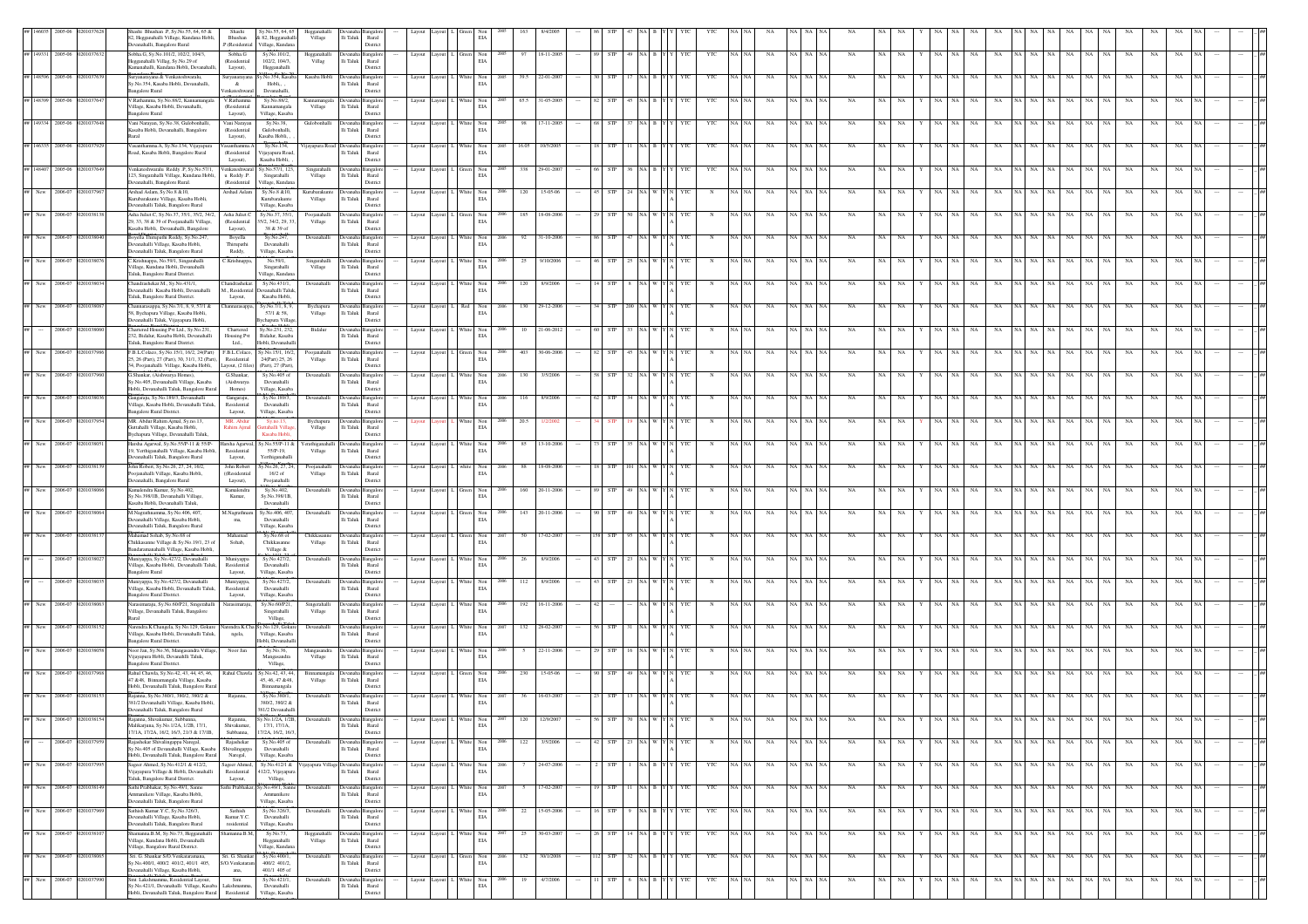|                   |                         |          | hashi Bhushan .P, Sy.No.55, 64, 65 &<br>2, Hegganahalli Village, Kundana Hobli                                     | Shashi<br>Bhushan                    | Sy.No.55, 64, 65<br>& 82, Hegganahall             | Hegganahall<br>Village  | li Taluk<br>Rural                                             |        |                                                                                                                      |                                                                         | EIA                                                      |                        |            |                        |            |       |                                     |           |             |                 |                   |             |           |                                       |           |             |                          |         |
|-------------------|-------------------------|----------|--------------------------------------------------------------------------------------------------------------------|--------------------------------------|---------------------------------------------------|-------------------------|---------------------------------------------------------------|--------|----------------------------------------------------------------------------------------------------------------------|-------------------------------------------------------------------------|----------------------------------------------------------|------------------------|------------|------------------------|------------|-------|-------------------------------------|-----------|-------------|-----------------|-------------------|-------------|-----------|---------------------------------------|-----------|-------------|--------------------------|---------|
|                   |                         |          | anahalli, Bangalore Rural                                                                                          | P.(Residential                       | Village, Kundan                                   |                         | District                                                      |        |                                                                                                                      |                                                                         |                                                          |                        |            |                        |            |       |                                     |           |             |                 |                   |             |           |                                       |           |             |                          |         |
|                   | 149331 2005-06          | 20103763 | Sobha.G, Sy.No.101/2, 102/2, 104/3,<br>Hegganahalli Villag, Sy.No.29 of                                            | Sobha.G<br>(Residential              | Sy.No.101/2,<br>102/2, 104/3.                     | Hegganahalli<br>Villag  | Jevanaha Bangalor<br>li Taluk<br>Rural                        | Layout | avout                                                                                                                | $\begin{tabular}{ll} Green & Non\\ ELA \\ \end{tabular}$                |                                                          | 18-11-200<br>97        | <b>STP</b> |                        | YTC        |       | NA                                  |           | NA          | <b>NA</b>       | NA.<br>NA         | NA          |           | NA                                    | <b>NA</b> | NA          |                          |         |
|                   |                         |          | Camanahalli, Kundana Hobli, Devanah                                                                                | Layout),                             | Hegganahalli                                      |                         | District                                                      |        |                                                                                                                      |                                                                         |                                                          |                        |            |                        |            |       |                                     |           |             |                 |                   |             |           |                                       |           |             |                          |         |
|                   |                         |          | šuryanarayana & Venkateshwaralu,<br>iy. No. 354, Kasaba Hobli, Devanahalli,                                        | Suryanaraya<br>$\&$                  | No.354, Kasab<br>Hobli,                           | Kasaba Hobl             | langalo<br>evana<br>li Taluk<br>Rural                         | Layout |                                                                                                                      |                                                                         | Non<br>$_{\rm EIA}$                                      |                        |            |                        |            |       |                                     |           |             |                 |                   |             |           |                                       |           |             |                          |         |
|                   |                         |          | angalore Rural                                                                                                     | enkateshwa                           | Devanahalli                                       |                         | District                                                      |        |                                                                                                                      |                                                                         |                                                          |                        |            |                        |            |       |                                     |           |             |                 |                   |             |           |                                       |           |             |                          |         |
| 48399             | 2005-06                 |          | /.Rathamma, Sy.No.88/2, Kannamanga<br>/illage, Kasaba Hobli, Devanahalli,                                          | V.Rathamm<br>(Residential            | Sy.No.88/2,<br>Kannamangala                       | Kannamangala<br>Village | langalor<br>lli Taluk<br>Rural                                |        | Layout Layout                                                                                                        | White Non<br>EIA                                                        |                                                          | 65.5<br>31-05-20       |            |                        |            |       |                                     |           |             |                 |                   |             |           |                                       |           |             |                          |         |
|                   |                         |          | angalore Rural                                                                                                     | Layout),                             | Village, Kasaba                                   |                         | District                                                      |        |                                                                                                                      |                                                                         |                                                          |                        |            |                        |            |       |                                     |           |             |                 |                   |             |           |                                       |           |             |                          |         |
| 49334             | 2005-06                 |          | Vani Narayan, Sy.No.38, Gulobonhalli,<br>Kasaba Hobli, Devanahalli, Bangalore                                      | Vani Narayan<br>(Residential         | Sy.No.38,<br>Gulobonhalli.                        | Gulobonhalli            | Devanaha Bangalor<br>lli Taluk<br>Rural                       |        | Layout Layout 1                                                                                                      | $\begin{tabular}{ll} White & Non\\ \hline ELA \end{tabular}$            |                                                          | $17 - 11 - 200$<br>98  |            |                        | YTC        |       | NA                                  | NA        | NA          |                 |                   |             |           |                                       |           |             |                          |         |
|                   |                         |          | mal                                                                                                                | Layout).                             | Kasaba Hobli.                                     |                         | District                                                      |        |                                                                                                                      |                                                                         |                                                          |                        |            |                        |            |       |                                     |           |             |                 |                   |             |           |                                       |           |             |                          |         |
| ## 146335 2005-06 |                         |          | Vasanthamma.A, Sy.No.134, Vijayapura<br>Road, Kasaba Hobli, Bangalore Rural                                        | asanthamma<br>(Residential           | Sy.No.134,<br>Vijayapura Road,                    | /ijayapura Road         | lli Taluk Rural                                               |        | Layout Layout                                                                                                        |                                                                         | Non<br>$_{\rm EIA}$                                      | 16.05<br>10/5/200      |            |                        |            |       |                                     |           |             |                 |                   |             |           |                                       |           |             |                          |         |
|                   |                         |          |                                                                                                                    | Layout),                             | Kasaba Hobli,                                     |                         | District                                                      |        |                                                                                                                      |                                                                         |                                                          |                        |            |                        |            |       |                                     |           |             |                 |                   |             |           |                                       |           |             |                          |         |
| 148407            | 2005-06                 |          | Venkateshwaralu Reddy P. Sv.No.57/1.<br>123, Singarahalli Village, Kundana Hobli,                                  | u Reddy .P.                          | Venkateshwaral Sv.No.57/1, 123<br>Singarahalli    | Singarahalli<br>Village | Devanaha Bangalor<br>li Taluk<br>Rural                        |        | Layout Layout                                                                                                        | $\begin{tabular}{ll} Green & Non\\ ELA \\ \end{tabular}$                |                                                          | 338<br>29-01-200       |            |                        | YTC        |       | NA                                  | NA NA     | <b>NA</b>   |                 |                   |             |           |                                       |           |             |                          |         |
|                   |                         |          | Devanahalli, Bangalore Rural.                                                                                      | (Residential                         | Village, Kundan                                   |                         | District                                                      |        |                                                                                                                      |                                                                         |                                                          |                        |            |                        |            |       |                                     |           |             |                 |                   |             |           |                                       |           |             |                          |         |
|                   | New 2006-07             |          | Arshad Aslam, Sy.No.8 & 10,<br>Gurubarakunte Village, Kasaba Hobli,                                                | Arshad Aslam                         | Sy.No.8 & 10,<br>Kurubarakunte                    | Kurubarakunt<br>Village | evanaha Bangalor<br>li Taluk<br>Rural                         | Layout |                                                                                                                      | <b>White</b>                                                            | Non<br>$_{\rm EIA}$                                      | $15 - 05 - 0$<br>120   |            |                        |            |       | NA                                  | NA NA     |             |                 |                   |             |           |                                       |           |             |                          |         |
|                   |                         |          | Devanahalli Taluk, Bangalore Rural                                                                                 |                                      | Village, Kasaba                                   |                         | District                                                      |        |                                                                                                                      |                                                                         |                                                          |                        |            |                        |            |       |                                     |           |             |                 |                   |             |           |                                       |           |             |                          |         |
| New               | 2006-07                 |          | Asha Juliet.C, Sy.No.37, 35/1, 35/2, 34/2<br>29, 33, 38 & 39 of Poojanahalli Village,                              | Asha Juliet<br>$(\mbox{Residential}$ | Sy.No.37, 35/1<br>35/2, 34/2, 29, 33              | Poojanaha<br>Village    | angalo<br>lli Taluk<br>Rural                                  | Layout |                                                                                                                      |                                                                         | Non<br>$_{\rm EIA}$                                      | $18 - 08 - 20$         |            |                        |            |       |                                     |           |             |                 |                   |             |           |                                       |           |             |                          |         |
|                   |                         |          | Kasaba Hobli, Devanahalli, Bangalore                                                                               | Layout),                             | 38 & 39 of                                        |                         | District                                                      |        |                                                                                                                      |                                                                         |                                                          |                        |            |                        |            |       |                                     |           |             |                 |                   |             |           |                                       |           |             |                          |         |
| New               | 2006-07                 |          | Soyella Thirupathi Reddy, Sy.No.247,<br>vanahalli Village, Kasaba Hobli,                                           | Boyella<br>Thirupathi                | Sy.No.247<br>Devanahalli                          | Devanahalli             | vanaha Bangalor<br>li Taluk<br>Rural                          | Layout |                                                                                                                      |                                                                         | $_{\rm Non}$<br>$_{\rm EIA}$                             | $31 - 10 - 200$<br>92  |            |                        |            |       | NA                                  |           |             |                 |                   |             |           |                                       |           |             |                          |         |
|                   |                         |          | Devanahalli Taluk, Bangalore Rural                                                                                 | Reddy,                               | Village, Kasaba                                   |                         | District                                                      |        |                                                                                                                      |                                                                         |                                                          |                        |            |                        |            |       |                                     |           |             |                 |                   |             |           |                                       |           |             |                          |         |
| New               | 2006-07                 |          | . Krishnappa, No.59/1, Singarahalli<br>/illage. Kundana Hobli. Devanahalli                                         | C.Krishnappa                         | No.59/1<br>Singarahalli                           | Singarahalli<br>Village | langalo<br>lli Taluk<br>Rural                                 |        |                                                                                                                      |                                                                         | Non<br>EIA                                               | 9/10/200               |            |                        |            |       |                                     |           |             |                 |                   |             |           |                                       |           |             |                          |         |
|                   |                         |          | Taluk, Bangalore Rural District.                                                                                   |                                      | Village, Kundan                                   |                         | District                                                      |        |                                                                                                                      |                                                                         |                                                          |                        |            |                        |            |       |                                     |           |             |                 |                   |             |           |                                       |           |             |                          |         |
|                   | New 2006-07             |          | handrashekar.M., Sv.No.431/1.<br>Devanahalli Kasaba Hobli, Devanahalli                                             | Chandrashekar.                       | Sy.No.431/1,<br>M., Residential Devanahalli Talul | Devanahalli             | evanaha Bangalop<br>li Taluk<br>Rural                         | Layout |                                                                                                                      | White Non                                                               | EIA                                                      | 120<br>8/9/200         |            |                        |            |       | NA                                  | NA NA     |             |                 |                   |             |           |                                       |           |             |                          |         |
|                   |                         |          | Taluk, Bangalore Rural District.                                                                                   | Layout,                              | Kasaba Hobli,                                     |                         | District                                                      |        |                                                                                                                      |                                                                         |                                                          |                        |            |                        |            |       |                                     |           |             |                 |                   |             |           |                                       |           |             |                          |         |
|                   | New 2006-07             |          | Channarasappa, Sy.No.7/1, 8, 9, 57/1 &<br>58, Bychapura Village, Kasaba Hobli.                                     | hannarasappa,                        | Sv.No.7/1, 8, 9,<br>57/1 & 58,                    | Bychapura<br>Village    | Devanaha Bangalon<br>li Taluk<br>Rural                        |        | Layout Layout I.                                                                                                     | $\begin{tabular}{ll} Red & Non\\ ELA \\ \end{tabular}$                  |                                                          | 130<br>29-12-200       |            |                        |            |       | <b>NA</b>                           |           |             |                 |                   |             |           |                                       |           |             |                          |         |
|                   |                         |          | evanahalli Taluk, Vijayapura Hobli,                                                                                |                                      | chapura Villag                                    |                         | District                                                      |        |                                                                                                                      |                                                                         |                                                          |                        |            |                        |            |       |                                     |           |             |                 |                   |             |           |                                       |           |             |                          |         |
|                   | 2006-07                 |          | Chartered Housing Pvt Ltd., Sy.No.231,<br>32, Bidalur, Kasaba Hobli, Devanahalli                                   | Chartered<br>Housing Pvt             | Sy.No.231, 232,<br>Bidalur, Kasaba                | Bidalur                 | Jevanaha <sup>1</sup><br><b>Bangalor</b><br>li Taluk<br>Rural | Layout |                                                                                                                      | White Non                                                               | $_{\rm EIA}$                                             | 21-06-201              |            |                        |            |       | NA                                  |           |             |                 |                   |             |           |                                       |           |             |                          |         |
|                   |                         |          | aluk, Bangalore Rural District.                                                                                    | Ltd.,                                | Hobli, Devanahall                                 |                         | District                                                      |        |                                                                                                                      |                                                                         |                                                          |                        |            |                        |            |       |                                     |           |             |                 |                   |             |           |                                       |           |             |                          |         |
| New               | 2006-                   |          | F.B.L.Colaco, Sy.No.15/1, 16/2, 24(Part)<br>25, 26 (Part), 27 (Part), 30, 31/1, 32 (Part)                          | F.B.L.Colaco,<br>Residential         | y.No.15/1, 16/2<br>24(Part) 25, 26                | Poojanahall<br>Village  | langalo<br>li Taluk<br>Rural                                  | Layout |                                                                                                                      |                                                                         | Non<br>EIA                                               |                        |            |                        |            |       |                                     |           |             |                 |                   |             |           |                                       |           |             |                          |         |
|                   |                         |          | 34, Poojanahalli Village, Kasaba Hobli,                                                                            | Layout, (2 files)                    | (Part), 27 (Part),                                |                         | District                                                      |        |                                                                                                                      |                                                                         |                                                          |                        |            |                        |            |       |                                     |           |             |                 |                   |             |           |                                       |           |             |                          |         |
| New               | $2006 - C$              |          | G.Shankar, (Aishwarya Homes),<br>Sy.No.405, Devanahalli Village, Kasaba                                            | G.Shankar,<br>(Aishwarya             | Sy.No.405 of<br>Devanahalli                       | Devanahalli             | <b>Devanaha</b> Bangalo<br>li Taluk<br>Rural                  | Layout |                                                                                                                      |                                                                         | $\begin{tabular}{ll} White & Non\\ ELA \\ \end{tabular}$ | 3/5/200                |            |                        |            |       | NA                                  |           | NA          |                 |                   |             |           |                                       |           |             |                          |         |
|                   |                         |          | Hobli, Devanahalli Taluk, Bangalore Rural                                                                          | Homes)                               | Village, Kasaba                                   |                         | District                                                      |        |                                                                                                                      |                                                                         |                                                          |                        |            |                        |            |       |                                     |           |             |                 |                   |             |           |                                       |           |             |                          |         |
| New               | 2006-07                 |          | kangaraju, Sy.No.189/3, Devanahalli<br>Village, Kasaba Hobli, Devanahalli Taluk.                                   | Gangaraju,<br>Residential            | Sy.No.189/3,<br>Devanahalli                       | Devanahalli             | Bangalor<br>lli Taluk<br>Rural                                |        | Layout Layout                                                                                                        |                                                                         | Non<br>$_{\rm EIA}$                                      | 8/9/200                |            |                        |            |       |                                     |           |             |                 |                   |             |           |                                       |           |             |                          |         |
|                   |                         |          | angalore Rural District.                                                                                           | Layout,                              | Village, Kasaba                                   |                         | District                                                      |        |                                                                                                                      |                                                                         |                                                          |                        |            |                        |            |       |                                     |           |             |                 |                   |             |           |                                       |           |             |                          |         |
| New               | 2006-07                 |          | MR. Abdur Rahim Ajmal, Sy.no.13,<br>Guttahalli Village, Kasaba Hobli,                                              | MR. Abdur<br>Rahim Ajmal             | Sy.no.13,<br>uttahalli Villas                     | Bychapura<br>Village    | evanaha Bangalor<br>lli Taluk<br>Rural                        |        |                                                                                                                      | $\begin{tabular}{ll} \bf{White} & \bf{Non} \\ & \bf{EIA} \end{tabular}$ |                                                          | 20.5                   |            |                        |            |       | NA                                  | NA NA     | NA          |                 |                   |             |           |                                       |           |             |                          |         |
|                   |                         |          | Bychapura Village, Devanahalli Taluk,                                                                              |                                      | Kasaba Hobl                                       |                         | District                                                      |        |                                                                                                                      |                                                                         |                                                          |                        |            |                        |            |       |                                     |           |             |                 |                   |             |           |                                       |           |             |                          |         |
|                   | New 2006-07             |          | Harsha Agarwal, Sy.No.55/P-11 & 55/P-<br>19, Yerthiganahalli Village, Kasaba Hobli,                                | Residential                          | Harsha Agarwal, Sy.No.55/P-11 &<br>55/P-19,       | Village                 | ferathiganahalli Devanaha Bangalor<br>li Taluk<br>Rural       |        | $\begin{tabular}{llll} \textbf{Layout} & \textbf{L} & \textbf{White} & \textbf{Non} \\ \textbf{EIA} & \end{tabular}$ |                                                                         |                                                          | 85<br>13-10-200        |            |                        |            |       | NA                                  | NA NA     | NA          |                 |                   |             |           |                                       | NA        | NA          |                          |         |
|                   |                         |          | Devanahalli Taluk, Bangalore Rural                                                                                 | Layout,                              | Yerthiganahalli                                   |                         | District                                                      |        |                                                                                                                      |                                                                         |                                                          |                        |            |                        |            |       |                                     |           |             |                 |                   |             |           |                                       |           |             |                          |         |
| New               | 2006-0                  |          | John Robert, Sy.No.26, 27, 24, 16/2,<br>oojanahalli Village, Kasaba Hobli,                                         | John Robert<br>((Residential         | y.No.26, 27, 24<br>16/2 of                        | Poojanahal<br>Village   | angalo<br>rvanaha<br>li Taluk<br>Rural                        | Layout |                                                                                                                      |                                                                         | Non<br>$_{\rm EIA}$                                      | 18-08-200<br>88        |            |                        |            |       |                                     |           |             |                 |                   |             |           |                                       |           |             |                          |         |
|                   |                         |          | vanahalli, Bangalore Rural                                                                                         | Layout),                             | Poojanahalli                                      |                         | District                                                      |        |                                                                                                                      |                                                                         |                                                          |                        |            |                        |            |       |                                     |           |             |                 |                   |             |           |                                       |           |             |                          |         |
| New               | 2006-07                 |          | Gamalendra Kumar, Sy.No.402,<br>/.No.398/1B, Devanahalli Village,                                                  | Kamalendra<br>Kumar,                 | Sy.No.402,<br>Sy.No.398/1B                        | Devanahall              | evanaha l<br>langalo<br>li Taluk<br>Rural                     | Layout |                                                                                                                      |                                                                         | Non<br>$_{\rm EIA}$                                      | 160<br>$20 - 11 - 200$ |            |                        |            |       | NA                                  | NA.       |             |                 |                   |             |           |                                       |           |             |                          |         |
|                   |                         |          | Casaba Hobli, Devanahalli Taluk,                                                                                   |                                      | Devanahalli                                       |                         | District                                                      |        |                                                                                                                      |                                                                         |                                                          |                        |            |                        |            |       |                                     |           |             |                 |                   |             |           |                                       |           |             |                          |         |
| New               | 2006-0                  |          | 1. Nagrathnamma, Sy. No. 406, 407<br>Devanahalli Village, Kasaba Hobli,                                            | M.Nagrathn<br>ma,                    | sy.No.406, 40<br>Devanahalli                      | Devanahal               | angalo<br>li Taluk<br>Rural                                   | Layout |                                                                                                                      |                                                                         | Non<br>$_{\rm EIA}$                                      | $20 - 11 - 20$         |            |                        |            |       | NA                                  |           |             |                 |                   |             |           |                                       |           |             |                          |         |
|                   |                         |          | Devanahalli Taluk, Bangalore Rural                                                                                 |                                      | Village, Kasaba                                   |                         | District                                                      |        |                                                                                                                      |                                                                         |                                                          |                        |            |                        |            |       |                                     |           |             |                 |                   |             |           |                                       |           |             |                          |         |
|                   | New 2006-07             |          | Mahamad Sohab, Sv.No.68 of<br>Chikkasanne Village & Sy.No.19/1, 23 o                                               | Mahamad<br>Sohab,                    | Sy.No.68 of<br>Chikkasanne                        | Chikkasanr<br>Village   | Bangalor<br>lli Taluk<br>Rural                                | Layout |                                                                                                                      |                                                                         | Non<br>$\rm EIA$                                         | $7 - 02 - 20$          |            |                        |            |       |                                     | <b>NA</b> |             |                 |                   |             |           |                                       |           |             |                          |         |
|                   |                         |          | Bandaramanahalli Village, Kasaba Hobli,                                                                            |                                      | Village &                                         |                         | District                                                      |        |                                                                                                                      |                                                                         |                                                          |                        |            |                        |            |       |                                     |           |             |                 |                   |             |           |                                       |           |             |                          |         |
|                   | 2006-07                 |          | Iuniyappa, Sy.No.427/2, Devanahalli<br>Village, Kasaba Hobli, Devanahalli Taluk                                    | Muniyappa<br>Residential             | Sy.No.427/2,<br>Devanahalli                       | Devanahalli             | li Taluk<br>Rural                                             |        |                                                                                                                      |                                                                         | Non<br>EIA                                               | 8/9/200                |            |                        |            |       | NA                                  | NA.       |             |                 |                   |             |           |                                       |           |             |                          |         |
|                   |                         |          | <b>Bangalore Rural</b>                                                                                             | Layout,                              | Village, Kasaba                                   |                         | District                                                      |        |                                                                                                                      |                                                                         |                                                          |                        |            |                        |            |       |                                     |           |             |                 |                   |             |           |                                       |           |             |                          |         |
|                   | 2006-07                 |          | uniyappa, Sy.No.427/2, Devanahalli<br>/illare. Kasaba Hobli, Devanahalli Taluk                                     | Muniyappa<br>Residential             | Sy.No.427/2,<br>Devanahalli                       | Devanahalli             | evanaha Bangalor<br>li Taluk<br>Rural                         | Layout |                                                                                                                      | White Non                                                               | EIA                                                      | 112<br>8/9/200         |            |                        |            |       |                                     |           |             |                 |                   |             |           |                                       |           |             |                          |         |
|                   |                         |          | angalore Rural District.                                                                                           | Layout,                              | Village, Kasaba                                   |                         | District                                                      |        |                                                                                                                      |                                                                         |                                                          |                        |            |                        |            |       |                                     |           |             |                 |                   |             |           |                                       |           |             |                          |         |
| New               | 2006-07                 |          | larasimaraju, Sy.No.60/P21, Singerahalli<br>/illage, Devanahalli Taluk, Bangalore                                  | larasimaraju                         | Sy.No.60/P21,<br>Singerahalli                     | Singerahall<br>Village  | angalo<br>evana<br>li Taluk<br>Rural                          | Layout |                                                                                                                      |                                                                         | White Non<br>$_{\rm EIA}$                                | 192<br>$16 - 11 - 200$ |            |                        |            |       | NA                                  |           |             |                 |                   |             |           |                                       |           |             |                          |         |
|                   |                         |          |                                                                                                                    |                                      | Village,                                          |                         | District                                                      |        |                                                                                                                      |                                                                         |                                                          |                        |            |                        |            |       |                                     |           |             |                 |                   |             |           |                                       |           |             |                          |         |
| New               | 2006-07                 |          | Varendra K.Changela, Sy.No.129, Gokure Narendra K.Cha Sy.No.129, Gokur<br>illage, Kasaba Hobli, Devanahalli Taluk. | ngela,                               | Village, Kasaba                                   | Devanahalli             | Devanaha Bangalor<br>li Taluk<br>Rural                        | Layout | Lavout                                                                                                               | White Non                                                               | EIA                                                      | 132<br>28-02-200       |            |                        |            |       | NA                                  | NA NA     | <b>NA</b>   |                 |                   |             |           |                                       |           |             |                          |         |
|                   |                         |          | angalore Rural District.                                                                                           |                                      | Iobli, Devanahal                                  |                         | District                                                      |        |                                                                                                                      |                                                                         |                                                          |                        |            |                        |            |       |                                     |           |             |                 |                   |             |           |                                       |           |             |                          |         |
|                   |                         |          | voor Jan, Sy.No.36, Mangasandra Village<br>.<br>Vijayapura Hobli, Devanahlli Taluk,                                | Noor Jan                             | Sy.No.36,<br>Mangasandra                          | Mangasandra<br>Village  | angalo<br>li Taluk<br>Rural                                   | Layout |                                                                                                                      |                                                                         | Non<br>EIA                                               |                        |            |                        |            |       |                                     |           |             |                 |                   |             |           |                                       |           |             |                          |         |
|                   |                         |          | ngalore Rural District.                                                                                            |                                      | Village,                                          |                         | District                                                      |        |                                                                                                                      |                                                                         |                                                          |                        |            |                        |            |       |                                     |           |             |                 |                   |             |           |                                       |           |             |                          |         |
| New               | 2006-0                  |          | Rahul Chawla, Sy.No.42, 43, 44, 45, 46,<br>47 & 48, Binnamangala Village, Kasaba                                   | Rahul Chawla                         | y.No.42, 43, 44,<br>45, 46, 47 & 48,              | Binnamangala<br>Village | langalo<br>Devana<br>lli Taluk<br>Rural                       | Layout |                                                                                                                      | $\begin{tabular}{ll} Green & Non\\ ELA \\ \end{tabular}$                |                                                          | $15 - 05 - 0$          |            |                        |            |       | NA                                  |           | NA          |                 |                   |             |           |                                       |           |             |                          |         |
|                   |                         |          | Hobli, Devanahalli Taluk, Bangalore Rura                                                                           |                                      | Binnamangala                                      |                         | Distric                                                       |        |                                                                                                                      |                                                                         |                                                          |                        |            |                        |            |       |                                     |           |             |                 |                   |             |           |                                       |           |             |                          |         |
|                   | 2006-07                 |          | kajanna, Sy.No.380/1, 380/2, 380/2 &<br>381/2 Devanahalli Village, Kasaba Hobli,                                   |                                      | Sy.No.380/1,<br>380/2, 380/2 &                    | Devanahall              | ingalo<br>lli Taluk<br>Rural                                  |        | Layout Layout                                                                                                        | White Non<br>EIA                                                        |                                                          |                        |            |                        |            |       |                                     |           |             |                 |                   |             |           |                                       |           |             |                          |         |
|                   |                         |          | evanahalli Taluk, Bangalore Rural                                                                                  |                                      | 381/2 Devanahall                                  |                         | District                                                      |        |                                                                                                                      |                                                                         |                                                          |                        |            |                        |            |       |                                     |           |             |                 |                   |             |           |                                       |           |             |                          |         |
|                   |                         |          | Malikariuna, Sv.No.1/2A, 1/2B, 17/1.                                                                               | Shivakumar,                          | 17/1, 17/1A.                                      |                         | lli Taluk Rural                                               |        |                                                                                                                      |                                                                         | $_{\rm EIA}$                                             |                        |            |                        |            |       |                                     |           |             |                 |                   |             |           |                                       |           |             |                          |         |
|                   | $-2006-07$ 020103795    |          | 17/1A, 17/2A, 16/2, 16/3, 21/3 & 17/1B,                                                                            | Subbanna,                            | 7/2A, 16/2, 16/3                                  |                         | District                                                      |        |                                                                                                                      |                                                                         |                                                          |                        |            |                        |            |       |                                     |           |             |                 |                   |             |           |                                       |           |             |                          |         |
|                   |                         |          | Rajashekar Shivalingappa Naregal,<br>y.No.405 of Devanahalli Village, Kasaba                                       | Rajashekar<br>Shivalingappa          | Sy.No.405 of<br>Devanahalli                       | Devanahalli             | Devanaha Bangalon<br>lli Taluk Rural                          |        | Layout Layout L White Non                                                                                            |                                                                         | 2006<br>$_{\rm EIA}$                                     | 122 3/5/2006           |            | 42 STP 23 NA W Y N YTC | N          | NA NA | $\rm NA$ $\rm NA$ $\rm NA$ $\rm NA$ |           | NA          | NA NA           |                   |             |           | Y NA NA NA NA NA NA NA NA NA NA NA NA |           | NA          | NA NA                    |         |
|                   |                         |          | Hobli, Devanahalli Taluk, Bangalore Rural                                                                          | Naregal,                             | Village, Kasaba                                   |                         | District                                                      |        |                                                                                                                      |                                                                         |                                                          |                        |            |                        |            |       |                                     |           |             |                 |                   |             |           |                                       |           |             |                          |         |
|                   | New 2006-0              |          | Sageer Ahmed, Sy.No.412/1 & 412/2,<br>Vijayapura Village & Hobli, Devanahalli                                      | Sageer Ahmed,<br>Residential         | Sy.No.412/1 &<br>12/2, Vijayapura                 | ayapura V               | angalo<br>lli Taluk Rural                                     | Layout |                                                                                                                      |                                                                         | Non<br>$\rm EIA$                                         | 24-07-2006             |            |                        | YTC        |       | NA                                  | NA NA     | <b>NA</b>   | NA.             | NA<br>-NA         | NA          |           | NA<br>- NA                            | <b>NA</b> | NA          | NA                       |         |
|                   |                         |          | Taluk, Bangalore Rural District.<br>Sathi Prabhakar, Sy.No.49/1, Sanne                                             | Layout,                              | Village,                                          |                         | District                                                      |        |                                                                                                                      |                                                                         |                                                          |                        |            |                        |            |       |                                     |           |             |                 | NA                |             |           |                                       |           |             |                          |         |
| ## New 2006-07    |                         |          | Ammanikere Village, Kasaba Hobli,                                                                                  |                                      | Sathi Prabhakar, Sy.No.49/1, Sann<br>Ammanikere   | Devanahall              | langalo<br>i Taluk<br>Rural                                   | Layout |                                                                                                                      | White                                                                   | Non<br>EIA                                               | 17-02-200              | STP        |                        | YTC        | NA NA | NA                                  | NA NA NA  |             | NA              | NA<br>NA          | NA          | NA NA NA  | NA<br>NA NA                           | NA        | NA          | NA                       |         |
|                   |                         |          | Devanahalli Taluk, Bangalore Rural                                                                                 |                                      | Village, Kasaba                                   |                         | District                                                      |        |                                                                                                                      |                                                                         |                                                          |                        |            |                        |            | NA NA |                                     |           |             |                 | NA                |             |           |                                       |           |             |                          |         |
| ## New 2006-07    |                         |          | Sathish Kumar.Y.C, Sy.No.326/3,<br>evanahalli Village, Kasaba Hobli,                                               | Sathish<br>Kumar.Y.C.                | Sy.No.326/3,<br>Devanahalli                       | Devanahall              | Bangalor<br>li Taluk<br>Rural                                 | Layout |                                                                                                                      | White                                                                   | Non<br>$\rm EIA$                                         | 15-05-2006<br>22       | STP        |                        | YTC        |       | $_{\rm NA}$                         | NA NA     | $_{\rm NA}$ | NA<br>NA        | $_{\rm NA}$<br>NA | $_{\rm NA}$ | NA<br>NA  | $_{\rm NA}$<br>NA  <br>NA             | NA        | NA          | NA                       |         |
|                   |                         | 201038   | Devanahalli Taluk, Bangalore Rural<br>manna.B.M, Sy.No.73, Hegganahalli                                            | residential<br>nanna.B.M.            | Village, Kasaba<br>Sy.No.73,                      |                         | District                                                      |        |                                                                                                                      | White Non                                                               |                                                          | 30-03-200<br>25        | <b>STP</b> |                        |            | NA NA |                                     | NA NA N   | NA          | NA<br><b>NA</b> | NA<br>NA          | NA          | <b>NA</b> | NA<br>NA                              |           |             |                          |         |
|                   | New 2006-07             |          | /illage, Kundana Hobli, Devanahalli                                                                                |                                      | Hegganahalli                                      | Hegganahall<br>Village  | vanaha Bangalon<br>lli Taluk<br>Rural                         | Layout |                                                                                                                      |                                                                         | EIA                                                      |                        |            |                        | YTC        |       | NA                                  |           |             |                 |                   |             |           |                                       | NA        | NA          | NA                       |         |
|                   | New 2006-07 02010380    |          | /illage. Bangalore Rural District.<br>Sri. G. Shankar S/O. Venkataramana,                                          | Sri. G. Shankar                      | Village, Kundan<br>Sy.No.400/1                    | Devanahall              | District<br>vanaha Bangalor                                   | Layout |                                                                                                                      | Green Non                                                               |                                                          | 132<br>30/1/2008       | STP        | 32 NA B                | YTC<br>YTC | NA NA | $_{\rm NA}$                         | NA NA N   | NA          | NA<br>NA        | Y NA NA<br>NA     | $_{\rm NA}$ | NA NA NA  | NA<br>NA NA                           | NA        | $_{\rm NA}$ | $_{\rm NA}$<br><b>NA</b> | $\# \#$ |
|                   |                         |          | Sy.No.400/1, 400/2 401/2, 401/1 405,                                                                               | S/O.Venkataram                       | 400/2 401/2.                                      |                         | lli Taluk<br>Rural                                            |        |                                                                                                                      |                                                                         | EIA                                                      |                        |            |                        |            |       |                                     |           |             |                 |                   |             |           |                                       |           |             |                          |         |
|                   | ## New 2006-07 02010379 |          | Devanahalli Village, Kasaba Hobli,<br>Smt. Lakshmamma, Residential Layout,                                         | ana,<br>Smt.                         | 401/1 405 of<br>Sy.No.421/1,                      | Devanahalli             | District<br>Jevanaha Bangalore                                | Layout | Lavout                                                                                                               | White Non                                                               | 2006                                                     | 19<br>4/7/2006         | <b>STP</b> | AIRI                   | YTC<br>YTC | NA NA | NA.                                 | NA NA NA  | NA          | NA<br>NA.       | Y NA<br>NA<br>NA  | NA          | NA NA NA  | NA<br>NA.<br>NA                       | NA        | NA          | NA                       |         |
|                   |                         |          | v.No.421/1, Devanahalli Village, Kasaba Lakshmamma,<br>obli, Devanahalli Taluk, Bangalore Rural Residential        |                                      | Devanahalli<br>Village, Kasaba                    |                         | li Taluk<br>Rural<br>District                                 |        |                                                                                                                      |                                                                         | $_{\rm EIA}$                                             |                        |            |                        |            |       |                                     |           |             |                 |                   |             |           |                                       |           |             |                          |         |
|                   |                         |          |                                                                                                                    |                                      |                                                   |                         |                                                               |        |                                                                                                                      |                                                                         |                                                          |                        |            |                        |            |       |                                     |           |             |                 |                   |             |           |                                       |           |             |                          |         |

District.

Layout,

Hobli, Devanahalli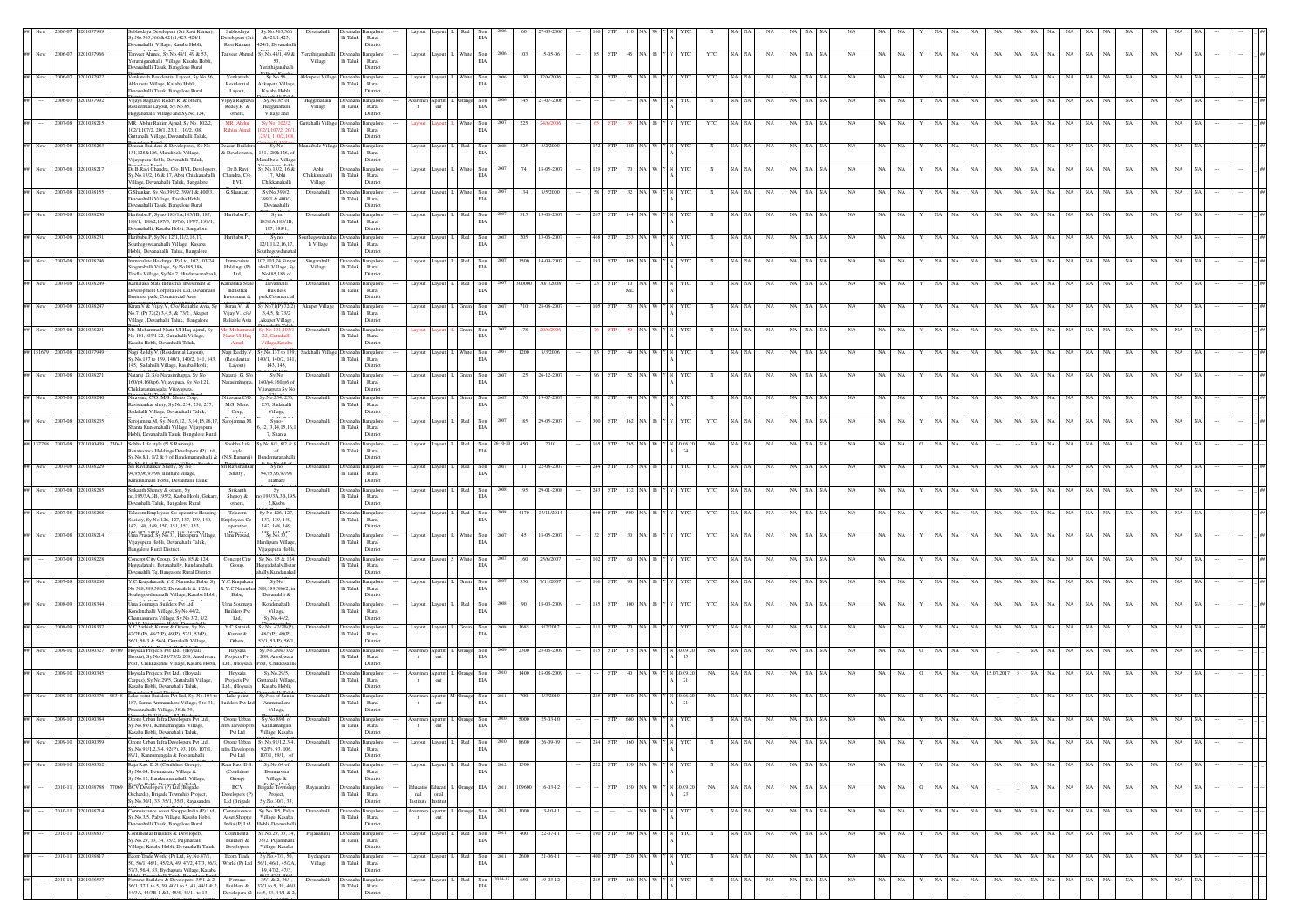|                   |                |                    | daya Developers (Sri Ravi Kuma<br>v.No.365,366 &421/1,423, 424/1,<br>evanahalli Village, Kasaba Hobli                                      | Subhodaya<br>Developers (Sri                  | Sy.No.365,366<br>&421/1.423.<br>Ravi Kumar) 424/1. Devanahal           |                                                | lli Taluk                                         | Rural<br>District                    |                                                |       | EIA                                                                                               |                        |            |            |            |               |              |       |             |                             |                            |                         |                 |                            |       |             |                    |           |           |             |    |        |
|-------------------|----------------|--------------------|--------------------------------------------------------------------------------------------------------------------------------------------|-----------------------------------------------|------------------------------------------------------------------------|------------------------------------------------|---------------------------------------------------|--------------------------------------|------------------------------------------------|-------|---------------------------------------------------------------------------------------------------|------------------------|------------|------------|------------|---------------|--------------|-------|-------------|-----------------------------|----------------------------|-------------------------|-----------------|----------------------------|-------|-------------|--------------------|-----------|-----------|-------------|----|--------|
|                   | New 2006-07    |                    | Tanveer Ahmed, Sy.No.48/1, 49 & 53,<br>Yerathiganahalli Village, Kasaba Hobli,                                                             |                                               | Tanveer Ahmed Sy.No.48/1, 49 &<br>53.                                  | erathiganahall<br>Village                      | lli Taluk                                         | ingalor<br>Rural                     | Layout Layout                                  |       | $\begin{tabular}{ll} \hline \textbf{White} & \textbf{Non} \\ \hline \textbf{EIA} & \end{tabular}$ | 15-05-06<br>103        | <b>STP</b> |            |            |               | YTC          |       | NA          | <b>NA</b><br>N <sub>A</sub> | NA<br>NA                   | NA                      | NA<br>NA        | NA<br>NA                   |       |             | NA<br>NA           | NA        | NA        | $_{\rm NA}$ | NA |        |
|                   | 2006-07        |                    | evanahalli Taluk, Bangalore Rural<br>enkatesh Residential Layout, Sy.No.56                                                                 | Venkatesh                                     | Yerathiganahall<br>Sy.No.56,                                           | kkupete Village                                |                                                   | District                             | Layout                                         |       | Non                                                                                               | 12/6/200               |            |            |            |               |              |       |             |                             |                            |                         |                 |                            |       |             |                    |           |           |             |    |        |
|                   | 2006-07        |                    | Akkupete Village, Kasaba Hobli,<br>evanahalli Taluk, Bangalore Rural<br>Vijaya Raghava Reddy.R & others.                                   | Residential<br>Layout,<br>Vijaya Raghava      | Akkupete Village<br>Kasaba Hobli<br>Sy.No.85 of                        | Hegganahal                                     | lli Taluk<br><b>Jevana</b>                        | Rural<br>District<br>angalo          |                                                |       | $_{\rm EIA}$<br>Non                                                                               | 145<br>21-07-200       |            |            |            |               |              |       | NA          |                             |                            |                         |                 |                            |       |             |                    |           |           |             |    |        |
|                   |                |                    | sidential Layout, Sy.No.85,<br>legganahalli Village and Sy.No.124,                                                                         | Reddy.R &<br>others,                          | Hegganahalli<br>Village and                                            | Village                                        | li Taluk                                          | Rural<br>District                    | $_{\rm ent}$<br>$\mathbf{t}$                   |       | $_{\rm EIA}$                                                                                      |                        |            |            |            |               |              |       |             |                             |                            |                         |                 |                            |       |             |                    |           |           |             |    |        |
|                   | 2007-08        |                    | MR. Abdur Rahim Ajmal, Sy No. 102/2,<br>102/1,107/2, 20/1, 23/1, 110/2,108,<br>Guttahalli Village, Devanahalli Taluk                       | MR. Abdur<br>Rahim Ajm                        | Sy No. 102/2<br>2/1,107/2, 20<br>23/1, 110/2,10                        | attahalli Village Devanaha Bangalor            | $\mathop{\mathsf{li}}$ Taluk                      | Rural<br>District                    | avout                                          |       | White Non<br>$_{\rm EIA}$                                                                         | 225                    |            |            |            |               |              |       | NA          | NA NA                       | <b>NA</b>                  |                         |                 |                            |       |             |                    |           |           |             |    |        |
| New 1             | 2007-08        |                    | .<br>Deccan Builders & Developeres, Sy No<br>31,128&126, Mandibele Village,                                                                | Deccan Builders<br>& Developeres,             | Sy No<br>131,128&126, o                                                |                                                | lli Taluk                                         | angalo<br>Rural                      | Layout                                         |       | $_{\rm EIA}$                                                                                      | 325                    |            |            |            |               |              |       |             |                             |                            |                         |                 |                            |       |             |                    |           |           |             |    |        |
|                   | New 2007-08    |                    | /ijayapura Hobli, Devenahlli Taluk,<br>Dr.B.Ravi Chandra, C/o. BVL Developers                                                              | Dr.B.Ravi                                     | Mandibele Village<br>y.No.15/2, 16 8                                   | Abhi                                           | evanaha Bangalor                                  | District                             | Layout                                         |       | Non<br>EIA                                                                                        | 18-05-200<br>74        |            |            |            |               |              |       | NA          | NA NA                       | NA                         |                         |                 |                            |       |             |                    |           |           |             |    |        |
|                   | New 2007-08    |                    | šy. No. 15/2, 16 & 17, Abhi Chikkanahalli<br>illage, Devanahalli Taluk, Bangalore<br>G.Shankar, Sy.No.399/2, 399/1 & 400/3,                | Chandra, C/o<br>BVL<br>G.Shankar,             | 17, Abhi<br>Chikkanahalli<br>Sy.No.399/2,                              | Chikkanahalli<br>Village<br>Devanahalli        | li Taluk<br>evanaha Bangalon                      | Rural<br>District                    | Layout Layout                                  |       |                                                                                                   | 134<br>8/5/200         |            |            |            |               |              |       | NA          | NA NA                       | NA                         |                         |                 |                            |       |             |                    |           |           | NA          |    |        |
|                   |                |                    | Devanahalli Village, Kasaba Hobli,<br>Devanahalli Taluk, Bangalore Rural                                                                   |                                               | 399/1 & 400/3.<br>Devanahalli                                          |                                                | li Taluk                                          | Rural<br>District                    |                                                |       | $\begin{tabular}{ll} \hline \textbf{White} & \textbf{Non} \\ \hline \textbf{ELA} & \end{tabular}$ |                        |            |            |            |               |              |       |             |                             |                            |                         |                 |                            |       |             |                    |           |           |             |    |        |
|                   | New 2007-08    |                    | laribabu.P. Sv no 185/1A.185/1B. 187.<br>188/1, 188/2, 197/3, 197/6, 197/7, 199/1<br>evanahalli, Kasaba Hobli, Bangalore                   | Haribabu.P.                                   | Syno<br>185/1A.185/1B<br>187, 188/1,                                   | Devanahall                                     | vana<br>li Taluk                                  | Rural<br>District                    | layout<br>Lavout                               | Red 1 | Non<br>$_{\rm EIA}$                                                                               | 315<br>13-06-20        |            |            |            |               |              |       | NA          | NA NA                       |                            |                         |                 |                            |       |             |                    |           | NA        | NA          |    |        |
|                   | New 2007-08    |                    | Haribabu.P, Sy No 12/1,11/2,16,17,<br>outhegowdanahalli Village, Kasaba                                                                    | Haribabu.P.                                   | Sy no<br>12/1,11/2,16,17                                               | uthegowdanahal Devanaha Bangalor<br>li Village | li Taluk                                          | Rural                                | Layout Layout L                                |       | $\begin{tabular}{ll} Red & Non\\ ELA \\ \end{tabular}$                                            | 205<br>13-06-2007      | <b>STP</b> |            |            |               |              |       | <b>NA</b>   | NA NA                       | <b>NA</b>                  |                         |                 |                            |       |             | NA                 |           | NA        | NA          |    |        |
|                   | New 2007-08    |                    | Hobli, Devanahalli Taluk, Bangalore<br>mmaculate Holdings (P) Ltd, 102,103,74<br>ngarahalli Village, Sy No185,186,                         | Immaculate<br>Holdings (P)                    | outhegowdanah<br>102,103,74,Sings<br>ahalli Village, S                 | Singarahall<br>Village                         | evana<br>li Taluk                                 | District<br>angalo<br>$\rm{Rural}$   | Layout Layout                                  |       | $\begin{tabular}{ll} Red & Non\\ ELA \\ \end{tabular}$                                            | 1500<br>14-09-20       |            |            |            |               |              |       | NA          |                             | <b>NA</b>                  |                         |                 |                            |       |             |                    |           | NA        | NA          |    |        |
|                   |                |                    | findlu Village, Sy No 7, Hindarasanaha<br>Carnataka State Industrial Investment &                                                          | Ltd,<br>Karnataka State                       | No185,186 of<br>Devanhalli                                             | Devanahalli                                    | evana                                             | District<br>langalo                  | Layout                                         |       | Non                                                                                               | 30/1/200               |            |            |            |               |              |       |             |                             |                            |                         |                 |                            |       |             |                    |           |           |             |    |        |
|                   |                |                    | Development Corporation Ltd, Devanhalli<br>iness park, Commercial Area                                                                     | Industrial<br>Investment &                    | $\rm B \, using$<br>ark, Commercia                                     |                                                | li Taluk                                          | $\rm{Rural}$<br>District             |                                                |       | $_{\rm EIA}$                                                                                      |                        |            |            |            |               |              |       |             |                             |                            |                         |                 |                            |       |             |                    |           |           |             |    |        |
| New               | 2007-08        |                    | Kiran.V & Vijay.V, C/o/ Reliable Avia, Sy<br>No.71(P) 72(2) 3,4,5, & 73/2, Akupet<br>'illage , Devanhalli Taluk, Bangalore                 | Kiran.V. &<br>Vijay.V., c/o/<br>Reliable Avia | y No71(P) 72(2)<br>3,4,5, & 73/2<br>Akupet Village                     | Akupet Village                                 | lli Taluk                                         | langalor<br>Rural<br>District        | Layout<br>Layout                               |       | $\begin{tabular}{ll} Green & Non\\ ELA \\ \end{tabular}$                                          | 710<br>28-08-20        |            |            |            |               |              |       | NA          |                             | NA                         |                         |                 |                            |       |             |                    |           |           |             |    |        |
|                   | 2007-01        |                    | Mr. Mohammed Nazir-Ul-Haq Ajmal, Sy<br>No 101,103/1 22, Guttahalli Village,<br>Kasaba Hobli, Devanhalli Taluk.                             | lazir-Ul-Hac<br>Ajmal                         | 22. Guttahalli<br>Village, Kasab                                       | Devanahalli                                    | lli Taluk                                         | ingalo<br>Rural<br>District          |                                                |       | een Non<br>EIA                                                                                    |                        |            |            |            |               |              |       |             |                             |                            |                         |                 |                            |       |             |                    |           |           |             |    |        |
| 51679             | 2007-08        |                    | Nagi Reddy.V. (Residential Layout),<br>v.No.137 to 139, 140/1, 140/2, 141, 143                                                             | Nagi Reddy.V.<br>(Residential                 | Sv.No.137 to 139.<br>40/1, 140/2, 141                                  | Sadahalli Village Devan                        | lli Taluk                                         | Rural                                | Layout Layout                                  |       | White Non<br>EIA                                                                                  | 1200<br>8/3/200        |            |            |            |               |              |       | <b>NA</b>   | NA NA                       | <b>NA</b>                  |                         |                 |                            |       |             |                    |           |           |             |    |        |
|                   | New 2007-08    |                    | 45, Sadahalli Village, Kasaba Hobli,<br>Nataraj .G, S/o Narasimhappa, Sy No                                                                | Layout)<br>Nataraj .G. S/o                    | 143, 145,<br>Sv No                                                     | Devanahalli                                    | Devanaha Bangalor<br>li Taluk                     | District                             | Layout Layout                                  |       | $\begin{tabular}{ll} Green & Non\\ EIA \end{tabular}$                                             | 125<br>$26 - 12 - 200$ |            |            |            |               |              |       | NA          | NA NA                       | <b>NA</b>                  |                         |                 |                            |       |             |                    |           |           |             |    |        |
| New               | 2007-08        |                    | 160/p4,160/p6, Vijayapura, Sy No 121,<br>Chikkatamanagala, Vijayapura,<br>Niravana, C/O. M/S. Metro Corp.                                  | Narasimhappa,<br>Niravana C/O.                | 160/p4,160/p6 of<br>ijayapura Sy N<br>Sy.No.254, 256,                  | Devanahall                                     | <b>Jevanaha</b>                                   | Rural<br>District<br>langalo         | Layout                                         |       | Non                                                                                               | 19-07-20               |            |            |            |               |              |       |             |                             |                            |                         |                 |                            |       |             |                    |           |           |             |    |        |
|                   |                |                    | lavishankar shety, Sy.No.254, 256, 257,<br>adahalli Village, Devanahalli Taluk,                                                            | M/S. Metro<br>Corp,                           | 257, Sadahalli<br>Village,                                             |                                                | li Taluk                                          | Rural<br>District                    |                                                |       | $_{\rm EIA}$                                                                                      |                        |            |            |            |               |              |       |             |                             |                            |                         |                 |                            |       |             |                    |           |           |             |    |        |
|                   | New 2007-08    |                    | Sarojamma.M, Sy. No.6,12,13,14,15,16,17, Sarojamma.M.<br>nta Kuntenahalli Village, Vijayapura<br>Hobli, Devanahalli Taluk, Bangalore Rural |                                               | Syno-<br>12,13,14,15,16,<br>7, Shanta                                  | Devanahall                                     | Devanaha Bangalor<br>$\operatorname{\sf i}$ Taluk | Rural<br>District                    | Layout Layout I.                               | Red   | Non<br>EIA                                                                                        | 29-05-200<br>185       |            |            |            |               |              |       | NA          | NA NA                       | <b>NA</b>                  |                         |                 |                            |       |             |                    |           |           |             |    |        |
|                   | 137788 2007-08 |                    | Sobha Life style (N.S.Ramanji),<br>aissance Holdings Developers (P) Ltd.<br>v.No.8/1, 8/2 & 9 of Bandemaranahalli & (N.S.Ramanji           | Shobha Life<br>style                          | Sy.No.8/1, 8/2 &<br>of<br>andemaranahal                                | Devanahalli                                    | evanaha Bangalor<br>li Taluk                      | Rural<br>District                    | Layout<br>Layout                               |       | $_{\rm Non}$<br>EIA                                                                               | 450<br>201             |            |            |            | 24            | NA           |       | NA          |                             |                            |                         |                 |                            |       |             |                    |           |           |             |    |        |
|                   | New 2007-08    |                    | Sri Ravishankar Shetty, Sy No<br>94,95,96,97/98, Illathare village                                                                         | Sri Ravishankar<br>${\rm Shetty}$ ,           | Syno<br>94.95.96.97/91                                                 | Devanahall                                     | li Taluk                                          | angalo<br>$\rm{Rural}$               | Layout                                         |       | Non<br>$\rm EIA$                                                                                  | 22-08-20               |            |            |            |               |              |       |             | NA                          |                            |                         |                 |                            |       |             |                    |           |           |             |    |        |
|                   | New 2007-08    |                    | Gundanahalli Hobli, Devanhalli Taluk.<br>irikanth Shenoy & others, Sy<br>10.195/3A.3B.195/2. Kasba Hobli, Goka                             | Srikanth<br>Shenoy &                          | illathare<br>Sy<br>.195/3A.3B.19                                       | Devanahalli                                    | evanaha Bangalor<br>lli Taluk                     | District<br>Rural                    | Layout                                         | Red   | $$\rm Non$ EIA                                                                                    | 29-01-200<br>195       | <b>STP</b> |            |            |               | YTC          |       |             | NA NA                       | N/                         |                         |                 |                            |       |             |                    |           |           | NA          |    |        |
|                   | New 2007-08    |                    | evanhalli Taluk, Bangalore Rural<br>elecom Employees Co-operative Housin<br>ociety. Sv No 126, 127, 137, 139, 140,                         | others.<br>Telecom                            | 2.Kasba<br>Sy No 126, 127.                                             | Devanahall                                     | vana                                              | District                             | Layout Layout I.                               |       | Red Non<br>EIA                                                                                    | 4170<br>13/11/201      |            |            |            |               | YTC          |       | <b>NA</b>   | NA NA                       | NA                         |                         |                 |                            |       |             |                    |           | <b>NA</b> | NA          |    |        |
| New               | 2007-08        |                    | 142, 148, 149, 150, 151, 152, 153,<br>Jma Prasad, Sy.No.33, Hardipura Village                                                              | Employees Co-<br>operative<br>Uma Prasad,     | 137, 139, 140<br>142, 148, 149,<br>Sy.No.33,                           | Devanahall                                     | li Taluk<br>evanaha <sup>1</sup>                  | Rural<br>District<br><b>Bangalor</b> | Layout<br>avout                                |       | White Non                                                                                         | 18-05-20<br>45         |            |            |            |               |              |       | <b>NA</b>   |                             |                            |                         |                 |                            |       |             |                    |           |           |             |    |        |
|                   |                |                    | Vijayapura Hobli, Devanahalli Taluk,<br>angalore Rural District.                                                                           |                                               | Hardipura Villag<br>/ijayapura Hobli                                   |                                                | li Taluk                                          | Rural<br>District                    |                                                |       | EIA                                                                                               |                        |            |            |            |               |              |       |             |                             |                            |                         |                 |                            |       |             |                    |           |           |             |    |        |
|                   | 2007-08        | 910382             | Concept City Group, Sy No. 85 & 124,<br>leggadahaly, Betanahally, Kundanahalli,<br>anahlli Tq, Bangalore Rural District                    | Concept City<br>Group,                        | Sy No. 85 & 124<br>eggadahaly, Beta<br>ally, Kundanaha                 | Devanahall                                     | evanal<br>i Taluk                                 | angalo<br>$\rm{Rural}$<br>District   | Layout<br>Lavout 3                             |       | $\begin{tabular}{ll} \bf{White} & \bf{Non} \\ & \bf{EIA} \end{tabular}$                           | 160<br>25/6/200        |            |            |            |               | YTC          |       | <b>NA</b>   |                             | NA                         |                         |                 |                            |       |             |                    |           |           |             |    |        |
|                   |                |                    | C.Krupakara & Y.C.Narendra Babu, Sy<br>lo 388,389,386/2, Devanahlli & 1/2/in<br>ouhegowdanahalli Village, Kasaba Hobli                     | Y.C.Krupakara<br>& Y.C.Narendra<br>Babu,      | Sy No<br>388,389,386/2, is<br>Devanahlli &                             | Devanahalli                                    | evana<br>li Taluk                                 | langalo<br>$\rm{Rural}$<br>District  | Layout                                         |       | $$\tt Non$ EIA                                                                                    |                        |            |            |            |               |              |       |             |                             |                            |                         |                 |                            |       |             |                    |           |           |             |    |        |
| New               | 2008-09        |                    | Jma Soumaya Builders Pvt Ltd,<br>Condenahalli Village, Sy.No.44/2,                                                                         | Uma Soumay<br><b>Builders Pvt</b>             | Kondenahalli<br>Village,                                               | Devanahalli                                    | lli Taluk                                         | ingalo<br>Rural                      | Layout Layout                                  |       | Non<br>EIA                                                                                        | 18-03-20               |            |            |            |               |              |       |             |                             |                            |                         |                 |                            |       |             |                    |           |           |             |    |        |
| New               | 2008-09        |                    | annasandra Village, Sy.No.3/2, 8/2,<br>C.C.Sathish Kumar & Others, Sy No.<br>47/2B(P), 48/2(P), 49(P), 52/1, 53(P),                        | Ltd,<br>Y.C.Sathish<br>Kumar &                | Sy.No.44/2,<br>Sy No. 47/2B(P<br>48/2(P), 49(P).                       | Devanahalli                                    | li Taluk                                          | District<br>Rural                    | Layout Layout                                  |       | $\begin{tabular}{ll} Green & Non\\ ELA \\ \end{tabular}$                                          | 1685<br>9/7/2012       |            |            |            |               | YTC          |       | NA          | NA<br><b>NA</b>             | NA                         |                         |                 |                            |       |             |                    |           |           |             |    |        |
| New               | 2009-10        |                    | 56/1, 56/3 & 56/4, Guttahalli Village<br>Hoysala Projects Pvt Ltd., (Hoysala                                                               | Others.<br>Hoysala                            | 52/1, 53(P), 56/<br>Sy.No.288/73/2                                     | Devanahalli                                    |                                                   | District                             |                                                |       | ange Non<br>EIA                                                                                   | 25-06-200<br>2300      |            |            |            |               | NA           |       | NA          | NA NA                       | <b>NA</b>                  |                         |                 |                            |       |             |                    |           |           |             |    |        |
|                   | New 2009-10    |                    | roxia), Sv.No.288/73/2/208. Aneshwar<br>ost. Chikkasanne Village, Kasaba Hobli<br>Hoysala Projects Pvt Ltd., (Hoysala                      | Projects Pvt<br>Hoysala                       | 208. Aneshwara<br>Ltd., (Hovsala Post, Chikkasar<br>Sv.No.29/5.        | Devanahalli                                    | lli Taluk<br>Devanaha Bangalor                    | Rural<br>District                    | $\mathbf{t}$<br>ent<br>Apartmen Apartm I.      |       |                                                                                                   | 18-08-2009<br>1400     | <b>STP</b> |            |            | 15<br>0.09.20 | NA           |       | NA          | NA NA                       | NA                         |                         |                 | NA.<br>15.07.20            |       |             |                    |           |           |             |    |        |
|                   |                |                    | larpus), Sy.No.29/5, Guttahalli Village,<br>Kasaba Hobli, Devanahalli Taluk.                                                               | Projects Pvt<br>Ltd., (Hoysala                | Guttahalli Village<br>Kasaba Hobl                                      |                                                | li Taluk                                          | Rural<br>District                    | ent<br>$\mathbf{t}$                            |       | Orange Non<br>EIA                                                                                 |                        |            |            |            | 21            |              |       |             |                             |                            |                         |                 |                            |       |             |                    |           |           |             |    |        |
|                   | 2009-10        |                    | Lake point Builders Pvt Ltd, Sy. No.104 to<br>87, Sanna Ammanakere Village, 9 to 31,<br>rasannahalli Village, 38 & 39,                     | Lake point<br><b>Builders Pvt Ltd</b>         | Sy.Nos of Sanna<br>Ammanakere<br>Village,                              | Devanahall                                     | evanaha<br>li Taluk                               | langalo<br>Rural<br>District         | partmen Apartm M<br>$\rm{cnt}$<br>$\mathbf{t}$ |       | Non<br>$_{\rm EIA}$                                                                               |                        |            |            |            | 0.6.20        |              |       |             |                             |                            |                         |                 |                            |       |             |                    |           |           |             |    |        |
|                   |                |                    | y.No.89/1, Kannamangala Village,<br>Kasaba Hobli, Devanahalli Taluk,                                                                       | Ozone Urban<br>Pvt Ltd                        | Sy.No.89/1 of<br>nfra Developers Kannamangala<br>Village, Kasaba       | Devar                                          | $\rm{Ili}$ Taluk                                  | Rural<br>District                    | $\rm{cnt}$                                     |       | $_{\rm EIA}$                                                                                      |                        |            |            |            |               |              |       |             |                             |                            |                         |                 |                            |       |             |                    |           |           |             |    |        |
| ## New 2009-10 0. |                |                    | Ozone Urban Infra Developers Pvt Ltd.,<br>v.No.91/1,2,3,4, 92(P), 93, 106, 107/1,                                                          | <b>Infra Developers</b>                       | Ozone Urban Sy.No.91/1,2,3,4,<br>92(P), 93, 106,                       | Devanahalli                                    | evanaha Bangalore<br>li Taluk                     | Rural                                | Layout L. Red Non                              |       | EIA                                                                                               | 26-09-09<br>8600       | 284 STP    |            | 160 NA W Y | YTC           |              | NA NA | $_{\rm NA}$ | NA NA NA                    | NA<br>NA                   | NA                      | Y NA NA         | NA<br>$_{\rm NA}$          |       | NA NA NA NA |                    | NA NA     | NA        | NA          | NA |        |
|                   | New 2009-10    |                    | 89/1, Kannamangala & Poojanahalli<br>Raja Rao. D.S. (Confident Group)                                                                      | Pvt Ltd<br>Raja Rao. D.S.                     | $107/1, 89/1, \alpha$<br>Sy.No.64 of                                   | Devanaha                                       |                                                   | District<br>angalor                  | Layout                                         | Red   | Non                                                                                               | 1500                   | <b>STP</b> | 150 NA     |            |               |              | NA NA | NA          | NA NA                       | NA<br>NA                   | NA.                     | NA              | NA<br>NA                   |       | NA          | NA                 | NA        | NA        | NA          | NA |        |
|                   | 2010-11        |                    | sy.No.64, Bommavara Village &<br>v.No.12. Bandaramanahalli Village<br><b>BCV</b> Developers (P) Ltd (Brigade                               | (Confident<br>Group)<br>BCV                   | Bommavara<br>Village &<br>rigade Townshi                               | Rayasandra                                     | li Taluk<br>evanaha l                             | Rural<br>District<br>angalop         | Educatio<br>Educati <sup>1</sup>               |       | EIA<br>Orange EIA                                                                                 | 16-03-12<br>09600      | <b>STP</b> | 150 NA     | W Y        | 30.09.20      | NA           | NA NA | NA          | NA NA N                     | NA<br>NA                   | <b>NA</b><br>$^{\circ}$ | <b>NA</b><br>NA | NA                         |       | NA NA       | NA<br>NA           | <b>NA</b> | NA        | NA          | NA |        |
|                   |                |                    | Orchards), Brigade Township Project,<br>Sy.No.30/1, 33, 35/1, 35/3, Rayasandra                                                             | Developers (P)<br>Ltd (Brigade                | Project.<br>Sy.No.30/1, 33                                             |                                                | lli Taluk                                         | Rural<br>District                    | nal<br>onal<br>Institute Institut              |       |                                                                                                   |                        |            |            |            | 23            |              |       |             |                             |                            |                         |                 |                            |       |             |                    |           |           |             |    |        |
|                   |                | 2010-11 0201058714 | Connaissance Asset Shoppe India (P) Ltd.,<br>Sy.No.3/5, Palya Village, Kasaba Hobli,<br>Devanahalli Taluk, Bangalore Rural                 | Connaissance<br>Asset Shoppe                  | Sv.No.3/5, Palva<br>Village, Kasaba<br>India (P) Ltd Hobli, Devanahall | Devanahalli                                    | Jevanaha Bangalon<br>li Taluk                     | Rural<br>District                    | Apartmen Apartm L Orange Non<br>$\,$ t $\,$    |       | 2011<br>$_{\rm EIA}$                                                                              | 1000<br>$13-10-11$     |            |            |            | YTC           | $\mathbf{N}$ | NA NA | NA          | NA NA NA                    | <b>NA</b><br>NA.           | NA                      | Y NA NA         | NA<br>NA                   |       | NA NA NA NA |                    | NA NA     | NA        | NA          | NA |        |
|                   | 2010-11        |                    | ontinental Builders & Developers,<br>Sy.No.29, 33, 34, 35/2, Pujanahalli<br>illage, Kasaba Hobli, Devanahalli Taluk.                       | Continental<br>Builders &<br>Developers       | y.No.29, 33, 34,<br>35/2, Pujanahall<br>Village, Kasaba                | Pujanahalli                                    | evanaha Bangalor<br>li Taluk                      | Rural<br>District                    | Layout Layout                                  | Red 1 | Non<br>EIA                                                                                        | 22-07-11<br>400        | STP        | 300        |            |               |              |       | NA          | NA   NA                     | NA<br>NA                   | NA                      | NA<br>NA.       | NA<br>NA                   | A INA |             | NA<br>NA           | NA        | NA        | NA          | NA |        |
|                   | 2010-11        | 02010588           | icom Trade World (P) Ltd, Sy.No.47/1,<br>0, 56/1, 46/1, 45/2A, 49, 47/2, 47/3, 56/3,                                                       | Ecom Trade<br>World (P) Ltd                   | Sy.No.47/1, 50,<br>56/1, 46/1, 45/2A,                                  | Bychapura<br>Village                           | evanaha Bangalor<br>li Taluk                      | Rural                                | Layout Layout L Red Non                        |       | 2011<br>EIA                                                                                       | 2600<br>21-06-11       | $00$ STP   | 250 NA W Y |            | YTC           | $\mathbf{N}$ | NA NA | NA          | NA NA NA                    | NA<br>NA                   | NA                      | Y NA NA         | NA<br>NA                   |       | NA NA NA NA |                    | NA NA     | NA        | NA          | NA | $\sim$ |
|                   | $2010 - 11$    |                    | 7/3, 56/4, 53, Bychapura Village, Kasaba<br>Fortune Builders & Developers, 35/1 & 2,<br>36/1, 37/1 to 5, 39, 40/1 to 5, 43, 44/1 & 2,      | Fortune                                       | 49, 47/2, 47/3,<br>35/1 & 2, 36/1,<br>Builders & 37/1 to 5, 39, 40/1   | Devanahalli                                    | evana<br>li Taluk                                 | District<br><b>Bangalor</b><br>Rural | Layout                                         | Red   | $$\rm Non$ EIA                                                                                    | 650<br>19-03-12        | STP        | 160        |            | YTC           |              |       | $_{\rm NA}$ | NA NA                       | $_{\rm NA}$<br>$_{\rm NA}$ | $_{\rm NA}$             | NA<br>NA        | $_{\rm NA}$<br>$_{\rm NA}$ | NA NA | NA          | NA.<br>$_{\rm NA}$ | NA        | NA        | NA          | NA |        |
|                   |                |                    | 44/3A, 44/3B-1 &2, 45/6, 45/11 to 13,                                                                                                      | Developers (2                                 | to 5, 43, 44/1 & 2,                                                    |                                                |                                                   | Distric                              |                                                |       |                                                                                                   |                        |            |            |            |               |              |       |             |                             |                            |                         |                 |                            |       |             |                    |           |           |             |    |        |

46/1 to 3, 47/1 to 4, 48/1, 48/2A & 48/2B

files)

44/3A, 44/3B-1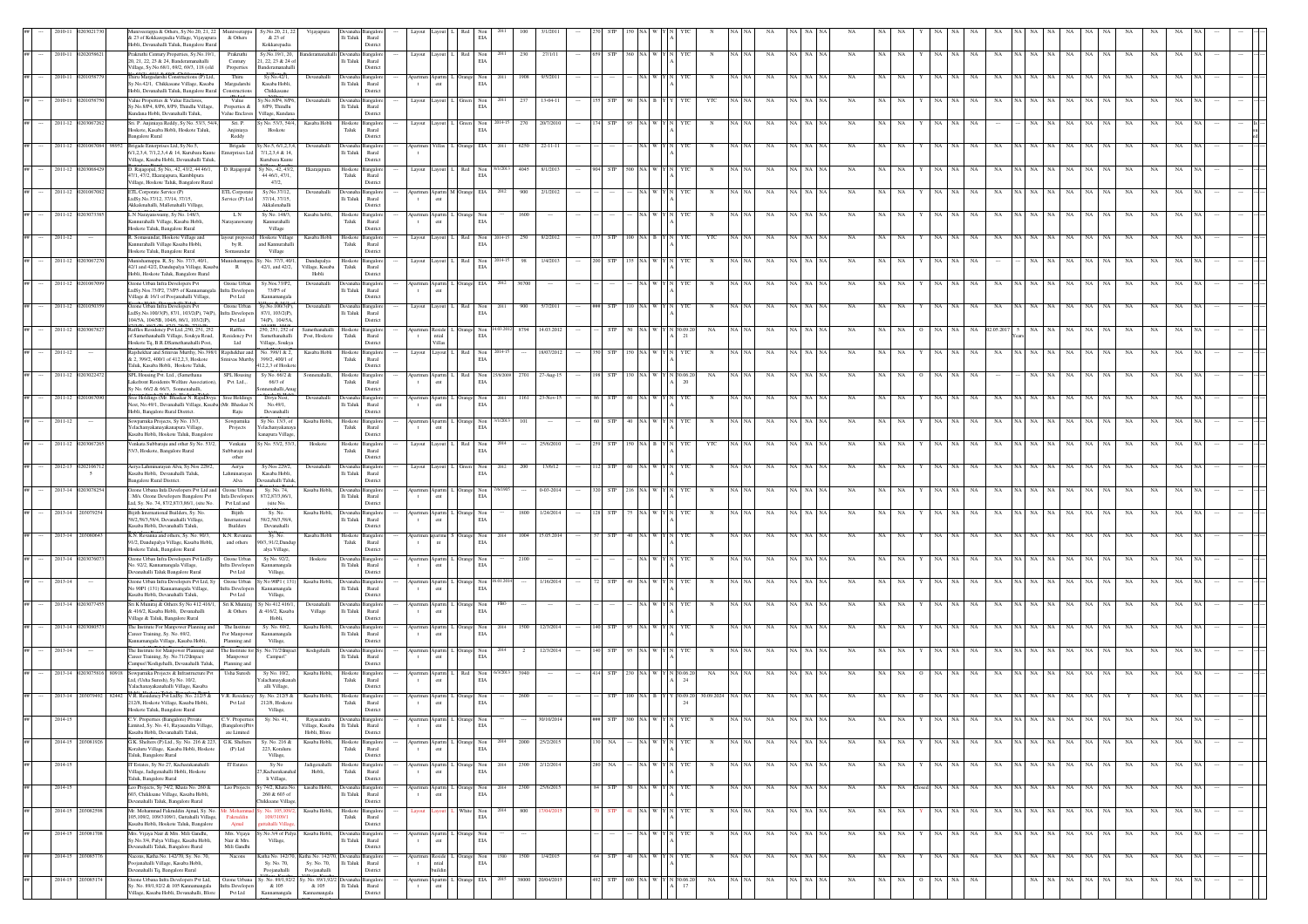|                 |                             | iveerappa & Others, Sy.No.20, 21, 22<br>& 23 of Kokkarepadia Village, Vijayapura<br>Hobli, Devanahalli Taluk, Bangalore Rura             | Muniveerappa<br>& Others                        | Sy.No.20, 21, 2<br>& 23 of<br>Kokkarepadia            | Vijayapura                               | $\rm{Ili}$ Taluk                   | Rural<br>District                    |                                                    |              | $_{\rm EIA}$                                                             |       |                 |    |            |           |                         |       |    |             |             |             |                 |             |                 |    |       |          |             |       |           |                   |    |  |  |
|-----------------|-----------------------------|------------------------------------------------------------------------------------------------------------------------------------------|-------------------------------------------------|-------------------------------------------------------|------------------------------------------|------------------------------------|--------------------------------------|----------------------------------------------------|--------------|--------------------------------------------------------------------------|-------|-----------------|----|------------|-----------|-------------------------|-------|----|-------------|-------------|-------------|-----------------|-------------|-----------------|----|-------|----------|-------------|-------|-----------|-------------------|----|--|--|
|                 | 2010-11 02020586            | Prakruthi Century Properties, Sy.No.19/1<br>20, 21, 22, 23 & 24. Banderamanahalli                                                        | Prakruthi<br>Century                            | Sy.No.19/1, 20,<br>1.22.23 & 24 c                     |                                          | Ili Taluk                          | angalor<br>Rural                     | Layout Layout                                      |              | $\begin{tabular}{ll} Red & Non\\ \hline ELA \\ \end{tabular}$            | 230   | 27/1/11         |    | <b>STP</b> |           |                         |       | NA |             | I NA        | NA          |                 | NA<br>NA    | NA              | NA |       |          | $_{\rm NA}$ | NA    | NA        | NA<br>NA          | NA |  |  |
| 2010-11         |                             | Village, Sv.No.68/1, 69/2, 69/3, 118 (old<br>hiru Margadarshi Constructions (P) Ltd                                                      | Properties<br>Thiru                             | anderamanahal<br>Sy.No.42/1,                          | Devanahalli                              |                                    | District                             |                                                    |              | Non                                                                      |       | 9/5/201         |    |            |           |                         |       |    |             |             |             |                 |             |                 |    |       |          |             |       |           |                   |    |  |  |
| 2010-11         |                             | Sv.No.42/1, Chikkasane Village, Kasaba<br>lobli, Devanahalli Taluk, Bangalore Rural<br>Value Properties & Value Enclaves,                | Margadarshi<br><b>Construction</b><br>Value     | Kasaba Hobli.<br>Chikkasane<br>y.No.8/P4, 8/P6        | Devanahalli                              | lli Taluk<br>Devanaha              | Rural<br>District<br>angalo          | ent<br>$\mathbf{t}$<br>Layout Layout               |              | $_{\rm EIA}$<br>Non                                                      |       | $13-04-1$       |    |            |           |                         |       |    |             |             |             |                 |             |                 |    |       |          |             |       |           |                   |    |  |  |
|                 |                             | y.No.8/P4, 8/P6, 8/P9, Thindlu Village,<br>undana Hobli, Devanahalli Taluk,                                                              | Properties &<br>Value Enclaves                  | 8/P9, Thindlu<br>Village, Kunda                       |                                          | li Taluk                           | Rural<br>District                    |                                                    |              | $_{\rm EIA}$                                                             |       |                 |    |            |           |                         |       |    |             |             |             |                 |             |                 |    |       |          |             |       |           |                   |    |  |  |
|                 | 2011-12 020306726           | Sri. P. Anjiniaya Reddy, Sy No. 53/3, 54/4<br>loskote, Kasaba Hobli, Hoskote Taluk,<br>angalore Rural                                    | Sri. P.<br>Anjiniaya<br>Reddy                   | y No. 53/3, 54/4,<br>Hoskote                          | Kasaba Hobli                             | Hoskote 1<br>Taluk                 | <b>Bangalor</b><br>Rural<br>District | Layout Layout                                      |              | Green Non<br>EIA                                                         | 270   | 20/7/201        |    |            |           |                         |       | NA |             |             |             |                 |             |                 |    |       |          |             |       |           |                   |    |  |  |
| 2011-12         |                             | rigade Enterprises Ltd, Sy.No.5,<br>5/1,2,3,4, 7/1,2,3,4 & 14, Kurubara Kunte<br>Village, Kasaba Hobli, Devanahalli Taluk,               | Brigade<br>nterprises Ltd                       | y.No.5, 6/1,2,3,<br>7/1,2,3,4 & 14,<br>Kurubara Kunte | Devanahal                                | li Taluk                           | ingal<br>Rural<br>District           | $\mathbf{t}$                                       |              | EIA                                                                      | 6250  | $22-11-1$       |    |            |           |                         |       |    |             |             |             |                 |             |                 |    |       |          |             |       |           |                   |    |  |  |
| 2011-12         |                             | 0. Rajagopal, Sy No,. 42, 43/2, 44 46/1,<br>17/1, 47/2, Ekarajapura, Kamblipura                                                          | D. Rajagopal                                    | Sy No., 42, 43/2<br>44 46/1, 47/1,                    | Ekarajapura                              | Hoskote<br>Taluk                   | <b>Bangalor</b><br>Rural             | Layout                                             |              | $\mbox{Non}$<br>$_{\rm EIA}$                                             | 4045  | 8/1/201         |    |            |           |                         |       | NA |             |             | NA          |                 |             |                 |    |       |          |             |       |           |                   |    |  |  |
|                 | 2011-12 02010670            | 'illage, Hoskote Taluk, Bangalore Rural<br>ETL Corporate Service (P)<br>LtdSv.No.37/12, 37/14, 37/15.                                    | ETL Corporate<br>Service (P) Ltd                | 47/2,<br>Sy.No.37/12,<br>37/14.37/15                  | Devanahalli                              | vanaha Bangalor<br>lli Taluk       | District<br>Rural                    | $\mathbf{t}$                                       | Apartm M Or: | ange EIA                                                                 | 900   | 2/1/201         |    |            |           |                         |       | NA |             | <b>NA</b>   |             |                 |             |                 |    |       |          | NA          | NA    | NA        | NA                |    |  |  |
| 2011-12 02030   |                             | Akkalenahalli, Mallenahalli Village,<br>L N Narayanswamy, Sy No. 148/3,                                                                  | L N                                             | Akkalenahalli<br>Sy No. 148/3,                        | Kasaba hobli                             | Hoskote                            | District<br>mealor                   |                                                    |              |                                                                          | 1600  |                 |    |            |           |                         |       | NA |             |             |             |                 |             |                 |    |       |          |             |       |           | <b>NA</b>         |    |  |  |
|                 |                             | Kannurahalli Village, Kasaba Hobli,<br>loskote Taluk, Bangalore Rural                                                                    | arayanswa                                       | Kannurahall<br>Village                                |                                          | Taluk                              | Rural<br>District                    | ent<br>$\mathbf{t}$                                |              | Non<br>EIA                                                               |       |                 |    |            |           |                         |       |    |             |             |             |                 |             |                 |    |       |          |             |       |           |                   |    |  |  |
| 2011-12         |                             | 2. Somasundar, Hoskote Village and<br>Kannurahalli Village Kasaba Hobli,<br>loskote Taluk, Bangalore Rural                               | yout propos<br>by R.<br>Somasundar              | Hoskote Village<br>and Kannurahal<br>Village          | Kasaba Hobli                             | Hoskote Bangalore<br>Taluk         | Rural<br>District                    | Layout Layout I.                                   |              | $\begin{tabular}{ll} Red & Non\\ ELA \\ \end{tabular}$                   | 250   | 8/2/2012        |    |            |           | YTC                     |       | NA |             | iA∣NA       | <b>NA</b>   |                 |             | <b>NA</b>       |    |       |          | NA.         |       | NA        | <b>NA</b>         |    |  |  |
| 2011-12 0203067 |                             | funishamappa. R, Sy. No. 37/3, 40/1,<br>12/1 and 42/2, Dandupalya Village, Kasa<br>lobli, Hoskote Taluk, Bangalore Rural                 | $\,$ R                                          | mishamappa. Sy. No. 37/3, 40/1<br>42/1, and 42/2,     | Dandupalya<br>illage, Kasaba<br>Hobli    | Hoskot<br>Taluk                    | langalor<br>$\rm{Rural}$<br>District | Layout Layout                                      |              | Non<br>EIA                                                               |       | 1/4/201         |    |            |           |                         |       |    | NA          |             |             |                 |             |                 |    |       |          |             |       |           |                   |    |  |  |
| 2011-12         |                             | zone Urban Infra Developers Pvt<br>.tdSy.Nos.73/P2, 73/P5 of Kannamangal                                                                 | Ozone Urban<br>fra Developers                   | Sy.Nos.73/P2,<br>73/P5 of                             | Devanahalli                              | <b>EXIDE</b><br>li Taluk           | langalo<br>Rural                     | $\mathbf{t}$                                       |              | EIA                                                                      |       |                 |    |            |           |                         |       |    |             |             |             |                 |             |                 |    |       |          |             |       |           |                   |    |  |  |
| $2011 - 12$     |                             | Village & 16/1 of Poojanahalli Village,<br>Izone Urban Infra Developers Pvt<br>.tdSy.No.100/3(P), 87/1, 103/2(P), 74(P).                 | Pvt Ltd<br>Ozone Urban<br>infra Developers      | Kannamangal<br>Sy.No.100/3(P),<br>87/1, 103/2(P),     | Devanahalli                              | Jevanal<br>li Taluk                | District<br><b>Bangalor</b><br>Rural | Layout Layout 1                                    |              | Non<br>EIA                                                               | 900   | 5/7/201         |    |            |           |                         |       | NA |             |             |             |                 |             |                 |    |       |          |             |       |           |                   |    |  |  |
| 2011-12 020306  |                             | 04/5A, 104/5B, 104/6, 86/1, 103/2(P),<br>laffles Residency Pvt Ltd., 250, 251, 252                                                       | Pvt Ltd<br>Raffles                              | 74(P), 104/5A,<br>250, 251, 252 of                    | Samethanahalli                           | Hosko                              | District<br>ingalor                  |                                                    |              | ange Non                                                                 | 8794  | 14.03.201       |    |            |           |                         |       |    |             |             |             |                 |             |                 |    |       |          |             |       |           |                   |    |  |  |
| 2011-12         |                             | of Samethanahalli Village, Soukya Road,<br>Hoskote Tq, B.R.DSamethanahalli Post,<br>laishekhar and Sriniyas Murthy, No.398               | Residency Pvt<br>Ltd<br>aishekhar and           | Samethanahalli<br>Village, Soukya<br>No. 398/1 & 2.   | Post, Hoskote<br>Kasaba Hobl             | Taluk<br>Hoskot                    | Rural<br>District<br>ingalor         | ntial<br>$\mathbf t$<br>Villas<br>Layout<br>Layout |              | $\rm EIA$<br>Non                                                         |       | 18/07/201       |    |            |           | $^{21}$                 |       |    |             |             |             |                 |             |                 |    |       |          |             |       |           |                   |    |  |  |
|                 |                             | & 2, 399/2, 400/1 of 412.2.3. Hoskote<br>Taluk, Kasaba Hobli, Hoskote Taluk,                                                             | Sriniyas Murthy                                 | 399/2, 400/1 of<br>412,2,3 of Hosko                   |                                          | Taluk                              | Rural<br>District                    |                                                    |              | EIA                                                                      |       |                 |    |            |           |                         |       |    |             |             |             |                 |             |                 |    |       |          |             |       |           |                   |    |  |  |
| 2011-12 0203022 |                             | SPL Housing Pvt. Ltd., (Samethana<br>akefront Residents Welfare Association)<br>Sy No. 66/2 & 66/3, Sonnenahalli,                        | SPL Housing<br>Pvt. Ltd.,.                      | Sy No. 66/2 &<br>$66/3$ of<br>senahalli, Ar           | Sonnenahalli                             | Hoskote<br>Taluk                   | langalor<br>Runal<br>District        | ent                                                |              | Non<br>EIA                                                               | 2701  | 27-Aug-15       |    | <b>STP</b> |           | 0.06.20<br>NA           |       | NA |             |             | NA          |                 |             |                 |    |       |          |             |       |           |                   |    |  |  |
| 2011-12 020106  |                             | ree Holdings (Mr. Bhaskar N. RajuDivya<br>Nest, No.49/1, Devanahalli Village, Kasaba (Mr. Bhaskar N.<br>Hobli, Bangalore Rural District. | Sree Holdings<br>Raju                           | Divya Nest<br>No.49/1,<br>Devanahalli                 | Devanahalli                              | <b>Jevanaha</b><br>li Taluk        | ıngale<br>Rural<br>District          | partmen Apartm<br>ent<br>$\mathbf{t}$              |              | Non<br>$_{\rm EIA}$                                                      | 1161  |                 |    |            |           |                         |       |    |             |             |             |                 |             |                 |    |       |          |             |       |           |                   |    |  |  |
| $2011 - 12$     |                             | owparnika Projects, Sy No. 13/3,<br>elachanyakanayakanapura Village,                                                                     | Sowparnika<br>Projects                          | Sy No. 13/3, of<br>elachanyakanay                     | Kasaba Hobli                             | Hoskote<br>Taluk                   | angalor<br>Rural                     | partmen Apartm<br>ent<br>$\mathbf{t}$              |              | Orange Non<br>EIA                                                        | 101   |                 |    |            |           |                         |       | NA |             |             |             |                 |             |                 |    |       |          |             |       |           |                   |    |  |  |
|                 | 2011-12 02030672            | lasaba Hobli, Hoskote Taluk, Bangalore<br>Venkata Subbaraju and other Sy No. 53/2<br>3/3, Hoskote, Bangalore Rural                       | Venkata<br>Subbaraju and                        | canapura Village<br>y No. 53/2, 53/3                  | Hoskote                                  | Hoskote Bangalon<br>Taluk          | District<br>Rural                    | Layout                                             |              | $_{\rm Non}$<br>$_{\rm EIA}$                                             |       | 25/6/20         |    |            |           | YTO                     |       | NA |             |             |             |                 |             |                 |    |       |          |             |       |           |                   |    |  |  |
|                 | 2012-13 02021067            | Aerya Lahminarayan Alva, Sy.Nos 229/2,                                                                                                   | other<br>Aerya                                  | Sy.Nos 229/2,                                         | Devanahalli                              |                                    | District<br>ingalo                   | Layout                                             |              | Non                                                                      | 200   | 13/6/12         |    |            |           |                         |       |    |             |             |             |                 |             |                 |    |       |          |             |       |           |                   |    |  |  |
|                 | $\sim$<br>2013-14 020307825 | Kasaba Hobli, Devanahalli Taluk,<br>angalore Rural District.<br>Ozone Urbana Infa Developers Pvt Ltd and                                 | ahminaraya<br>Alva<br>Ozone Urbana              | Kasaba Hobli<br>Devanahalli Talul<br>Sy. No. 74,      | Kasaba Hobli,                            | li Taluk<br>Devanaha Bangalon      | Rural<br>District                    | partmen Apartm L                                   |              | $_{\rm EIA}$                                                             |       | $0 - 03 - 2014$ |    |            |           |                         |       | NA |             | A   NA      | NA          |                 |             |                 |    |       |          |             |       |           |                   |    |  |  |
|                 |                             | M/s. Ozone Developers Bangalore Pvt<br>.td. Sv. No. 74, 87/2,87/3,86/1, (site No.                                                        | Infa Developers<br>Pvt Ltd and                  | 87/2.87/3.86/1<br>(site No.                           |                                          | li Taluk                           | Rural<br>District                    | $\mathbf{t}$<br>ent                                |              | $\begin{tabular}{ll} \bf{Orange} & \bf{Non} \\ & \bf{EIA} \end{tabular}$ |       |                 |    |            |           |                         |       |    |             |             |             |                 |             |                 |    |       |          |             |       |           |                   |    |  |  |
|                 | 2013-14 2030792             | iiith International Builders, Sv. No.<br>58/2.58/3,58/4, Devanahalli Village<br>asaba Hobli, Devanahalli Taluk,                          | Bijith<br>International<br>Builders             | Sv. No.<br>58/2.58/3.58/4<br>Devanahalli              | Kasaba Hobl                              | vana<br>li Taluk                   | nealo<br>Rural<br>District           | Apartm<br>ent<br>$\mathbf{t}$                      |              | age Non<br>EIA                                                           | 1800  | 1/24/201        |    |            |           |                         |       | NA |             |             |             |                 |             |                 |    |       |          |             |       |           |                   |    |  |  |
| 2013-14 20308   |                             | K.N. Revanna and others, Sy. No. 90/3,<br>1/2, Dandupalya Village, Kasaba Hobli,<br>loskote Taluk, Bangalore Rural                       | K.N. Revanna<br>and others                      | Sy. No.<br>0/3, 91/2, Dand<br>alya Village,           | Kasaba Hobli                             | Hoskote<br>Taluk                   | <b>Bangalor</b><br>Rural<br>District | partmen apartme<br>$\mathbf{t}$<br>nt              |              | ange Non<br>$_{\rm EIA}$                                                 | 1004  | 15.05.201       |    |            |           |                         |       |    |             |             |             |                 |             |                 |    |       |          |             |       |           |                   |    |  |  |
|                 | 2013-14 0203076             | Ozone Urban Infra Developers Pvt LtdSy<br>lo. 92/2, Kannamangala Village,                                                                | Ozone Urban<br>ra Develope                      | Sy No. 92/2,<br>Kannamangal:                          | Hoskote                                  | levanaha.<br>li Taluk              | langalor<br>$\rm{Rural}$             | partmen Apartm 1                                   |              | $\begin{tabular}{ll} \bf{2mge} & \bf{Non} \\ \bf{ELA} \end{tabular}$     | 2100  |                 |    |            |           |                         |       | NA |             |             | NA          |                 |             |                 |    |       |          |             |       |           |                   |    |  |  |
| 2013-14         |                             | vanahalli Taluk Bangalore Rural<br>zone Urban Infra Developers Pvt Ltd, Sy<br>io 90P1 (131) Kannamangala Village,                        | Pvt Ltd<br><b>Dzone Urban</b><br>fra Developer  | Village,<br>r No 90P1 (13<br>Kannamangala             | Kasaba Hobl                              | evana<br>li Taluk                  | District<br>langalo<br>Rural         | partmen<br>$\mathbf{t}$<br>$_{\rm{cnt}}$           |              | Non<br>$_{\rm EIA}$                                                      |       |                 |    |            |           |                         |       |    |             |             |             |                 |             |                 |    |       |          |             |       |           |                   |    |  |  |
| 2013-14         |                             | Kasaba Hobli, Devanahalli Taluk,<br>Sri K Muniraj & Others Sy No 412 416/                                                                | Pvt Ltd<br>Sri K Muniraj                        | Village,<br>No 412 416/1                              | Devanahalli                              |                                    | District<br>ingalo                   |                                                    |              |                                                                          |       |                 |    |            |           |                         |       |    |             |             |             |                 |             |                 |    |       |          |             |       |           |                   |    |  |  |
| 2013-14         |                             | & 416/2, Kasaba Hobli, Devanahalli<br>'illage & Taluk, Bangalore Rural                                                                   | & Others                                        | & 416/2, Kasaba<br>Hobli.                             | Village                                  | lli Taluk                          | Rural<br>District                    | $_{\rm{cnt}}$<br>$\,$ t                            |              | Non<br>EIA                                                               | 1500  | 12/3/2014       |    |            |           |                         |       |    |             |             |             |                 |             |                 |    |       |          |             |       |           |                   |    |  |  |
|                 |                             | The Institute For Manpower Planning an<br>Career Training, Sv. No. 69/2.<br>mnamangala Village, Kasaba Hobli                             | The Institute<br>For Manpower<br>Planning and   | Sy. No. 69/2,<br>Kannamangala<br>Village,             | Kasaba Hobli                             | li Taluk                           | Rural<br>District                    | $\mathbf{t}$<br>ent                                |              | ange Non<br>EIA                                                          |       |                 |    |            |           |                         |       |    |             |             |             |                 |             |                 |    |       |          |             |       |           |                   |    |  |  |
| 2013-14         |                             | The Institute for Manpower Planning and<br>Career Training, Sv. No.71/2\Impact<br>Campus\"Kodigehalli, Devanahalli Taluk                 | The Institute for S<br>Manpower<br>Planning and | No.71/2\Imp<br>Campus\'                               | Kodigehalli                              | Ili Taluk                          | Rural<br>District                    | $\mathbf{t}$<br>ent                                |              | nge Non<br>EIA                                                           |       | 12/3/201        |    |            |           |                         |       | NA |             |             |             |                 |             |                 |    |       |          |             |       |           |                   |    |  |  |
| 2013-14 0203075 |                             | Sowparnika Projects & Infrastructure Pvt<br>Ltd, (Usha Suresh), Sy No. 10/2,<br>Yalachanayakanahalli Village, Kasaba                     | Usha Suresh                                     | Sv No. 10/2.<br>alachanayakana<br>alli Village,       | Kasaba Hobli,                            | Hoskote II<br>Taluk                | <b>Bangalon</b><br>Runal<br>District | partmen Apartm 1<br>$_{\rm{cnt}}$<br>$\mathbf{t}$  |              | $\begin{tabular}{ll} Red & Non\\ ELA \end{tabular}$                      | 3940  |                 |    | <b>STP</b> |           | \$0.06.20<br>NA<br>24   |       | NA |             |             | NA          |                 |             |                 |    |       |          |             |       |           |                   |    |  |  |
| 2013-14         |                             | V.R. Residency Pvt LtdSy. No. 212/5 &<br>212/8, Hoskote Village, Kasaba Hobli,                                                           | R. Residency<br>Pvt Ltd                         | Sy. No. 212/5 &<br>212/8, Hoskote                     | Kasaba Hobl                              | Hoskote<br>Taluk                   | langalor<br>$\operatorname{Rural}$   | partmen Apartm<br>ent<br>$\mathbf{t}$              |              | Non<br>EIA                                                               |       |                 |    |            |           | 30.09.20                |       |    |             |             |             |                 |             |                 |    |       |          |             |       |           |                   |    |  |  |
|                 |                             | Hoskote Taluk, Bangalore Rural<br>imited, Sy. No. 41, Rayasandra Village,                                                                | V. Propert<br>(Bangalore)Priv                   | Village,<br>Sy. No. 4                                 | Village, Kasaba Ili Taluk                |                                    | District<br>Rural                    | $_{\rm{cnt}}$                                      |              | $\rm EIA$                                                                |       |                 |    |            |           |                         |       |    |             |             |             |                 |             |                 |    |       |          |             |       |           |                   |    |  |  |
|                 | 2014-15 203081926           | Kasaba Hobli, Devanahalli Taluk,<br>G.K. Shelters (P) Ltd., Sy. No. 216 & 223,                                                           | ate Limited<br>G.K. Shelters                    | Sy. No. 216 &                                         | Hobli, Blore<br>Kasaba Hobli,            | Hoskote Bangalore                  | District                             | partmen Apartm L Orange Non                        |              | 2014                                                                     | 2000  | 25/2/2015       | 30 | NA         | NA WY     | YTC                     | NA NA |    | $_{\rm NA}$ | NA NA NA    | $_{\rm NA}$ | NA  <br>NA      | $_{\rm NA}$ | NA  <br>NA      | NA |       |          | NA NA NA NA | NA NA |           | NA<br>$_{\rm NA}$ | NA |  |  |
| 2014-15         |                             | Coraluru Village. Kasaba Hobli, Hoskote<br>Taluk, Bangalore Rural<br>T Estates, Sy No 27, Kacharakanahalli                               | $(P)$ Ltd<br><b>IT Estate</b>                   | 223, Koraluru<br>Village,<br>Sy No                    | Jadigenahall                             | Taluk<br>Hoskot                    | Rural<br>District<br>langalon        |                                                    |              | $\rm EIA$<br>Non                                                         | 2300  | 2/12/2014       |    | NA         | va I w    |                         |       |    | NA          | NA NA       | NA          | NA              | NA.         | NA              | NA |       | NA       | NA          | NA.   | NA        | NA                | NA |  |  |
|                 |                             | Village, Jadigenahalli Hobli, Hoskote<br>Taluk, Bangalore Rural                                                                          |                                                 | 7, Kacharakanah<br>li Village,                        | Hobli,                                   | Taluk                              | Rural<br>District                    | $\,$ t                                             |              | EIA                                                                      |       |                 |    |            |           |                         |       |    |             |             |             |                 |             |                 |    |       |          |             |       |           |                   |    |  |  |
| 2014-15         |                             | Leo Projects, Sy 74/2, Khata No. 260 &<br>603, Chikksane Village, Kasaba Hobli,<br>Devanahalli Taluk, Bangalore Rural                    | Leo Projects                                    | Sy 74/2, Khata No<br>260 & 603 of<br>Chikksane Villag | kasaba Hobli                             | vanal<br>lli Taluk                 | angalop<br>Rural<br>District         | partme<br>Apartm 1<br>$\mathbf t$<br>ent           |              | Orange Non<br>EIA                                                        | 2300  | 25/6/2015       |    | <b>STP</b> | NA W      |                         |       | NA |             | NA I NA     | NA          | NA<br><b>NA</b> | NA<br>NA    | NA              | NA | NA NA | NA       | NA          | NA.   | <b>NA</b> | <b>NA</b><br>NA   | NA |  |  |
|                 | 2014-15 20308259            | Mr. Mohammad Fakruddin Ajmal, Sy. No.<br>105,109/2, 109/3109/1, Guttahalli Village,<br>.<br>Kasaba Hobli, Hoskote Taluk, Bangalore       | Fakruddin<br>Ajmal                              | No. 105,109<br>109/3109/1<br>tahalli Villa            | Kasaba Hobli.                            | Hoskote Bangalore<br>Taluk         | Rural<br>District                    | avout                                              |              | White Non<br>$_{\rm EIA}$                                                |       | 800 17/04/201   |    | <b>STP</b> | NA WY     | YTC<br>N                | NA NA | NA |             | NA NA NA    | <b>NA</b>   | NA<br><b>NA</b> | NA          | NA<br>NA        | NA |       | NA NA NA | NA          | NA NA |           | NA<br>NA          | NA |  |  |
|                 | 2014-15 2030817             | .<br>Mrs. Vijaya Nair & Mrs. Mili Gandhi,<br>Sy.No.3/4, Palya Village, Kasaba Hobli,                                                     | Mrs. Vijaya<br>Nair & Mrs.                      | Sy.No.3/4 of Palya<br>$_{\rm Village,}$               | Kasaba Hobl                              | levanaha  <br>li Taluk             | <b>Bangalor</b><br>Rural             | $\mathbf{t}$<br>ent                                |              | Orange Non<br>$_{\rm EIA}$                                               |       |                 |    |            |           |                         |       |    | NA          | A NA        | NA          | NA<br>NA.       |             | NA              | NA |       | NA<br>NA | NA          | NA    | NA        | NA                | NA |  |  |
|                 | 2014-15 203085776           | anahalli Taluk, Bangalore Rural<br>Nacons, Katha No. 142/70, Sy. No. 70,<br>ojanahalli Village, Kasaba Hobli,                            | Mili Gandhi<br>Nacons                           | Katha No. 142/70<br>Sy. No. 70,                       | Katha No. 142/70, Devanal<br>Sy. No. 70, | lli Taluk                          | District<br>angalor<br>Rural         | partmen Reside<br>ntial<br>$\mathbf{t}$            |              | Orange Non<br>EIA                                                        | 1500  | 1/4/2015        |    | 64 STP     | 40 NA W Y | YTC<br>$\mathbb N$      | NA NA |    | NA          | NA NA NA    | NA          | NA<br>NA.       | $_{\rm NA}$ | NA<br><b>NA</b> | NA |       | NA NA NA | NA          | NA NA |           | NA<br>NA          | NA |  |  |
|                 | 2014-15 20308517            | evanahalli Tq, Bangalore Rural<br>Ozone Urbana Infra Developers Pvt Ltd,                                                                 |                                                 | Poojanahalli<br>Ozone Urbana Sy. No. 89/1,92/2        | Poojanahalli                             | y. No. 89/1,92/2 Devanaha Bangalon | District                             | Apartm<br>partmen                                  |              | Orange EIA                                                               | 38000 | 20/04/2015      |    | STP        | 600 NA W  | $_{\rm NA}$<br>30.06.20 |       |    | $_{\rm NA}$ | <b>A</b> NA | $_{\rm NA}$ | NA<br>NA        | NA<br>NA    | $_{\rm NA}$     |    |       | NA       | $_{\rm NA}$ | NA    | NA        | $_{\rm NA}$<br>NA | NA |  |  |
|                 |                             | y. No. 89/1,92/2 & 105 Kannamangala<br>illage, Kasaba Hobli, Devanahalli, Blore                                                          | infra Developers<br>Pvt Ltd                     | & 105                                                 | & 105                                    | lli Taluk                          | Rural<br>Distric                     | $\,$ t                                             |              |                                                                          |       |                 |    |            |           | 17                      |       |    |             |             |             |                 |             |                 |    |       |          |             |       |           |                   |    |  |  |

Village, Kasaba

Village, Kasaba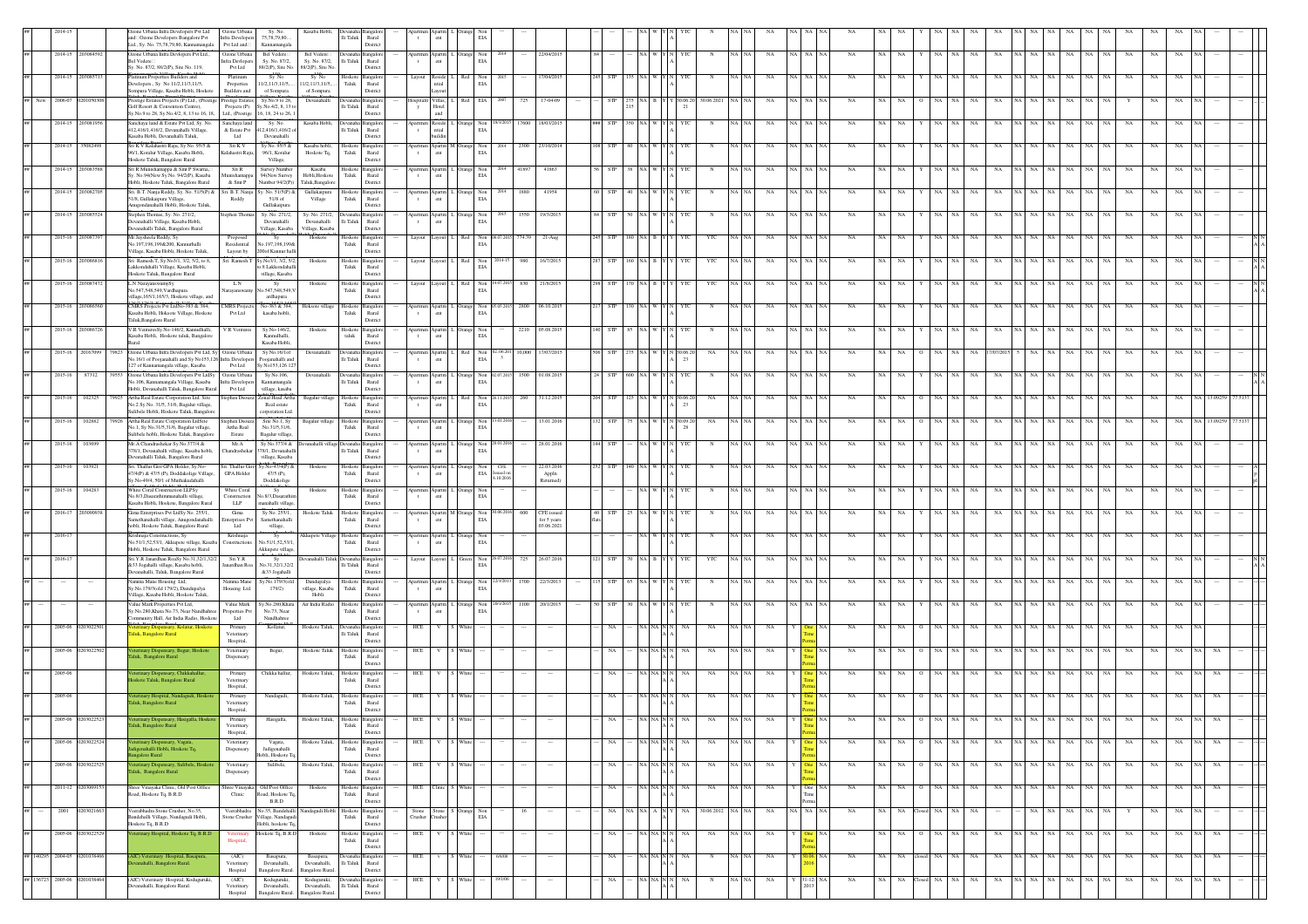|                              |                  |                    | Ozone Urbana Infra Developers Pvt Ltd<br>and Ozone Developers Bangalore Pvt<br>Ltd., Sy. No. 75,78,79,80, Kannamangala         | Ozone Urbana<br>Infra Developers<br>$\mathsf{Pvt}\,\mathsf{Ltd}\,\mathsf{and}\Box$ | Sy. No.<br>75, 78, 79, 80.<br>Kannamangala             | Kasaba Hobli                                    | evanaha<br>li Taluk<br>$\rm{Rural}$<br>District        |                                   |                                                                                                                        |                                                                                               | EIA                                   |        |                               |            |                        |         |               |             |                    |                          |               |                 |                                          |                |             |             |             |    |                 |           |             |           |     |  |
|------------------------------|------------------|--------------------|--------------------------------------------------------------------------------------------------------------------------------|------------------------------------------------------------------------------------|--------------------------------------------------------|-------------------------------------------------|--------------------------------------------------------|-----------------------------------|------------------------------------------------------------------------------------------------------------------------|-----------------------------------------------------------------------------------------------|---------------------------------------|--------|-------------------------------|------------|------------------------|---------|---------------|-------------|--------------------|--------------------------|---------------|-----------------|------------------------------------------|----------------|-------------|-------------|-------------|----|-----------------|-----------|-------------|-----------|-----|--|
|                              |                  | 2014-15 20308459   | Ozone Urbana Infra Devlopers Pvt Ltd.,<br>Bel Vedere                                                                           | Ozone Urbana<br>Infra Devlopers                                                    | <b>Bel Vedere</b><br>Sy. No. 87/2,                     | <b>Bel Vedere</b><br>Sy. No. 87/2,              | angalo<br>lli Taluk<br>Rural                           |                                   | partmen Apartm                                                                                                         | Orange Non<br>EIA                                                                             |                                       |        | 22/04/2015                    |            |                        |         |               |             | NA                 | NA NA                    |               | NA              | NA                                       | NA             | NA          | NA          |             | NA | NA<br>NA        | NA        | NA          | NA        |     |  |
|                              | 2014-15          |                    | Sy. No. 87/2, 88/2(P), Site No. 119,<br>Platinum Properties Builders and                                                       | Pvt Ltd<br>Platinum                                                                | 88/2(P), Site No<br>Sy No                              | 88/2(P), Site No<br>Sy No                       | District<br>losko<br>ingalo                            | Layout                            |                                                                                                                        |                                                                                               | Non                                   |        | 7/04/201                      |            |                        |         |               |             |                    |                          |               |                 |                                          |                |             |             |             |    |                 |           |             |           |     |  |
|                              |                  |                    | Developers., Sy No 11/2,11/3,11/5,<br>iompura Village, Kasaba Hobli, Hoskote                                                   | Properties<br>Builders and                                                         | $1/2$ , $11/3$ , $11/5$ ,<br>of Sompura                | $1/2.11/3.11/5$<br>of Sompura                   | Taluk<br>Rural<br>District                             |                                   | ntial                                                                                                                  |                                                                                               | $\rm EIA$                             |        |                               |            |                        |         |               |             |                    |                          |               |                 |                                          |                |             |             |             |    |                 |           |             |           |     |  |
|                              | 2006-07          |                    | restige Estates Projects (P) Ltd., (Prestig<br>Golf Resort & Convention Centre).<br>Sy.No.9 to 28, Sy.No.4/2, 8, 13 to 16, 18, | Prestige Estates<br>Projects (P)<br>Ltd., (Prestige                                | Sy.No.9 to 28<br>Sv.No.4/2, 8, 131<br>6, 18, 24 to 26, | Devanahall                                      | lli Taluk Rural<br>District                            | y                                 | Villas.<br>Hotel<br>and                                                                                                |                                                                                               | <b>EIA</b>                            | 725    | $17-04-0$                     |            |                        |         | 21            | 30.06.202   | NA                 | NA.<br>- NA              |               |                 |                                          |                |             |             |             |    |                 |           | NA          |           |     |  |
|                              |                  | 2014-15 20308195   | Sanchava land & Estate Pvt Ltd, Sv. No.<br>412,416/1,416/2, Devanahalli Village,                                               | Sanchava land<br>& Estate Pvt                                                      | Sv. No.<br>412,416/1,416/2 c                           | Kasaba Hobli,                                   | Devanaha Bangalor<br>li Taluk<br>Rural                 | $\mathbf{t}$                      | partmen Reside<br>ntial                                                                                                | $\begin{tabular}{ll} \bf{2} \tt{ange} & \tt{Non} \\ \hline \tt{EIA} & \tt{EIA} \end{tabular}$ |                                       | 17600  | 18/03/2019                    | <b>STP</b> |                        |         |               |             | NA                 | NA NA                    |               | <b>NA</b><br>NA |                                          |                |             | NA          |             |    | NA              |           | NA          |           |     |  |
|                              | 2014-15          | 3508249            | Kasaba Hobli, Devanahalli Taluk,<br>.<br>Sri K V Kalahastri Raju, Sy No. 95/5 &                                                | Ltd<br>Sri K V                                                                     | Devanahalli<br>Sy No. 95/5 &                           | Kasaba hobli,                                   | District<br>Hoskote Bangalo                            |                                   | buildin<br>partmen Apartm                                                                                              |                                                                                               | Non                                   | 2300   | 23/10/2014                    |            |                        |         |               |             | NA                 |                          |               |                 |                                          |                |             |             |             |    |                 |           |             |           |     |  |
|                              |                  |                    | 96/1, Koralur Village, Kasaba Hobli,<br>Hoskote Taluk, Bangalore Rural                                                         | Kalahastri Raju,                                                                   | 96/1, Koralur<br>Village,                              | Hoskote Tq,                                     | Taluk<br>Rural<br>District                             | $\mathbf{t}$                      | ent                                                                                                                    |                                                                                               | $_{\rm EIA}$                          |        |                               |            |                        |         |               |             |                    |                          |               |                 |                                          |                |             |             |             |    |                 |           |             |           |     |  |
|                              |                  | 2014-15 203083588  | Sri R Munishamappa & Smt P Swama,<br>. No.94(New Sy.No. 94/2(P), Kasaba<br>Hobli, Hoskote Taluk, Bangalore Rural               | Sri R<br>Munishamappa<br>& Smt P                                                   | Survey Number<br>94(New Survey<br>Number 94/2(P)       | Kasaba<br>Hobli, Hoskote<br>Taluk, Bangalore    | Hoskote Bangalon<br>${\rm Taluk}$<br>Rural<br>District | $\mathbf{t}$                      | Apartmen Apartm L Orange Non<br>$\rm{cnt}$                                                                             |                                                                                               | $_{\rm EIA}$                          | 41897  | 41863                         | <b>STP</b> |                        |         |               |             | NA                 | NA NA                    |               | NA              | NA.                                      |                | NA          |             |             |    | NA              |           |             |           |     |  |
|                              | 2014-15          | 20308270           | Sri. B.T. Nanja Reddy, Sy. No. 51/5(P) &<br>51/8, Gullakaipura Village,                                                        | Sri. B.T. Nanja<br>Reddy                                                           | y. No. 51/5(P) &<br>51/8 of                            | Gullakaipura<br>Village                         | loskote Bangalon<br>Taluk<br>Rural                     | $\,$ t                            | Apartmen Apartm 1                                                                                                      | Orange                                                                                        | Non<br>$_{\rm EIA}$                   | 1880   | 41954                         |            |                        |         |               |             | NA                 | $_{\rm NA}$<br><b>NA</b> |               |                 |                                          |                |             |             |             |    |                 |           |             |           |     |  |
|                              | 2014-15 20308552 |                    | Anugondanahalli Hobli, Hoskote Taluk,<br>Stephen Thomas, Sy. No. 271/2,                                                        | <b>Stephen Thomas</b>                                                              | Gullakaipura<br>Sy. No. 271/2,                         | Sy. No. 271/2.                                  | District<br>langalor                                   |                                   |                                                                                                                        | nge Non                                                                                       |                                       | 1550   | 19/3/201                      |            |                        |         |               |             | NA                 | NA NA                    |               | NA              |                                          |                |             |             |             |    |                 | NA        |             |           |     |  |
|                              |                  |                    | Devanahalli Village, Kasaba Hobli,<br>Devanahalli Taluk, Bangalore Rural                                                       |                                                                                    | Devanahalli<br>Village, Kasaba                         | Devanahalli<br>Village, Kasaba                  | li Taluk<br>Rural<br>District                          | $\,$ t                            |                                                                                                                        |                                                                                               | $_{\rm EIA}$                          |        |                               |            |                        |         |               |             |                    |                          |               |                 |                                          |                |             |             |             |    |                 |           |             |           |     |  |
|                              | 2015-16 2030873  |                    | Mr Javsheela Reddy, Sv<br>No.197.198.199&200. Kannurhalli<br>/illage. Kasaba Hobli. Hoskote Taluk.                             | Proposed<br>Residential<br>Layout by                                               | Sy<br>io.197,198,199&<br>200of Kannur hall:            | Hoskote                                         | Hoskote Bangalore<br>Taluk<br>Rural<br>District        |                                   | Layout Layout L                                                                                                        |                                                                                               | Red Non 08.07.2015<br>EIA             | 774.39 | 21-Aug                        | 5 STP      |                        |         |               | YTC         | NA                 | NA NA N                  |               | <b>NA</b>       | NA<br>NA                                 |                | NA          | NA          |             |    | NA<br>NA        | NA        | NA          |           |     |  |
|                              | 2015-16          | 2030868            | Sri Ramesh.T, Sy.No3/1, 3/2, 5/2, to 8,<br>Lakkondahalli Village, Kasaba Hobli,                                                | Sri Ramesh.T                                                                       | Sy.No3/1, 3/2, 5/2<br>to 8 Lakkondahal                 | Hoskote                                         | Hoskote<br>Taluk<br>Rural                              | angalop                           | Layout Layout 1                                                                                                        | Red Non                                                                                       | $_{\rm EIA}$                          | 980    | 16/7/201                      | <b>STP</b> |                        |         |               | YTC         | <b>NA</b>          | NA NA                    |               |                 |                                          |                |             |             |             |    |                 | NA        |             | NA        |     |  |
|                              | 2015-16          | 20308747           | loskote Taluk, Bangalore Rural<br>N NarayanswamySy.                                                                            | LN.                                                                                | village, Kasaba<br><b>Sy</b>                           | Hoskote                                         | District<br>Bangalor<br>Hoskote                        |                                   | Layout Layout                                                                                                          |                                                                                               | Non                                   | 830    | 21/8/201                      |            |                        |         |               |             | NA                 |                          |               |                 |                                          |                |             |             |             |    |                 |           |             |           |     |  |
|                              |                  |                    | No.547,548,549, Vardhapura<br>llage, 165/1, 165/3, Hoskote village, and                                                        | arayansy                                                                           | o.547,548,549,1<br>ardhapura                           |                                                 | Taluk<br>Rural<br>District                             |                                   |                                                                                                                        |                                                                                               | EIA                                   |        |                               |            |                        |         |               |             |                    |                          |               |                 |                                          |                |             |             |             |    |                 |           |             |           |     |  |
|                              | 2015-16          | 2030865            | CMRS Projects Pvt LtdNo-383 & 384,<br>Casaba Hobli, Hoksote Village, Hoskote<br>Taluk, Bangalore Rural                         | <b>CMRS</b> Projects<br>Pvt Ltd                                                    | No-383 & 384,<br>kasaba hobli,                         | Hoksote village                                 | Hoskote<br>langalor<br>Taluk<br>Rural<br>District      |                                   | Apartmen Apartm I.                                                                                                     | Orange Non                                                                                    | EIA                                   | 2800   | 06.10.201                     | <b>STP</b> |                        |         |               |             | NA                 |                          |               | NA              |                                          |                |             |             |             |    |                 |           | NA          |           |     |  |
|                              | 2015-16          |                    | V.R VenturesSy.No-146/2, Kannulhalli,<br>Kasaba Hobli, Hoskote taluk, Bangalore                                                | V.R Ventun                                                                         | Sy.No-146/2,<br>Kannulhalli,                           | Hoskote                                         | loskote<br>$_{\rm{talk}}$<br>Rural                     | angalor<br>partmen<br>$\mathbf t$ | Apartm<br>ent                                                                                                          |                                                                                               | Non<br>$_{\rm EIA}$                   | 2210   | 05.08.201                     |            |                        |         |               |             | NA                 |                          |               |                 |                                          |                |             |             |             |    |                 |           |             |           |     |  |
|                              | 2015-16          | 2016709<br>9823    | Ozone Urbana Infra Developers Pvt Ltd, Sy Ozone Urbana                                                                         |                                                                                    | Kasaba Hobli<br>Sy No.16/1of                           | Devanahalli                                     | District                                               | langalon                          |                                                                                                                        | Red Non                                                                                       | 2.06.201                              | 10,000 | 17/07/201                     | <b>STP</b> |                        |         |               | NA          |                    | NA                       |               |                 |                                          |                |             |             |             |    |                 |           |             |           |     |  |
|                              |                  |                    | No.16/1 of Poojanahalli and Sy No153,126 Infra Developers<br>127 of Kannamangala village. Kasaba                               | Pvt Ltd                                                                            | Poojanahalli and<br>Sv No153.126 12                    |                                                 | lli Taluk<br>Rural<br>District                         | $\,$ t                            |                                                                                                                        |                                                                                               | $\rm EIA$<br>- 5                      |        |                               |            |                        |         | 23            |             |                    | NA                       |               |                 |                                          |                |             |             |             |    |                 |           |             |           |     |  |
|                              | 2015-16          | 87312              | Izone Urbana Infra Developers Pvt LtdSy<br>No.106, Kannamangala Village, Kasaba<br>Hobli, Devanahalli Taluk, Bangalore Rural   | Ozone Urbana<br>Infra Developers<br>Pvt Ltd                                        | Sy No.106,<br>Kannamangala<br>village, kasaba          | Devanahalli                                     | li Taluk<br>Rural<br>District                          | $\mathbf{t}$                      | ent                                                                                                                    | Orange Non<br>EIA                                                                             |                                       | 1500   | 01.08.2015                    | <b>STP</b> |                        |         |               |             | NA                 | <b>NA</b>                |               | NA<br>NA        |                                          |                |             |             |             |    |                 |           |             |           |     |  |
|                              | 2015-16          | 102325<br>9979     | Artha Real Estate Corporation Ltd. Site<br>No.2 Sv No. 31/5, 31/6, Bagalur village,                                            |                                                                                    | Stephen Dsouza Zonal Head Arth<br>Real estate          | Bagalur village                                 | Hoskoto<br>Taluk<br>Rural                              | ingalor<br>$\mathbf{t}$           | partmen Apartm<br>ent                                                                                                  | Red Non                                                                                       | $_{\rm EIA}$                          | 260    | 31.12.201                     | <b>STP</b> |                        |         | 23            | NA          | NA                 | NA NA                    |               | N/              |                                          |                |             |             |             |    |                 | NA        | NA          |           |     |  |
|                              | 2015-16          | 102882<br>19926    | Sulibele Hobli, Hoskote Taluk, Bangalore<br>Artha Real Estate Comoration LtdSite<br>No.1, Sy No.31/5,31/6, Bagalur village,    | Stephen Dsouza<br>Artha Real                                                       | corporation Ltd<br>Site No.1, Sv<br>No.31/5,31/6,      | Bagalur village                                 | District<br>Hoskote<br>angalop<br>Taluk<br>Rural       | $\mathbf{t}$                      | partmen Apartm<br>ent                                                                                                  | $\begin{tabular}{ll} \bf{2mge} & \bf{Non} \\ \bf{ELA} \end{tabular}$                          |                                       |        | 13.01.2016                    | <b>STP</b> |                        |         | 0.09.20<br>28 | NA          | NA                 | NA NA N                  |               | <b>NA</b>       | NA.                                      |                |             |             |             |    | NA              | NA        | NA          |           |     |  |
|                              | 2015-16          | 103699             | iulibele hobli, Hoskote Taluk, Bangalore<br>Mr.A Chandrashekar Sy No.377/4 &                                                   | Estate<br>Mr.A                                                                     | Bagalur village<br>Sy No.377/4 &                       | anahalli village Devana                         | District<br>angalor                                    |                                   | Apartmen Apartm 1                                                                                                      |                                                                                               | Non                                   |        | 28.01.2016                    | <b>STP</b> |                        |         | YТC           |             | NA                 | NA NA                    |               | NA              | NA                                       |                | NA          |             |             |    | NA<br>NA        | <b>NA</b> | $_{\rm NA}$ | NA        |     |  |
|                              |                  |                    | 78/1, Devanahalli village, Kasaba hobli,<br>anahalli Taluk, Bangalore Rural                                                    | Chandrashekar                                                                      | 78/1, Devanahall<br>village, Kasaba                    |                                                 | li Taluk<br>Rural<br>District                          | $\mathbf{t}$                      | ent                                                                                                                    |                                                                                               | $_{\rm EIA}$                          |        |                               |            |                        |         |               |             |                    |                          |               |                 |                                          |                |             |             |             |    |                 |           |             |           |     |  |
|                              | 2015-16          |                    | Sri. Thallur Giri-GPA Holder, Sy.No-<br>47/4(P) & 47/5 (P), Doddakolige Village.<br>y.No-49/4, 50/1 of Muthakudahalli          | Sri. Thallur Giri<br><b>GPA</b> Holder                                             | Sy.No-47/4(P) &<br>47/5 (P),<br>Doddakolige            | Hoskote                                         | loskote<br>langalor<br>Taluk<br>Rural<br>District      | $\,$ t                            | $\rm{cnt}$                                                                                                             |                                                                                               | Non<br>$\rm EIA$<br>ared or<br>10.201 |        | 22.03.20<br>Appln<br>Returned |            |                        |         |               |             | NA                 |                          |               | NA              |                                          |                |             |             |             |    |                 |           |             |           |     |  |
|                              | 2015-16          | 104283             | White Coral Construction LLPSy<br>No.8/3, Dasarathimmanahalli village,                                                         | White Coral<br>Construction                                                        | Sy<br>lo.8/3,Dasarath                                  | Hoskote                                         | Hoskote Bangalon<br>Taluk<br>Rural                     |                                   | Apartmen Apartm L Orange<br>ent                                                                                        |                                                                                               | $_{\rm Non}$<br>$_{\rm EIA}$          |        |                               |            |                        |         |               |             | NA                 | NA NA                    |               |                 |                                          |                |             |             |             |    |                 |           |             |           |     |  |
|                              | 2016-17          | 2030909            | Kasaba Hobli, Hoskote, Bangalore Rural<br>Gima Enterprises Pvt LtdSy No. 255/1,                                                | LLP<br>Gima                                                                        | nanahalli villag<br>Sy No. 255/1.                      | Hoskote Taluk                                   | District<br>Hoskote                                    | langalon                          |                                                                                                                        |                                                                                               | ge Non                                | 600    | CFE issu                      |            |                        |         |               |             | NA                 | NA NA                    |               |                 |                                          |                |             |             |             |    |                 | NA        |             |           |     |  |
|                              |                  |                    | amethanahalli village, Anugondanahalli<br>hobli, Hoskote Taluk, Bangalore Rural                                                | erprises Pv<br>Ltd                                                                 | Samethanahalli<br>village,                             |                                                 | Taluk<br>Rural<br>District                             | $\,$ t                            |                                                                                                                        |                                                                                               | EIA                                   |        | for 5 years<br>03.06.2021     |            |                        |         |               |             |                    |                          |               |                 |                                          |                |             |             |             |    |                 |           |             |           |     |  |
|                              | 2016-17          |                    | Krishnaia Constructions, Sv<br>No.51/1.52.53/1. Akkupete village. Kasab<br>Hobli, Hoskote Taluk, Bangalore Rural               | Krishnaja<br>Constructions                                                         | $S_V$<br>No.51/1.52.53/1<br>Akkupete village           | kkupete Village Hoskote Bangalon                | Taluk<br>Rural<br>District                             | $\mathbf{t}$                      | Apartmen Apartm I.<br>ent                                                                                              | ange Non                                                                                      | $_{\rm EIA}$                          |        |                               |            |                        |         |               |             | <b>NA</b>          | NA   NA                  |               | NA              |                                          |                |             |             |             |    |                 |           |             |           |     |  |
|                              | 2016-17          |                    | Sri.Y.R Janardhan RoaSv No.31.32/1.32/2<br>&33 Jogahalli village, Kasaba hobli,                                                | Sri.Y.R<br>Janardhan Roa                                                           | Sv<br>$\sqrt{0.31,32}/1,32/2$                          | evanahalli Taluk Devanaha Bangalon              | li Taluk<br>Rural                                      |                                   | $\begin{tabular}{llll} \textbf{Layout} & \textbf{L} & \textbf{Green} & \textbf{Non} \\ & \textbf{EIA} & \end{tabular}$ |                                                                                               |                                       | 725    | 26.07.2016                    | <b>STP</b> |                        |         |               | YTC         | NA                 | NA NA                    |               | NA              | NA.<br>NA.                               | NA<br>NA       | NA.         | NA          |             |    | NA<br>NA        | NA        | NA          | NA        |     |  |
|                              |                  |                    | Devanahalli, Taluk, Bangalore Rural<br>Vamma Mane Housing Ltd,                                                                 | Namma Mane                                                                         | &33 Jogahalli<br>Sy.No.179/3(old                       | Dandupalya                                      | District<br><b>Bangalor</b><br>Hoskote                 |                                   | partmen Apartm                                                                                                         | Orange Non                                                                                    |                                       | 1700   | 22/3/201                      |            |                        |         |               |             | NA                 |                          |               | NA              |                                          |                |             |             |             |    |                 |           |             |           |     |  |
|                              |                  |                    | y.No.179/3(old 179/2), Dandupalya<br>llage, Kasaba Hobli, Hoskote Taluk,<br>alue Mark Properties Pvt Ltd,                      | Housing Ltd.                                                                       | 179/2)                                                 | rillage, Kasaba<br>Hobli                        | Taluk<br>Rural<br>District                             | $\mathbf{t}$                      | ent                                                                                                                    |                                                                                               | EIA                                   |        |                               |            |                        |         |               |             |                    |                          |               |                 |                                          |                |             |             |             |    |                 |           |             |           |     |  |
|                              |                  |                    | y.No.280, Khata No.73, Near Nandhahre<br>munity Hall, Air India Radio, Hoskote                                                 | Value Mark<br>Properties Pvt<br>Ltd                                                | /.No.280,Kha<br>No.73, Near<br>Nandhahree              | Air India Radio                                 | loskot<br>Taluk<br>Rural<br>District                   | ingalor<br>partmen                | Apartm                                                                                                                 |                                                                                               | age Non<br>EIA                        | 1100   | 20/1/20                       |            |                        |         |               |             | NA                 |                          |               |                 |                                          |                |             |             |             |    |                 |           |             |           |     |  |
|                              | 2005-06          |                    | rinary Dispensary, Kolatur, Hoskote<br>iluk, Bangalore Rural                                                                   | Primary<br>Veterinary                                                              | Kollatur,                                              | Hoskote Taluk,                                  | Bangalor<br>Devana                                     | ${\tt HCE}$                       |                                                                                                                        |                                                                                               |                                       |        |                               |            |                        |         |               | $_{\rm NA}$ | $_{\rm NA}$        |                          |               | NA              |                                          |                | NA          | NA          |             |    |                 |           |             |           |     |  |
|                              | 2005-06          |                    |                                                                                                                                |                                                                                    |                                                        |                                                 | li Taluk                                               | Rural                             |                                                                                                                        |                                                                                               |                                       |        |                               |            |                        |         |               |             |                    |                          |               |                 |                                          |                |             |             |             |    |                 |           |             |           |     |  |
|                              |                  |                    | erinary Dispensary, Begur, Hoskote                                                                                             | Hospital,<br>Veterinary                                                            | Begur,                                                 | Hoskote Taluk                                   | District<br>Hoskot                                     | ingalor<br>HCE                    |                                                                                                                        |                                                                                               |                                       |        |                               |            |                        |         |               | NA          | NA                 |                          |               |                 |                                          |                |             |             |             |    |                 |           |             |           |     |  |
|                              |                  |                    | luk, Bangalore Rural                                                                                                           | Dispensary                                                                         |                                                        |                                                 | Taluk<br>Rural<br>District                             |                                   |                                                                                                                        |                                                                                               |                                       |        |                               |            |                        |         |               |             |                    |                          |               |                 |                                          |                |             |             |             |    |                 |           |             |           |     |  |
|                              | 2005-06          |                    | rinary Dispensary, Chikkahallur<br>skote Taluk, Bangalore Rural                                                                | Primary<br>Veterinary<br>Hospital,                                                 | Chikka hallur,                                         | Hoskote Taluk,                                  | Hosko<br>Taluk<br>Rural<br>District                    | ngalor<br>HCE                     |                                                                                                                        |                                                                                               |                                       |        |                               |            |                        |         |               | NA          | NA                 |                          | N             | NA<br>NA        |                                          |                |             |             |             |    |                 |           | NA          |           |     |  |
|                              | 2005-06          |                    | eterinary Hospital, Nandagudi, Hoskot<br>Iluk, Bangalore Rural                                                                 | Primary<br>Veterinary                                                              | Nandagudi,                                             | Hoskote Taluk, Hoskote                          | <b>Bangalor</b><br>Runal<br>Taluk                      | HCE                               |                                                                                                                        |                                                                                               |                                       |        |                               |            |                        |         |               | NA          | NA                 |                          |               | NA              |                                          |                |             |             |             |    |                 |           | NA          |           |     |  |
|                              |                  |                    |                                                                                                                                | Hospital,                                                                          |                                                        |                                                 | District                                               |                                   |                                                                                                                        |                                                                                               |                                       |        |                               |            |                        |         |               |             |                    |                          |               |                 |                                          |                |             |             |             |    |                 |           |             |           |     |  |
|                              |                  |                    | aluk, Bangalore Rural<br>eterinary Dispensary, Vagata,                                                                         | Veterinary<br>Hospital,<br>Veterinary                                              |                                                        | Hoskote Taluk, Hoskote Bangalore                | Taluk<br>Rural<br>District                             | HCE                               | V S White                                                                                                              |                                                                                               |                                       |        |                               | NA         |                        |         | NA            | NA          | NA                 |                          |               | NA              |                                          |                |             |             |             |    |                 |           |             |           | NA  |  |
|                              |                  | 2005-06 0203022524 | enahalli Hobli, Hoskote Tq.<br>galore Rural                                                                                    | Dispensary                                                                         | Vagata,<br>Jadigenahalli<br>Hobli, Hoskote To          |                                                 | Taluk<br>Rural<br>District                             |                                   |                                                                                                                        |                                                                                               |                                       |        |                               |            |                        | NA NA N |               |             | $NA$ $NA$          | Y One NA                 |               |                 | NA NA 0 NA NA NA NA NA NA NA NA NA NA NA |                |             |             |             |    |                 | NA        | NA          | NA NA     |     |  |
|                              | 2005-06          |                    | terinary Dispensary, Suli<br>luk, Bangalore Rural                                                                              | Veterinary<br>Dispensar                                                            | Sulibele,                                              | loskote Talu                                    | Hoskote Bangalon<br>Taluk<br>Rural                     | HCI                               |                                                                                                                        |                                                                                               |                                       |        |                               |            |                        | NA N    |               | NA          | $_{\rm NA}$        |                          | N/            | NA              | NA                                       | NA             | NA          | NA          |             |    | NA<br>NA        | NA        | NA          | NA        |     |  |
|                              | 2011-12 02030691 |                    | Shree Vinayaka Clinic, Old Post Office                                                                                         |                                                                                    | Shree Vinayaka Old Post Office<br>Road, Hoskote To     | Hoskote                                         | District<br>Hoskote Bangalore                          |                                   | HCE Clinic S                                                                                                           | White                                                                                         |                                       |        |                               | NA         |                        | NA NA N | NA            | NA          | NA<br>NA NA        | One<br>Tim               |               | NA              | NA<br>NA<br>$\Omega$                     | NA<br>NA       | NA          | NA          | NA NA       | NA | NA<br>NA        | NA        | NA          | NA        |     |  |
|                              | 2001             | 02030216           | load, Hoskote Tq, B.R.D<br>Veerabhadra Stone Crusher, No.35,                                                                   | Clinic<br>Veerabhadra                                                              | B.R.D<br>No.35, Bandehalli                             | Nandagudi Hobli Hoskote Bangalore               | Taluk<br>Rural<br>District                             |                                   |                                                                                                                        |                                                                                               |                                       | 16     |                               |            | $NA$ $NA$ $NA$ $A$ $N$ |         | NA            | 30.06.2012  | NA NA<br>NA        | NA NA NA                 |               | NA              | NA NA                                    | Closed NA NA   | $_{\rm NA}$ |             | NA NA       | NA | NA NA           |           | $_{\rm NA}$ | NA<br>NA  |     |  |
|                              |                  |                    | Bandehalli Village, Nandagudi Hobli,<br>Hoskote Tq, B.R.D                                                                      |                                                                                    | Stone Crusher Village, Nandagu<br>Hobli, hoskote To    |                                                 | Taluk<br>Rural<br>District                             |                                   | Stone Stone S Orange Non<br>Crusher Crusher EIA                                                                        |                                                                                               |                                       |        |                               |            |                        |         |               |             |                    |                          |               |                 |                                          |                |             |             |             |    |                 |           |             |           |     |  |
|                              | 2005-06 0203022  |                    | erinary Hospital, Hoskote To, B.R.I.                                                                                           | Veterina<br>Hospital,                                                              | oskote Tq, B.R.I                                       | Hoskote                                         | Hoskote Bangalore<br>Taluk<br>Rural<br>District        | HCE                               |                                                                                                                        | White                                                                                         |                                       |        |                               | NA         |                        | NA NA N | NA            | NA          | NA<br>NA NA        |                          | N             | NA              | NA<br>NA.<br>$\circ$                     | NA NA          | NA          | NA          | NA NA NA    | NA | NA<br><b>NA</b> | NA        | NA          | NA        |     |  |
| ## 140295 2004-05 0201038466 |                  |                    | (AIC) Veterinary Hospital, Basapura,<br>Devanahalli, Bangalore Rural.                                                          | (AIC)<br>Veterinary                                                                | Basapura,<br>Devanahalli,                              | Basapura,<br>Devanahalli,                       | Devanaha Bangalore<br>li Taluk<br>Rural                | HCE                               |                                                                                                                        | v S White                                                                                     | 6/8/08                                |        |                               | NA         |                        | NA NA N | NA            | $_{\rm N}$  | NA NA<br><b>NA</b> | -Y 30                    | 6. NA         | NA              | NA NA                                    | closed NA NA   | NA          | NA          | NA NA NA NA |    | NA NA           | NA        | NA          | NA<br>NA. | NA. |  |
| ## 136723 2005-06 0201038464 |                  |                    | (AIC) Veterinary Hospital, Koduguruki,<br>anahalli, Bangalore Rural.                                                           | Hospital<br>(AIC)<br>Veterinary                                                    | Bangalore Rural<br>Koduguruki,<br>Devanahalli,         | Bangalore Rural.<br>Koduguruki,<br>Devanahalli, | District<br>Devanaha Bangalon<br>li Taluk<br>Rural     | HCE                               |                                                                                                                        | White                                                                                         |                                       |        |                               | NA         |                        | NA NA N | NA            | $_{\rm N}$  | NA.<br>NA NA       | 2013                     | $31 - 12 - N$ | NA              | NA<br>NA                                 | losed NA<br>NA | NA          | $_{\rm NA}$ | NA NA NA    | NA | NA<br>NA        | NA        | NA          | NA        | NA. |  |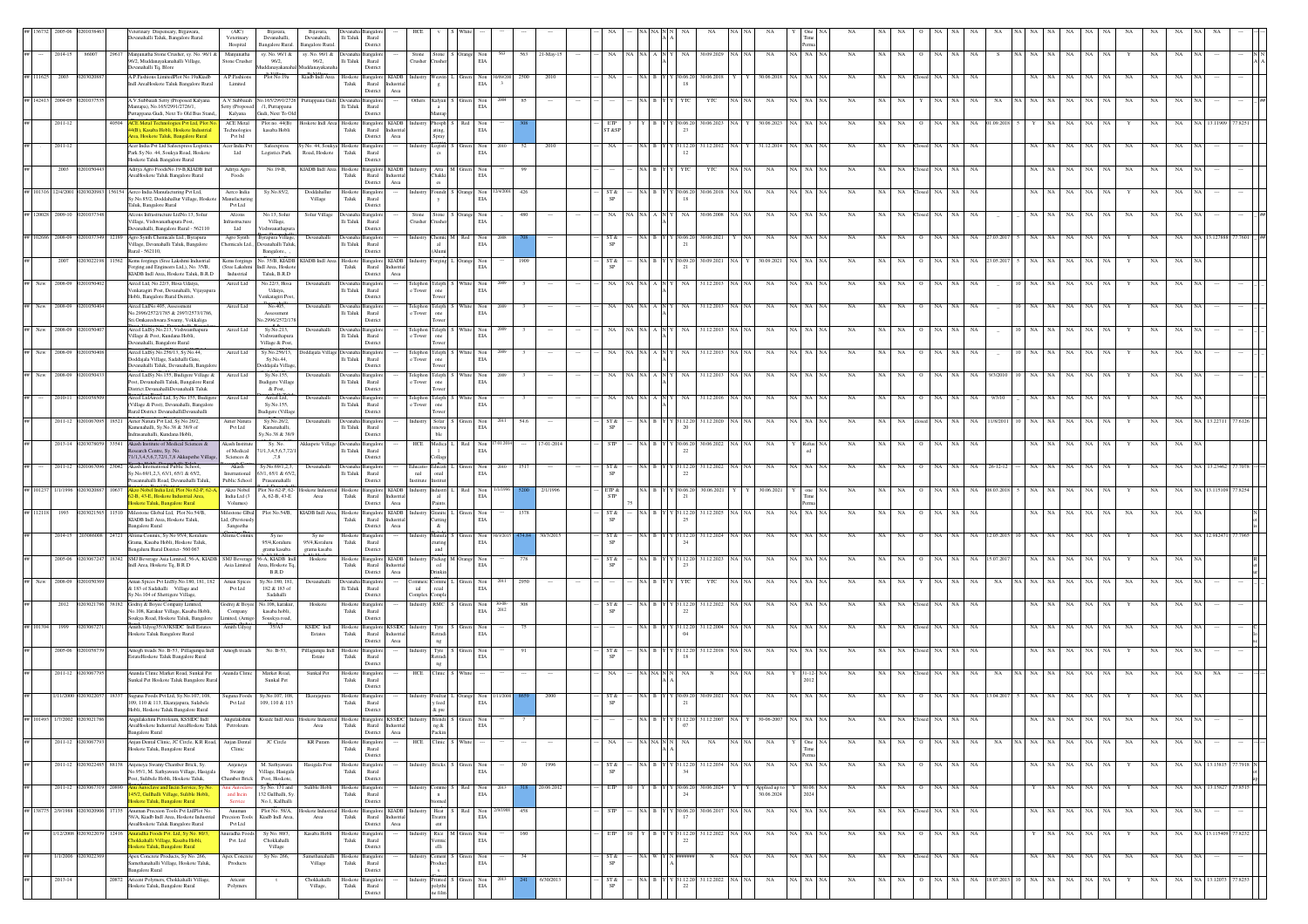|                    |                             |                   | eterinary Dispensary, Bijjawara,                                                                               | (AIC)                         | Bijavara                                           |                                                              |                         |                                               |                    |                                                           |                                                                                    |                 |            |            |                   |                    |                  |         |               |               |           |                 |                  |              |           |                     |                         |             |                   |    |           |     |              |              |
|--------------------|-----------------------------|-------------------|----------------------------------------------------------------------------------------------------------------|-------------------------------|----------------------------------------------------|--------------------------------------------------------------|-------------------------|-----------------------------------------------|--------------------|-----------------------------------------------------------|------------------------------------------------------------------------------------|-----------------|------------|------------|-------------------|--------------------|------------------|---------|---------------|---------------|-----------|-----------------|------------------|--------------|-----------|---------------------|-------------------------|-------------|-------------------|----|-----------|-----|--------------|--------------|
|                    |                             |                   | evanahalli Taluk, Bangalore Rural.                                                                             | Veterinary<br>Hospital        | Devanahalli,<br><b>Bangalore Rural</b>             | Devanahalli,<br>3angalore Rural.                             | lli Taluk               | Rural<br>Distric                              |                    |                                                           |                                                                                    |                 |            |            |                   |                    |                  |         |               |               |           |                 |                  |              |           |                     |                         |             |                   |    |           |     |              |              |
|                    | 2014-15                     | 86007             | 29617 Manjunatha Stone Crusher, sy. No. 96/1 &<br>96/2, Muddanayakanahalli Village,                            | Manjunatha<br>tone Crushe     | sy. No. 96/1 &<br>96/2,                            | sy. No. 96/1 & Devanaha Bangalo<br>96/2,                     | $\rm{Ili}$ Taluk        | Rural                                         | Stone<br>Crushe    |                                                           | Stone S Orange Non<br>Crusher EIA                                                  | 563             | 21-May-15  |            |                   | NA                 | 30.09.2029       | NA I NA | NA            | A NA NA       | NA        | NA.             |                  |              | NA        |                     |                         | NA          | NA.               |    | NA        |     |              |              |
|                    |                             |                   | Devanahalli Tq, Blore                                                                                          |                               |                                                    | ayakar                                                       |                         | District                                      |                    |                                                           |                                                                                    |                 |            |            |                   |                    |                  |         |               |               |           |                 |                  |              |           |                     |                         |             |                   |    |           |     |              |              |
|                    |                             |                   | A.P.Fashions LimitedPlot No.19aKiadb<br>Indl AreaHoskote Taluk Bangalore Rural                                 | A.P.Fashion<br>Limited        | Plot No.192                                        | Kiadb Indl Area                                              | ${\rm T}$ aluk          | Hoskote Bangalore KIADB<br>Rural              |                    | cavin<br>$\mathbf{g}$                                     | Non<br>$_{\rm EIA}$                                                                |                 |            |            |                   |                    | 80.06.201        |         |               |               |           |                 |                  |              |           |                     |                         |             |                   |    |           |     |              |              |
|                    |                             |                   |                                                                                                                |                               | A.V.Subbaiah No.165/2991/2726                      |                                                              |                         | District<br>$\operatorname{Area}$             | Others             |                                                           |                                                                                    |                 |            |            |                   |                    |                  |         |               |               |           |                 |                  |              |           |                     |                         |             |                   |    |           |     |              |              |
| ## 142413 2004-05  |                             |                   | A.V.Subbaiah Setty (Proposed Kalyana<br>Mantapa), No.165/2991/2726/1.<br>uttappana Gudi, Next To Old Bus Stand | Setty (Proposed               | /1, Puttappana<br>Gudi, Next To Ok                 | Puttappana Gudi De                                           | Ili Taluk               | angalo<br>Rural<br>District                   |                    | Kalyan                                                    | $\begin{tabular}{ll} Green & Non\\ ELA \end{tabular}$                              |                 |            |            |                   |                    | YTC              |         |               |               |           |                 |                  |              |           |                     |                         |             |                   |    |           |     |              |              |
|                    | 2011-12                     |                   | <b>ACE Metal Te</b><br>gies Pvt Ltd, Plot No                                                                   | Kalyana<br><b>ACE Metal</b>   | Plot no. 44(B)                                     | Hoskote Indi Area Hoskote B:<br>Taluk                        |                         | angalore KIADB                                |                    | hosph                                                     |                                                                                    |                 |            |            |                   | 30.06.2            | 30.06.2023       |         | 30.06.2023    | IA   NA       | NA        |                 |                  |              |           |                     |                         |             |                   |    |           |     |              |              |
|                    |                             |                   | 4(R) Kasaba Hobli Hoskote Industrial<br>rea, Hoskote Taluk, Bangalore Rural                                    | Technologies<br>Pvt ltd       | kasaba Hobli                                       |                                                              |                         | Rural Industria<br>District<br>Area           |                    | ating,<br>Spray                                           | $\begin{tabular}{c} Red & Non\\ ELA \end{tabular}$                                 |                 |            | ST &SI     |                   |                    |                  |         |               |               |           |                 |                  |              |           |                     |                         |             |                   |    |           |     |              |              |
|                    | 2011-12                     |                   | Acer India Pvt Ltd Safeexpress Logistics<br>Park Sv No. 44, Soukva Road, Hoskote                               | Acer India Pvt                | Safeexpres                                         | v No. 44, Soukva Hoskot<br>Road, Hoskote                     | Taluk                   | ngalo<br>Rural                                |                    | ogisti                                                    | Non<br>$_{\rm EIA}$                                                                |                 | 2010       |            |                   | 1.12.2             | 31.12.2012       |         | 31.12.2014    | IA I NA       |           |                 |                  |              |           |                     |                         |             | NA                |    |           |     |              |              |
|                    |                             |                   | Hoskote Taluk Bangalore Rural                                                                                  | Ltd                           | Logistics Park                                     |                                                              |                         | District                                      |                    |                                                           |                                                                                    |                 |            |            |                   |                    |                  |         |               |               |           |                 |                  |              |           |                     |                         |             |                   |    |           |     |              |              |
|                    | 2003                        |                   | Aditya Agro FoodsNo.19-B.KIADB Indl<br>AreaHoskote Taluk Bangalore Rural                                       | Aditya Agro<br>Foods          | No.19-B.                                           | KIADB Indl Area Hoskote Bangalore KIADB                      | ${\rm Taluk}$           | Rural Industrial                              |                    | <b>hakki</b>                                              | Atta M Green Non<br>$_{\rm EIA}$                                                   |                 |            |            |                   |                    | YTC              | NA NA   | NA            | A I NA        | NA        |                 | NA.              |              | <b>NA</b> |                     | NA.                     |             | NA.               |    |           |     |              |              |
|                    | ## 101316 12/4/2001         |                   | 56154 Aerco India Manufacturing Pvt Ltd,                                                                       | Aerco India                   | Sy.No.85/2,                                        | Doddahallur                                                  |                         | District<br>Area<br>Hoskote Bangalore         | Industry           | es.                                                       | Foundr S Orange Non                                                                | 426             |            | ST &       |                   |                    | 30.06.2018 NA NA |         |               | IA I NA       | <b>NA</b> | NA              | NA.              | NA<br>NA.    | <b>NA</b> |                     |                         |             |                   |    |           |     |              |              |
|                    |                             |                   | y.No.85/2, Doddahallur Village, Hoskot<br>Taluk, Bangalore Rural                                               | nufacturing<br>Pvt Ltd        |                                                    | Village                                                      | ${\rm Taluk}$           | Rural<br>District                             |                    | y                                                         | $_{\rm EIA}$                                                                       |                 |            |            | NA B Y Y 30.06.20 |                    |                  |         | NA            |               |           |                 |                  |              |           |                     |                         | NA          | NA                |    | NA        |     |              |              |
| ## 120028 2009-10  |                             |                   | Afcons Infrastructure LtdNo.13, Solur                                                                          | Afcons                        | No.13, Solu                                        | Solur Villag                                                 |                         |                                               |                    | stone                                                     | ange Non                                                                           |                 |            |            |                   |                    | 80.06.200        |         |               |               |           |                 |                  |              |           |                     |                         |             |                   |    |           |     |              |              |
|                    |                             |                   | 'illage, Vishwanathapura Post,<br>Devanahalli, Bangalore Rural - 562110                                        | ifrastructure<br>Ltd          | Village,<br>Vishwanathar                           |                                                              | $\rm{Ili}$ Taluk        | Rural<br>Distric                              | Trusher            |                                                           | $_{\rm EIA}$                                                                       |                 |            |            |                   |                    |                  |         |               |               |           |                 |                  |              |           |                     |                         |             |                   |    |           |     |              |              |
| ## 102686 2008-09  |                             | 12189             | Agro Synth Chemicals Ltd., Byrapura                                                                            | Agro Synth                    | Byrapura Village,<br>vanahalli Taluk               | Devanahalli                                                  |                         | angalo                                        |                    | $\mathbf{a}$                                              | Themic M Red<br>Non                                                                |                 |            | ST &       |                   | Y 30.06.20         | 30.06.2021       |         | NA            | A NA          | NA        |                 |                  |              |           |                     |                         |             | NA                |    |           |     |              |              |
|                    |                             |                   | llage, Devanahalli Taluk, Bangalore<br>Rural - 562110.                                                         | hemicals Ltd.,                | Bangalore.,                                        |                                                              | $\rm{Ili}$ Taluk        | Rural<br>District                             |                    | Alumi                                                     | EIA                                                                                |                 |            |            |                   |                    |                  |         |               |               |           |                 |                  |              |           |                     |                         |             |                   |    |           |     |              |              |
|                    | 2007                        |                   | Kems forgings (Sree Lakshmi Industrial<br>Forging and Engineers Ltd.), No. 35/B.                               | Kems forgings                 | vo. 35/B, KIADB<br>(Sree Lakshmi Indi Area, Hoskot | KIADB Indi                                                   | Hoskot<br>Taluk         | angalore<br><b>KIADB</b><br>Rural Industria   |                    | orging                                                    | Non<br>EIA<br>inge                                                                 | 1909            |            |            |                   |                    | 30.09.2021       |         | 30.09.200     |               |           |                 |                  |              |           |                     |                         |             |                   |    |           |     |              |              |
| ## New 2008-09     |                             |                   | KIADB Indl Area. Hoskote Taluk, B.R.D.<br>Aircel Ltd, No.22/3, Hosa Udaiya,                                    | Industrial<br>Aircel Ltd      | Taluk, B.R.D<br>No.22/3, Hosa                      | Devanahall                                                   |                         | Area<br>District<br>angalo                    |                    |                                                           | White Non                                                                          |                 |            |            |                   | NA                 |                  |         | NA            | A I NA        |           |                 |                  |              |           |                     |                         |             |                   |    |           |     |              |              |
|                    |                             |                   | Venkatagiri Post, Devanahalli, Vijayapur                                                                       |                               | Udaiya,                                            |                                                              | lli Taluk               | Rural                                         | e Towe             | <b>Teleph</b><br>one                                      | $_{\rm EIA}$                                                                       |                 |            |            |                   |                    | 31.12.2013       |         |               |               |           |                 |                  |              |           |                     |                         |             |                   |    |           |     |              |              |
| ## New 2008-09     |                             |                   | Hobli, Bangalore Rural Dsitrict.<br>Aircel LtdNo.405, Assessment                                               | Aircel Ltd                    | /enkatagiri Post<br>No.405.                        | Devanahalli                                                  | Devanaha                | District<br>angalo                            |                    | ower<br>elephon Teleph                                    |                                                                                    |                 |            |            |                   |                    | 31.12.2013       | NA NA   | NA            | ia∣NA         | <b>NA</b> |                 |                  | NA.          | NA        |                     |                         |             | NA                |    | NA        |     |              |              |
|                    |                             |                   | No.2996/2572/1785 & 2997/2573/1786<br>Sri.Omkareshwara Swamy, Vokkaliga                                        |                               | Assessment<br>lo.2996/2572/17                      |                                                              | lli Taluk               | Rural<br>Distric                              | : Towe             | one<br>ower                                               | $\begin{tabular}{ll} \bf{White} & \bf{Non} \\ & \bf{EIA} \end{tabular}$            |                 |            |            |                   |                    |                  |         |               |               |           |                 |                  |              |           |                     |                         |             |                   |    |           |     |              |              |
| ## New 2008-09     |                             |                   | sircel LtdSy.No.213, Vishwanthapura                                                                            | Aircel Ltd                    | Sy.No.213,                                         | Devanahall                                                   |                         |                                               | :lephon            | $\overline{\text{Teleph}}$                                | White Non                                                                          |                 |            |            |                   |                    | 31.12.2013       | NA I NA | NA            | A I NA        | <b>NA</b> |                 |                  |              |           |                     |                         |             |                   |    |           |     |              |              |
|                    |                             |                   | Village & Post, Kundana Hobli,<br>evanahalli, Bangalore Rural                                                  |                               | Vishwanthapun<br>Village & Post                    |                                                              | lli Taluk               | Rural<br>Distric                              | : Tower            | one<br>ower                                               | $_{\rm EIA}$                                                                       |                 |            |            |                   |                    |                  |         |               |               |           |                 |                  |              |           |                     |                         |             |                   |    |           |     |              |              |
| ## New 2008-09     |                             |                   | Aircel LtdSy.No.256/13, Sy.No.44,<br>Doddajala Village, Sadahalli Gate,                                        | Aircel Ltd                    | Sy.No.256/13<br>Sy.No.44,                          |                                                              | $\rm Ili$ Taluk         | Rural                                         | :lephon<br>Tower   | Teleph<br>one                                             | ite Non<br>$_{\rm EIA}$                                                            |                 |            |            |                   |                    | 31.12.2013       |         | NA            |               |           |                 |                  |              |           |                     |                         |             |                   |    |           |     |              |              |
|                    |                             |                   | Devanahalli Taluk, Devanahalli, Bangal                                                                         |                               | boddajala Villag                                   |                                                              |                         | Distric                                       |                    |                                                           |                                                                                    |                 |            |            |                   |                    |                  |         |               |               |           |                 |                  |              |           |                     |                         |             |                   |    |           |     |              |              |
| $\# \#$ New        | 2008-09                     |                   | Aircel LtdSy.No.155, Budigere Village &<br>Post, Devanahalli Taluk, Bangalore Rural                            | Aircel Ltd                    | Sy.No.155,<br><b>Budigere Villag</b>               | Devanahall                                                   | lli Taluk               | Rural                                         | Telephon<br>e Towe | $\begin{array}{c} \text{Teleph}\\ \text{one} \end{array}$ | $\begin{tabular}{ll} \bf{White} & \bf{Non} \\ & \bf{EIA} \end{tabular}$            |                 |            |            |                   |                    | 31.12.2013       |         | NA            |               | NA        |                 |                  |              |           |                     |                         |             |                   |    |           |     |              |              |
| ##                 | 2010-11                     |                   | District.DevanahalliDevanahalli Taluk<br>Aircel LtdAircel Ltd, Sy.No.155, Budigere                             | Aircel Ltd                    | & Post<br>Aircel Ltd.                              | Devanahal                                                    |                         | Distric                                       |                    |                                                           |                                                                                    |                 |            |            |                   |                    | 31.12.2016       |         |               |               |           |                 |                  |              |           |                     |                         |             |                   |    |           |     |              |              |
|                    |                             |                   | (Village & Post), Devanahalli, Bangalore<br>Rural District DevanahalliDevanahalli                              |                               | Sy.No.155.<br><b>Budieere</b> (Villag              |                                                              | lli Taluk               | Rural<br>District                             | e Tower            | Feleph<br>one<br>Tower                                    | $$\tt Non$ EIA                                                                     |                 |            |            |                   |                    |                  |         |               |               |           |                 |                  |              |           |                     |                         |             |                   |    |           |     |              |              |
|                    | 2011-12 0201067             |                   | 18521 Airier Natura Pvt Ltd, Sy.No.26/2,                                                                       | Airier Natura                 | Sy.No.26/2,                                        | Devanahall                                                   |                         |                                               |                    | $\operatorname{Solar}$                                    | Non<br>EIA                                                                         | 54.6            |            | ST &       |                   | 31.12.2            | 31.12.2020       | NA NA   | NA            | ia∣ na        | NA        |                 |                  |              |           | 1/8/201             |                         |             | NA                |    |           |     |              |              |
|                    |                             |                   | Kamenahalli, Sv.No.38 & 38/9 of<br>Irasanahalli Kundana Hobli                                                  | Pvt Ltd                       | Kamenahalli.<br>Sv.No.38 & 38/9                    |                                                              | Ili Taluk               | Rural<br>Distric                              |                    | enewa<br>ble.                                             |                                                                                    |                 |            |            |                   |                    |                  |         |               |               |           |                 |                  |              |           |                     |                         |             |                   |    |           |     |              |              |
|                    | 2013-14 02030780            |                   | 33541 Akash Institute of Medical Sciences &<br>Research Centre, Sy. No.                                        | Akash Institut<br>of Medical  | Sv. No<br>1/1,3,4,5,6,7,72/                        | Akkupete Village Devanal                                     | lli Taluk               | nealo<br>Rural                                |                    | HCE Medica<br>-1                                          | Red Non<br>$_{\rm EIA}$                                                            |                 | 17-01-2014 | <b>STP</b> |                   | Y Y 30.06.20       | 30.06.2022 NA NA |         | NA            |               | <b>NA</b> | NA<br><b>NA</b> |                  | NA<br>NA     | <b>NA</b> |                     | NA NA                   | NA.         | NA<br>NA.         |    | NA        | NA  |              |              |
|                    |                             |                   | 71/1,3,4,5,6,7,72/1,7,8 Akkupethe Village,<br>Akash International Public School,                               | Sciences &                    | ,7,8                                               |                                                              |                         | District                                      |                    | ollage                                                    |                                                                                    |                 |            |            |                   |                    |                  |         |               |               |           |                 |                  |              |           |                     |                         |             |                   |    |           |     |              |              |
|                    | 2011-12                     |                   | Sy.No.69/1,2,3, 63/1, 65/1 & 65/2,                                                                             | Akash<br>International        | Sy.No.69/1,2.3<br>63/1, 65/1 & 65/2                | Devanahal                                                    | lli Taluk               | Rural                                         | nal                | <b>iducati</b><br>$_{\rm{onal}}$                          | Non<br>$_{\rm EIA}$                                                                |                 |            |            |                   | 22                 | 31.12.2022       |         |               |               |           |                 |                  |              |           |                     |                         |             |                   |    |           |     |              |              |
|                    | ## 101237 1/1/1996 02030208 | 10637             | annahalli Road, Devanahalli Taluk,<br>Akzo Nobel India Ltd, Plot No.62-P, 62-A,                                | Public School<br>Akzo Nobel   | Prasannahalli                                      | Plot No.62-P, 62- Hoskote Industrial Hoskote Bangalore KIADB |                         | District                                      |                    | ıstitul<br>dustry Industri                                | Red Non                                                                            |                 | 2/1/1996   | ETP &      | NA B Y Y 30.06.20 |                    | 30.06.2021       |         | 30.06.2021    | one           | NA        |                 |                  |              |           | 38.03.201           |                         |             | NA.               |    | NA        |     |              |              |
|                    |                             |                   | -B, 43-E, Hoskote Industrial Area,<br>loskote Taluk, Bangalore Rural                                           | India Ltd (3<br>Volumes)      | A, 62-B, 43-E                                      | Area                                                         | ${\rm Tauk}$            | Rural<br>Industria<br>District<br>Area        |                    | $\mathbf{a}$<br>Paints                                    | $_{\rm EIA}$                                                                       |                 |            |            |                   |                    |                  |         |               |               |           |                 |                  |              |           |                     |                         |             |                   |    |           |     |              |              |
| ## 112111          |                             |                   | Milestone Global Ltd, Plot No.54/B,                                                                            | Milestone Glbal               | Plot No.54/B,                                      | KIADB Indl Area,                                             | Hoskote                 | Bangalore KIADB                               |                    | <b>Granite</b>                                            | Non                                                                                |                 |            |            |                   |                    | 31.12.202        |         | NA            |               |           |                 |                  |              |           |                     |                         |             |                   |    |           |     |              |              |
|                    |                             |                   | KIADB Indl Area, Hoskote Taluk,<br><b>Bangalore Rural</b>                                                      | Ltd, (Previously<br>Sangeetha |                                                    |                                                              | Taluk                   | Rural<br><b>Industria</b><br>District<br>Area |                    | utting<br>$\&$                                            | $_{\rm EIA}$                                                                       |                 |            |            |                   |                    |                  |         |               |               |           |                 |                  |              |           |                     |                         |             |                   |    |           |     |              |              |
|                    | 2014-15                     | 24721             | Altima Conmix, Sy No 95/4, Koralur<br>Grama, Kasaba Hobli, Hoskote Taluk,                                      | <b>Mtima Conmis</b>           | Sy no<br>95/4.Koraluru                             | Sy no<br>95/4, Koraluru                                      | Taluk                   | Hoskote Bangalore<br>Rural                    |                    | Aanufa<br>uring                                           | Non<br>EIA                                                                         |                 | 30/3/2013  | ST &       |                   | 31.12.20           | 31.12.2024       |         |               | NA.           |           |                 |                  |              |           |                     |                         |             |                   |    |           |     |              |              |
|                    |                             |                   | engaluru Rural District- 560 067                                                                               |                               | grama kasaba                                       | grama kasaba                                                 |                         | District                                      |                    | and                                                       |                                                                                    |                 |            |            |                   |                    |                  |         |               |               |           |                 |                  |              |           |                     |                         |             |                   |    |           |     |              |              |
|                    | 2005-06 020306724           |                   | 18342 SMJ Beverage Asia Limited, 56-A, KIADB SMJ Beverage<br>Indl Area, Hoskote Tq, B.R.D                      | Asia Limited                  | 56-A, KIADB Indl<br>Area, Hoskote T                | Hoskote                                                      | Taluk                   | Hoskote Bangalore KIADB<br>Rural<br>Industria |                    | Packag M Or<br>ed                                         | range Non<br>EIA                                                                   | 778             |            | ST &       |                   | Y 31.12.20         | 31.12.2023       | NA NA   | NA            | IA NA         | NA        |                 |                  |              | NA        |                     |                         |             | NA                |    | NA        | NA  |              | $\mathbb{R}$ |
| $#H$ New           | 2008-09                     |                   | Aman Spices Pvt LtdSv.No.180, 181, 182                                                                         | Aman Spices                   | B.R.D<br>Sv.No.180, 181                            | Devanahall                                                   |                         | Area<br>District<br>nealor                    |                    | <b>Jrinkin</b><br>omme                                    | Non                                                                                |                 |            |            |                   |                    | YTC              |         | NA            | A I NA        | NA        |                 |                  |              |           |                     |                         |             |                   |    |           |     |              |              |
|                    |                             |                   | & 183 of Sadahalli Village and<br>y.No.104 of Shettigere Village,                                              | Pvt Ltd                       | 182 & 183 of<br>Sadahalli                          |                                                              | $\rm Ili$ Taluk         | Rural<br>District                             | ial<br>Complex     | rcial<br>Comple                                           | $_{\rm EIA}$                                                                       |                 |            |            |                   |                    |                  |         |               |               |           |                 |                  |              |           |                     |                         |             |                   |    |           |     |              |              |
|                    | 2012                        | 38182<br>02030217 | Godrej & Boyee Company Limited,                                                                                | Jodrej & Boye                 | vo. 108, karakur,                                  | Hoskote                                                      | Hoskote                 | <b>Bangalon</b>                               | ndustry            | RMC                                                       | Green Non                                                                          | $30 - 08$       |            |            |                   | 1.12.20            | 31.12.2022       |         | NA            | IA I NA       | NA        |                 |                  |              |           |                     |                         |             |                   |    |           |     |              |              |
|                    |                             |                   | No.108, Karakur Village, Kasaba Hobli<br>Soukya Road, Hoskote Taluk, Bangalore                                 | Company<br>imited, (Amigo     | kasaba hobli,<br>Souskya road,                     |                                                              | ${\rm T}$ aluk          | Rural<br>District                             |                    |                                                           | $_{\rm EIA}$                                                                       | 2012            |            |            |                   |                    |                  |         |               |               |           |                 |                  |              |           |                     |                         |             |                   |    |           |     |              |              |
| ## 101394          | 1999                        | 02030672          | Amith Udyog35/A3KSIDC Indl Estates<br>Hoskote Taluk Bangalore Rural                                            | Amith Udyog                   | 35/A3                                              | KSIDC Indi<br>Estates                                        | ${\rm Taluk}$           | Hoskote Bangalore KSSIDC<br>Rural             | Industry           |                                                           | $\begin{tabular}{c c c c} Type & S & Green & Non \\ Retradi & EIA & \end{tabular}$ |                 |            |            |                   | Y 31.12.20         | 31.12.2004       | NA   NA | <b>NA</b>     | A NA NA       | NA        | NA              | NA               | NA.          | NA        |                     |                         |             | NA                |    | NA        |     |              |              |
|                    |                             |                   |                                                                                                                |                               |                                                    |                                                              |                         | District<br>Area                              |                    | $\rm ng$                                                  |                                                                                    |                 |            |            |                   |                    |                  |         |               |               |           |                 |                  |              |           |                     |                         |             |                   |    |           |     |              |              |
|                    | 2005-06                     |                   | Amogh treads No. B-53, Pillagumpa Indl<br>istateHoskote Taluk Bangalore Rural                                  | Amogh treads                  | No. B-53,                                          | <sup>2</sup> illagumpa Ind<br>Estate                         | loskot<br>${\rm Taluk}$ | ngalo<br>Rural                                |                    | Tyre<br>etradi                                            | Non<br>$_{\rm EIA}$                                                                |                 |            |            |                   |                    | 81.12.2018       |         |               |               |           |                 |                  |              |           |                     |                         |             |                   |    |           |     |              |              |
|                    | 2011-12 020306              |                   | Ananda Clinic Market Road, Sunkal Pet                                                                          | Ananda Clinic                 | Market Road,                                       | Sunkal Pet                                                   | Hoskote                 | Distric<br>angalo                             | HCE                | $\rm ng$<br><b>linic</b>                                  |                                                                                    |                 |            |            |                   |                    | $_{\rm N}$       |         | NA            | $31 - 12$     | NA        |                 |                  |              |           |                     |                         |             |                   |    |           |     |              |              |
|                    |                             |                   | Sunkal Pet Hoskote Taluk Bangalore Rural                                                                       |                               | Sunkal Pet                                         |                                                              | Taluk                   | Rural<br>Distric                              |                    |                                                           |                                                                                    |                 |            |            |                   |                    |                  |         |               |               |           |                 |                  |              |           |                     |                         |             |                   |    |           |     |              |              |
|                    | 1/11/2000 0203022           | 8337              | Suguna Foods Pvt Ltd, Sy.No.107, 108,                                                                          | suguna Foods                  | Sy.No.107, 101                                     | Ekarajapura                                                  | Hoskote<br>Taluk        | ngalo                                         |                    | adustry Poultar<br>y feed                                 | Orange Non<br>EIA                                                                  |                 |            |            |                   |                    | 30.09.2021       |         |               |               |           |                 |                  |              |           |                     |                         |             |                   |    |           |     |              |              |
|                    |                             |                   | 109, 110 & 113, Ekarajapura, Sulabele<br>Hobli, Hoskote Taluk Bangalore Rural                                  | Pvt Ltd                       | 109, 110 & 113                                     |                                                              |                         | Rural<br>District                             |                    | $\&$ pre                                                  |                                                                                    |                 |            |            |                   |                    |                  |         |               |               |           |                 |                  |              |           |                     |                         |             |                   |    |           |     |              |              |
|                    |                             |                   | AreaHoskote Industrial AreaHoskote Taluk                                                                       | Petroleum                     |                                                    | Area                                                         | Taluk                   | Rural Industria                               |                    |                                                           | EIA                                                                                |                 |            |            |                   |                    |                  |         |               |               |           |                 |                  |              |           |                     |                         |             |                   |    |           |     |              |              |
|                    |                             |                   | <b>Bangalore Rural</b>                                                                                         |                               |                                                    |                                                              |                         | District<br>Area                              |                    | ng & Packin                                               |                                                                                    |                 |            |            |                   |                    |                  |         |               |               |           |                 |                  |              |           |                     |                         |             |                   |    |           |     |              |              |
| ##                 | 2011-12 020306779           |                   | Anian Dental Clinic, JC Circle, K.R Road, Anjan Dental<br>loskote Taluk, Bangalore Rural                       | Clinic                        | JC Circle                                          | KR Puram                                                     | ${\rm Taluk}$           | Hoskote Bangalore<br>Rural                    |                    | HCE Clinic S White                                        |                                                                                    |                 |            | NA         | NA NA N N         | NA.                | NA               | NA NA   | <b>NA</b>     | One NA        | NA        |                 | NA NA 0 NA NA NA |              |           |                     | NA NA NA NA NA NA NA NA |             |                   |    | <b>NA</b> | NA  |              |              |
|                    | 2011-12 0203022             |                   | 88138 Anjeneya Swamy Chamber Brick, Sy.                                                                        | Anjeneya                      | M. Sathyawara                                      | Hasigala Post                                                | Hoskote                 | District<br>angalo                            |                    | incks                                                     |                                                                                    | 30              | 1996       | ST &       |                   | Y 31.12.20         | 31.12.2034       |         | NA            | NA   NA<br>NA | NA        | NA<br>NA.       |                  | NA           | <b>NA</b> |                     |                         | NA          | NA<br>NA          |    | NA        | NA. |              |              |
|                    |                             |                   | No.95/1, M. Sathyawara Village, Hasigala<br>Post, Sulibele Hobli, Hoskote Taluk,                               | Swamy<br>Chamber Brick        | Village, Hasigala<br>Post, Hoskote,                |                                                              | Taluk                   | Rural<br>District                             |                    |                                                           | $_{\rm EIA}$                                                                       |                 |            |            |                   |                    |                  |         |               |               |           |                 |                  |              |           |                     |                         |             |                   |    |           |     |              |              |
| ##                 | 2011-12 02030673            | 2089              | Anu Autoclave and Incin Service, Sy No.                                                                        | unu Auto                      | Sy No. 131 and                                     | Sulible Hob                                                  | Hoskote                 | <b>Bangalor</b>                               |                    | centric                                                   | Non<br>Red                                                                         |                 | 20.06.2012 | ETP        |                   | Y Y 30.06.20       | 30.06.2024       |         | Applied up to | 30.06.        | NA        | NA              | NA               | NA<br>NA     | NA        |                     | NA                      |             | NA<br>NA          |    | NA        | NA  | NA 13.15827  | 77.8515      |
|                    |                             |                   | 5/2, Gullhalli Village, Sulible Hobli,<br>Hoskote Taluk, Bangalore Rural                                       | and Incin<br>Service          | 32 Gullhalli, Sy<br>No.1, Kallhalli                |                                                              | ${\rm Tauk}$            | Rural<br>District                             |                    |                                                           | $_{\rm EIA}$                                                                       |                 |            |            |                   | 24                 |                  |         | 30.06.2024    |               |           |                 |                  |              |           |                     |                         |             |                   |    |           |     |              |              |
| ## 138775 2/9/1988 |                             | 02030209          | 17135 Anuman Precsion Tools Pvt LtdPlot No.<br>58/A, Kiadb Indl Area, Hoskote Industrial                       | Anuman<br>recsion Tools       | Plot No. 58/A,<br>Kiadb Indl Area,                 | Hoskote Industrial Hoskote<br>$\operatorname{Area}$          | Taluk                   | Bangalore KIADB<br>Rural Industrial           |                    | Heat<br>reatm                                             | Red Non<br>EIA                                                                     | 458<br>2/9/1988 |            |            |                   | Y 30.06.2<br>17    | 30.06.2017       | NA NA   | $_{\rm NA}$   | NA NA         | NA        | $_{\rm NA}$     | NA Closed NA     | NA           | NA        |                     | NA NA                   | $_{\rm NA}$ | $_{\rm NA}$<br>NA | NA | NA        | NA  |              |              |
|                    |                             |                   | AreaHoskote Taluk Bangalore Rural                                                                              | Pvt Ltd                       |                                                    |                                                              |                         | District<br>Area                              |                    | $_{\rm{cnt}}$                                             |                                                                                    |                 |            |            |                   |                    |                  |         |               |               |           |                 |                  |              |           |                     |                         |             |                   |    |           |     |              |              |
| ##                 | 1/12/2008                   | 12416             | <mark>uradha Foods Pvt. Ltd, Sy No. 80/3</mark> ,<br>hokkahalli Village, Kasaba Hobli,                         | uradha Foods<br>Pvt. Ltd      | Sy No. 80/3<br>Chokkahalli                         | Kasaba Hobl                                                  | Hoskote<br>Taluk        | Bangalore<br>Rural                            |                    | 'ermic                                                    | Rice M Green<br>Non<br>EIA                                                         | 160             |            |            |                   | 31.12.20<br>$22\,$ | 31.12.2022       | NA NA   | NA            | NA NA NA      | NA        | NA<br><b>NA</b> |                  | NA           | NA        |                     | NA.                     | NA          | NA<br>NA          |    | NA        | NA  | NA 13.115409 |              |
| 44                 | 1/1/2006 02030223           |                   | Hoskote Taluk, Bangalore Rural<br>Apex Concrete Products, Sy No. 266,                                          | Apex Concre                   | Village<br>Sy No. 266,                             | Samethanahall                                                | Hoskot                  | District                                      |                    | elli<br>ement                                             | Non                                                                                | 34              |            | ST &       |                   |                    | $_{\rm N}$       | NA NA   | $_{\rm NA}$   | NA NA NA      | NA        | NA              | NA               | Closed NA NA | NA        |                     | NA NA                   | NA          | $_{\rm NA}$<br>NA | NA | NA        | NA  |              |              |
|                    |                             |                   | Samethanahalli Village, Hoskote Taluk,<br>Bangalore Rural                                                      | Products                      |                                                    | Village                                                      | Taluk                   | Rural<br>District                             |                    | roduct<br>$\mathbf{s}$                                    | EIA                                                                                |                 |            |            |                   |                    |                  |         |               |               |           |                 |                  |              |           |                     |                         |             |                   |    |           |     |              |              |
| ##                 | 2013-14                     |                   | 20872 Aricent Polymers, Chokkahalli Village,                                                                   | Aricent                       | $\mathbf{t}$                                       | Chokkahalli                                                  |                         | Hoskote Bangalon                              |                    |                                                           | Printed S Green Non<br>polythi EIA                                                 | 2013            | 6/30/2013  | ST &       | NA B Y Y 31.12.20 |                    | 31.12.2022 NA NA |         | NA            | NA NA NA      | NA        | NA.             | NA .<br>$\circ$  | NA<br>NA     | NA        | 18.07.2013 10 NA NA |                         | NA          | NA<br>NA          | Y  | NA        | NA  | NA 13.12073  | 77.8253      |
|                    |                             |                   | loskote Taluk, Bangalore Rural                                                                                 | Polymers                      |                                                    | Village,                                                     | ${\rm Tauk}$            | Rural<br>Distric                              |                    |                                                           |                                                                                    |                 |            | SP         |                   |                    |                  |         |               |               |           |                 |                  |              |           |                     |                         |             |                   |    |           |     |              |              |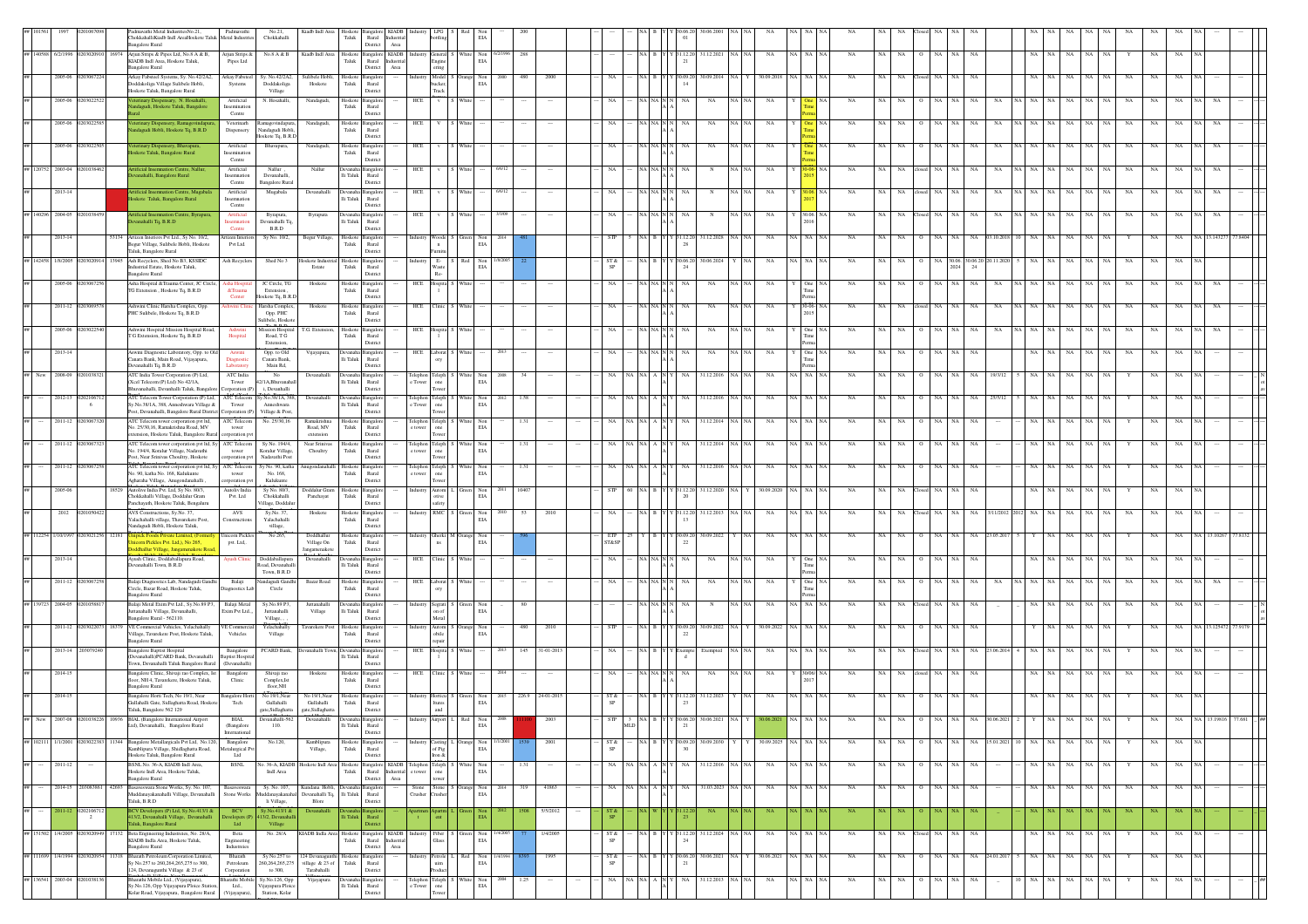|                    |                    |                    | dmavathi Metal IndustriesNo.21,<br>Thokkahalli Kiadb Indl AreaHoskote Taluk Metal Industri<br>ingalore Rural             | Padmavathi                                           | No.21,<br>Chokkahalli                                  | Kiadb Indl Area                                 | ${\rm Tau}$      | Hoskote Bangal<br>$\mathop{\rm Rural}\nolimits$<br>District<br>$\operatorname{Area}$              |                   |                                                                                 |                                                                         | EIA                      |      |                 |            |                       |                |                                          |       |                     |             |           |     |           |                        |      |                                 |       |         |                   |    |           |             |           |  |  |
|--------------------|--------------------|--------------------|--------------------------------------------------------------------------------------------------------------------------|------------------------------------------------------|--------------------------------------------------------|-------------------------------------------------|------------------|---------------------------------------------------------------------------------------------------|-------------------|---------------------------------------------------------------------------------|-------------------------------------------------------------------------|--------------------------|------|-----------------|------------|-----------------------|----------------|------------------------------------------|-------|---------------------|-------------|-----------|-----|-----------|------------------------|------|---------------------------------|-------|---------|-------------------|----|-----------|-------------|-----------|--|--|
|                    | ## 140588 6/2/1996 | 12030209<br>16974  | Arjun Strips & Pipes Ltd, No.8 A & B,                                                                                    | Arjun Strips &                                       | $\mathrm{No}.\mathrm{8}$ A & B                         | Kiadb Indl Area                                 |                  | Hoskote Bangalore KIADB                                                                           |                   | General                                                                         | $\begin{tabular}{ll} \bf{White} & \bf{Non} \\ & \bf{EIA} \end{tabular}$ |                          | 288  |                 |            |                       |                | 31.12.20 31.12.2021 NA                   |       | $_{\rm NA}$         | na I        | NA        | NA  | NA        | $_{\rm NA}$            | NA   | NA                              | NA    |         | NA<br>NA          |    |           | NA          | NA        |  |  |
|                    |                    |                    | KIADB Indl Area, Hoskote Taluk,<br><b>Bangalore Rural</b>                                                                | Pipes Ltd                                            |                                                        |                                                 | Taluk            | Rural<br>dustria<br>District<br>Area                                                              |                   | Engin<br>ering                                                                  |                                                                         |                          |      |                 |            |                       |                |                                          |       |                     |             |           |     |           |                        |      |                                 |       |         |                   |    |           |             |           |  |  |
|                    | 2005-06            |                    | krkay Fabsteel Systems, Sy. No.42/2A2,<br>Doddakoliga Village Sulibele Hobli,                                            | Arkay Fabstee<br>Systems                             | No.42/2A2.<br>Doddakoliga                              | Sulibele Hobli<br>Hoskote                       | loskot<br>Taluk  | angal<br>Rural                                                                                    |                   | Model<br>bucker,                                                                | ange Not                                                                | EIA                      |      |                 |            |                       |                | 10.090<br>14                             |       |                     |             |           |     |           |                        |      |                                 |       |         |                   |    |           |             |           |  |  |
|                    | 2005-06            |                    | Hoskote Taluk, Bangalore Rural<br>erinary Despensary, N. Hosahalli                                                       | Artificial                                           | Village<br>N. Hosahalli.                               | Nandagudi,                                      | loskote          | District<br>angale                                                                                | HCE               | Track                                                                           |                                                                         |                          |      |                 |            |                       |                | NA                                       |       |                     |             |           |     |           |                        |      |                                 |       |         | NA                |    |           |             |           |  |  |
|                    |                    |                    | ndagudi, Hoskote Taluk, Bangalore                                                                                        | Insemination<br>Centre                               |                                                        |                                                 | Taluk            | Rural<br>District                                                                                 |                   |                                                                                 |                                                                         |                          |      |                 |            |                       |                |                                          |       |                     |             |           |     |           |                        |      |                                 |       |         |                   |    |           |             |           |  |  |
|                    |                    | 2005-06 020302258  | terinary Dispensery, Ramagovinda<br>ndagudi Hobli, Hoskote Tq, B.R.D                                                     | Veterinarh<br>Dispensery                             | Ramagovindapura<br>Nandagudi Hobli                     | Nandagudi,                                      | Taluk            | Hoskote Bangalor<br>Rural                                                                         | HCE               |                                                                                 | White                                                                   |                          |      |                 |            |                       |                | NA<br>NA                                 |       | NA                  |             | <b>NA</b> | NA. |           | NA.                    |      | <b>NA</b><br>NA                 |       |         | NA<br>NA.         |    | NA        | NA          |           |  |  |
|                    | 2005-06            | 03022              | terinary Dispensery, Bhavapura,                                                                                          | Artificial                                           | loskote Tq, B.R.E<br>Bhavapura,                        | Nandagudi,                                      | loskote B        | District<br>angalo                                                                                | HCE               |                                                                                 |                                                                         |                          |      |                 |            |                       |                | NA                                       |       | NA                  |             |           | NA  |           |                        |      |                                 |       |         |                   |    |           |             |           |  |  |
|                    |                    |                    | skote Taluk, Bangalore Rural                                                                                             | Insemination<br>Centre                               |                                                        |                                                 | Taluk            | Rural<br>District                                                                                 |                   |                                                                                 |                                                                         |                          |      |                 |            |                       |                |                                          |       |                     |             |           |     |           |                        |      |                                 |       |         |                   |    |           |             |           |  |  |
|                    | ## 120752 2003-04  | 010384             | tificial Insemnation Centre, Nallur<br>anahalli, Bangalore Rural                                                         | Artificial<br>Insermation                            | Nallur.<br>Devanahalli,                                | Nallur                                          | $\rm{li}$ Taluk  | angal<br>$\ensuremath{\mathsf{R}\text{ural}}$                                                     | HCE               |                                                                                 |                                                                         |                          |      |                 |            |                       |                |                                          |       | NA                  |             | NA        | NA  |           | NA                     |      | NA<br>NA                        |       |         |                   |    | NA        | NA.         |           |  |  |
|                    | 2013-14            |                    | tificial Insemnation Centre, Mugabala                                                                                    | Centre<br>Artificial                                 | angalore Rural<br>Mugabala                             | Devanahalli                                     |                  | District<br>Devanaha Bangalor                                                                     | HCE               |                                                                                 |                                                                         |                          |      |                 |            |                       |                |                                          |       | NA                  |             |           |     |           |                        |      | NA                              |       |         | ŃА                |    | NA        | NA          |           |  |  |
|                    |                    |                    | oskote Taluk, Bangalore Rural                                                                                            | Insermation<br>Centre                                |                                                        |                                                 |                  | Ili Taluk Rural<br>District                                                                       |                   |                                                                                 |                                                                         |                          |      |                 |            |                       |                |                                          |       |                     |             |           |     |           |                        |      |                                 |       |         |                   |    |           |             |           |  |  |
|                    | ## 140296 2004-05  |                    | ficial Insemnation Centre, Byrapur<br>anahalli Tq, B.R.D                                                                 | Artificial<br>nsemnatio                              | Byrapura,<br>evanahalli Tq,                            | Byrapura                                        | lli Taluk        | Rural                                                                                             | HCE               |                                                                                 |                                                                         |                          |      |                 |            |                       |                |                                          |       | NA                  |             |           |     |           |                        |      |                                 |       |         |                   |    |           |             |           |  |  |
|                    | 2013-14            |                    | 53134 Artizen Interiors Pvt Ltd., Sy No. 10/2,                                                                           | Centre<br>tizen Interio                              | B.R.D<br>Sy No. 10/2,                                  | Begur Village                                   |                  | District<br>Hoskote Bangalor                                                                      |                   | Woode                                                                           | keen Non                                                                |                          |      |                 | <b>STP</b> |                       |                | Y 31.12.20<br>31.12.2028                 |       | NA                  | VA NA NA    | NA        | NA  | <b>NA</b> | NA                     | NA   | NA<br>03.10.201                 |       |         | NA<br>NA          | NA |           | NA          | NA        |  |  |
|                    |                    |                    | Begur Village, Sulibele Hobli, Hoskote<br>Taluk, Bangalore Rural                                                         | Pvt Ltd.                                             |                                                        |                                                 | Taluk            | Rural<br>District                                                                                 |                   | $\mathbf{n}$<br>urnitu                                                          |                                                                         | EIA                      |      |                 |            |                       |                |                                          |       |                     |             |           |     |           |                        |      |                                 |       |         |                   |    |           |             |           |  |  |
| ## 142458 1/8/2005 |                    | 13945              | Ash Recyclers, Shed No B3, KSSIDC<br>sdustrial Estate, Hoskote Taluk,                                                    | Ash Recyclers                                        | Shed No 3                                              | loskote Indus<br>Estate                         | loskote<br>Taluk | Bangalo<br>Rural                                                                                  |                   | $E-$<br>Waste                                                                   | Red Non                                                                 | EIA                      |      |                 | ST &<br>SP |                       |                | 30.06.20<br>30.06.202<br>-24             |       | NA                  | va I na Inj | <b>NA</b> | NA. | NA.       | NA                     | 2024 | 30.06. 30.06.20 20.11.202<br>24 |       |         | NA<br>NA          | NA | <b>NA</b> | NA          | NA.       |  |  |
|                    | 2005-06            | 1030672            | Bangalore Rural<br>Asha Hospital & Trauma Center, JC Circle,                                                             |                                                      | JC Circle, TG                                          |                                                 |                  | District<br>Hoskote Bangalor                                                                      |                   | $\rm Re\cdot$<br>lospita                                                        |                                                                         |                          |      |                 | NA.        |                       |                |                                          |       |                     |             | <b>NA</b> |     |           |                        |      |                                 |       |         |                   |    |           |             |           |  |  |
|                    |                    |                    | TG Extension, Hoskote Tq, B.R.D                                                                                          | tsha Hospita<br>&Trauma<br>${\bf Center}$            | Extension,<br>oskote Tq, B.R.E                         | Hoskote                                         | Taluk            | Rural<br>District                                                                                 | HCE               |                                                                                 |                                                                         |                          |      |                 |            |                       |                | NA<br>NA                                 |       | NA                  |             |           |     |           |                        |      | NA<br>NA                        |       |         | NA                |    |           |             |           |  |  |
|                    | 2011-12            | 02030695           | Ashwini Clinic Harsha Complex, Opp.<br>PHC Sulibele, Hoskote Tq, B.R.D                                                   | hwini Clini                                          | Harsha Complex,<br>Opp. PHC                            | Hoskote                                         | ${\rm Taluk}$    | Hoskote Bangalor<br>Rural                                                                         | HCE               | Clinic                                                                          | White                                                                   |                          |      |                 | NA         |                       | NA NA N N      | NA<br>NA                                 |       | NA                  |             | <b>NA</b> |     |           |                        |      | NA<br>NA                        |       |         |                   |    | NA.       | NA          |           |  |  |
|                    |                    |                    |                                                                                                                          |                                                      | sulibele, Hoskot<br>Mission Hospita                    |                                                 |                  | District                                                                                          |                   |                                                                                 |                                                                         |                          |      |                 |            |                       |                |                                          |       |                     |             |           |     |           |                        |      |                                 |       |         |                   |    |           |             |           |  |  |
|                    | 2005-06            |                    | Ashwini Hospital Mission Hospital Road,<br>T G Extension, Hoskote Tq, B.R.D                                              | Ashwini<br>Hospital                                  | $\operatorname{Rad}, \operatorname{T} G$<br>Extension. | G. Extensio                                     | ${\rm Taluk}$    | loskote Bangalo<br>Rural<br>Distric                                                               | HCE               |                                                                                 |                                                                         |                          |      |                 |            |                       |                | NA                                       |       | NA                  |             |           |     |           |                        |      | NA                              |       |         |                   |    |           |             |           |  |  |
|                    | 2013-14            |                    | Aswini Diagnostic Laboratory, Opp. to Old                                                                                |                                                      | Opp. to Old<br>Canara Bank,                            | Vijayapura,                                     |                  | Ili Taluk Rural                                                                                   |                   | HCE Laborat                                                                     |                                                                         |                          |      |                 |            |                       |                | NA                                       |       | NA                  |             | NA        |     |           |                        | NA   | NA                              |       |         |                   |    |           |             |           |  |  |
|                    |                    |                    | lanara Bank, Main Road, Vijayapura,<br>Jevanahalli Tq, B.R.D                                                             | Laboratory                                           | Main Rd.                                               |                                                 |                  | District                                                                                          |                   |                                                                                 |                                                                         |                          |      |                 |            |                       |                |                                          |       |                     |             |           |     |           |                        |      |                                 |       |         |                   |    |           |             |           |  |  |
|                    | 2008-09            |                    | ATC India Tower Corporation (P) Ltd,<br>Xcel Telecom (P) Ltd) No 42/1A.<br>huyanahalli, Devanhalli Taluk, Bangalor       | ATC India<br>Tower<br>orporation (P                  | No<br>2/1A.Bhuvanaha<br>i. Devanhalli                  | Devanahalli                                     |                  | Ili Taluk Rural<br>District                                                                       | e Tower           | elephon Teleph<br>Tower one<br>Tower                                            | White Non<br>EIA                                                        |                          |      |                 | NA         |                       |                | 31.12.201                                |       | NA<br>NA            |             | NA        | NA  |           | NA                     |      | NA<br>19/3/12                   |       |         |                   |    |           | NA          |           |  |  |
|                    | 2012-13            | 02021067           | ATC Telecom Tower Corporation (P) Ltd,                                                                                   | ATC Telecom                                          | y.No.38/1A, 388,                                       | Devanahalli                                     |                  | Ili Taluk Rural                                                                                   | Telephon          | Teleph<br>one                                                                   | Vhite Not                                                               | EIA                      | 1.58 |                 |            |                       |                | 31.12.201                                |       | NA                  |             |           |     |           |                        |      |                                 |       |         | NA<br>NA          |    |           | NA          |           |  |  |
|                    |                    | 6                  | Sv.No.38/1A, 388, Anneshwara Village &<br>Post, Devanahalli, Bangalore Rural District Corporation (P)                    | Tower                                                | Anneshwara<br>Village & Post,                          |                                                 |                  | District                                                                                          | e Tower           | Tower                                                                           |                                                                         |                          |      |                 |            |                       |                |                                          |       |                     |             |           |     |           |                        |      |                                 |       |         |                   |    |           |             |           |  |  |
|                    | 2011-12            | 0203067320         | ATC Telecom tower corporation pvt Itd,<br>No. 25/30,16, Ramakrishna Road, MV<br>ctension, Hoskote Taluk, Bangalore Rural | ATC Telecom<br>tower                                 | No. 25/30,16                                           | Ramakrishna<br>Road, MV                         | Taluk            | Hoskote Bangalo<br>Rural<br>District                                                              |                   | $\begin{tabular}{ll} Telephon & Teleph \\ e tower & one \end{tabular}$<br>Tower | White Not                                                               | EIA                      | 1.31 |                 |            |                       |                | 31.12.2014<br>NA                         |       | NA                  | VA 1        | NA        | NA. |           | NA.                    |      | NA.                             |       |         | NA<br>NA          |    |           | NA          |           |  |  |
|                    |                    | 2011-12 020306732  | ATC Telecom tower corporation pvt Itd, Sy                                                                                | corporation py<br>ATC Telecom                        | Sy No. 194/4,                                          | extension<br>Near Srinivas                      |                  | Hoskote Bangalo                                                                                   |                   | Felephon Teleph                                                                 | White Not                                                               |                          | 1.31 |                 | NA         |                       |                | 31.12.2014<br>NA                         |       | <b>NA</b>           |             | NA        | NA  | <b>NA</b> | NA                     |      | NA                              |       |         | NA<br>NA          |    |           | $_{\rm NA}$ |           |  |  |
|                    |                    |                    | . 194/4, Koralur Village, Nadavathi<br>Post, Near Srinivas Choultry, Hoskote                                             | tower<br>orporation pv                               | Koralur Village,<br>Nadavathi Post                     | Choultry                                        | ${\rm Taluk}$    | $\ensuremath{\mathsf{R}\text{ural}}$<br>District                                                  | e tower           | $_{\rm one}$<br>Tower                                                           |                                                                         | $_{\rm EIA}$             |      |                 |            |                       |                |                                          |       |                     |             |           |     |           |                        |      |                                 |       |         |                   |    |           |             |           |  |  |
|                    | 2011-12            |                    | ATC Telecom tower corporation pvt Itd, Sy<br>o. 90, katha No. 168, Kulukunte                                             | ATC Telecom<br>$tower$                               | No. 90, katha<br>No. 168,<br>Kulukunte                 |                                                 | ${\rm Taluk}$    | Bangalo<br>$\mathop{\rm Rural}\nolimits$<br>District                                              | lephor<br>e tower | Feleph<br>$_{\rm one}$                                                          |                                                                         | $_{\rm EIA}$             |      |                 |            |                       |                | 31.12.20                                 |       |                     |             |           |     |           |                        |      |                                 |       |         |                   |    |           |             |           |  |  |
|                    | 2005-06            |                    | , Agharaha Village, Anugondanahalli<br>Autolive India Pvt. Ltd, Sy No. 80/3,                                             | xporation pvt<br>Autoliv India                       | Sy No. 80/3,                                           | Doddalur Gram                                   |                  | Hoskote Bangalor                                                                                  |                   | Tower<br>Autom                                                                  | Green Non                                                               |                          | 1040 |                 | STP        |                       |                | 31.12.20<br>31.12.202                    |       | 0.09.202            |             |           | NA  | NA        | NA                     |      | NA                              |       |         | NA<br>NA          |    |           | NA          |           |  |  |
|                    |                    |                    | Thokkahalli Village, Doddalur Gram<br>anchayath, Hoskote Taluk, Bengaluru                                                | Pvt. Ltd                                             | Chokkahalli<br>/illage, Doddalu                        | Panchayat                                       | Taluk            | Rural<br>District                                                                                 |                   | otive<br>safety                                                                 |                                                                         | EIA                      |      |                 |            |                       |                |                                          |       |                     |             |           |     |           |                        |      |                                 |       |         |                   |    |           |             |           |  |  |
|                    | 2012               |                    | AVS Constructions, Sv.No. 37.<br>Yalachahalli village, Thavarekere Post,<br>andagudi Hobli, Hoskote Taluk.               | AVS<br>onstruction                                   | Sy.No. 37.<br>Yalachahalli<br>village,                 | Hoskote                                         | Taluk            | loskote Bangalon<br>Rural<br>District                                                             |                   | RMC                                                                             | reen Not                                                                | EIA                      |      | 2010            |            |                       |                | 1.12.20<br>31.12.20<br>13                |       | NA                  |             |           |     |           |                        |      |                                 |       |         |                   |    |           |             |           |  |  |
| ## 112254 1/10/199 |                    |                    | pick Foods Private Limited, (Forn                                                                                        | Jnicorn Pickles                                      | No 265,                                                | Doddhallur                                      |                  | Hoskote Bangalo                                                                                   | ndustry           | Gherki M Orange Not                                                             |                                                                         |                          |      |                 | ETP        |                       |                | 30.09.20<br>30.09.202                    |       | <b>NA</b>           |             | <b>NA</b> | NA  | NA        |                        |      | NA 23.05.20                     |       |         | NA<br>NA          |    |           |             |           |  |  |
|                    |                    |                    | ticom Pickles Pvt. Ltd.), No 265.<br><mark>addhallur Village, Jangamenakote Roa</mark>                                   | pvt. Ltd,.                                           |                                                        | Village On<br>Jangamenakote                     | Taluk            | Rural<br>District                                                                                 |                   | ns.                                                                             |                                                                         | EIA                      |      |                 | ST&SE      |                       |                | 22                                       |       |                     |             |           |     |           |                        |      |                                 |       |         |                   |    |           |             |           |  |  |
|                    | 2013-14            |                    | Ayush Clinic, Doddaballapura Road,<br>evanahalli Town, B.R.D                                                             | <b>Wush Clinic</b>                                   | Doddaballapura<br>Road, Devanahall<br>Town, B.R.D      | Devanahalli                                     | li Taluk         | evanaha Bangalon<br>Rural<br>District                                                             |                   | HCE Clinic                                                                      | White                                                                   |                          |      |                 | NA         |                       | NA NA N $\,$ N | NA<br>NA                                 |       | NA                  |             | <b>NA</b> | NA  | NA.       | NA                     | NA   | NA                              |       |         | NA.<br>NA         | NA | <b>NA</b> | NA          |           |  |  |
|                    | 2011-12            |                    | Balaji Diagnostics Lab, Nandagudi Gandhi                                                                                 | Balaji                                               | ndagudi Gandhi                                         | Bazar Road                                      |                  | Hoskote Bangalor                                                                                  |                   | HCE Laborat                                                                     |                                                                         |                          |      |                 |            |                       |                | NA<br>NA                                 |       | NA                  |             | <b>NA</b> |     |           |                        |      |                                 |       |         |                   |    |           |             |           |  |  |
|                    |                    |                    | Circle, Bazar Road, Hoskote Taluk,<br>angalore Rural                                                                     | agnostics Lab                                        | Circle                                                 |                                                 | Taluk            | Rural<br>Distric                                                                                  |                   | ory                                                                             |                                                                         |                          |      |                 |            |                       |                |                                          |       |                     |             |           |     |           |                        |      |                                 |       |         |                   |    |           |             |           |  |  |
|                    | ## 139723 2004-05  |                    | alaji Metal Exim Pvt Ltd., Sy.No.89 P3<br>stanahalli Village, Devanahalli,<br>ngalore Rural - 562110.                    | Balaji Metal<br>ixim Pvt Ltd.,                       | Sy.No.89 P3,<br>$\texttt{Juttanahalli}$                | Juttanahalli<br>Village                         | lli Taluk        | angal<br>Rural<br>Distric                                                                         |                   | Segrati<br>on of<br>$\operatorname{\mathsf{Metal}}$                             | Green Nor                                                               | EIA                      |      |                 |            |                       |                |                                          |       | NA                  |             |           |     |           |                        |      | NA                              |       |         |                   |    |           |             |           |  |  |
|                    | $2011 - 12$        |                    | 18379 VE Commercial Vehicles, Yelachahally                                                                               | /E Commercia                                         | Village, ,<br>Yelachahally                             | Tavarekere Post                                 |                  | Hoskote Bangalo                                                                                   |                   | Autom<br>obile                                                                  | Orange Non<br>EIA                                                       |                          | 480  | 2010            | STP        |                       |                | 30.09.2022<br>30.09.2                    |       | 30.09.2022          |             | NA        | NA  |           |                        |      | NA                              |       |         | ŃА                |    |           | NA          |           |  |  |
|                    |                    |                    | Village, Tavarekere Post, Hoskote Taluk,<br>angalore Rural                                                               | Vehicles                                             | Village                                                |                                                 | Taluk            | Rural<br>Distric                                                                                  |                   | epair                                                                           |                                                                         |                          |      |                 |            |                       |                |                                          |       |                     |             |           |     |           |                        |      |                                 |       |         |                   |    |           |             |           |  |  |
|                    |                    | 2013-14 2030792    | angalore Baptist Hospital<br>Devanahalli)PCARD Bank, Devanahalli<br>Town, Devanahalli Taluk Bangalore Rural              | Bangalore<br><b>Baptist Hospita</b><br>(Devanahalli) | PCARD Bank,                                            | Devanahalli Town                                |                  | Ili Taluk Rural<br>District                                                                       | HCE               | Hospita                                                                         |                                                                         |                          |      | 145 31-01-201   | NA         |                       |                |                                          |       | NA                  |             | NA        |     |           |                        |      | NA                              |       |         |                   |    |           |             |           |  |  |
|                    | $2014 - 15$        |                    | ingalore Clinic, Shivaji rao Complex, Ist                                                                                | Bangalore                                            | Shivaji rao                                            | Hoskote                                         | loskot           | angale                                                                                            | HCE               | Clinic                                                                          |                                                                         |                          |      |                 | NA         |                       |                | NA<br>NA                                 |       | NA                  |             | NA        |     |           | NA                     |      | NA                              |       |         |                   |    |           | NA          |           |  |  |
|                    |                    |                    | floor, NH 4, Tavarekere, Hoskote Taluk,<br><b>Bangalore Rural</b>                                                        | Clinic                                               | Complex, Ist<br>floor.NH                               |                                                 | Taluk            | Rural<br>District                                                                                 |                   |                                                                                 |                                                                         |                          |      |                 |            |                       |                |                                          |       |                     |             |           |     |           |                        |      |                                 |       |         |                   |    |           |             |           |  |  |
|                    | 2014-15            |                    | Bangalore Horti Tech, No 19/1, Near<br>Gullahalli Gate, Sidlaghatta Road, Hoskote<br>Taluk, Bangalore 562 129            | <b>Bangalore Hort</b><br>Tech                        | No 19/1.Near<br>Gullahalli<br>gate, Sidlaghatta        | No 19/1.Near<br>Gullahalli<br>gate, Sidlaghatta | loskote<br>Taluk | Bangalon<br>Rural<br>District                                                                     |                   | dustry Horticu <sup>5</sup><br>Itures<br>and                                    | een Non                                                                 | $_{\rm EIA}$             |      | 226.9 24-01-201 | ST &       |                       |                | 31.12.202                                |       |                     |             |           |     |           |                        |      |                                 |       |         | NA<br>NA          |    |           | NA          | NA        |  |  |
|                    |                    |                    |                                                                                                                          |                                                      |                                                        |                                                 |                  |                                                                                                   |                   |                                                                                 |                                                                         |                          |      |                 |            |                       |                |                                          |       |                     |             |           |     |           |                        |      |                                 |       |         |                   |    |           |             |           |  |  |
|                    |                    |                    | Ltd), Devanahalli, Bangalore Rural                                                                                       | (Bangalore<br>Internationa                           | 110.                                                   |                                                 |                  | Ili Taluk Rural<br>District                                                                       |                   |                                                                                 |                                                                         | EIA                      |      |                 |            | $_{\rm MLD}$          |                | 21                                       |       |                     |             |           |     |           |                        |      |                                 |       |         |                   |    |           |             |           |  |  |
|                    |                    |                    | ## 102111 1/1/2001 0203022383 11344 Bangalore Metallargicals Pvt Ltd, No.120,<br>mblipura Village, Shidlaghatta Road,    | Bangalore<br>etalurgical P                           | No.120,                                                | Kamblipura<br>Village,                          | Taluk            | Hoskote Bangalon<br>Rural                                                                         | ndustry           | Casting I<br>of Pig                                                             | Orange Non                                                              | 1/1/2001<br>$_{\rm EIA}$ |      | 2001            | ST &       |                       |                | $N_A$ B Y Y 30.09.20 30.09.2030          |       | 30.09.2025 NA NA NA |             | NA        |     | NA NA     | 0 NA NA                |      | NA 15.01.2021 10 NA NA NA NA NA |       |         |                   |    | Y         | NA NA       |           |  |  |
|                    | 2011-12            |                    | Hoskote Taluk, Bangalore Rural<br>BSNL No. 36-A, KIADB Indi Area,                                                        | Ltd<br><b>BSNL</b>                                   | o. 36-A, KIADE                                         | Hoskote Indi Are                                |                  | District<br>Hoskote Bangalore<br><b>KIADB</b>                                                     | l'elepho:         | Iron &<br>Feleph                                                                | Vhite Not                                                               |                          |      |                 |            |                       |                | 31.12.201                                |       | NA                  | VA I        | NA        | NA  | NA        | NA                     |      | NA                              |       |         | NA<br>NA          |    |           |             |           |  |  |
|                    |                    |                    | loskote Indl Area, Hoskote Taluk,<br><b>Bangalore Rural</b>                                                              |                                                      | Indi Area                                              |                                                 | ${\rm Taluk}$    | Rural<br>lustrial<br>District<br>Area                                                             | e tower           | $_{\rm one}$<br>tower                                                           |                                                                         | $_{\rm EIA}$             |      |                 |            |                       |                |                                          |       |                     |             |           |     |           |                        |      |                                 |       |         |                   |    |           |             |           |  |  |
|                    | 2014-15            | 203083861<br>42693 | Basaveswara Stone Works, Sy. No. 107,<br>fuddanayakanahalli Village, Devanahalli                                         | Basaveswara<br>Stone Works                           | Sy. No. 107,<br>ddanayakanah                           | Kundana Hobli,<br>Devanahalli Tq,               | $\rm Ili$ Taluk  | Bangalo<br>Rural                                                                                  | Stone<br>Crusher  | Stone 5<br>Crusher                                                              | Irange Non<br>EIA                                                       |                          | 319  | 41863           | NA         | NA N.                 |                | 31.03.2023 NA NA<br>NA                   |       | NA                  | NA NA NA    | NA        | NA  | NA        | NA.                    |      | NA                              |       |         | NA<br>NA          | NA | <b>NA</b> | NA          | NA        |  |  |
|                    | $-2011 - 12$       | 02021067           | Taluk, B.R.D.<br>V Developers (P) Ltd, Sy.No.413/1 &                                                                     | <b>BCV</b>                                           | li Village,<br>No.413/1 8                              | Blore                                           |                  | District                                                                                          |                   |                                                                                 |                                                                         |                          |      | 5/5/2012        |            |                       |                | NA                                       |       |                     |             |           |     |           |                        |      |                                 |       |         |                   |    |           |             | <b>NA</b> |  |  |
|                    |                    | $\overline{2}$     | 413/2, Devanahalli Village, Devanahalli<br>Taluk, Bangalore Rural                                                        | velopers (I<br>Ltd                                   | 3/2. Devanaha<br>Village                               |                                                 |                  | lli Taluk Rural<br>Distric                                                                        |                   | ent                                                                             |                                                                         | EIA                      |      |                 | SP         |                       |                |                                          |       |                     |             |           |     |           |                        |      |                                 |       |         |                   |    |           |             |           |  |  |
|                    | ## 151502 1/4/2005 |                    | 13020949 17132 Beta Engineering Industreies, No. 28/A,<br>KIADB India Area. Hoskote Taluk.                               | Beta<br>Engineering                                  | No. 28/A                                               |                                                 | Taluk            | KIADB India Area Hoskote Bangalore KIADB Industry Fiber S Green Non 1/4/2005<br>Rural<br>dustrial |                   | Glass                                                                           |                                                                         | EIA                      |      | 1/4/2005        | ST &<br>SP |                       |                | NA B Y Y 31.12.20 31.12.2024 NA NA<br>24 |       | NA                  | NA NA NA    | NA        |     |           | NA NA Closed NA        | NA   | NA                              |       | NA   NA | NA<br>NA          | NA |           | NA          | NA        |  |  |
|                    |                    |                    | <b>Bangalore Rural</b><br>## 111699 1/4/1994 0203020954 11318 Bharath Petroleum Corporation Limited,                     | Industreies<br>Bharath                               | Sv No.257 to                                           | 124 Devanagunthi Hoskote Bangalon               |                  | District<br>Area                                                                                  |                   | Industry Petrole                                                                | Red Non                                                                 | /4/1994                  |      | 1995            | ST &       |                       |                | (30.06.20 30.06.2021 NA Y                |       | 30.06.2021          | NA NA NA    | NA        |     | NA NA     | O NA                   | NA   | NA 24.01.2017                   | NA NA |         | NA  <br>NA        | NA | Y         | NA          | NA        |  |  |
|                    |                    |                    | Sy No.257 to 260,264,265,275 to 300,<br>124, Devanagunthi Village & 23 of                                                | Petroleum<br>Corporation                             | 260, 264, 265, 275<br>to 300,                          | village & $23$ of<br>Tarabahalli                | Taluk            | Rural<br>District                                                                                 |                   | uim<br>roduct                                                                   |                                                                         | EIA                      |      |                 | SP         |                       |                | -21                                      |       |                     |             |           |     |           |                        |      |                                 |       |         |                   |    |           |             |           |  |  |
|                    | ## 136541 2003-04  | 0201038136         | Bharathi Mobile Ltd., (Vijayapura),<br>y.No.126, Opp Vijayapura Ploice Station,                                          | arathi Mobile<br>Ltd.,                               | Sy.No.126, Opp<br>ijayapura Ploice                     | Vijayapura                                      | li Taluk         | <b>Devanaha</b> Bangalon<br>Rural                                                                 |                   | Telephon Teleph<br>e Tower one                                                  | White Non                                                               | 2004<br>$_{\rm EIA}$     | 1.25 |                 | NA         | $NA$ $NA$ $A$ $N$ $Y$ |                | 31.12.2013<br>NA                         | NA NA | NA                  | NA NA NA    | NA        | NA  | NA        | $_{\rm NA}$<br>$\circ$ | NA   | NA                              | NA    | NA      | NA<br>$_{\rm NA}$ | NA | Y         | NA          | NA        |  |  |
|                    |                    |                    | olar Road, Vijayapura, Bangalore Rural                                                                                   | (Vijayapura).                                        | Station, Kolar                                         |                                                 |                  | Distric                                                                                           |                   |                                                                                 |                                                                         |                          |      |                 |            |                       |                |                                          |       |                     |             |           |     |           |                        |      |                                 |       |         |                   |    |           |             |           |  |  |

Road, Vijayapura,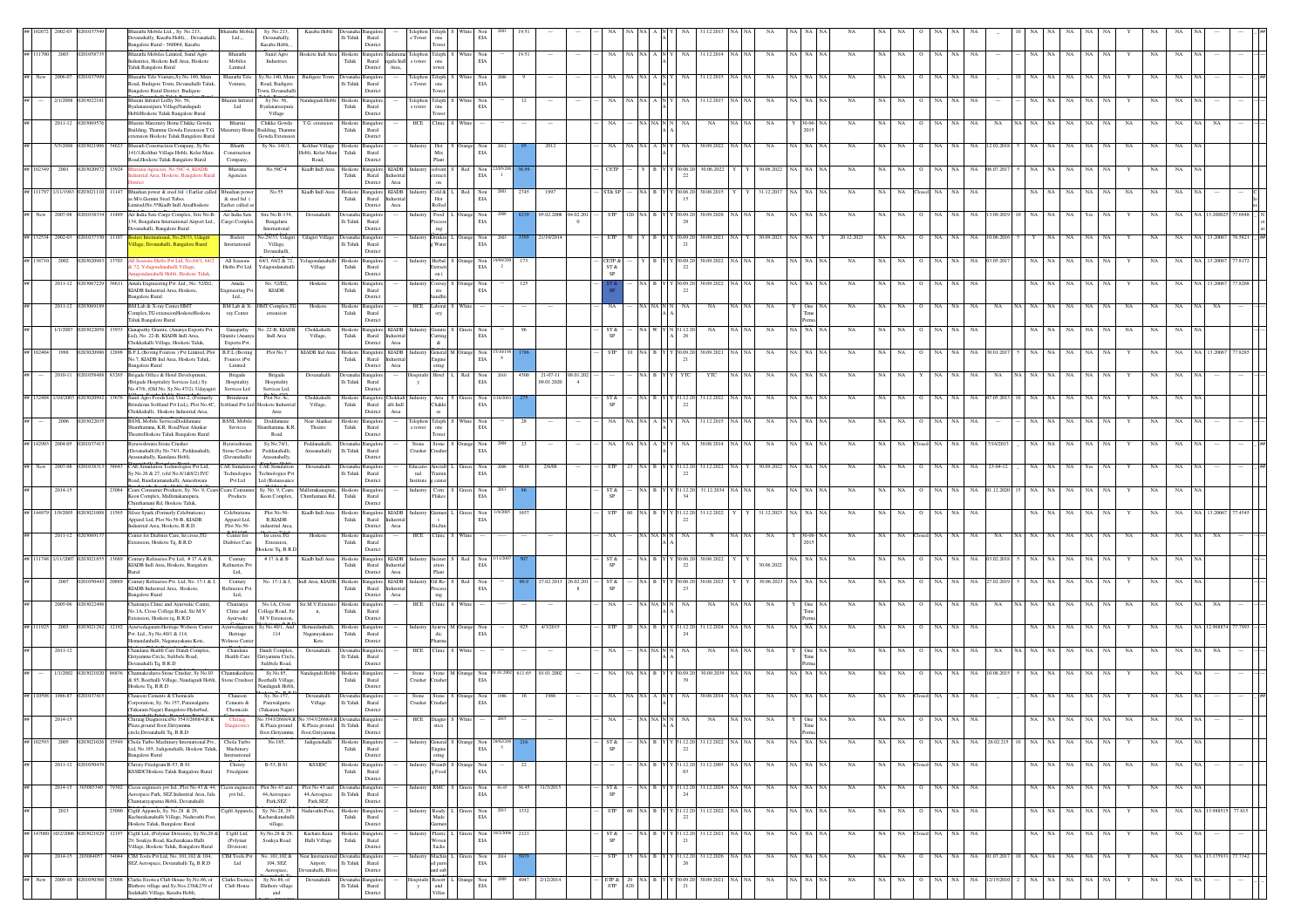|                     |           |       | arathi Mobile Ltd.,, Sy. No.213,<br>harathi Mobi<br>leyanahally, Kasaba Hobli. . Deyanahalli.<br>Ltd.,,<br>Bangalore Rural - 560064, Kasaba                         | Sy. No.213,<br>Devanahally.<br>Kasaba Hobli,                        | Kasaba Hobli                        | $\rm{Ili}$ Taluk         | Rural<br>District                                                                     |                              |                                                                                                                                              | EI/                                                                                                                                |              |                   |           |               |                                                                    |                      |               |                  |       |             |                   |             |             |              |                        |      |                 |       |       |                   |     |           |             |    |                      |        |  |
|---------------------|-----------|-------|---------------------------------------------------------------------------------------------------------------------------------------------------------------------|---------------------------------------------------------------------|-------------------------------------|--------------------------|---------------------------------------------------------------------------------------|------------------------------|----------------------------------------------------------------------------------------------------------------------------------------------|------------------------------------------------------------------------------------------------------------------------------------|--------------|-------------------|-----------|---------------|--------------------------------------------------------------------|----------------------|---------------|------------------|-------|-------------|-------------------|-------------|-------------|--------------|------------------------|------|-----------------|-------|-------|-------------------|-----|-----------|-------------|----|----------------------|--------|--|
| ## 111700 2003      | 02010587  |       | Bharathi Mobiles Limited, Sunil Agro<br>Bharathi<br>Mobiles<br>dustries, Hoskote Indl Area, Hoskote                                                                 | Sunil Agro<br>Industries                                            |                                     | Taluk                    | Hoskote Indl Area Hoskote Bangalore Sadarama<br>Rural ngala Indi                      |                              | Felephon Teleph S<br>e tower one                                                                                                             | Non<br>White<br>EIA                                                                                                                | 19.51        |                   |           |               |                                                                    |                      |               | 31.12.2014 NA NA |       | NA          | NA   NA   NA      | <b>NA</b>   | NA.         | NA.          | NA                     |      | NA              |       |       | NA                |     |           | NA          |    |                      |        |  |
| New<br>2006-07      |           |       | Taluk Bangalore Rural<br>Limited<br>Bharathi Tele Venture, Sy. No. 140, Main<br>Bharathi Tele                                                                       | Sy.No.140, Main                                                     | <b>Sudigere Tow</b>                 | <b>Devana</b>            | District<br>Area,                                                                     |                              | tower                                                                                                                                        |                                                                                                                                    |              |                   |           |               |                                                                    |                      |               | 1.12.2015        |       |             |                   |             |             |              |                        |      |                 |       |       |                   |     |           |             |    |                      |        |  |
|                     |           |       | Road, Budigere Town, Devanahalli Taluk,<br>Venture,<br>Bangalore Rural District. Budigere                                                                           | Road, Budigere<br>wn, Devanahal                                     |                                     | lli Taluk                | Rural<br>District                                                                     | r Tower                      | Feleph<br>one<br>Tower                                                                                                                       | $\rm EIA$                                                                                                                          |              |                   |           |               |                                                                    |                      |               |                  |       |             |                   |             |             |              |                        |      |                 |       |       |                   |     |           |             |    |                      |        |  |
| 2/1/2008            |           |       | Bharati Infratel LtdSy No. 56,<br>Bharati Infra<br>yalanarasipura VillageNandugudi<br>Ltd<br>HobliHoskote Taluk Bangalore Rural                                     | Sy No. 56,<br>Byalanarasipur<br>Village                             | ndugudi Ho                          | loskoto<br>${\rm Taluk}$ | ngalor<br>$\rm{Rural}$<br>District                                                    | :lephor<br>e tower           | eleph<br>one<br>Tower                                                                                                                        | $_{\rm EIA}$                                                                                                                       |              |                   |           |               |                                                                    |                      |               | 31.12.20         |       |             |                   |             |             |              |                        |      |                 |       |       |                   |     |           |             |    |                      |        |  |
| 2011-12             |           |       | Bharini Maternity Home Chikke Gowda<br>Bharini<br>uilding, Thamme Gowda Extension T.G<br>ternity Home                                                               | Chikke Gowda<br>Building, Tham                                      | T.G. extensio                       | Hoskote<br>Taluk         | ingalor<br>Rural                                                                      | HCE                          | <b>Tinic</b>                                                                                                                                 |                                                                                                                                    |              |                   |           |               |                                                                    |                      |               | $_{\rm NA}$      |       |             |                   |             |             |              |                        |      |                 |       |       |                   |     |           |             |    |                      |        |  |
| 5/5/2006            |           |       | xtension Hoskote Taluk Bangalore Rural<br><b>Bharath Construction Company</b> , Sy No.<br>Bharth                                                                    | <b>Jowda</b> Extensio<br>Sv No. 141/1.                              | Kolthur Village                     | Hoskote                  | District<br>Bangalon                                                                  |                              | Hot                                                                                                                                          |                                                                                                                                    |              | 2012              |           |               |                                                                    |                      |               | 30.09.2022       |       |             | A NA NA           |             |             |              |                        |      |                 |       |       |                   |     |           |             |    |                      |        |  |
|                     |           |       | 141/1, Kolthur Village Hobli, Kolar Main<br>Construction<br>Road, Hoskote Taluk Bangalore Rural<br>Company                                                          |                                                                     | lobli, Kolar Main<br>Road.          | Taluk                    | Rural<br>District                                                                     |                              | Mix<br>Plant                                                                                                                                 | EIA                                                                                                                                |              |                   |           |               |                                                                    |                      |               |                  |       |             |                   |             |             |              |                        |      |                 |       |       |                   |     |           |             |    |                      |        |  |
| ## 102349 2001      | 1030209   | 13924 | vana Agencies, No.58C-4, KIADB<br><b>Bhavana</b><br>istrial Area, Hoskote, Bangalore Run<br>Agencies                                                                | No.58C-4                                                            | Kiadb Indl Area                     | Hoskote<br>Taluk         | angalore KIADB<br>Rural Industria<br>District Area                                    |                              | solvent<br>extracti<br>on                                                                                                                    | Red<br>Non<br>EIA                                                                                                                  |              |                   |           |               |                                                                    |                      | 30.06.2<br>22 | 30.06.2022       |       | 30.06.2022  | <b>NA</b>         | NA          |             |              |                        |      | NA              |       |       |                   |     |           |             |    |                      |        |  |
| ## 111797 1/11/198  |           | 11147 | Bhushan power & steel ltd (Earlier called Bhushan pow<br>s M/s.Gemini Steel Tubes<br>& steel ltd (                                                                  | No.55                                                               | Kiadb Indl Area                     | Taluk                    | Hoskote Bangalore KIADB<br>Rural<br>Industria                                         |                              | $\operatorname{Cold}$ & $\;$ L $\;$ Red<br>Hot                                                                                               | Non<br>EIA                                                                                                                         | 2001<br>2745 | 1997              |           |               |                                                                    |                      | 30.06.20      | 30.06.201        |       | 31.12.201   | A NA              | <b>NA</b>   |             |              | NA                     | NA   | <b>NA</b>       |       |       |                   |     |           |             |    |                      |        |  |
| New<br>2007-08      |           |       | imited)No.55Kiadb Indl AreaHoskote<br>Earlier called a<br>Air India Sats Cargo Complex, Site No.B - Air India Sats                                                  | Site No.B-134                                                       | Devanahall                          | <b>Jevana</b>            | District<br>Area<br>angalor                                                           |                              | ${\bf Rolled}$<br>Food I                                                                                                                     | Non                                                                                                                                |              | 05.02.2008        | 34.02.20  |               |                                                                    |                      |               | 80.09.2028       |       |             |                   |             |             |              |                        |      |                 |       |       |                   |     |           |             |    |                      |        |  |
|                     |           |       | 134, Bengaluru International Airport Ltd.,<br>Cargo Complex<br>anahalli, Bangalore Rural                                                                            | Bengaluru<br>International                                          |                                     | li Taluk                 | Rural<br>Distric                                                                      |                              | rocess<br>$\rm{ing}$                                                                                                                         | EIA                                                                                                                                |              |                   |           |               |                                                                    |                      |               |                  |       |             |                   |             |             |              |                        |      |                 |       |       |                   |     |           |             |    |                      |        |  |
| ## 132534 2002-03   |           |       | sleri International, No.29/33, Udagir<br>Bisleri<br>age, Devanahalli, Bangalore Rural<br>International                                                              | Vo.29/33, Udagir<br>Village,<br>Devanahalli.                        | Udagiri Village                     | li Taluk                 | Devanaha Bangalor<br>Rural<br>district                                                |                              | Water                                                                                                                                        | ndustry Drinkin L Orange Non<br>EIA                                                                                                |              | 21/10/2014        |           |               |                                                                    |                      | 30.09.20      | 30.09.2021       |       | 30.09.2021  | A NA              | 20.12.2021  |             |              |                        |      |                 |       |       |                   |     |           |             |    |                      |        |  |
| ## 138710<br>2002   |           |       | All Seasons<br>Seasons Herbs Pvt Ltd, No.64/1, 6<br>72, Yelagondanahalli Village,<br>Herbs Pvt Ltd                                                                  | 4/1, 64/2 & 72<br>'elagondanahall                                   | :lagonda<br>Village                 | Hoskot<br>Taluk          | ngalo<br>Rural                                                                        |                              | Herbal<br>ixtracti                                                                                                                           | Non<br>EIA                                                                                                                         |              |                   |           | ST &          |                                                                    |                      |               | 80.09.2022       |       |             |                   |             |             |              |                        |      |                 |       |       |                   |     |           |             |    |                      |        |  |
| $2011 - 12$         |           |       | ondanahalli Hobli, Hoskote Talul<br>Amala Engineering Pvt. Ltd., No. 52/D2,<br>Amala                                                                                | No. 52/D2                                                           | Hoskote                             | Hoskote<br>Taluk         | District<br>ingaloi                                                                   |                              | on (<br>Convey                                                                                                                               |                                                                                                                                    |              |                   |           | SP            |                                                                    |                      |               | 80.09.2022       |       |             |                   |             |             |              |                        |      |                 |       |       |                   |     |           |             |    |                      |        |  |
|                     |           |       | KIADB Industrial Area, Hoskote,<br>ineering Pv<br>Ltd.,<br><b>Bangalore Rural</b>                                                                                   | <b>KIADB</b>                                                        |                                     |                          | Rural<br>District                                                                     |                              | $\mbox{crs}$<br>andlir                                                                                                                       | EIA<br>13.7 <sub>1</sub>                                                                                                           |              |                   |           |               |                                                                    |                      |               |                  |       |             |                   |             |             |              |                        |      |                 |       |       |                   |     |           |             |    |                      |        |  |
| $2011 - 12$         |           |       | BM Lab & X-ray Center HMT<br>$\rm BM$ Lab & X-<br>omplex.TG extensionHoskoteHoskote<br>ray Center<br>Taluk Bangalore Rural                                          | IMT Complex, TG<br>extension                                        | Hoskote                             | Hoskote<br>Taluk         | ingalori<br>Rural<br>District                                                         |                              | HCE Laborat S<br>ory                                                                                                                         |                                                                                                                                    |              |                   |           |               |                                                                    |                      |               | $_{\rm NA}$      |       | NA          |                   | NA          |             |              |                        |      |                 |       |       |                   |     | NA        |             |    |                      |        |  |
| 1/1/200             |           |       | ananathy Granite, (Ananya Exports Pv<br>Ganapathy<br>Ltd), No. 22-B. KIADB Indl Area.<br>ranite (Anany                                                              | o. 22-B. KIADE<br>Indi Area                                         | Chokkahall<br>Village,              | Hoskot<br>Taluk          | ngalore KIADB<br>Rural Industria                                                      |                              | <b>Granite</b><br>Cutting<br>&                                                                                                               | EIA                                                                                                                                |              |                   |           |               |                                                                    |                      | 1.12.2        | NA               |       | NA          | <b>NA</b>         |             |             |              |                        |      |                 |       |       |                   |     |           |             |    |                      |        |  |
| ## 102404<br>1988   |           |       | Chokkahalli Village, Hoskote Taluk,<br>Exports Pvt<br>B.F.L (Boving Fouress ) Pvt Limited, Plot<br>B.F.L (Boving                                                    | Plot No.7                                                           | KIADB Ind Area                      | Hoskote                  | Area<br>District<br>Bangalore KIADB                                                   |                              | General M Orange                                                                                                                             | Non<br>$_{\rm EIA}$                                                                                                                |              |                   |           |               |                                                                    |                      |               | 30.09.2021       |       |             |                   |             |             |              |                        |      |                 |       |       |                   |     |           |             |    |                      |        |  |
| 2010-11             |           |       | No.7, KIADB Ind Area, Hoskote Taluk,<br>Fouress )Pvt<br><b>Bangalore Rural</b><br>Limited<br>Brigade Office & Hotel Development,<br>Brigade                         | Brigade                                                             | Devanahalli                         | Taluk<br>Devanah         | Rural Industria<br>District<br>Area<br>angalor                                        |                              | $\begin{array}{c} \text{Engine} \\ \text{cing} \end{array}$<br>Hotel L Red                                                                   | Non                                                                                                                                | 4500         | $21-07-11$        | 08.01.202 |               |                                                                    |                      |               | YTC              |       |             |                   | NA          |             |              |                        |      |                 |       |       |                   |     |           |             |    |                      |        |  |
|                     |           |       | (Brigade Hospitality Services Ltd,) Sy.<br>Hospitality<br>No.47/6, (Old No. Sy.No.47/2), Udayagiri<br>Services Ltd                                                  | Hospitality<br>Services Ltd,                                        |                                     | li Taluk                 | Rural<br>District                                                                     |                              |                                                                                                                                              | EIA                                                                                                                                |              | 9.01.2020         |           |               |                                                                    |                      |               |                  |       |             |                   |             |             |              |                        |      |                 |       |       |                   |     |           |             |    |                      |        |  |
| ## 132404<br>/10/20 |           |       | Sunil Agro Foods Ltd, Unit-2, (Formerly<br>Brindavan<br>ndavan Softland Pvt Ltd,), Plot No.4C,<br>oftland Pvt Ltd                                                   | Plot No. 4c,<br>skote Industria                                     | Chokkahall<br>Village,              | Hoskote<br>${\rm Taluk}$ | Bangalore <sup>[C]</sup><br>hokkal<br>alli $\operatorname{Indl}$<br>Rural<br>District |                              | Atta<br>Chakki                                                                                                                               | $_{\rm EIA}$                                                                                                                       |              |                   |           |               |                                                                    |                      | 112.2         | 31.12.2022       |       |             |                   |             |             |              |                        |      |                 |       |       |                   |     |           |             |    |                      |        |  |
| 2006                |           |       | Chokkahalli, Hoskote Industrial Area,<br><b>BSNL Mobile ServicesDoddamane</b><br><b>BSNL</b> Mobi<br>hanthamma, K.R. RoadNear Alankar<br>Services                   | Area<br>Doddamane<br>inthamma, K.R                                  | Near Alankar<br>Theatre             | Hoskote<br>Taluk         | Area<br>Bangalor<br>Rural                                                             |                              | $\rm cs$<br>Teleph<br>one                                                                                                                    | EIA                                                                                                                                |              |                   |           |               |                                                                    |                      |               | 1.12.2015        |       |             |                   |             |             |              |                        |      |                 |       |       |                   |     |           |             |    |                      |        |  |
| ## 142903 2004-05   |           |       | TheatreHoskote Taluk Bangalore Rural<br>raveshwara Stone Crusher<br>Byraveshwa                                                                                      | Road<br>Sy.No.74/1,                                                 | Peddanahalli.                       |                          | District<br>ingalor                                                                   | Stone                        | Tower<br>Stone S Orange                                                                                                                      | Non                                                                                                                                | 2004<br>23   |                   |           |               |                                                                    |                      | NA            | 30.06.2014       | NA NA |             | VA NA NA          | NA          |             |              | NA                     |      | NA<br>16/20     |       |       | NA                |     |           |             |    |                      |        |  |
|                     |           |       | Devanahalli)Sv.No.74/1. Peddanahalli<br>Stone Crusher<br>asanahally, Kundana Hobli,<br>(Devanahalli)                                                                | Peddanahalli.<br>Arasanahally.                                      | Arasanahally                        | lli Taluk                | Rural<br>District                                                                     | Crusher                      | rusher                                                                                                                                       | EIA                                                                                                                                |              |                   |           |               |                                                                    |                      |               |                  |       |             |                   |             |             |              |                        |      |                 |       |       |                   |     |           |             |    |                      |        |  |
| ## New 2007-08      |           |       | CAE Simulation Technologies Pvt Ltd,<br><b>CAE Simul</b><br>Sv.No.26 & 27, (old No.8/1&8/2) IVC<br>Technologie<br>Pvt Ltd<br>oad, Bandaramanahalli, Anneshwara      | CAE Simulat<br>Fechnologies Py<br>.td (Renaissance                  | Devanahalli                         | lli Taluk                | Rural<br>District                                                                     | :ducatio<br>nal<br>institute | ircraft<br>rainin<br>g center                                                                                                                | Non<br>EIA                                                                                                                         | 4816         | 2/6/08            |           |               |                                                                    |                      |               | 31.12.2022       |       | 30.09.2023  |                   | <b>NA</b>   |             |              |                        |      |                 |       |       |                   |     |           |             |    |                      |        |  |
| 2014-15             |           | 3084  | Cears Consumer Products, Sv. No. 9, Cears Cears Consu<br>Keon Complex, Mallimakanapura,<br>Products                                                                 | Sv. No. 9. Cears<br>Keon Complex,                                   | Mallimakanapura.<br>Chinthamani Rd, |                          | Hoskote Bangalore<br>Taluk Rural                                                      |                              | $\begin{tabular}{ c c c c } \hline \textbf{Industry} & \textbf{Com} & \textbf{S} & \textbf{Green} \\ \hline \textbf{Flakes} & \end{tabular}$ | Non<br>EIA                                                                                                                         |              |                   |           | ST &          |                                                                    |                      | 31.12.20      | 31.12.2034       |       | NA          | NA   NA   NA      | <b>NA</b>   |             |              |                        |      |                 |       |       |                   |     |           | NA.         |    |                      |        |  |
| ## 144979 1/9/2005  |           |       | hinthamani Rd, Hoskote Taluk,<br>Silver Spark (Formerly Celebrations)<br><b>Celebrations</b>                                                                        | Plot No.56                                                          | Kiadb Indl.Area                     | Hoskote                  | District<br>Bangalore KIADB                                                           |                              | Garmen                                                                                                                                       | Non                                                                                                                                |              |                   |           |               |                                                                    |                      |               | 31.12.2022       |       | 31.12.202   |                   |             |             |              |                        |      |                 |       |       |                   |     |           |             |    |                      |        |  |
|                     |           |       | Apparel Ltd, Plot No.56-B, KIADB<br>Apparel Ltd,<br>Plot No.56-<br>strial Area, Hoskote, B.R.D.                                                                     | B, KIADB<br>ndustrial Area                                          |                                     | Taluk                    | Rural<br>Industria<br>District<br>Area                                                |                              | itichin                                                                                                                                      | EIA                                                                                                                                |              |                   |           |               |                                                                    |                      |               |                  |       |             |                   |             |             |              |                        |      |                 |       |       |                   |     |           |             |    |                      |        |  |
| $2011 - 12$         |           |       | enter for Diabites Care, Ist cross, TG<br>Center for<br>Diabites Care<br>tension, Hoskote Tq, B.R.D                                                                 | Ist cross, TG<br>Extension,<br>skote Tq, B.R.D                      | Hoskot                              | Hoskote<br>Taluk         | Bangalor<br>Rural<br>District                                                         | HCE                          | 'linic                                                                                                                                       |                                                                                                                                    |              |                   |           |               |                                                                    |                      |               |                  |       |             |                   |             |             |              |                        |      |                 |       |       |                   |     |           |             |    |                      |        |  |
| ## 111748 1/11/200  |           |       | 3689 Century Refineries Pvt Ltd, #17 A & B,<br>Century<br>KIADB Indl Area, Hoskote, Bangalore<br>Refineries Pv                                                      | #17 A & B                                                           | Kiadb Indl Area                     | Hoskote<br>Taluk         | Bangalore KIADB<br>Rural<br>Industria                                                 |                              | dustry Inciner<br>ation                                                                                                                      | Non<br>EIA                                                                                                                         |              |                   |           | ST &          |                                                                    |                      | 30.06.2<br>22 | 30.06.2022       |       | 30.06.2022  |                   | NA          |             |              |                        |      |                 |       |       |                   |     |           |             |    |                      |        |  |
|                     |           |       | Ltd,<br>lent<br>Century Refineries Pvt. Ltd, No. 17-1 & J,<br>Century                                                                                               | No. 17-1 & J,                                                       | Indl Area, KIADB, Hoskote           |                          | District<br>Area<br>Bangalore KIADB                                                   |                              | Plant<br>Oil Re-                                                                                                                             |                                                                                                                                    |              | 27.02.2013        | 26.02.20  |               |                                                                    |                      |               | 30.06.202        |       |             |                   |             |             |              |                        |      |                 |       |       |                   |     |           |             |    |                      |        |  |
|                     |           |       | KIADB Industrial Area, Hoskote,<br>Refineries Pvt<br><b>Bangalore Rural</b><br>Ltd,                                                                                 |                                                                     |                                     | Taluk                    | Rural<br>Industria<br>District<br>Area                                                |                              | rocess<br>ing                                                                                                                                | EIA                                                                                                                                |              |                   | 8         |               |                                                                    |                      |               |                  |       |             |                   |             |             |              |                        |      |                 |       |       |                   |     |           |             |    |                      |        |  |
| 2005-06             |           |       | haitanya Clinic and Ayurvedic Centr<br>Chaitanya<br>Clinic and<br>No.1A, Cross College Road, Sir M V<br>ixtension, Hoskote tq, B.R.D<br>Avurvedic                   | No. I.A. Cross<br><b>College Road</b> , Sir<br><b>M V Extension</b> | Sir.M.V.Exter<br>n,                 | Hoskot<br>Taluk          | ngalo<br>Rural<br>District                                                            |                              | HCE Clinic                                                                                                                                   |                                                                                                                                    |              |                   |           |               |                                                                    |                      |               | NA               |       | NA          |                   |             |             |              |                        |      |                 |       |       |                   |     |           |             |    |                      |        |  |
| ## 111925 2003      | 2030212   |       | 2192 Avurvedagaram Heritage Welness Cente<br>Ayurvedagaram<br>Pvt. Ltd., Sy No.40/1 & 114,<br>Heritage                                                              | Sv No.40/1, And<br>114                                              | Hemandanhalli.<br>Naganayakana      | Hoskote<br>Taluk         | Bangalon<br>Runal                                                                     |                              | Industry Ayurve M Orange<br>dic                                                                                                              | Non<br>EIA                                                                                                                         | 925          | 4/3/2015          |           |               |                                                                    |                      | $Y$ 31.12.20  | 31.12.2024 NA NA |       | NA          | VA NA NA          | <b>NA</b>   |             |              |                        |      |                 |       |       |                   |     |           |             |    |                      |        |  |
| 2011-12             |           |       | lemandanhalli, Naganayakana Kote,<br>Welness Cente<br>Chandana Health Care Dandi Complex<br>Chandana                                                                | Jandi Comple:                                                       | Kote<br>Devanahall                  |                          | District<br>nealo                                                                     | HCE                          | harma<br>linic <sup>1</sup>                                                                                                                  |                                                                                                                                    |              |                   |           |               |                                                                    |                      |               | NA               |       |             |                   |             |             |              |                        |      |                 |       |       |                   |     |           |             |    |                      |        |  |
| 1/1/2002            |           |       | Health Care<br>Giriyamma Circle, Sulibele Road,<br>Devanahalli Tq, B.R.D<br>Channakeshava Stone Crusher, Sy.No.03<br>Channakeshav                                   | iiriyamma Circle<br>Sulibele Road,<br>Sy.No.85,                     | landagudi Hobli                     | lli Taluk<br>Hoskote     | Rural<br>District<br>ngalor                                                           | Stone                        | Stone M Orange                                                                                                                               | Non                                                                                                                                |              | 611.65 01.01.2002 |           |               |                                                                    |                      | 130.09.2      | 30.09.2039       |       |             | NA.               | NA          |             |              |                        |      |                 |       |       |                   |     |           |             |    |                      |        |  |
|                     |           |       | & 85, Beerhalli Village, Nandagudi Hobli,<br>Stone Crushser<br>Hoskote Tq, B.R.D                                                                                    | Beerhalli Village<br>andagudi Hobl                                  |                                     | ${\rm Taluk}$            | Rural<br>Distric                                                                      | Crusher                      | usher                                                                                                                                        | EIA                                                                                                                                |              |                   |           |               |                                                                    |                      |               |                  |       |             |                   |             |             |              |                        |      |                 |       |       |                   |     |           |             |    |                      |        |  |
| ## 110598<br>1986-8 |           |       | hauson Cements & Chemicals<br>Chausor<br>orporation, Sy. No.157, Parawalgutta<br>Cements &                                                                          | Sy. No.157,<br>Parawalgutta                                         | Devanahall<br>Village               | $\rm Ili$ Taluk          | Bangalo<br>Rural                                                                      | Crusher                      | Stone Stone S<br>usher                                                                                                                       | Non<br>EIA                                                                                                                         |              |                   |           |               |                                                                    |                      |               | 80.06.201        |       |             |                   |             |             |              |                        |      |                 |       |       |                   |     |           |             |    |                      |        |  |
| $2014 - 1$          |           |       | (Tukaram Nagar) Bangalore-Hyderbad,<br>Chemicals<br>Chiraag DiagnosticsNo 3543/2668/4,R K<br>Plaza ground floor, Giriyamma                                          | Tukaram Nagar)<br>Vo 3543/2668/4 R                                  | K Plaza ground Ili Taluk            |                          | District<br>Rural                                                                     |                              | stics                                                                                                                                        |                                                                                                                                    |              |                   |           |               |                                                                    |                      |               |                  |       |             | Time              |             |             |              |                        |      |                 |       |       |                   |     |           |             |    |                      |        |  |
| ## 102593<br>2005   | 203021026 | 15549 | circle,Devanahalli Tq, B.R.D<br>Chola Turbo Machinery International Pvt., Chola Turbo                                                                               | K Plaza ground<br>floor, Giriyamma<br>No.185,                       | floor.Giriyamma<br>Jadigenehalli    | Hoskote                  | District<br>Bangalon                                                                  |                              | General S Orange                                                                                                                             |                                                                                                                                    | Non 28/02/20 |                   |           | ST &          |                                                                    | NA B Y Y 31.12.20    |               | 31.12.2022       | NA NA | NA          | Perma<br>NA NA NA | NA          | NA          | NA           | NA                     | NA   | NA 28.02.215 10 | NA I  | NA    | NA<br>$_{\rm NA}$ | NA  |           | NA          | NA |                      |        |  |
|                     |           |       | Ltd. No.185. Jadigenehalli. Hoskote Taluk.<br>Machinery<br>Bangalore Rural<br>International                                                                         |                                                                     |                                     | Taluk                    | Rural<br>District                                                                     |                              | ngine<br>ering                                                                                                                               | EIA                                                                                                                                |              |                   |           |               |                                                                    |                      |               |                  |       |             |                   |             |             |              |                        |      |                 |       |       |                   |     |           |             |    |                      |        |  |
| 2011-12             |           |       | Christy Friederam B-53, B 61<br>Christy<br><b>KSSIDCHoskote Taluk Bangalore Rural</b><br>Friedgram                                                                  | B-53, B 61                                                          | <b>KSSIDC</b>                       | Hoskote<br>Taluk         | Bangalor<br>Rural<br>District                                                         |                              | canib S Ora<br>Food                                                                                                                          | Non<br>EIA                                                                                                                         | 22           |                   |           |               |                                                                    |                      | 131.12.20     | 31.12.2003 NA NA |       | NA          | NA NA NA          | NA          | NA          | NA Closed NA |                        | NA I | NA              | NA NA |       | NA<br>NA.         | NA. | <b>NA</b> | NA.         | NA |                      |        |  |
| 2014-15             | 03085340  |       | 79302 Cicon engineers pvt Itd., Plot No 43 & 44, Cicon enginee<br>erospace Park, SEZ Industrial Area, Jala<br>pvt Itd.,                                             | Plot No 43 and<br>44, Aerospace                                     | Plot No 43 and<br>44, Aerospace     | Devanah<br>lli Taluk     | Bangalor<br>Rural                                                                     |                              | RMC                                                                                                                                          | Non<br>$\rm EIA$                                                                                                                   | 36.45        | 31/3/2019         |           | ST &          |                                                                    |                      | 31.12.20      | 31.12.2024 NA NA |       | NA          | IA NA NA          | NA          | NA          | NA.          | NA                     |      | NA              | NA    | NA.   | NA<br>NA          | NA  |           | NA          | NA |                      |        |  |
| 2013                |           |       | innarayapatna Hobli, Devanahalli<br>23090 Cigfil Apparels, Sy. No.28 & 29,<br>Cigfil Apparels                                                                       | Park, SEZ<br>Sy. No.28, 29                                          | Park, SEZ<br>Naduvathi Post,        |                          | District<br>Hoskote Bangalore                                                         |                              | industry Ready L                                                                                                                             | Green Non                                                                                                                          | 1332<br>2013 |                   |           | <b>STP</b>    |                                                                    | 60 NA B Y Y 31.12.20 |               | 31.12.2022 NA NA |       | NA          | NA NA NA          | NA          | NA          | NA           | $_{\rm NA}$<br>$\circ$ | NA   | NA              |       | NA NA | NA<br>$_{\rm NA}$ | NA  | Y         | NA          | NA | NA 13.988515         | 77.815 |  |
|                     |           |       | Kacharakanahalli Village, Naduvathi Pos<br>Hoskote Taluk, Bangalore Rural                                                                                           | acharakanaha<br>village,                                            |                                     | ${\rm Taluk}$            | Rural<br>District                                                                     |                              | Made<br><b>Jarmen</b>                                                                                                                        | EIA                                                                                                                                |              |                   |           |               |                                                                    |                      |               |                  |       |             |                   |             |             |              |                        |      |                 |       |       |                   |     |           |             |    |                      |        |  |
| 10/2/200            |           |       | Cigfil Ltd, (Polymer Division), Sy.No,28 &<br>Cigfil Ltd,<br>29, Soukya Road, Kacharakana Halli<br>(Polymer<br>Village, Hoskote Taluk, Bangalore Rural<br>Division) | Sy.No,28 & 29<br>Soukya Road                                        | Kachara Kana<br>Halli Village       | Hoskote<br>${\rm Taluk}$ | Bangalor<br>Rural<br>District                                                         |                              | Plastic<br>Woven<br>Sacks                                                                                                                    | Non<br>$_{\rm EIA}$                                                                                                                | 2121         |                   |           | ST &          |                                                                    |                      |               | 31.12.2021       |       | NA          |                   | NA          |             | NA           |                        |      | NA              |       |       | NA                |     |           |             |    |                      |        |  |
| 2014-15             | 203084057 |       | 34044 CIM Tools Pvt Ltd, No. 101, 102 & 104,<br>CIM Tools Pvt<br>SEZ Aerospace, Devanahalli Tq, B.R.D<br>Ltd                                                        | No. 101,102 &<br>104, SEZ                                           | ear Internatio<br>Airport,          | Ili Taluk                | <b>Bangalor</b><br>Rural                                                              |                              | ndustry Machin<br>ed parts                                                                                                                   | Non<br>EIA                                                                                                                         |              |                   |           | STP           |                                                                    |                      | $Y$ 31.12.2   | 31.12.2026 NA NA |       | $_{\rm NA}$ | NA NA NA          | $_{\rm NA}$ | $_{\rm NA}$ | $_{\rm NA}$  | NA                     | NA   | NA 01.07.201    | NA    | NA    | NA<br>$_{\rm NA}$ | NA  |           | $_{\rm NA}$ | NA | NA 13.175931 77.7342 |        |  |
| ## New 2009-10      |           |       | 1050366 23098 Clarks Exotica Club House Sy.No.86, of Clarks Exotica                                                                                                 | Aerospace,<br>Sy.No.86, of                                          | vanahalli, Blo<br>Devanahalli       | Devanaha Ba              | District<br>ingalori                                                                  |                              | and sub                                                                                                                                      | $\begin{tabular}{llll} \bf spitalit &\bf Resort & \bf L &\bf Orange &\bf Non \\ \bf y & \  \  \, and & \  \  \, EIA \end{tabular}$ | 4047         | 2/12/2014         |           | $\rm ETP\,\&$ | $\begin{array}{cc} 20 & \text{NA} & \text{B} \\ 420 & \end{array}$ |                      | Y 30.09.20    | 30.09.2021 NA NA |       | NA          | NA NA NA          | NA          | NA          | NA           | NA                     | NA   | NA 12/15/20     | NA.   | NA    | NA<br>NA          | NA  |           | NA          | NA |                      |        |  |
|                     |           |       | Illathore village and Sy.Nos.238&239 of<br>Club House<br>adahalli Village, Kasaba Hobli,                                                                            | <b>Illathore</b> village<br>and                                     |                                     | lli Taluk                | Rural<br>Distric                                                                      |                              | Villas                                                                                                                                       |                                                                                                                                    |              |                   |           | <b>STP</b>    |                                                                    |                      |               |                  |       |             |                   |             |             |              |                        |      |                 |       |       |                   |     |           |             |    |                      |        |  |

Devanahalli Taluk, Bangalore Rural

Sy.Nos.238&239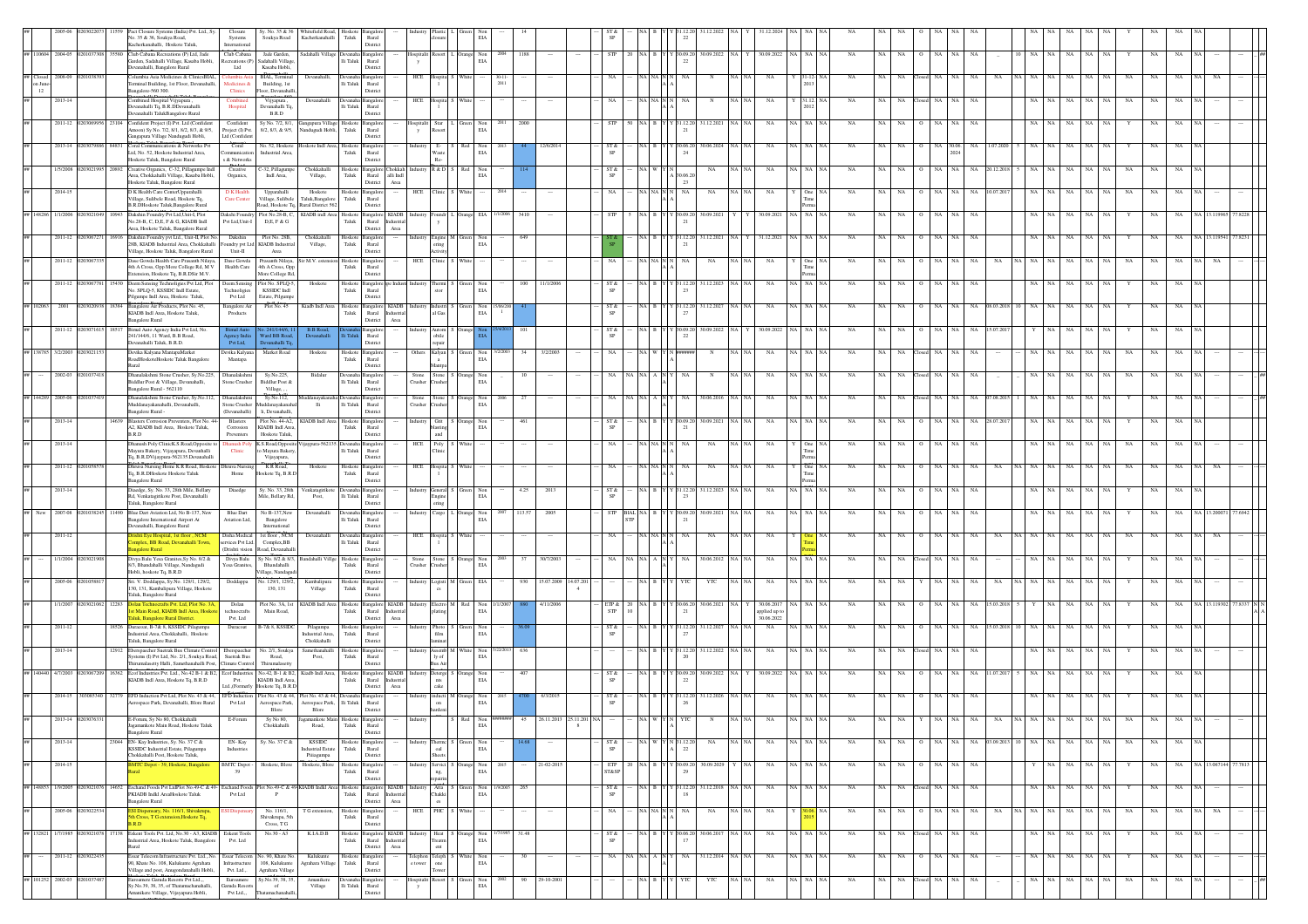|                                                                                                                                                                        |                   |                           | Pact Closure Systems (India) Pvt. Ltd., Sy<br>No. 35 & 36, Soukya Road,<br>Kacherkanahalli. Hoskote Taluk                                                                                                                             | Closure<br>Systems<br>International                   | Sy. No. 35 & 36<br>Soukya Road                                      | Whitefield Road, Hoskote Bangale<br>Kacherkanahalli Taluk Rural            |                        | Rural<br>District                                              |                  |                                                          | EIA                                                                      |          |                  |         |                     |             |                                                                    |                   |                  |          |                            |           |                 |     |             |               |       |             |                        |                   |             |                   |             |             |                 |                      |  |
|------------------------------------------------------------------------------------------------------------------------------------------------------------------------|-------------------|---------------------------|---------------------------------------------------------------------------------------------------------------------------------------------------------------------------------------------------------------------------------------|-------------------------------------------------------|---------------------------------------------------------------------|----------------------------------------------------------------------------|------------------------|----------------------------------------------------------------|------------------|----------------------------------------------------------|--------------------------------------------------------------------------|----------|------------------|---------|---------------------|-------------|--------------------------------------------------------------------|-------------------|------------------|----------|----------------------------|-----------|-----------------|-----|-------------|---------------|-------|-------------|------------------------|-------------------|-------------|-------------------|-------------|-------------|-----------------|----------------------|--|
| ## 110604 2004-05                                                                                                                                                      |                   |                           | 35580 Club Cabana Recreations (P) Ltd, Jade<br>Garden, Sadahalli Village, Kasaba Hobli,<br>Devanahalli, Bangalore Rural                                                                                                               | Club Cabana<br>Ltd                                    | Jade Garden,<br>Recreations (P) Sadahalli Village<br>Kasaba Hobli.  | Sadahalli Villag                                                           | Ili Taluk              | Rural<br>Distric                                               |                  | spitalit Resort                                          | $\begin{tabular}{ll} \bf{Orange} & \bf{Non} \\ \bf{ELA} & \end{tabular}$ | 2004     | 1188             |         | <b>STP</b>          |             |                                                                    | Y 30.09.2         | 30.09.2022 NA    |          | 30.09.2022                 | NA NA     | NA              | NA  | NA          | NA            | NA.   | NA          |                        | NA 1<br>NA        | NA          | $_{\rm NA}$       |             | NA          | NA              |                      |  |
| $\begin{tabular}{ll} \hline # \thinspace \end{tabular} \begin{tabular}{ll} \hline & \multicolumn{3}{c}{\textbf{2008-09}} \\ \hline on June-12 \\ \hline \end{tabular}$ |                   |                           | `olumbia Asia Medicines & ClinicsBIAL<br>Terminal Building, 1st Floor, Devanahalli,<br>Bangalore-560 300.                                                                                                                             | lumbia Asi<br>Medicines &<br><b>Clinics</b>           | <b>BIAL</b> Termin<br>Building, 1st<br>Toor, Devanahal              | Devanahalli                                                                | lli Taluk              | Rural                                                          | HCE              |                                                          |                                                                          | 2011     |                  |         |                     |             |                                                                    |                   |                  |          |                            |           |                 |     |             |               |       |             |                        |                   |             |                   |             |             |                 |                      |  |
| ##                                                                                                                                                                     | 2013-14           |                           | Combined Hospital Vijyapura,<br>Devanahalli Tq, B.R.DDevanahalli                                                                                                                                                                      | Combine<br>Hospital                                   | Vijyapura.<br>Devanahalli Tq.                                       | Devanahall                                                                 | lli Taluk              | District<br>Rural                                              | HCE              | fospita                                                  |                                                                          |          |                  |         |                     |             |                                                                    |                   |                  |          | NA                         |           |                 |     |             |               |       |             |                        |                   |             |                   |             |             |                 |                      |  |
|                                                                                                                                                                        | 2011-12 020306    |                           | vanahalli TalukBangalore Rural<br>23104 Confident Project (I) Pvt. Ltd (Confident<br>Amoon) Sy No. 7/2, 8/1, 8/2, 8/3, & 9/5,                                                                                                         | Confident<br>Project (I) Pvt.                         | B.R.D<br>Sy No. 7/2, 8/1,<br>8/2, 8/3, & 9/5,                       | Gangapura Village Hoskote Bangalo<br>andugudi Hobli,                       | ${\rm Tauk}$           | Distric<br>Rural                                               |                  | lospitalit Star<br>tesort                                | Green Non<br>$_{\rm EIA}$                                                |          | 2000             |         |                     |             |                                                                    | Y 31.12.20        | 31.12.2021       |          | NA                         | iA∣NA     | NA              |     |             |               |       | NA          |                        |                   |             | NA.               |             |             |                 |                      |  |
|                                                                                                                                                                        | 2013-14           |                           | Gangapura Village Nandugudi Hobli,<br>Coral Communications & Networks Pvt<br>Ltd, No. 52, Hoskote Industrial Area,                                                                                                                    | Ltd (Confident<br>Coral<br>ommunication               | No. 52, Hoskot<br>Industrial Area                                   | skote Indl Area, Hoskote                                                   |                        | District<br>Bangalor                                           |                  |                                                          | Non                                                                      |          |                  |         |                     |             |                                                                    |                   | 80.06.2024       |          |                            |           |                 |     |             |               |       |             |                        |                   |             |                   |             |             |                 |                      |  |
|                                                                                                                                                                        | 1/5/2008          |                           | Hoskote Taluk, Bangalore Rural<br>Creative Organics, C-32, Pillagumpe Indl                                                                                                                                                            | s & Networks<br>Creative                              | -32, Pillagump                                                      | Chokkahalli                                                                | ${\rm T}$ aluk         | Rural<br>District<br>Hoskote Bangalore Chokkah                 |                  | Waste<br>Re-<br>R & D                                    | $_{\rm EIA}$<br>Red<br>Non                                               |          |                  |         | ST &                |             |                                                                    |                   | $_{\rm NA}$      | NA N     |                            |           | NA              |     |             |               |       |             |                        |                   |             |                   |             |             |                 |                      |  |
|                                                                                                                                                                        | 2014-15           |                           | Area, Chokkahalli Village, Kasaba Hobli,<br>Hoskote Taluk, Bangalore Rural<br>D K Health Care CenterUpparahalli                                                                                                                       | Organics,<br>D K Health                               | Indl Area,<br>Upparahalli                                           | Village,<br>Hoskote                                                        | Taluk                  | Rural<br>alli Indi<br>District<br>Area<br>Hoskote Bangalore    | HCE              | linic                                                    | EIA<br>White                                                             |          |                  |         |                     |             |                                                                    | 0.063<br>23<br>NA | NA               | $NA$ $N$ | NA                         | One       | NA              |     |             |               |       | NA          |                        |                   |             | NA                |             | NA          |                 |                      |  |
| ## 148286 1/1/2006                                                                                                                                                     |                   | 0941                      | Village, Sulibele Road, Hoskote Tq,<br>B.R.DHoskote Taluk.Bangalore Rural<br>Dakshin Foundry Pvt Ltd.Unit-L Plot                                                                                                                      | <b>Care Center</b><br>Dakshi Foundry                  | Village, Sulibele<br>Plot No.28-B, C.                               | Taluk.Bangalore<br>Road, Hoskote Tq, Rural District 562<br>KIADB indl Area | Taluk<br>Hoskote       | Rural<br>District                                              |                  | oundr                                                    | . Orange EIA                                                             |          | 3410             |         |                     |             |                                                                    |                   | 30.09.2021       |          | 30.09.2021                 | A I NA    | NA              |     |             |               |       | NA          |                        |                   |             | NA                |             | NA          |                 |                      |  |
|                                                                                                                                                                        |                   |                           | No.28-B, C, D,E, F & G, KIADB Indl<br>Area, Hoskote Taluk, Bangalore Rural                                                                                                                                                            | Pvt Ltd.Unit-I                                        | D.E. F & G                                                          |                                                                            | Taluk                  | Bangalore KIADB<br>Rural<br>Industria<br>Area<br>District      |                  |                                                          |                                                                          |          |                  |         |                     |             |                                                                    |                   |                  |          |                            |           |                 |     |             |               |       |             |                        |                   |             |                   |             |             |                 |                      |  |
|                                                                                                                                                                        |                   | 2011-12 02030672<br>16916 | Dakshin Foundry pvt Ltd., Unit-II, Plot No.<br>28B, KIADB Industrial Area, Chokkahalli<br>'illage, Hoskote Taluk, Bangalore Rural                                                                                                     | Dakshin<br>Unit-II                                    | Plot No. 28B.<br>undry pvt Ltd KIADB Industrial<br>Area             | Chokkahalli<br>Village,                                                    | Taluk                  | Hoskote Bangalore<br>Rural<br>District                         | Industry         | ring                                                     | Engine M Green Non<br>EIA                                                |          | 649              |         |                     |             |                                                                    | Y 31.12.20        | 31.12.2021 NA Y  |          | 31.12.2021                 | NA NA NA  | NA              | NA. | NA.         | NA            | NA.   | <b>NA</b>   |                        | NA                |             | NA                |             | NA          |                 |                      |  |
|                                                                                                                                                                        | 2011-12 0203067   |                           | Dase Gowda Health Care Prasanth Nilaya,<br>4th A Cross, Opp More College Rd, M V<br>ctension, Hoskote Tq, B.R.DSir M.V.                                                                                                               | Dase Gowda<br>Health Care                             | Prasanth Nilaya,<br>4th A Cross, Opp<br>More College Rd,            | Sir M.V. ester                                                             | Hoskote<br>Taluk       | angalo<br>Rural<br>Distric                                     | HCE              | <b>Tinic</b>                                             |                                                                          |          |                  |         |                     |             |                                                                    |                   | NA               |          | NA                         |           | NA              |     |             |               |       |             |                        |                   |             |                   |             |             |                 |                      |  |
|                                                                                                                                                                        | 2011-12           |                           | Deem Sensing Technoligies Pvt Ltd, Plot<br>No. SPLQ-5, KSSIDC Indl Estate,<br>'ilgumpe Indl Area, Hoskote Taluk,                                                                                                                      | Deem Sensing<br>Technoligies<br>Pvt Ltd               | Plot No. SPLQ-5<br>KSSIDC Indi<br>Estate, Pilgump                   | Hoskote                                                                    | Hoskote<br>Taluk       | langalore n<br>Rural<br>Distric                                |                  | Thermi                                                   | Non<br>$_{\rm EIA}$                                                      |          | 11/1/200         |         |                     |             |                                                                    |                   | 31.12.2023       |          |                            | <b>NA</b> |                 |     |             |               |       |             |                        |                   |             |                   |             |             |                 |                      |  |
| ## 102063 2001                                                                                                                                                         |                   | 18384                     | Bangalore Air Products, Plot No. 45,<br>KIADB Indl Area, Hoskote Taluk,                                                                                                                                                               | <b>Bangalore Air</b><br>Products                      | Plot No. 45                                                         | Kiadb Indl Area Hoskote Bangalore KIADB                                    | Taluk                  | Rural Industria                                                |                  | <b>Istry</b> Industri<br>al Gas                          | $\begin{tabular}{ll} Green & Non\\ ELA \\ \end{tabular}$                 |          |                  |         | ST &                |             |                                                                    |                   | 31.12.2027       |          | $_{\rm NA}$                | A NA      | NA              |     |             |               |       |             |                        |                   |             | $_{\rm NA}$       |             | NA          | NA              |                      |  |
|                                                                                                                                                                        | 2011-12           |                           | <b>Bangalore Rural</b><br>Bimal Auto Agency India Pvt Ltd, No<br>241/144/6, 11 Ward, B.B Road,                                                                                                                                        | kgency India<br>Pvt Ltd,                              | Vard BB Road                                                        | Devanahalli                                                                |                        | District<br>Area<br>Rural                                      |                  | Autom<br>obile                                           |                                                                          |          |                  |         |                     |             |                                                                    |                   | 80.09.2022       |          | 30.09.202                  |           |                 |     |             |               |       |             |                        |                   |             |                   |             |             |                 |                      |  |
| ## 138785 3/2/2003                                                                                                                                                     |                   |                           | Devanahalli Taluk, B.R.D.<br>Devika Kalyana MantapaMarket<br>RoadHoskoteHoskote Taluk Bangalore                                                                                                                                       | Devika Kalyana<br>Mantapa                             | levanahalli Te<br>Market Road                                       | Hoskote                                                                    | Hoskot<br>Taluk        | District<br>angalo<br>Rural                                    | Others           | epair<br>Kalyan<br>$\mathbf{a}$                          | Non<br>EIA                                                               |          | 3/2/2002         |         |                     |             |                                                                    |                   |                  |          |                            |           |                 |     |             |               |       |             |                        |                   |             | NA                |             |             |                 |                      |  |
|                                                                                                                                                                        | 2002-03           |                           | Rural<br>Dhanalakshmi Stone Crusher, Sv.No.225.<br>Biddlur Post & Village, Devanahalli,                                                                                                                                               | Dhanalakshmi<br>Stone Crusher                         | Sv.No.225.<br>Biddlur Post &                                        | Bidalur                                                                    | Devanah<br>lli Taluk   | District<br>nealo<br>Rural                                     | Stone<br>Crusher | Aantpa                                                   | Stone S Orange Non<br>Crusher EIA                                        |          |                  |         |                     |             |                                                                    |                   | N                | NA NA    | NA                         | A I NA    | <b>NA</b>       |     |             |               |       | NA          |                        |                   |             | NA                |             | NA          |                 |                      |  |
| ## 144289 2005-06                                                                                                                                                      |                   |                           | Bangalore Rural - 562110<br>Dhanalakshmi Stone Crusher, Sy.No.112,                                                                                                                                                                    | Dhanalakshmi                                          | Village, , ,<br>Sy.No.112,                                          |                                                                            |                        | District                                                       | Stone            | Stone                                                    | ange Non                                                                 |          |                  |         |                     |             |                                                                    |                   | 30.06.2016       |          |                            |           |                 |     |             |               |       |             |                        |                   |             |                   |             |             |                 |                      |  |
|                                                                                                                                                                        | 2013-14           | 14639                     | Muddanayakanahalli, Devanahalli,<br>Bangalore Rural -<br>Blasters Corrosion Preventers, Plot No. 44-                                                                                                                                  | (Devanahalli)<br>Blasters                             | Stone Crusher Muddanayakanah<br>li, Devanahalli,<br>Plot No. 44-A2, | lli<br>KIADB Indl Area Hoskote                                             | $\rm{Hi}$ Taluk        | Rural<br>District<br><b>Bangalo</b>                            | Crusher          | rusher<br>Grit                                           | $_{\rm EIA}$<br>Orange Non                                               |          | 461              |         | ST &                |             |                                                                    | Y 30.09.20        | 30.09.2021       | NA NA    | NA                         | ia∣NA     | NA              | NA. | NA.         |               |       | NA.         | 28.07.201              |                   |             | NA                |             | NA          | NA              |                      |  |
| ##                                                                                                                                                                     | 2013-14           |                           | A2, KIADB Indl Area, Hoskote Taluk,<br>B.R.D<br>Dhanush Poly ClinicK.S.Road,Opposite to                                                                                                                                               | Corrosion<br>Preventers<br><b>Ohanush</b> Pol         | KIADB Indl Area<br>Hoskote Taluk,<br>K.S.Road, Opposi               | ijaypura-56213                                                             | ${\rm T}$ aluk         | Rural<br>District<br>Bangalo                                   | HCE              | asting<br>$\quad$ and<br>Poly                            | $_{\rm EIA}$<br>White                                                    |          |                  |         |                     |             |                                                                    |                   | NA               | NA NA    | NA                         |           | NA              | NA  | $_{\rm NA}$ | $_{\rm NA}$   |       |             |                        |                   |             | $_{\rm NA}$       |             |             |                 |                      |  |
|                                                                                                                                                                        |                   |                           | Mayura Bakery, Vijayapura, Devanhalli<br>Tq, B.R.DVijaypura-562135.Devanahalli                                                                                                                                                        | Clinic                                                | to Mayura Bakery<br>Vijayapura,                                     |                                                                            | $\rm Ili$ Taluk        | Rural<br>District                                              |                  |                                                          |                                                                          |          |                  |         |                     |             |                                                                    |                   |                  |          |                            |           |                 |     |             |               |       |             |                        |                   |             |                   |             |             |                 |                      |  |
|                                                                                                                                                                        | 2011-12           |                           | Dhruva Nursing Home K R Road, Hoskote<br>Tq, B.R.DHoskote Hoskote Taluk<br><b>Bangalore Rural</b>                                                                                                                                     | ruva Nu<br>Home                                       | KR Road<br>Hoskote Tq, B.R.I                                        | Hosko                                                                      | Hoskot<br>Taluk        | ngalor<br>Rural<br>District                                    | HCE              | fospita                                                  |                                                                          |          |                  |         |                     |             |                                                                    |                   | NA               |          |                            |           |                 |     |             |               |       |             |                        |                   |             |                   |             |             |                 |                      |  |
|                                                                                                                                                                        | $2013 - 14$       |                           | Diaedge, Sy. No. 33, 28th Mile, Bellary<br>Rd, Venkatagirikote Post, Devanahalli<br>Taluk, Bangalore Rural                                                                                                                            | Diacdge                                               | Sy. No. 33, 28th<br>Mile, Bellary Rd                                | Venkatagirike<br>Post.                                                     | lli Taluk              | angalo<br>Rural<br>Distric                                     |                  | <b>General</b><br>ngin<br>ering                          | Non<br>EIA                                                               |          | 4.25<br>2013     |         | ST &                |             |                                                                    | Y 31.12.20        | 31.12.2023       |          | NA                         | A NA      | NA              | NA  | NA          | NA            | NA.   | NA          |                        | NA                |             | NA                |             | NA          | NA              |                      |  |
| ## New 2007-08                                                                                                                                                         |                   |                           | 1490 Blue Dart Aviation Ltd. No B-137, New<br>Bangalore International Airport At<br>Devanahalli, Bangalore Rural                                                                                                                      | <b>Blue Dart</b><br>Aviation Ltd.                     | No B-137. New<br>Bangalore<br>International                         | Devanahall                                                                 | Ili Taluk              | Rural<br>District                                              |                  | Cargo                                                    | ange Non<br>EIA                                                          |          | 113.57<br>2005   |         |                     | <b>BIAL</b> |                                                                    |                   | 30.09.2021       | NA NA    | <b>NA</b>                  | (A   NA   | <b>NA</b>       |     |             |               |       | <b>NA</b>   |                        |                   |             |                   |             |             |                 |                      |  |
|                                                                                                                                                                        | 2011-12           |                           | ishti Eye Hospital, 1st floor, NCM<br>omplex, BB Road, Devanahalli Town,<br>calore Rural                                                                                                                                              | Disha Medical<br>services Pvt Ltd.<br>(Drishti vision | 1st floor, NCM<br>Complex, BB<br>Road, Devanahal                    | Devanahall                                                                 | lli Taluk              | angalo<br>Rural<br>Distric                                     | HCE              | ospita                                                   |                                                                          |          |                  |         |                     |             |                                                                    |                   | NA               |          | NA                         |           | NA              |     |             |               |       |             |                        |                   |             |                   |             |             |                 |                      |  |
|                                                                                                                                                                        | 1/1/2004 02030219 |                           | Divya Balu Yesa Granites, Sy No. 8/2 &<br>8/3, Bhandahalli Village, Nandagudi                                                                                                                                                         | Divya Balu<br>fesa Granites,                          | Sy No. 8/2 & 8/3,<br>Bhandahalli                                    | Bandahalli Villge Hoskote Bangalor                                         | ${\rm Tau}$            | Rural                                                          |                  |                                                          | Stone Stone S Orange Non<br>Crusher Crusher EIA                          |          | 37<br>30/7/200   |         |                     |             |                                                                    |                   | 30.06.2012       | NA NA    | NA                         | A NA NA   | <b>NA</b>       |     |             |               |       |             |                        |                   |             | NA                |             | NA          |                 |                      |  |
|                                                                                                                                                                        |                   |                           | Hobli, hoskote Tq, B.R.D<br>Sri. V. Doddappa, Sy.No. 129/1, 129/2,<br>130, 131, Kambalipura Village, Hoskote                                                                                                                          | Doddappa                                              | lage, Nandage<br>lo. 129/1, 129/2<br>130, 131                       | Kambalipura<br>Village                                                     | Hoskote<br>${\rm Tau}$ | Distric<br>langalo<br>Rural                                    |                  | Logisti                                                  | EIA                                                                      |          | 15.07.200        | 4.07.20 |                     |             |                                                                    |                   | YTC              |          | NΑ                         |           |                 |     |             |               |       |             |                        |                   |             |                   |             |             |                 |                      |  |
|                                                                                                                                                                        | 1/1/2007          | 12283                     | Taluk, Bangalore Rural<br>crafts Pvt. Ltd, Plot No.<br>st Main Road, KIADB Indl Area, Hosko                                                                                                                                           | Dolan<br>technocrafts                                 | Plot No. 3A, 1st<br>Main Road,                                      | KIADB Indl Area Hoskote                                                    | Taluk                  | Distric<br>langalore KIADB<br>Rural Industria                  |                  | Electro M<br><b>stating</b>                              | Red Non<br>EIA                                                           |          | 4/11/2006        |         | ETP &<br><b>STP</b> |             |                                                                    |                   | 30.06.2021       |          | 30.06.201<br>spplied up to |           |                 |     |             |               |       |             |                        |                   |             |                   |             |             |                 |                      |  |
|                                                                                                                                                                        | $2011 - 12$       |                           | aluk, Bangalore Rural District.<br>18526 Duracoat, B-7& 8, KSSIDC Pilagumpa<br>Industrial Area, Chokkahalli, Hoskote                                                                                                                  | Pvt. Ltd<br>Duracoat                                  | B-7& 8, KSSIDC                                                      | Pilagumpa<br>Industrial Area.                                              | Hoskote<br>Taluk       | District<br>Area<br>ngalo<br>Rural                             |                  | Photo<br>film                                            | Non<br>EIA                                                               |          |                  |         | ST &                |             |                                                                    | 31.12.2           | 31.12.2027       | NA N.    | 30.06.2022<br>$_{\rm NA}$  | A NA      | NA              |     |             |               |       |             |                        |                   |             | NA                |             |             |                 |                      |  |
|                                                                                                                                                                        | 2013-14           |                           | Taluk Bangalore Rural<br>2912 Eberspaecher Suetrak Bus Climate Contro                                                                                                                                                                 | Eberspaeche                                           | No. 2/1, Soukya                                                     | Chokkahalli<br>Samethanahalli                                              | Hoskot                 | District<br>ngalo                                              |                  | ssemb                                                    | Non                                                                      |          |                  |         |                     |             |                                                                    |                   | 31.12.2022       |          | NA                         | IA I NA   | NA              |     |             |               |       |             |                        |                   |             | NA.               |             | NA          |                 |                      |  |
| ## 140440 4/7/2003 02030672                                                                                                                                            |                   |                           | Systems (I) Pvt Ltd. No. 2/1. Soukva Road.<br>hirumalasetty Halli, Samethanahalli Post, Climate Control<br>16362 Ecof Industries Pvt. Ltd., No.42 B-1 & B2. Ecof Industries No.42, B-1 & B2. Kiadb Indl Area. Hoskote Bangalore KIADB | Suetrak Bus                                           | Road.<br>Thirumalasetty                                             | Post.                                                                      | Taluk                  | Rural<br>District                                              | ndustry          | lv of<br>sus Air                                         | EIA<br>Deterge S Orange Non                                              |          |                  |         | ST &                |             |                                                                    | $Y$ 30.09.20      | 30.09.2022 NA    |          | 30.09.2022                 | IA   NA   | NA              |     |             |               |       | NA          | 11.07.20               |                   |             | NA                |             | NA          | NA              |                      |  |
|                                                                                                                                                                        | 2014-15 3030853   |                           | KIADB Indl Area, Hoskote Tq, B.R.D<br>82779 EFD Induction Pvt Ltd, Plot No. 43 & 44, EFD Induction Plot No. 43 & 44,                                                                                                                  | Pvt.                                                  | KIADB Indl Area,<br>Ltd.,(Formerly Hoskote Tq, B.R.D                | lot No. 43 & 44. Deva                                                      | Taluk                  | Rural Industria<br>District<br>Area                            |                  | nts<br>cake                                              | $_{\rm EIA}$<br>inducti M Orange Non                                     |          |                  |         | ST &                |             |                                                                    | 1.12.20           | 31.12.2026       |          |                            |           |                 |     |             |               |       |             |                        |                   |             | NA.               |             |             |                 |                      |  |
|                                                                                                                                                                        |                   |                           | rospace Park, Devanahalli, Blore Rural                                                                                                                                                                                                | Pvt Ltd                                               | Aerospace Park,<br>Blore                                            | Aerospace Park, Ili Taluk<br>Blore                                         |                        | Rural<br>District                                              |                  | $_{\rm on}$                                              | $_{\rm EIA}$                                                             |          |                  |         |                     |             |                                                                    |                   |                  |          |                            |           |                 |     |             |               |       |             |                        |                   |             |                   |             |             |                 |                      |  |
|                                                                                                                                                                        |                   |                           | E-Forum, Sy No 80, Chokkahall<br>Jagamankote Main Road, Hoskote Taluk<br><b>Bangalore Rural</b>                                                                                                                                       | E-Forum                                               | Sy No 80,<br>Chokkahalli                                            | Road,                                                                      | Taluk                  | Rural<br>District                                              |                  |                                                          | $_{\rm EIA}$                                                             |          |                  |         |                     |             |                                                                    |                   |                  |          |                            |           |                 |     |             |               |       |             |                        |                   |             |                   |             |             |                 |                      |  |
| $\# \#$                                                                                                                                                                | 2013-14           |                           | 23044 EN-Kay Industries, Sy. No. 37 C &<br>KSSIDC Industrial Estate, Pilagumpa<br>Chokkahalli Post, Hoskote Taluk,                                                                                                                    | EN-Kay<br>Industries                                  | Sy. No. 37 C &                                                      | <b>KSSIDC</b><br>ndustrial Estate<br>Piiiagumpa                            | Taluk                  | Hoskote Bangalore<br>Rural<br>District                         |                  | oal<br>heets                                             | Therma S Green Non<br>EIA                                                |          |                  |         | ST &                |             | NA W Y N 31.12.2                                                   | 22                | $_{\rm NA}$      | NA NA    | $_{\rm NA}$                | NA NA NA  | $_{\rm NA}$     | NA  | NA          |               | NA NA |             | NA 03.09.2013 10 NA NA |                   | NA          | NA NA             | NA          | NA          | NA              |                      |  |
| ##                                                                                                                                                                     | 2014-15           |                           | MTC Depot - 39, Hoskote, Bangalor                                                                                                                                                                                                     | <b>BMTC</b> Depot<br>39                               | Hoskote, Blon                                                       | Hoskote, Blor                                                              | Hoskot<br>Taluk        | angalor<br>Rural<br>District                                   |                  | Servici<br>ng,                                           | Orange Non<br>EIA                                                        |          | 21-02-201        |         | <b>ETP</b><br>ST&SP |             |                                                                    | Y 30.09.20        | 30.09.2029       | I NA     | NA                         | NA NA NA  | <b>NA</b>       | NA. | <b>NA</b>   | NA            | NA    | NA          |                        |                   | NA.         | NA<br>NA          |             | NA          | NA              | NA 13.067144 77.7813 |  |
| ## 148853 1/9/2005                                                                                                                                                     |                   |                           | 14652 Eschand Foods Pvt LtdPlot No.49-C & 49- Eschand Foods Plot No.49-C & 49-KIADB Indkl Area Hoskote Bangalore KIADB<br>PKIADB Indkl AreaHoskote Taluk<br><b>Bangalore Rural</b>                                                    | Pvt Ltd                                               | $\mathbf{P}$                                                        |                                                                            | Taluk                  | Rural Industria<br>District<br>Area                            |                  | Chakki                                                   | Atta S Green Non<br>$_{\rm EIA}$                                         | 1/9/2005 | 265              |         | ST &<br><b>SP</b>   |             | NA R                                                               | Y 31.12.20<br>-18 | 31.12.2018 NA NA |          | NA                         | NA NA NA  | <b>NA</b>       | NA. | NA.         | Closed NA     | NA.   | NA          |                        | NA NA             | NA.         | NA<br>NA.         |             | NA          | NA              |                      |  |
| ##                                                                                                                                                                     |                   | 2005-06 02030225          | <b>SSLDisnensary No. 116/1 Shiyakrum</b><br>th Cross, T G extension, Hoskote Tq,                                                                                                                                                      | <b>ESI</b> Dispensa                                   | No. 116/1.<br>Shivakrupa, 5t                                        | T G extension.                                                             | Taluk                  | Hoskote Bangalore<br>Rural                                     | HCE              | es<br>PHC S                                              | White                                                                    |          | $\cdots$         |         | NA                  |             | $\it NA$ $\it NA$ $\it N$ $\it N$                                  | NA                | NA               | NA NA    | NA                         |           | NA<br><b>NA</b> | NA  | NA          | $\circ$       | NA NA | NA          | NA                     | NA NA NA          | NA          | NA<br>-NA-L       | NA          | NA          | NA<br><b>NA</b> | NA.                  |  |
| ## 132821 1/7/1985                                                                                                                                                     |                   | 0203021                   | <b>B.R.D</b><br>[7138 Eskent Tools Pvt. Ltd, No.30 - A3, KIADB Eskent Tools<br>ndustrial Area, Hoskote Taluk, Bangalore                                                                                                               | Pvt. Ltd                                              | Cross, T G<br>No.30 - A3                                            | K.I.A.D.B                                                                  | Taluk                  | District<br>Hoskote Bangalore KIADB<br>Rural Industria         | <b>adustry</b>   | Treatm                                                   | Heat S Orange Non<br>$_{\rm EIA}$                                        |          | 31.48            |         | ST &<br>SP          |             | NAIBY                                                              | 130.06.2          | 30.06.2017       | NA   NA  | NA                         | (A NA NA  | NA              | NA  | NA          | NA            |       | NA          |                        | NA NA             | NA          | NA<br>NA          |             | NA          | NA              |                      |  |
| ##                                                                                                                                                                     |                   | 2011-12 020302243         | Essar Telecom Infrastructure Pvt. Ltd., No.<br>90, Khate No. 108, Kulukunte Agrahara                                                                                                                                                  | Infrastructure                                        | Essar Telecom No. 90, Khate No.<br>108, Kulukunte                   | Kulukunte<br>Agrahara Village                                              | ${\rm T}$ aluk         | District<br>$\operatorname{Area}$<br>Hoskote Bangalor<br>Rural | :lephor          | $_{\rm{cnt}}$<br>$\ensuremath{\text{Teleph}}\xspace$ one | White Non<br>$_{\rm EIA}$                                                |          | 30<br>$\cdots$   |         | NA                  |             | $\mathbf{NA}$ $\mathbf{NA}$ $\mathbf{A}$ $\mathbf{N}$ $\mathbf{Y}$ | NA.               | 31.12.2014 NA NA |          | NA                         | NA NA NA  | NA              | NA  | NA          | NA<br>$\circ$ | NA    | NA          |                        | NA NA             | NA          | $_{\rm NA}$<br>NA | Y           | NA          | NA              |                      |  |
| ## 101252 2002-03 020103748                                                                                                                                            |                   |                           | Village and post, Anugondanahalli Hobli,<br>roamere Garuda Resorts Pvt Ltd.,                                                                                                                                                          | Pvt. Ltd.,.<br>Euroamere                              | Agrahara Village<br>Sy.No.39, 38, 35                                | Amanikere                                                                  |                        | District<br>angalo                                             | <b>xpitali</b>   | Resort                                                   | Green Non                                                                |          | 29-10-2001<br>90 |         |                     |             | NA B Y                                                             | YTC               | YTC              | NA NA    | $_{\rm NA}$                | NA NA NA  | $_{\rm NA}$     | NA  | $_{\rm NA}$ | losed NA      | NA    | $_{\rm NA}$ |                        | NA<br>$_{\rm NA}$ | $_{\rm NA}$ | $_{\rm NA}$<br>NA | $_{\rm NA}$ | $_{\rm NA}$ | $_{\rm NA}$     |                      |  |
|                                                                                                                                                                        |                   |                           | Sy.No.39, 38, 35, of Thatamachanahalli,<br>anikere Village, Vijayapura Hobli,                                                                                                                                                         | Garuda Resorts<br>Pvt Ltd.,,                          | of<br>Thatamachanahal                                               | Village                                                                    | $\rm Ili$ Taluk        | Rural<br>Distric                                               |                  |                                                          | $_{\rm EIA}$                                                             |          |                  |         |                     |             |                                                                    |                   |                  |          |                            |           |                 |     |             |               |       |             |                        |                   |             |                   |             |             |                 |                      |  |

Devanahalli Taluk., , Devanahalli,

Amanikere Village,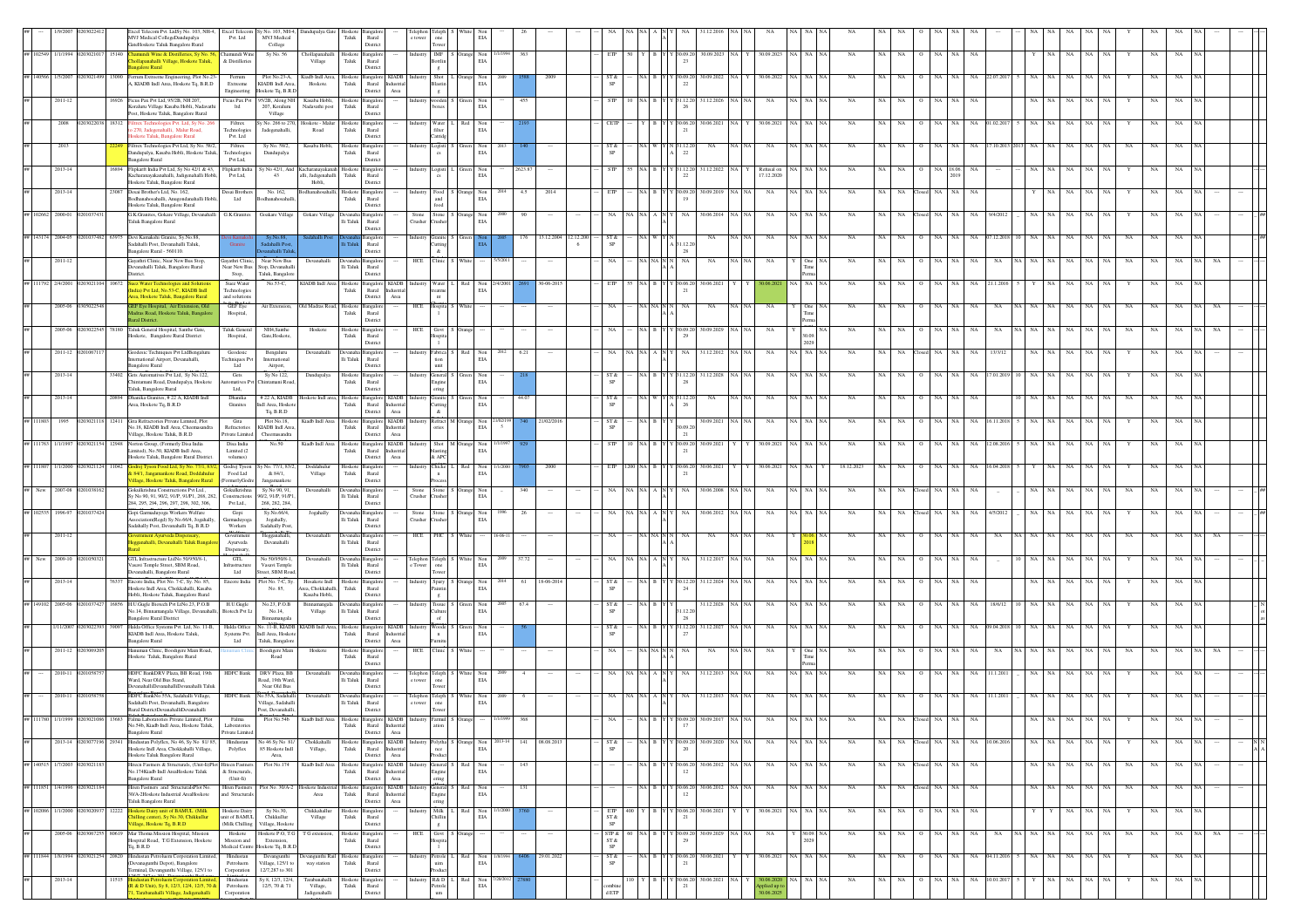|    |                    |                             |                                     |       | cel Telecom Pvt. LtdSy No. 103, NH-4, Excel Telecom<br>MVJ Medical CollegeDandupalya<br>sateHoskote Taluk Bangalore Rural  | Pvt. Ltd                                           | Sy No. 103, NH-4,<br>MVJ Medical<br>College               | Dandupalya Gate                                      | Hoskot<br>Taluk               | Rural<br>District                                       |                                                                                                 |                                               |              |                                              |        |                      |                                              |                                                    |                                 |                 |                          |                     |             |             |             |                    |    |                  |         |                   |             |           |           |             |     |             |  |
|----|--------------------|-----------------------------|-------------------------------------|-------|----------------------------------------------------------------------------------------------------------------------------|----------------------------------------------------|-----------------------------------------------------------|------------------------------------------------------|-------------------------------|---------------------------------------------------------|-------------------------------------------------------------------------------------------------|-----------------------------------------------|--------------|----------------------------------------------|--------|----------------------|----------------------------------------------|----------------------------------------------------|---------------------------------|-----------------|--------------------------|---------------------|-------------|-------------|-------------|--------------------|----|------------------|---------|-------------------|-------------|-----------|-----------|-------------|-----|-------------|--|
|    | 102549             | 1/1/1994                    | 203021                              | 15140 | <mark>mundi Wine &amp; Distilleries, Sy No. 5</mark><br>ollapanahalli Village, Hoskote Taluk,<br>ngalore Rural             | Chamundi Wine<br>& Distilleries                    | Sy No. 56                                                 | Chollapanahalli<br>Village                           | Hoskote<br>Taluk              | ingaloi<br>Rural<br>District                            | Industry                                                                                        | $IMF$ S<br>Bottlin                            |              | Non<br>EIA                                   | 363    |                      | ETP                                          |                                                    | \$0.09.2                        | 30.09.2023      | 30.09.2023               | NA I                | NA          | NA          | NA          | NA                 | NA | NA               |         | NA                | NA          | NA        |           | NA          | NA  |             |  |
|    |                    |                             |                                     |       | errum Extreeme Engineering, Plot No.23-<br>A, KIADB Indl Area, Hoskote Tq, B.R.D                                           | Ferrum<br>Extreeme                                 | Plot No.23-A.<br>KIADB Indl Area                          | Kiadb Indl Area.<br>Hoskote.                         | Hoskoto<br>Taluk              | angalore KIADB<br>Rural Industria                       |                                                                                                 | $\mathbf{g}$<br>Shot<br>Blastin               |              | Nor<br>EIA                                   |        |                      | ST &<br>SP                                   |                                                    | 22                              | 30.09.20        | 0.06.202                 |                     |             |             |             |                    |    |                  |         |                   |             |           |           |             |     |             |  |
|    |                    | $2011 - 12$                 |                                     | 16926 | Ficus Pax Pvt Ltd, 95/2B, NH 207,<br>Koraluru Village Kasaba Hobli, Nadavathi                                              | Engineering<br>Ficus Pax Pvt<br>ltd                | loskote Tq, B.R.E<br>5/2B, Along NH<br>207, Koraluru      | Kasaba Hobli,<br>Nadavathi post                      | Hoskote Bangalo<br>Taluk      | District<br>Rural                                       | Area                                                                                            | $\,$ g $\,$<br>wooden<br>boxes                |              | Non<br>EIA                                   |        |                      | <b>STP</b>                                   |                                                    | .12.2<br>26                     | 31.12.202       |                          |                     |             |             |             |                    |    |                  |         |                   |             |           |           |             |     |             |  |
|    |                    | 2008                        | 2030220                             | 18312 | Post, Hoskote Taluk, Bangalore Rural<br>iltrex Technologies Pvt. Ltd, Sy No. 26                                            | Filtrex<br>Technologies                            | Village<br>y No. 266 to 270                               | foskote - Malur<br>Road                              | Taluk                         | District<br>Hoskote Bangalore<br>Rural                  | Industry Water L                                                                                |                                               | Red          | Non<br>EIA                                   |        |                      | - CETP                                       | YBY                                                | Y 30.06.20                      | 30.06.2021      | 30.06.2021               |                     |             |             |             |                    |    |                  |         |                   |             |           |           |             |     |             |  |
|    |                    | 2013                        |                                     |       | 270, Jadegenahalli, Malur Road,<br>skote Taluk, Bangalore Rural<br>Filtrex Technologies Pvt Ltd, Sy No. 58/2,              | Pvt. Ltd<br>Filtrex                                | Jadegenahalli,<br>Sy No. 58/2,                            | Casaba Hobl                                          | loskoto                       | District<br>langalor                                    |                                                                                                 | $\operatorname{filter}$<br>Catridg<br>Logisti |              | Non                                          |        |                      | ST &                                         |                                                    |                                 |                 |                          |                     |             |             |             |                    |    |                  |         |                   |             |           |           |             |     |             |  |
|    |                    | 2013-14                     |                                     |       | Dandupalya, Kasaba Hobli, Hoskote Taluk,<br><b>Bangalore Rural</b><br>Flipkarft India Pvt Ltd, Sy No 42/1 & 43,            | <b>Technologies</b><br>Pvt Ltd,<br>Flipkarft India | Dandupalya<br>y No 42/1, And                              |                                                      | Taluk<br>Hoskote              | Rural<br>District                                       |                                                                                                 | $_{\rm cs}$                                   |              | EIA                                          | 2623.8 |                      | $_{\mathrm{SP}}$<br>STP                      |                                                    | $^{22}$<br>31.12.20             | 31.12.202       |                          |                     | NA          |             |             |                    |    |                  |         |                   |             |           |           |             |     |             |  |
|    |                    |                             |                                     |       | Kacharanayakanahalli, Jadigenahalli Hobli,<br>Hoskote Taluk, Bangalore Rural                                               | Pvt Ltd,                                           | 43                                                        | Kacharanayakanah<br>alli, Jadigenahalli<br>Hobli.    | Taluk                         | <b>Bangalor</b><br>Rural<br>District                    | Industry Logisti L                                                                              |                                               | Green        | Non<br>EIA                                   |        |                      |                                              |                                                    | $22\,$                          |                 | Refusal on<br>17.12.2020 |                     |             |             |             |                    |    |                  |         |                   |             |           |           |             |     |             |  |
|    |                    | $2013 - 14$                 |                                     | 23087 | Desai Brother's Ltd, No. 162,<br>Bodhanahosahalli, Anugondanahalli Hobli,<br>Hoskote Taluk, Bangalore Rural                | Desai Brothers<br>Ltd                              | No. 162,<br>odhanahosahal                                 | <b>Ibanahosahalli</b>                                | Taluk                         | Hoskote Bangalore<br>Rural<br>District                  | Industry                                                                                        | Food S Orange Non<br>and<br>food              |              | 2014<br>EIA                                  | 4.5    | 2014                 | ETP                                          | NA B Y                                             | (30.09.20                       | 30.09.201       | NA                       | NA I NA IN          | NA          | NA          | NA          | NA                 | NA | NA               |         | NA                |             |           |           | NA          |     |             |  |
|    | 102662             | 2000-01                     |                                     |       | G.K.Granites, Gokare Village, Devanahalli<br>Taluk Bangalore Rural                                                         | G.K.Granites                                       | Goakare Villag                                            | Gokare Villag                                        | li Taluk                      | anealo<br>Rural<br>District                             | Stone<br>Crusher                                                                                | Stone S<br>rusher                             |              | Non<br>EIA                                   |        |                      | NA.                                          | NA A N                                             |                                 | 30.06.201       | NA                       |                     |             |             |             |                    |    | NA.              |         | NA                |             |           |           |             |     |             |  |
|    | ## 143174 2004-05  |                             |                                     | 63975 | Devi Kamakshi Granite, Sv.No.88.<br>adahalli Post, Devanahalli Taluk,                                                      | ni Kamaksh<br>Granite                              | Sy.No.88,<br>adahalli Post                                |                                                      |                               | Bangalore<br>Rural                                      |                                                                                                 | Industry Granite S Green<br>Cutting           |              |                                              | 176    | 13.12.2004 12.12.200 | ST &<br>SP                                   | NA WYN                                             | 31.12.20                        | NA              | NA                       | √A   NA   NA        | <b>NA</b>   | NA          | <b>NA</b>   | NA                 | NA | 07.12.201<br>NA. |         | NA                | NA          | NA        | <b>NA</b> | NA          | NA  |             |  |
|    |                    | 2011-12                     |                                     |       | angalore Rural - 560110.<br>ayathri Clinic, Near New Bus Stop,<br>vanahalli Taluk, Bangalore Rural                         | Gayathri Clinic,<br>Near New Bus                   | nahalli Talu<br>Near New Bus<br>top, Devanahal            | Devanahalli                                          | Devanaha<br>lli Taluk         | District<br>Bangalor<br>Rural                           | HCE                                                                                             | $\&$<br>Clinic                                |              |                                              |        |                      | NA.                                          | NA NA N                                            | 28<br>NA                        | NA              | NA                       |                     | <b>NA</b>   |             |             |                    |    |                  |         |                   |             |           | <b>NA</b> |             |     |             |  |
|    |                    | 2/4/200                     |                                     |       | trict.<br>uez Water Technologies and Solutio<br>idia) Pvt Ltd, No.53-C, KIADB Indl                                         | Stop,<br>Suez Water<br>Technologies                | Taluk, Bangalon<br>No.53-C,                               | KIADB Indl Area                                      | Hoskote<br>${\rm Taluk}$      | District<br>angalore KIADB<br>Rural                     | ustria                                                                                          | Water                                         | Red          | Non<br>EIA                                   |        |                      | ETP                                          |                                                    |                                 | 30.06.20        |                          |                     |             |             |             |                    |    |                  |         |                   |             |           |           |             |     |             |  |
|    |                    | 2005-06 0                   |                                     |       | ea, Hoskote Taluk, Bangalore Rural<br><b>JEF Eye Hospital</b> , Air Extension, Old                                         | and solution<br>GEF Eye                            | Air Extension,                                            | Old Madras Road, Hoskote                             |                               | District<br>angalor                                     | $\operatorname{Area}$<br>HCE                                                                    | treatme<br>nt.<br>Hospita                     |              |                                              |        |                      | NA                                           | $\overline{\text{NA}}$ -NA $\overline{\text{N}}$ 1 |                                 | NA              | NA                       |                     | NA          |             |             |                    |    |                  |         |                   |             |           |           |             |     |             |  |
|    |                    | 2005-06                     |                                     | 8180  | dras Road, Hoskote Taluk, Bangalo<br>ral District<br>Taluk General Hospital, Santhe Gate,                                  | Hospital,<br><b>Taluk General</b>                  | NH4.Santhe                                                | Hoskote                                              | Taluk<br>Hosko                | Rural<br>Distric                                        | HCE                                                                                             | Govt                                          |              |                                              |        |                      |                                              |                                                    |                                 | 30.09.20        |                          |                     |             |             |             |                    |    |                  |         |                   |             |           |           |             |     |             |  |
|    |                    |                             |                                     |       | Hoskote, Bangalore Rural District<br>Geodesic Techniques Pvt LtdBengalur                                                   | Hospital,                                          | Gate, Hoskote                                             |                                                      | Taluk                         | Rural<br>District                                       |                                                                                                 |                                               |              |                                              |        |                      |                                              |                                                    |                                 |                 |                          |                     |             |             |             |                    |    |                  |         |                   |             |           |           |             |     |             |  |
|    |                    | 2011-12                     |                                     |       | ternational Airport, Devanahalli,<br><b>Bangalore Rural</b>                                                                | Geodesic<br><b>Techniques Pvt</b><br>Ltd           | Bengaluru<br>International<br>Airport,                    | Devanahalli                                          | lli Taluk                     | Rural<br>District                                       |                                                                                                 | Fabrica<br>tion<br>$\text{unit}$              | Red          | Non<br>EIA                                   | 6.21   |                      | NA                                           |                                                    |                                 | 31.12.201       | NA                       |                     |             |             |             |                    |    |                  |         |                   |             |           |           |             |     |             |  |
|    |                    | 2013-14                     |                                     |       | 33402 Gets Automatives Pvt Ltd. Sv No.122.<br>Chintamani Road, Dandupalya, Hoskote<br>Taluk, Bangalore Rural               | Gets<br>tomatives P<br>Ltd,                        | Sy No 122,<br>Chintamani Road                             | Dandupalya                                           | Hoskote<br>$_{\rm Taluk}$     | angalor<br>Runal<br>District                            | $\begin{tabular}{ll} \bf Industry & General & S \\ \bf Engine & \end{tabular}$                  | ering                                         | Green        | Non<br>EIA                                   |        |                      | ST &<br>SP                                   | NA B Y                                             | Y 31.12.20                      | 31.12.2028      | NA                       |                     | NA          | NA          |             | NA                 |    | NA.<br>17.01.20  |         |                   |             |           |           |             | NA. |             |  |
|    |                    | $2013 - 14$                 |                                     | 20894 | Dhanika Granites, #22 A, KIADB Indi<br>Area, Hoskote Tq, B.R.D                                                             | Dhanika<br>Granites                                | # 22 A, KIADB<br>ndl Area, Hoskote<br>Tq, B.R.D           | loskote Indl area, Hoskote                           | Taluk                         | Bangalore KIADB<br>Rural Industria<br>District          | Area                                                                                            | Granite<br>Cutting<br>$\&$                    |              | Non<br>EIA                                   | 44.07  |                      | ST &<br>$\mbox{SP}$                          |                                                    | 26                              | N               |                          |                     |             |             |             |                    |    |                  |         |                   |             |           |           |             |     |             |  |
|    | ## 111803          | 1995                        | 1203021118 12411                    |       | Gita Refractories Private Limited, Plot<br>No.18, KIADB Indl Area, Cheemasandra                                            | Gita<br>Refractories                               | Plot No.18,<br>KIADB Indl Area                            | Kiadb Indl Area                                      | Taluk                         | Hoskote Bangalore KIADB<br>Rural                        | Industria                                                                                       | Refract M Orange<br>ories                     |              | Non<br>EIA                                   |        | 21/02/201            | ST &<br>$_{\mathrm{SP}}$                     | NA B                                               |                                 | 30.09.2021      | NA                       |                     | <b>NA</b>   |             |             |                    |    | NA               |         |                   |             |           |           |             | NA  |             |  |
|    | ## 111763 1/1/1997 |                             |                                     |       | illage, Hoskote Taluk, B.R.D<br>Norton Group, (Formerly Disa India<br>mited), No.50, KIADB Indl Area,                      | Private Limited<br>Disa India<br>Limited (2        | Cheemasandra<br>No.50                                     | Kiadb Indl Area                                      | Hoskote<br>Taluk              | District<br>Bangalore KIADB<br>Rural                    | Area<br><b>ndustria</b>                                                                         | Shot M Orange<br>dasting                      |              | Non<br>EIA                                   |        |                      | STP                                          |                                                    | 30.09.20                        | 30.09.202       | 30.09.2021               |                     |             | NA          |             |                    |    |                  |         | NA                |             |           |           |             |     |             |  |
|    | 111807             | 1/1/2000                    |                                     |       | Hoskote Taluk, Bangalore Rural District.<br>84/1. Jangamankote Road, Doddahult                                             | volumes)<br>Godrej Tyson                           | No. 77/1, 83/                                             | Doddahuly                                            | Inskote                       | District<br>angalore                                    | Area                                                                                            | & APC<br>Chicke                               | Red          | Non<br>EIA                                   |        | 2000                 | <b>ETP</b>                                   |                                                    |                                 | 30.06.20        | 0.06.2021                |                     | 18.12.2023  |             |             |                    |    |                  |         |                   |             |           |           |             |     |             |  |
|    | New                | 2007-08                     |                                     |       | llage, Hoskote Taluk, Bangalore Rural<br>Sokulkrishna Constructions Pvt Ltd.,                                              | Food Ltd<br>(FormerlyGodre<br>Gokulkrishna         | & 84/1,<br>Jangamankote<br>Sy No 90, 91,                  | Village<br>Devanahalli                               | Taluk                         | Rural<br>District<br>Bangalor                           | Stone                                                                                           | $\,$ $\,$ $\,$<br>haanse<br>Stone S Orange    |              | Non                                          | 340    |                      | NA                                           |                                                    | NA                              | 30.06.20        | NA                       |                     | NA          | NA          |             | NA                 | NA | NA               |         | NA                |             |           | NA        |             |     |             |  |
|    | 102535             | 1996-97                     |                                     |       | Sv No 90, 91, 90/2, 91/P, 91/P1, 268, 282,<br>284, 295, 294, 296, 297, 298, 302, 306,<br>Gopi Garmaduyoga Workers Welfare  | Constructions<br>Pyt Ltd.,<br>Gopi                 | 90/2, 91/P, 91/P1<br>268, 282, 284,<br>Sv.No.66/4.        | Jogahally                                            | lli Taluk<br>kennaha          | Rural<br>District<br>ıngalo                             | Crusher<br>Stone                                                                                | rusher<br>Stone S Orange Non                  |              | EIA                                          |        |                      | NA.                                          |                                                    |                                 | 30.06.201       | NA                       |                     | <b>NA</b>   |             |             |                    |    | NA.              |         |                   |             |           |           |             |     |             |  |
|    |                    |                             |                                     |       | ssociation(Regd) Sv.No.66/4, Jogahally<br>adahally Post, Devanahalli Tq, B.R.D                                             | larmaduyoga<br>Workers                             | Jogahally,<br>Sadahally Post                              |                                                      | lli Taluk                     | Rural<br>District                                       | Crusher                                                                                         | rusher                                        |              | EIA                                          |        |                      |                                              |                                                    |                                 |                 |                          |                     |             |             |             |                    |    |                  |         |                   |             |           |           |             |     |             |  |
|    |                    | $2011 - 12$                 |                                     |       | gganahalli, Devanahalli Taluk Bang                                                                                         | Governmen<br>Ayurveda<br>Dispensary,               | Hegganahalli,<br>Devanahalli                              | Devanahalli                                          | Devanaha Bangalo<br>lli Taluk | Rural<br>District                                       | HCE                                                                                             | PHC                                           |              |                                              |        |                      | NA.                                          |                                                    | NA                              | NA              | NA                       |                     | <b>NA</b>   |             |             |                    |    |                  |         |                   |             |           |           |             |     |             |  |
|    | New                | 2009-10                     |                                     |       | GTL Infrastructure LtdNo 50/950/8-1,<br>asavi Temple Street, SBM Road,<br>anahalli, Bangalore Rural                        | $G\Pi.$<br>nfrastructur<br>Ltd                     | No 50/950/8-1,<br>Vasavi Temple<br>eet, SBM Roa           | Devanahalli                                          | li Taluk                      | Devanaha Bangalor<br>Rural<br>District                  | $\begin{tabular}{llll} Telephon & Teleph & S & White & Non\\ e Tower & one & EIA \end{tabular}$ | Tower                                         |              |                                              | 37.72  |                      | NA                                           |                                                    | NA                              | 31.12.20        | NA                       |                     | NA          |             |             |                    |    |                  |         |                   |             |           |           |             |     |             |  |
|    |                    |                             |                                     |       | tcore India, Plot No. 7-C, Sy. No. 85,<br>Hoskote Indl Area, Chokkahalli, Kasaba<br>Hobli, Hoskote Taluk, Bangalore Rural  | Encore India                                       | lot No. 7-C, Sy<br>No. 85,                                | Hosakote Indi<br>vrea, Chokkahalli,<br>Kasaba Hobli, | Hoskote<br>Taluk              | Bangalo<br>Rural<br>Distric                             |                                                                                                 | Spary<br>Paintin<br>$\mathbf{g}$              |              | Non<br>$_{\rm EIA}$                          |        |                      | ST &<br>$\mbox{SP}$                          |                                                    |                                 | 1.12.20         |                          |                     |             |             |             |                    |    |                  |         |                   |             |           |           |             |     |             |  |
|    |                    | 2005-01                     |                                     |       | H.U.Gugle Biotech Pvt LtNo.23, P.O.B<br>No.14, Binnamangala Village, Devanahalli, Biotech Pvt Lt                           | H.U.Gugle                                          | No.23, P.O.B<br>No.14,                                    | Binnamangala<br>Village                              | lli Taluk                     | Rural                                                   |                                                                                                 | Tissue<br>Culture                             |              | Non<br>EIA                                   |        |                      | ST &<br>SP                                   |                                                    | 1.12.20                         | 31.12.202       |                          |                     |             |             |             |                    |    |                  |         |                   |             |           |           |             |     |             |  |
|    |                    | 1/11/2007                   |                                     |       | <b>Bangalore Rural District</b><br>Halda Office Systems Pvt. Ltd, No. 11-B,<br>KIADB Indl Area, Hoskote Taluk,             | Halda Office<br>Systems Pyt.                       | Binnamangala<br>No. 11-B, KIADB<br>Indi Area, Hoskot      | KIADB Indl Area, Hoskote                             | Taluk                         | Distric<br>ingalore KIADB<br>Rural Industria            |                                                                                                 | of<br>$\mathbf{Woode}$<br>$\mathbf{n}$        |              | Non<br>EIA                                   |        |                      | $\frac{\text{ST} \cdot \text{R}}{\text{SP}}$ |                                                    | 28<br>31.12.20                  | 31.12.2027      | NA                       |                     | NA          |             |             |                    |    |                  |         |                   |             |           |           |             |     |             |  |
|    |                    | $2011 - 12$                 |                                     |       | Bangalore Rural<br>Hanuman Clinic, Boodigere Main Road,                                                                    | Ltd                                                | Taluk, Bangalon<br><b>Boodigere</b> Main<br>Road          | Hoskote                                              | Hoskote<br>Taluk              | District<br>ıngalo<br>Rural                             | Area<br>HCE                                                                                     | Clinic 1                                      |              |                                              |        |                      | NA                                           | NA NA N                                            |                                 | NA              | NA                       |                     | <b>NA</b>   |             |             |                    |    |                  |         |                   |             |           |           |             |     |             |  |
|    |                    | 2010-11                     |                                     |       | Hoskote Taluk, Bangalore Rural<br>HDFC BankDRV Plaza, BB Road, 19th                                                        |                                                    | HDFC Bank DRV Plaza, BB                                   | Devanahalli                                          | Devanaha Bangalor             | District                                                | $\begin{tabular}{ll} Telephone & Telephone & S \\ e tower & one \end{tabular}$                  |                                               | <b>White</b> | Non                                          |        |                      | NA                                           |                                                    |                                 | 31.12.2013      | NA                       | NA NA NA            | NA          | NA          |             | NA.                |    | NA 11.1.201      |         |                   |             |           |           |             |     |             |  |
|    |                    | 2010-11                     |                                     |       | Ward, Near Old Bus Stand,<br>DevanahalliDevanahalliDevanahalli Taluk<br>HDFC BankNo.55A, Sadahalli Village,                | <b>HDFC Bank</b>                                   | Road, 19th Ward<br>Near Old Bus<br>No.55A, Sadahall       | Devanahalli                                          | lli Taluk<br>Devanaha         | Rural<br>District<br>angalo                             |                                                                                                 | Tower                                         |              | EIA<br>Non                                   |        |                      |                                              |                                                    |                                 | 1.12.20         |                          |                     |             |             |             |                    |    |                  |         |                   |             |           |           |             |     |             |  |
|    |                    |                             |                                     |       | Sadahalli Post, Devanahalli, Bangalore<br>Rural DistrictDevanahalliDevanahalli<br>Falma Laboratories Private Limited, Plot | Falma                                              | Village, Sadahalli<br>Post, Devanahalli,<br>Plot No.54b   | Kiadb Indl                                           | $\rm{Ili}$ Taluk              | Rural<br>District                                       | Telephon Teleph<br>e tower one                                                                  | Tower<br>Farmul                               |              | $_{\rm EIA}$                                 |        |                      |                                              |                                                    |                                 |                 |                          |                     |             |             |             |                    |    |                  |         |                   |             |           |           |             |     |             |  |
|    |                    |                             |                                     |       | No.54b, Kiadb Indl Area, Hoskote Taluk,<br><b>Bangalore Rural</b>                                                          | Laboratories<br>Private Limited                    |                                                           |                                                      | Taluk                         | Rural Industrial<br>District                            | Area                                                                                            | $\arcsin$                                     |              |                                              |        |                      |                                              |                                                    | 17                              |                 |                          |                     |             |             |             |                    |    |                  |         |                   |             |           |           |             |     |             |  |
|    |                    |                             | 2013-14 0203077196 29341            |       | Hindustan Polyflex, No 46, Sy No 81/85,<br>Hoskote Indl Area, Chokkahalli Village,<br>Hoskote Taluk Bangalore Rural        | Hindustan<br>Polyflex                              | No 46 Sy No 81/<br>85 Hoskote Indl<br>Area,               | Chokkahalli<br>Village,                              | Taluk                         | Hoskote Bangalore KIADB<br>Rural Industrial<br>District | $\operatorname{Area}$                                                                           | $_{\mathrm{nce}}$<br>Product                  |              | Industry Polytha S Orange Non 2013-14<br>EIA |        | 141 08.08.2013       | ST &<br>SP                                   | NA B Y                                             | Y 30.09.20<br>20                | 30.09.2020      | NA                       | NA NA NA            | NA          |             |             | NA NA Closed NA NA |    | NA 10.06.2016    |         | NA NA NA          | NA NA       |           |           | $_{\rm NA}$ | NA  | $_{\rm NA}$ |  |
|    |                    | ## 140515 1/7/2003 02030211 |                                     |       | litecn Fastners & Structurals, (Unit-li)Plot Hitecn Fastn<br>No.174Kiadb Indl AreaHoskote Taluk<br>Bangalore Rural         | & Structurals<br>(Unit-li)                         | Plot No.174                                               | Kiadb Indl Are                                       | Hoskote<br>Taluk              | Bangalore KIADB<br>Rural Industrial<br>District         | Area                                                                                            | General S<br>Engine<br>ering                  | Red          | Non<br>EIA                                   | 143    |                      |                                              | NA B Y                                             | 30.06.20<br>12                  | 30.06.2012      | NA<br>NA NA              | NA NA NA            | NA          | NA          |             | NA Closed NA       | NA | NA               | NA.     | NA.<br>NA         | NA NA       |           | NA        | NA          | NA  | <b>NA</b>   |  |
| ## | 111851 1/4/1996    |                             | 0203021                             |       | liten Fastners and StructuralsPlot No.<br>30/A-2Hoskote Industrial AreaHoskote<br>Taluk Bangalore Rural                    | <b>Hiten Fastners</b><br>and Structurals           | Plot No. 30/A-2                                           | loskote Industr<br>Area                              | Taluk                         | Hoskote Bangalore KIADB<br>Rural Industrial<br>District | Area                                                                                            | General S Red<br>Engine                       |              | Non<br>EIA                                   | 131    |                      |                                              | NA B Y                                             | (30.06.20)<br>12                | 30.06.2012      | NA                       | NA NA NA            | NA          | NA          |             | NA Closed NA       | NA | NA               | NA 1    | NA<br>NA          | NA          | <b>NA</b> | NA        | NA          | NA  | <b>NA</b>   |  |
|    |                    |                             | ## 102086 1/1/2000 0203020937 12222 |       | loskote Dairy unit of BAMUL (Milk<br>ling center), Sy No.30, Chikkullur                                                    | Hoskote Dairy<br>unit of BAMUL                     | Sv No.30.<br>Chikkullur                                   | Chikkahallur<br>Village                              | Taluk                         | Hoskote Bangalore<br>Rural                              |                                                                                                 | ering<br>Industry Milk L Red Non<br>Chillin   |              | /1/2000<br>EIA                               |        |                      | ETP<br>ST &                                  |                                                    | 400 Y B Y Y 30.06.20 30.06.2021 |                 |                          | 30.06.2021 NA NA NA | NA          |             | NA NA       | O NA NA            |    | NA               |         | NA                | NA NA       |           | Y         | NA          | NA  | <b>NA</b>   |  |
|    |                    | 2005-06                     | 0203067255 80619                    |       | llage, Hoskote Tq, B.R.D<br>Mar Thoma Mission Hospital, Mission<br>Hospital Road, T.G Extension, Hoskote                   | (Milk Chilling<br>Hoskote<br>Mission and           | Village, Hoskote<br>loskote P.O. T.G<br>Extension,        | T G extension,                                       | Taluk                         | District<br>Hoskote Bangalore<br>Rural                  | HCE                                                                                             | g<br>Govt S Orange<br>Hospita                 |              |                                              |        |                      | $_{\rm SP}$<br>STP &<br>$ST\,\&$             | NA B Y                                             | Y 30.09.20<br>29                | 30.09.2029      | NA                       |                     | NA          | NA          | NA          | NA                 | NA | NA<br>NA         | NA.     | NA<br>NA          | NA          | NA        | NA        | NA          | NA  |             |  |
|    |                    |                             | ## 111844 1/8/1994 0203021254 20820 |       | $Tq$ , $B.R.D$<br>Hindustan Petroluem Corporation Limited,                                                                 | Medical Centre<br>Hindustan                        | loskote Tq, B.R.E<br>Devangunthi                          | Devangunthi Rail Hoskote Bangalore                   |                               | District                                                |                                                                                                 | Industry Petrole L Red Non                    |              | 1/8/1994                                     |        | 29.01.2022           | $\mbox{SP}$<br>ST &                          |                                                    | NA B Y Y 30.06.20               | 30.06.2021      | 30.06.2021               | NA NA NA            | NA          | NA          | NA          | O NA NA            |    | NA 04.11.2016    | 5 NA NA | NA                | NA          | NA        | Y         | NA          | NA  | NA          |  |
|    |                    | 2013-14                     |                                     | 11515 | evanagunthi Depot), Bangalore<br>ninal, Devangunthi Village, 125/1 to                                                      | Petroluem<br>Corporation<br>Hindustan              | Village, 125/1 to<br>12/7,287 to 301<br>Sy 8, 12/3, 12/4, | way station<br>Tarabanahalli                         | Taluk                         | Rural<br>District<br>Hoskote Bangalor                   |                                                                                                 | $_{\rm{uim}}$<br>Industry R&D L Red           |              | EIA<br>Non<br>20/2013                        |        |                      |                                              |                                                    | 30.06.20                        | $30.06.2021$ NA | 30.06.2020               | NA NA NA            | $_{\rm NA}$ | $_{\rm NA}$ | $_{\rm NA}$ | $_{\rm NA}$        | NA | NA 10.01.2017    |         | NA<br>$_{\rm NA}$ | $_{\rm NA}$ | NA        |           | $_{\rm NA}$ | NA  |             |  |
|    |                    |                             |                                     |       | R & D Unit), Sy 8, 12/3, 12/4, 12/5, 70 &<br>Tarabanahalli Village, Jadigenahalli                                          | Petroluem<br>Corporation                           | 12/5, 70 & 71                                             | Village,<br>Jadigenahalli                            | Taluk                         | Rural<br>Distric                                        |                                                                                                 | Petrole                                       |              | EIA                                          |        |                      |                                              |                                                    | 21                              |                 |                          |                     |             |             |             |                    |    |                  |         |                   |             |           |           |             |     |             |  |

Hobli, Anugondanahalli Hobli, KIADB

Limited( R & D

hobli ,

Storage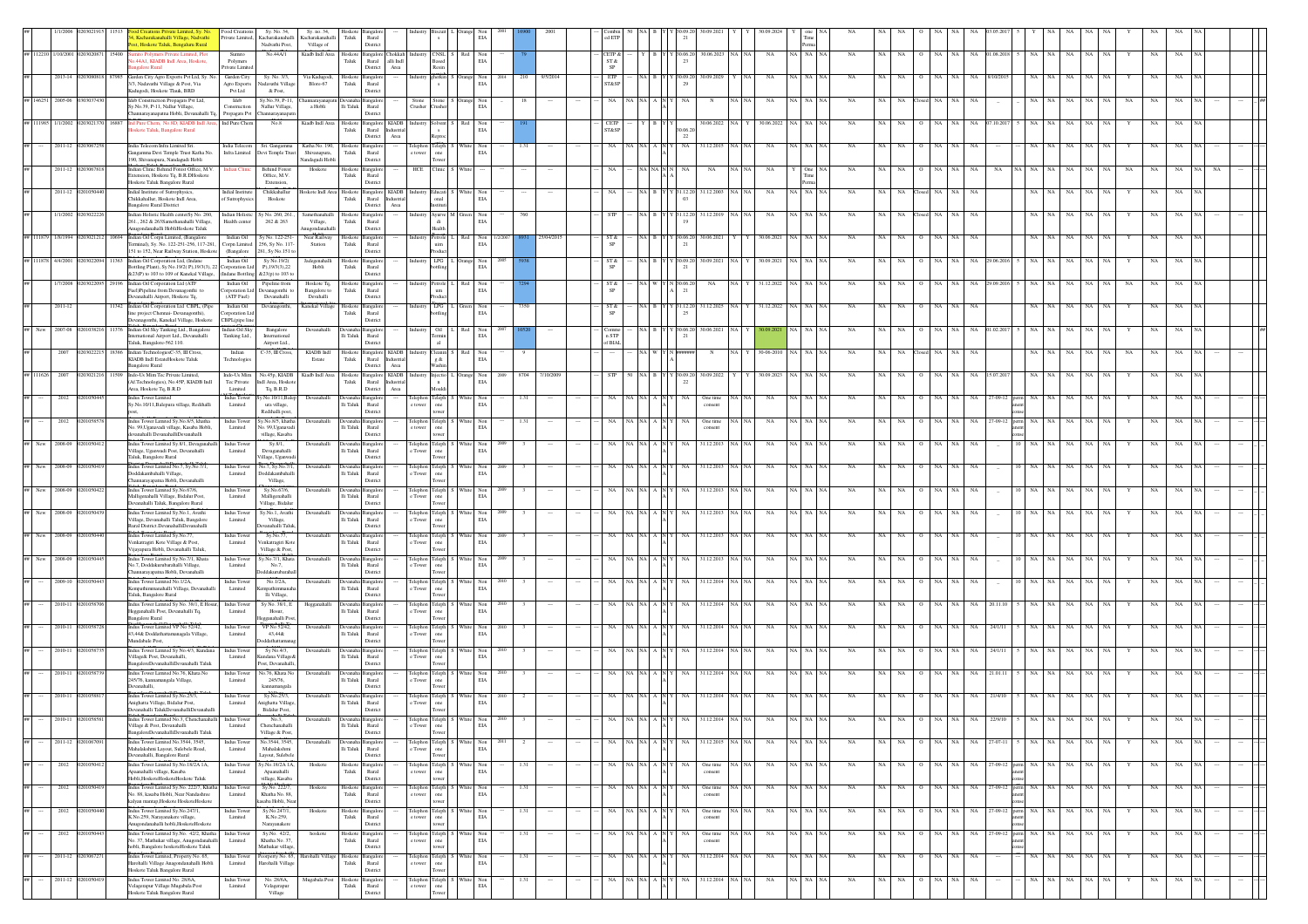|                          |                   | Food Creation<br>Kacharakanahalli Village, Nadvathi<br>Private Limited,<br>st, Hoskote Taluk, Bengaluru Rural                                                                    | Sy. No. 34,<br>Kacharakanahalli<br>Nadvathi Post,       | Sy. no. 34,<br>Kacharakanahalli<br>Village of     | Taluk                       | Rural<br>Distric                                                                    |                    |                                           |                                           |      |      |           |                         |         |                                                                                    |                      |                                   |        |             |           |             |                  |                  |     |     |                        |           |                      |             |             |  |
|--------------------------|-------------------|----------------------------------------------------------------------------------------------------------------------------------------------------------------------------------|---------------------------------------------------------|---------------------------------------------------|-----------------------------|-------------------------------------------------------------------------------------|--------------------|-------------------------------------------|-------------------------------------------|------|------|-----------|-------------------------|---------|------------------------------------------------------------------------------------|----------------------|-----------------------------------|--------|-------------|-----------|-------------|------------------|------------------|-----|-----|------------------------|-----------|----------------------|-------------|-------------|--|
| ## 112210 1/10/2001      | 0203020871 15400  | sito Polymers Private Limited, Plot<br>Sumito<br>44A1, KIADB Indl Area, Hoskote,<br>Polymers<br>galore Rural<br>Private Limit                                                    | No.44A/1                                                | Kiadb Indl Area                                   | Hoskote<br>${\rm Taluk}$    | <b>Bangalore</b> Chokkah<br>alli $\operatorname{Indl}$<br>Rural<br>District<br>Area |                    | Industry CNSL S Red<br>Based<br>Resin     | Non<br>$_{\rm EIA}$                       |      |      |           | CETP &<br>ST &<br>SP    |         |                                                                                    |                      | Y B Y Y 30.06.20 30.06.2023 NA NA |        | NA          | NA NA     | <b>NA</b>   | NA               | NA               |     | NA. | 01.08.201              |           | NA<br>NA             | NA          |             |  |
| $2013 - 14$              |                   | Garden City Agro Exports Pvt Ltd, Sy. I<br>Garden City<br>3/3, Nadavathi Village & Post, Via<br>Agro Exports<br>Kadugodi, Hoskote Tlauk, BRD<br>Pvt Ltd                          | Sy. No. 3/3,<br>kadavathi Village<br>& Post,            | Via Kadugodi,<br>Blore-67                         | Hoskote<br>Taluk            | Bangalor<br>Rural<br>District                                                       |                    | therkin                                   | EIA                                       |      |      |           | ETP<br><b>ST&amp;SP</b> |         |                                                                                    |                      |                                   |        |             |           |             |                  |                  |     |     |                        |           |                      |             |             |  |
| ## 146251 2005-06        |                   | Ideb Construction Propagats Pvt Ltd,<br>Ideb<br>Sy.No.39, P-11, Nallur Village,<br>Construction<br>Channarayanapatna Hobli, Devanahalli Tq<br>Propagats Pvt                      | Sv.No.39, P-11<br>Nallur Village,<br>hannarayanapatı    | a Hobli                                           | $\rm Ili$ Taluk             | Bangalor<br>Rural<br>District                                                       | Stone<br>Crusher   | Stone<br>msher                            | Non<br>EIA                                |      |      |           |                         |         |                                                                                    |                      |                                   |        |             |           |             |                  |                  |     |     |                        |           |                      |             |             |  |
| ## 111985 1/1/2002       | 0302137           | 16887 Ind Pure Chem, No.8D, KIADB Indi Are<br>Ind Pure Cher<br>skote Taluk, Bangalore Rural                                                                                      | No.8                                                    | Kiadb Indl Area                                   | Hoskote<br>Taluk            | Bangalore KIADB<br>Rural<br>Industria<br>Area<br>District                           | Industr            | Solvent<br>Reproc                         | Non<br>EIA                                |      |      |           | CETP<br>ST&SP           |         |                                                                                    | 30.06.2<br>22        | 30.06.2022                        |        | 30.06.2022  | <b>NA</b> |             |                  |                  |     |     |                        |           | NA                   |             |             |  |
| 2011-12                  |                   | India Telecom Infra Limited Sri.<br>India Telecom<br>kangamma Devi Temple Trust Katha No<br>Infra Limited<br>190, Shivanapura, Nandagudi Hobli                                   | Sri. Gangamma<br>Devi Temple Trust                      | Katha No. 190.<br>Shiyanapura.<br>Nandagudi Hobli | Hoskote<br>Taluk            | Bangalor<br>Rural<br>District                                                       | e tower            | elephon Teleph<br>one<br>Tower            | Non<br>EIA                                |      | 1.31 |           | NA                      | NA NA A |                                                                                    | NA                   | 31.12.2015                        |        | <b>NA</b>   | (A   NA   | <b>NA</b>   | NA.              | NA               |     | NA  |                        |           |                      |             |             |  |
|                          | 2011-12 020306781 | Indian Clinic Behind Forest Office, M.V.<br><b>Indian Clini</b><br>ixtension, Hoskote Tq, B.R.DHoskote<br>Hoskote Taluk Bangalore Rural                                          | <b>Behind Forest</b><br>Office, M.V.<br>Extension,      | Hoskote                                           | Taluk                       | Hoskote Bangalore<br>Rural<br>Distric                                               |                    | HCE Clinic S                              | White                                     |      |      |           |                         |         | NA NA N N                                                                          | NA                   | NA                                |        | NA          | One       | <b>NA</b>   | NA               | NA               | NA. | NA  |                        |           | <b>NA</b>            | NA          |             |  |
| $2011 - 12$              |                   | Indial Institute of Sutrophysics,<br>Indial Institute<br>Chikkahallur, Hoskote Indl Area,<br>of Sutrophysic<br>angalore Rural District                                           | Chikkahallur<br>Hoskote                                 |                                                   | Taluk                       | loskote Indi Area Hoskote Bangalore KIADB<br>Rural<br>ustria<br>District<br>Area    |                    | Industry Educati !                        | Non<br>EIA                                |      |      |           |                         |         | NA B                                                                               | (31.12.20)           | 31.12.2003                        |        | NA          | A NA      | NA          | NA.<br>NA.       | NA               |     | NA  |                        |           |                      | NA          |             |  |
| 1/1/2002                 |                   | dian Holistic Health centerSy No. 260,<br><b>Indian Holistic</b><br>261., 262 & 263Samethanahalli Village,<br>Health cente<br>agondanahalli HobliHoskote Taluk                   | y No. 260, 261<br>262 & 263                             | Samethanahalli<br>Village,<br>ugondanabal         | loskoto<br>Taluk            | ingalo<br>Distric                                                                   |                    | Ayurve 1<br>Health                        | Non<br>EIA                                |      |      |           |                         |         |                                                                                    |                      | 1.12.20                           |        | NA          |           |             |                  |                  |     |     |                        |           |                      |             |             |  |
| 1/8/199<br># 111879      |                   | Indian Oil Corpn Limited, (Bangalore<br>Indian Oil<br>Terminal), Sy. No. 122-251-256, 117-281,<br>Corpn Limited<br>151 to 152, Near Railway Station, Hoskot<br>(Bangalore        | Sy No. 122-251<br>256, Sy No. 117-<br>81, Sy No.151 t   | Near Railway<br>Station                           | loskote<br>Taluk            | Bangalor<br>Rural<br>Distric                                                        | industry           | Petrole<br>uim                            | Non<br>EIA                                |      |      | 25/04/201 | ST &                    |         |                                                                                    | 30.06.2<br>$^{21}$   | 30.06.2021                        |        | 30.06.2021  |           | NA          |                  |                  |     |     |                        |           |                      |             |             |  |
| ## 111878 4/4/2001       |                   | Indian Oil Corporation Ltd, (Indane<br>Indian Oil<br>Bottling Plant). Sy No.19/2(P), 19/3(3), 22 Corporation Ltd<br>&23(P) to 103 to 109 of Kanekal Village.<br>(Indane Bottlins | Sy No.19/2(<br>P), 19/3(3), 22<br>\$23(p) to 103 t      | Jadegenahalli<br>Hobli                            | Hoskote<br>Taluk            | ingaloi<br>Rural<br>District                                                        |                    | $LPG$ I<br><b>uline</b>                   | Non<br>EIA                                |      |      |           | ST &                    |         |                                                                                    | Y 30.09.2<br>$^{21}$ | 30.09.2021                        |        | 30.09.2021  | I NA      |             |                  |                  |     |     |                        |           |                      |             |             |  |
|                          |                   | Indian Oil Corporation Ltd (ATF<br>Indian Oil<br>Fuel)Pipeline from Devanagonthi to<br>orporation Ltd<br>(ATF Fuel)<br>evanahalli Airport, Hoskote Tq,                           | Pipeline from<br>Devanagonthi to<br>Devanahalli         | Hoskote To.<br>Bangalore to<br>Devahalli          | Hoskot<br>Taluk             | ngalo<br>Rural<br>District                                                          |                    | etrole <sup>®</sup><br>$_{\rm um}$        | EIA                                       |      |      |           | ST &<br>SP              |         |                                                                                    | 30.06.2<br>21        |                                   |        | \$1.12.20.  |           |             |                  |                  |     |     |                        |           |                      |             |             |  |
| 2011-12                  |                   | 11342 Indian Oil Corporation Ltd CBPL (Pipe<br>Indian Oil<br>ine project Chennai- Devanagonthi),<br>orporation Ltd<br>Devanagonthi, Kanekal Village, Hoskote<br>CBPL(pipe line   | Devanagonthi,                                           | Kanekal Village                                   | ${\rm Taluk}$               | Hoskote Bangalore<br>Rural<br>District                                              |                    | Industry LPG L Green                      | Non<br>EIA                                |      | 7350 |           | ST &                    |         |                                                                                    | 25                   | NA B Y Y 31.12.20 31.12.2025      |        | 31.12.2022  | NA NA     | <b>NA</b>   | NA<br>NA         | NA               | NA. | NA  |                        |           | NA<br>NA             | NA          | NA          |  |
| 2007-01<br>New           |                   | Indian Oil Sky Tanking Ltd., Bangalore<br>Indian Oil Sky<br>nternational Airport Ltd., Devanahalli<br>Tanking Ltd.,<br>Taluk, Bangalore-562 110.                                 | Bangalore<br>International<br>Airport Ltd.              | Devanahall                                        | <b>Jevana</b><br>li Taluk   | nealo<br>Rural<br>District                                                          |                    | Oil   I<br>Termin                         | $_{\rm EIA}$                              |      |      |           | n STP<br>of BIAL        |         |                                                                                    | Y 30.06.2<br>21      | 0.06.202                          |        |             |           |             |                  |                  |     |     |                        |           |                      |             |             |  |
| 2007                     |                   | Indian TechnologiesC-35, III Cross<br>Indian<br>KIADB Indl EstateHoskote Taluk<br>Technologies<br><b>Bangalore Rural</b>                                                         | $C-35$ , III Cross                                      | KIADB Indi<br>Estate                              | loskoto<br>${\rm Taluk}$    | Bangalore KIADB<br>Rural<br>District<br>Area                                        |                    | Cleanin<br>$g$ &<br>Washin                | EIA                                       |      |      |           |                         |         |                                                                                    |                      |                                   |        |             |           |             |                  |                  |     |     |                        |           |                      |             |             |  |
| ## 111626 2007           |                   | Indo-Us Mim Tec Private Limited,<br>Indo-Us Mim<br>(Af.Technologies), No.45P, KIADB Indl<br>Tec Private<br>Area, Hoskote Tq, B.R.D<br>Limited                                    | No.45p, KIADB<br>Indl Area, Hosko<br>Tq, B.R.D          | Kiadb Indl Area                                   | Hoskote<br>Taluk            | Bangalore KIADB<br>Rural<br>Industria<br>District<br>Area                           |                    | adustry Injectio L<br>Mouldi              | Non<br>EIA                                | 2009 | 8704 | 7/10/2009 |                         |         |                                                                                    | (30.09.20)<br>22     | 30.09.2022                        |        | 0.09.2023   |           |             |                  |                  |     | NA  |                        |           |                      |             |             |  |
| 2012                     |                   | Indus Tower<br>Indus Tower Limited<br>Sy.No.10/11, Balepura village, Redihalli<br>Limited                                                                                        | No.10/11, Bale<br>ura village,<br>Redihalli post.       | Devanahalli                                       | lli Taluk                   | langalo<br>Rural<br>District                                                        | tower              | lephon Teleph<br>one<br>tower             | Non<br>EIA                                |      |      |           |                         |         |                                                                                    |                      | One time<br>consent               |        |             |           |             |                  |                  |     |     |                        |           |                      |             |             |  |
| 2012                     | 11058             | Indus Tower Limited Sy.No.8/5, khatha<br>Indus Towe<br>No. 99, Uganavadi village, Kasaba Hobli<br>Limited<br>levanaballi DevanaballiDevanaballi                                  | y.No.8/5, khath<br>No. 99, Uganava<br>village, Kasaba   | Devanahalli                                       | lli Taluk                   | ngalo<br>Rural<br>District                                                          | e tower            | Felephon Teleph<br>one<br>tower           | Non<br>EIA                                |      | 1.31 |           |                         | NA INA  |                                                                                    | NA                   | One time<br>consent               |        | NA          | NA NA     | NA          |                  | NA               |     | NA  | $7 - 09 - 12$          | NA        | NA                   | NA          | NA          |  |
| ## New 2008-09           |                   | Indus Tower Limited Sv.8/1. Devaranahalli<br>Indus Tower<br>Village, Uganwadi Post, Devanahalli<br>Limited<br>Taluk, Bangalore Rural                                             | Sy.8/1,<br>Devaganahalli<br>'illage, Uganwac            | Devanahalli                                       | li Taluk                    | Devanaha Bangalore<br>Rural<br>District                                             |                    | Telephon Teleph :<br>e Tower one<br>Tower | Non<br>White<br>EIA                       | 2009 |      |           |                         | NA NA   |                                                                                    | NA                   | 31.12.2013<br>NA.                 |        | NA          | NA I NA   | <b>NA</b>   | <b>NA</b><br>NA. | NA               | NA  | NA  |                        | D I NA    | NA<br>NA.<br>NA      | NA          |             |  |
| ## New 2008-09           |                   | Indus Tower Limited No.7, Sy.No.7/1,<br>Indus Tower<br>Doddakambahalli Village,<br>Limited<br>Channarayapatna Hobli, Devanahalli                                                 | io.7, Sy.No.7/1<br><b>Ooddakambahal</b><br>Village,     | Devanahalli                                       | evana<br>li Taluk           | ıngalo<br>Rural<br>District                                                         | e Tower            | Felephon Teleph<br>one<br>Tower           | EIA                                       |      |      |           |                         |         |                                                                                    |                      | 31.12.2013                        |        | NA          |           |             |                  |                  |     |     |                        |           |                      |             |             |  |
| New<br>2008-09           |                   | Indus Tower Limited Sy.No.67/6,<br>Indus Tower<br>Malligenahalli Village, Bidalur Post,<br>Limited<br>nahalli Taluk, Bangalore Rural                                             | Sy.No.67/6,<br>Malligenahalli<br>Village, Bidalu        | Devanahalli                                       | Devanah<br>li Taluk         | Bangalor<br>Rural<br>Distric                                                        | e Tower            | Telephon Teleph<br>one                    | Non<br>EIA                                |      |      |           |                         |         |                                                                                    | NA.                  | 31.12.2013                        |        | NA          | A I NA    | NA          |                  |                  |     |     |                        |           |                      |             |             |  |
| $W = Ncw$<br>2008-09     |                   | ndus Tower Limited Sy.No.1, Avathi<br><b>Indus</b> Tower<br>Village, Devanahalli Taluk, Bangalore<br>Limited<br>Rural District.DevanahalliDevanahalli                            | y.No.1, Avathi<br>Village,<br>vanahalli Talu            | Devanahalli                                       | lli Taluk                   | angalo<br>Rural<br>District                                                         | e Tower            | Telephon Teleph<br>Tower                  | Non<br>EIA                                |      |      |           |                         |         |                                                                                    |                      | 1.12.20                           |        | NA          |           |             |                  |                  |     |     |                        |           |                      |             |             |  |
| 2008-09<br><b>W#</b> New |                   | adus Tower Limited Sy.No.77,<br>Indus Towe<br>Venkatragiri Kote Village & Post,<br>Limited<br>/iiavapura Hobli, Devanahalli Taluk                                                | Sy.No.77<br>/enkatragiri Kote<br>Village & Post.        | Devanahall                                        | lli Taluk                   | Rural<br>District                                                                   | elephor<br>e Tower | Teleph<br>$_{\rm one}$<br>Tower           | EIA                                       |      |      |           |                         |         |                                                                                    |                      | 31.12.201.                        |        |             |           |             |                  |                  |     |     |                        |           |                      |             |             |  |
| ## New 2008-09           |                   | ndus Tower Limited Sy.No.7/1, Khata<br>Indus Tower<br>No.7, Doddakurubarahalli Village,<br>Limited<br>Channarayapatna Hobli, Deyanahalli                                         | y.No.7/1, Khata<br>No.7.<br>oddakurubara                | Devanahalli                                       | li Taluk                    | Rural<br>District                                                                   | e Tower            | Felephon Teleph<br>one<br>Tower           | Non<br>EIA                                |      |      |           |                         |         |                                                                                    |                      | 31.12.2013                        |        | NA          | <b>NA</b> | NA          | NA               | NA               |     | NA  |                        |           | NA                   |             |             |  |
|                          |                   | Indus Tower Limited No.1/2A.<br>Indus Tower<br>Kempathimmanahalli Village, Devanahalli<br>Limited<br>Taluk, Bangalore Rural                                                      | No.1/2A,<br>mpathimmana<br>lli Village,                 | Devanahalli                                       | lli Taluk                   | Rural<br>District                                                                   |                    | Telephon Teleph :<br>e Tower one<br>Tower | $_{\rm EIA}$                              |      |      |           |                         |         |                                                                                    |                      | 31.12.20                          |        |             |           |             |                  |                  |     |     |                        |           |                      |             |             |  |
| 2010-11                  |                   | Indus Tower Limited Sy No. 38/1, E Hosur, Indus Tower<br>Hegganahalli Post, Devanahalli Tq,<br>Limited<br><b>Bangalore Rural</b>                                                 | Sy No. 38/1, E<br>Hosur,<br>gganahalli Po               | Hegganahal                                        | <b>Jevanah</b><br>lli Taluk | ıngalo<br>Rural<br>District                                                         | e Tower            | Telephon Teleph<br>one<br>Tower           | $_{\rm EIA}$                              |      |      |           |                         |         |                                                                                    |                      | 31.12.2014                        |        | NA          |           |             |                  |                  |     |     |                        |           |                      |             |             |  |
| 2010-11                  | 2010587           | Indus Tower Limited VP No 52/42,<br>Indus Tower<br>43,44& Doddathattamanagala Village,<br>Limited<br>Mundabale Post,                                                             | VP No 52/42,<br>43,44&<br>ddathatta                     | Devanahalli                                       | Devanah:<br>li Taluk        | Bangalor<br>Rural<br>Distric                                                        | e Tower            | Telephon Teleph<br>$_{\rm one}$<br>Tower  | Non<br>$_{\rm EIA}$                       |      |      |           |                         | NA INA  |                                                                                    |                      | 31.12.2014                        |        | NA          |           | NA          | NA.              |                  |     |     | 24/1/1                 |           | NA.                  |             |             |  |
| 2010-1                   |                   | Indus Tower Limited Sy No.4/3, Kundan<br>Indus Tow<br>Village& Post, Devanahalli,<br>Limited<br>BangaloreDevanahalliDevanahalli Taluk                                            | Sy No.4/3,<br>adana Village<br>ost, Devanahall          | Devanahal                                         | Jevanal<br>li Taluk         | Bangalo<br>Rural<br>District                                                        | e Tower            | Telephon Teleph<br>$_{\rm one}$<br>Tower  | EIA                                       |      |      |           |                         |         |                                                                                    |                      | 31.12.201                         |        |             |           |             |                  |                  |     |     |                        |           |                      |             |             |  |
| 2010-11                  |                   | Indus Tower Limited No.76, Khata No<br>Indus Tower<br>245/76, kannamangala Village,<br>Limited<br>Devanahalli.                                                                   | o.76, Khata No<br>245/76,<br>kannamangala               | Devanahalli                                       | <b>Jevanal</b><br>li Taluk  | Bangalor<br>Rural<br>District                                                       | e Tower            | Telephon Teleph<br>$_{\rm one}$<br>Tower  | EIA                                       |      |      |           |                         |         |                                                                                    |                      | 1.12.201                          |        |             |           |             |                  |                  |     |     |                        |           |                      |             |             |  |
| 2010-11                  |                   | Indus Tower Limited Sy.No.25/3<br>Indus Tower<br>Anighatta Village, Bidalur Post,<br>Limited<br>Devanahalli TalukDevanahalliDevanahalli                                          | Sy.No.25/3,<br><b>Inighatta Villag</b><br>Bidalur Post. | Devanahalli                                       | lli Taluk                   | evanaha Bangalor<br>Rural<br>District                                               | e Tower            | Telephon Teleph<br>one<br>Tower           | Whit<br>Non<br>EIA                        |      |      |           |                         |         |                                                                                    |                      | 31.12.2014                        |        |             |           |             |                  |                  |     |     |                        |           |                      |             |             |  |
| ** --<br>2010-11         |                   | Indus Tower Limited No.3, Chenchanahalli Indus Tower<br>Village & Post, Devanahalli<br>Limited<br>BangaloreDevanahalliDevanahalli Taluk                                          | No.3.<br>Chenchanahalli<br>Village & Post,              |                                                   | lli Taluk                   | Rural<br>District                                                                   | e Tower            | Telephon Teleph<br>one<br>Tower           | EIA                                       |      |      |           |                         |         |                                                                                    |                      |                                   |        |             |           |             |                  |                  |     |     |                        |           |                      |             |             |  |
|                          | 2011-12 020106709 | Indus Tower Limited No.3544, 3545.<br>Indus Tower<br>Mahalakshmi Layout, Sulebele Road,<br>Limited<br>Devanahalli, Bangalore Rural                                               | No.3544, 3545.<br>Mahalakshmi<br>Layout, Sulebele       | Devanahalli                                       | li Taluk                    | Devanaha Bangalore<br>Rural<br>District                                             | e Tower            | Telephon Teleph S White<br>one<br>Tower   | Non<br>EIA                                | 2011 | 2    |           | NA                      |         | $\mathsf{NA} \quad \mathsf{NA} \quad \mathsf{A} \quad \mathsf{N} \quad \mathsf{Y}$ | NA                   | 31.12.2015 NA NA                  |        | NA          | NA NA NA  | NA          | NA NA            | NA NA<br>$\circ$ |     |     | NA 27-07-11            | NA NA     | NA<br>NA  <br>NA     | NA          | NA          |  |
| 2012                     | 1010504           | Indus Tower Limited Sy.No.18/2A 1A,<br>Indus Tower<br>Apaanahalli village, Kasaba<br>Limited<br>Hobli, HoskoteHoskoteHoskote Taluk                                               | y.No.18/2A 1A,<br>Apaanahalli<br>village, Kasaba        | Hoskote                                           | loskote<br>Taluk            | <b>Bangalor</b><br>Rural<br>District                                                | e tower            | Telephon Teleph<br>one<br>$t{\rm ower}$   | Non<br>EIA                                |      | 1.31 |           | NA                      |         | NA NA A N                                                                          |                      | One time<br>consent               | A   NA | NA          | NA NA NA  | NA          | NA<br>NA         | NA I<br>$\circ$  | NA  | NA  | 27-09-12 perm          | NA NA     | NA<br>NA<br>NA.      | NA          | NA          |  |
| 2012                     |                   | dus Tower Limited Sy.No. 222/7, Khatha<br><b>Indus Towe</b><br>No. 88, kasaba Hobli, Near Nandashree<br>Limited<br>kalyan mantap, Hoskote Hoskote Hoskote                        | Sy.No. 222/7<br>Khatha No. 88,<br>saba Hobli, Ne        | Hoskote                                           | loskot<br>${\rm Taluk}$     | Bangalor<br>Rural<br>Distric                                                        | Felepho<br>e tower | Teleph<br>one                             | EIA                                       |      |      |           |                         | NA NA   |                                                                                    |                      | One time<br>consent               |        | NA          |           | NA          | NA               |                  |     | NA  | 27-09-12               | NA        | NA<br>NA<br>NA       | NA          | NA          |  |
| 2012                     |                   | Indus Tower Limited Sy.No.247/1,<br><b>Indus</b> Tower<br>K.No.259, Narayanakere village,<br>Limited<br>urgondanahalli hobli.HoskoteHoskote                                      | Sy.No.247/1,<br>K.No.259,<br>Narayanakere               | Hoskote                                           | Hoskote<br>Taluk            | Bangalor<br>Rural<br>District                                                       | e tower            | Telephon Teleph<br>one<br>tower           | $\mathop{\rm Non}\nolimits$<br><b>EIA</b> |      | 1.31 |           | NA                      |         | $\mathsf{NA} \quad \mathsf{NA} \quad \mathsf{A} \quad \mathsf{N}$                  |                      | One time<br>consent               |        | $_{\rm NA}$ | NA NA NA  | $_{\rm NA}$ | NA<br>NA         | NA NA            |     |     | NA 27-09-12 perm NA NA |           | $_{\rm NA}$<br>NA NA | $_{\rm NA}$ | $_{\rm NA}$ |  |
| 2012                     |                   | ndus Tower Limited Sy.No. 42/2, Khatha<br>Indus Towe<br>No. 37, Mathukar village, Anugondanahalli<br>Limited<br>hobli. Bangalore hoskoteHoskote Taluk                            | Sy.No. 42/2,<br>Khatha No. 37,<br>Aathukar villas       | hoskot                                            | Hoskot<br>Taluk             | langalor<br>Rural<br>District                                                       | elephon<br>e tower | Teleph<br>$_{\rm one}$<br>tower           | Non<br>EIA                                |      |      |           |                         | NA NA   |                                                                                    |                      | One tim<br>consent                |        | NA          | I NA      | NA          |                  |                  |     |     | 27-09-12               |           | NA                   |             |             |  |
|                          | 2011-12 020306727 | Indus Tower Limited, Property No. 65,<br>Indus Tower<br>Harohalli Village Anagondanahalli Hobli<br>Limited<br>Hoskote Taluk Bangalore Rural                                      | orperty No. 65,<br>Iarohalli Village                    | Harohalli Village                                 | Hoskote<br>Taluk            | ngalor<br>Rural<br>District                                                         | e tower            | Telephon Teleph S<br>one<br>Tower         | Non<br>EIA                                |      | 1.31 |           | NA                      |         | $\mathbf{NA}$ $\mathbf{NA}$ $\mathbf{A}$ $\mathbf{N}$ $\mathbf{Y}$                 | NA                   | 31.12.2014 NA NA                  |        | NA          | NA NA     | NA          | NA<br>NA         | NA NA<br>$\circ$ |     | NA  |                        | NA NA     | $\rm NA-NA$<br>NA    | $_{\rm NA}$ | NA          |  |
| 2011-12                  | 02010504          | Indus Tower Limited No. 28/6A.<br>Indus Tower<br>Velagerapur Village Mugabala Post<br>Limited<br>Hoskote Taluk Bangalore Rural                                                   | No. 28/6A.<br>Velagerapur<br>Village                    | Mugabala Post                                     | Hoskote<br>$_{\rm Taluk}$   | Bangalore<br>Rural<br>Distric                                                       | e tower            | Telephon Teleph S White<br>$_{\rm one}$   | Non<br>$_{\rm EIA}$                       |      | 1.31 |           | NA                      |         | NA NA A N Y                                                                        | NA.                  | 31.12.2014 NA NA                  |        | NA          | NA NA NA  | NA          | NA NA            | NA I<br>$\circ$  | NA  | NA  |                        | NA<br>NA. | NA<br>NA  <br>NA     | NA          | NA          |  |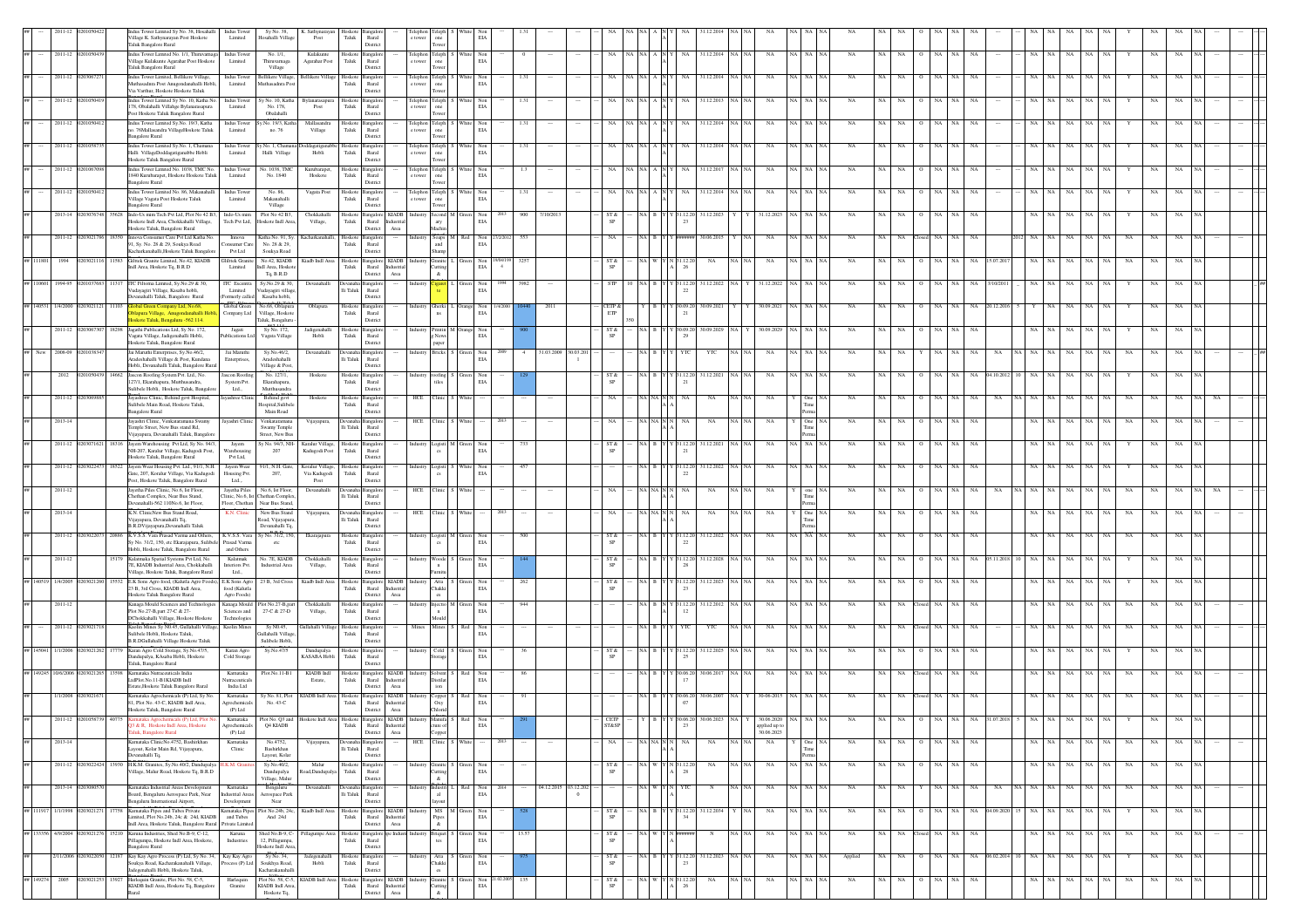|             |                              |           | dus Tower Limited Sy No. 38, Hosahalli<br>Village K. Sathynarayan Post Hoskote<br>Taluk Bangalore Rural                             | <b>Indus</b> Tower<br>Limited           | Sy No. 38,<br>Iosahalli Village                                        | K. Sathynarayan<br>$\mathop{\mathrm{Post}}$ | Hoskote<br>${\rm Tau}$    | Bangalo<br>$\rm{Rural}$<br>Distric                                    |                           |                                                                          |       |                           |       |                  |                      |                |               |           |              |                    |                                    |       |                              |                |             |           |     |                        |      |           |                        |       |           |             |    |           |             |                 |  |
|-------------|------------------------------|-----------|-------------------------------------------------------------------------------------------------------------------------------------|-----------------------------------------|------------------------------------------------------------------------|---------------------------------------------|---------------------------|-----------------------------------------------------------------------|---------------------------|--------------------------------------------------------------------------|-------|---------------------------|-------|------------------|----------------------|----------------|---------------|-----------|--------------|--------------------|------------------------------------|-------|------------------------------|----------------|-------------|-----------|-----|------------------------|------|-----------|------------------------|-------|-----------|-------------|----|-----------|-------------|-----------------|--|
|             | 2011-12 0201050              |           | ndus Tower Limited No. 1/1, Thiruvarnaga<br>Village Kulakunte Agarahar Post Hoskote                                                 | <b>Indus</b> Tower<br>Limited           | No. 1/1,<br>Thiruvarnaga                                               | Kulakunte<br>Agarahar Post                  | loskote<br>Taluk          | Bangalor<br>Rural                                                     |                           | Telephon Teleph                                                          |       | Non<br>EIA                |       |                  |                      |                |               | NA NA     |              |                    | 31.12.2014<br>NA.                  |       | NA                           | A NA           | NA          |           |     | NA                     | NA   | NA        |                        |       | NA        | NA          |    |           | $_{\rm NA}$ |                 |  |
|             | 2011-12                      |           | Taluk Bangalore Rural<br>Indus Tower Limited, Bellikere Village,                                                                    | <b>Indus</b> Tower                      | Village<br>Bellikere Village                                           | <b>Sellikere Villas</b>                     | loskote                   | Distric<br>angale                                                     | Felephor                  | Feleph                                                                   |       |                           |       |                  |                      |                |               |           |              |                    | 1.12.201                           |       |                              |                |             |           |     |                        |      |           |                        |       |           |             |    |           |             |                 |  |
|             | $2011 - 12$                  |           | Muthasadnra Post Anugondanahalli Hobli,<br>Via Varthur, Hoskote Hoskote Taluk<br>ndus Tower Limited Sy No. 10, Katha No.            | Limited<br>Indus Tower                  | Muthasadnra Post<br>v No. 10. Katha                                    | <b>Bylanaras</b>                            | Taluk<br>loskot           | Rural<br>Distric                                                      | e tower                   | one                                                                      |       | EIA                       |       |                  |                      |                |               |           |              |                    |                                    |       |                              | A I NA         |             |           |     |                        |      |           |                        |       |           |             |    |           |             |                 |  |
|             |                              |           | 178, Obalahalli Villahge Bylanarasapura<br>Post Hoskote Taluk Bangalore Rural                                                       | Limited                                 | No. 178.<br>Obalahalli                                                 | Post                                        | Taluk                     | ngalc<br>Rural<br>Distric                                             | Felephon<br>e tower       | Teleph<br>one                                                            |       | Non<br>$\rm EIA$          |       | 1.31             |                      |                |               |           |              |                    | 31.12.201                          |       | NA                           |                |             |           |     |                        |      |           |                        |       |           |             |    |           |             |                 |  |
|             | 2011-12 02010                |           | Indus Tower Limited Sv.No. 19/3. Katha<br>10. 76Mallasandra VillageHoskote Taluk                                                    | Indus Tower<br>Limited                  | v.No. 19/3. Katha<br>no. 76                                            | Mallasandra<br>Village                      | loskote<br>$_{\rm Taluk}$ | mealo<br>Rural                                                        | $\mbox{Telephon}$ e tower | Teleph<br>one                                                            |       | Non<br>$_{\rm EIA}$       | 1.31  |                  |                      |                |               | NA INA    |              |                    | 31.12.2014                         |       | NA                           | I NA           | NA          |           |     |                        |      |           |                        |       |           |             |    |           |             |                 |  |
|             | 2011-12 02010                |           | Bangalore Rural<br>Indus Tower Limited Sy.No. 1, Chamana<br>Halli VillageDoddagatiganabbe Hobli                                     | Indus Tower<br>Limited                  | /.No. 1, Cham<br>Halli Village                                         | ddagatiga<br>Hobli                          | loskote<br>Taluk          | Distric<br>Bangalc<br>Rural                                           | Telephon<br>e tower       | Teleph<br>one                                                            |       | Non<br>$_{\rm EIA}$       | 1.31  |                  |                      |                |               |           |              |                    | 31.12.2014                         |       | NA                           |                |             |           |     |                        |      |           |                        |       |           |             |    |           |             |                 |  |
|             | 2011-12 020106               |           | Hoskote Taluk Bangalore Rural<br>Indus Tower Limited No. 1038, TMC No.                                                              | Indus Tower                             | No. 1038, TMC                                                          | Kurubarapet,                                |                           | Distric<br>Hoskote Bangalor                                           |                           | Telephon Teleph                                                          |       | Non                       |       | 1.3              |                      |                |               | NA NA     | $\mathbb{N}$ | NA.                | 31.12.2017                         |       | NA                           |                | NA          | NA        |     |                        |      |           |                        |       |           |             |    |           |             |                 |  |
|             |                              |           | 1840 Kurubarapet, Hoskote Hoskote Taluk<br>Bangalore Rural                                                                          | Limited                                 | No. 1840                                                               | Hoskote                                     | ${\rm Taluk}$             | $\operatorname{Rural}$<br>Distric                                     | e tower                   | one<br>Tower                                                             |       | EIA                       |       |                  |                      |                |               |           |              |                    |                                    |       |                              |                |             |           |     |                        |      |           |                        |       |           |             |    |           |             |                 |  |
|             | $2011 - 12$                  |           | Indus Tower Limited No. 86, Makanahall<br>Village Vagata Post Hoskote Taluk<br>Bangalore Rural                                      | Indus Tower<br>Limited                  | No. 86,<br>Makanahalli<br>Village                                      | Vagata Post                                 | loskote<br>Taluk          | Bangalor<br>Rural<br>Distric                                          | e towe                    | Telephon Teleph                                                          |       | Non<br>EIA                | 1.31  |                  |                      |                |               |           |              |                    | 31.12.201                          |       |                              |                |             |           |     |                        |      |           |                        |       |           |             |    |           |             |                 |  |
|             | 2013-14 02030767             |           | Indo-Us mim Tech Pvt Ltd, Plot No 42 B3,<br>15628<br>Hoskote Indl Area, Chokkahalli Village,<br>Hoskote Taluk, Bangalore Rural      | Indo-Us min<br>Tech Pvt Ltd.            | Plot No 42 B3.<br>Hoskote Indl Area                                    | Chokkahalli<br>Village,                     | Taluk                     | Hoskote Bangalore<br>Rural<br>dustria<br>District<br>Area             | KIADB Indust              | econd N<br>ary<br>Machin                                                 |       | Non<br>EIA                |       | 900<br>7/10/2013 |                      |                |               |           |              | 23                 | 31.12.2023                         |       | 31.12.2023                   |                |             |           |     |                        |      |           |                        |       |           |             |    |           |             |                 |  |
|             | 2011-12 0203021              |           | Innova Consumer Care Pvt Ltd Katha No<br>11. Sv. No. 28 & 29. Soukva Road<br>Kacharkanahalli.Hoskote Taluk Bangalore                | Innova<br>nsumer Care<br>Pvt Ltd        | Katha No. 91, Sy.<br>No. 28 & 29.<br>Soukva Road                       | Kacharkanahalli,                            | Taluk                     | Hoskote Bangalor<br>Rural<br>Distric                                  | Industr                   | Soaps M Red                                                              |       | Non 27/2/2012<br>EIA      |       | 553              |                      |                | NA            | NA B      |              |                    | 30.06.2015                         |       | NA                           | <b>A</b> NA NA | <b>NA</b>   | NA        | NA. | NA                     | NA.  | NA        |                        |       |           | NA          |    | NA        |             |                 |  |
| 111801      | 1994<br>0203021              |           | Gilttek Granite Limited, No.42, KIADB<br>11587<br>ndl Area, Hoskote Tq, B.R.D                                                       | lilttek Granit<br>Limited               | No.42, KIADB<br>Indl Area, Hoskote<br>Tq, B.R.D                        | Kiadb Indl Area                             | loskote<br>Taluk          | Bangalor<br>Rural<br>dustrial<br>District<br>Area                     | KIADB Industr             | Granite<br>utting<br>&                                                   |       | Non<br>EIA                | 3257  |                  |                      |                | ST &          |           |              | N 31.12.2<br>26    | NA                                 |       | <b>NA</b>                    |                |             |           |     |                        |      | NA        |                        |       | NA        | NA          |    | <b>NA</b> |             |                 |  |
|             | 1994-95                      |           | ITC Filtorna Limited, Sy.No.29 & 30,<br>dayagiri Village, Kasaba hobli,                                                             | <b>ITC</b> Escentra<br>Limited          | Sy.No.29 & 30,<br>udayagiri villag                                     | Devanahalli                                 | levanah<br>li Taluk       | Bangalo<br>Rural                                                      |                           |                                                                          |       | Non<br>$_{\rm EIA}$       |       | 3982             |                      |                |               |           |              | 31.12.20<br>22     | 31.12.202                          |       | 31.12.202                    |                |             |           |     |                        |      |           |                        |       |           |             |    |           |             |                 |  |
| 140531      | 1/4/2000                     | 12030211  | mahalli Taluk, Bangalore Rural<br>lobal Green Company Ltd, No.68,<br>1103<br><mark>ura Village</mark>                               | ormerly called<br>Global Green          | Kasaba hobli,<br>Vo.68, Oblapura                                       | Oblapura                                    | Hoskote<br>Taluk          | Distric<br>Bangalor<br>Rural                                          | Industry                  | Gherki L Orange                                                          |       | Non<br>EIA                |       | 201              |                      |                | CETP &<br>ETP |           |              | (30.09.2)          | 30.09.2021                         |       | 30.09.2021                   |                | NA          |           |     |                        |      |           |                        |       |           |             |    |           |             |                 |  |
|             | 2011-12                      |           | skote Taluk, Bengaluru -562 114.<br>agathi Publications Ltd, Sy No. 172.                                                            | Company Ltd<br>Jagati                   | /illage, Hoskot<br>Taluk, Bengaluru<br>Sy No. 172,                     | Jadigenahai                                 | loskoto                   | Distric<br>Bangalo                                                    |                           |                                                                          |       |                           |       |                  |                      |                | ST &          |           |              |                    | 0.09.202                           |       | 30.09.202                    |                |             |           |     |                        |      |           |                        |       |           |             |    |           |             |                 |  |
|             |                              |           | 'agata Village, Jadigenahalli Hobli,<br>loskote Taluk, Bangalore Rural                                                              | ublications Lt                          | Vagata Village                                                         | Hobli                                       | ${\rm Taluk}$             | Rural<br>Distric                                                      |                           | News<br>aper                                                             |       | $\rm EIA$                 |       |                  |                      |                |               |           |              |                    |                                    |       |                              |                |             |           |     |                        |      |           |                        |       |           |             |    |           |             |                 |  |
| New 2008-09 |                              |           | ai Maruthi Enterprises, Sy.No.46/2,<br>Aradeshahalli Village & Post, Kundana<br>Hobli, Devanahalli Taluk, Bangalore Rural           | Jai Maruthi<br>Enterprises,             | Sy.No.46/2,<br>Aradeshahalli<br>Village & Post                         | Devanahalli                                 | li Taluk                  | ingale<br>Rural<br>Distric                                            |                           | <b>Bricks</b>                                                            |       | Non<br>EIA                |       |                  | 31.03.2009 30.03.20  |                |               |           |              |                    | YTO                                |       | NA                           | I NA           |             |           |     |                        |      |           |                        |       |           |             |    |           |             |                 |  |
|             | 2012                         |           | scon Roofing System Pvt. Ltd., No.<br>127/1, Ekarahapura, Mutthusandra,<br>Sulibele Hobli. Hoskote Taluk, Bangalo                   | Jascon Roofing<br>System Pvt.<br>Ltd.,  | No. 127/1,<br>Ekarahapura,<br>Mutthusandra                             | Hoskoto                                     | Hoskote<br>Taluk          | ingalo<br>Rural<br>Distric                                            |                           | ofing 5                                                                  |       | Non<br>EIA                |       |                  |                      |                | ST &          | NA B      |              |                    | 31.12.2021                         |       | NA                           | <b>NA</b>      | NA          |           |     |                        |      |           |                        |       |           |             |    |           | NA          |                 |  |
|             | 2011-12                      |           | layashree Clinic, Behind govt Hospital,<br>.<br>Sulibele Main Road, Hoskote Taluk,<br>Bangalore Rural                               | ashree Clinis                           | Behind govt<br>Hospital, Sulibele<br>Main Road                         | Hoskote                                     | Hoskote<br>Taluk          | angale<br>Rural<br>Distric                                            | HCE                       | "linic                                                                   |       |                           |       |                  |                      |                |               | $NA$ $N/$ |              |                    | NA                                 |       | NA                           |                |             |           |     |                        |      |           |                        |       |           |             |    |           |             |                 |  |
|             | 2013-14                      |           | Jayashri Clinic, Venkataramana Swamy<br>Femple Street, New Bus stand Rd,<br>Vijayapura, Devanahalli Taluk, Bangalor                 | Jayashri Clinic                         | Venkataramana<br>Swamy Temple<br>Street, New Bus                       | Vijayapura,                                 | li Taluk                  | levanaha Bangalo<br>Rural<br>Distric                                  | HCE                       |                                                                          |       |                           |       |                  |                      |                |               | $NA$ $N/$ |              |                    | NA<br><b>NA</b>                    |       | NA                           | One            | <b>NA</b>   | NA        |     | NA                     |      | <b>NA</b> |                        |       | NA        |             |    | <b>NA</b> |             |                 |  |
|             | 2011-12 02030716             |           | 18316 Jayem Warehousing Pvt Ltd, Sy No. 94/3,<br>NH-207, Karalur Village, Kadugodi Post,                                            | Jayem<br><b>Narehousing</b>             | Sy No. 94/3, NH-<br>$207\,$                                            | Karalur Village<br>Kadugodi Post            | ${\rm Taluk}$             | Hoskote Bangalo<br>$\ensuremath{\mathsf{R}\text{ural}}$               | Industry                  |                                                                          |       | Non<br>EIA                |       | 733              |                      |                | ST &          | NA B      |              | Y Y 31.12.20       | 31.12.2021                         |       | NA                           | NA NA          | NA          | NA        | NA. | NA                     |      | NA        |                        |       | NA        | NA          |    |           | NA          | NA              |  |
|             | 2011-12                      |           | Hoskote Taluk, Bangalore Rural<br>Jayem Wear Housing Pvt. Ltd., 91/1, N.H.<br>Sate, 207, Koralur Village, Via Kadugodi              | Pvt Ltd,<br>Jayem Wear<br>Iousing Pvt.  | 91/1, N.H. Gate,<br>207,                                               | Koralur Village,<br>Via Kadugodi            | loskote<br>${\rm Taluk}$  | Distric<br>Bangalo<br>$\mathop{\rm Rural}\nolimits$                   |                           | ogisti                                                                   |       | EIA                       | 457   |                  |                      |                |               |           |              | $22\,$             | 1.12.202                           |       |                              |                |             |           |     |                        |      |           |                        |       |           |             |    |           |             |                 |  |
|             | $2011 - 12$                  |           | Post, Hoskote Taluk, Bangalore Rural<br>Jayetha Piles Clinic, No.6, Ist Floor,<br>hethan Complex, Near Bus Stand,                   | Ltd.,<br>Jayetha Piles                  | No.6, Ist Floor,<br>Clinic, No.6, Ist Chethan Complex                  | Post<br>Devanahalli                         | li Taluk                  | Distric<br>evanaha Bangalor<br>Rural                                  | HCE                       |                                                                          |       |                           |       |                  |                      |                |               |           |              |                    | NA                                 |       | NA                           |                |             |           |     |                        |      |           |                        |       |           |             |    |           |             |                 |  |
|             | 2013-14                      |           | Devanahalli-562 110No.6, Ist Floor,<br>K.N. ClinicNew Bus Stand Road,                                                               | K.N. Clir                               | Floor, Chethan Near Bus Stand,<br>New Bus Stand                        | Vijayapura                                  |                           | Distric<br>angale                                                     | HCE                       |                                                                          |       |                           |       |                  |                      |                |               |           |              |                    | NA                                 |       | NA                           | One            |             |           |     |                        |      |           |                        |       |           |             |    | NA        |             |                 |  |
|             | 2011-12                      |           | 'ijayapura, Devanahalli Tq,<br>B.R.DVijayapura,Devanahalli Taluk<br>K.V.S.S. Vara Prasad Varma and Others.                          |                                         | Road, Vijayapur.<br>Devanahalli To.<br>K.V.S.S. Vara Sy No. 31/2, 150, | Ekarajapura                                 | li Taluk                  | Rural<br>Distric<br>Hoskote Bangalo                                   | Industr                   | .ogisti   M                                                              |       |                           |       |                  |                      |                | ST &          | NA B      |              | 31.12.20           | 31.12.2022                         |       | <b>NA</b>                    | A NA           | NA          |           |     |                        |      | <b>NA</b> |                        |       | NA        | NA.         |    | <b>NA</b> |             |                 |  |
|             |                              |           | Sy No. 31/2, 150, etc Ekarajapura, Sulibele Prasad Varma<br>Hobli, Hoskote Taluk, Bangalore Rural                                   | and Others                              | $_{\rm etc}$                                                           |                                             | Taluk                     | Rural<br>Distric                                                      |                           |                                                                          |       | EIA                       |       |                  |                      |                |               |           |              | 22                 |                                    |       |                              |                |             |           |     |                        |      |           |                        |       |           |             |    |           |             |                 |  |
|             | $2011 - 12$                  |           | 5179 Kalatmaka Spatial Systems Pvt Ltd, No.<br>7E, KIADB Industrial Area, Chokkahalli<br>'illage, Hoskote Taluk, Bangalore Rural    | Kalatmak<br>Interiors Pyt.<br>Ltd.,     | No. 7E, KIADB<br>Industrial Area                                       | Chokkahalli<br>Village,                     | $_{\rm Taluk}$            | Hoskote Bangalor<br>Rural<br>Distric                                  | Industry                  | Woode S                                                                  |       | Non<br>EIA                |       |                  |                      |                | ST &          | NA B      |              | Y 31.12.20<br>28   | 31.12.2028                         |       | NA                           | iA∣NA          | NA          |           |     | NA                     | NA.  | NA        | 05.11.2018             |       | NA        |             |    |           | NA.         | NA              |  |
|             | 1/4/2005                     |           | E.K Sons Agro food, (Kalutla Agro Foods), E.K Sons Agro<br>23 B, 3rd Cross, KIADB Indl Area,<br>loskote Taluk Bangalore Rural       | food (Kalutla<br>Agro Foods)            | 23 B, 3rd Cross                                                        | Kiadb Indl Area                             | Taluk                     | loskote Bangalore<br>KIADB<br>Rural<br>ustrial<br>Distric<br>Area     |                           | Atta<br>Chakki                                                           |       | Non<br>$_{\rm EIA}$       |       | 262              |                      |                | ST &          |           |              | 31.12.20<br>23     | 31.12.2023                         |       | NA                           |                |             |           |     |                        |      |           |                        |       |           |             |    |           |             |                 |  |
|             | $2011 - 12$                  |           | Kanaga Mould Sciences and Technolog<br>Plot No.27-B,part 27-C & 27-                                                                 | Kanaga Mould<br>Sciences and            | Plot No.27-B.part<br>27-C & 27-D                                       | Chokkahall<br>$_{\rm Village,}$             | loskote<br>${\rm Tau}$    | <b>Bangalo</b><br>Rural                                               |                           | jectio                                                                   |       | Non<br>$\rm EIA$          |       | 944              |                      |                |               |           |              |                    | 1.12.2012                          |       | NA                           |                |             |           |     |                        |      |           |                        |       |           |             |    |           |             |                 |  |
|             | 2011-12 02030                |           | DChokkahalli Village, Hoskote Hoskote<br>Kaolin Mines Sy N0.45, Gullahalli Village, Kaolin Mines<br>Sulibele Hobli, Hoskote Taluk,  | Technologies                            | Sy N0.45,<br>Gullahalli Village                                        | Gullahalli Village                          | Hoskote<br>Taluk          | Distric<br>Bangalor<br>Rural                                          | Mines                     |                                                                          | Red   | Non<br>EIA                |       |                  |                      |                |               |           |              |                    | YTC                                |       | NA                           |                | NA          |           |     |                        |      | NA        |                        |       |           |             |    |           |             |                 |  |
|             | 1/1/2006                     |           | B.R.DGullahalli Village Hoskote Taluk<br>Karan Agro Cold Storage, Sy.No.47/5,<br>Dandupalya, KAsaba Hobli, Hoskote                  | Karan Agro<br>Cold Storage              | Sulibele Hobli<br>Sy.No.47/5                                           | Dandupalya<br>KASABA Hobli                  | loskoto<br>Taluk          | Distric<br>Bangalor<br>Rural                                          |                           | Cold                                                                     |       | Non<br>EIA                |       |                  |                      |                |               |           |              | 25                 | 31.12.2025                         |       |                              |                |             |           |     |                        |      |           |                        |       |           |             |    |           |             |                 |  |
|             | 0/6/200                      |           | Taluk, Bangalore Rural<br>Karnataka Nutraceuticals India                                                                            | Kamataka                                | $\operatorname{Plot}$ . No. $11$ -B $1$                                | KIADB Indi                                  | loskot                    | District<br>KIADB<br>angalor                                          |                           | olvent<br>Distilat                                                       |       | Non<br>EIA                |       |                  |                      |                |               | NA B      |              |                    | 30.06.201                          |       | NA                           | <b>NA</b>      | NA          |           |     | NA                     |      | NA        |                        |       |           |             |    | NA        | NA          |                 |  |
|             | 1/1/2008                     |           | LtdPlot.No.11-B1KIADB Indl<br>istate.Hoskote Taluk Bangalore Rural<br>Karnataka Agrochemicals (P) Ltd. Sv No                        | iutraceutical:<br>India Ltd<br>Kamataka | Sv No. 81, Plot                                                        | Estate,<br>KIADB Indi Area                  | Taluk<br>Hoskote          | Rural<br>Industrial<br>Distric<br>Area<br><b>KIADB</b><br>Bangalo     |                           |                                                                          |       | Non                       |       |                  |                      |                |               |           |              | 30.06.20           | 30.06.200                          |       | 30-06-2015                   |                |             |           |     |                        |      |           |                        |       |           |             |    | <b>NA</b> |             |                 |  |
|             |                              |           | 1, Plot No. 43-C, KIADB Indl Area,<br>loskote Taluk, Bangalore Rural                                                                | <b>Agrochemicals</b><br>$(P)$ Ltd       | No. 43-C                                                               |                                             | Taluk                     | Rural<br>Industrial<br>District<br>Area                               |                           | $\frac{\text{Copper}}{\text{Oxy}}$<br>Chlorid                            |       | EIA                       |       |                  |                      |                |               |           |              |                    |                                    |       |                              |                |             |           |     |                        |      |           |                        |       |           |             |    |           |             |                 |  |
|             |                              |           | 3 & R, Hoskote Indl Area, Hoskote<br>luk, Bangalore Rural                                                                           | Agrochemicals<br>$(P)$ Ltd              | Q4 KIADB                                                               |                                             | Taluk                     | Rural<br>Industrial<br>District<br>$\operatorname{Area}$              |                           | ture of<br>Copper                                                        |       | $\rm EIA$                 |       |                  |                      |                | ST&SP         |           |              | 23                 |                                    |       | applied up to $30.06.2023\,$ |                |             |           |     |                        |      |           |                        |       |           |             |    |           |             |                 |  |
|             | 2013-14                      |           | Karnataka ClinicNo.4752, Bashirkhan<br>ayout, Kolar Main Rd, Vijayapura,<br>evanahalli Tq,                                          | Kamataka<br>Clinic                      | No.4752,<br>Bashirkhan<br>Layout, Kolar                                | Vijayapura,                                 | li Taluk                  | Devanaha Bangalo<br>Rural<br>Distric                                  |                           | HCE Clinic                                                               | White |                           | 2013  |                  |                      |                | NA            |           | NA NA N N    | NA.                | NA                                 | NA NA | NA                           | Y One NA       | NA          | $NA$ $NA$ |     | 0 NA NA NA             |      |           |                        | NA NA |           | NA NA NA    |    | NA        | NA          | NA NA           |  |
|             | 2011-12                      |           | H.K.M. Granites, Sy.No.40/2, Dandupaly.<br>'illage, Malur Road, Hoskote Tq, B.R.D                                                   | K.M. Gra                                | Sy.No.40/2,<br>Dandupalya<br>Village, Malur                            | Malu<br>xad,Dandupa                         | ${\rm Tauk}$              | Hoskote Bangalor<br>$\mathop{\rm Rural}\nolimits$<br>Distric          |                           | $\&$                                                                     |       | $\rm EIA$                 |       |                  |                      |                | ST &<br>SP    |           |              | 28                 | NA                                 |       | NA                           | A NA           | NA          | NA        | NA  |                        |      | NA        |                        |       | NA        | NA          |    | NA        |             | NA              |  |
|             | 2013-14 0203080              |           | Karnataka Industrial Areas Development<br>loard, Bengaluru Aerospace Park, Near                                                     | Kamataka<br>ndustrial Areas             | Bengaluru<br>Aerospace Park                                            | Devanahall                                  | lli Taluk                 | evanaha Bangalor<br>Rural                                             |                           | ndustri                                                                  |       | Non<br>EIA                | 2014  |                  | 04.12.2015 03.12.202 | $\overline{0}$ |               | NA W      |              | <b>YTC</b>         |                                    | NA NA | NA                           | NA NA NA       | <b>NA</b>   | NA        | NA  | NA.                    |      | NA        | NA                     | NA NA | NA<br>NA  | NA          |    | NA        | NA          | NA              |  |
|             | ## 111917 1/1/1998 020302127 |           | engaluru International Airport.<br>17758 Karnataka Pipes and Tubes Private<br>Limited, Plot No.24b, 24c & 24d, KIADB                | Development<br>and Tubes                | Near<br>Karnataka Pipes Plot No.24b, 24c,<br>And 24d                   | Kiadb Indl Area                             | Taluk                     | Distric<br>Hoskote Bangalore KIADB Industr<br>Rural<br>Industrial     |                           | MS M Green                                                               |       | Non<br>EIA                |       |                  |                      |                | ST &<br>SP    | NA B      |              | 34                 | Y Y 31.12.20 31.12.2034            |       | $_{\rm NA}$                  | NA NA NA       | $_{\rm NA}$ | NA NA     |     | NA                     | NA I |           | NA 04.09.2020 15 NA NA |       | NA        | NA          | NA |           | NA          | NA<br><b>NA</b> |  |
|             | ## 133356 4/9/2004 02030212  |           | Indl Area, Hoskote Taluk, Bangalore Rural Private Limited<br>Karuna Industries, Shed No.B-9, C-12,<br>15210                         | Karuna                                  | Shed No.B-9, C-<br>12. Pillagumpa                                      | Pillagumpe Area                             |                           | Area<br>District<br>Hoskote Bangalore ape Industr Industr             |                           | &<br>Briquet <sub>5</sub>                                                |       | Non<br>EIA                | 13.57 |                  |                      |                | ST &          | NA W      |              |                    |                                    |       | NA                           | NA NA NA       | <b>NA</b>   | NA.       | NA. | losed NA               | NA   | NA        |                        |       | NA<br>NA. | NA          | NA | NA.       | NA.         | NA.             |  |
|             | 2/11/2006 020302205          |           | 'illagumpa, Hoskote Indl Area, Hoskote,<br>angalore Rural<br>12187 Kay Kay Agro Process (P) Ltd, Sy No. 34, Kay Kay Agro            | Industries                              | Hoskote Indl Area,<br>Sv No. 34.                                       | Jadegenahalli<br>Hobli                      | Taluk                     | Rural<br>Distric<br>Hoskote Bangalor                                  | Industry                  | $\begin{tabular}{ll} \bf Atta & S & Green \\ \bf Chakki & \end{tabular}$ |       | Non                       |       |                  |                      |                | SP<br>ST &    |           |              |                    | NA B Y Y 31.12.20 31.12.2023 NA NA |       | NA                           | NA NA NA       | Applied     | NA.       | NA  | $\Omega$<br>NA         | NA I |           | NA 06.02.2014 10 NA NA |       | NA        | NA          | NA | Y         | NA          | NA<br>NA        |  |
| ## 149274   | 2005                         | 020302125 | .<br>Soukya Road, Kacharakanahalli Village,<br>Jadegenahalli Hobli, Hoskote Taluk,<br>Harlequin Granite, Plot No. 58, C-5,<br>13927 | rocess (P) Ltd<br>Harlequin             | Soukhya Road<br>Kacharakanahalli                                       | Plot No. 58, C-5, KIADB Indi Area           | ${\rm Taluk}$             | Rural<br>District<br>Hoskote Bangalore KIADB Industry Granite S Green |                           |                                                                          |       | $\rm EIA$<br>Non 21.02.20 |       | 135              |                      |                | SP<br>ST &    | NA W      |              | 23<br>Y N 31.12.20 | NA                                 | NA NA | NA                           | NA NA NA       | NA          | NA        | NA  | $_{\rm NA}$<br>$\circ$ | NA   | NA        |                        | NA    | NA<br>NA  | $_{\rm NA}$ | NA | NA.       | NA          | NA              |  |
|             |                              |           | KIADB Indl Area, Hoskote Tq, Bangalor                                                                                               | Granite                                 | KIADB Indl Area,<br>Hoskote Tq,                                        |                                             | ${\rm Tauk}$              | $\ensuremath{\mathsf{R}\text{ural}}$<br>istria<br>Distric<br>Area     |                           | utting                                                                   |       | EIA                       |       |                  |                      |                | SP            |           |              | 26                 |                                    |       |                              |                |             |           |     |                        |      |           |                        |       |           |             |    |           |             |                 |  |

Bangalore

Polishi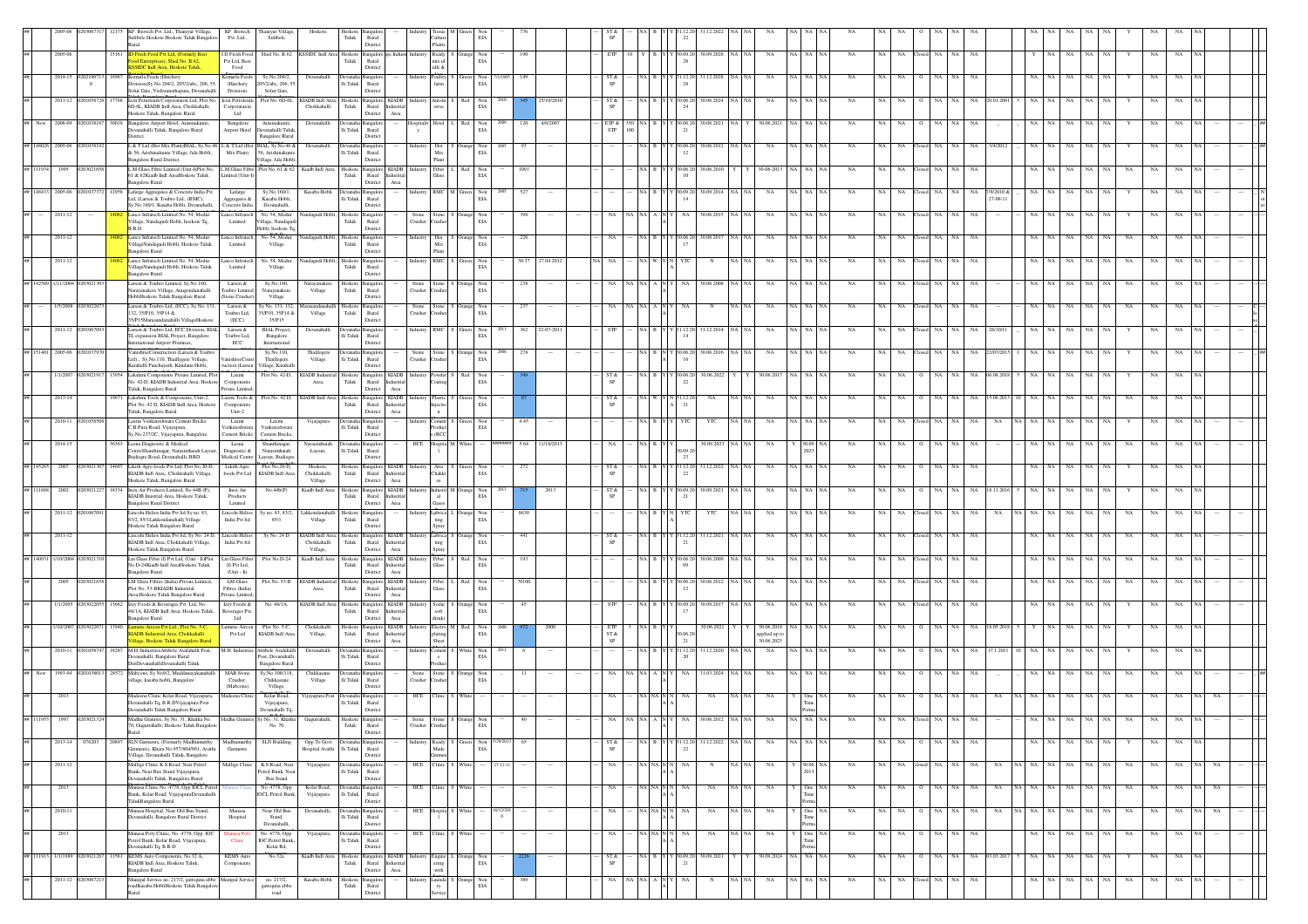|                   |                                 |       | KF. Biotech Pvt. Ltd., Thaniyur Village,<br>Sulibele Hoskote Hoskote Taluk Bangalore                                | KF. Biotech<br>Pvt. Ltd.,                                                       | Thaniyur Village,<br>Sulibele                                | Hoskot                                   | Hoskote<br>Taluk                    | Rural<br>Distric                                                                                                       |                         |                                     |                   | EIA                  |               |                 |                                |                                                       |                                    |                     |         |                                           |                     |                  |                    |             |                 |                        |    |             |                          |           |           |             |          |     |  |
|-------------------|---------------------------------|-------|---------------------------------------------------------------------------------------------------------------------|---------------------------------------------------------------------------------|--------------------------------------------------------------|------------------------------------------|-------------------------------------|------------------------------------------------------------------------------------------------------------------------|-------------------------|-------------------------------------|-------------------|----------------------|---------------|-----------------|--------------------------------|-------------------------------------------------------|------------------------------------|---------------------|---------|-------------------------------------------|---------------------|------------------|--------------------|-------------|-----------------|------------------------|----|-------------|--------------------------|-----------|-----------|-------------|----------|-----|--|
|                   | 2005-06                         | 15161 | <b>ID Fresh Food Pvt Ltd. (Formely Best</b><br>od Enterprises), Shed No. B.62,                                      | ID Fresh Food Shed No. B.62 KSSIDC Indi Area Hoskote Bangalore<br>Pvt Ltd, Best |                                                              |                                          | Taluk                               | Rural                                                                                                                  | <b>Industr Industry</b> | Ready<br>nix id                     | Orange            | Non<br>$_{\rm EIA}$  | 190           |                 | ETP                            |                                                       | Y B Y Y 30.09.20 30.09.2028<br>-28 |                     |         | NA                                        | NA NA               | <b>NA</b><br>NA  | NA                 | losed NA    | NA.<br>NA       |                        |    |             | NA<br>NA                 | <b>NA</b> |           | $_{\rm NA}$ | NA       |     |  |
|                   | 2014-15<br>02021067<br>$\bf{0}$ |       | SSIDC Indi Area, Hoskote Taluk,<br>Komarla Feeds (Hatchery<br>Division)Sy.No.204/2, 205/2/abc, 206, 55,             | Food<br>Komarla Feeds<br>(Hatchery                                              | Sy.No.204/2,<br>205/2/abc, 206, 55.                          | Devanahall                               | li Taluk Rural                      | Distric                                                                                                                |                         | idli &<br>'arm                      |                   | $\rm EIA$            |               |                 | ST &<br>SP                     |                                                       | 28                                 | 31.12.202           |         |                                           |                     |                  |                    |             |                 |                        |    |             |                          |           |           |             |          |     |  |
|                   | 2011-12                         |       | Solur Gate, Vishwanathapura, Devanahalli<br>con Petroleum Corporataion Ltd, Plot No.                                | Division)<br>Icon Petroleum                                                     | Solur Gate,<br>Plot No. 6D-6L                                | KIADB Indl Area,                         | Hoskote                             | Distric<br>Bangalor<br>KIADB                                                                                           |                         |                                     |                   | Non                  |               |                 | ST &                           |                                                       |                                    | 0.06.20             |         |                                           |                     |                  |                    |             |                 |                        |    |             |                          |           |           |             |          |     |  |
|                   |                                 |       | 5D-6L, KIADB Indl Area, Chokkahalli,<br>loskote Taluk, Bangalore Rural                                              | Corporataion<br>Ltd                                                             |                                                              | Chokkahalli                              | Taluk                               | Rural<br>Distric<br>Area                                                                                               |                         |                                     |                   | $\rm EIA$            |               |                 | $\mbox{SP}$                    |                                                       |                                    |                     |         |                                           |                     |                  |                    |             |                 |                        |    |             |                          |           |           |             |          |     |  |
| New               | 2008-09                         |       | Bangalore Airport Hotel, Arasinakunte<br>mahalli Taluk, Bangalore Rural<br>Deitrict                                 | Bangalore<br>Airport Hotel                                                      | Arasinakunte,<br>Devanahalli Taluk<br><b>Bangalore Rural</b> | Devanahalli                              | lli Taluk                           | ngal<br>Rural<br>Distric                                                                                               | spitali<br>y            |                                     |                   | Non<br>EIA           | 2009<br>120   | 4/6/2007        | ETP $\&$<br><b>STP</b>         |                                                       | $^{21}$                            | 30.06.202           |         | 30.06.2021                                |                     | NA               |                    |             |                 |                        |    |             |                          |           |           |             |          |     |  |
| # 148026          | 2005-06                         |       | L & T Ltd (Hot Mix Plant)BIAL, Sy.No.46 L & T Ltd (Hot BIAL, Sy.No.46 &<br>& 56, Arishinakunte Village, Jala Hobli, | Mix Plant)                                                                      | 56, Arishinakunt                                             | Devanahall                               | evanaha Bangalo<br>lli Taluk        | Rural                                                                                                                  |                         | Hot<br>Mix                          |                   | Non<br>EIA           |               |                 |                                |                                                       | 0.06.20<br>12                      | 30.06.2013          |         | NA                                        | NA   NA             |                  |                    |             |                 |                        |    |             |                          |           |           |             |          |     |  |
| # 111934          | 1995                            |       | <b>Bangalore Rural Dsitrict.</b><br>L.M.Glass Fibre Limited (Unit-I)Plot No.<br>61 & 62Kiadb Indl AreaHoskote Taluk | L.M.Glass Fibre Plot No. 61 & 62 Kiadb Indl Area<br>Limited (Unit-I)            | Village, Jala Hobli.                                         |                                          | Hoskote<br>Taluk                    | Distric<br>$\operatorname{KIADB}$<br>Bangalo<br>Rural<br>ndustria                                                      |                         | Fiber                               | Red               | $_{\rm Non}$<br>EIA  | 1091          |                 |                                |                                                       | 30.06.20                           | 30.06.20            |         | 30-06-2013                                | NA NA               | NA<br>NA         | NA                 | NA          | NA.<br>NA       |                        |    |             | NA                       |           | NA        | NA          | NA       |     |  |
| ## 148433 2005-06 |                                 |       | angalore Rural<br>Lafarge Aggregates & Concrete India Pvt                                                           | Lafarge                                                                         | Sv.No.160/1.                                                 | Kasaba Hobli                             | Devanaha Bangalo                    | District<br>Area                                                                                                       | Industry                | RMC M                               | Green             | Non                  | 527<br>- 200  |                 |                                | а в                                                   | 30.09.20                           | 30.09.2014          |         | NA                                        | NA NA               | NA<br>NA.        | <b>NA</b>          | NA          | NA<br>NA.       |                        | NA |             | NA                       |           |           | NA          |          |     |  |
|                   |                                 |       | Ltd, (Larsen & Toubro Ltd., (RMC),<br>šy. No. 160/1, Kasaba Hobli, Devanahalli,                                     | Aggregates &<br>Concrete India                                                  | Kasaba Hobli.<br>Devanahalli,                                |                                          | li Taluk                            | Rural<br>Distric                                                                                                       |                         |                                     |                   | $_{\rm EIA}$         |               |                 |                                |                                                       | $^{14}$                            |                     |         |                                           |                     |                  |                    |             |                 | 7/9/2010 &<br>27-08-11 |    |             |                          |           |           |             |          |     |  |
|                   | 2011-12                         |       | Lanco Infratech Limited No. 54, Medur<br>Village, Nandagudi Hobli, hoskote Tq,<br>B.R.D                             | anco Infratech<br>Limited                                                       | No. 54, Medur<br>Village, Nandagu<br>Hobli, hoskote Tq.      | Nandagudi Hobli,                         | Hoskote<br>Taluk                    | Bangalo<br>Rural<br>Distric                                                                                            | Stone<br>Crusher        | tone                                |                   | Non<br>$_{\rm EIA}$  | 398           |                 |                                |                                                       |                                    | 30.06.201           |         | NA                                        |                     | <b>NA</b>        |                    |             | NA              |                        |    |             |                          |           |           | NA          |          |     |  |
|                   | $2011 - 12$                     |       | Lanco Infratech Limited No. 54, Medur<br>VillageNandagudi Hobli, Hoskote Taluk                                      | Lanco Infratech<br>Limited                                                      | No. 54, Medur<br>Village                                     | Nandagudi Hobli,                         | Hoskote Bangalor<br>Taluk           | Rural                                                                                                                  | Industry                | Hot                                 | Orange Non<br>EIA |                      | 226           |                 | NA                             | AIBI                                                  | 30.06.20                           | 30.06.2017          |         | NA                                        | NA I NA             | NA<br>NA         | NA.                | NA          | NA              |                        |    |             |                          |           |           | NA          |          |     |  |
|                   | $2011 - 12$                     |       | <b>Bangalore Rural</b><br>Lanco Infratech Limited No. 54, Medun<br>VillageNandagudi Hobli, Hoskote Taluk            | anco Infratech<br>Limited                                                       | No. 54, Medu<br>Village                                      | andagudi Hobl                            | loskote<br>Taluk                    | Distric<br><b>Bangalo</b><br>Rural                                                                                     |                         | <b>RMC</b>                          |                   | Non<br>EIA           |               | 30.37 27.04.201 |                                |                                                       |                                    |                     |         | NA                                        |                     |                  |                    |             |                 |                        |    |             |                          |           |           |             |          |     |  |
|                   | 1/11/2004                       |       | <b>Bangalore Rural</b><br>Larsen & Toubro Limited, Sy.No.180,                                                       | Larsen &                                                                        | Sy.No.180,                                                   | Narayanake                               | Hoskot                              | Distric<br><b>Bangalo</b>                                                                                              | Stone                   |                                     |                   |                      |               |                 |                                |                                                       |                                    | 0.06.200            |         |                                           |                     |                  |                    |             |                 |                        |    |             |                          |           |           |             |          |     |  |
|                   |                                 |       | larayanakere Village, Anugondanahalli<br>HobliHoskote Taluk Bangalore Rural                                         | Toubro Limited<br>(Stone Crusher)                                               | Narayanakere<br>Village                                      | Village                                  | Taluk                               | Rural<br>Distric                                                                                                       | Crusher                 | usher                               |                   | Non<br>EIA           |               |                 |                                |                                                       |                                    |                     |         |                                           |                     |                  |                    |             |                 |                        |    |             |                          |           |           |             |          |     |  |
|                   | 1/5/2008 0203022                |       | Larsen & Toubro Ltd, (ECC), Sy No. 131<br>32, 35/P10, 35P14 &<br>35/P15Marasandanahalli VillageHoskot               | Larsen &<br>Toubro Ltd.<br>(ECC)                                                | v No. 131, 132,<br>35/P10, 35P14 &<br>35/P15                 | Marasandanahall<br>Village               | Hoskote<br>Taluk                    | ngalo<br>Rural<br>Distric                                                                                              | Stone<br>Crusher        | Stone<br>usher                      | Orange Non<br>EIA |                      | 237           |                 |                                |                                                       |                                    |                     |         | NA                                        | NA NA               | NA               |                    |             |                 |                        |    |             | NA                       |           | NA        | NA          | NA       |     |  |
|                   | $2011 - 12$                     |       | Larsen & Toubro Ltd, ECC Division, BIAL<br>TL expansion BIAL Project, Bangalore                                     | Larsen &<br>Toubro Ltd.<br>ECC                                                  | <b>BIAL Project</b><br>Bangalore                             | Devanahall                               | Ili Taluk Rural                     |                                                                                                                        |                         | RMC                                 |                   | Non<br>$\rm EIA$     | 362           | 22-07-201       |                                |                                                       | 14                                 | 31.12.20            |         | NA                                        | NA I NA             |                  |                    |             |                 |                        |    |             |                          |           |           |             |          |     |  |
| # 151401          | 2005-06                         |       | ternational Airport Premises,<br>VanishreeConstruction (Larsen & Toubr<br>Ltd)., Sy.No.110, Thaillegere Village,    | anishreeCons                                                                    | International<br>Sy.No.110,<br>Thaillegere                   | Thaillegere<br>Village                   | Jevanaha<br>lli Taluk Rural         | Distric<br>Bangalc                                                                                                     | Stone<br>Crusher        | tone                                |                   | Non<br>$_{\rm EIA}$  |               |                 |                                |                                                       |                                    | 30.06.201           |         | NA                                        |                     |                  |                    |             |                 |                        |    |             |                          |           |           |             |          |     |  |
|                   | 1/1/2007                        |       | Karahalli Panchayath, Kundana Hobli,<br>Lakshmi Components Private Limited, Plot                                    | ruction (Larsen<br>Laxmi                                                        | Village, Karahalli<br>Plot No. 42-D,                         | KIADB Industrial                         | Hoskote Bangalon                    | Distric<br><b>KIADB</b>                                                                                                |                         | wder                                |                   | Non                  |               |                 | ST &                           |                                                       | 30.06.20                           | 30.06.202           |         | 30.06.2017                                |                     | NA<br>NA         |                    |             | NA              | 06.08.20               |    |             |                          |           |           | NA          | NA.      |     |  |
|                   | $2013 - 14$                     |       | No. 42-D, KIADB Industrial Area, Hoskota<br>Taluk, Bangalore Rural<br>Lakshmi Tools & Components, Unit-2,           | Component<br>Private Limited<br>Laxmi Tools &                                   | Plot No. 42 D,                                               | Area,<br>KIADB Indl Area                 | Taluk                               | $\ensuremath{\mathsf{R}\text{ural}}$<br>District<br>Area<br><b>KIADB</b>                                               |                         |                                     |                   | $\rm EIA$            |               |                 | ST &                           |                                                       | 22                                 |                     |         | NA                                        |                     |                  |                    |             |                 |                        |    |             |                          |           |           |             |          |     |  |
|                   |                                 |       | Plot No. 42 D, KIADB Indl Area, Hoskots<br>Taluk, Bangalore Rural                                                   | Components<br>Unit-2                                                            |                                                              |                                          | Hoskote Bangalor<br>Taluk           | Rural<br>Distric<br>Area                                                                                               |                         |                                     |                   | $\rm EIA$            |               |                 | $\mbox{SP}$                    |                                                       | 21                                 |                     |         |                                           |                     |                  |                    |             |                 |                        |    |             |                          |           |           |             |          |     |  |
|                   | 2010-11                         |       | Laxmi Venkateshwara Cement Bricks<br>C.B.Pura Road, Vijayapura,<br>Sy.No.237/2C, Vijayapura, Bangalore              | Laxmi<br>enkateshwara<br>Cement Bricks                                          | Laxmi<br>Venkateshwar<br><b>Cement Bricks</b>                | Vijayapura                               | lli Taluk Rural                     | Bangal<br>Distric                                                                                                      |                         | ement<br>oduc<br>S(RCC)             |                   | $_{\rm Non}$<br>EIA  | 4.45          |                 |                                |                                                       |                                    | YTC                 |         | $_{\rm NA}$                               | NA NA               | NA               |                    |             |                 |                        |    |             |                          |           |           |             |          |     |  |
|                   | 2014-15                         | 6363  | cena Diagnostic & Medical<br>entreShanthinagar, Narasimhaiah Lay                                                    | Leena<br>Diagnostic &                                                           | Shanthinagar,<br>Narasimhaiah                                | Narasimhaia<br>Layout,                   | vanaha Bangalo<br>lli Taluk         | Rural                                                                                                                  | HCE                     | spita M                             | White             |                      | 5.64          | 11/18/2013      | NA                             | NA B                                                  | 0.09.2                             | 30.09.2023          |         | NA                                        | 30.09               | NA<br>NA         | <b>NA</b>          | NA          | NA.<br>NA       |                        |    |             | NA                       | NA        | NA        | NA          | NA       |     |  |
| 145265            | 2007                            |       | udiegre Road, Devanahalli, BRD.<br>Likith Agro foods Pvt Ltd, Plot No.20-D,                                         | Medical Centre Lavout, Budierre<br>Likith Agro                                  | Plot No.20-D.<br>KIADB Indi Area                             | Hoskote.<br>Chokkahalli                  | Hoskote Bangalor                    | Distric<br><b>KIADB</b>                                                                                                |                         | Atta                                |                   | Non<br>EIA           | 272           |                 | ST &                           | A B                                                   | 23<br>31.12.20                     | 31.12.2022          |         | NA                                        | NA NA               | <b>NA</b><br>NA. | NA.                | NA          | NA<br><b>NA</b> |                        |    |             | NA                       |           |           | NA          | NA       |     |  |
| # 111888          | 2002<br>0203021                 | 18334 | KIADB Indl Area, Chokkahalli Village,<br>Hoskote Taluk, Bangalore Rural<br>Inox Air Products Limited, No.44B (P)    | foods Pvt Ltd<br>Inox Air                                                       | No.44b(P)                                                    | Village<br>Kiadb Indl Area               | Taluk                               | $\begin{array}{c} \text{Rural} \\ \text{Distict} \end{array}$<br>ndustrial<br>Area<br>Hoskote Bangalore KIADB Industry |                         | Chakki<br>es<br>Industri M          |                   | Non                  |               | 2013            | <b>SP</b><br>ST &              | a I B I                                               | 22<br>30.09.20                     | 30.09.202           |         | NA                                        | NA NA               | NA<br>NA.        | NA.                | NA          | NA.<br>NA.      |                        |    |             | NA                       |           |           | NA          | NA       |     |  |
|                   |                                 |       | KIADB Inustrial Area, Hoskote Taluk,<br>angalore Rural District                                                     | Products<br>Limited                                                             |                                                              |                                          | Taluk                               | Rural<br>dustria<br>District<br>Area                                                                                   |                         |                                     |                   | $_{\rm EIA}$         |               |                 |                                |                                                       | -21                                |                     |         |                                           |                     |                  |                    |             |                 |                        |    |             |                          |           |           |             |          |     |  |
|                   | 2011-12 02010                   |       | incoln Helios India Pvt Itd Sy no. 83,<br>33/2, 85/1Lakkondanahalli Village<br>loskote Taluk Bangalore Rural        | Lincoln Helios<br>India Pvt Itd                                                 | Sy no. 83, 83/2,<br>85/1                                     | Lakkondanal<br>Village                   | Hoskote<br>Taluk                    | Bangalo<br>Rural<br>Distric                                                                                            |                         | Lubrica<br>ting<br>Spray            |                   | Non<br>$_{\rm EIA}$  | 8630          |                 |                                |                                                       |                                    | YTC                 |         | NA                                        |                     | <b>NA</b>        |                    |             |                 |                        |    |             |                          |           |           |             |          |     |  |
|                   | 2011-12                         |       | incoln Helios India Pvt Itd, Sy No. 24 D,<br>KIADB Indl Area, Chokkahalli Village,                                  | Lincoln Helios<br>India Pvt Itd                                                 | Sy No. 24 I                                                  | KIADB Indl Area,<br>Chokkahalli          | Hoskote<br>${\rm T}$ aluk           | <b>KIADB</b><br>Bangalor<br>Rural                                                                                      |                         | ibrica                              |                   | Non<br>$\rm EIA$     |               |                 | ST &                           |                                                       |                                    | 1.12.202            |         | NA                                        |                     |                  |                    |             |                 |                        |    |             |                          |           |           |             |          |     |  |
| 140931            | 1/10/2004 0203021               |       | Hoskote Taluk Bangalore Rural<br>.m Glass Fiber (I) Pvt Ltd, (Unit - Ii)Plot<br>No.D-24Kiadb Indl AreaHoskote Taluk | Lm Glass Fiber<br>(D Pvt Ltd.)                                                  | Plot No.D-24                                                 | Village,<br>Kiadb Indl Area              | Hoskote<br>Taluk                    | Distric<br>$\operatorname{Area}$<br>$\rm KIADB$<br>Bangalo<br>Rural<br>dustria                                         |                         | Fiber                               |                   | Non<br>EIA           | 193           |                 |                                |                                                       | 0.06.20                            | 30.06.200           |         | $_{\rm NA}$                               |                     | $_{\rm NA}$      |                    |             |                 |                        |    |             | NA                       |           |           |             |          |     |  |
|                   |                                 |       | angalore Rural<br>LM Glass Fibres (India) Private Limited                                                           | $(\mathit{Unit} \cdot \mathit{li})$<br>LM Glass                                 | Plot No. 53-B KIADB Indu                                     |                                          | Hoskote                             | Distric<br>Area<br><b>KIADB</b><br>Bangalo                                                                             |                         |                                     |                   | Non                  |               |                 |                                |                                                       |                                    | 30.06.201           |         |                                           |                     |                  |                    |             |                 |                        |    |             |                          |           |           |             |          |     |  |
|                   | 1/1/2005                        |       | Plot No. 53-BKIADB Industrial<br>Area Hoskote Taluk Bangalore Rural<br>Izzy Foods & Beverages Pvt. Ltd, No.         | Fibres (India)<br>Private Limited<br>Izzy Foods $\&$                            | No. 48/1A,                                                   | Area,<br>KIADB Indl Area Hoskote Bangalo | Taluk                               | Rural<br>ndustrial<br>Distric<br>Area<br><b>KIADB</b>                                                                  |                         | <b>Taxs</b><br>Soda(                |                   | $\rm EIA$            |               |                 | <b>STP</b>                     |                                                       | 12                                 | 30.09.20            |         |                                           | NA NA               | NA               |                    |             |                 |                        |    |             | NA                       |           |           |             |          |     |  |
|                   |                                 |       | 48/1A, KIADB Indl Area, Hoskote Taluk<br>angalore Rural                                                             | Beverages Pvt.<br>Ltd                                                           |                                                              |                                          | Taluk                               | Rural<br>Industria<br>Distric<br>Area                                                                                  |                         | floa<br>lrink)                      |                   | Non<br>EIA           |               |                 |                                |                                                       | -17                                |                     |         | NA                                        |                     |                  |                    |             |                 |                        |    |             |                          |           |           |             |          |     |  |
|                   | 1/10/2007 0203022               |       | umens Aircon Pvt Ltd., Plot No. 5-C<br>IADB Industrial Area, Chokkahalli<br>illage, Hoskote Taluk Bangalore Rura    | Lumens Aircon Plot No. 5-C.<br>Pvt Ltd                                          | KIADB Indl Area                                              | Chokkahalli<br>Village,                  | Taluk                               | Hoskote Bangalore KIADB Industry<br>Rural<br>Industrial<br>Distric<br>Area                                             |                         | Electro M<br><i>dating</i><br>Sheet | Red               | Non<br>$_{\rm EIA}$  |               | 2000            | ETP<br>$ST\,\&$<br>$_{\rm SP}$ |                                                       | 0.06.2<br>21                       | 30.06.2021          |         | 30.06.2018<br>applied up to<br>30.06.2023 | <b>NA</b>           | <b>NA</b>        | <b>NA</b>          |             | NA.             | 18.05.20               |    |             | NA                       |           |           |             |          |     |  |
|                   | 2010-11                         |       | M.H. IndustriesAttibele Avalahalli Post,<br>Devanahalli, Bangalore Rural                                            | M.H. Industries Attibele Avalahali                                              | Post, Devanahalli                                            | Devanahall                               | lli Taluk Rural                     |                                                                                                                        |                         |                                     |                   | Non<br>$_{\rm EIA}$  |               |                 |                                |                                                       | 1.12.20<br>$\alpha$                | 31.12.202           |         | NA                                        |                     |                  |                    |             |                 |                        |    |             |                          |           |           |             |          |     |  |
|                   | 1993-94                         | 28572 | DistDevanahalliDevanahalli Taluk<br>Mabcons, Sy No9/2, Muddanayakanahall                                            | MAB Stone                                                                       | <b>Bangalore Rural</b><br>Sy.No.108/118,                     | Chikkasane                               |                                     | Distric<br>angalc                                                                                                      | Stone                   |                                     |                   | Non                  | $\mathbf{11}$ |                 | NA                             |                                                       | NA                                 | 31.03.2024          |         | NA                                        |                     | NA<br>NA.        | <b>NA</b>          |             |                 |                        |    |             |                          |           | <b>NA</b> | NA          | NA       |     |  |
|                   | 2013                            |       | illage, kasaba hobli, Bangalore<br>Madeena Clinic Kolar Road, Vijayapura,                                           | Crusher,<br>(Mabcons)<br>adeena Clinic                                          | Chikkasane<br>Village,<br>Kolar Road,                        | Village<br>Vijayapura Pos                | li Taluk                            | Rural<br>Distric<br>Bangalo                                                                                            | Crusher<br>HCE          |                                     |                   | $\rm EIA$            |               |                 |                                |                                                       |                                    | NA                  |         | NA                                        | One                 |                  |                    |             |                 |                        |    |             | NA                       |           |           |             |          |     |  |
|                   |                                 |       | bevanahalli Tq, B.R.DVijayapura Post<br>Devanahalli Taluk Bangalore Rural                                           |                                                                                 | Vijayapura,<br>Devanahalli Tq.                               |                                          | $\rm Ili$ Taluk Rural               | Distric                                                                                                                |                         |                                     |                   |                      |               |                 |                                |                                                       |                                    |                     |         |                                           |                     |                  |                    |             |                 |                        |    |             |                          |           |           |             |          |     |  |
|                   |                                 |       | Madhu Granites, Sy No. 31, Khatha No<br>70, Guguttahalli, Hoskote Taluk Bangalore<br>lent!                          | Madhu Granites Sy No. 31, Khatha                                                | No. 70                                                       |                                          | Hoskote Bangalo<br>Taluk            | Rural<br>District                                                                                                      | Crusher                 |                                     |                   | $\rm EIA$            |               |                 |                                |                                                       |                                    |                     |         |                                           |                     |                  |                    |             |                 |                        |    |             |                          |           |           |             |          |     |  |
|                   | 2013-14 076203                  | 20897 | SLN Garments, (Formerly Madhumurthy<br>larments), Khata No.957/804/901, Avathi                                      | Madhumurth<br>Garments                                                          | SLN Building                                                 | Opp To Govt<br>Hospital Avathi           | vanaha Bangalo<br>li Taluk          | Rural                                                                                                                  |                         | leady<br>Made                       |                   | Non 5/29/2013<br>EIA | 65            |                 | ST &                           | NA B Y                                                | 22                                 | 31.12.20 31.12.2022 | NA NA   | $_{\rm NA}$                               | NA NA NA            | $_{\rm NA}$      | $\rm NA$ $ \rm NA$ | $O$ NA NA   | NA              |                        |    | NA NA NA    | NA NA                    |           |           | $_{\rm NA}$ | NA       |     |  |
|                   | $2011 - 12$                     |       | Village, Devanahalli Taluk, Bangalore<br>Mallige Clinic K.S.Road, Near Petrol                                       | Mallige Clinic                                                                  | K.S.Road, Nea                                                | Vijayapura                               |                                     | Distric                                                                                                                | HCE                     | linic 1                             | White             |                      | $27 - 12 - 1$ |                 | NA                             | NA NA N                                               | NA                                 |                     | NA NA   | NA                                        | Y 30.06.            | <b>NA</b>        | NA NA              | losed NA NA | NA              | NA                     |    | NA NA NA NA | NA NA                    |           | <b>NA</b> | NA          | NA       |     |  |
|                   | 2013                            |       | Bunk. Near Bus Stand Vijayapura,<br>Devanahalli Taluk, Bangalore Rural<br>Manasa Clinic No. 4778, Opp IOCL Petrol   |                                                                                 | Petrol Bunk, Near<br><b>Bus Stand</b><br>No. 4778, Opp       | Kolar Road,                              | Ili Taluk Rural<br>Devanaha Bangalo | Distric                                                                                                                | HCE                     |                                     |                   |                      |               |                 | NA                             | VA NA N                                               | NA.                                | NA                  |         | NA                                        | One                 | NA<br>NA         | - NA<br>$^{\circ}$ | NA          | NA<br>NA        | NA                     |    | VA NA NA    | NA<br>NA                 | NA        | NA        | NA          | NA       |     |  |
|                   |                                 |       | Bunk, Kolar Road, VijayapuraDevanahalli<br>TalukBangalore Rural                                                     |                                                                                 | <b>IOCL Petrol Bunk</b> ,                                    | Vijayapura                               | li Taluk Rural                      | Distric                                                                                                                |                         |                                     |                   |                      |               |                 |                                |                                                       |                                    |                     |         |                                           | Tin                 |                  |                    |             |                 |                        |    |             |                          |           |           |             |          |     |  |
|                   | 2010-11                         |       | Manasa Hospital, Near Old Bus Stand,<br>evanahalli, Bangalore Rural District.                                       | Manasa<br>Hospital                                                              | Near Old Bus<br>Stand,<br>Devanahalli,                       | Devanahalli,                             | Devanaha Bangalo<br>li Taluk Rural  | District                                                                                                               | HCE                     |                                     | spita S White     |                      | 16/12/201     | $-$             | NA                             | $\rm NA$ $\rm NA$ $\rm N$ $\rm N$                     | NA                                 | NA                  | NA   NA | NA                                        | One                 | NA               | NA NA              | $O$ NA NA   | NA              | $_{\rm NA}$            |    | NA NA NA NA | NA NA                    |           | NA        | NA          | NA<br>NA | NA. |  |
|                   | 2013                            |       | lanasa Poly Clinic, No. 4778, Opp. IOC<br>etrol Bunk, Kolar Road, Vijayapura,                                       | anasa Pe<br>${\bf C}$                                                           | No. 4778, Opp.<br><b>IOC</b> Petrol Bunk                     | Vijayapura                               | lli Taluk                           | <b>Bangalo</b><br>Rural                                                                                                | HCF                     |                                     |                   |                      |               |                 | NA                             | <b>NAP</b>                                            |                                    | NA                  |         | NA                                        | On<br>Tin           | NA               | NA                 |             |                 |                        |    |             |                          |           |           |             |          |     |  |
|                   | ## 111913 1/1/1989 0203021267   | 11561 | evanahalli Tq, B.R.D<br>KEMS Auto Components, No.32 A,<br>KIADB Indl Area, Hoskote Taluk,                           | <b>KEMS</b> Auto<br>Component                                                   | Kolar Rd,<br>$\rm No.32a$                                    | Kiadb Indl Area                          | Hoskote Bangalon<br>Taluk           | Distric<br>$\mathbf{KIADB}$<br>Rural<br>dustria                                                                        |                         | Engine                              | Orange Non<br>EIA |                      |               |                 | ST &<br>SP                     | VA B Y                                                | 30.09.20<br>21                     | 30.09.2021          |         |                                           | 30.09.2024 NA NA NA | NA               | NA NA              | $O$ NA NA   |                 | NA 03.03.2017          |    | NA NA       | $_{\rm NA}$<br>NA NA     |           |           | $_{\rm NA}$ | NA       |     |  |
|                   | 2011-12 020306721               |       | angalore Rural<br>Manipal Service no. 217/2, gattogina abbe Manipal Service                                         |                                                                                 | no. 217/2,                                                   | Kasaba Hobli                             | Hoskote Bangalor                    | Distric<br>Area                                                                                                        |                         | aunda                               |                   |                      |               |                 | NA                             | $\overline{\text{NA}}$   $\text{NA}$   A   $\text{N}$ | NA                                 | $_{\rm N}$          |         | $_{\rm NA}$                               | NA NA               | $_{\rm NA}$      | $\rm NA$ $ \rm NA$ | losed NA    | NA<br>NA        |                        | NA | NA          | $\rm NA$ $ \rm NA$<br>NA |           | NA        | NA          | NA       |     |  |
|                   |                                 |       | oadKasaba HobliHoskote Taluk Bangalore                                                                              |                                                                                 | gattogina abbe<br>road                                       |                                          | Taluk                               | Rural<br>Distric                                                                                                       |                         | ry                                  | Orange Non<br>EIA |                      |               |                 |                                |                                                       |                                    |                     |         |                                           |                     |                  |                    |             |                 |                        |    |             |                          |           |           |             |          |     |  |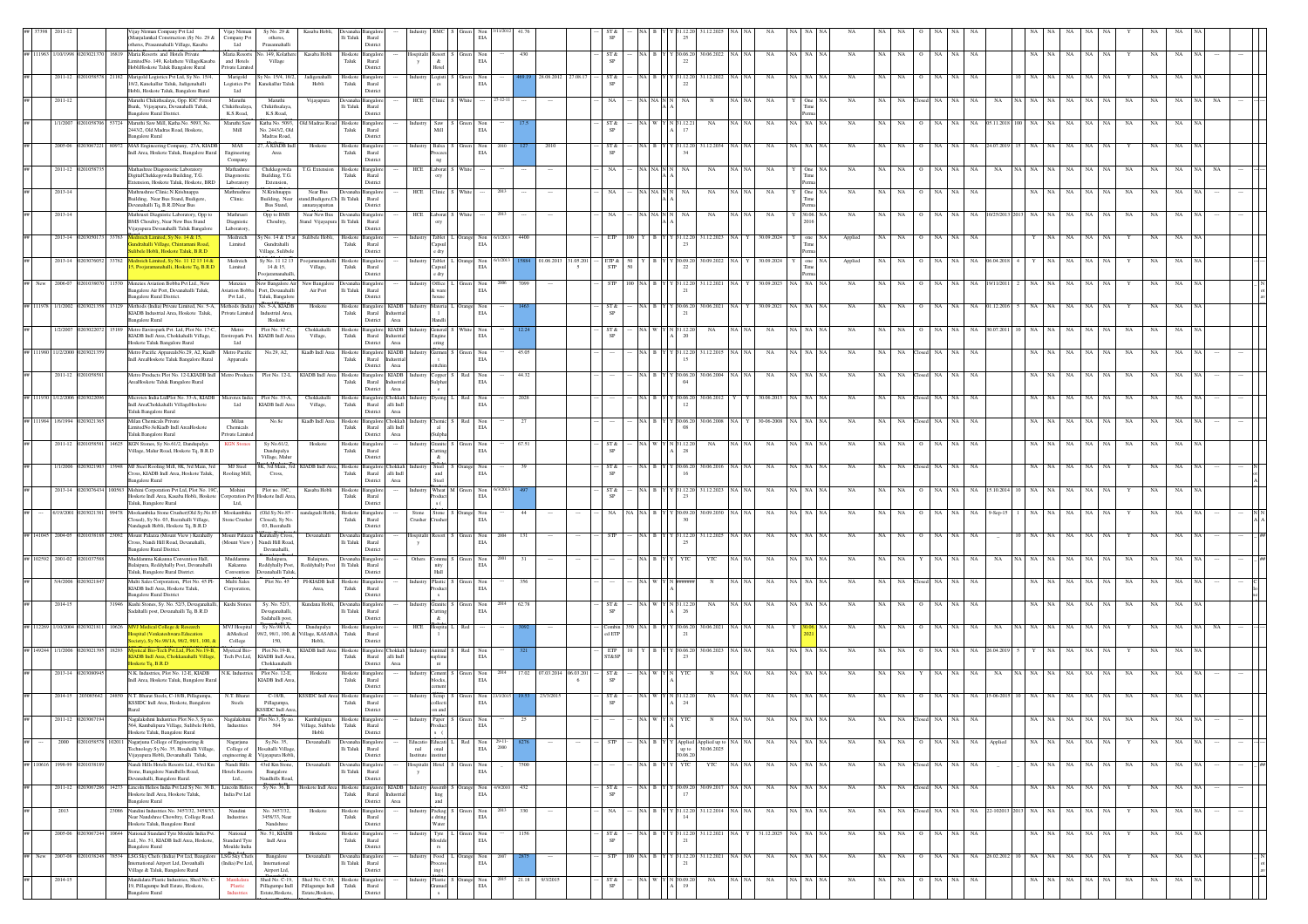|        |                             |            | jay Nirman Company Pvt Ltd                                                                                                            | Manjulankal Construction )Sy No. 29 &<br>herss, Prasannahalli Village, Kasaba                                     | Vijay Nirman<br>Company Pvt<br>Ltd             | Sy No. 29 &<br>otherss,<br>Prasannahalli                           | Kasaba Hobl                                         |                          | Ili Taluk Rural<br>Distric                                    |                                              |                                                  |     | EIA                                                      |         |                  |                        |                                                             |            |                     |                        |                                                                                                                                                                   |             |                |                 |               |                  |      |                         |           |          |                        |    |             |             |  |
|--------|-----------------------------|------------|---------------------------------------------------------------------------------------------------------------------------------------|-------------------------------------------------------------------------------------------------------------------|------------------------------------------------|--------------------------------------------------------------------|-----------------------------------------------------|--------------------------|---------------------------------------------------------------|----------------------------------------------|--------------------------------------------------|-----|----------------------------------------------------------|---------|------------------|------------------------|-------------------------------------------------------------|------------|---------------------|------------------------|-------------------------------------------------------------------------------------------------------------------------------------------------------------------|-------------|----------------|-----------------|---------------|------------------|------|-------------------------|-----------|----------|------------------------|----|-------------|-------------|--|
|        | # 111963 1/10/1998 02030213 |            | Maria Resorts and Hotels Private<br>16819<br>lobliHoskote Taluk Bangalore Rural                                                       | mitedNo. 149, Kolathere VillageKasaba                                                                             | and Hotels<br>Private Limited                  | Maria Resorts No. 149, Kolathere<br>Village                        | Kasaba Hobli                                        | Taluk                    | Hoskote Bangalo<br>Rural<br>Distric                           |                                              | ospitalit<br>y                                   |     | Non<br>$_{\rm EIA}$                                      |         | 430              |                        | ST &                                                        |            | (A B Y Y 30.06.20   | 30.06.2022             |                                                                                                                                                                   | NA          | NA NA          | NA<br>NA        | <b>NA</b>     | NA               | NA   |                         | NA        |          | NA<br>NA.<br><b>NA</b> |    | NA          |             |  |
|        | 2011-12                     |            | Marigold Logistics Pvt Ltd, Sy No. 15/4<br>18/2, Kanekallur Taluk, Jadigenahalli<br>Hobli, Hoskote Taluk, Bangalore Rural             |                                                                                                                   | Marigold<br>Logistics Pvt<br>Ltd               | / No. 15/4, 18/2<br>Kanekallur Taluk                               | Jadigenaha<br>Hobli                                 | loskote<br>Taluk         | Bangalo<br>$\rm{Rural}$<br>Distric                            |                                              |                                                  |     | $\rm EIA$                                                |         |                  |                        | ST &                                                        |            | 22                  |                        |                                                                                                                                                                   |             |                |                 |               |                  |      |                         |           |          |                        |    |             |             |  |
|        | 2011-12                     |            | Maruthi Chikithsalaya, Opp. IOC Petro<br>Bunk, Vijayapura, Devanahalli Taluk,<br>angalore Rural District                              |                                                                                                                   | Maruthi<br>Chikithsalaya<br>K.S.Road,          | Maruthi<br>Chikithsalaya<br>K.S.Road.                              | Vijayapura                                          | lli Taluk                | evanaha Bangalo<br>Rural<br>Distric                           |                                              | HCE                                              |     |                                                          |         |                  |                        |                                                             |            |                     |                        |                                                                                                                                                                   |             |                |                 |               |                  |      |                         |           |          |                        |    |             |             |  |
|        | 1/1/2007                    |            | Maruthi Saw Mill, Katha No. 5093, No<br>3724<br>2443/2, Old Madras Road, Hoskote,                                                     |                                                                                                                   | Maruthi Saw<br>Mill                            | Katha No. 5093<br>No. 2443/2, Old                                  | Old Madras Road                                     | Hoskote<br>Taluk         | ngale<br>Rural                                                | Indust                                       | Saw  <br>Mill                                    |     | Non<br>EIA                                               |         |                  |                        | ST &                                                        |            |                     | NA                     |                                                                                                                                                                   | NA          | NA NA          |                 |               |                  |      |                         |           |          |                        |    |             |             |  |
|        | 2005-06                     |            | angalore Rural                                                                                                                        | MAS Engineering Company, 27A, KIADB<br>ndl Area, Hoskote Taluk, Bangalore Rural                                   | MAS<br><b>Engineering</b>                      | Madras Road.<br>7, A KIADB Indl<br>Area                            | Hoskote                                             | Taluk                    | Distric<br>Hoskote Bangalo<br>Rural                           |                                              | <b>Balsa</b><br>ndusti                           |     | Non<br>EIA                                               |         |                  |                        | ST &<br>SP                                                  |            |                     | 31.12.203<br>1.12.20   |                                                                                                                                                                   | NA          | NA NA          | NA              |               |                  |      |                         |           |          |                        |    |             |             |  |
|        | 2011-12 0201058             |            | Mathashree Diagonostic Laboratory<br>DigitalChekkegowda Building, T.G.                                                                |                                                                                                                   | Company<br>Mathashree<br>Diagonostic           | Chekkegowda<br>Building, T.G.                                      | T.G. Extension                                      | Taluk                    | Distric<br>Hoskote Bangalor<br>Rural                          |                                              | HCE Laborat                                      |     |                                                          |         |                  |                        | NA                                                          | A NAI      |                     | NA<br>NA.              |                                                                                                                                                                   | NA          | One            | <b>NA</b>       | <b>NA</b>     | NA               |      |                         |           |          |                        |    |             |             |  |
|        | $2013 - 14$                 |            | fathrushree Clinic.N.Krishnappa<br>uilding, Near Bus Stand, Budigere,                                                                 | ctension, Hoskote Taluk, Hoskote, BRE                                                                             | Laboratory<br>Mathrushree<br>Clinic.           | Extension,<br>N.Krishnappa<br>Building, Near                       | Near Bus<br>and, Budigere, Ch Ili Taluk             | Devanaha Bangalo         | District<br>Rural                                             |                                              | HCE                                              |     |                                                          |         |                  |                        | NA                                                          |            |                     | NA<br>NA.              |                                                                                                                                                                   | NA          | One<br>Tin     | NA              |               |                  |      |                         |           |          |                        |    |             |             |  |
|        | 2013-14                     |            | mahalli Tq, B.R.DNear Bus                                                                                                             | hrusri Diagnistic Laboratory, Opp to                                                                              | Mathrusri                                      | Bus Stand,<br>Opp to BMS                                           | annarayapattan<br>Near New Bus                      |                          | District<br><b>Bangalo</b>                                    |                                              | HCE                                              |     |                                                          |         |                  |                        |                                                             |            |                     |                        |                                                                                                                                                                   | NA          |                |                 |               |                  |      |                         |           |          |                        |    |             |             |  |
|        | 2013-14                     |            | BMS Choultry, Near New Bus Stand                                                                                                      | jayapura Devanahalli Taluk Bangalor<br>eich Limited, Sy No. 14 & 15,                                              | Diagnistic<br>Laboratory<br>Medreich           | Choultry,<br>Sy No. 14 & 15 at                                     | Stand Vijayapura<br>Sulibele Hobli                  | lli Taluk<br>loskote     | Rural<br>Distric<br>Bangalo                                   |                                              | ${\rm Table}$                                    |     |                                                          |         | 4400             |                        |                                                             |            |                     | 31.12.2023             |                                                                                                                                                                   | 30.09.2024  |                | Applied         | NA            |                  |      |                         |           |          |                        |    |             |             |  |
|        | 2013-14                     |            |                                                                                                                                       | ndrahalli Village, Chintamani Road<br>libele Hobli, Hoskote Taluk, B.R.D.<br>dreich Limited, Sy No. 11 12 13 14.  | Limited<br>Medreich                            | Gundrahalli<br>Village, Sulibel<br>y No. 11 12 13                  |                                                     | Taluk                    | Rural<br>Distric<br>angale                                    |                                              | 'apsul<br>Tablet                                 |     | $_{\rm EIA}^{\rm Non}$                                   |         |                  | 01.06.2013<br>31.05.20 |                                                             |            |                     | 30.09.202              |                                                                                                                                                                   | 30.09.2024  | one<br>Time    | Applied         |               |                  |      |                         |           |          |                        |    |             |             |  |
|        | 2006-0                      |            | Menzies Aviation Bobba Pvt Ltd., New                                                                                                  | , Poojaramanahalli, Hoskote Tq, B.R.I                                                                             | Limited<br>Menzie                              | 14 & 15.<br>oojaramanahall<br>New Bangalore Ai                     | Village.<br>New Banga                               | Hoskote<br>Taluk         | Rural<br>Distric                                              |                                              | Capsul<br>e drv<br>Office                        |     | Non<br>EIA<br>Non                                        |         |                  |                        | $\frac{\text{ETP} \& \text{STP}}{\text{STP}}$<br><b>STP</b> |            | 22                  | 31.12.20               |                                                                                                                                                                   | 30.09.2023  | Tim<br>NA   NA | N/              |               |                  |      |                         |           |          |                        |    |             |             |  |
|        |                             |            | angalore Rural District.                                                                                                              | angalore Air Port, Devanahalli Taluk,                                                                             | Pvt Ltd.,                                      | viation Bobba Port, Devanahalli<br>Taluk, Bangalor                 | Air Port                                            |                          | Ili Taluk Rural<br>Distric                                    |                                              | & ware                                           |     | $_{\rm EIA}$                                             |         |                  |                        |                                                             |            | 21                  |                        |                                                                                                                                                                   |             |                |                 |               |                  |      |                         |           |          |                        |    |             |             |  |
|        | 1/1/2002                    |            | angalore Rural                                                                                                                        | Methods (India) Private Limited, No. 5-A. Methods (India) No. 5-A. KIADB<br>KIADB Industrial Area, Hoskote Taluk, | Private Limited                                | Industrial Area,<br>Hoskote                                        | Hoskote                                             | Taluk                    | Hoskote Bangalon<br>Rural<br>Distric                          | <b>KIADB</b><br>ndustria<br>Area             | Materia                                          |     | Non<br>$_{\rm EIA}$                                      |         |                  |                        | ST &                                                        |            | -21                 | 30.06.202<br>0.06.20   |                                                                                                                                                                   | 30.09.2021  | NA NA          |                 |               |                  |      |                         |           |          |                        |    |             | NA          |  |
|        | 1/2/200                     |            | loskote Taluk Bangalore Rural                                                                                                         | Metro Enviropark Pvt. Ltd. Plot No. 17-C<br>KIADB Indl Area, Chokkahalli Village,                                 | Metro<br>Ltd                                   | Plot No. 17-C,<br>inviropark Pvt. KIADB Indi Area                  | Chokkahall<br>Village,                              | Taluk                    | Hoskote Bangalo<br>Rural<br>Distric                           | <b>KIADB</b><br>Industria<br>Area            | ingine<br>ring                                   |     | $_{\rm EIA}$                                             |         |                  |                        | ST &<br>$_{\rm SP}$                                         |            | 20                  | NA                     |                                                                                                                                                                   | NA          |                |                 |               |                  |      |                         |           |          |                        |    |             |             |  |
|        | 11/2/200                    |            |                                                                                                                                       | Metro Pacific ApparealsNo.29, A2, Kiadh<br>dl AreaHoskote Taluk Bangalore Rural                                   | Metro Pacific<br>Appareals                     | No.29, A2,                                                         | Kiadb Indl Area                                     | Taluk                    | Hoskote Bangalor<br>Rural<br>Distric                          | <b>KIADB</b><br>Area                         | ttchin                                           |     | Non<br>$\rm EIA$                                         |         | 45.05            |                        |                                                             |            | 15                  | 1.12.2                 |                                                                                                                                                                   |             |                |                 |               |                  |      |                         |           |          |                        |    |             |             |  |
|        | $2011 - 12$                 |            | AreaHoskote Taluk Bangalore Rural                                                                                                     | Metro Products Plot No. 12-LKIADB Indl                                                                            | Metro Products                                 | Plot No. 12-L                                                      | KIADB Indl Area                                     | Taluk                    | Hoskote Bangalor<br>Rural<br>Distric                          | $\rm KIADB$<br>ndustria<br>Area              | Copper                                           |     | $_{\rm Non}$<br>EIA                                      |         | 44.32            |                        |                                                             |            | 30.06.20<br>04      | 0.06.20                |                                                                                                                                                                   | NA          |                |                 |               |                  |      |                         |           |          |                        |    |             |             |  |
|        | # 111930 1/12/2006 0        |            | ndl AreaChokkahalli VillageHoskote<br>Taluk Bangalore Rural                                                                           | Microtex India LtdPlot No. 33-A, KIADB                                                                            | Ltd                                            | Microtex India Plot No. 33-A,<br>KIADB Indi Are                    | Chokkahalli<br>Village,                             | Taluk                    | Hoskote Bangalor<br>Rural<br>District                         | hokkah<br>alli Indi<br>Area                  | lyeing                                           |     | Non<br>$\rm EIA$                                         |         | 2028             |                        |                                                             |            | 12                  | 0.06.20<br>30.06.20    |                                                                                                                                                                   |             |                |                 |               |                  |      |                         |           |          |                        |    |             |             |  |
|        | 111984 1/6/1994 020302      |            | Milan Chemicals Private<br>imitedNo.8eKiadb Indl AreaHoskote                                                                          |                                                                                                                   | Milan<br>Chemicals                             | No.8e                                                              | Kiadb Indl Area                                     | Taluk                    | Hoskote Bangalo<br>Rural                                      | Chokkah Indus<br>alli Indi                   | Chemic S                                         | Red | $_{\rm EIA}^{\rm Non}$                                   |         | 27               |                        |                                                             |            | 08                  | 30.06.20<br>30.06.200  |                                                                                                                                                                   | 30-06-2008  | NA NA          | NA              |               | NA<br>NA         | NA   |                         |           |          |                        |    | NA          |             |  |
|        | 2011-12 0201058             |            | Tabik Bangalore Rural<br>KGN Stones. Sv No.61/2. Dandupalva<br>14625                                                                  | fillage, Malur Road, Hoskote Tq, B.R.D                                                                            | Private Limited<br><b>KGN</b> Stone            | Sy No.61/2,<br>Dandupalya                                          | Hoskote                                             | Taluk                    | District<br>Hoskote Bangalon<br>Rural                         | Area                                         | ulpha<br>Granite :<br>Industry<br>utting         |     | Green Non<br>$_{\rm EIA}$                                |         | 67.51            |                        | ST &                                                        | VA I W     | 31.12.20<br>-28     | NA                     |                                                                                                                                                                   | NA          | NA NA          | <b>NA</b><br>NA | <b>NA</b>     | NA<br>NA         | NA   |                         |           |          | NA.<br>NA<br>NA        | NA | NA          | NA          |  |
|        | 1/1/2006                    |            |                                                                                                                                       | MJ Steel Rooling Mill, 8K, 3rd Main, 3rd<br>Cross, KIADB Indl Area, Hoskote Taluk,                                | MJ Steel<br>Rooling Mill,                      | Village, Malur<br>8K, 3rd Main, 3rd<br>Cross,                      | KIADB Indl Area,                                    | Hoskote<br>Taluk         | Distric<br>Bangalo<br>Rural                                   | hokkah<br>alli Indi                          | Steel                                            |     | Non<br>$_{\rm EIA}$                                      |         |                  |                        | ST &<br>SP                                                  |            |                     | 0.06.20<br>30.06.20    |                                                                                                                                                                   | NA          |                |                 |               |                  |      |                         |           |          |                        |    |             |             |  |
|        | 2013-14                     |            | angalore Rural                                                                                                                        | Mohini Corporation Pvt Ltd, Plot No. 19C,<br>loskote Indl Area, Kasaba Hobli, Hoskote                             | Mohini<br>rporation Pv                         | Plot no. 19C,<br>Hoskote Indl Area                                 | Kasaba Hobli                                        | Taluk                    | District<br>Hoskote Bangalor<br>Rural                         | Area                                         | Wheat<br>ndustr                                  |     | Non<br>$\rm EIA$                                         |         |                  |                        | ST &                                                        |            |                     | 1.12.20<br>31.12.202   |                                                                                                                                                                   | NA          |                | <b>NA</b>       |               |                  |      |                         |           |          |                        |    |             |             |  |
|        | 5/19/200                    |            | aluk, Bangalore Rural                                                                                                                 | ookambika Stone Crusher(Old Sy.No.8<br>losed), Sy No. 03, Beerahalli Village,                                     | Ltd,<br>Mookambika                             | (Old Sy.No.85<br>Closed), Sy No                                    | andagudi Hobl                                       | Hoskote<br>Taluk         | Distric<br>angalo                                             |                                              | stone<br>Stone<br>Crusher<br>ushe                |     | Non<br>$\rm EIA$                                         |         |                  |                        |                                                             |            |                     | 0.09.2                 |                                                                                                                                                                   |             |                |                 |               |                  |      |                         |           |          |                        |    |             |             |  |
|        | 2004-05                     |            |                                                                                                                                       | andagudi Hobli, Hoskote Tq, B.R.D<br>fount Palazza (Mount View) Karahally                                         | Stone Crusher                                  | 03. Beerahalli<br>Mount Palazza Karahally Cross                    | Devanahalli                                         |                          | Rural<br>Distric                                              |                                              |                                                  |     | Non                                                      |         |                  |                        |                                                             |            |                     | 31.12.202              |                                                                                                                                                                   |             |                |                 |               |                  |      |                         |           |          |                        |    |             |             |  |
|        | ## 102592 2001-02           |            | ross, Nandi Hill Road, Devanahalli,<br>angalore Rural District<br>Auddamma Kakanna Convention Hall,                                   |                                                                                                                   | Muddam                                         | (Mount View ) Nandi Hill Road,<br>Devanahalli.<br>Balaipura,       | Balaipura,                                          |                          | $\rm Ili$ Taluk Rural<br>Distric                              | y                                            | Others<br>smmu                                   |     | $\rm EIA$<br>$_{\rm EIA}^{\rm Non}$                      |         |                  |                        |                                                             |            | 2 <sup>s</sup>      | YTC                    |                                                                                                                                                                   | NA          | NA NA          | NA<br>NA        | <b>NA</b>     | NA               |      |                         |           |          | NA                     | NA | NA          | NA          |  |
|        | 5/4/200                     |            | Taluk, Bangalore Rural District.                                                                                                      | Balaipura, Reddyhally Post, Devanahalli<br>Multi Sales Corporation. Plot No. 45 PI                                | Kakanna<br>Convention<br>Multi Sales           | Reddyhally Post.<br>Devanahalli Taluk<br>Plot No. 45               | Reddyhally Post<br>PI-KIADB Indi                    | Hoskote                  | li Taluk Rural<br>Distric<br>angale                           |                                              | nity<br>Hall                                     |     | Non                                                      |         |                  |                        |                                                             |            |                     |                        |                                                                                                                                                                   |             |                |                 |               |                  |      |                         |           |          |                        |    |             |             |  |
|        | 2014-15                     |            | KIADB Indl Area, Hoskote Taluk.<br>langalore Rural District                                                                           | Kushi Stones, Sy. No. 52/3, Devaganahalli, Kushi Stones                                                           | Corporation.                                   | Sy. No. 52/3,                                                      | Area.<br>Kundana Hobl                               | Taluk<br>Devanah:        | Rural<br>Distric<br>3anealc                                   |                                              | oduct<br>Granite                                 |     | $_{\rm EIA}$<br>Non                                      |         |                  |                        | ST &                                                        |            |                     | NA                     |                                                                                                                                                                   | NA          |                |                 |               |                  |      |                         |           |          |                        |    |             |             |  |
|        |                             |            | Sadahalli post, Devanahalli Tq, B.R.D                                                                                                 |                                                                                                                   |                                                | Devaganahalli,<br>Sadahalli post,                                  |                                                     |                          | lli Taluk Rural<br>Distric                                    |                                              | &.                                               |     | $_{\rm EIA}$                                             |         |                  |                        | $\mbox{SP}$                                                 |            | -26                 |                        |                                                                                                                                                                   |             |                |                 |               |                  |      |                         |           |          |                        |    |             |             |  |
|        | # 112269 1/10/2004 020302   |            | 0626<br><b>MVJ Medical College &amp; Research</b>                                                                                     | ty), Sy No.98/1A, 98/2, 98/1, 100,                                                                                | MVJ Hospital<br>&Medical<br>College            | Sy No.98/1A,<br>98/2, 98/1, 100, &<br>150,                         | Dandupalya<br>'illage, KASABA<br>Hobli,             | Hoskote<br>${\rm Taluk}$ | Bangalo<br>$\ensuremath{\mathsf{R}\text{ural}}$<br>District   |                                              | HCE                                              |     |                                                          |         |                  |                        | Combin<br>$\operatorname{\sf ed}$ ETP                       | ≀A IB      | 30.06.20<br>$^{21}$ | 30.06.202              |                                                                                                                                                                   | NA          |                | NA              |               |                  |      |                         |           |          |                        |    |             |             |  |
| 149244 | 1/1/2006                    |            | oskote Tq, B.R.D                                                                                                                      | The Local Mill March 1948<br>ADB Indi Area, Chokkanahalli Village                                                 | <b>Mystical Bio</b><br>Tech Pvt.Ltd,           | Plot.No.19-B,<br>KIADB Indl Area<br>Chokkanahalli                  | KIADB Indl Are                                      | Taluk                    | Hoskote Bangalon<br>$\mathop{\rm Rural}\nolimits$<br>District | hokkah<br>alli $\operatorname{Indl}$<br>Area | limai                                            |     | $\rm EIA$                                                |         |                  |                        | ETP<br>ST&SP                                                |            |                     | 0.06.20<br>0.06.20     |                                                                                                                                                                   | NA          |                |                 |               |                  |      |                         |           |          |                        |    |             |             |  |
|        | 2013-14 020                 |            |                                                                                                                                       | N.K. Industries, Plot No. 12-E, KIADB<br>Indl Area, Hoskote Taluk, Bangalore Rura                                 | N.K. Industries                                | Plot No. 12-E,<br>KIADB Indl Area                                  | Hoskote                                             | Taluk                    | Hoskote Bangalor<br>Rural<br>Distric                          |                                              | ement<br>ocks                                    |     | Non<br>EIA                                               |         | 17.02 07.03.2014 | 06.03.201              | ST &                                                        |            |                     |                        |                                                                                                                                                                   |             |                |                 |               |                  |      |                         |           |          |                        |    |             |             |  |
|        | 2014-15 2030856             |            | N.T. Bharat Steels, C-18/B, Pillagumpa,<br>4850<br>KSSIDC Indl Area, Hoskote, Bangalore                                               |                                                                                                                   | N.T. Bharat<br>Steels                          | $C-18/B$ ,<br>Pillagumpa,<br>KSSIDC Indi Area,                     | KSSIDC Indl Area Hoskote Bangalor                   | Taluk                    | Rural<br>Distric                                              |                                              | Scrap                                            |     | Non 23/3<br>EIA                                          |         |                  | 23/3/201               | ST &                                                        |            |                     | 12.20<br>NA            |                                                                                                                                                                   |             |                |                 |               |                  |      |                         |           |          |                        |    |             |             |  |
|        | 2011-12 020                 |            | Hoskote Taluk, Bangalore Rural                                                                                                        | Nagalakshmi Industries Plot No.3. Sv no<br>564, Kambalipura Village, Sulibele Hobli,                              | Industries                                     | Naealakshmi Plot No.3, Sy no. Kambalipura<br>564                   | Village, Sulibele Taluk Rural<br>Hobli              |                          | Hoskote Bangalor<br>District                                  |                                              |                                                  |     | EIA                                                      |         |                  |                        |                                                             |            |                     |                        |                                                                                                                                                                   |             |                |                 |               |                  |      |                         |           |          |                        |    |             |             |  |
|        | 2000                        | 0201058578 | Nagarjuna College of Engineering &<br>102011<br>Vijayapura Hobli, Devanahalli Taluk,                                                  | echnology Sy.No. 35, Hosahalli Village,                                                                           | Nagariuna<br>College of                        | Sy.No. 35,<br>Hosahalli Village<br>engineering & Vijayapura Hobli, | Devanahalli                                         |                          | Devanaha Bangalon<br>li Taluk Rural                           |                                              | Educatio Educati L Red Non 29-11-<br>nal<br>anal |     | $_{\rm EIA}$                                             | 2000    |                  |                        | <b>STP</b>                                                  | NAIB Y     |                     | 30.06.20               | $\begin{tabular}{ c c c c } \hline \text{Applied}{\quad\quad} & \text{Applied up to} & \text{NA} & \text{NA} \\ \hline \text{up to} & 30.06.2025 & \end{tabular}$ | NA          | NA NA NA       | NA              | NA NA         | O NA NA          | NA . | Applied                 |           | NA NA NA | NA NA                  |    | NA          | NA          |  |
|        | ## 110616 1998-99 02010381  |            | Stone, Bangalore Nandhills Road,                                                                                                      | andi Hills Hotels Resorts Ltd., 43rd Km                                                                           | Nandi Hills<br>Hotels Resorts                  | 43rd Km Stone,<br>Bangalore                                        | Devanahall                                          |                          | Distric<br><b>Bangalo</b><br>li Taluk Rural                   |                                              | Institute<br>stitut<br>ospitali<br>Hotel I       |     | Non<br>$\rm EIA$                                         |         | 7500             |                        |                                                             | A B Y      |                     | YTC<br>YTC             |                                                                                                                                                                   | NA          | NA NA          | <b>NA</b><br>NA | NA            | losed NA NA      | NA   |                         |           | NA NA    | NA  <br>NA<br>NA       | NA | NA          | NA          |  |
|        | 2011-12 02030672            |            | vanahalli, Bangalore Rural.<br>Lincoln Helios India Pvt Ltd Sy No. 36 B, Lincoln Helios<br>14273<br>Hoskote Indl Area, Hoskote Taluk, |                                                                                                                   | Ltd.,<br>India Pvt Ltd                         | Nandhills Road<br>Sy No. 36, B                                     | Hoskote Indi Area                                   | Hoskote<br>Taluk         | District<br>Bangalor<br>Rural                                 | KIADB                                        | semb                                             |     | Non<br>$\rm EIA$                                         | 4/9/201 | 432              |                        | ST &<br>SP                                                  |            |                     | 30.09.2017             |                                                                                                                                                                   | $_{\rm NA}$ | NA NA          | NA<br>NA        | NA            | losed NA<br>NA   | NA   |                         |           | NA       | NA<br>NA<br>NA         |    | NA          | NA          |  |
|        | 2013                        |            | angalore Rural<br>23086                                                                                                               | Nandini Industries No. 3457/32, 3458/33.<br>Near Nandshree Chowltry, College Road.                                | Nandini<br>Industries                          | No. 3457/32,<br>3458/33, Near                                      | Hoskote                                             | Hoskote<br>Taluk         | District<br>Bangalo<br>Rural                                  | Area                                         | Packag                                           |     | $\begin{tabular}{ll} Green & Non\\ ELA \\ \end{tabular}$ |         | 330              |                        | NA                                                          | NA B Y     | 14                  | 31.12.20               | 31.12.2014 NA NA                                                                                                                                                  | $_{\rm NA}$ | NA NA          | NA              | NA NA         | Closed NA NA     |      | NA 22-102013 2013 NA NA |           |          | $_{\rm NA}$<br>NA NA   |    | $_{\rm NA}$ | $_{\rm NA}$ |  |
|        | 2005-06                     |            | Hoskote Taluk, Bangalore Rural                                                                                                        | National Standard Tyre Moulde India Pvt.                                                                          | National                                       | Nandshree<br>No. 51, KIADB                                         | Hoskot                                              | loskot                   | Distric<br>Bangalo                                            |                                              | Water                                            |     | Non                                                      |         | 1156             |                        |                                                             |            |                     | 31.12.2021             |                                                                                                                                                                   | 31.12.2025  |                |                 |               |                  |      |                         |           |          |                        |    |             |             |  |
|        | ## New 2007-08 02010382     |            | <b>Bangalore Rural</b><br>LSG Sky Chefs (India) Pvt Ltd, Bangalo<br>78534                                                             | Ltd., No. 51, KIADB Indl Area, Hoskote,                                                                           | Standard Tyre<br>Moulde India<br>LSG Sky Chefs | Indi Area<br>Bangalore                                             | Devanahall                                          | Taluk                    | Rural<br>Distric                                              |                                              | Moulde<br>Food                                   |     | EIA<br>Orange Non<br>EIA                                 | 2007    |                  |                        | SP<br><b>STP</b>                                            | 100 NA B Y | 21                  | 31.12.2021<br>31.12.20 | NA NA                                                                                                                                                             | $_{\rm NA}$ | NA NA          | $_{\rm NA}$     | NA NA         | $\hbox{O}$ NA NA |      | NA 28.02.2012 10 NA NA  |           |          | $\rm NA-NA$<br>NA      |    | $_{\rm NA}$ | NA          |  |
|        | 2014-15                     |            | Village & Taluk, Bangalore Rural                                                                                                      | rnational Airport Ltd, Devanhalli<br>Manikdara Plastic Industries, Shed No. C                                     | (India) Pvt Ltd,<br>Manikdara                  | International<br>Airport Ltd,                                      | Shed No. C-19, Shed No. C-19,                       |                          | Ili Taluk Rural<br>Distric                                    |                                              | ing (<br>Plastic<br>Industr                      |     | Non                                                      |         | 21.18            | 9/3/2015               |                                                             |            | 21                  | \$0.09.20<br>NA        |                                                                                                                                                                   | NA          | NA NA          | NA<br>NA        | NA<br>$\circ$ | NA<br>NA         | NA   |                         | <b>NA</b> | NA       | NA<br>NA NA            | NA | NA          | NA          |  |
|        |                             |            | 9, Pillagumpe Indl Estate, Hoskote,<br>angalore Rural                                                                                 |                                                                                                                   | Plastic                                        | Estate, Hoskote,                                                   | Pillagumpe Indl Pillagumpe Indl<br>Estate, Hoskote, |                          | Hoskote Bangalor<br>Taluk Rural<br>Distric                    |                                              |                                                  |     | $_{\rm EIA}$                                             |         |                  |                        | ST &<br>SP                                                  |            | 19                  |                        |                                                                                                                                                                   |             |                |                 |               |                  |      |                         |           |          |                        |    |             |             |  |

Hoskote Tq, Blore

Hoskote Tq, Blore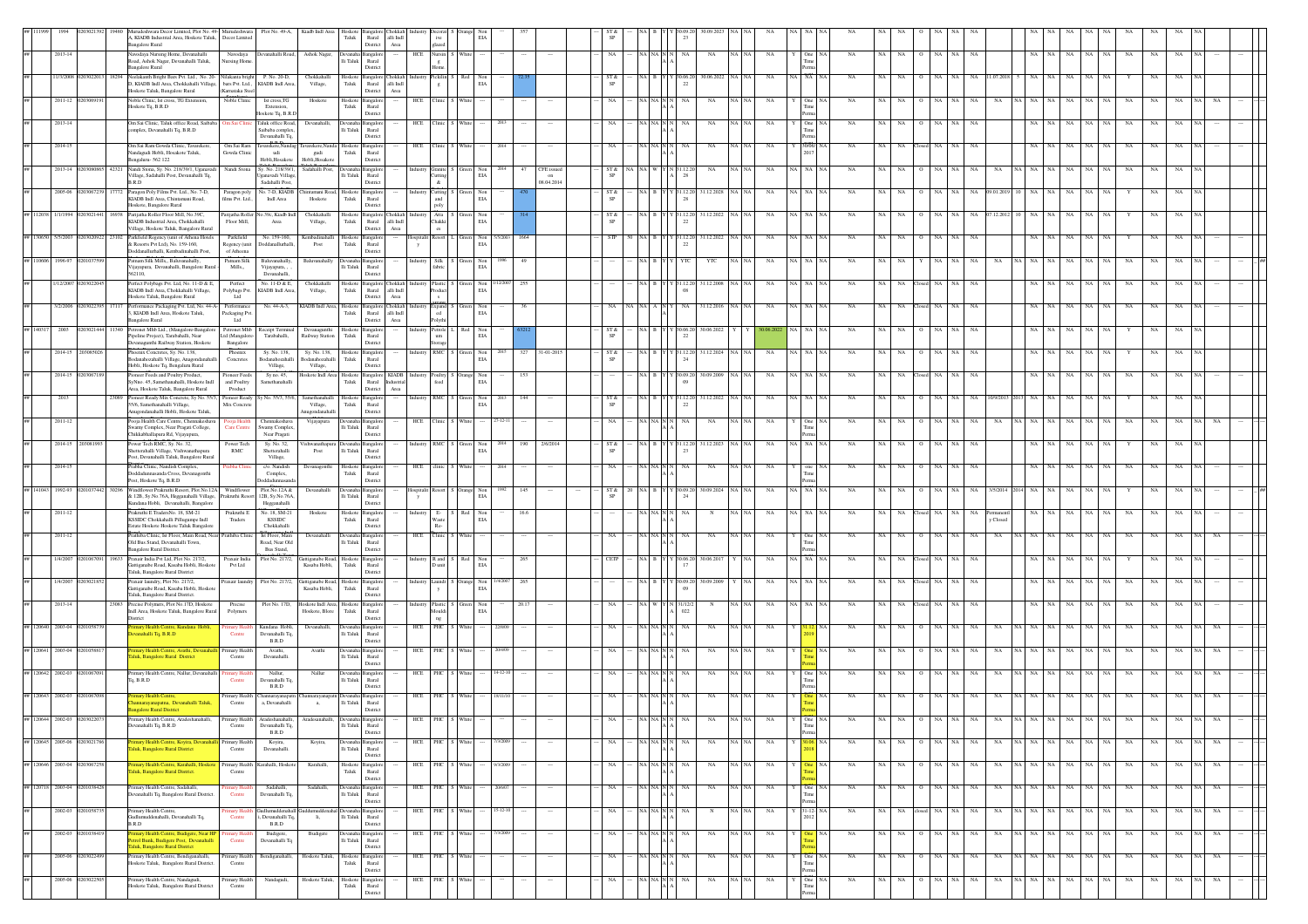|                              |                  |       | udeshwara Decor Limited, Plot No. 49- Murudeshwara<br>A, KIADB Industrial Area, Hoskote Taluk, Decor Limited<br>ingalore Rural                                                 |                                                           | Plot No. 49-A, Kiadb Indl Area                   | Hoskote<br>${\rm Taluk}$   | $\mathop{\rm Rural}\nolimits$<br>alli $\operatorname{Indl}$<br>District<br>Area   |          | glazed                                          |         |                     |       |                                |            |           |                                            |                        |                              |           |             |                   |                 |                 |                             |     |             |             |               |                                          |                 |             |    |       |    |  |
|------------------------------|------------------|-------|--------------------------------------------------------------------------------------------------------------------------------------------------------------------------------|-----------------------------------------------------------|--------------------------------------------------|----------------------------|-----------------------------------------------------------------------------------|----------|-------------------------------------------------|---------|---------------------|-------|--------------------------------|------------|-----------|--------------------------------------------|------------------------|------------------------------|-----------|-------------|-------------------|-----------------|-----------------|-----------------------------|-----|-------------|-------------|---------------|------------------------------------------|-----------------|-------------|----|-------|----|--|
| 2013-14                      |                  |       | avodaya Nursing Home, Devanahalli<br>Navodaya<br>Road, Ashok Nagar, Devanahalli Taluk,<br>sursing Home<br><b>Bangalore Rural</b>                                               | levanahalli Road,                                         | Ashok Nagar,                                     | li Taluk                   | angalor<br>Rural<br>District                                                      |          | HCE Nursin                                      |         |                     |       |                                | NA         |           | NA NA N                                    | NA                     | NA                           | NA N      | NA          |                   | $_{\rm NA}$     | NA              | NA                          | NA  | NA          |             | NA            | NA<br>$_{\rm NA}$                        | NA<br>NA        | NA          |    |       |    |  |
| 1/3/200                      |                  |       | Neelakanth Bright Bars Pvt. Ltd., No. 20- Nilakanta brigh<br>D, KIADB Indl Area, Chokkahalli Village, bars Pvt. Ltd.,<br>Hoskote Taluk, Bangalore Rural<br>(Karnataka Stee)    | P. No. 20-D.<br>KIADB Indl Area,                          | Chokkahall<br>Village,                           | loskot<br>Taluk            | langalor<br>hokkal<br>$\quad$ Rural $\quad$ alli $\quad$ Indi<br>District<br>Area |          | ickilin<br>$_{\rm g}$                           |         | EIA                 |       |                                | SP         |           |                                            | 22                     | 80.06.20                     |           |             | <b>NA</b>         |                 |                 |                             |     |             |             |               |                                          |                 |             |    |       |    |  |
| 2011-12                      |                  |       | Noble Clinic, Ist cross, TG Extension,<br>Noble Clinic<br>Hoskote Tq, B.R.D                                                                                                    | Ist cross.TG<br>Extension.<br>loskote Tq, B.R.D           | Hoskote                                          | Hoskote<br>Taluk           | ngalo<br>Rural<br>District                                                        |          | HCE Clinic                                      |         |                     |       |                                |            | NA NA     |                                            |                        | NA                           |           | NA          | One               |                 |                 |                             |     |             |             |               | NA                                       |                 |             |    |       |    |  |
| 2013-14                      |                  |       | Om Sai Clinic, Taluk office Road, Saibaba   Om Sai Clini<br>omplex, Devanahalli Tq, B.R.D                                                                                      | Taluk office Road.<br>Saibaba complex,<br>Devanahalli Tq. | Devanahalli.                                     | Devanaha<br>li Taluk       | <b>Bangalor</b><br>Rural<br>District                                              |          | HCE Clinic                                      | Whit    |                     |       |                                |            | NA NA     |                                            |                        | NA                           |           | NA          | One               | <b>NA</b>       | NA<br>NA        | NA                          |     | <b>NA</b>   |             |               | NA.                                      |                 |             |    |       |    |  |
| 2014-15                      |                  |       | Om Sai Ram Gowda Clinic, Tavarekere<br>Om Sai Ram<br>Nandagudi Hobli, Hosakote Taluk,<br>Gowda Clinic<br>Bengaluru-562 122                                                     | n n n<br>warekere,Nanda<br>udi<br>Hobli, Hosakote         | avarekere, Nand<br>gudi<br>Hobli, Hosakot        | Hoskote<br>Taluk           | Bangalo<br>Rural<br>District                                                      |          | HCE Clinic                                      |         |                     |       |                                |            |           |                                            |                        | NA                           |           | NA          |                   |                 | NA              |                             |     |             |             |               |                                          |                 |             |    |       |    |  |
| 2013-14                      | 1203080          |       | 42321 Nandi Stona, Sy. No. 218/39/1, Uganavadi<br>Nandi Stona<br>Village, Sadahalli Post, Devanahalli Tq,<br>B.R.D                                                             | Sy. No. 218/39/1,<br>ganavadi Village<br>Sadahalli Post,  | Sadahalli Post,                                  | <b>Jevanal</b><br>li Taluk | Bangalor<br>$\operatorname{Rural}$<br>District                                    |          | ndustry Granite<br><b>Cutting</b><br>$\&$       |         | EIA                 |       | CFE issued<br>on<br>08.04.2014 | ST &       | NA NA     |                                            | N 31.12.20<br>28       | NA                           |           | NA          | NA NA             | NA              | NA<br>NA.       | NA                          |     |             |             |               | NA                                       | NA<br><b>NA</b> | NA          |    |       |    |  |
| 2005-06                      | 2030672          |       | Paragon Poly Films Pvt. Ltd., No. 7-D,<br>Paragon poly<br>KIADB Indl Area, Chintamani Road,<br>films Pvt. Ltd<br>Hoskote, Bangalore Rural                                      | No. 7-D, KIADB<br>Indi Area                               | hintamani Road<br>Hoskote                        | Hoskote<br>Taluk           | Bangalor<br>Rural<br>District                                                     |          | <b>Industry</b> Cutting<br>and<br>poly          |         | EIA                 |       |                                | ST &       |           |                                            | Y 31.12.2<br>28        | 1.12.202                     |           | NA          | <b>NA</b>         |                 |                 |                             |     |             |             |               | $_{\rm NA}$                              |                 |             |    |       |    |  |
| ## 112038 1/1/1994           |                  |       | Parijatha Roller Floor Mill, No.39C.<br>Parijatha Roller<br>KIADB Industrial Area, Chokkahalli<br>Floor Mill,<br>Village, Hoskote Taluk, Bangalore Rural                       | 39c, Kiadb Ind<br>Area                                    | Chokkahall<br>Village,                           | loskot<br>Taluk            | angalore<br>hokkab<br>Rural<br>alli $\operatorname{Indl}$<br>District<br>Area     |          | Atta<br>Chakki<br>es                            |         | EIA                 |       |                                | ST &<br>SP |           |                                            | 22                     | 31.12.2022                   |           | NA          |                   |                 |                 |                             |     |             |             |               |                                          |                 |             |    |       |    |  |
| ## 130650 5/5/2003           |                  |       | Parkfield Regency (unit of Athena Hotels<br>Parkfield<br>& Resorts Pvt Ltd), No. 159-160.<br>Regency (unit<br>Doddanallurhalli, Kembadinahalli Post.<br>of Atheena             | No. 159-160,<br><b>Ooddanallurhall</b>                    | Kembadinahalli<br>Post                           | loskote<br>Taluk           | angalor<br>Rural<br>District                                                      |          | spitalit Resort                                 | L Green | Non 5/5/2003<br>EIA | 1664  |                                | <b>STP</b> | 50 NA B   |                                            | Y 31.12.20<br>22       | 31.12.2022<br><b>NA</b>      |           | NA          | NA NA             | <b>NA</b>       | NA<br>NA        | NA                          | NA. | NA          |             | NA            | NA                                       |                 |             |    |       |    |  |
| ## 110606 1996-97            |                  |       | .<br>Patnam Silk Mills., Baluvanahally,<br>Patnam Silk<br>Mills,,<br>Vijayapura, Devanahalli, Bangalore Rur<br>562110,                                                         | Baluvanahally<br>Vijayapura, ,<br>Devanahalli,            | Baluyanahall                                     | li Taluk                   | nealo<br>Rural<br>District                                                        | Industry | Silk S                                          |         | Non<br>EIA          | 49    |                                |            | NA B      |                                            |                        | YTC                          |           | NA          | NA I NA           | <b>NA</b>       |                 |                             |     |             |             |               |                                          |                 |             |    |       |    |  |
| 1/12/200                     |                  |       | Perfect Polybags Pvt. Ltd, No. 11-D & E,<br>Perfect<br>KIADB Indl Area, Chokkahalli Village,<br>Polybags Pvt.<br>$_{\rm Ltd}$<br>loskote Taluk, Bangalore Rural                | No. 11-D & E,<br>KIADB Indl Area,                         | Chokkahalli<br>Village,                          | Hoskote<br>Taluk           | Bangalore Chokkah Industry Plastic<br>Rural<br>alli Indi<br>District<br>Area      |          | roduct                                          |         | Non<br>$_{\rm EIA}$ | 255   |                                |            | INA B     |                                            | 31.12.20<br>08         | 31.12.2008                   |           | NA          |                   | <b>NA</b>       |                 |                             |     |             |             |               |                                          |                 |             |    |       |    |  |
| 3/2/2006                     | 2030223          | 17117 | Performance Packaging Pvt. Ltd, No. 44-A- Performance<br>3, KIADB Indl Area, Hoskote Taluk,<br>Packaging Pvt<br>angalore Rural<br>Ltd                                          | No. 44-A-3,                                               | KIADB Indl Area,                                 | Hoskote<br>Taluk           | Bangalore Chokkah<br>Rural<br>alli Indi<br>District<br>$\operatorname{Area}$      |          | $\epsilon$ Expand $\,$ S $_{\rm ed}$<br>Polythi |         | Non<br>EIA          | 36    |                                |            |           |                                            | NA.                    | 31.12.2016                   |           | NA          |                   | NA.             |                 |                             |     |             |             |               |                                          |                 | NA          |    |       |    |  |
|                              |                  |       | etronet Mhb Ltd., (Mangalore-Bangal<br>Petronet Mhb<br>Pipeline Project), Tarabahalli, Near<br>Ltd (Mangalore<br>vanagunthi Railway Station, Hoskote<br>Bangalore              | Receipt Terminal<br>Tarabahalli,                          | Devanagunthi<br>Railway Station                  | Hoskote<br>Taluk           | Bangalor<br>Rural<br>Distric                                                      |          | Petrole 1<br>um<br>torage                       |         | EIA                 |       |                                |            |           |                                            | 30.06.2                | 0.06.202                     |           |             |                   |                 |                 |                             |     |             |             |               |                                          |                 |             |    |       |    |  |
| 2014-15                      | 20308503         |       | Phoenix Concretes, Sy. No. 138,<br>Phoenix<br>Bodanahozahalli Village, Anagondanahal<br>Concretes<br>Hobli, Hoskote Tq, Bengaluru Rural                                        | Sy. No. 138,<br>dodanahozahalli<br>Village,               | Sy. No. 138,<br>dodanahozaballi<br>Village,      | Hoskote<br>Taluk           | langalor<br>Rural<br>District                                                     |          | industry RMC                                    |         | Non<br>EIA          | 327   | 31-01-2015                     | ST &       |           |                                            | 24                     | 31.12.2024                   |           |             |                   | NA              |                 |                             |     |             |             |               |                                          |                 |             |    |       |    |  |
| 2014-15                      |                  |       | Pioneer Feeds and Poultry Product,<br>Pioneer Feed<br>SvNno. 45. Samethanahalli. Hoskote Indl<br>and Poultry<br>Area. Hoskote Taluk, Bangalore Rural<br>Product                | Sy no. 45,<br>Samethanahalli                              | Hoskote Indl Area                                | Hoskote<br>Taluk           | Bangalore KIADB<br>Rural Industrial<br>Area<br>District                           |          | Poultry S Orange<br>feed                        |         | Non<br>EIA          | 153   |                                |            | NA B      |                                            | Y 30.09.20<br>09       | 30.09.2009                   |           |             |                   | NA              |                 |                             |     |             |             |               |                                          |                 |             |    |       |    |  |
| 2013                         |                  |       | Pioneer Ready Mix Concrete, Sy No. 55/3, Pioneer Ready<br>55/6. Samethanahalli Village.<br>Mix Concrete<br>Anugondanahalli Hobli, Hoskote Taluk,                               | y No. 55/3, 55/6,                                         | Samethanahalli<br>Village,<br>Anugondanaha       | Hoskote<br>Taluk           | ingalo<br>Rural<br>District                                                       |          | RMC                                             |         | Non<br>$_{\rm EIA}$ | 144   |                                | ST &       | NA B      |                                            | 22                     | 31.12.202                    |           | NA          |                   |                 |                 |                             |     |             |             |               | NA.                                      |                 |             |    |       |    |  |
| 2011-12                      |                  |       | Pooia Health Care Centre, Chennakeshava<br>Pooja Health<br>Care Centre<br>Swamy Complex, Near Pragati College,<br>Chikkabhallapura Rd, Vijayapura,                             | Chennakeshava<br>Swamy Complex<br>Near Pragati            | Vijayapura                                       | li Taluk                   | Devanaha Bangalop<br>Rural<br>District                                            |          | HCE Clinic S White                              |         | 7-12-11             |       |                                |            |           | NA NA N                                    | NA                     | NA<br>NA.                    |           | NA          | One               | <b>NA</b>       | NA<br>NA        |                             |     |             |             |               |                                          |                 |             |    |       |    |  |
|                              | 2014-15 20308199 |       | Power Tech RMC, Sy. No. 32,<br>Power Tech<br>tterahalli Village, Vishwanathapura<br>$\mathbf{RMC}$<br>Post, Devanahalli Taluk, Bangalore Rural                                 | Sy. No. 32,<br>Shetterahalli<br>Village,                  | 'ishwanathapura Devanaha Bangalor<br>Post        | $\rm{Ili}$ Taluk           | $\rm{Rural}$<br>District                                                          |          | Industry RMC S Green                            |         | Non<br>EIA          | 190   | 2/6/2014                       | ST &       |           |                                            |                        | NA B Y Y 31.12.20 31.12.2023 |           | NA          | NA NA NA          | NA              | NA<br>NA        | NA                          | NA  | NA          |             |               | NA                                       |                 | NA          |    |       |    |  |
| 2014-15                      |                  |       | Prabha Clinic, Nandish Complex,<br>rabha Clin<br>Ooddadunnasanda Cross, Devanagonthi<br>Post, Hoskote Tq, B.R.D                                                                | c/o. Nandish<br>Complex,<br>oddadum                       | Devanagont                                       | loskoto<br>${\rm Taluk}$   | langalor<br>$\rm{Rural}$<br>District                                              | HCE      |                                                 |         |                     |       |                                |            |           |                                            |                        |                              |           |             |                   |                 |                 |                             |     |             |             |               |                                          |                 |             |    |       |    |  |
| ## 141043 1992-93            |                  |       | Windflower Prakruthi Resort, Plot.No.12A Windflower<br>& 12B, Sy.No.76A, Hegganahalli Village,<br>Prakruthi Resc<br>Kundana Hobli, Devanahalli, Bangalore                      | Plot.No.12A &<br>2B, Sy.No.76A<br>Hegganahalli            | Devanahalli                                      | lli Taluk                  | evanaha Bangalor<br>Rural<br>District                                             | y        | lospitalit Resort                               | Orange  | EIA                 | 145   |                                | ST &       | NA B      |                                            | Y 30.09.20<br>24       | 30.09.202                    |           | NA          | A NA              |                 |                 |                             |     |             |             |               |                                          |                 |             |    |       |    |  |
| 2011-12                      |                  |       | Prakruthi E TradersNo. 18, SM-21<br>Prakruthi E<br>KSSIDC Chokkahalli Pillugumpe Indl<br>Traders<br>Estate Hoskote Hoskote Taluk Bangalon                                      | No. 18, SM-21<br><b>KSSIDC</b><br>Chokkahalli             | Hoskote                                          | loskot<br>Taluk            | angalor<br>Rural<br>District                                                      |          | Waste<br>$Re-$                                  |         | Non<br>EIA          | 16.6  |                                |            |           |                                            |                        |                              |           | NA          |                   |                 |                 |                             |     |             | y Close     |               |                                          |                 |             |    |       |    |  |
| 2011-12                      |                  |       | .<br>Prathiba Clinic, Ist Floor, Main Road, Near Prathiba Clini<br>Old Bus Stand, Devanahalli Town,<br>Bangalore Rural District.                                               | Ist Floor, Main<br>Road, Near Old<br>Bus Stand,           | Devanahalli                                      | evanal<br>lli Taluk        | <b>Bangalor</b><br>Rural<br>District                                              |          | HCE Clinic                                      |         |                     |       |                                |            |           |                                            | NA                     | NA                           |           | NA          | One               |                 | NA              |                             |     | NA          |             |               |                                          |                 |             |    |       |    |  |
| 1/4/2007                     | 0201067091       |       | 19633 Praxair India Pvt Ltd. Plot No. 217/2.<br>Praxair India<br>Gattiganabe Road, Kasaba Hobli, Hoskot<br>Pvt Ltd<br>Taluk, Bangalore Rural District                          | Plot No. 217/2,                                           | Gattiganabe Road, Hoskote<br>Kasaba Hobli, Taluk |                            | Bangalore<br>Rural<br>District                                                    |          | Industry R and S Red                            |         | Non<br>EIA          | 265   |                                | CETP       |           |                                            | 17                     | NA B Y Y 30.06.20 30.06.2017 |           | NA          | NA NA NA          | <b>NA</b>       | NA<br>NA        | Closed NA NA                |     | NA          |             | NA.           | NA                                       |                 | NA          |    |       |    |  |
| 1/4/2007                     |                  |       | Fraxair laundry, Plot No. 217/2,<br>Praxair laundr<br>Gattiganabe Road, Kasaba Hobli, Hoskote<br>Taluk, Bangalore Rural District.                                              | Plot No. 217/2,                                           | Gattiganabe Road,<br>Kasaba Hobli,               | Hoskote<br>Taluk           | Bangalor<br>Rural<br>district                                                     | ndustry  | Laundr S Orange                                 |         | Non<br>EIA          | 265   |                                |            | NA B      |                                            | 30.09.20<br>09         | 0.09.200                     |           | NA          |                   | NA              |                 |                             |     |             |             |               |                                          |                 |             |    |       |    |  |
| 2013-14                      |                  |       | Precise Polymers, Plot No.17D, Hoskote<br>Precise<br>Indl Area, Hoskote Taluk, Bangalore Rural<br>Polymers<br>District                                                         | Plot No. 17D,                                             | Hoskote Indl Area,<br>Hoskote, Blore             | loskoto<br>Taluk           | <b>Bangalor</b><br>Rural<br>Distric                                               |          | ndustry Plastic<br>Mouldi<br>ng                 |         | Non<br>EIA          | 20.17 |                                |            |           |                                            | N 31/12/<br>$022\,$    |                              |           | NA          |                   |                 |                 |                             |     |             |             |               |                                          |                 |             |    |       |    |  |
| ## 120640 2003-04            |                  |       | mary Health Centre, Kundana Hobli,<br>imary Hea<br>vanahalli Tq, B.R.D<br>Centre                                                                                               | Kundana Hobli,<br>Devanahalli Tq,<br>B.R.D                | Devanahalli,                                     | lli Taluk                  | <b>Bangalor</b><br>Rural<br>Distric                                               |          | HCE PHC                                         |         |                     |       |                                |            | NA N.     |                                            | NA                     | $_{\rm NA}$                  |           | $_{\rm NA}$ |                   | $_{\rm NA}$     |                 |                             |     |             |             |               | $_{\rm NA}$                              |                 |             |    |       |    |  |
| ## 120641 2003-04            |                  |       | mary Health Centre, Avathi, De<br>'rimary H<br>aluk, Bangalore Rural District<br>Centre                                                                                        | Avathi,<br>Devanahalli.                                   | Avathi                                           | lli Taluk                  | ingaloi<br>Rural<br>District                                                      |          | HCE PHC                                         |         |                     |       |                                |            |           |                                            |                        | NA                           |           | NA          |                   |                 |                 |                             |     |             |             |               |                                          |                 |             |    |       |    |  |
| ## 120642 2002-03            |                  |       | rimary Health Centre, Nallur, Devanahalli<br>To, B.R.D<br>Centre                                                                                                               | Nallur<br>Devanahalli To<br>B.R.D                         | Nallur                                           | li Taluk                   | ngalo<br>Rural<br>Distric                                                         |          | HCE PHC                                         |         |                     |       |                                |            | $NA$ $N/$ |                                            |                        | NA                           |           | NA          |                   | NA              | NA<br>NA        |                             |     |             |             |               | NA                                       |                 |             |    |       |    |  |
| ## 120643 2002-03            | 2010670          |       | Primary Health<br>mry Health Centre<br>innarayanapatna, Devanahalli Taluk,<br>Centre<br><b>galore Rural District</b>                                                           | iannarayanapat<br>a, Devanahalli                          | a,                                               | $\rm{Ili}$ Taluk           | Rural<br>District                                                                 |          | HCE PHC                                         |         |                     |       |                                |            |           |                                            |                        | NA                           |           | NA          |                   |                 |                 |                             |     |             |             |               |                                          |                 |             |    |       |    |  |
|                              |                  |       | ary Health Centre, Ara<br>Devanahalli Tq, B.R.D<br>Centre                                                                                                                      | Devanahalli Tq.<br>$_{\rm B.R.D}$                         |                                                  |                            | Ili Taluk Rural<br>District                                                       |          |                                                 |         |                     |       |                                |            |           |                                            |                        |                              |           |             | Time              |                 |                 |                             |     |             |             |               |                                          |                 |             |    |       |    |  |
| ## 120645 2005-06 0203021786 |                  |       | <b>Primary Health Centre, Koyira, Devanah</b><br>Primary Health<br>luk, Bangalore Rural District<br>Centre                                                                     | Koyira,<br>Devanahalli.                                   | Koyira,                                          | li Taluk                   | Devanaha Bangalore<br>Rural<br>District                                           |          | HCE PHC S White                                 |         | 7/3/2009            |       | $\sim$                         | NA         |           |                                            | NA NA N $\,$ N $\,$ NA | NA                           | NA NA     | NA          | Y 30.06. NA       | NA              |                 |                             |     |             |             |               | NA NA O NA NA NA NA NA NA NA NA NA NA NA |                 |             | NA | NA NA | NA |  |
| ## 120646 2003-04            |                  |       | rimary Health Centre, Karahalli, Hoskot<br>Primary Healt<br>luk, Bangalore Rural District.<br>Centre                                                                           | arahalli, Hosko                                           | Karahall                                         | Hoskote<br>${\rm Tauk}$    | Bangalor<br>$\rm{Rural}$<br>District                                              | HCE      | PHC                                             | Whit    |                     |       |                                |            |           | NA NA N $\,$ N                             |                        | NA                           |           | NA          |                   | NA              | NA<br>NA        |                             |     | NA          | NA          |               | NA                                       | NA<br>NA        | NA          | NA |       |    |  |
| ## 120718 2003-04            | 120103843        |       | Primary Health Centre, Sadahalli,<br>imary H<br>levanahalli Tq, Bangalore Rural Distric<br>Centre                                                                              | Sadahalli,<br>Devanahalli Tq,                             | Sadahall                                         | li Taluk                   | evanaha Bangalor<br>Rural<br>District                                             |          | HCE PHC S                                       | White   |                     |       |                                |            |           | $\rm NA$ $\rm NA$ $\rm N$ $\rm N$          | NA                     | NA                           | $NA$ $N/$ | NA          | $One$ $N/$<br>Tir | NA              | NA<br><b>NA</b> | NA                          | NA. | NA          | NA          | NA NA I<br>NA | NA<br>NA                                 | NA<br>NA        | NA          | NA |       |    |  |
| 2002-03                      | 02010587         |       | Primary Health Centre,<br>mary F<br>Gudlumuddenahalli, Devanahalli Tq,<br>Centre<br>B.R.D                                                                                      | dlumuddenah:<br>Devanahalli To<br>B.R.D                   | li,                                              | Ili Taluk                  | angalo<br>Rural<br>District                                                       |          | HCE PHC S White                                 |         | $15-12-10$          |       |                                | NA         |           | $\it NA$ $\it NA$ $\it N$ $\it N$ $\it NA$ |                        | N                            | NA NA     | $_{\rm NA}$ | $31 - 12 - N/$    | NA              | NA              | NA closed NA NA             |     | $_{\rm NA}$ | $_{\rm NA}$ | NA NA NA      | NA<br>$_{\rm NA}$                        | NA  <br>NA      | $_{\rm NA}$ | NA | NA.   | NA |  |
| 2002-03                      | 11038            |       | nary Health Centre, Budigere, Near F<br>imary H<br>etrol Bunk, Budigere Post, Devanahall<br>Centre<br>aluk, Bangalore Rural District<br>Primary Health Centre, Bendiganahalli, | Budigere,<br>Devanahalli To                               | Budiger                                          | Ili Taluk                  | evanaha Bangalor<br>Rural<br>District                                             |          | HCE PHC S White                                 |         |                     |       |                                | NA.        |           | NA NA N $\vert$ N $\vert$ N                | NA.                    | NA                           | NA NA     | NA          |                   | <b>NA</b><br>NA | NA  <br>NA      | NA NA<br>$\circ$<br>Q NA NA |     | NA          | NA          | NA NA NA      | NA<br>NA                                 | NA<br>NA        | NA          | NA |       |    |  |
|                              | 2005-06 02030224 |       | Primary Health<br>Hoskote Taluk, Bangalore Rural District.<br>Centre                                                                                                           | Bendiganahalli,                                           | Hoskote Taluk,                                   | $_{\rm Taluk}$             | Hoskote Bangalore<br>Rural<br>District                                            |          | HCE PHC S White                                 |         |                     |       | $\sim$                         | NA.        |           |                                            | NA NA N N NA           | NA                           | NA NA     | NA          | One NA            | NA              | NA NA           |                             |     | NA          | NA          | NA NA NA NA   |                                          | NA NA<br>NA     | NA          | NA | NA.   | NA |  |
| 2005-06                      | 020302250        |       | Primary Health Centre, Nandagudi,<br>Primary Health<br>loskote Taluk, Bangalore Rural District<br>Centre                                                                       | Nandagudi,                                                | Hoskote Taluk,                                   | ${\rm Taluk}$              | Hoskote Bangalore<br>$_{\rm Rural}$<br>istric                                     |          | HCE PHC S White                                 |         |                     |       |                                | NA         |           | NA NA N                                    | NA                     | NA                           | NA NA     | NA          | One NA            | NA              | NA<br>NA        | NA NA<br>$\circ$            |     | NA          | NA          | NA NA NA      | $_{\rm NA}$<br>NA                        | NA<br>NA        | NA          | NA |       | NA |  |

nent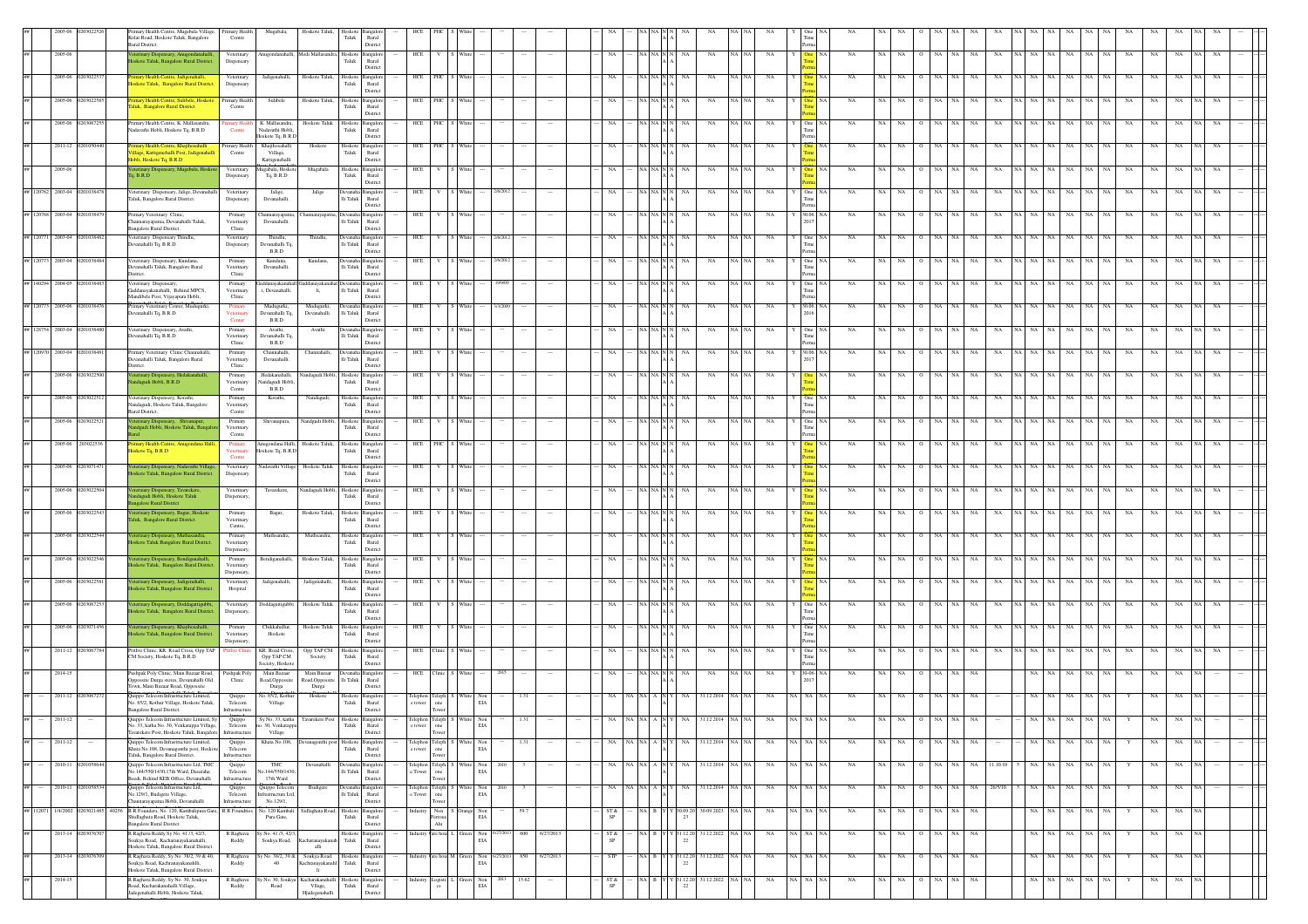|                   |                             | imary Health Centre, Mugabala Village, Primary Health<br>Kolar Road, Hoskote Taluk, Bangalore<br>Rural District.                               | Centre                                    | Mugabala,                                        | Hoskote Taluk,                               | Taluk                    | Rural<br>District                                      |            |                                                                                                                                                                                                 |                                                          |       |           |            |                                                                                           |                                                                              |                  |             |          |                      |    |     |            |                    |             |          |                |     |                   |           |             |                       |  |
|-------------------|-----------------------------|------------------------------------------------------------------------------------------------------------------------------------------------|-------------------------------------------|--------------------------------------------------|----------------------------------------------|--------------------------|--------------------------------------------------------|------------|-------------------------------------------------------------------------------------------------------------------------------------------------------------------------------------------------|----------------------------------------------------------|-------|-----------|------------|-------------------------------------------------------------------------------------------|------------------------------------------------------------------------------|------------------|-------------|----------|----------------------|----|-----|------------|--------------------|-------------|----------|----------------|-----|-------------------|-----------|-------------|-----------------------|--|
|                   | 2005-06                     | eterinary Dispensary, Anugondanahalli<br>oskote Taluk, Bangalore Rural District                                                                | Veterinary<br>Dispensary                  |                                                  | ugondanahalli, Medi Mallasan                 | losko<br>Taluk           | angalor<br>Rural<br>District                           | HCE        |                                                                                                                                                                                                 |                                                          |       |           | NA         | A I NA IN                                                                                 | NA                                                                           | NA               | $_{\rm NA}$ |          | NA                   | NA | NA. | NA         |                    | NA          | NA       | NA NA          | NA  | $_{\rm NA}$<br>NA | NA        | $_{\rm NA}$ | NA                    |  |
|                   | 2005-06                     | Primary Health Centre, Jadigenahalli,<br>Hoskote Taluk, Bangalore Rural District.                                                              | Veterinary<br>Dispensary                  | Jadigenahalli,                                   | Hoskote Taluk,                               | Hosko<br>Taluk           | ingalo<br>Rural<br>District                            | HCE        |                                                                                                                                                                                                 |                                                          |       |           |            |                                                                                           |                                                                              | NA               | NA          |          |                      |    |     |            |                    |             |          |                |     |                   |           |             |                       |  |
|                   | 2005-06                     | mary Health Centre, Sulibele, Hoskote Primary Health<br>aluk, Bangalore Rural District.                                                        | Centre                                    | Sulibele                                         | Hoskote Taluk,                               | Hoskote<br>Taluk         | Bangalor<br>Rural                                      | HCE        | PHC                                                                                                                                                                                             |                                                          |       |           |            |                                                                                           |                                                                              | NA               | NA          |          |                      |    |     |            |                    |             |          |                |     |                   | NA        | NA          | NA                    |  |
|                   | 2005-06 02030672            | Primary Health Centre, K. Mallasandra,<br>davathi Hobli, Hoskote Tq, B.R.D                                                                     | imary Healt<br>Centre                     | K. Mallasandra,<br>Nadavathi Hobli               | Hoskote Taluk                                | Hoskote<br>${\rm Taluk}$ | District<br>angalor<br>$_{\rm Rural}$                  | <b>HCE</b> | PHC                                                                                                                                                                                             |                                                          |       |           | NA         | NA NA N $\,$ N                                                                            | NA                                                                           | NA               | NA          |          | NA                   | NA |     |            |                    | NA          | NA       |                |     | NA<br>NA          | NA        | NA          | NA                    |  |
|                   | 2011-12                     | imary Health Centre, Khajihosahalli<br>Ilage, Kattigenehalli Post, Jadigenahalli                                                               | Primary Health<br>$\operatorname{Centre}$ | skote Tq, B.R.E<br>Khajihosahall<br>Village,     | Hoskote                                      | ${\rm Taluk}$            | District<br>Bangalore<br>$\mathop{\rm Rural}\nolimits$ | HCE        | PHC                                                                                                                                                                                             |                                                          |       |           |            |                                                                                           |                                                                              | NA               | NA          |          |                      |    |     |            |                    |             |          |                |     |                   |           |             | NA                    |  |
|                   | 2005-06                     | Jobli, Hoskote Tq, B.R.D<br>terinary Dispensary, Mugabala, Hoskote<br>B.R.D                                                                    | Veterinary<br>Dispensary                  | Kattigenehalli<br>igabala, Hoskoti<br>Tq, B.R.D  | Mugabala                                     | Taluk                    | District<br>Bangalor<br>Rural                          | HCE        |                                                                                                                                                                                                 |                                                          |       |           |            |                                                                                           | NA NN                                                                        | NA               | NA          |          | NA                   |    |     |            |                    |             |          |                |     |                   |           |             | NA                    |  |
|                   | ## 120762 2003-04           | eterinary Dispensary, Jalige, Devanahalli                                                                                                      | Veterinary                                | Jalige,                                          | Jalige                                       |                          | District<br>Bangalor                                   | HCE        |                                                                                                                                                                                                 |                                                          |       |           | NA         | $\rm NA$ $\rm NA$ $\rm N$ $\rm N$                                                         | NA                                                                           | NA               | $_{\rm NA}$ |          | NA                   | NA |     | NA         |                    | NA          |          |                | NA  | NA                | NA        | $_{\rm NA}$ | NA                    |  |
|                   | ## 120768 2003-04 02010384  | Faluk, Bangalore Rural District.<br>'rimary Veterinary Clinic,                                                                                 | Dispensary<br>Primary                     | Devanahalli.<br>annarayapatna                    | hannarayapatna                               | lli Taluk                | Rural<br>District<br>angalor                           | HCE        |                                                                                                                                                                                                 |                                                          |       |           | NA         | $NA$ $ NA $ $N$ $N$                                                                       | NA                                                                           | NA               | NA          | 30.06 NA | NA                   |    |     |            |                    |             |          |                |     | NA<br>NA          | NA        | NA          | NA                    |  |
|                   | ## 120771 2003-04 020103848 | hannarayapatna, Devanahalli Taluk,<br>angalore Rural District.<br>eterinary Dispensary Thindlu.                                                | Veterinary<br>Clinic<br>Veterinary        | Devanahalli.<br>Thindlu.                         | Thindlu,                                     | Ili Taluk                | Rural<br>District<br>Devanaha Bangalor                 | HCE        |                                                                                                                                                                                                 | White                                                    |       |           | NA         | NA NA N $\,$ N                                                                            | NA                                                                           | NA               | NA          | Y One NA | <b>NA</b>            | NA | NA. | NA         | NA                 | NA          | NA       | VA I NA<br>NA. | NA. | NA<br>NA          | NA        | NA          | NA                    |  |
|                   | ## 120773 2003-04           | evanahalli Tq, B.R.D                                                                                                                           | Dispensary                                | levanahalli Tq<br>$_{\rm B.R.D}$<br>Kundana,     |                                              | li Taluk                 | Rural<br>District                                      |            |                                                                                                                                                                                                 |                                                          |       |           |            |                                                                                           |                                                                              |                  |             |          |                      |    |     |            |                    |             |          |                |     |                   |           |             |                       |  |
|                   |                             | Veterinary Dispensary, Kundana,<br>vanahalli Taluk, Bangalore Rural<br>strict.                                                                 | Primary<br>Veterinary<br>Clinic           | Devanahalli.                                     | Kundana,                                     | Devanah<br>li Taluk      | Bangalor<br>Runal<br>District                          | HCE        |                                                                                                                                                                                                 |                                                          |       |           | NA         |                                                                                           | $\overline{\text{NA}}$ $\overline{\text{NA}}$ N $\overline{\text{N}}$<br>NA. | NA               | NA          | One N    | NA                   |    |     |            |                    |             | NA       |                |     |                   | NA        | NA          | NA                    |  |
| ## 140294         | 2004-05                     | eterinary Dispensary,<br>addanayakanahalli, Behind MPCS,<br>Mandibele Post, Vijayapura Hobli,                                                  | Primary<br>Veterinary<br>Clinic           | lanayakanal<br>, Devanahalli.                    | li,                                          | $\rm{Ili}$ Taluk         | angale<br>$\rm{Rural}$<br>Distric                      |            |                                                                                                                                                                                                 |                                                          |       |           |            |                                                                                           | NA                                                                           | NA               | $_{\rm NA}$ |          | NA                   |    |     |            |                    |             |          |                |     |                   |           |             |                       |  |
|                   | ## 120773 2005-06           | <b>Timary Veterinary Center</b> , Mudugurki,<br>Devanahalli Tq, B.R.D                                                                          | Primary<br>Veterinary<br>Center           | Mudugurki,<br>levanahalli Tq,<br>B.R.D           | Mudugurki,<br>Devanahalli.                   | lli Taluk                | Bangalor<br>Rural<br>District                          | HCE        |                                                                                                                                                                                                 |                                                          |       |           |            |                                                                                           | NANN N                                                                       | NA               | $_{\rm NA}$ |          | NA                   |    |     |            |                    |             |          |                |     |                   |           | NA          | NA                    |  |
| ## 128754 2003-04 |                             | eterinary Dispensary, Avathi,<br>Devanahalli Tq, B.R.D                                                                                         | Primary<br>Veterinary<br>Clinic           | Avathi,<br>evanahalli Tq<br>B.R.D                | Avathi                                       | lli Taluk                | Rural<br>District                                      |            |                                                                                                                                                                                                 |                                                          |       |           |            |                                                                                           |                                                                              |                  | NA          |          |                      |    |     |            |                    |             |          |                |     |                   |           |             |                       |  |
|                   | ## 120970 2003-04           | imary Veterinary Clinic Channahalli<br>Devanahalli Taluk, Bangalore Rural<br>District.                                                         | Primary<br>Veterinary<br>Clinic           | Channahalli.<br>Devanahalli.                     | Channahalli,                                 | lli Taluk                | vigalo<br>Rural<br>District                            | HCE        |                                                                                                                                                                                                 |                                                          |       |           |            |                                                                                           |                                                                              | NA               | NA          |          | <b>NA</b>            |    |     |            |                    |             |          |                |     |                   |           | NA          | NA                    |  |
|                   | 2005-06 020302250           | terinary Dispensery, Hedakanahall<br>ndagudi Hobli, B.R.D                                                                                      | Primary<br>Veterinary                     | Hedakanahalli.<br>andagudi Hobli                 | Nandagudi Hobli,                             | Hoskote<br>Taluk         | angalore<br>Rural                                      | HCE        |                                                                                                                                                                                                 |                                                          |       |           | NA.        | NA NA NN                                                                                  | NA                                                                           | NA               | NA          |          | NA                   | NA |     | NA.        |                    | <b>NA</b>   |          |                |     | NA                | NA        | NA          | NA                    |  |
|                   | 2005-06                     | eterinary Dispensery, Korathi,<br>andagudi, Hoskote Taluk, Bangalore                                                                           | Centre<br>Primary<br>Veterinary           | $_{\rm B.R.D}$<br>Korathi,                       | Nandagudi,                                   | Hoskote<br>Taluk         | District<br>angalor<br>Rural                           | HCE        |                                                                                                                                                                                                 |                                                          |       |           |            |                                                                                           |                                                                              |                  | NA          |          |                      |    |     |            |                    |             |          |                |     |                   |           | NA          | NA                    |  |
|                   | 2005-06 0203022             | Rural District.<br>terinary Dispensary, Shivanapur,<br>indgudi Hobli, Hoskote Taluk, Bangal                                                    | Centre<br>Primary<br>Veterinary           | Shivanapura,                                     | Nandgudi Hobli,                              | Hoskote<br>${\rm Taluk}$ | District<br>angalore<br>$_{\rm Rural}$                 | HCE        |                                                                                                                                                                                                 |                                                          |       |           |            | $\overline{\text{NA}}$ -NA $\overline{\text{N}}$ -N                                       | NA                                                                           | NA               | $_{\rm NA}$ | One N/   | NA                   | NA |     |            |                    | NA          | NA       |                |     | NA<br>NA          | NA        | NA          | NA                    |  |
|                   | 2005-06 20302253            | imary Health Centre, Anugondana Halli<br>oskote Tq, B.R.D                                                                                      | Centre<br>Primary<br>Veterinary           | nugondana Halli,<br>oskote Tq, B.R.D             | Hoskote Taluk,                               | Hoskote<br>Taluk         | District<br>Bangalore<br>Rural                         | HCE PHC    |                                                                                                                                                                                                 |                                                          |       |           | NA         | NA NA N N                                                                                 |                                                                              | NA               | NA          |          | NA                   | NA |     |            |                    | NA          |          |                |     | NA                | NA        | $_{\rm NA}$ | NA                    |  |
|                   | 2005-06 02030714            | terinary Dispensary, Nadavathi Villag                                                                                                          | Centre<br>Veterinary                      | adavathi Village                                 | Hoskote Taluk                                |                          | District<br>angalor                                    | HCF        |                                                                                                                                                                                                 |                                                          |       |           |            | NA NA NN                                                                                  |                                                                              |                  | NA          |          |                      |    |     |            |                    |             |          |                |     |                   |           |             | NA                    |  |
|                   | 2005-06 02030225            | oskote Taluk, Bangalore Rural Distric<br>erinary Dispensary, Tavarekere,                                                                       | Dispensary<br>Veterinary                  | Tavarekere,                                      | Nandagudi Hobli,                             | Taluk<br>Hoskote         | Rural<br>District<br><b>Bangalore</b>                  | HCE        |                                                                                                                                                                                                 |                                                          |       |           | NA         | NA NA N N                                                                                 | NA                                                                           | NA               | NA          |          | N <sub>A</sub><br>NA | NA | NA  | NA         | NA.                | NA          |          |                | NA  | NA                | NA        | NA          | NA                    |  |
|                   | 2005-06<br>02030225         | dagudi Hobli, Hoskote Taluk<br>ngalore Rural District<br>terinary Dispensery, Bagur, Hoskote                                                   | Dispensary,<br>Primary                    | Bagur,                                           | Hoskote Taluk,                               | Taluk<br>Hoskote         | Rural<br>District<br>angalor                           | HCE        |                                                                                                                                                                                                 |                                                          |       |           | NA         | NA NA NN                                                                                  | NA                                                                           | NA               | NA          |          | <b>NA</b>            |    |     |            |                    | NA          |          |                |     | NA                | NA        | NA          | NA                    |  |
|                   | 2005-06                     | duk, Bangalore Rural District.<br>terinary Dispensary, Muthasandra,                                                                            | Veterinary<br>Centre,<br>Primary          | Muthsandra,                                      | Muthsandra,                                  | Taluk<br>Hoskote         | Rural<br>District<br>Bangalore                         | HCE        |                                                                                                                                                                                                 |                                                          |       |           |            |                                                                                           | NA NA NAN<br>NA                                                              | NA               | NA          |          | NA                   | NA |     |            |                    |             |          |                |     |                   |           | NA.         | NA                    |  |
|                   | 2005-06 02030225            | oskote Taluk Bangalore Rural Distric                                                                                                           | Veterinary<br>Dispensary,<br>Primary      | Bendiganahalli,                                  | Hoskote Taluk,                               | Taluk                    | Rural<br>district<br>Hoskote Bangalore                 |            |                                                                                                                                                                                                 |                                                          |       |           | NA         | $\overline{\text{NA}}$ $\overline{\text{NA}}$ $\overline{\text{N}}$ $\overline{\text{N}}$ |                                                                              |                  |             |          | NA                   |    |     |            |                    |             |          |                |     |                   |           |             |                       |  |
|                   |                             | eterinary Dispensary, Bendiganahalli,<br>skote Taluk, Bangalore Rural Di                                                                       | Veterinary<br>Dispensary,                 |                                                  |                                              | Taluk                    | Runal<br>District                                      | HCE        |                                                                                                                                                                                                 |                                                          |       |           |            |                                                                                           | NA                                                                           | NA               | NA          |          |                      |    |     |            |                    |             |          |                |     |                   | <b>NA</b> | NA          | NA                    |  |
|                   | 2005-06                     | terinary Dispensary, Jadigenahalli,<br>skote Taluk, Bangalore Rural Distric                                                                    | Veterinary<br>Hospital                    | Jadigenahalli,                                   | Jadigenahalli,                               | Hoskote<br>${\rm Taluk}$ | <b>Bangalor</b><br>$\rm{Rural}$<br>Distric             | HCE        |                                                                                                                                                                                                 |                                                          |       |           |            |                                                                                           | NA                                                                           | NA               | NA          |          |                      |    |     |            |                    |             |          |                |     |                   |           |             |                       |  |
|                   | 2005-06 02030672            | terinary Dispensary, Doddagattigubb<br>oskote Taluk, Bangalore Rural District                                                                  | Veterinary<br>Dispensary,                 |                                                  | Doddagattigubbi Hoskote Taluk                | Hoskote<br>Taluk         | Bangalor<br>Rural<br>District                          | HCE        |                                                                                                                                                                                                 |                                                          |       |           |            |                                                                                           |                                                                              | NA               | NA          |          | NA                   |    |     |            |                    |             |          |                |     |                   |           | $_{\rm NA}$ | NA                    |  |
|                   | 2005-06 020307145           | 'eterinary Dispensary, Khajihosahalli,<br>loskote Taluk, Bangalore Rural District                                                              | Primary<br>Veterinary<br>Dispensary       | Chikkahallur,<br>Hoskote                         | Hoskote Taluk                                | Hoskote<br>Taluk         | angalore<br>Rural<br>District                          | HCE        |                                                                                                                                                                                                 |                                                          |       |           | NA         |                                                                                           | NA                                                                           | NA               | NA          | One N/   | NA                   |    |     | NA         |                    | NA          |          |                |     | NA                |           | NA          | NA                    |  |
|                   | 2011-12 02030677            | Prithvi Clinic, KR. Road Cross, Opp TAP<br>CM Society, Hoskote Tq, B.R.D                                                                       | Prithvi Clinic                            | KR. Road Cross<br>Opp TAP CM<br>Society, Hoskote | Opp TAP CM<br>Society                        | loskote<br>Taluk         | angalor<br>Rural<br>District                           |            | HCE Clinic                                                                                                                                                                                      |                                                          |       |           |            |                                                                                           |                                                                              | NA               | NA          | One      |                      |    |     |            |                    |             |          |                |     |                   |           |             | NA                    |  |
|                   | 2014-15                     | Pushnak Poly Clinic Main Bazaar Road Pushnak Poly<br>Oppossite Durga stores, Devanahalli Old<br>Fown, Main Bazaar Road, Oppossite              | Clinic                                    | Main Bazaar<br>Road, Oppossite<br>Durga          | Main Bazaar<br>Road, Oppossite<br>Durga      | lli Taluk                | angalop<br>Rural<br>District                           |            | HCE Clinic                                                                                                                                                                                      |                                                          |       |           | NA.        | NA NA N N                                                                                 | NA                                                                           | NA               | NA          | 30-06-N/ | NA                   | NA | NA. | NA         | NA.                | NA          |          | NA.            |     | NA<br><b>NA</b>   | NA        | NA          | NA<br>NA <sub>1</sub> |  |
|                   | 2011-12 02030672            | Quippo Telecom Infrastructure Limited,<br>o. 85/2, Kothur Village, Hoskote Taluk,<br>Bangalore Rural District.                                 | Quippo<br>Telecom<br>Infrastructure       | lo. 85/2, Kothur<br>Village                      | Hoskote                                      | Hoskote<br>${\rm Taluk}$ | angalore<br>Rural<br>$\it District$                    |            | $\begin{tabular}{ll} \multicolumn{1}{l}{\textcolor{black}{\bf Telephone} & \textcolor{black}{\bf Telephone} \\ \multicolumn{1}{l}{\textcolor{black}{\bf c} tower} & one \end{tabular}$<br>Tower | White Not<br>$_{\rm EIA}$                                |       |           |            |                                                                                           |                                                                              | 1.12.20          |             |          |                      |    |     |            |                    |             |          |                |     |                   |           |             | NA                    |  |
|                   |                             | Quippo Telecom Infrastructure Limited, Sy<br>o. 33, katha No. 30, Venkatappa Village,                                                          | Quippo<br>Telecom                         | .30, Venkatappa                                  | v No. 33, katha Tavarekere Post              | Taluk                    | <b>Bangalore</b><br>$\mathop{\rm Rural}\nolimits$      | e tower    | Telephon Teleph S<br>$_{\rm one}$                                                                                                                                                               | $_{\rm EIA}$                                             |       |           |            |                                                                                           |                                                                              |                  |             |          |                      |    |     |            |                    |             |          |                |     |                   |           |             |                       |  |
| $##$              | 2011-12                     | Tavarekere Post, Hoskote Taluk, Bangalore Infrastructure<br>Quippo Telecom Infrastructure Limited,<br>Khata No.108, Devanagonthi post, Hoskote | Quippo<br>Telecom                         | Village<br>Khata No.108,                         | Devanagonthi post                            | Taluk                    | District<br>Hoskote Bangalore<br>Rural                 |            | Tower<br>Telephon Teleph S<br>$_{\rm one}$                                                                                                                                                      | White Non<br>EIA                                         | 1.31  |           | NA         | NA NA                                                                                     | NA                                                                           | 31.12.2014 NA NA | $_{\rm NA}$ | NA NA NA | $_{\rm NA}$          | NA | NA  | NA         | $\rm NA$ $ \rm NA$ |             |          | NA NA          | NA  | $\rm NA-NA$       |           | $_{\rm NA}$ | NA<br>$_{\rm NA}$     |  |
| 44                | 2010-11 020                 | Taluk, Bangalore Rural District.<br>Quippo Telecom Infrastructure Ltd, TMC<br>No.144/550/1430,17th Ward, Dasaraha                              | Infrastructur<br>Quippo<br>Telecom        | <b>TMC</b><br>io.144/550/1430                    | Devanahalli                                  | lli Taluk                | District<br>angalor<br>Rural                           | e Tower    | Tower<br>Felephon Teleph<br>$_{\rm one}$                                                                                                                                                        | White Non<br>EIA                                         |       |           | NA         | NA NA                                                                                     | NA                                                                           | 31.12.2014 NA NA | NA          | NA NA NA | NA                   | NA | NA. | NA         | NA I               | NA          | 11.10.10 | NA NA          | NA  | NA  <br>NA        |           | NA          | NA<br><b>NA</b>       |  |
| H                 | 2010-11                     | Beedi, Behind KEB Office, Devanahalli<br>Quippo Telecom Infrastructure Ltd.<br>No.129/1, Budigere Village,                                     | Infrastructure<br>Quippo<br>Telecom       | 17th Ward<br>Quippo Telecom<br>frastructure Ltd  | Budigere                                     | lli Taluk                | District<br>angalor<br>Rural                           | e Tower    | Tower<br>Telephon Teleph S<br>one                                                                                                                                                               | White Non<br>EIA                                         |       |           | NA         | NA NA                                                                                     | NA                                                                           | 31.12.2014 NA NA | NA          | NA NA NA | <b>NA</b>            | NA | NA. | NA         | NA 1               | NA          | 26/5/10  | NA NA          | NA  | NA<br><b>NA</b>   |           | NA          | NA<br><b>NA</b>       |  |
|                   |                             | hannarayapatna Hobli, Devanahalli<br>## 112071 1/4/2002 0203021485 40256 R R Founders, No. 120, Kambalipura Gate, R R Foundries                | Infrastructure                            | No.129/1,                                        | No. 120 Kambali Sidlaghata Road,             |                          | District<br>Hoskote Bangalore                          | Industry   | Tower<br>Non S                                                                                                                                                                                  | Orange Non                                               | 59.7  |           | ST &       |                                                                                           | NA B Y Y 30.09.20 30.09.2023 NA NA                                           |                  | NA          | NA NA NA | NA                   | NA | NA  | O NA NA NA |                    |             |          | NA NA          | NA  | NA NA             | Y         | NA          | NA<br><b>NA</b>       |  |
|                   | 2013-14 02030767            | Shidlaghata Road, Hoskote Taluk,<br>Bangalore Rural District.<br>R Raghava Reddy Sy No. 41 /3, 42/3,                                           | R Raghava                                 | Pura Gate,<br>Sy No. 41/3, 42/3                  |                                              | Taluk                    | Rural<br>District<br>Hoskote Bangalore                 | Industry   | errou<br>$_{\rm Alu}$<br>are hous                                                                                                                                                               | EIA<br>Green Non                                         | 600   | 6/27/2013 | SP<br>ST & |                                                                                           | 23<br>31.12.20                                                               | 31.12.2022       | NA          | VA NA N  | NA                   | NA | NA  | NA         |                    | NA          |          | NA NA          | NA  | NA<br>NA          |           | NA          | NA                    |  |
| ##                | 2013-14 020307670           | Soukya Road, Kacharanayakanahalli,<br>loskote Taluk, Bangalore Rural District<br>R Raghava Reddy, Sy No 38/2, 39 & 40,                         | Reddy<br>R Raghava                        | Soukya Road,<br>No 38/2, 39 &                    | haranayakanal<br>$\rm{alli}$<br>Soukya Road. | Taluk                    | Rural<br>District<br>Hoskote Bangalore                 |            | Industry Vare hous M Green Non                                                                                                                                                                  | EIA                                                      | 850   | 6/27/2013 | SP<br>STP  |                                                                                           | 22<br>Y 31.12.20                                                             | 31.12.2022       | NA          | NA NA NA | NA                   | NA | NA  | 0 NA NA NA |                    |             |          | NA NA          | NA  | NA NA             | Y         | NA          | NA<br>NA              |  |
|                   | 2014-15                     | oukya Road, Kachranayakanahlli,<br>Hoskote Taluk, Bangalore Rural District<br>R Raghava Reddy, Sy No. 30, Soukya                               | Reddy<br>R Raghava                        | 40<br>y No. 30, Soukya                           | hranayakanal<br>li.<br>Kacharakanahalli      | Taluk                    | Runal<br>District<br>Hoskote Bangalore                 |            | Logisti                                                                                                                                                                                         | EIA                                                      | 15.62 |           | ST &       |                                                                                           | 31.12.20                                                                     | 31.12.2022       | $_{\rm NA}$ | NA NA N  | $_{\rm NA}$          | NA |     | NA         | NA                 | $_{\rm NA}$ |          | NA             | NA  | NA<br>NA          |           | $_{\rm NA}$ | NA                    |  |
|                   |                             | Road, Kacharakanahalli Village,<br>degenahalli Hobli, Hoskote Taluk                                                                            | Reddy                                     | Road                                             | Vllage,<br>Hjadegenahall                     | Taluk                    | Rural<br>Distric                                       |            |                                                                                                                                                                                                 | $\begin{tabular}{ll} Green & Non\\ ELA \\ \end{tabular}$ |       |           | SP         |                                                                                           | 22                                                                           |                  |             |          |                      |    | NA  |            |                    |             |          |                |     |                   |           |             |                       |  |

Bangalore Rural District.

Hobli,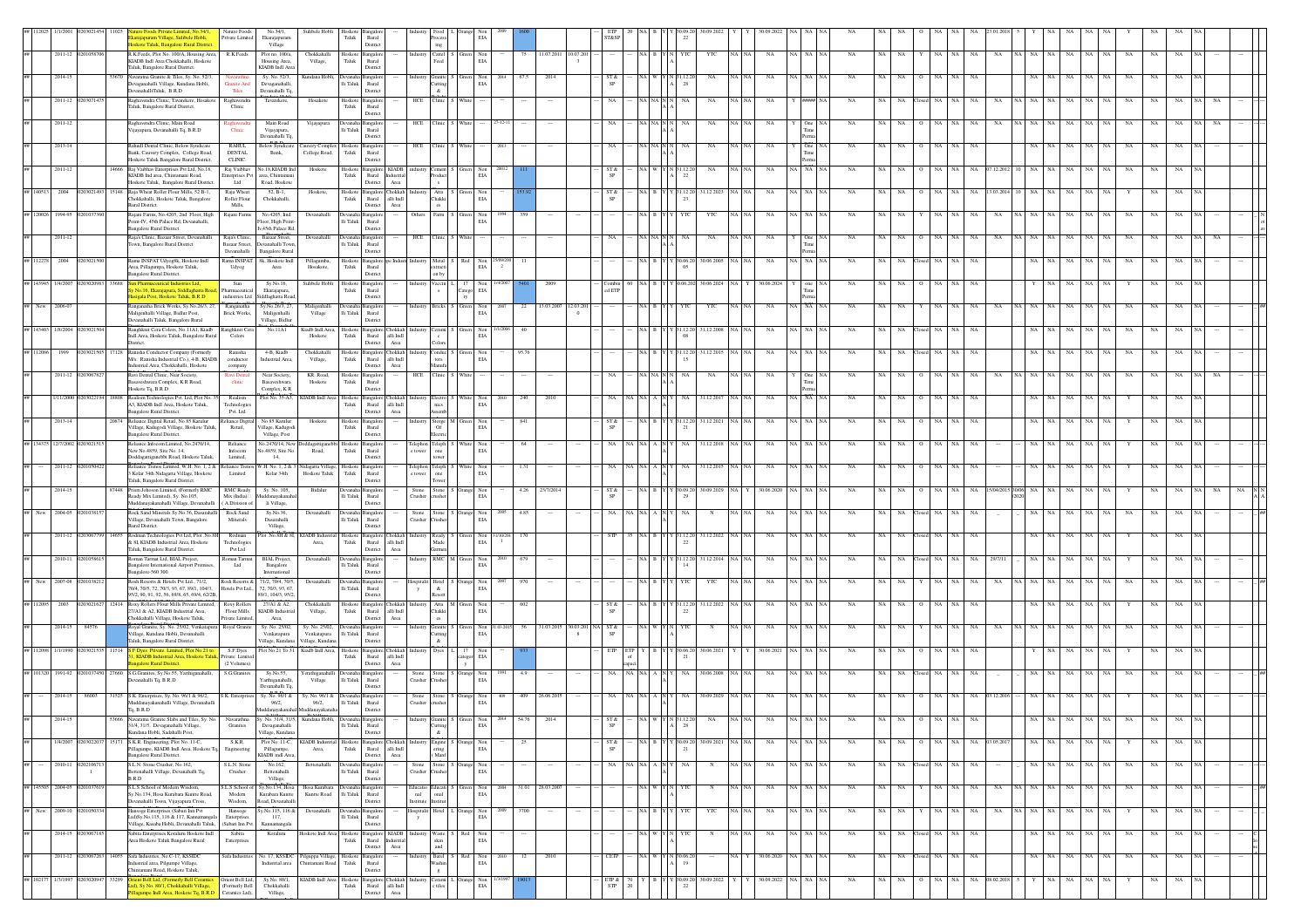|                          |                  |                          | iapuram Village, Sulibele Hobli,<br>skote Taluk, Bangalore Rural Distric                                                             | Naturo Foods<br>Private Limited                 | No.34/1.<br>Ekarajapuram<br>Village                                         | Sulibele Hobli                                                                                                                                                                                                                                                                                                                                                                                                                                                         | Hoskote<br>Taluk                    | Bangalor<br>Rural<br>Distric                                                                          |                             |                                                                  |                    |                                                                          |      |                 |                      |           |                              |       |                                                                    |                    |              |       |                     |         |                         |    |    |                 |    |               |        |          |             |             |                            |             |  |  |
|--------------------------|------------------|--------------------------|--------------------------------------------------------------------------------------------------------------------------------------|-------------------------------------------------|-----------------------------------------------------------------------------|------------------------------------------------------------------------------------------------------------------------------------------------------------------------------------------------------------------------------------------------------------------------------------------------------------------------------------------------------------------------------------------------------------------------------------------------------------------------|-------------------------------------|-------------------------------------------------------------------------------------------------------|-----------------------------|------------------------------------------------------------------|--------------------|--------------------------------------------------------------------------|------|-----------------|----------------------|-----------|------------------------------|-------|--------------------------------------------------------------------|--------------------|--------------|-------|---------------------|---------|-------------------------|----|----|-----------------|----|---------------|--------|----------|-------------|-------------|----------------------------|-------------|--|--|
|                          |                  | 2011-12 020105870        | R.K.Feeds, Plot No. 100/A, Housing Area,<br>KIADB Indl Area Chokkahalli, Hoskote<br>Taluk, Bangalore Rural District.                 | R.K.Feeds                                       | Plot no. 100/a.<br>Housing Area,<br>KIADB Indl Area                         | Chokkahalli<br>Village,                                                                                                                                                                                                                                                                                                                                                                                                                                                | Hoskote Bangalo<br>Taluk            | Rural<br>Distric                                                                                      | Industry                    | Cattel<br>eed                                                    |                    | Non<br>EIA                                                               |      | 75              | 11.07.2011 10.07.201 |           |                              |       | NA B                                                               | YTC                | YTC          | NA NA | <b>NA</b>           |         | A NA NA<br><b>NA</b>    | NA | NA | NA.             |    | NA<br>NA      |        |          | NA<br>NA.   | - NA        | <b>NA</b>                  | NA          |  |  |
|                          | 2014-15          |                          | Vavaratna Granite & Tiles, Sy. No. 52/3,<br>Devaganahalli Village, Kundana Hobli,<br>anahalliTaluk, B.R.D                            | Navarathr<br>Granite An<br>Tiles                | Sy. No. 52/3,<br>Devaganahalli,<br>Devanahalli Tq.                          | Kundana Hob                                                                                                                                                                                                                                                                                                                                                                                                                                                            |                                     | Ili Taluk Rural<br>Distric                                                                            |                             | utting<br>$\&$                                                   |                    | EIA                                                                      |      |                 | $201-$               |           | SP                           |       |                                                                    | 28                 |              |       |                     |         |                         |    |    |                 |    |               |        |          |             |             |                            |             |  |  |
|                          | 2011-12          |                          | laghavendra Clinic, Tavarekere, Hosakote<br>aluk, Bangalore Rural District.                                                          | Raghavend<br>Clinic                             | Tavarekere,                                                                 | Hosakot                                                                                                                                                                                                                                                                                                                                                                                                                                                                | Hoskote<br>Taluk                    | <b>Bangalo</b><br>Rural<br>Distric                                                                    | HCF                         |                                                                  |                    |                                                                          |      |                 |                      |           |                              |       |                                                                    |                    |              |       |                     |         |                         |    |    |                 |    |               |        |          |             |             |                            |             |  |  |
|                          | $2011 - 12$      |                          | Raghavendra Clinic, Main Road<br>jayapura, Devanahalli Tq, B.R.D                                                                     | Raghavend<br>Clinic                             | Main Road<br>Vijayapura,                                                    | Vijayapura                                                                                                                                                                                                                                                                                                                                                                                                                                                             | lli Taluk                           | <b>Bangalo</b><br>Rural                                                                               | HCF                         |                                                                  |                    |                                                                          |      |                 |                      |           |                              |       |                                                                    |                    | NA           |       |                     |         |                         |    |    |                 |    |               |        |          |             |             |                            |             |  |  |
|                          | 2013-14          |                          | Rahudl Dental Clinic, Below Syndicate<br>Bank, Cauvery Complex, College Road,                                                        | <b>RAHUL</b><br>DENTAL                          | Devanahalli Tq<br>Below Syndica<br>Bank,                                    | auvery Complex Hoskote Bangalor<br>College Road,                                                                                                                                                                                                                                                                                                                                                                                                                       | Taluk                               | Distric<br>Rural                                                                                      | HCE                         |                                                                  |                    |                                                                          |      |                 |                      |           |                              |       | NA NA                                                              |                    | NA           |       |                     |         | One.                    |    |    |                 |    |               |        |          |             |             |                            |             |  |  |
|                          | $2011 - 12$      |                          | Hoskote Taluk Bangalore Rural District.<br>Raj Vaibhav Enterprises Pvt Ltd, No.18,<br>14666<br>KIADB Ind area. Chintamani Road.      | <b>CLINIC</b><br>Raj Vaibhav<br>Enterprises Pvt | No.18, KIADB Inc<br>area. Chintamar                                         | Hoskote                                                                                                                                                                                                                                                                                                                                                                                                                                                                | Hoskote<br>Taluk                    | Distric<br>Bangalon<br><b>KIADB</b><br>Rural<br>dustria                                               |                             |                                                                  |                    | Non<br>EIA                                                               |      |                 |                      |           | ST &                         |       | NA W                                                               | N 31.12.2<br>22    | $_{\rm NA}$  | NA N  | NA                  | A NA    | NA                      |    |    |                 |    | NA            |        |          | NA          | NA          | NA                         |             |  |  |
| 140513                   | 2004             |                          | Hoskote Taluk. Bangalore Rural District<br>Raia Wheat Roller Flour Mills, 52 B-1.                                                    | Ltd<br>Raja Wheat                               | Road, Hoskote<br>$52, B-1,$                                                 | Hoskote.                                                                                                                                                                                                                                                                                                                                                                                                                                                               |                                     | District<br>Area<br>Hoskote Bangalore Chokkah Industr                                                 |                             | $\begin{tabular}{ll} \bf Atta & \tt S \\ Chakki & \end{tabular}$ |                    | Non                                                                      |      |                 |                      |           | ST &                         |       | NA B                                                               | Y 31.12.20         | 31.12.2023   |       | NA                  | IA I NA | <b>NA</b>               |    |    |                 |    |               |        |          |             |             |                            |             |  |  |
| 120026                   | 1994-95          |                          | hokkahalli, Hoskote Taluk, Bangalore<br>ural District.<br>Rajani Farms, No.4205, 2nd Floor, High                                     | Roller Flour<br>Mills,<br>Rajani Farms          | Chokkahalli,<br>No.4205, Iind                                               | Devanahall                                                                                                                                                                                                                                                                                                                                                                                                                                                             | Taluk<br>Devanah                    | Rural<br>alli Indi<br>District<br>Area<br>angale                                                      | Other                       | 'arm                                                             |                    | $_{\rm EIA}$<br>Non                                                      |      |                 |                      |           |                              |       |                                                                    | 23                 | YTC          |       |                     |         |                         |    |    |                 |    |               |        |          |             |             |                            |             |  |  |
|                          | $2011 - 12$      |                          | oint-IV, 45th Palace Rd, Devanahalli,<br>angalore Rural District.<br>Raja's Clinic, Bazaar Street, Devanahalli                       | Raja's Clinic,                                  | Floor, High Point<br>v,45th Palace Rd<br>Bazaar Street,                     | Devanahalli                                                                                                                                                                                                                                                                                                                                                                                                                                                            | lli Taluk<br>Devanaha Bangalo       | Rural<br>Distric                                                                                      | HCE                         |                                                                  |                    | EIA                                                                      |      |                 |                      |           |                              |       |                                                                    |                    | NA           |       | NA                  |         |                         |    |    |                 |    |               |        |          |             |             |                            |             |  |  |
|                          |                  |                          | own, Bangalore Rural District                                                                                                        | Bazaar Street<br>Devanahalli<br>Rama INSPAT     | evanahalli Towr<br><b>Bangalore Rural</b>                                   |                                                                                                                                                                                                                                                                                                                                                                                                                                                                        | lli Taluk                           | Rural<br>District                                                                                     |                             |                                                                  |                    |                                                                          |      |                 |                      |           |                              |       |                                                                    |                    |              |       |                     |         |                         |    |    |                 |    |               |        |          |             |             |                            |             |  |  |
| 12278                    | 2004             |                          | Rama INSPAT Udyog8k, Hoskote Indl<br>Area, Pillagumpa, Hoskote Taluk,<br>angalore Rural District.                                    | Udyog                                           | sk, Hoskote Indi<br>Area                                                    | Pillagumba,<br>Hosakote.                                                                                                                                                                                                                                                                                                                                                                                                                                               | Hoskote<br>Taluk                    | angale<br>Rural<br>Distric                                                                            |                             | fetal<br>tracti<br>n by                                          |                    | Non<br>EIA                                                               |      |                 |                      |           |                              |       |                                                                    | 30.06.2<br>05      | 80.06.20     |       |                     |         |                         |    |    |                 |    |               |        |          |             |             |                            |             |  |  |
|                          |                  |                          | No.16, Ekarajapura, Siddlaghatta Ro<br>igala Post, Hoskote Taluk, B.R.D.                                                             | Sun<br>Pharmaceutical<br>industries Ltd         | Sy.No.16,<br>Ekarajapura,<br>iddlachatta Road                               | Sulibele Hobl                                                                                                                                                                                                                                                                                                                                                                                                                                                          | Hoskot<br>Taluk                     | <b>Bangalo</b><br>Rural<br>Distric                                                                    |                             |                                                                  | <b>Tatego</b>      | Non<br>$\rm EIA$                                                         |      |                 |                      |           | d ETP                        |       |                                                                    |                    | 80.06.20     |       |                     |         |                         |    |    |                 |    |               |        |          |             |             |                            |             |  |  |
|                          | New 2006-07      |                          | anganatha Brick Works, Sy.No.26/3, 27<br>Maligenhalli Village, Bidlur Post,<br>evanahalli Taluk, Bangalore Rural                     | Ranganatha<br><b>Brick Works.</b>               | Sy.No.26/3, 27,<br>Maligenhalli<br>Village, Bidlur                          | Maligenhalli<br>Village                                                                                                                                                                                                                                                                                                                                                                                                                                                | Ili Taluk Rural                     | Distric                                                                                               |                             | <b>Bricks</b>                                                    |                    | Non<br>EIA                                                               | 200  | 22              | 13.03.2007           | 12.03.201 |                              |       |                                                                    |                    | YTO          |       |                     |         | <b>NA</b>               |    |    |                 |    |               |        |          |             |             |                            |             |  |  |
|                          | 1/8/200          |                          | Ranghknit Cera Colors, No.11A1, Kiadb<br>Indl.Area, Hoskote Taluk, Bangalore Rural<br>istrict.                                       | Ranghknit Cera<br>Colors                        | No.11A1                                                                     | Kiadb Indl.Area.<br>Hoskote                                                                                                                                                                                                                                                                                                                                                                                                                                            | Hoskote<br>Taluk                    | Rural<br>alli Indi<br>District<br>Area                                                                |                             |                                                                  |                    | Non<br>$_{\rm EIA}$                                                      |      |                 |                      |           |                              |       |                                                                    | 08                 | 31.12.2008   |       |                     |         |                         |    |    |                 |    |               |        |          |             |             |                            |             |  |  |
| 12086                    | 1999             |                          | Ranisha Conductor Company (Formerly<br>M/s. Ranisha Industrial Co.), 4-B, KIADB<br>astrial Area, Chokkahalli, Hoskote                | Ranisha<br>$\mbox{conductor}$                   | 4-B, Kiadb<br>Industrial Area,                                              | Chokkahalli<br>Village,                                                                                                                                                                                                                                                                                                                                                                                                                                                | Hoskote Bangalo<br>${\rm Taluk}$    | <b>hokkah</b><br>alli $\operatorname{Indl}$<br>Rural<br>District                                      |                             |                                                                  |                    | Non<br>$_{\rm EIA}$                                                      |      | 95.76           |                      |           |                              |       |                                                                    | 15                 | 31.12.201    |       |                     |         |                         |    |    |                 |    |               |        |          |             |             |                            |             |  |  |
|                          |                  | 2011-12 020306782        | Ravi Dental Clinic, Near Society,<br>asaveshwara Complex, K R Road,                                                                  | company<br>Ravi Denta<br>$_{\rm{climic}}$       | Near Society,<br>Basaveshwara                                               | KR. Road,<br>$\operatorname*{Hoskote}% \left( \mathcal{M}_{0}\right) ^{\ast}$                                                                                                                                                                                                                                                                                                                                                                                          | Hoskote Bangalo<br>${\rm T}$ aluk   | Area<br>$\ensuremath{\mathsf{R}\text{ural}}$                                                          | HCE                         |                                                                  |                    |                                                                          |      |                 |                      |           |                              |       | NA NA NA N                                                         | NA.                | NA           |       |                     |         | NA<br>One               |    |    |                 |    |               |        |          |             |             |                            |             |  |  |
|                          | /11/2000         |                          | Hoskote Tq, B.R.D<br>ealism Technologies Pvt. Ltd, Plot No.<br>3, KIADB Indl Area, Hoskote Taluk,                                    | Realism<br>Technologies                         | Complex, ${\bf K} \, {\bf R}$<br>Plot No. 35-A3,                            | <b>JADB</b> Indl Area                                                                                                                                                                                                                                                                                                                                                                                                                                                  | ${\rm Taluk}$                       | District<br>Hoskote Bangalor<br>hokkal<br>$\mathop{\rm Rural}\nolimits$<br>alli $\operatorname{Indl}$ |                             |                                                                  |                    | $\rm EIA$                                                                |      |                 |                      |           |                              |       |                                                                    |                    | 1.12.2       |       |                     |         |                         |    |    |                 |    |               |        |          |             |             |                            |             |  |  |
|                          | 2013-14          |                          | angalore Rural District.<br>Reliance Digital Retail, No 85 Karulur<br>Village, Kadugodi Village, Hoskote Taluk                       | Pvt. Ltd<br>Reliance Digital<br>Retail,         | No 85 Karulur<br>Village, Kadugod                                           | Hoskote                                                                                                                                                                                                                                                                                                                                                                                                                                                                | Hoskote<br>Taluk                    | District<br>Area<br>Bangalor<br>Rural                                                                 |                             | Storge M                                                         |                    | $_{\rm Non}$<br>$\rm EIA$                                                |      | 841             |                      |           |                              |       |                                                                    | 21                 | 31.12.2021   |       |                     |         |                         |    |    |                 |    |               |        |          |             |             |                            |             |  |  |
|                          | 34375 12/7/2002  |                          | Bangalore Rural District.<br>Reliance Infocom Limited, No.2470/14,                                                                   | Reliance                                        | Village, Post<br>No.2470/14, New                                            | Ooddagattiga<br>Road,                                                                                                                                                                                                                                                                                                                                                                                                                                                  | bbi Hoskote Bangalor                | Distric                                                                                               |                             | Telephon Teleph 5                                                |                    | Non<br>EIA                                                               |      | 64              |                      |           | NA                           |       | NA NA A                                                            | NA                 | 31.12.2018   |       | NA                  |         | NA NA<br>NA             |    |    |                 |    | NA            |        |          | NA          |             |                            |             |  |  |
|                          | 2011-12          |                          | New No.4859, Site No. 14.<br>Doddarattiranebbi Road, Hoskote Taluk<br>eliance Trenos Limited, W.H. No. 1, 2 & Reliance Trenos        | Infocom<br>Limited.                             | io.4859, Site No<br>14,<br>W.H. No. 1, 2 &                                  | idagatta Village                                                                                                                                                                                                                                                                                                                                                                                                                                                       | Taluk<br>Hoskot                     | Rural<br>Distric<br>angale                                                                            | e towe<br>Telephon          | one<br>eleph                                                     |                    | Non                                                                      |      | 1.31            |                      |           |                              |       |                                                                    |                    | 1.12.201     |       |                     |         |                         |    |    |                 |    |               |        |          |             |             |                            |             |  |  |
|                          | 2014-15          |                          | 3 Kolar 34th Nidagatta Village, Hoskote<br>aluk, Bangalore Rural District.<br>Prism Johoson Limited. (Formerly RMC<br>\$7448         | Limited<br><b>RMC Ready</b>                     | Kolar 34th<br>Sy. No. 105,                                                  | Hoskote Taluk<br>Bidalur                                                                                                                                                                                                                                                                                                                                                                                                                                               | Taluk<br>Devanaha Bangalo           | Rural<br>Distric                                                                                      | e towe                      | one<br>tone                                                      |                    | EIA                                                                      |      | 4.26            | 23/7/201             |           | ST &                         |       | NA B                                                               | (30.09.20)         | 30.09.2029   |       | 30.06.202           |         | <b>NA</b><br>NA         |    |    |                 |    |               |        |          |             |             |                            |             |  |  |
|                          |                  |                          | leady Mix Limited), Sy. No.105,<br>fuddanayakanahalli Village, Devanahalli<br>Rock Sand Minerals Sy.No.36, Dasarahalli               | Mix (India)<br>( A Division of                  | danavakana<br>li Village,                                                   |                                                                                                                                                                                                                                                                                                                                                                                                                                                                        | lli Taluk                           | Rural<br>Distric                                                                                      | Stone<br>Crusher            |                                                                  |                    | $_{\rm EIA}^{\rm Non}$                                                   |      |                 |                      |           |                              |       |                                                                    |                    |              |       |                     |         |                         |    |    |                 |    |               |        |          |             |             |                            |             |  |  |
|                          | 2004-05          |                          | Village, Devanahalli Town, Bangalore<br>ural District.                                                                               | Rock Sand<br>Minerals                           | Sy.No.36,<br>Dasarahalli<br>Village,                                        | Devanahall                                                                                                                                                                                                                                                                                                                                                                                                                                                             | Devanaha<br>$\rm{Ili}$ Taluk        | <b>Bangalo</b><br>Rural<br>District                                                                   | Stone<br>Crusher            | tone                                                             |                    | Non<br>$_{\rm EIA}$                                                      |      | 4.85            |                      |           |                              |       |                                                                    |                    |              |       |                     |         |                         |    |    |                 |    |               |        |          |             |             |                            |             |  |  |
|                          | 2011-12          |                          | codman Technologies Pvt Ltd, Plot .No.8H<br>k 8I, KIADB Industrial Area, Hoskote<br>Taluk, Bangalore Rural District                  | Rodman<br>Technologies<br>Pvt Ltd               | lot .No.8H & 81                                                             | <b>CIADB</b> Indu<br>Area,                                                                                                                                                                                                                                                                                                                                                                                                                                             | Hoskote<br>${\rm Tau}$              | Bangalo<br>Rural<br>alli Indi<br>Distric<br>Area                                                      |                             | eady<br>Made                                                     |                    | Non<br>$\rm EIA$                                                         |      |                 |                      |           |                              |       |                                                                    |                    | 31.12.202    |       |                     |         |                         |    |    |                 |    |               |        |          |             |             |                            |             |  |  |
|                          | 2010-11          |                          | oman Tarmat Ltd, BIAL Project,<br>Bangalore International Airport Premise<br>angalore-560 300.                                       | Roman Tarmat<br>Ltd                             | BIAL Project,<br>Bangalore<br>International                                 | Devanahalli                                                                                                                                                                                                                                                                                                                                                                                                                                                            | Ili Taluk                           | <b>Bangalo</b><br>Rural<br>Distric                                                                    |                             | RMC                                                              |                    | $_{\rm EIA}^{\rm Non}$                                                   |      | 679             |                      |           |                              |       |                                                                    | 31.12.2<br>14      | 1.12.201     |       |                     |         |                         |    |    |                 |    | NA            |        |          |             |             |                            |             |  |  |
|                          | 2007-08          |                          | Rosh Resorts & Hotels Pvt Ltd., 71/2,<br>70/4, 70/5, 72, 70/3, 93, 67, 89/1, 104/3,<br>5/2, 90, 91, 92, 56, 69/8, 65, 69/4, 62/2B    | Rosh Resorts &                                  | 71/2, 70/4, 70/5<br>Hotels Pvt Ltd., 72, 70/3, 93, 67,<br>89/1, 104/3, 95/2 | Devanahalli                                                                                                                                                                                                                                                                                                                                                                                                                                                            | Ili Taluk Rural                     | angalo<br>Distric                                                                                     |                             | $\&$                                                             |                    | Non<br>EIA                                                               |      |                 |                      |           |                              |       |                                                                    |                    |              |       |                     |         |                         |    |    |                 |    |               |        |          |             |             |                            |             |  |  |
|                          | 2003             |                          | oxy Rollers Flour Mills Private Limited<br>27/A1 & A2. KIADB Industrial Area.                                                        | Roxy Roller<br>Flour Mills                      | 27/Al & A2.<br>KIADB Industrial                                             | Chokkahalli<br>Village,                                                                                                                                                                                                                                                                                                                                                                                                                                                | Hoskote Bangalo<br>Taluk            | Rural<br>alli Indi                                                                                    | okkah                       | Atta N<br>Chakki                                                 |                    | Non<br>EIA                                                               |      | 602             |                      |           | ST &                         |       |                                                                    | 22                 | 1.12.202     |       |                     |         |                         |    |    |                 |    |               |        |          |             |             |                            |             |  |  |
|                          | 2014-15          | 84576                    | Thokkahalli Village, Hoskote Taluk,<br>Royal Granite, Sy. No. 25/02, Venkatapura Royal Granite<br>illage, Kundana Hobli, Devanahalli | Private Limited.                                | Area.<br>Sv. No. 25/02.<br>Venkatapura                                      | Sv. No. 25/02.<br>Venkatapura                                                                                                                                                                                                                                                                                                                                                                                                                                          | Devanaha Bangalo<br>Ili Taluk Rural | District<br>Area                                                                                      | Industry                    | es.<br>Granite<br>utting                                         |                    | Non 31.03.2<br>EIA                                                       |      |                 |                      |           | 31.03.2015 30.03.201 NA ST & |       |                                                                    |                    |              |       |                     |         |                         |    |    |                 |    |               |        |          |             |             |                            |             |  |  |
| 12098                    | 1/1/1990         |                          | Taluk, Bangalore Rural District.<br><sup>7</sup> Dyes Private Limited, Plot No.21 to<br>KIADB Industrial Area, Hoskote Taluk         | S.F.Dyes<br>k, Private Limited                  | Village, Kundana<br>Plot No.21 To 31                                        | Village, Kundana<br>Kiadb Indl Area, Hoskote Bangalon                                                                                                                                                                                                                                                                                                                                                                                                                  | Taluk                               | Distric<br>hokkah<br>Rural<br>alli Indi                                                               |                             | $\&$<br>Dyes                                                     |                    | $_{\rm EIA}$                                                             |      |                 |                      |           |                              | ETP I |                                                                    | Y 30.06.2<br>-21   | 30.06.202    |       | 30.06.20            |         |                         |    |    |                 |    |               |        |          |             |             |                            |             |  |  |
| 01320                    | 1991-92          |                          | galore Rural District.<br>S.G.Granites, Sy.No.55, Yarthiganahalli,<br>27660<br>vanahalli Tq, B.R.D                                   | (2 Volumes)<br>S.G.Granite                      | Sy.No.55,<br>Yarthiganahalli,                                               | ferathiganahalli<br>Village                                                                                                                                                                                                                                                                                                                                                                                                                                            | Devana<br>$\rm Ili$ Taluk           | District<br>Area<br>angalc<br>Rural                                                                   | Stone<br>Trushe             |                                                                  |                    | Non<br>EIA                                                               |      | 4.9             |                      |           |                              |       |                                                                    |                    | 30.06.2008   |       |                     |         |                         |    |    |                 |    | NA            |        |          |             |             |                            |             |  |  |
|                          | 2014-1           |                          | S.K. Enterprises, Sy. No. 96/1 & 96/2,                                                                                               | S.K. Enterprises                                | Devanahalli Tq.<br>Sy. No. 96/1 &                                           | sy. No. 96/1 &                                                                                                                                                                                                                                                                                                                                                                                                                                                         | Devana                              | Distric<br>3angalc                                                                                    | Stone                       | tone                                                             |                    | Non                                                                      |      |                 |                      |           |                              |       |                                                                    |                    | 80.09.202    |       |                     |         |                         |    |    |                 |    |               |        |          |             |             |                            |             |  |  |
|                          |                  |                          | fuddanayakanahalli Village, Devanahall<br>Tq, B.R.D<br>53666 Navaratna Granite Slabs and Tiles, Sy. No.                              | Navarathna                                      | 96/2,<br><b>Iuddanayakanah</b><br>Sy. No. 31/4, 31/5.                       | 96/2,<br>luddanayakanaha<br>Kundana Hobli,                                                                                                                                                                                                                                                                                                                                                                                                                             | $\rm{Ili}$ Taluk                    | Rural<br>District                                                                                     | Tushe                       |                                                                  |                    | EIA                                                                      |      |                 |                      |           |                              |       |                                                                    |                    |              |       |                     |         |                         |    |    |                 |    |               |        |          |             |             |                            |             |  |  |
|                          | 1/4/2007         | 02030220                 | 31/4, 31/5, Devaganahalli Village,<br>Kundana Hobli, Sadahalli Post,<br>S.K.R. Engineering, Plot No. 11-C,<br>15171                  | Granites<br>S.K.R.                              | Devaganahalli<br>Village, Kundana<br>Plot No. 11-C,                         | <b>KIADB</b> Indust                                                                                                                                                                                                                                                                                                                                                                                                                                                    | $\rm{Ili}$ Taluk                    | Rural<br>District<br>Hoskote Bangalore                                                                | Chokkah Indus               | <b>Iutting</b><br>$\&$<br>Engine                                 |                    | EIA                                                                      |      | 25              |                      |           | SP<br>ST &                   |       | NA B                                                               | 28<br>$Y$ 30.09.20 | 30.09.2021   | NA NA | $_{\rm NA}$         |         | NA NA NA<br>$_{\rm NA}$ | NA | NA | $_{\rm NA}$     | NA | NA 03.05.201  | NA 1   | NA       | NA          | NA NA       | NA                         | NA          |  |  |
|                          |                  |                          | llagumpe, KIADB Indl Area, Hoskote T<br>angalore Rural District.                                                                     | Engineering                                     | Pillagumpe,<br>KIADB indl Area                                              | Area,                                                                                                                                                                                                                                                                                                                                                                                                                                                                  | Taluk                               | Rural<br>alli Indi<br>District<br>Area                                                                |                             | (Manf                                                            |                    | $_{\rm EIA}^{\rm Non}$                                                   |      |                 |                      |           |                              |       |                                                                    | 21                 |              |       |                     |         |                         |    |    |                 |    |               |        |          |             |             |                            |             |  |  |
|                          | 2010-11 02021067 | -1                       | S.L.N. Stone Crusher, No.162.<br>ettenahalli Village, Devanahalli Tq,<br>B.R.D                                                       | S.L.N. Ston<br>Crusher                          | No.162.<br>Bettenahalli<br>Village,                                         | Bettenahall                                                                                                                                                                                                                                                                                                                                                                                                                                                            | Ili Taluk Rural                     | District                                                                                              | Stone<br>Crusher            | tone  <br>ushe                                                   |                    | Non<br>EIA                                                               |      |                 |                      |           | NA.                          |       | NA NA A                                                            | NA                 | $\mathbb{N}$ | NA NA | NA                  |         | NA NA NA<br>NA          |    |    | NA NA Closed NA | NA | NA.           | NA 1   | NA NA    |             | NA NA       | NA<br>NA.                  | NA          |  |  |
|                          | 145505 2004-05   |                          | S.L.S School of Modern Wisdom,<br>ly.No.134, Hosa Kurabara Kuntte Road,<br>anahalli Town, Vijayapura Cross,                          | Modern<br>Wisdom,                               | S.L.S School of Sy.No.134, Hosa<br>Kurabara Kuntte<br>toad, Devanahalli     | Hosa Kurabara<br>Kuntte Road                                                                                                                                                                                                                                                                                                                                                                                                                                           | Devanaha Bangalo<br>lli Taluk       | Rural<br>District                                                                                     | Educatio<br>nal<br>nstitute | ducati<br>lanc<br>titu                                           |                    | Non<br>$\rm EIA$                                                         |      | 31.01 28.03.200 |                      |           |                              |       | NA W                                                               |                    |              | NA NA | <b>NA</b>           |         | IA NA NA<br>NA          | NA | NA | NA.             |    | NA<br>NA      | √A∣ NA | NA       | NA          | NA NA       | NA<br>NA                   | NA          |  |  |
| ## New 2009-10 020105033 |                  |                          | lansoge Enterprises (Sabari Inn Pvt<br>ad)Sy.No.115, 116 & 117, Kannamang<br>'illage, Kasaba Hobli, Devanahalli Taluk,               | Hansoge<br>Enterprises<br>(Sabari Inn Pvt       | y.No.115, 116 &<br>117,<br>Kannamangala                                     | Devanahalli                                                                                                                                                                                                                                                                                                                                                                                                                                                            | Devanaha Bangalo<br>$\rm Ili$ Taluk | Rural<br>District                                                                                     | lospitalit                  |                                                                  | Hotel L Orange Non | EIA                                                                      | 2009 | 3700            | $\cdots$             |           |                              |       |                                                                    | NA B Y Y YTC       | YTC          | NA NA | NA                  |         | NA NA NA<br>NA          | NA | NA | $_{\rm NA}$     | NA | NA<br>NA      |        | NA NA NA | NA          | NA NA       | NA<br>Y                    | NA          |  |  |
|                          | 2014-15          |                          | s<br>bita Enterprises Koraluru Hoskote Indl<br>Area Hoskote Taluk Bangalore Rural                                                    | Sabita<br>Enterprises                           | Koraluru                                                                    | loskote Indi Area                                                                                                                                                                                                                                                                                                                                                                                                                                                      | Hoskote<br>${\rm Taluk}$            | Bangalon<br><b>KIADB</b><br>Rural<br>District<br>Area                                                 | astria                      | aste<br>skin<br>and                                              |                    | Non<br>$\rm EIA$                                                         |      |                 |                      |           |                              |       |                                                                    |                    |              |       | NA                  |         | NA                      |    | NA | NA              |    | NA            |        | NA       | NA<br>NA    | NA          | NA                         |             |  |  |
|                          |                  | 2011-12 0203067263 14055 | Safa Industries, No.C-17, KSSIDC<br>dustrial area, Pilgumpe Village,                                                                 | Safa Industries                                 | No. 17, KSSIDC<br>Industrial area                                           | Pilguppa Village,<br>hintamani Road                                                                                                                                                                                                                                                                                                                                                                                                                                    | Hoskote<br>Taluk                    | Bangalo<br>Rural                                                                                      |                             | Barel :<br>Washin                                                | Red                | Non<br>EIA                                                               |      | 12              | 2010                 |           | CETP                         |       | NA W                                                               | N 30.06.20<br>19   |              |       | 30.06.2020 NA NA NA |         | $_{\rm NA}$             | NA |    | NA Closed NA NA |    | NA            | NA     | NA       | $_{\rm NA}$ | NA NA       | $_{\rm NA}$<br>$_{\rm NA}$ | $_{\rm NA}$ |  |  |
|                          | 102177 1/3/1997  | 0203020947               | iintamani Road, Hoskote Taluk.<br>33299<br>ient Bell Ltd, (Formerly Bell Ceramics<br>d), Sv No. 80/1. Chokkahalli Village.           | Orient Bell Ltd,<br>Formerly Bell               | Sy No. 80/1,<br>Chokkahalli                                                 | $\begin{tabular}{l c c c c} \multicolumn{1}{c}{\textbf{KIADB}}\multicolumn{1}{c}{\textbf{Ind}}\hspace{1.2cm}\textbf{Area} & \textbf{Hoskote} & \textbf{Bangalore} & \textbf{Chokkah} & \textbf{Industry} \\ \multicolumn{1}{c}{\textbf{Total}} & \textbf{Rural} & \text{alli Indl} \\ \multicolumn{1}{c}{\textbf{Indus}} & \multicolumn{1}{c}{\textbf{Rural}} & \text{alli Indl} \\ \multicolumn{1}{c}{\textbf{Mod}} & \multicolumn{1}{c}{\textbf{Mod}} \end{tabular}$ |                                     | Distric                                                                                               |                             | Cerami<br>e tiles                                                |                    | $\begin{tabular}{ll} \bf{Orange} & \bf{Non} \\ \bf{ELA} & \end{tabular}$ |      |                 |                      |           | $_{\rm STP}^{\rm ETP}$ &     |       | $\begin{array}{cc} 70 & \text{Y} & \text{B} \\ 20 & & \end{array}$ | Y 30.09.20<br>22   | 30.09.2022   |       | 30.09.2022          |         | NA NA NA<br>$_{\rm NA}$ | NA | NA | NA              | NA | NA 08.02.2018 |        | NA       | $_{\rm NA}$ | $\rm NA-NA$ | NA                         | NA          |  |  |
|                          |                  |                          | gumpe Indi Area, Hoskote Tq, B.R.D                                                                                                   | Ceramics Ltd),                                  | Village.                                                                    |                                                                                                                                                                                                                                                                                                                                                                                                                                                                        |                                     | Distric<br>Area                                                                                       |                             |                                                                  |                    |                                                                          |      |                 |                      |           |                              |       |                                                                    |                    |              |       |                     |         |                         |    |    |                 |    |               |        |          |             |             |                            |             |  |  |

Pillagumpe Indl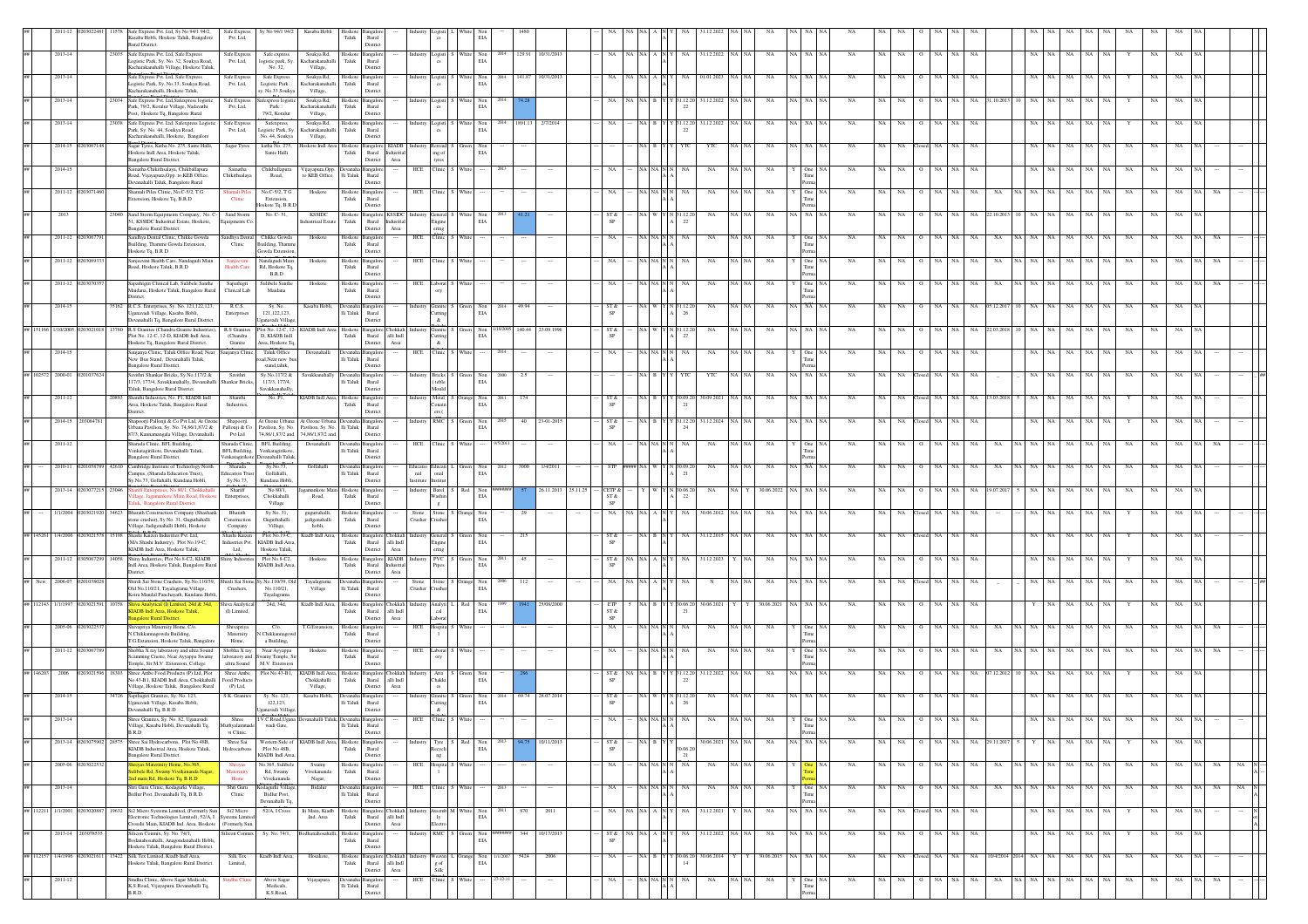|                       |            |       | Safe Express Pvt. Ltd, Sy No 94/1 94/2,<br>Safe Express<br>Kasaba Hobli, Hoskote Taluk, Bangalore<br>Pvt. Ltd.<br>Rural District.                                              | Sy No 94/1 94/2                                      | Kasaba Hobli                                      | ioskote<br>Taluk         | Rural<br>Distric                                                                                          |                  |                                             |        | EL4                            |             |                   |          |                   |           |                          |                           |       |             |                  |             |                  |                 |       |             |               |                      |             |                   |             |                            |    |    |                  |
|-----------------------|------------|-------|--------------------------------------------------------------------------------------------------------------------------------------------------------------------------------|------------------------------------------------------|---------------------------------------------------|--------------------------|-----------------------------------------------------------------------------------------------------------|------------------|---------------------------------------------|--------|--------------------------------|-------------|-------------------|----------|-------------------|-----------|--------------------------|---------------------------|-------|-------------|------------------|-------------|------------------|-----------------|-------|-------------|---------------|----------------------|-------------|-------------------|-------------|----------------------------|----|----|------------------|
| 2013-14               |            |       | 23035 Safe Express Pvt. Ltd, Safe Express<br>Safe Express<br>Logistic Park, Sv. No. 32, Soukva Road,<br>Pvt. Ltd.                                                              | Safe expres<br>logistic park, Sy.                    | Soukya Rd,<br>Kacharakanahalli                    | Hoskote<br>Taluk         | ingaloi<br>Rural                                                                                          | <b>Industry</b>  | Logisti                                     | Whit   | $_{\rm EIA}^{\rm Non}$<br>2014 |             | 129.91 10/31/2013 |          | NA                | NA NA     | NA                       | 31.12.2022                | NA.   | NA          | NA NA            | NA          | NA.<br><b>NA</b> | NA              | NA.   | NA          |               | NA<br>NA             | NA          | $_{\rm NA}$<br>NA |             | $_{\rm NA}$<br>NA          |    |    |                  |
| $2013 - 14$           |            |       | Kacharakanahalli Village, Hoskote Taluk<br>Safe Express Pvt. Ltd, Safe Express<br>Safe Express<br>Logistic Park, Sv. No.33, Soukva Road,<br>Pvt. Ltd,                          | No. 32.<br>Safe Express                              | Village,<br>Soukya Rd,<br>Kacharakanahalli        | Hoskot<br>Taluk          | Distric<br>ngalc<br>Rural                                                                                 |                  | ogisti                                      |        | $_{\rm EIA}$                   | 141.87      | 0/31/20           |          |                   |           |                          | 01.01.202                 |       |             |                  |             |                  |                 |       |             |               |                      |             |                   |             |                            |    |    |                  |
| 2013-14               |            |       | Kacharakanahalli, Hoskote Taluk,<br>3034 Safe Express Pvt. Ltd, Safexpress logistic<br>Safe Express                                                                            | Logistic Park<br>sy. No.33 Soukya<br>fexpress logis  | Village,<br>Soukya Rd,                            | loskote                  | District<br>Bangalo                                                                                       | ndustry          | Logisti                                     |        |                                |             |                   |          |                   |           |                          | 31.12.202                 |       |             |                  |             |                  |                 |       |             |               |                      |             |                   |             |                            |    |    |                  |
|                       |            |       | Park, 79/2, Koralur Village, Nadavathi<br>Pvt. Ltd,<br>Post, Hoskote Tq, Bangalore Rural                                                                                       | $\mathbf{Park} \Box$<br>79/2, Koralur                | Kacharakanahalli<br>Village,                      | Taluk                    | Rural<br>Distric                                                                                          |                  |                                             |        | $_{\rm EIA}$                   |             |                   |          |                   |           | 22                       |                           |       |             |                  |             |                  |                 |       |             |               |                      |             |                   |             |                            |    |    |                  |
| 2013-14               |            |       | 23038 Safe Express Pvt. Ltd, Safexpress Logistic<br>Safe Express<br>Park, Sy. No. 44, Soukya Road,<br>Pvt. Ltd,<br>Kacharakanahalli, Hoskote, Bangalore                        | Safexpress<br>ogistic Park, Sy.<br>No. 44, Soukya    | Soukya Rd,<br><b>Cacharakanahalli</b><br>Village, | Taluk                    | Hoskote Bangalore<br>Rural<br>District                                                                    |                  | Industry Logisti S White                    |        | Non<br>EIA                     | 2014        | 1891.13 2/7/2014  |          |                   | NA B      |                          | Y Y 31.12.20 31.12.2022   |       | NA          | A I NA           | <b>NA</b>   |                  |                 |       | NA          |               |                      |             |                   |             |                            |    |    |                  |
| 2014-15               |            |       | Sagar Tyres, Katha No. 275, Sante Hall<br>Sagar Tyres<br>Hoskote Indl Area, Hoskote Taluk,<br>Bangalore Rural District.                                                        | katha No. 275,<br>Sante Halli                        | skote Indi Are                                    | loskoto<br>${\rm Taluk}$ | Bangalore<br><b>KIADB</b><br>$\rm{Rural}$<br>District<br>Area                                             |                  | etread<br>ing of                            |        | EIA                            |             |                   |          |                   |           |                          | YTO                       |       |             |                  |             |                  |                 |       |             |               |                      |             |                   |             |                            |    |    |                  |
| 2014-15               |            |       | Sainatha Chikithsalaya, Chikballapura<br>Sainatha<br>Road, Vijayapura, Opp. to KEB Office.<br>Chikithsalaya                                                                    | Chikballapura<br>Road,                               | Vijayapura, Opp.<br>to KEB Office.                | Devana<br>li Taluk       | <b>Bangalor</b><br>Rural                                                                                  | HCE              | Clinic                                      |        |                                |             |                   |          |                   |           |                          | NA                        |       | NA          | One              | NA          |                  |                 |       |             |               |                      |             |                   |             |                            |    |    |                  |
| $2011 - 12$           | 203071     |       | Devanahalli Taluk, Bangalore Rural<br>Shamali Piles Clinic, No.C-5/2, T G<br>Shamali Pile<br>Clinic<br>xtension, Hoskote Tq, B.R.D                                             | No.C-5/2, T G<br>Extension.                          | Hoskote                                           | Taluk                    | District<br>Hoskote Bangalore<br>Rural                                                                    |                  | HCE Clinic                                  | Whi    |                                |             |                   |          |                   | NA NA     | NA                       | NA                        |       | NA          | One              | NA          | NA               |                 | NA    | NA          |               |                      |             | NA                |             | NA                         |    |    |                  |
| 2013                  |            |       | Sand Storm<br>13040 Sand Storm Equipments Company, No. 0                                                                                                                       | oskote Tq, B.R.D<br>No. C-51                         | <b>KSSIDC</b>                                     | loskote                  | District<br>langalore KSSIDO                                                                              |                  | eneral                                      |        |                                |             |                   |          | ST &              |           | 4 31.12.2                | NA                        |       | NA          | ia   Na          |             |                  |                 |       |             |               |                      |             | NA.<br>NA         | NA          | NA<br>NA                   |    |    |                  |
| $2011 - 12$           | 0203067    |       | 51. KSSIDC Industrial Estate, Hoskote,<br>ioments C<br>Bangalore Rural District.<br>Sandhya Dental Clinic, Chikke Gowda<br>Sandhya Dental                                      | Chikke Gowda                                         | dustrical Estate<br>Hoskote                       | Taluk                    | Rural<br>ndustria<br>Area<br>District<br>Hoskote Bangalore                                                |                  | ering<br>HCE Clinic S                       | White  | EIA                            |             |                   |          | NA.               |           | 22<br>NA NA N N<br>NA    | NA                        |       | NA          | One              | <b>NA</b>   | NA               | NA              | NA.   | NA          | <b>NA</b>     |                      |             | NA.<br>NA         | NA          | NA                         |    |    |                  |
|                       |            |       | Building, Thamme Gowda Extension,<br>Clinic<br>Hoskote Tq, B.R.D                                                                                                               | Building, Thamn<br>iowda Extension                   |                                                   | $_{\rm Taluk}$           | Rural<br>District                                                                                         |                  |                                             |        |                                |             |                   |          |                   |           |                          |                           |       |             |                  |             |                  |                 |       |             |               |                      |             |                   |             |                            |    |    |                  |
| 2011-12               |            |       | Sanjeevini Health Care, Nandagudi Main<br>Road, Hoskote Taluk, B.R.D<br>lealth Care                                                                                            | kandagudi Main<br>d, Hoskote Tq.<br>$_{\rm B.R.D}$   | Hoskote                                           | Hoskote<br>Taluk         | ingalor<br>Rural<br>Distric                                                                               | HCE              | linic                                       |        |                                |             |                   |          |                   |           |                          | NA                        |       | NA          | One              |             |                  |                 |       |             |               |                      |             |                   | NA          |                            |    |    |                  |
| 2011-12               |            |       | Sapathigiri Clinical Lab, Sulibele Santhe<br>Sapathigri<br>Clinical Lab<br>Maidana, Hoskote Taluk, Bangalore Rural<br>istrict.                                                 | sulibele Santhe<br>Maidana                           | Hoskoto                                           | loskote<br>${\rm Taluk}$ | Bangalor<br>Rural<br>Distric                                                                              | HCE              | aborat                                      |        |                                |             |                   |          |                   |           |                          | NA                        |       |             |                  |             |                  |                 |       |             |               |                      |             |                   |             |                            |    |    |                  |
| 2014-15               |            |       | 15162 R.C.S. Enterprises, Sy. No. 121,122,123,<br>R.C.S.<br>Uganavadi Village, Kasaba Hobli,<br>Enterprises                                                                    | Sy. No.<br>121.122.123.                              | Kasaba Hobli,                                     | lli Taluk                | langalor<br>Rural                                                                                         |                  | <b>Industry</b> Granite<br><b>lutting</b>   |        | $_{\rm Non}$<br>EIA            | 49.94       |                   |          | ST &              |           | 26                       | $_{\rm NA}$               |       | $_{\rm NA}$ | A NA             | NA          |                  |                 |       |             |               |                      |             | NA                | NA          | NA                         | NA |    |                  |
| 1/10/200              |            |       | Devanahalli Tq, Bangalore Rural Distric<br>R.S Granites (Chandra Granite Industries)<br>R.S Granit                                                                             | anavadi Villas<br>ot No. 12-C, 12<br>D. KIADB Indi   | <b>JADB</b> Indl Area                             | Hoskote                  | District<br>angalor<br>hokkal                                                                             |                  | &.<br>Granite                               |        |                                | 140.44      | 23.09.199         |          | ST &<br>SP        |           |                          |                           |       |             |                  |             |                  |                 |       |             |               |                      |             |                   |             |                            |    |    |                  |
| 2014-15               |            |       | Plot No. 12-C, 12-D, KIADB Indl Area,<br>(Chandra<br>Hoskote Tq, Bangalore Rural District.<br>Granite<br>aujanya Clinic, Taluk Office Road, Near<br>janya Clin                 | Irea. Hoskote T<br>Taluk Office                      | Devanahall                                        | Taluk                    | Rural<br>alli Indi<br>District<br>Area                                                                    |                  | Cutting<br>$\alpha$<br>HCE Clinic           |        | EIA                            |             |                   |          |                   | $NA$ $N/$ | 27                       | NA                        |       | NA          |                  |             |                  |                 |       |             |               |                      |             | NA                |             |                            |    |    |                  |
|                       |            |       | New Bus Stand, Devanahalli Taluk,<br>Bangalore Rural District.                                                                                                                 | oad, Near new b<br>stand,taluk                       |                                                   | li Taluk                 | Rural<br>District                                                                                         |                  |                                             |        |                                |             |                   |          |                   |           |                          |                           |       |             |                  |             |                  |                 |       |             |               |                      |             |                   |             |                            |    |    |                  |
| ## 102572 2000-01     |            |       | Savithri Shankar Bricks, Sv.No.117/2 &<br>Savithri<br>117/3, 177/4, Savakkanahally, Devanahalli<br>Shankar Bricks<br>Taluk, Bangalore Rural District.                          | Sv.No.117/2 &<br>117/3, 177/4,<br>Savakkanahally     | Savakkanahally                                    | Devanal<br>li Taluk      | nealor<br>Rural<br>District                                                                               |                  | ndustry Bricks<br>(teble<br>$_{\rm{Mould}}$ |        | Non<br>$_{\rm EIA}$            | 2.5<br>2000 |                   |          |                   | NA B      |                          | YTC                       |       | NA          | NA NA            | <b>NA</b>   | NA<br>NA         |                 |       | NA          |               |                      |             | NA.               |             |                            |    |    |                  |
| 2011-12               |            |       | Shanthi Industries, No. P1, KIADB Indl<br>Shanthi<br>Area, Hoskote Taluk, Bangalore Rural<br>Industries,<br>District.                                                          | No. PI,                                              | KIADB Indl Area,                                  | Hoskote<br>Taluk         | <b>Bangalor</b><br>Rural<br>District                                                                      |                  | industry Metal<br>Conain<br>ers (           |        | $_{\rm EIA}$                   |             |                   |          | ST &<br>SP        |           | $^{21}$                  | 0.09.202                  |       | NA          |                  |             |                  |                 |       |             |               |                      |             |                   |             |                            |    |    |                  |
| 2014-15               | 20308478   |       | Shapoorji Pallonji & Co Pvt Ltd, At Ozone<br>Shapoorji<br>Urbana Pavilion, Sy. No. 74,86/1,87/2 &<br>Pallonji & Co                                                             | At Ozone Urbana<br>Pavilion, Sy. No.                 | At Ozone Urbana<br>Pavilion, Sy. No.              | li Taluk                 | <b>Bangalor</b><br>$\rm{Rural}$                                                                           |                  | industry RMC                                | 1 Gree | Non<br>EIA                     | 40          | 23-01-2015        |          | ST &              | NA B      | Y Y 31.12.20             | 31.12.2024                |       | NA          | NA   NA          | NA          | NA<br>NA.        | NA              |       | NA          |               |                      |             | NA.               |             |                            |    |    |                  |
| 2011-12               |            |       | 87/3, Kannamangala Village, Devanahalli<br>Pvt Ltd<br>Sharada Clinic, BFL Building,<br>Sharada Clinic<br>Venkatagirikote, Devanahalli Taluk,<br><b>BFL Building</b>            | 74,86/1,87/2 and<br>BFL Building.<br>Venkatagirikote | 74,86/1,87/2 and<br>Devanahalli                   | li Taluk                 | District<br>Bangalor<br>Rural                                                                             |                  | HCE Clinic                                  | Whit   | 9/5/201                        |             |                   |          |                   |           | NA NA N N<br>NA          | NA                        |       | NA          | One              | NA          | NA               |                 |       |             |               |                      |             | $_{\rm NA}$       |             |                            |    |    |                  |
| 2010-11               |            |       | Bangalore Rural District.<br>Venkatagirikot<br>Cambridge Institute of Technology North<br>Sharada<br><b>Education Trus</b>                                                     | evanahalli Taluk<br>Sy.No.73.<br>Gollahalli,         | Gollahall                                         |                          | District<br>ngale                                                                                         |                  |                                             |        | EIA                            | 3000        | 1/4/201           |          |                   |           | 21                       |                           |       |             | <b>NA</b>        |             |                  |                 |       |             |               |                      |             |                   |             |                            |    |    |                  |
| $2013 - 14$           |            | 23046 | lampus, (Sharada Education Trust),<br>Sv.No.73.<br>Sv.No.73, Gollahalli, Kundana Hobli,<br>Shariff<br>riff Enterprises, No 80/1, Chokkah                                       | Kundana Hobli<br>No 80/1.                            | rankote Mai                                       | li Taluk<br>Hoskote      | Rural<br>District<br>angalor                                                                              | nal<br>Industry  | onal<br>Institute Institut<br>Barel S       | Red    | Non                            |             | 26.11.2013        | 25.11.25 | CETP &            |           | N 30.06.20               | NA                        |       | 30.06.2022  | ia   Na          | NA          | NA               | NA              |       | NA          |               |                      |             | NA                |             | NA                         |    |    |                  |
| 1/1/2004              |            |       | lage, Jagamankote Main Road, Hosk-<br>Enterprises,<br>aluk. Bangalore Rural District.<br>Bharath                                                                               | Chokkahalli<br>Village<br>Sv No. 31.                 | Road,                                             | Taluk<br>Hoskote         | Rural<br>District                                                                                         |                  | Washin                                      |        | EIA                            |             |                   |          | ST &<br>SP<br>NA. | JA INA    | 22<br>NA.                | 30.06.2012                |       |             |                  |             |                  |                 |       |             |               |                      |             |                   |             |                            |    |    |                  |
|                       |            |       | 34623 Bharath Construction Company (Shashar<br>tone crusher). Sv No. 31. Guguthahalli<br>Construction<br>Village, Jadigenahalli Hobli, Hoskote<br>Company                      | Guguthahalli<br>Village,                             | guguttahalli.<br>jadigenahalli<br>hobli,          | Taluk                    | ingalor<br>Rural<br>District                                                                              | Crusher          | Stone Stone S<br>rusher                     |        | Non<br>EIA                     |             |                   |          |                   |           |                          |                           |       | NA          | NA   NA          | NA.         |                  |                 |       |             |               |                      |             |                   |             |                            |    |    |                  |
| 1/4/2006<br>## 145261 |            |       | Shashi Kaizen Industries Pvt. Ltd,<br>Shashi Kaizen<br>(M/s.Shashi Industry), Plot No.19-C,<br>Industries Pvt.<br>KIADB Indl Area, Hoskote Taluk,<br>Ltd,                      | Plot No.19-C,<br>KIADB Indl Area<br>Hoskote Taluk,   | Kiadb Indl Area,                                  | Hoskote<br>Taluk         | Bangalore Chokkah<br>Rural<br>alli Indi<br>District<br>Area                                               |                  | Industry General<br>Engine<br>ering         |        | Non<br>EIA                     | 215         |                   |          | ST &              |           |                          | 31.12.2015                |       | NA          | A I NA           | <b>NA</b>   |                  |                 |       |             |               |                      |             |                   |             |                            |    |    |                  |
| 2011-12               | 30506729   |       | 14058 Shiny Industries, Plot No.8-C2, KIADB<br>Shiny Industr<br>Indl Area, Hoskote Taluk, Bangalore Rural                                                                      | Plot No.8-C2,<br>KIADB Indl Area                     | Hoskote                                           | Hoskote<br>Taluk         | Bangalore KIADB<br>Rural<br><b>ndustria</b>                                                               |                  | PVC S<br>Pipes                              |        | Non<br>2011<br>EIA             | 45          |                   |          | ST &              | NA INA    | NA                       | 31.12.2023                |       | NA          | A NA             | <b>NA</b>   | NA               | NA              |       | NA          |               |                      |             | NA.               |             | NA<br>NA                   |    |    |                  |
|                       |            |       | District.<br>Shirdi Sai Stone Crushers, Sy.No.110/39<br>hirdi Sai Ston<br>Old No.110/21, Tayalagrama Village,<br>Crushers,                                                     | /.No.110/39, O<br>No.110/21,                         | Fayalagrama<br>Village                            | Jevani<br>li Taluk       | District<br>Area<br>langalo<br>Rural                                                                      | Stone<br>Crusher | Stone<br>usher                              |        | Non<br>EIA                     |             |                   |          |                   |           |                          |                           |       |             |                  |             |                  |                 |       |             |               |                      |             |                   |             |                            |    |    |                  |
| ## 112143 1/1/199     |            |       | Koira Mandal Panchayath, Kundana Hobl<br>Shiva Analyti                                                                                                                         | Tayalagrama<br>24d, 34d,                             | Kiadb Indl Area,                                  | loskote                  | Distric<br>ingalor<br>hokkal                                                                              |                  | Analyti                                     |        |                                |             |                   |          | ETP               |           |                          | 0.06.202                  |       | 0.06.202    |                  |             |                  |                 |       |             |               |                      |             |                   |             |                            |    |    |                  |
| 2005-06               |            |       | <b>GADB</b> Indl Area, Hoskote Taluk.<br>(I) Limited,<br>ngalore Rural District.<br>Shivapriya Maternity Home, C/o.<br>Shivapriya                                              | $C/\alpha$ .                                         | T.G.Extans                                        | Taluk                    | Rural<br>alli Indi<br>District<br>$\operatorname{Area}$<br>ngalor                                         | HCE              | cal<br>aborat<br>ospita                     |        | EIA                            |             |                   |          | ST &<br>SP<br>NA  | NA N      | $^{21}$<br>NA            | NA                        |       | NA          |                  | NA          |                  |                 |       |             |               |                      |             | NA                |             |                            |    |    |                  |
|                       |            |       | Matemity<br>N.Chikkannagowda Building.<br>T.G.Extansion. Hoskote Taluk. Bangalon<br>Home.                                                                                      | Chikkannaec<br>a Building                            |                                                   | Hoskote<br>Taluk         | Rural<br>District                                                                                         |                  |                                             |        |                                |             |                   |          |                   |           |                          |                           |       |             |                  |             |                  |                 |       |             |               |                      |             |                   |             |                            |    |    |                  |
| 2011-12               | '0306      |       | Shobha X ray laboratory and ultra Sound<br>Shobha X ray<br>Scamming Cnetre, Near Ayyappa Swamy<br>laboratory and<br>Temple, Sir M.V. Extension, College<br>ultra Sound         | Near Ayyappa<br>wamy Temple, Si<br>M.V. Extension    | Hoskote                                           | Hoskote<br>Taluk         | ngalor<br>Rural<br>District                                                                               |                  | HCE Laborat<br>orv                          |        |                                |             |                   |          |                   |           |                          | NA                        |       | NA          | One              | NA          |                  |                 |       |             |               |                      |             | NA.               | NA          |                            |    |    |                  |
| ## 146203<br>2006     |            |       | Shree Ambe Food Products (P) Ltd. Plot<br>Shree Ambe<br>No.43-B1, KIADB Indl Area, Chokkahalli<br>Food Products<br>Village, Hoskote Taluk, Bangalore Rural<br>$(P)$ Ltd,       |                                                      | Chokkahalli<br>Village,                           | Taluk                    | Plot No.43-B1. KIADB Indl Area. Hoskote Bangalore Chokkah Industry<br>Rural alli Indi<br>District<br>Area |                  | Atta S<br>Chakki                            |        | EIA                            |             |                   |          | ST &              | NA NA B   | Y Y 31.12.20<br>22       | 31.12.2022                |       | NA          | NA NA            | NA          | NA.<br>NA        |                 |       | NA          | 7.12.20       |                      |             |                   |             |                            |    |    |                  |
| 2014-15               |            |       | Sapthagiri Granites, Sy. No. 123,<br>S.K. Granites<br>Uganavadi Village, Kasaba Hobli,                                                                                         | Sy. No. 121<br>122,123,                              | Kasaba Hobli                                      | li Taluk                 | ıngalo<br>Rural                                                                                           |                  | dustry Granite<br>Cutting                   |        | Non<br>EIA                     | 69.74       | 28.07.201         |          | ST &              |           |                          |                           |       |             |                  |             |                  |                 |       |             |               |                      |             |                   |             |                            |    |    |                  |
|                       |            |       | Devanahalli Tq, B.R.D<br>Village, Kasaba Hobli, Devanahalli Tq,<br>Muthyalammade                                                                                               | ganavadi Village<br>LV.C.Road,Ugana<br>wadi Gate,    |                                                   | $\rm Ili$ Taluk          | District<br>Rural                                                                                         |                  | $\&$                                        |        |                                |             |                   |          |                   |           |                          |                           |       |             | Tim              |             |                  |                 |       |             |               |                      |             |                   |             |                            |    |    |                  |
| 2013-14               |            |       | B.R.D<br>vi Clinic<br>0203075902 28575 Shree Sai Hydrocarbons, Plot No 48B,<br>Shree Sai                                                                                       |                                                      | Western Side of KIADB Indl Area,                  |                          | District<br>Hoskote Bangalore                                                                             | Industry         | Tyre S                                      | Red    | Non<br>EIA                     |             | 10/11/2013        |          | ST &<br>SP        |           | NA B Y Y<br>30.06.2      | 30.06.2021 NA NA          |       | $_{\rm NA}$ | Perr<br>NA NA NA | $_{\rm NA}$ | NA  <br>NA       |                 | NA NA |             | NA 29.11.2017 | NA                   | $_{\rm NA}$ | NA NA             |             | NA<br>NA                   |    |    |                  |
| 2005-06               | 2030225    |       | KIADB Industrial Area, Hoskote Taluk,<br>Hydrocarbons<br>Bangalore Rural District.<br>yas Materinity Home, No.365                                                              | Plot No 48B,<br>KIADB Indl Area,<br>io.365, Sulibel  | Swamp                                             | Taluk<br>loskoto         | Rural<br>District<br>Bangalor                                                                             | HCE              | tecycli<br>ng<br>Hospita                    |        |                                |             |                   |          |                   |           | 21<br>NA NA N N<br>NA    | NA                        | NA.   | NA          |                  | NA          | NA<br>NA.        | NA              |       | NA          | NA            | NA NA<br>NA          |             | NA<br>NA          | NA          |                            | NA |    | <b>NA</b>        |
|                       |            |       | libele Rd, Swamy Vivekananda Naga<br>Materini<br>Ind main Rd, Hoskote Tq, B.R.D<br>Home                                                                                        | Rd, Swamy<br>Vivekananda                             | Vivekananda<br>Nagar,                             | Taluk                    | Rural<br>District                                                                                         |                  |                                             |        |                                |             |                   |          |                   |           |                          |                           |       |             |                  |             |                  |                 |       |             |               |                      |             |                   |             |                            |    |    |                  |
| $2013 - 14$           |            |       | Shri Guru Clinic, Kodagurki Village,<br>Shri Guru<br>Bidlur Post, Devanahalli Tq, B.R.D.<br>Clinic                                                                             | odagurki Village<br>Bidlur Post.<br>Devanahalli Tq.  | Bidalur                                           | evanah<br>lli Taluk      | Bangalor<br>Rural<br>District                                                                             | HCE              | Clinic 1:                                   | Whit   |                                |             |                   |          |                   |           | NA NA NAN<br>NA          | NA                        |       | NA          | One              | NA          | <b>NA</b><br>NA  | NA              | NA.   | NA          | NA            | NA NA NA             | NA          | NA<br>NA.         | NA          | NA<br>NA                   |    |    | <b>NA</b>        |
| ## 112211 1/1/2001    | 1203020887 |       | 19632 Si2 Micro Systems Limited, (Formerly Sun<br>Si2 Micro<br>lectronic Technologies Limited), 52/A, I Systems Limite<br>rosslii Main, KIADB Ind. Area, Hoskote (Formerly Sun | 52/A, I Cross                                        | lii Main, Kiadb<br>Ind. Area                      | Taluk                    | Hoskote Bangalore Chokkah Industry Assemb M White<br>Rural alli Indi<br>District<br>Area                  |                  | Electro                                     |        | Non 2011<br>EIA                | 870         | 2011              |          | NA.               |           |                          | NA NA A N Y NA 31.12.2021 |       | NA          | NA NA NA         | <b>NA</b>   | NA               | NA Closed NA NA |       | NA          |               | NA NA                | NA          | NA  <br>NA        | Y           | NA<br>NA                   |    |    | $\sum_{i=1}^{N}$ |
| 2013-14               | 20307853   |       | ilicon Conmix, Sy. No. 74/1,<br>ilicon Connix<br>odanahosahalli, Anagondanahalli Hobli,                                                                                        | Sy. No. 74/1,                                        | xdhanahosaha                                      | Hoskote<br>Taluk         | Bangalore<br>Rural                                                                                        | ndustrv          | RMC :                                       |        | Non<br>EIA                     | 344         | 10/17/2013        |          | ST &              | NA NA A N | NA.                      | 31.12.2022                |       | <b>NA</b>   | <b>A</b> NA      | NA          | NA<br>NA         | $\circ$<br>NA   |       | NA          |               | NA.                  | NA          | NA<br>NA          |             | NA                         | NA |    |                  |
| ## 112157<br>1/4/1996 | 203021611  |       | Hoskote Taluk, Bangalore Rural District.<br>13422 Silk Tex Limited, Kiadb Indl Area,<br>Silk Tex<br>Hoskote Taluk, Bangalore Rural District.<br>Limited,                       | Kiadb Indl Area,                                     | Hosakote,                                         | Hoskote<br>${\rm Taluk}$ | District<br>Bangalore Chokkah<br>$\ensuremath{\mathsf{R}\text{ural}}$<br>alli $\operatorname{Indl}$       |                  | Industry Weavin L Orange<br>g of            |        | Non<br>1/1/2007<br>EIA         | 5424        | 2006              |          | NA                |           | NA B Y Y 30.06.20<br>14  | 30.06.2014                |       | 30.06.2015  | NA NA            | NA          | NA<br>NA         | losed NA        | NA    | NA          |               | 10/4/2014 2014 NA NA | NA          | $_{\rm NA}$<br>NA | NA          | NA                         | NA |    |                  |
| 2011-12               |            |       | Sindhu Clinic, Above Sagar Medicals,<br>ıdhu Clin                                                                                                                              | Above Sagar                                          | Vijayapura                                        | <b>Jevana</b>            | District<br>$\operatorname{Area}$<br>Bangalor                                                             |                  | Silk<br>HCE Clinic                          | Whit   |                                |             |                   |          | ŃA                |           | $\rm NA\_NA\_N\_N$<br>NA | $_{\rm NA}$               | NA NA | $_{\rm NA}$ | One<br>Time      | $_{\rm NA}$ | NA<br>NA         | $\circ$         | NA NA | $_{\rm NA}$ | $_{\rm NA}$   | NA NA NA             | $_{\rm NA}$ | $\rm NA-NA$       | $_{\rm NA}$ | $_{\rm NA}$<br>$_{\rm NA}$ |    | NA |                  |
|                       |            |       | K.S.Road, Vijayapura, Devanahalli Tq,<br>B.R.D.                                                                                                                                | Medicals,<br>K.S.Road,                               |                                                   | lli Taluk                | Rural<br>Distric                                                                                          |                  |                                             |        |                                |             |                   |          |                   |           |                          |                           |       |             |                  |             |                  |                 |       |             |               |                      |             |                   |             |                            |    |    |                  |

nent

Vijayapura,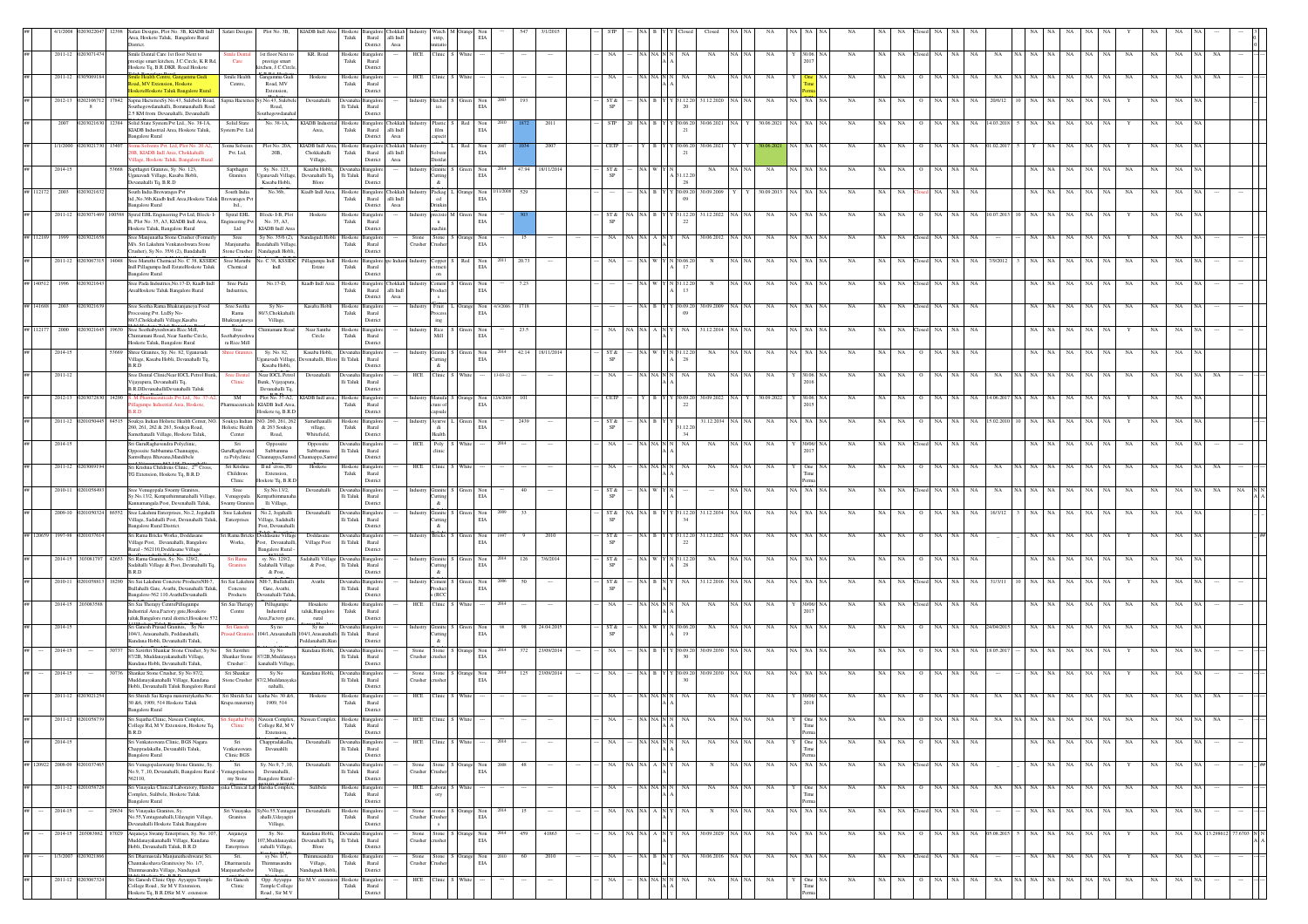|         |                   |                   |            |        | Safari Designs, Plot No. 3B, KIADB Indl Safari Designs<br>Area, Hoskote Taluk, Bangalore Rural<br>District.                                                     | Plot No. 3B,                                                                     | KIADB Indi Area                                                     | Hoskot<br>Taluk                 | $\quad$ Rural $\quad$ alli $\quad$ Indi<br>District | Area                               | strip,                                                                           |                    | EV                              |        |                   |            |                     |                                                          |                                        |                |                  |             |             |             |           |     |               |                   |                   |             |             |                   |             |           |  |  |
|---------|-------------------|-------------------|------------|--------|-----------------------------------------------------------------------------------------------------------------------------------------------------------------|----------------------------------------------------------------------------------|---------------------------------------------------------------------|---------------------------------|-----------------------------------------------------|------------------------------------|----------------------------------------------------------------------------------|--------------------|---------------------------------|--------|-------------------|------------|---------------------|----------------------------------------------------------|----------------------------------------|----------------|------------------|-------------|-------------|-------------|-----------|-----|---------------|-------------------|-------------------|-------------|-------------|-------------------|-------------|-----------|--|--|
|         |                   | 2011-12 020307147 |            |        | Smile Dental Care 1st floor Next to<br>estige smart kitchen, J.C.Circle, K.R.Rd.<br>Care<br>loskote Ta, B.R.DKR. Road Hoskote                                   | 1st floor Next to<br>prestige smart<br>tchen, J.C.Circl                          | KR. Road                                                            | Hoskot<br>Taluk                 | Rural<br>District                                   |                                    | HCE Clinic S Whit                                                                |                    |                                 |        |                   |            | NA                  | NA NA N                                                  | NA<br>NA                               | $_{\rm NA}$    |                  | NA          | NA          | NA.         | osed NA   |     | NA            | NA                | NA                | NA          | NA          | NA                | NA          | NA        |  |  |
|         |                   | 2011-12           |            |        | Smile Health<br>kingamma Gudi<br>toad, MV Extension, Hoskote<br>Centre.<br>loskoteHoskote Taluk Bangalore Rural                                                 | iangamma Gudi<br>Road, MV<br>Extension,                                          | Hoskote                                                             | Hoskot<br>Taluk                 | ngalo<br>Rural<br>District                          |                                    | HCE<br>Clinic                                                                    |                    |                                 |        |                   |            |                     |                                                          | NA                                     | NA             |                  |             |             |             |           |     |               |                   |                   |             |             |                   |             |           |  |  |
|         |                   | 2012-13 020210671 | 8          |        | 7842 Sapna HacteriesSy. No.43, Sulebele Road, Sapna Hacteries<br>Southegowdanahalli, Bommanahalli Road<br>2.5 KM from Devanahalli, Devanahalli                  | No.43, Sulebe<br>Road,                                                           | Devanahall                                                          | Devanaha<br>lli Taluk           | angalo<br>Rural<br>District                         |                                    | lustry Hatcher<br>ies                                                            | Green              | Non<br>EIA                      |        |                   |            | ST &<br>SP          |                                                          | 31.12.2020<br>1.12.2<br>20             | NA             | NA 1             |             |             |             |           |     |               | 20/6/1            |                   |             |             |                   | NA          |           |  |  |
|         |                   | 2007              | 0203021630 |        | 12384 Solid State System Pvt Ltd., No. 38-1A,<br>Solid State<br>KIADB Industrial Area, Hoskote Taluk,<br>stem Pvt. Lt                                           | uthegowdanah<br>No. 38-1A,                                                       | KIADB Industrial Hoskote<br>Area,                                   | Taluk                           | Bangalore Chokkah<br>Rural alli Indi                |                                    | $\operatorname{film}$                                                            | Plastic S Red      | Non<br>$\mathrm{E} \mathcal{U}$ |        |                   | 2011       | STP                 | 20 NA B Y Y 30.06.20                                     | 30.06.2021                             | 30.06.2021     | NA NA NA         | NA          | NA          | NA          | NA        |     | NA 14.03.2018 |                   |                   | NA          | NA          |                   | NA          | <b>NA</b> |  |  |
|         |                   | 1/1/2000          |            |        | <b>Bangalore Rural</b><br>mu Solvents Pvt. Ltd, Plot No. 20 A2<br>Somu Solvents<br>B, KIADB Indl Area, Chokkahalli<br>Pvt. Ltd,                                 | Plot No. 20A,<br>$20B,$                                                          | KIADB Indl Area,<br>Chokkahalli                                     | Hoskote<br>Taluk                | District<br><b>Bangalore</b> Chokkah<br>Rural       | Area<br>alli $\operatorname{Indl}$ | capacit                                                                          |                    | Non<br>$_{\rm EIA}$             |        |                   |            | CETP                |                                                          | 30.06.202                              |                |                  |             |             |             |           |     |               |                   |                   |             |             |                   |             |           |  |  |
|         |                   | 2014-15           |            | 53668  | llage, Hoskote Taluk, Bangalore Rura<br>Sapthagiri Granites, Sy. No. 123,<br>Sapthagiri                                                                         | Sy. No. 123,                                                                     | Village,<br>Kasaba Hobli,                                           |                                 | District<br>Bangalor                                | Area                               | Distilat<br>Granite <sup>1</sup>                                                 | Green              | Non                             | 2014   | 47.94<br>18/11/20 |            | ST &                |                                                          | NA                                     | NA             |                  | NA          |             |             |           |     | NA            |                   |                   |             |             |                   | NA          |           |  |  |
|         | ## 112172         | 2003              | 02030216   |        | ganavadi Village, Kasaba Hobli,<br>Granites<br>evanahalli Tq, B.R.D<br>South India Brewarages Pvt<br>South India                                                | ganavadi Villag<br>Kasaba Hobli,<br>No.36b,                                      | Devanahalli Tq.<br>Blore<br>Kiadb Indl Area,                        | $\rm{Hi}$ Taluk<br>Hoskote      | Rural<br>District<br>Bangalore Chokkah              |                                    | Cutting<br>$\&$<br>Packag <sup>1</sup>                                           |                    | EIA<br>Non                      | 1/2008 | 529               |            | SP                  | $NA$ $B$ $\vdash$                                        | 31.12.2<br>28<br>30.09.20<br>30.09.200 | 30.09.2013     | NA NA NA         | NA          | NA          | NA          | NA        | NA  | NA            |                   |                   | NA          | NA          | $_{\rm NA}$<br>NA | NA          |           |  |  |
|         |                   | 2011-12           |            | 100588 | Itd., No.36b, Kiadb Indl Area, Hoskote Taluk<br>rewarages Pv<br>angalore Rural<br>ltd.,<br>Spiral EHL<br>Spiral EHL Engine<br>ering Pvt Ltd, Block-I-           | Block-I-B, Plot                                                                  | Hoskote                                                             | Taluk<br>Hoskote                | Rural alli Indi<br>District<br>angalore             | Area                               | ed<br>Drinkin<br>ecisio M                                                        |                    | EIA<br>Green Non                |        |                   |            | ST &                | NAI B                                                    | 31.12.2022<br>31.12.20                 | NA.            | NA NA NA         | <b>NA</b>   | NA          |             | NA        | NA. | NA            | 10.07.2013        | NA 1              | NA          | NA          | <b>NA</b>         | NA          | NA        |  |  |
|         |                   |                   |            |        | B. Plot No. 35, A3, KIADB Indl Area,<br>ineering Pvt<br>Ltd<br>Hoskote Taluk, Bangalore Rural                                                                   | No. 35, A3.<br>KIADB Indl Area                                                   |                                                                     | Taluk                           | Rural<br>District                                   |                                    | $\mathbf n$<br>machin                                                            |                    | EIA                             |        |                   |            | SP                  |                                                          |                                        |                |                  |             |             |             |           |     |               |                   |                   |             |             |                   |             |           |  |  |
|         | ## 112189         | 1999              | 02030216   |        | Sree Manjunatha Stone Crusher (Formerly<br>Sree<br>M/s. Sri Lakshmi Venkateshwara Stone<br>Manjunatha<br>rusher), Sy No. 35/6 (2), Bandahalli<br>Stone Crusher  | Sy No. 35/6 (2),<br>landahalli Villag<br>Nandagudi Hobli,                        | Nandagudi Hobli Hoskote Bangalore                                   | Taluk                           | Rural<br>District                                   |                                    | Stone Stone S Orange Non<br>Crusher Crusher EIA                                  |                    |                                 |        | 15                |            | NA                  | NA   NA   A   N   '                                      | NA<br>30.06.2012                       | NA             | NA NA NA         | <b>NA</b>   | NA          | <b>NA</b>   | losed NA  | NA  | NA            |                   | NA.               | NA          | NA.         | NA                | NA          |           |  |  |
|         |                   | 2011-12 02030673  |            | 14048  | Sree Maruthi Chemical No. C 38, KSSIDC<br>Sree Maruthi<br>dl Pillagumpa Indl EstateHoskote Taluk<br>Chemical<br>angalore Rural                                  | o. C 38, KSSIDC<br>Indi                                                          | llagumpa Indi<br>Estate                                             | Hoskot<br>${\rm Taluk}$         | angalore re<br>Rural<br>District                    |                                    | Industry Copper :<br>extracti<br>$_{\rm on}$                                     |                    | Non<br>EI/                      |        | 20.73             |            |                     |                                                          | 0.6.                                   | NA             | √A   NA   N      | NA          |             |             |           |     |               | /9/201            |                   |             |             | NA                |             |           |  |  |
|         |                   |                   |            |        | Sree Pada Indsutries, No.17-D, Kiadb Indl<br>Sree Pada<br>AreaHoskote Taluk Bangalore Rural<br>Indsutries,                                                      | No.17-D,                                                                         | Kiadb Indl Area                                                     | Hoskote<br>Taluk                | Bangalore Chokkah<br>Rural alli Indi<br>District    | Area                               | Cement<br>roduct<br>$\mathbf{x}$                                                 |                    | Non<br>EIA                      |        |                   |            |                     |                                                          |                                        |                |                  |             |             |             |           |     |               |                   |                   |             |             |                   |             |           |  |  |
|         | ## 141688         | 2003              |            |        | Sree Seetha Rama Bhaktanjaneya Food<br>Sree Seetha<br>ocessing Pvt. LtdSy No-<br>Rama<br>80/3, Chokkahalli Village, Kasaba                                      | Sy No-<br>80/3.Chokkahall                                                        | Kasaba Hobli                                                        | Hoskote<br>Taluk                | angalor<br>Rural<br>District                        |                                    | Fruit L                                                                          |                    | Orange Non<br>EIA               | 72006  |                   |            |                     | NA B                                                     | 30.09.200<br>0.09.2                    | NA             |                  | NA          |             |             | NA        | NA  | NA            |                   |                   | ۷A          | NA          | NA                | NA          |           |  |  |
|         | ## 1121           | 2000              |            |        | Bhaktanjaney<br>Sree Seethabyreshwara Rice Mill,<br>Sree<br>hintamani Road, Near Santhe Circle,<br>eethabyreshy                                                 | Village,<br>Thintamani Road                                                      | Near Santhe<br>Circle                                               | Hoskote<br>Taluk                | ingalo<br>Rural                                     |                                    | $\operatorname{ing}$<br>$\begin{array}{c} \text{Rice}\\ \text{Mill} \end{array}$ |                    | Non<br>EIA                      |        |                   |            | NA                  | NA NAI                                                   | 31.12.2014                             | NA             | NA I             |             |             |             |           |     |               |                   |                   |             |             |                   |             |           |  |  |
|         |                   | 2014-15           |            |        | ra Rice Mill<br>Hoskote Taluk, Bangalore Rural<br>Shree Granites, Sy. No. 82, Uganavadi<br>Village, Kasaba Hobli, Devanahalli Tq,                               | Sy. No. 82,<br>Isanavadi Village                                                 | Kasaba Hobli.<br>Devenahalli, Blore Ili Taluk                       |                                 | District<br>Rural                                   |                                    | dustry Granite<br>Cutting                                                        |                    | Non<br>EIA                      | 2014   | 42.14 18/11/201   |            | ST &<br>SP          | NAI WIY                                                  | NA<br>28                               | NA             | NA NA N          | <b>NA</b>   |             |             | NA.       | NA. | NA            |                   |                   | NA          | NA          | NA.               | NA          |           |  |  |
|         |                   | 2011-12           |            |        | B.R.D<br>Sree Dental ClinicNear IOCL Petrol Bunk.<br><b>Sree Dental</b><br>$C$ linic<br>Vijayapura, Devanahalli Tq,                                             | Kasaba Hobli,<br>Near IOCL Petrol<br>Bunk, Vijayapura                            | Devanahalli                                                         | Devanaha Bangalore<br>lli Taluk | District<br>Rural                                   |                                    | $\alpha$<br>HCE Clinic S White                                                   |                    |                                 |        |                   |            | NA                  | NA NA N                                                  | NA<br>NA                               | NA             |                  | <b>NA</b>   |             |             |           |     | NA            | NA                |                   |             | NA          |                   | NA          |           |  |  |
|         |                   | 2012-13 020307283 |            | 14290  | B.R.DDevanahalliDevanahalli Taluk<br>S. M.Pharmaceuticals Pvt Ltd, No. 37-7<br>SM                                                                               | Devanahalli Tq.<br>Plot No. 37-A2,                                               | KIADB Indl area., Hoskote                                           |                                 | District<br>angalor                                 |                                    | dustry Manufa                                                                    | Orange             | Non                             |        |                   |            | CETP                |                                                          | 30.09.2022                             | 30.09.2022     |                  | <b>NA</b>   |             |             |           |     |               |                   |                   |             |             |                   | NA          |           |  |  |
|         |                   | 2011-12 02        |            |        | lagumpe Industrial Area, Hoskote,<br>84515 Soukya Indian Holistic Health Center, NO. Soukya Indian NO. 260, 261, 262                                            | KIADB Indl Area.<br>Hoskote tq, B.R.E                                            | Samethanalli                                                        | Taluk                           | Rural<br>District<br>Hoskote Bangalore              |                                    | ture of<br>industry Ayurve L Green                                               |                    | EIA<br>Non                      |        | 2439              |            | ST &                | NA B Y                                                   | 22<br>31.12.2034                       | NA             | 2015<br>NA NA NA | NA          | NA          |             |           |     | NA.           | 15.02.20          |                   |             |             |                   | NA          |           |  |  |
|         |                   | 2014-15           |            |        | 260, 261, 262 & 263, Soukya Road,<br>Holistic Health<br>Samethanalli Village, Hoskote Taluk,<br>Center<br>Sri GuruRaghavendra Polyclinic,<br>Sri                | & 263 Soukya<br>Road,<br>Oppossite                                               | village,<br>Whitefield,<br>Oppossite                                | ${\rm Tau}$                     | Rural<br>District<br>levanaha Bangalor              |                                    | di<br>${\rm Health}$<br>Poly<br>HCE                                              | White              | EI/                             | 2014   |                   |            | SP<br>$_{\rm NA}$   | NA NA N                                                  | 12.<br>34<br>NA<br>NA                  | NA             |                  | NA          | NA          | NA          | NA        |     |               |                   |                   |             |             |                   |             |           |  |  |
|         |                   |                   |            |        | possite Subbamma Channappa,<br>GuruRaghaven<br>Samvdhaya Bhavana, Mandibele<br>ra Polyclinic                                                                    | Subbamma<br>hannappa,Samv                                                        | Subbamma<br>hannappa,Samvd                                          | lli Taluk                       | Rural<br>District                                   |                                    | clinic                                                                           |                    |                                 |        |                   |            |                     |                                                          |                                        |                |                  |             |             |             |           |     |               |                   |                   |             |             |                   |             |           |  |  |
|         |                   | 2011-12           |            |        | Sri Krishna<br>Sri Krishna Childrens Clinic, 2 <sup>nd</sup> Cross,<br>G Extension, Hoskote Tq, B.R.D<br>Childrens<br>Clinic                                    | II nd cross, TG<br>Extension,<br>loskote Tq, B.R.                                | Hoskote                                                             | Hoskot<br>Taluk                 | angalon<br>Rural<br>District                        |                                    | HCE Clinic                                                                       |                    |                                 |        |                   |            | NA                  | NA NA N                                                  | NA<br>NA                               | NA             | One N            | NA          |             |             |           |     |               |                   |                   |             |             |                   |             |           |  |  |
|         |                   | 2010-11           |            |        | Sree Venugopala Swamy Granites,<br>Sree<br>Sy.No.13/2, Kempathimmanahalli Village<br>Venugopala<br>mnamangala Post. Devenahalli Taluk.<br><b>Swamy Granites</b> | Sy.No.13/2,<br>mpathimmana<br>lli Village,                                       | Devanahalli                                                         | Devanaha Bangalon<br>Ili Taluk  | Rural<br>District                                   |                                    | Industry Granite S Green Non<br>Cutting<br>$\&$                                  |                    | EIA                             |        | 40                |            | ST &<br>SP          | NA WYN                                                   |                                        | NA             | NA NA NA         | NA          | NA          | NA.         | ased NA   | NA  | NA            | NA                |                   | NA          | NA          | NA                | NA          |           |  |  |
|         |                   | 2009-10           |            | 86552  | Sree Lakshmi Enterprises, No.2, Jogahalli<br>Sree Lakshmi<br>'illage, Sadahalli Post, Devanahalli Taluk,<br>Enterprises<br>angalore Rural District.             | No.2, Jogahalli<br>Village, Sadahall<br>Post, Devanahall                         | Devanahalli                                                         | Ili Taluk                       | ingalor<br>Rural<br>District                        |                                    | Granite<br>Cutting<br>&                                                          |                    | Non<br>EIA                      |        |                   |            | ST &<br>SP          |                                                          | 31.12.2034<br>31.12.20                 | NA             | NA NA NA         | NA          | NA          |             | NA        |     | NA            | 16/3/12           |                   | NA          | NA          | NA<br>NA.         | NA          | NA.       |  |  |
|         |                   | 1997-98           |            |        | Sri Rama Bricks Works, Doddasane<br>Village Post, Devanahalli, Bangalore<br>Works,<br>Rural - 562110, Doddasane Village                                         | Sri Rama Bricks Doddasane Village<br>Post, Devanahalli<br><b>Bangalore Rural</b> | Doddasane<br>Village Post                                           | Devanaha Bangalo<br>lli Taluk   | Rural<br>District                                   |                                    | <b>Bricks</b>                                                                    | Green              | Non<br>EI/                      |        |                   |            | ST &<br>SP          |                                                          | 31.12.2022<br>31.12.20                 | NA             | VA   NA   I      | NA          | NA          |             |           |     |               |                   |                   |             |             |                   |             |           |  |  |
|         |                   | 2014-15 303081797 |            |        | 42653 Sri Rama Granites, Sy. No. 129/2,<br>Sri Rama<br>Sadahalli Village & Post, Devanahalli Tq,<br>Granites                                                    | sy. No. 129/2,<br>Sadahalli Village                                              | Sadahalli Village Devanaha Bangalon<br>& Post,                      | $\rm{Ili}$ Taluk                | Rural                                               |                                    | Industry Granite S Green Non<br><b>Cutting</b>                                   |                    | EI/                             | 2014   | 126               | 7/6/2014   | ST &<br>SP          | NA W Y N 31.12.20                                        | NA                                     | NA.            | NA NA NA         | NA          | NA          | <b>NA</b>   | NA.       | NA  | <b>NA</b>     |                   |                   | NA          | NA          | NA<br>NA          | NA          | NA.       |  |  |
|         |                   | 2010-11           |            |        | B.R.D<br>Sri Sai Lakshmi Concrete ProductsNH-7,<br>Sri Sai Lakshi<br>Bullahalli Gate, Avathi, Devanahalli Taluk,<br>Concrete                                    | & Post,<br>NH-7, Bullahall<br>Gate, Avathi,                                      | Avathi                                                              | Devanal<br>$\rm{Ili}$ Taluk     | District<br>angalo<br>Rural                         |                                    | $\&$<br>stry Cement<br>roduct                                                    |                    | Non<br>EI/                      |        |                   |            | ST &<br>$\mbox{SP}$ |                                                          | 31.12.20                               |                |                  |             |             |             |           |     |               |                   |                   |             |             |                   |             |           |  |  |
|         |                   | 2014-15 2030835   |            |        | ngalore-562 110. AvathiDevanahalli<br>Products<br>Sri Sai Therapy CentrePillugumpe<br>ri Sai Therapy<br>adustrial Area,Factory gate,Hosakote<br>Centre          | evanahalli Talul<br>Pillugumpo<br>Industrial                                     | Hosakote<br>taluk, Bangalore                                        | Hoskote<br>Taluk                | District<br>ingalo<br>Rural                         |                                    | s (RCC<br>HCE Clinic                                                             |                    |                                 |        |                   |            | NA                  | NA NA N                                                  | NA                                     | NA             |                  | NA          |             |             |           |     |               |                   |                   |             |             |                   |             |           |  |  |
|         |                   | 2014-15           |            |        | taluk.Bangalore rural district.Hosakote 572<br>Sri Ganesh Prasad Granites, Sy No<br>Sri Ganes                                                                   | rea,Factory gat<br>Sy no                                                         | rural<br>Sy no                                                      |                                 | District<br>ingalo                                  |                                    | Industry Granite S                                                               | Green              | Non<br>EIA                      |        | 24.04.201<br>98   |            | ST &                | NA W                                                     | 0.06.2<br>NA                           | NA             | NA NA N          | NA          |             |             |           |     | NA            |                   |                   |             | NA          |                   |             |           |  |  |
|         |                   | 2014-15           |            |        | 104/1. Arasanahalli. Peddanahalli.<br>sad Grani<br>Kundana Hobli, Devanahalli Taluk.<br>Sri Savithri Shankar Stone Crusher, Sy No<br>Sri Savithri               | 04/1. Arasanahal<br>Sv No                                                        | 04/1. Arasanahalli Ili Taluk<br>Peddanahalli, Kun<br>Kundana Hobli. |                                 | Rural<br>District<br>ıngalo                         |                                    | Cutting<br>$\alpha$                                                              |                    | Non                             |        | 372               | 23/09/2014 | SP<br>NA            | NA R                                                     | 19<br>30.09.203<br>0.09.2              | NA             | NA I             | NA          |             |             |           |     | NA.           | 18.05.2           |                   | NA          | NA          |                   | NA          |           |  |  |
|         |                   | 2014-15           |            |        | 87/2B. Muddanavakanahalli Village.<br>Shankar Stone<br>Kundana Hobli, Devanahalli Taluk,<br>Crusher<br>30736 Shankar Stone Crusher, Sv No 87/2.<br>Sri Shankar  | 37/2B.Muddanay<br>canahalli Village<br>Sv No                                     | Kundana Hobli. Devanaha Bangalor                                    | Ili Taluk                       | Rural<br>District                                   |                                    | Stone Stone<br>Crusher crusher                                                   |                    | EIA                             | 2014   | 125 23/09/2014    |            | NA                  | NA B Y                                                   | 30.09.20 30.09.2030                    | NA             | NA NA N          | NA          | NA          |             | NA        |     | NA            |                   |                   |             |             |                   | NA          |           |  |  |
|         |                   |                   |            |        | fuddanayakanahalli Village, Kundana<br>Stone Crusher<br>Hobli, Devanahalli Taluk Bangalore Rural                                                                | /2,Muddanaya<br>nahalli,                                                         |                                                                     | $\rm{Ili}$ Taluk                | Rural<br>District                                   |                                    | Stone Stone S Orange Non<br>Crusher crusher EIA                                  |                    |                                 |        |                   |            |                     |                                                          |                                        |                |                  |             |             |             |           |     |               |                   |                   |             |             |                   |             |           |  |  |
|         |                   | 2011-12 02030212  |            |        | Sri Shiridi Sai Krupa maternitykatha No.<br>Sri Shiridi Sai<br>30 &6, 1909, 514 Hoskote Taluk<br>Krupa maternit<br><b>Bangalore Rural</b>                       | katha No. 30 & 6,<br>1909, 514                                                   | Hoskote                                                             | Hoskote<br>Taluk                | ingaloi<br>Rural<br>District                        |                                    | HCE Clinic S Whit                                                                |                    |                                 |        |                   |            |                     |                                                          | NA                                     |                |                  |             |             |             |           |     |               |                   |                   |             |             |                   |             |           |  |  |
|         |                   |                   |            |        | College Rd, M V Extension, Hoskote Tq,<br>Clinic<br>B.R.D                                                                                                       | een Complex<br>College Rd, M V<br>Extension,                                     |                                                                     | ${\rm Taluk}$                   | Rural<br>District                                   |                                    |                                                                                  |                    |                                 |        |                   |            |                     |                                                          |                                        |                | Time<br>Perm     |             |             |             |           |     |               |                   |                   |             |             |                   |             |           |  |  |
| $\# \#$ |                   | 2014-15           |            |        | Sri Venkateswara Clinic, BGS Nagara<br>Sri<br>happradakallu, Devanahlli Taluk,<br>Venkateswara<br>Bangalore Rural<br>Clinic BGS                                 | Chappradakallu,<br>Devanahlli                                                    | Devanahall                                                          | $\rm Ili$ Taluk                 | Devanaha Bangalore<br>Rural<br>District             |                                    | HCE Clinic S White                                                               |                    |                                 | 2014   |                   |            | NA                  | $\rm NA$ $\rm NA$ $\rm N$ $\rm N$                        | NA<br>NA                               | $_{\rm NA}$    | Y One NA         | NA          | NA          | NA          | NA        | NA  | NA            |                   | NA NA             | NA          | NA          | NA<br>NA          | NA          | NA        |  |  |
|         | ## 120922 2008-09 |                   |            |        | $\overline{\text{Sri}}$<br>Sri Venugopalaswamy Stone Granite, Sy.<br>No.9, 7 ,10, Devanahalli, Bangalore Rural -<br>ugopalaswa                                  | Sy. No.9, 7, 10,<br>Devanahalli,                                                 | Devanahal                                                           | $\rm{Ili}$ Taluk                | angalor<br>Rural                                    |                                    | Crusher<br>rusher                                                                | Stone S Orange Non | EIA                             | 2008   | 48                |            | NA.                 | NA NA A N                                                |                                        | NA             | NA NA NA         | NA          | NA          | NA          | losed NA  | NA  | NA            |                   | NA.<br>NA.        | NA          | NA          | NA                | NA          | NA        |  |  |
| ##      |                   | 2011-12           |            |        | 562110.<br>Sri Vinayaka Clinical Laboratory, Harsha<br>Complex, Sulibele, Hoskote Taluk                                                                         | my Stone Bangalore Rural<br>yaka Clinical Lal Harsha Complex                     | Sulibele                                                            | Taluk                           | District<br>Hoskote Bangalon<br>Rural               |                                    | HCE Laborat S White<br>$_{\rm{ory}}$                                             |                    |                                 |        |                   |            | NA.                 | NA NA N N                                                | NA<br>NA                               | NA             | One N            | NA          | NA          | NA.         | NA        | NA. | NA            | NA                | NA NA<br>NA.      | NA.         | NA          | <b>NA</b><br>NA.  | NA          | NA        |  |  |
|         | $##$              | 2014-15           |            |        | Bangalore Rural<br>29634 Sri Vinayaka Granites, Sy.<br>No.55, Yentaganahalli, Udayagiri Village,<br>Granites                                                    | Sri Vinavaka SvNo.55. Yentagan<br>ahalli, Udayagiri                              | Devanahalli                                                         | Taluk                           | District<br>Hoskote Bangalore<br>Rural              |                                    | Stone stones S Orange Non<br>Crusher Crusher EIA                                 |                    |                                 | 2014   | 15                | $\sim$     | NA                  | NA NA A N $\begin{bmatrix} N & N \\ N & N \end{bmatrix}$ | NA<br>$_{\rm N}$                       | NA<br>VA   NA  | NA NA NA         | NA          | NA          | NA.         | Closed NA | NA  | NA            |                   | NA NA             |             | NA NA       | NA<br>NA          | NA          | NA        |  |  |
| ##      |                   | 2014-15           | 2030838    | 87029  | Devanahalli Hoskote Taluk Bangalore<br>Anjaneya Swamy Enterprises, Sy. No. 107,<br>Anjaneya                                                                     | Village,<br>Sy. No.                                                              | Kundana Hobli, Devanaha Bangalon                                    |                                 | District                                            |                                    | $\mathbf{s}$<br>Stone                                                            | Stone S Orange Non |                                 |        | 459               | 41863      | NA.                 | NA NA A N                                                | 30.09.2029<br>NA                       | NA             | NA NA NA         | NA          | NA          | NA          | NA        |     | NA            | 05.08.201         | NA.               | NA          | NA          | NA                | NA          | NA        |  |  |
| $\# \#$ |                   | 1/3/2007 02030218 |            |        | uddanayakanahalli Village, Kundana<br>Swamy<br>Hobli, Devanahalli Taluk, B.R.D<br>Enterprises<br>Sri Dharmastala Manjunatheshwara( Sri.<br>Sri.                 | 107, Muddanayak<br>nahalli Village,<br>sy No. 1/7,                               | Devanahalli Tq. Ili Taluk<br>Blore<br>Thimmasandra                  | Hoskote Bangalon                | Rural<br>District                                   |                                    | Crusher crusher<br>Stone Stone S Orange Non                                      |                    | EIA                             |        | 60                | 2010       | NA                  | $NA$ $B$ $N$                                             | 30.06.2016<br>NA                       | NA.<br>NA   NA | NA NA NA         | NA          | NA          | NA          | losed NA  | NA  | NA            |                   | NA<br>NA 1        | NA          | $_{\rm NA}$ | NA<br>Y           | NA          | NA        |  |  |
| ##      |                   | 2011-12 020306732 |            |        | annakeshava Granites) sy No. 1/7,<br>Dharmastal<br>masandra Village, Nandugudi<br><b>fanjunathesh</b><br>Sri Ganesh Clinic Opp. Ayyappa Temple<br>Sri Ganesh    | himmasandra<br>Village,<br>Opp. Ayyappa                                          | Village,<br>andugudi Hobli,<br>Sir M.V. estension Hoskote Bangalore | ${\rm Tau}$                     | Rural<br>District                                   |                                    | rusher<br>Crusher<br>HCE Clinic                                                  | White              | EIA                             |        |                   |            | NA                  |                                                          | $_{\rm NA}$<br>NA                      | $_{\rm NA}$    | One N            | $_{\rm NA}$ | $_{\rm NA}$ | $_{\rm NA}$ | NA        | NA  | NA            | $_{\rm NA}$<br>NA | NA<br>$_{\rm NA}$ | $_{\rm NA}$ | $_{\rm NA}$ | NA<br>$_{\rm NA}$ | $_{\rm NA}$ | NA        |  |  |
|         |                   |                   |            |        | College Road, Sir M V Extension,<br>Clinic<br>loskote Tq, B.R.DSir M.V. estension                                                                               | Temple College<br>Road, Sir M V                                                  |                                                                     | Taluk                           | Rural<br>District                                   |                                    |                                                                                  |                    |                                 |        |                   |            |                     | NA NA N $\overline{N}$                                   |                                        |                |                  |             |             |             |           |     |               |                   |                   |             |             |                   |             |           |  |  |

nent

Hoskote Taluk Bangalore Rural

Extension,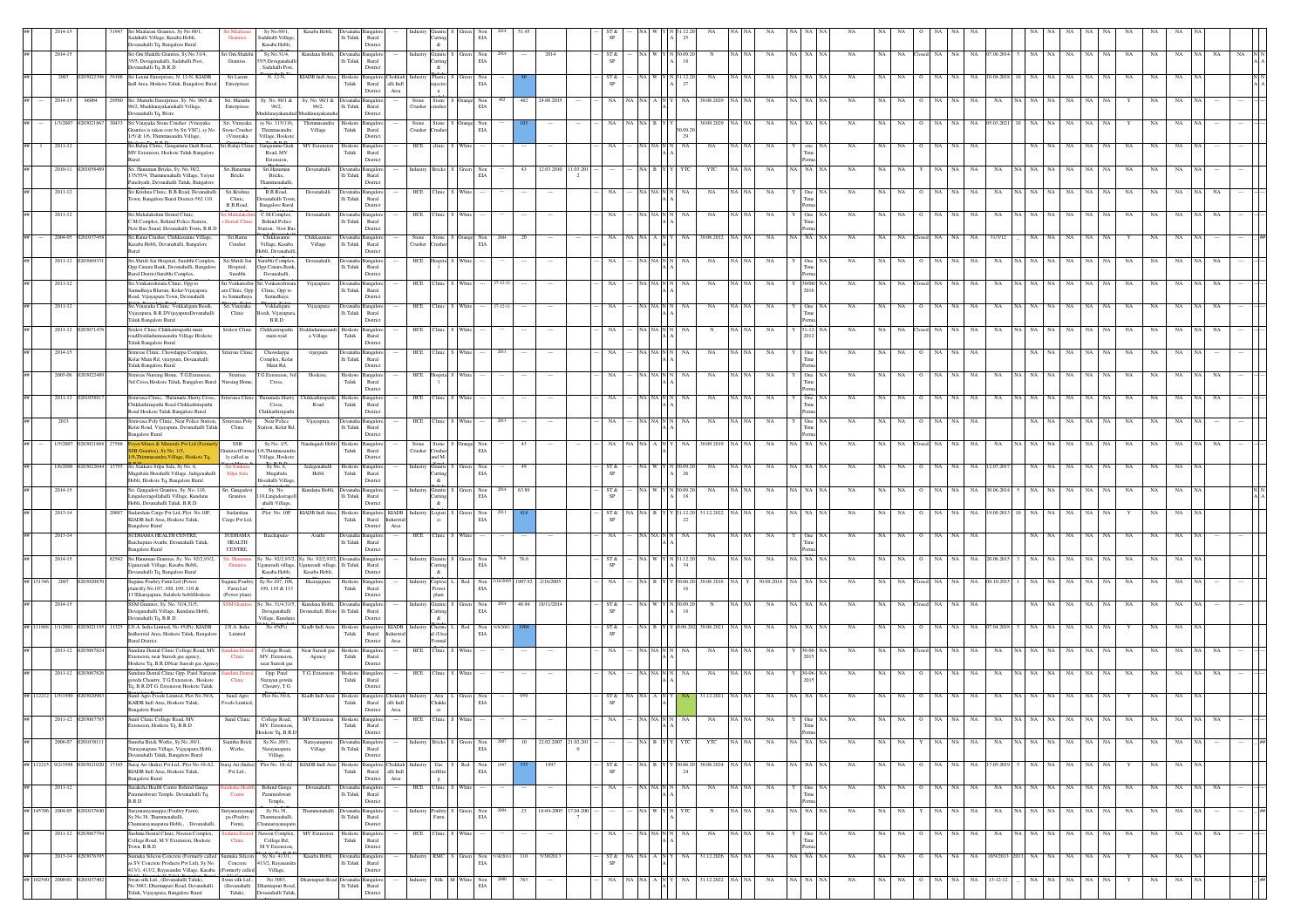|                    |                             |                   | Sri Maalarasi Granites, Sy No.69/1,<br>Sadahalli Village, Kasaba Hobli,<br>Devanahalli To, Bangalore Rural                     | Granites                                           | Sy No.69/1,<br>Sadahalli Village<br>Kasaba Hobli.         | Kasaba Hobli,                                                                        | $\rm Ili$ Taluk                    | Rural<br>Distric                                                         |                  | utting<br>&                           | $_{\rm EIA}$                                                                                                            |               |                 |                                  |      |                                                                                                                         |                  |                  |          |             |                |             |    |             |               |     |     |                |                      |             |                    |           |             |             |  |
|--------------------|-----------------------------|-------------------|--------------------------------------------------------------------------------------------------------------------------------|----------------------------------------------------|-----------------------------------------------------------|--------------------------------------------------------------------------------------|------------------------------------|--------------------------------------------------------------------------|------------------|---------------------------------------|-------------------------------------------------------------------------------------------------------------------------|---------------|-----------------|----------------------------------|------|-------------------------------------------------------------------------------------------------------------------------|------------------|------------------|----------|-------------|----------------|-------------|----|-------------|---------------|-----|-----|----------------|----------------------|-------------|--------------------|-----------|-------------|-------------|--|
|                    | 2014-15                     |                   | Sri Om Shakthi Granites, Sy.No.31/4,<br>35/5. Devaganahalli, Sadahalli Post.<br>Devanahalli Tq, B.R.D.                         | Sri Om Shakthi<br>Granites.                        | Sy.No.31/4,<br>35/5.Devaganahall<br>Sadahalli Post        | Kundana Hobli,                                                                       | Ili Taluk                          | Rural<br>District                                                        |                  | <b>Iranite</b><br>utting<br>$\alpha$  | $\begin{tabular}{ll} Green & Non\\ ELA \\ \end{tabular}$                                                                |               | 2014            |                                  | ST & |                                                                                                                         | N 30.09.         |                  | NA NA    | NA          | NA   NA        | <b>NA</b>   | NA | NA.         | NA.           |     | NA. | 7.06.2014      | NA<br>NA             | NA          | $_{\rm NA}$        | NA        | NA          | NA          |  |
|                    | 2007                        |                   | 108 Sri Laxmi Enterprises, N. 12-N, KIADB<br>Indl Area. Hoskote Taluk, Bangalore Rural                                         | Sri Laxmi<br>Enterprises                           | N. 12-N.                                                  | KIADB Indl Area. Hoskots                                                             | Taluk                              | ingalore Chokkab<br>Rural alli Indi                                      |                  | Plastic<br>njectio                    | Non<br>$_{\rm EIA}$                                                                                                     |               |                 |                                  | ST & |                                                                                                                         |                  | NA               |          |             |                |             |    |             |               |     |     |                |                      |             |                    |           |             |             |  |
|                    | 2014-15                     |                   | 9560 Sri. Maruthi Enterprises, Sy. No. 96/1 &<br>96/2, Muddanayakanahalli Village,                                             | Sri. Maruthi<br>Enterprises                        | Sy. No. 96/1 &<br>96/2,                                   | Sy. No. 96/1 & Devana<br>96/2,                                                       | $\rm{Hi}$ Taluk                    | District<br>Area<br>angalo<br>Rural                                      | Stone<br>Crusher | $\mathbf{a}$<br>Stone<br>crusher      | Orange Non<br>$_{\rm EIA}$                                                                                              | 482           | 24.06.201       |                                  |      |                                                                                                                         |                  | 30.06.2029       |          |             |                |             |    |             |               |     |     |                |                      |             |                    |           |             |             |  |
| ##                 | 1/3/2007 02030218           |                   | Devanahalli Tq, Blore<br>30433 Sri Vinayaka Stone Crusher (Vinayaka<br>Granites is taken over by Sri VSC), sy No.              | Sri. Vinayaka<br>Stone Crusher                     | sy No. 115/116<br>Thimmasandra                            | Thimmasandra<br>Village                                                              | Hoskote Bangalon<br>${\rm T}$ aluk | District<br>Rural                                                        | Stone<br>Crusher |                                       | Stone S Orange Non<br>Crusher EIA                                                                                       |               |                 |                                  |      |                                                                                                                         |                  | 30.09.2029       | NA NA    | NA          | IA I NA        |             |    |             |               |     |     |                |                      |             |                    |           |             |             |  |
| $##$ 1             | 2011-12                     |                   | 1/5/ & 1/6, Thimmasandra Village,<br>Sri Balaji Clinic, Gangamma Gudi Road,                                                    | (Vinayaka<br>Sri.Balaji Clinic                     | Village, Hoskote<br>Gangamma Gud                          | <b>MV</b> Extensio                                                                   | loskote                            | District<br>Bangalor                                                     | HCE              | :linic                                |                                                                                                                         |               |                 |                                  |      |                                                                                                                         |                  | NA               |          |             |                |             |    |             |               |     |     |                |                      |             |                    |           |             |             |  |
|                    | 2010-11                     |                   | MV Extension, Hoskote Taluk Bangalon<br>Rural<br>Sri. Hanuman Bricks, Sy. No.38/2,                                             | Sri.Hanumar                                        | Road, MV<br>Extension,<br>Sri.Hanuman                     | Devanahalli                                                                          | ${\rm T}$ aluk                     | Rural<br>District<br>langalo                                             |                  | <b>Bricks</b>                         | Green<br>Non                                                                                                            | 43            | 12.03.2010      | 1.03.20                          |      |                                                                                                                         |                  | YTC              |          | NA          | N <sub>A</sub> | NA          |    |             |               |     |     |                |                      |             |                    |           |             |             |  |
|                    | 2011-12                     |                   | 135/55/4, Thammenahalli Village, Yeiyi<br>Panchyath, Devanahalli Taluk, Bangalore<br>Sri Krishna Clinic, B.B.Road, Devanahalli | Bricks<br>Sri.Krishna                              | Bricks,<br>Thammenahall<br>B.B.Road,                      | Devanahalli                                                                          | lli Taluk                          | Rural<br>Distric<br>Devanaha Bangalon                                    | HCE              | linic                                 | EIA<br>White                                                                                                            |               |                 |                                  |      |                                                                                                                         |                  | NA               | $NA$ $N$ | NA          | One            | NA          |    |             |               |     | NA  |                |                      |             | NA                 |           | NA          |             |  |
|                    |                             |                   | Town, Bangalore Rural District-562 110.<br>Sri.Mahalakshmi Dental Clinic.                                                      | Clinic.<br>B.B.Road.                               | Devanahalli Tow<br><b>Bangalore Rural</b><br>C.M.Complex, | Devanahall                                                                           | Ili Taluk                          | Rural<br>District<br>nealo                                               | HCE              | linic.                                | White                                                                                                                   |               |                 |                                  |      |                                                                                                                         |                  |                  | NA NA    |             |                |             |    |             |               |     |     |                |                      |             |                    |           |             |             |  |
|                    | 2011-12                     |                   | C.M.Complex. Behind Police Station<br>New Bus Stand, Devanahalli Town, B.R.D                                                   | ental Cli                                          | <b>Behind Police</b><br>Station, New Bu                   |                                                                                      | lli Taluk                          | Rural<br>Distric                                                         |                  |                                       |                                                                                                                         |               |                 |                                  |      |                                                                                                                         |                  | NA               |          | <b>NA</b>   | One            | NA          |    |             |               |     |     |                |                      |             | NA                 | <b>NA</b> | NA          |             |  |
|                    | 2004-05 0201037             |                   | Sri.Rama Crusher, Chikkasanne Village,<br>Kasaba Hobli, Devanahalli, Bangalore                                                 | Sri.Rama<br>Crusher                                | Chikkasanne<br>Village, Kasaba<br>Hobli, Devanahalli,     | Chikkasanne<br>Village                                                               | Devanaha Bangalor<br>lli Taluk     | Rural<br>District                                                        | Stone<br>Crusher |                                       | Stone S Orange Non<br>Crusher EIA                                                                                       |               |                 |                                  |      |                                                                                                                         | NA.              | 30.06.2012 NA NA |          | NA          | A NA NA        | NA          |    | NA.         | NA            | NA. | NA  | 31/3/12        |                      |             | NA                 |           | NA          |             |  |
|                    | 2011-12 02030               |                   | Sri.Shridi Sai Hospital, Surabhi Complex,<br>Opp.Canara Bank, Devanahalli, Bangalore<br>Rural DistrictSurabhi Complex,         | Sri Shridi Sai<br>Hospital,<br>Surabhi             | Surabhi Complex.<br>Opp.Canara Bank<br>Devanahalli,       | Devanahal                                                                            | lli Taluk                          | nealo<br>Rural<br>District                                               | HCE              | iospita                               |                                                                                                                         |               |                 |                                  |      |                                                                                                                         |                  | NA               | NA I NA  | NA          | One            | NA          |    |             |               |     |     |                |                      |             |                    |           |             |             |  |
|                    | 2011-12                     |                   | Sri. Venkateshwara Clinic, Opp to<br>Samudhaya Bhavan, Kolar-Vijayapura<br>Road, Vijayapura Town, Devanahalli                  | Sri. Venkateshw<br>ara Clinic, Opp<br>to Samudhaya | Sri. Venkateshwar<br>Clinic, Opp to<br>Samudhaya          | Vijayapura                                                                           | $\rm Ili$ Taluk                    | angalo<br>Rural<br>Distric                                               | HCE              |                                       |                                                                                                                         |               |                 |                                  |      |                                                                                                                         |                  | NA               |          |             |                |             |    |             |               |     |     |                |                      |             |                    |           |             |             |  |
|                    | 2011-12                     |                   | Sri. Vinayaka Clinic Vokkaligara Beedi,<br>Vijayapura, B.R.DVijayapuraDevanahalli                                              | Sri. Vinayaka<br>Clinic                            | Vokkaligara<br>Beedi, Vijayapur                           | Vijayapura                                                                           | lli Taluk                          | angalo<br>Rural                                                          | HCE              | <b>linic</b>                          |                                                                                                                         |               |                 |                                  |      |                                                                                                                         |                  | $_{\rm NA}$      |          | NA          |                | NA          |    |             |               |     |     |                |                      |             |                    |           | NA          |             |  |
|                    | 2011-12                     |                   | Taluk Bangalore Rural<br>Sridevi Clinic Chikkatirupathi main<br>roadDoddadunnasandra Village Hoskote<br>Taluk Bangalore Rural  | Sridevi Clinic                                     | B.R.D<br>Chikkatirupath<br>main road                      | a Village                                                                            | Hoskot<br>Taluk                    | Distric<br>ngalo<br>Rural                                                |                  |                                       |                                                                                                                         |               |                 |                                  |      |                                                                                                                         |                  |                  |          |             |                |             |    |             |               |     |     |                |                      |             |                    |           |             |             |  |
|                    | 2014-15                     |                   | Srinivas Clinic, Chowdappa Complex,<br>Kolar Main Rd, vijaypura, Devanahalli                                                   | Srinivas Clinic                                    | Chowdappa<br>Complex, Kolar                               | vijaypura                                                                            | Ili Taluk                          | District<br>Rural                                                        | HCE              | <b>Tinic</b>                          |                                                                                                                         |               |                 |                                  |      |                                                                                                                         |                  | NA               |          | NA          | One            |             |    |             |               |     |     |                |                      |             | NA                 |           |             |             |  |
|                    | 2005-06 020302              |                   | Taluk Bangalore Rural<br>Srinivas Nursing Home, T.G.Extension,<br>3rd Cross, Hoskote Taluk, Bangalore Rural                    | Sriniyas<br>Vursing Home,                          | Main Rd,<br>T.G.Extension, 3rd<br>Cross,                  | Hoskote.                                                                             | Hoskote Bangalon<br>Taluk Rural    | District                                                                 | HCE              | Hospita                               | White                                                                                                                   |               |                 |                                  |      |                                                                                                                         |                  | NA               | NA NA    | NA          | One            | <b>NA</b>   | NA | NA.         |               |     | NA  |                |                      |             | NA.                |           |             |             |  |
|                    | 2011-12 02                  |                   | Srinivasa Clinic, Thirumala Shetty Cross,                                                                                      |                                                    | Srinivasa Clinic Thirumala Shett                          | hikkathirupathi                                                                      | Hoskote                            | District<br>langalo                                                      | HCE              | linic                                 |                                                                                                                         |               |                 |                                  |      |                                                                                                                         |                  | NA               |          | NA          | One            |             |    |             |               |     |     |                |                      |             |                    |           |             |             |  |
|                    | 2013                        |                   | Chikkathirupathi Road Chikkathirupathi<br>Road Hoskote Taluk Bangalore Rural<br>Srinivasa Poly Clinic, Near Police Station,    | Srinivasa Poly                                     | Cross,<br>Chikkathirupath<br>Near Police                  | Road<br>Vijayapura                                                                   | ${\rm Taluk}$                      | Rural<br>District<br>nealo                                               | HCE              | "linic                                | White                                                                                                                   |               |                 |                                  |      |                                                                                                                         |                  | NA               | NA NA    | NA          | One            | <b>NA</b>   | NA | NA.         |               |     |     |                |                      |             | NA                 | NA        | NA          |             |  |
| ##                 | 1/5/2007                    | 02030218<br>27588 | Kolar Road, Vijayapura, Devanahalli Taluk<br><b>Bangalore Rural</b><br>oyer Mines & Minerals Pvt Ltd (Form                     | Clinic<br>SSB                                      | Station, Kolar Rd<br>Sy No. 1/5,                          | Nandugudi Hobli                                                                      | $\rm{Ili}$ Taluk<br>Hoskote        | Rural<br>Distric<br>Bangalor                                             |                  | Stone                                 | Orange Non                                                                                                              |               |                 |                                  |      |                                                                                                                         |                  | 30.09.2019       | NA NA    | NA          | I NA           | NA          | NA | $_{\rm NA}$ |               |     |     |                |                      |             | NA                 |           |             |             |  |
|                    |                             |                   | SB Granites), Sy No. 1/5,<br>6.Thimmasandra Village, Hoskote Tq<br>Sri Sankara Silpa Sala, Sy No. 6,                           | mites(Form<br>ly called as<br>ri<br>Sanka          | /6.Thimmasan<br>Village, Hoskote                          |                                                                                      | Taluk                              | Rural<br>District                                                        | Crushe           | rusher<br>and M-                      | EIA                                                                                                                     |               |                 |                                  |      |                                                                                                                         |                  |                  |          |             |                |             |    |             |               |     |     |                |                      |             |                    |           |             |             |  |
|                    | 1/6/2006                    |                   | Mugabala Hosahalli Village, Jadigenahall<br>Hobli, Hoskote Tq, Bangalore Rural                                                 | Silpa Sala                                         | Sy No. 6<br>Mugabala<br>Hosahalli Villas                  | Jadegenaha<br>Hobli                                                                  | Hoskot<br>Taluk                    | angalor<br>Rural<br>District                                             |                  | ranite<br>'utting<br>&                | Non<br>EIA                                                                                                              |               |                 |                                  |      |                                                                                                                         |                  | NA               |          |             |                |             |    |             |               |     |     |                |                      |             |                    |           |             |             |  |
|                    | 2014-15                     |                   | Sri. Gangadevi Granites, Sy. No. 110,<br>.ingadeeragollahalli Village, Kundana<br>Hobli, Devanahalli Taluk, B.R.D.             | Sri. Gangadev<br>Granites                          | Sy. No.<br>10,Lingadeerag<br>ahalli Village,              | Kundana Hobli                                                                        | Ili Taluk                          | ngalo<br>Rural<br>District                                               |                  | Granite<br>utting<br>&.               | $$\rm Non$ EIA                                                                                                          | 63.89<br>2014 |                 |                                  | ST & |                                                                                                                         | N 30.09.2        | NA               |          |             | A NA           | NA          |    |             |               |     |     |                |                      |             | NA                 |           | NA          |             |  |
|                    | 2013-14                     |                   | 20887 Sudarshan Cargo Pvt Ltd, Plot No.10F,<br>KIADB Indl Area, Hoskote Taluk,<br><b>Bangalore Rural</b>                       | Sudarshan<br>Cargo Pvt Ltd.                        | Plot No. 10F                                              | KIADB Indi Area, Hoskote Bangalore KIADB                                             | Taluk                              | Rural<br>Industria<br>Area<br>District                                   |                  | ogisti                                | Non<br>EIA                                                                                                              |               |                 |                                  | ST & |                                                                                                                         | 31.12.20         | 31.12.2022       | NA NA    | NA.         | IA I NA        | <b>NA</b>   |    |             |               |     |     |                |                      |             |                    |           | NA          | NA.         |  |
|                    | 2013-14                     |                   | SUDHAMA HEALTH CENTRE,<br>Baichapura-Avathi, Devanahalli Taluk,<br>ngalore Rural                                               | SUDHAMA<br><b>HEALTH</b><br><b>CENTRE</b>          | Baichapura-                                               | Avathi                                                                               | Devanaha<br>lli Taluk              | Bangalo<br>Rural<br>Distric                                              | HCE              | linic                                 | White                                                                                                                   |               |                 |                                  |      |                                                                                                                         |                  | NA               |          | <b>NA</b>   |                | NA          |    |             |               |     |     |                |                      |             |                    |           |             |             |  |
|                    | 2014-15                     |                   | 82542 Sri Hanuman Granites, Sy. No. 92/2,93/2,<br>Uganavadi Village, Kasaba Hobli,<br>Devanahalli Tq, Bangalore Rural          | ri. Hanumar<br>Granites                            | Jganavadi village,<br>Kasaba Hobli,                       | Sy. No. 92/2,93/2, Sy. No. 92/2,93/2, Devanal<br>Iganavadi village,<br>Kasaba Hobli, | lli Taluk                          | <b>Bangalor</b><br>Rural                                                 | Industry         | $\&$                                  | Granite S Green Non<br>Cutting EIA                                                                                      | 76.6          |                 |                                  | ST & |                                                                                                                         | V 31.12.20       | NA               |          | <b>NA</b>   | A NA NA        | <b>NA</b>   |    |             |               |     |     |                |                      |             |                    | <b>NA</b> | NA          |             |  |
|                    |                             |                   | Suguna Poultry Farm Ltd (Power<br>plant)Sy.No.107, 108, 109, 110 &                                                             | Suguna Poultry<br>Farm Ltd                         | Sy.No.107, 108<br>109, 110 & 113                          | Ekarajapura                                                                          | Hoskote<br>Taluk                   | District<br>Bangalo<br>Rural                                             |                  | Captive<br>Power                      | Non<br>$_{\rm EIA}$                                                                                                     |               |                 |                                  |      |                                                                                                                         |                  | 0.06.20          |          |             |                |             |    |             |               |     |     |                |                      |             |                    |           |             |             |  |
|                    | 2014-15                     |                   | 113Ekarajapura, Sulabele hobliHoskote<br>SSM Granites, Sy. No. 31/4,31/5,<br>Devaganahalli Village, Kundana Hobli,             | (Power plant)                                      | . No. 31/4,31/5,<br>Devaganahalli                         | Kundana Hobli.<br>Devanahall, Blore Ili Taluk                                        |                                    | Distric<br>angalo<br>Rural                                               |                  | plant<br>Granite<br>utting            | een Non<br>EIA                                                                                                          |               | 48.94 18/11/201 |                                  |      |                                                                                                                         |                  |                  |          |             |                |             |    |             |               |     |     |                |                      |             |                    |           |             |             |  |
|                    | ## 111868 1/1/2001 020      |                   | Devanahalli Tq, B.R.D.<br>1325 I.N.A. India Limited, No 45(Pi), KIADB<br>Indiustrial Area, Hoskote Taluk, Bangalon             | I.N.A. India<br>Limited                            | Village, Kundana<br>No 45(Pi)                             | Kiadb Indi Area Hoskote Bangalore KIADB<br>Taluk Rural Industrial                    |                                    | Distric                                                                  |                  | $\mathcal{R}^-$<br>Chemic<br>al (Urea | $\begin{tabular}{ll} Red & Non\\ ELA \end{tabular}$                                                                     |               |                 |                                  | ST & |                                                                                                                         | $Y$ $0.06.202$   | 30.06.2021       |          |             | I NA           | NA          |    |             |               |     |     |                |                      |             |                    |           |             |             |  |
|                    | 2011-12 0203067             |                   | Rural District.<br>Sundara Dental Clinic College Road, MV.                                                                     | idara Den                                          | College Road,                                             | Near Suresh gas                                                                      | Hoskote                            | District<br>Area<br>ngalo                                                | HCE              | armal<br><b>Tinic</b>                 |                                                                                                                         |               |                 |                                  |      |                                                                                                                         |                  | NA               |          | <b>NA</b>   |                | NA          |    |             |               |     |     |                |                      |             |                    |           |             |             |  |
|                    | 2011-12 02030678            |                   | Extension, near Suresh gas agency,<br>Hoskote Tq, B.R.DNear Suresh gas Agen<br>Sundara Dental Clinic Opp. Patel Narayan        | Clinic<br>ndara Den                                | MV. Extension<br>near Suresh gas<br>Opp. Patel            | Agency<br>T.G. Extension Hoskote Bangalore                                           | Taluk                              | Rural<br>District                                                        | HCE              | "linic                                |                                                                                                                         |               |                 |                                  |      |                                                                                                                         |                  | NA               | NA NA    | NA          | 30-06-NA       | NA          |    |             |               |     |     |                |                      |             | NA                 |           |             |             |  |
|                    | ## 112212 1/5/1990 020302   |                   | owda Choutry, T G Extension, Hoskote<br>Tq, B.R.DT.G. Extension Hoskote Taluk<br>Sunil Agro Foods Limited, Plot No.39/A,       | Clinic<br>Sunil Agro                               | Narayan gowda<br>Choutry, T G<br>Plot No.39/A,            |                                                                                      | ${\rm Taluk}$                      | Rural<br>District<br>Kiadb Indl Area Hoskote Bangalore Chokkal           |                  | Atta                                  | Non                                                                                                                     |               |                 |                                  |      |                                                                                                                         |                  | 31.12.2021       |          |             |                |             |    |             |               |     |     |                |                      |             |                    |           |             |             |  |
|                    |                             |                   | KAIDB Indl Area, Hoskote Taluk,<br><b>Bangalore Rural</b><br>Sunil Clinic Colleg                                               | Foods Limited,                                     | Sunil Clinic College Road                                 |                                                                                      | ${\rm Tauk}$                       | Rural<br>alli $\operatorname{Indl}$<br>District<br>$\operatorname{Area}$ |                  | `hakki<br>es                          | $_{\rm EIA}$                                                                                                            |               |                 |                                  |      |                                                                                                                         |                  |                  |          |             |                |             |    |             |               |     |     |                |                      |             |                    |           |             |             |  |
|                    |                             |                   | tension, Hoskote Tq, B.R.D                                                                                                     |                                                    | MV. Extension<br>Hoskote Tq, B.R.D                        |                                                                                      | ${\rm Taluk}$                      | Rural<br>District                                                        |                  |                                       |                                                                                                                         |               |                 |                                  |      |                                                                                                                         |                  |                  |          |             | Perr           |             |    |             |               |     |     |                |                      |             |                    |           |             |             |  |
| $\# \#$            | 2006-07 02010381            |                   | Sunitha Brick Works, Sy.No., 89/1,<br>iyanapura Village, Vijayapura Hobli,<br>Devanahalli Taluk, Bangalore Rural               | Sunitha Brick<br>Works,                            | Sy.No., 89/1,<br>Narayanapura<br>Village,                 | Narayanapura<br>Village                                                              | $\rm{Hi}$ Taluk                    | <b>Devanaha</b> Bangalore<br>Rural<br>District                           | ndustry          |                                       | Bricks S Green Non<br>EIA                                                                                               |               |                 | 22.02.2007 21.02.201<br>$\Omega$ |      | NA B Y Y                                                                                                                | YTC              | YTC              | NA NA    | $_{\rm NA}$ | $\rm NA-NA-NA$ | $_{\rm NA}$ | NA | NA          | NA            | NA  | NA  | NA             | NA NA NA             | $_{\rm NA}$ | $_{\rm NA}$<br>NA  | NA        | NA          | NA          |  |
| ## 112215 9/2/1998 |                             | 1502050           | 17145 Suraj Air (India) Pvt.Ltd., Plot No.10-A2.<br>KIADB Indl Area, Hoskote Taluk,<br>Bangalore Rural                         | šuraj Air (India)<br>Pvt.Ltd.,                     | Plot No. 10-A2                                            | KIADB Indi Area                                                                      | Hoskote<br>Taluk                   | <b>Bangalore</b> Chokkal<br>Rural<br>alli Indi<br>District<br>Area       |                  | Gas  <br>efillin                      | S Red<br>Non<br>EIA                                                                                                     |               | 199             |                                  | ST & |                                                                                                                         | Y 30.06.20<br>24 | 30.06.2024 NA NA |          | NA          | NA NA NA       | NA          | NA | NA.         | NA            |     | NA  | 1.05.201       |                      |             | NA<br>NA           |           | NA          | NA          |  |
| ##                 | 2011-12                     |                   | Suraksha Health Centre Behind Ganga<br>Parameshwari Temple, Devanahalli Tq,<br>B.R.D                                           | raksha Hea<br>Centre                               | <b>Behind Ganga</b><br>Parameshwari<br>Temple,            | Devanahal                                                                            | Ili Taluk                          | Devanaha Bangalore<br>Rural<br>District                                  | HCE              | "linic                                | White                                                                                                                   |               |                 |                                  |      | NA NA N                                                                                                                 | NA               | NA               | NA NA    | NA          | One            | NA          | NA | NA.         | NA            | NA. | NA  | NA             | NA NA NA             | NA          | NA<br><b>NA</b>    | <b>NA</b> | NA          | NA.         |  |
|                    | ## 145706 2004-05 02010376  |                   | Suryanarayanappa (Poultry Farm),<br>Sy.No.38, Thammenahalli,                                                                   | Suryanarayanap<br>pa (Poultry                      | Sy.No.38,<br>Thammenahalli                                | Thammenahalli Devanaha Bangalon                                                      | lli Taluk                          | Rural                                                                    | ndustry          |                                       | $\begin{tabular}{ll} \textbf{Poultry} & S & Green & Non \\ \textbf{Farm} & EIA \end{tabular}$                           | 23<br>2004    | 18-04-2005      | 17.04.200                        |      | NA W YN YTC                                                                                                             |                  | $_{\rm N}$       | NA NA    | NA          | NA NA NA       | <b>NA</b>   | NA | NA          | NA NA         |     | NA  | NA             | NA NA NA             | NA          | NA<br>-NA-L        | NA        | NA          | NA          |  |
|                    | 2011-12 020306              |                   | Channarayanapatna Hobli, , Devanahalli,<br>Sushma Dental Clinic, Naveen Complex,<br>College Road, M V Extension, Hoskote       | Farm),<br>hma Denta<br>Clinic                      | Channarayanapatı<br>Naveen Complex,<br>College Rd,        | MV Extnesion                                                                         | Hoskote Bangalor<br>Taluk          | District<br>Rural                                                        | HCE              | linic                                 | White                                                                                                                   |               |                 |                                  |      | NA NA N                                                                                                                 |                  | NA               | NA NA    | <b>NA</b>   | One            | <b>NA</b>   | NA | NA.         |               |     | NA  | NA             |                      | NA          | NA<br>NA           | NA        | NA          | NA          |  |
| ##                 | 2013-14 02030763            |                   | Town, B.R.D<br>umuka Silicon Concrete (Formerly called   Sumuka Silicon<br>is SV Concrete Products Pvt Ltd), Sy No.            | Concrete                                           | M V Extension<br>Sy No. 413/1,<br>413/2, Rayasand         | Kasaba Hobli.                                                                        | Devanaha<br>$\rm{Ili}$ Taluk       | District<br>Bangalor<br>Rural                                            | ndustry          |                                       | RMC S Green Non<br>$_{\rm EIA}$                                                                                         | 110           | 5/30/2013       |                                  | ST & | $\overline{\text{NA}}$   $\overline{\text{NA}}$   $\overline{\text{A}}$   $\overline{\text{N}}$   $\overline{\text{Y}}$ | NA               | 31.12.2026 NA NA |          | NA          | NA NA NA       | <b>NA</b>   | NA | NA.         | NA<br>$\circ$ | NA  | NA  |                | 10/9/2013 2013 NA NA | NA          | $_{\rm NA}$<br>NA. | Y         | NA          | NA          |  |
|                    | ## 102540 2000-01 020103740 |                   | 413/1, 413/2, Rayasandra Village, Kasaba<br>Swan silk Ltd., (Devanahalli Taluk),                                               | (Formerly called<br>Swan silk Ltd.,                | Village,<br>No.3083,                                      | <b>Oharmapuri Road</b> Devan                                                         |                                    | $\it District$<br>Bangalo                                                |                  |                                       | $\begin{tabular}{ll} \hline \textbf{Si} & \textbf{M} & \textbf{White} & \textbf{Non} \\ & \textbf{EIA} & \end{tabular}$ | 763           |                 |                                  | NA   | $\mathbf{NA}$ $\mathbf{NA}$ $\mathbf{A}$ $\mathbf{N}$ $\mathbf{Y}$                                                      | NA               | 31.12.2022 NA NA |          | $_{\rm NA}$ | NA NA NA       | $_{\rm NA}$ | NA | $_{\rm NA}$ | NA            | NA  | NA  | $13 - 12 - 12$ | NA<br>$_{\rm NA}$    | $_{\rm NA}$ | $_{\rm NA}$<br>NA  |           | $_{\rm NA}$ | $_{\rm NA}$ |  |
|                    |                             |                   | No.3083, Dharmapuri Road, Devanahalli<br>Taluk, Vijayapura, Bangalore Rural                                                    | Taluk),                                            | (Devanahalli Dharmapuri Road,<br>Devanahalli Taluk        |                                                                                      | $\rm{Hi}$ Taluk                    | Rural<br>Distric                                                         |                  |                                       |                                                                                                                         |               |                 |                                  |      |                                                                                                                         |                  |                  |          |             |                |             |    |             |               |     |     |                |                      |             |                    |           |             |             |  |

District.

Vijayapura,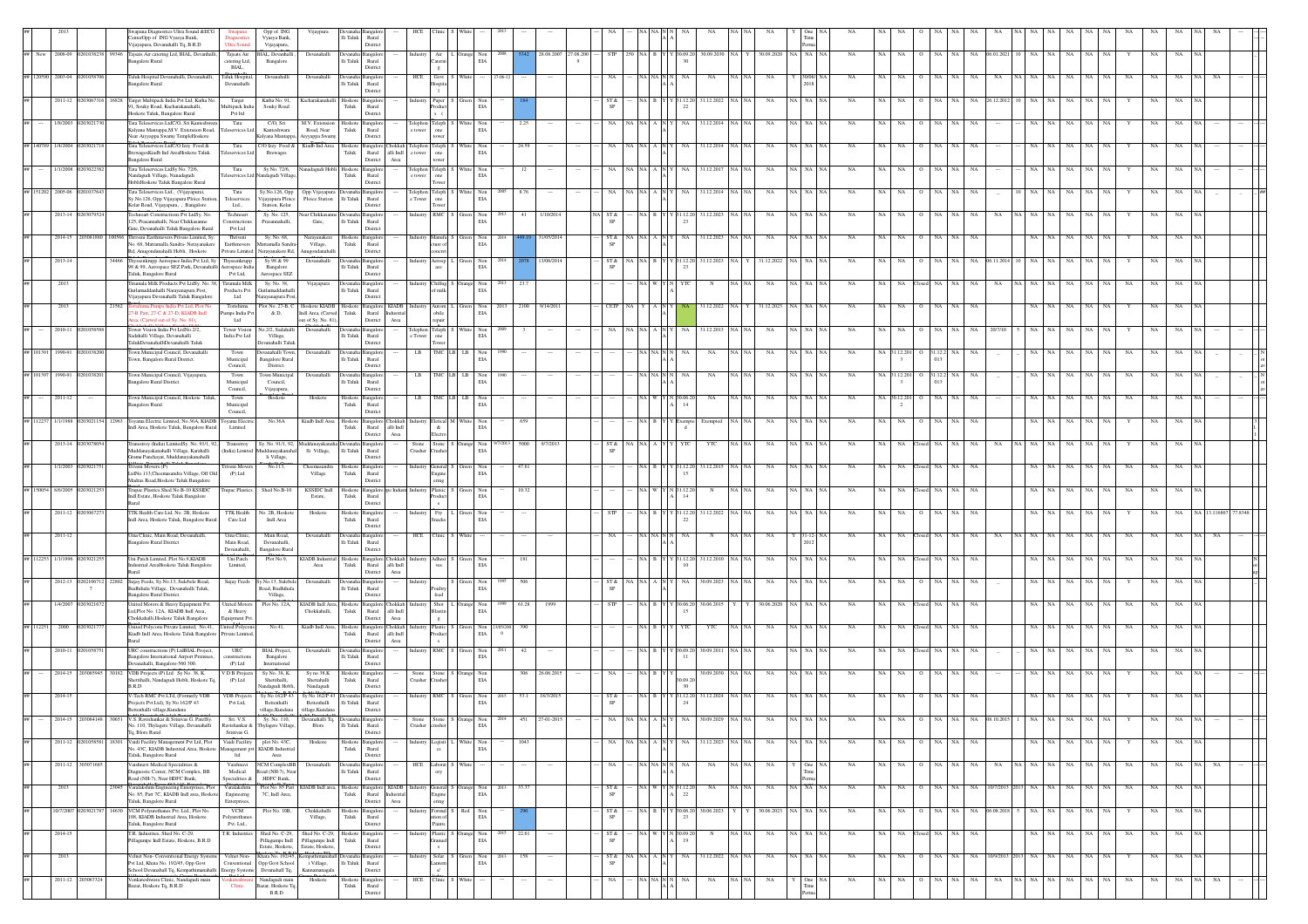|                   |                 |                             | sstics Ultra Sound &EC<br>enterOpp of ING Vyasya Bank,<br>ijayapura, Devanahalli Tq, B.R.D                                 | Ultra Soun                                | Opp of ING<br>Vyasya Bank,<br>Vijayapura,             |                                                        | Ili Taluk Rural<br>Distric                                    |                                               |                                                                                                                                                                                   |                                 |                                                                        |      |                         |             |                  |            |                              |                        |           |             |                     |                    |                     |               |                 |                   |          |                   |             |            |             |            |    |  |
|-------------------|-----------------|-----------------------------|----------------------------------------------------------------------------------------------------------------------------|-------------------------------------------|-------------------------------------------------------|--------------------------------------------------------|---------------------------------------------------------------|-----------------------------------------------|-----------------------------------------------------------------------------------------------------------------------------------------------------------------------------------|---------------------------------|------------------------------------------------------------------------|------|-------------------------|-------------|------------------|------------|------------------------------|------------------------|-----------|-------------|---------------------|--------------------|---------------------|---------------|-----------------|-------------------|----------|-------------------|-------------|------------|-------------|------------|----|--|
|                   |                 |                             | New 2008-09 0201038238 99346 Tajsats Air catering Ltd, BIAL, Devanhalli,<br>angalore Rural                                 | catering Ltd,                             | Tajsats Air BIAL, Devanhalli<br>Bangalore             | Devanahalli                                            | Devanaha Bangalo<br>li Taluk<br>Rural                         |                                               | Industry                                                                                                                                                                          | Air L Orange Non<br>Caterin EIA |                                                                        |      | 28.08.2007<br>27.08.200 |             | $STP$ 250 NA B Y |            |                              | 30.09.20 30.09.2030 NA |           |             | 30.09.2020 NA NA NA | <b>NA</b><br>NA.   | <b>NA</b>           | NA<br>NA.     | NA              | 06.01.2021 10     | NA       | NA.<br>NA.        | NA          | NA         | NA          | NA         |    |  |
|                   | 2003-04         |                             | Taluk Hospital Devanahalli, Devanahalli                                                                                    | BIAL,<br>Taluk Hospital,                  | Devanahalli                                           | Devanahal                                              | Distric<br><b>Jevana</b>                                      |                                               | HCE<br>Govt                                                                                                                                                                       |                                 |                                                                        |      |                         |             |                  |            |                              | NA                     |           | NA          |                     |                    |                     |               |                 |                   |          |                   |             |            |             |            |    |  |
|                   | 2011-12         | 16828                       | angalore Rural<br>Target Multipack India Pvt Ltd, Katha No                                                                 | Devanahalli<br>Target                     | Katha No. 91                                          | .<br>Gacharakan                                        | li Taluk<br>Rural<br>Distric<br>Hoskote                       | angalor                                       | Paper                                                                                                                                                                             |                                 |                                                                        |      |                         |             | ST &             |            |                              | 1.12.202               |           |             | A NA                |                    |                     |               |                 |                   |          |                   |             |            |             |            |    |  |
|                   |                 |                             | I, Souky Road, Kacharakanahalli,<br>loskote Taluk, Bangalore Rural                                                         | Multipack India<br>Pvt ltd                | Souky Road                                            |                                                        | ${\rm Taluk}$<br>Rural<br>Distric                             |                                               |                                                                                                                                                                                   |                                 | $_{\rm EIA}$                                                           |      |                         |             |                  |            |                              |                        |           |             |                     |                    |                     |               |                 |                   |          |                   |             |            |             |            |    |  |
|                   | 1/8/2003        |                             | Tata Teleservices LtdC/O, Sri Kanteshwara<br>Kalyana Mantappa, M.V. Extension Road,                                        | Tata<br>ervices Lt                        | C/O, Sri<br>Kanteshwara                               | M.V. Extensi<br>Road, Near                             | Hoskote<br><b>Bangalor</b><br>Taluk<br>Rural                  |                                               | Felephon Teleph<br>e towe                                                                                                                                                         |                                 | Non<br>EIA                                                             |      | 2.25                    |             |                  |            |                              | 31.12.201              |           | NA          | NA                  |                    |                     |               |                 |                   |          |                   |             |            |             |            |    |  |
|                   | 140789 1/4/2004 |                             | Near Aiyyappa Swamy TempleHoskote<br>ata Teleservices LtdC/O Izzy Food &                                                   | Tata<br>eservices Lt                      | Kalyana Mantapp<br>C/O Izzy Food &                    | kiyyappa Swamy<br>Kiadb Ind Area                       | Distric<br>Hoskote Bangalore                                  | hokkah                                        | Felephon Teleph<br>one                                                                                                                                                            |                                 | Non                                                                    |      | 24.59                   |             |                  |            |                              | 31.12.2014             |           | NA          | A   NA              |                    |                     |               |                 |                   |          |                   |             |            |             |            |    |  |
|                   | 1/1/2008        | 2030223                     | ewagesKiadb Ind AreaHoskote Taluk<br><b>Bangalore Rural</b><br>Tata Teleservices LtdSy No. 72/6,                           | $\operatorname{Tata}$                     | Brewages<br>Sy No. 72/6,                              | anadagudi Hobli Hoskot                                 | Taluk<br>District<br><b>Bangalor</b>                          | Rural<br>alli Indl<br>Area                    | e tower<br>ower<br>Felephon Teleph                                                                                                                                                |                                 | EIA                                                                    |      | 12                      |             | NA               |            | NA                           | 31.12.2017             |           | NA          | NA NA               | NA<br>NA           | <b>NA</b>           | NA<br>NA.     | NA              |                   |          | NA                | NA          |            | NA          | NA         |    |  |
|                   |                 |                             | andagudi Village, Nanadagudi<br>HobliHoskote Taluk Bangalore Rural                                                         | services Lt                               | ındagudi Villag                                       |                                                        | Taluk<br>Rural<br>Distric                                     |                                               | e towe<br>one<br>ower                                                                                                                                                             |                                 | White Non<br>EIA                                                       |      |                         |             |                  |            |                              |                        |           |             |                     |                    |                     |               |                 |                   |          |                   |             |            |             |            |    |  |
| ## 151202 2005-06 |                 | 010376                      | Tata Teleservices Ltd., (Vijayapura),<br>Sy.No.126, Opp Vijayapura Ploice Station<br>Colar Road, Vijayapura, , Bangalore   | Tata<br>Teleservices<br>Ltd.,             | Sy.No.126, Opp<br>'ijayapura Ploice<br>Station, Kolar | Opp Vijayapura Devanaha Bangalon<br>Ploice Station     | lli Taluk<br>Rural<br>Distric                                 |                                               | Telephon Teleph<br>e Tower one                                                                                                                                                    |                                 | White Non<br>$_{\rm EIA}$                                              | 200  | 8.76                    |             | NA               |            | NA                           | 31.12.2014             |           | NA          | NA   NA             | <b>NA</b><br>NA    | NA.                 | NA<br>NA.     | NA              |                   |          | NA                | NA          |            | NA          |            |    |  |
|                   |                 | 2013-14 02030795            | Technoart Constructions Pvt LtdSy. No<br>25, Prasannahalli, Near Chikkasanne                                               | Technoart<br>Construction                 | Sy. No. 125,<br>Prasannahalli,                        | rar Chikkasar<br>Gate,                                 | langalo<br>lli Taluk<br>Rural                                 |                                               | RMC S<br>ndustry                                                                                                                                                                  |                                 | ireen Non<br>$_{\rm EIA}$                                              |      | 1/10/2014<br>41         | A ST&<br>SP |                  |            | -23                          | 31.12.2023             |           | NA          |                     | NA.                |                     |               |                 |                   |          |                   |             |            | NA.         |            |    |  |
|                   | 2014-15         | 20308188                    | ate, Devanahalli Taluk Bangalore Rural<br>Thriveni Earthmovers Private Limited, Sy.                                        | Pvt Ltd<br>Thriveni                       | Sy. No. 68,                                           | Narayanakere                                           | Distric<br>Hoskote Bangalor                                   |                                               | ndustry Manufa S                                                                                                                                                                  |                                 | Green Non                                                              |      | 31/05/2014              | ST &        |                  | NA   A   N | NA                           | 31.12.2023             |           | NA          | ia I na             | NA<br>NA           | NA.                 | NA            | NA              |                   |          | NA                | NA          |            | NA          |            |    |  |
|                   |                 |                             | vo. 68, Mattamalla Sandra- Nerayanakere<br>d, Anugondanahalli Hobli, Hoskote                                               | Earthmovers<br>Private Limited            | attamalla Sandra<br>rayanakere Rd,                    | Village,<br>nugondanahall                              | ${\rm Taluk}$<br>Rural<br>District                            |                                               | re o                                                                                                                                                                              |                                 | $_{\rm EIA}$                                                           |      |                         |             |                  |            |                              |                        |           |             |                     |                    |                     |               |                 |                   |          |                   |             |            |             |            |    |  |
|                   | 2013-14         |                             | hyssenkrupp Aerospace India Pvt Ltd, Sy<br>98 & 99, Aerospace SEZ Park, Devanahal<br>Taluk, Bangalore Rural                | Thyssenkrupp<br>rospace India<br>Pvt Ltd, | Sy 98 & 99<br>Bangalore<br>Aerospace SEZ              | Devanahalli                                            | angalo<br>lli Taluk<br>Rural<br>District                      |                                               | Aerosp                                                                                                                                                                            |                                 | $\begin{tabular}{ll} \bf{reen} & \bf{Non} \\ \bf{EIA} & \end{tabular}$ |      | 13/06/2014              |             | ST &             |            | $\mathcal{D}^{\dagger}$      | 1.12.202               |           | 1.12.2022   |                     |                    |                     |               |                 |                   |          |                   |             |            |             |            |    |  |
|                   | 2013            |                             | irumala Milk Products Pvt LtdSy. No. 38<br>kutlamuddanhalli Narayanapura Post,                                             | Tirumala Milk<br>Products Pvt             | Sy. No. 38,<br>iutlamuddanhall                        | Vijayapura                                             | langalo<br>lli Taluk<br>Rural                                 |                                               | ustry Chillng<br>of milk                                                                                                                                                          |                                 | ange Non<br>EIA                                                        |      |                         |             |                  |            |                              |                        |           |             |                     |                    |                     |               |                 |                   |          |                   |             |            |             |            |    |  |
|                   | 2013            | 21562                       | 'iiavapura Devanahalli Taluk Bangalore<br>shima Pumps India Pvt Ltd, Plot Ne                                               | Ltd<br>Torishima                          | rayanapura Pos<br>Plot No. 27-B, C                    | Hoskote KIADB Hoskote Bangalore KIADB Industry Autom I | Distric                                                       |                                               |                                                                                                                                                                                   |                                 | $\begin{tabular}{ll} Green & Non\\ EIA & \end{tabular}$                | 2013 | 2100<br>9/14/2011       |             | CETP             |            |                              | 31.12.2022             |           | 31.12.2023  | NA NA               | NA<br>NA           | <b>NA</b>           | NA<br>NA.     | NA              |                   |          | NA                | NA          |            | $_{\rm NA}$ | NA         |    |  |
|                   |                 |                             | 7-B Part, 27-C & 27-D, KIADB Indi<br>ea. (Carved out of Sv. No. 81).                                                       | .<br>Pumps India Pvt<br>Ltd               | & D,                                                  | Indl Area, (Carved Taluk<br>ut of Sv. No. 81).         | Rural<br>District                                             | Industria<br>Area                             | obile<br>vnair                                                                                                                                                                    |                                 |                                                                        |      |                         |             |                  |            |                              |                        |           |             |                     |                    |                     |               |                 |                   |          |                   |             |            |             |            |    |  |
|                   | 2010-11         |                             | ower Vision India Pvt LtdNo.2/2,<br>Sadahalli Village, Devanahalli<br>TalukDevanahalliDevanahalli Taluk                    | <b>Tower Vision</b><br>India Pvt Ltd      | Vo.2/2. Sadaha<br>Village.<br>evanahalli Talu         | Devanahall                                             | lli Taluk Rural<br>Distric                                    |                                               | <b>Teleph</b><br>elephon<br>one<br>e Tower                                                                                                                                        |                                 | Non<br>$_{\rm EIA}$                                                    |      |                         |             |                  |            |                              | 31.12.20               |           | NA          |                     |                    |                     |               |                 |                   |          |                   |             |            |             |            |    |  |
| 101391            | 1990-91         |                             | Town Municipal Council, Devanahalli<br>own, Bangalore Rural District                                                       | Town<br>Municipal                         | evanahalli Town<br>Bangalore Rural                    | Devanahall                                             | Devanaha<br>angalo<br>Ili Taluk<br>Rural                      |                                               | $_{LB}$                                                                                                                                                                           | <b>TMC</b> LB                   | Non<br>$_{\rm EIA}$                                                    |      |                         |             |                  |            |                              | NA                     |           | NA          |                     |                    | NA 31.12.20         | 1.12.2<br>013 |                 |                   |          |                   |             |            |             |            |    |  |
| 101397            | 1990-91         | 1010382                     | Town Municipal Council, Vijayapura,                                                                                        | Council,<br>Town                          | District.<br>Fown Municipal                           | Devanahall                                             | Distric<br>Devanaha<br>angalo                                 |                                               | LB                                                                                                                                                                                | TMC LB LB                       | Non                                                                    |      |                         |             |                  |            |                              | NA                     |           | NA          |                     | NA                 | NA 31.12.201        | 1.12.2        | NA              |                   |          |                   |             | NA         |             |            |    |  |
|                   | 2011-12         |                             | angalore Rural District<br>Town Municipal Council, Hoskote Taluk                                                           | Municipal<br>Council,<br>Town             | Council,<br>Vijayapura,<br>Hoskote                    | Hoskote                                                | $\rm{li}$ Taluk<br>Rural<br>District<br>Bangalor<br>Hoskote   |                                               | $_{LB}$                                                                                                                                                                           |                                 | $_{\rm EIA}$                                                           |      |                         |             |                  |            |                              |                        |           |             |                     | NA                 | 30.12.20            | 013           |                 |                   |          |                   |             |            |             |            |    |  |
|                   |                 |                             | angalore Rural                                                                                                             | Municipal<br>Council,                     |                                                       |                                                        | ${\rm Taluk}$<br>$\mathop{\rm Rural}\nolimits$<br>Distric     |                                               |                                                                                                                                                                                   |                                 | $_{\rm EIA}$                                                           |      |                         |             |                  |            |                              |                        |           |             |                     |                    |                     |               |                 |                   |          |                   |             |            |             |            |    |  |
| 12237             | 1/1/1988        | 103021154<br>12963          | Toyama Electric Limited, No.36A, KIADB Toyama Electric<br>dl Area, Hoskote Taluk, Bangalore Rural                          | Limited                                   | No.36A                                                | Kiadb Indl Are                                         | Hoskote<br>Taluk<br>District                                  | Bangalore Chokkah<br>Rural<br>alli Indi       | letical <sup>N</sup>                                                                                                                                                              |                                 | $\mbox{Non}$<br>EIA                                                    |      |                         |             |                  |            |                              | Exempted               |           | $_{\rm NA}$ | NA NA               | $_{\rm NA}$<br>NA  | NA                  |               | NA              |                   |          | ŃА                |             |            | NA          |            |    |  |
|                   | 2013-14         |                             | ransstroy (India) LimitedSy. No. 91/1, 92,<br>fuddanayakanahalli Village, Karahalli                                        | Transstroy<br>(India) Limited             | Sy. No. 91/1, 92,<br>luddanayakanah                   | addanayak:<br>lli Village                              | ha Bangalo<br>lli Taluk<br>Rural                              | Area                                          | Ston<br>Crusher<br>ushe                                                                                                                                                           |                                 | Orange Non<br>EIA                                                      |      | 5000<br>9/7/201         |             | ST &             |            | YTC                          | YTC                    |           | NA          | NA NA               | NA<br>NA           | NA.                 | NA<br>NA.     | NA              | NA                | NA NA    | NA                | NA          |            | NA          |            |    |  |
|                   | 1/1/2003        | 1203021                     | irama Panchayat, Muddanayakanahalli<br>Tiveni Movers (P)                                                                   | Triveni Moyer                             | li Village,<br>No.113,                                | Cheemasandra                                           | Distric<br>Hoskote                                            | ngalo                                         | eneral :                                                                                                                                                                          |                                 | n Non                                                                  |      | 47.61                   |             |                  |            | 11 12 20                     | 31.12.2013             |           | NA          | NA NA               | <b>NA</b><br>NA    | NA.                 | NA            | <b>NA</b><br>NA |                   | NA       | NA                | NA          | NA.<br>NA  | NA.         | NA         |    |  |
|                   |                 |                             | LtdNo.113,Cheemasandra Village, Off Old<br>Madras Road, Hoskote Taluk Bangalore                                            | (P) Ltd                                   |                                                       | Village                                                | Taluk<br>Rural<br>Distric                                     |                                               | xing                                                                                                                                                                              |                                 | $_{\rm EIA}$                                                           |      |                         |             |                  |            | 1 <sup>6</sup>               |                        |           |             |                     |                    |                     |               |                 |                   |          |                   |             |            |             |            |    |  |
|                   | 150054 8/6/2005 | 2030212                     | Fupac Plastics.Shed No.B-10 KSSIDC<br>ndl Estate, Hoskote Taluk Bangalore                                                  | <b>Trupac Plastics.</b>                   | Shed No.B-10                                          | KSSIDC Indi<br>Estate,                                 | Hoskote Bangalore ppe Indus<br>Taluk<br>Rural<br>Distric      |                                               | Platsic<br>Industr<br>xluc                                                                                                                                                        |                                 | Green Non<br>$_{\rm EIA}$                                              |      | 10.32                   |             |                  | A I W      | 31.12.20<br>14               |                        |           | NA          | NA NA               | <b>NA</b><br>NA    | NA.                 | osed NA       | NA<br>NA        |                   | NA 1     | NA<br>NA.         | NA          | NA<br>NA   | NA          | NA         |    |  |
|                   |                 | 2011-12 02030672            | ITK Health Care Ltd, No. 2B, Hoskote<br>ndl Area, Hoskote Taluk, Bangalore Rural                                           | <b>TTK Health</b><br>Care Ltd             | io. 2B, Hosko<br>Indi Area                            | Hoskote                                                | Hoskot<br>langalo<br>Taluk<br>Rural                           |                                               | Fry                                                                                                                                                                               |                                 | en Non<br>$_{\rm EIA}$                                                 |      |                         |             |                  |            | -22                          | 31.12.202              |           | NA          |                     | NA.                |                     |               |                 |                   |          |                   |             |            |             |            |    |  |
|                   | 2011-12         |                             | Uma Clinic, Main Road, Devanahalli,                                                                                        | Uma Clinic,                               | Main Road,                                            | Devanahall                                             | District<br>angalo                                            |                                               | HCE                                                                                                                                                                               |                                 |                                                                        |      |                         |             |                  |            |                              |                        |           | NA          |                     | NA                 |                     |               |                 |                   |          |                   |             |            |             |            |    |  |
|                   |                 |                             | angalore Rural District                                                                                                    | Main Road,<br>Devanahalli,                | Devanahalli,<br><b>Bangalore Rural</b>                |                                                        | li Taluk<br>Rural<br>Distric                                  |                                               |                                                                                                                                                                                   |                                 |                                                                        |      |                         |             |                  |            |                              |                        |           |             |                     |                    |                     |               |                 |                   |          |                   |             |            |             |            |    |  |
|                   | 12253 1/1/1996  | 2030212                     | Uni Patch Limited, Plot No.9,KIADB<br>ndustrial AreaHoskote Taluk Bangalore                                                | Uni Patch<br>Limited,                     | Plot No.9,                                            | KIADB Industrial Hoskote<br>Area                       | <b>Bangalo</b><br>Taluk<br>Rural<br>District                  | Chokkah<br>alli Indi<br>$\operatorname{Area}$ | Adhesi                                                                                                                                                                            |                                 | $\begin{tabular}{ll} Green & Non\\ ELA \end{tabular}$                  |      | 181                     |             |                  |            | 1.12.20                      | 31.12.2010             |           | $_{\rm NA}$ | <b>A</b> NA         | $_{\rm NA}$        |                     | $_{\rm NA}$   | NA              |                   |          | ŃА                |             | NA         | NA          |            |    |  |
|                   | 2012-13         | 02021067<br>22802<br>$\tau$ | Sujay Feeds, Sy.No.13, Sulebele Road,<br>Budhihala Village, Devanahalli Taluk,                                             | Sujay Feeds                               | Sy.No.13, Sulebe<br>Road, Budhihala                   | Devanahalli                                            | <b>Bangalo</b><br>lli Taluk<br>Rural                          |                                               |                                                                                                                                                                                   |                                 | reen Non<br>$_{\rm EIA}$                                               |      |                         | <b>SP</b>   | ST &             |            |                              | 30.09.2023             |           |             |                     |                    |                     |               |                 |                   |          |                   |             |            |             |            |    |  |
|                   | 1/4/2007        | 1030216                     | angalore Rural District.<br>Inited Motors & Heavy Equipment Pvt.<br>Ltd.Plot No. 12A. KIADB Indl Area.                     | <b>United Motors</b><br>& Heavy           | Village.<br>Plot No. 12A,                             | KIADB Indl Area. Hoskote<br>Chokkahalli.               | Distric<br>Bangalor<br>Taluk<br>Rural                         | hokkal<br>alli Indi                           | Shot  <br>lastin                                                                                                                                                                  |                                 | $\begin{tabular}{ll} \bf{2mge} & \bf{Non} \\ \bf{ELA} & \end{tabular}$ |      | 61.28                   | <b>STP</b>  |                  |            | 106.20<br>1 <sup>6</sup>     | 30.06.201              |           | 30.06.2020  |                     | NA                 |                     |               | NA              |                   |          | NA                | NA          | NA         | NA          | NA         |    |  |
| 12251             | 2000            | 1203021                     | Chokkahalli.Hoskote Taluk Bangalore<br>United Polycons Private Limited. No.41.                                             | Squipment Py<br>United Polycon:           | No.41,                                                | Kiadb Indl Area, Hoskote Bangalore Chokkah             | District                                                      | Area                                          |                                                                                                                                                                                   |                                 |                                                                        |      | 390                     |             |                  | NAIBI      |                              | YTC                    |           | NA          | NA I NA             | NA                 | NA.                 |               | <b>NA</b>       |                   | NA.      | NA                | NA          | NA         | NA.         |            |    |  |
|                   |                 |                             | Kiadb Indl Area, Hoskote Taluk Bangalore Private Limited,                                                                  |                                           |                                                       |                                                        | Taluk<br>Rural<br>District                                    | alli $\operatorname{Indl}$<br>Area            | $\begin{tabular}{l c c c c} \textbf{Industry} & \textbf{Plastic} & \textbf{S} & \textbf{Green} & \textbf{Non} & 2303/200 \\ \textbf{Product} & \textbf{EIA} & 0 \\ \end{tabular}$ |                                 |                                                                        |      |                         |             |                  |            |                              |                        |           |             |                     |                    |                     |               |                 |                   |          |                   |             |            |             |            |    |  |
|                   | 2010-11         |                             | URC constructions (P) LtdBIAL Project,<br><b>Bangalore International Airport Premises</b><br>vanahalli, Bangalore-560 300. | URC<br>nstruction<br>(P) Ltd              | <b>BIAL</b> Project,<br>Bangalore<br>International    | Devanahall                                             | Devanaha<br>angalo<br>Ili Taluk Rural<br>District             |                                               | RMC S                                                                                                                                                                             |                                 | Non<br>$_{\rm EIA}$                                                    |      | 42                      |             |                  |            |                              | 30.09.201              |           | NA          |                     | NA.                |                     |               |                 |                   |          |                   |             | NA         |             |            |    |  |
|                   | 2014-15         | 203085945<br>30182          | VDB Projects (P) Ltd Sy No. 38, K.<br>ihettihalli, Nandagudi Hobli, Hoskote To                                             | V D B Projects<br>(P) Ltd                 | Sy No. 38, K.<br>Shettihalli,                         | Sy no 38.K<br>Shettahalli                              | Hoskote<br>langalo<br>${\rm Taluk}$<br>Rural                  |                                               | Stone<br>Crusher                                                                                                                                                                  |                                 | Orange Non<br>$_{\rm EIA}$                                             |      | 306 26.06.2015          |             | NA               |            |                              | 30.09.2030             |           | NA          | NA I NA             | NA<br>NA           | NA.                 |               |                 |                   |          |                   |             |            | NA.         | NA         |    |  |
|                   | 2014-15         |                             | <b>BRD</b><br>-Tech RMC Pvt LTd, (Formerly VDB                                                                             | <b>VDB</b> Projects                       | landagudi Hobli<br>Sy No 162/P 4                      | Nandagudi<br>.<br>Sy No 162/P 4                        | Distric<br>angalo                                             |                                               |                                                                                                                                                                                   |                                 | Non                                                                    |      | 53.1<br>18/3/201        |             | ST &             |            | 30<br>\$1.12.20              | 31.12.202              |           | NA          |                     |                    |                     |               |                 |                   |          | NА                |             |            |             |            |    |  |
|                   |                 |                             | rojects Pvt Ltd), Sy No 162/P 43<br>Bettenhalli village, Kundana                                                           | Pvt Ltd,                                  | Bettenhalli<br>village, Kundana                       | Bettenhalli<br>rillage, Kundana                        | $\rm{Ili}$ Taluk<br>Rural<br>District                         |                                               |                                                                                                                                                                                   |                                 | EIA                                                                    |      |                         |             |                  |            | 24                           |                        |           |             |                     |                    |                     |               |                 |                   |          |                   |             |            |             |            |    |  |
|                   |                 |                             | V.S. Ravishankar & Sri<br>No. 110, Thylagere Village, Devanahalli<br>To, Blore Rural                                       | Sri. V.S<br>Srinivas G.                   | Sy. No. 110,<br>Ravishankar & Thylagere Village       | Blore                                                  | lli Taluk<br>Rural<br>District                                |                                               | Trusher                                                                                                                                                                           |                                 | EIA                                                                    |      |                         |             |                  |            |                              |                        |           |             |                     |                    |                     |               |                 |                   |          |                   |             |            |             |            |    |  |
|                   | 2011-12         | 18301<br>0201058581         | Vaidi Facility Management Pvt Ltd, Plot<br>Vo. 43C, KIADB Industrial Area, Hoskote                                         | Vaidi Facility                            | plot No. 43C,<br>nagement pvt KIADB Industria         | Hoskote                                                | Hoskote Bangalon<br>Taluk<br>Rural                            |                                               | ogisti                                                                                                                                                                            |                                 | White $\,$ Non<br>EIA                                                  |      | 1043                    |             | NA               | NA NA A N  | NA                           | 31.12.2023             | I NA I NA | $_{\rm NA}$ | NA NA NA            | $_{\rm NA}$<br>NA  | NA<br>$\circ$       | NA NA         | NA              |                   | NA NA    | NA                | $_{\rm NA}$ | NA         | NA          | NA         |    |  |
|                   |                 | 2011-12 30307168            | Taluk, Bangalore Rural<br>aishnavi Medical Specialities &                                                                  | ltd<br>Vaishnavi                          | Area<br><b>NCM</b> ComplexBB                          | Devanahall                                             | Distric                                                       |                                               | HCE<br>aborat 5                                                                                                                                                                   |                                 |                                                                        |      |                         |             | NA               | NA NA N    | NA                           | NA                     | NA NA     | NA          | One                 | <b>NA</b>          | NA NA<br>$^{\circ}$ | NA 1<br>NA.   | NA .            | NA.               | NA NA NA | NA                | NA          | NA.<br>NA. | NA          | NA<br>NA I | NA |  |
|                   | 2013            | S045                        | Diagnostic Center, NCM Complex, BB<br>Road (NH-7), Near HDFC Bank,<br>.<br>Varalakshmi Engineemg Enterprises, Plot         | Medical<br>Specialities &<br>Varalakshmi  | Road (NH-7), Nea<br>HDFC Bank,<br>Plot No. 85 Part    | KIADB Indl area, Hoskote Bangalore                     | lli Taluk<br>Rural<br>Distric                                 | KIADB                                         | eneral :                                                                                                                                                                          |                                 | Orange Non                                                             |      | 33.37                   | ST &        |                  | a I W I    | 31.12.20                     | NA                     |           | NA          | A NA                | NA<br>NA           | NA                  | NA            | NA              | 10/7/2013 2013 NA |          | NA.<br>NA         | NA          | NA<br>NA   | NA          | NA         |    |  |
|                   |                 |                             | No. 85, Part 7C, KIADB Indl area, Hoskote<br>aluk, Bangalore Rural                                                         | Engineerng<br>Enterprises,                | 7C, Indl Area,                                        |                                                        | Taluk<br>Rural<br>District                                    | ustria<br>$\operatorname{Area}$               |                                                                                                                                                                                   |                                 | $_{\rm EIA}$                                                           |      |                         | SP          |                  |            | 22                           |                        |           |             |                     |                    |                     |               |                 |                   |          |                   |             |            |             |            |    |  |
|                   | 10/7/2007       |                             | 0203021787 14630 VCM Polyurethanes Pvt. Ltd., Plot No.<br>08, KIADB Industrial Area, Hoskote                               | <b>VCM</b><br>olyurethan                  | Plot No. 10B,                                         | Chokkahalli<br>Village,                                | Hoskote Bangalo<br>Taluk<br>Rural                             |                                               | Formul:<br>adustry<br>ion o                                                                                                                                                       |                                 | Red Non<br>EIA                                                         |      |                         | ST &        |                  | A B Y      | (30.06.20)<br>2 <sup>2</sup> | 30.06.2023             |           | 30.06.2023  | NA NA NA            | NA<br>NA           | NA<br>$\circ$       | NA<br>NA      |                 | NA 06.08.2018     | NA NA    | NA                | $_{\rm NA}$ | NA<br>Y    | NA          | NA         |    |  |
|                   | 2014-15         |                             | Taluk, Bangalore Rural<br>T.R. Industries, Shed No. C-29,<br>aillagumpe Indl Estate, Hoskote, B.R.D                        | Pvt. Ltd.,<br>T.R. Industr                | Shed No. C-29,<br>Pillagumpe Indl                     | shed No. C-29,<br>Pillagumpe Indl                      | Distric<br>Hoskot<br><b>Bangalo</b><br>${\rm Taluk}$<br>Rural |                                               |                                                                                                                                                                                   |                                 | Non<br>$_{\rm EIA}$                                                    |      | 22.61                   | SP          | ST &             |            |                              |                        |           | NA          |                     | NA                 | NA                  |               | NA              |                   |          | NA                |             |            |             |            |    |  |
|                   | 2013            |                             | elnet Non-Conventional Energy System                                                                                       | Velnet Non-                               | Estate, Hoskote,<br>Khata No. 192/45                  | Estate, Hoskote,                                       | Distric<br>angalo                                             |                                               | Solar<br>ndustry                                                                                                                                                                  |                                 | $\begin{tabular}{ll} Green & Non\\ ELA \\ \end{tabular}$               |      | 158                     |             | ST &             |            |                              | 31.12.2022             |           | $_{\rm NA}$ | NA NA               | $_{\rm NA}$<br>NA  | NA                  | NA<br>NA      | NA              | 10/9/2013 2013 NA |          | $_{\rm NA}$<br>NA | $_{\rm NA}$ | NA         | $_{\rm NA}$ | NA         |    |  |
|                   |                 |                             | Pvt Ltd, Khata No. 192/45, Opp Govt<br>School Devanahall Tq, Kempathimanahalli Energy Systems                              | Conventional                              | Opp Govt School<br>Devanahall Tq,                     | i Village,<br>Cannamana                                | Ili Taluk<br>Rural<br>Distric                                 |                                               | interr                                                                                                                                                                            |                                 |                                                                        |      |                         | <b>SP</b>   |                  |            |                              |                        |           |             |                     |                    |                     |               |                 |                   |          |                   |             |            |             |            |    |  |
|                   |                 | 2011-12 203067324           | Venkateshwara Clinic, Nandagudi main<br>Bazar, Hoskote Tq, B.R.D                                                           | enkateshwara<br><b>Clinic</b>             | Nandagudi main<br>Bazar, Hoskote To<br>B.R.D          | Hoskote                                                | Hoskote Bangalor<br>Taluk<br>Rural<br>Distric                 |                                               | $HCE$ $Clinic$                                                                                                                                                                    | White                           |                                                                        |      |                         |             | NA               | NA NA      | NA                           | $_{\rm NA}$            | NA N      | $_{\rm NA}$ | One<br>Tin          | $_{\rm NA}$<br>NA. | NA                  | NA<br>NA      | NA              | $_{\rm NA}$       | NA NA    | NA<br>NA          | $_{\rm NA}$ | NA<br>NA   | $_{\rm NA}$ | NA<br>NA.  |    |  |

nent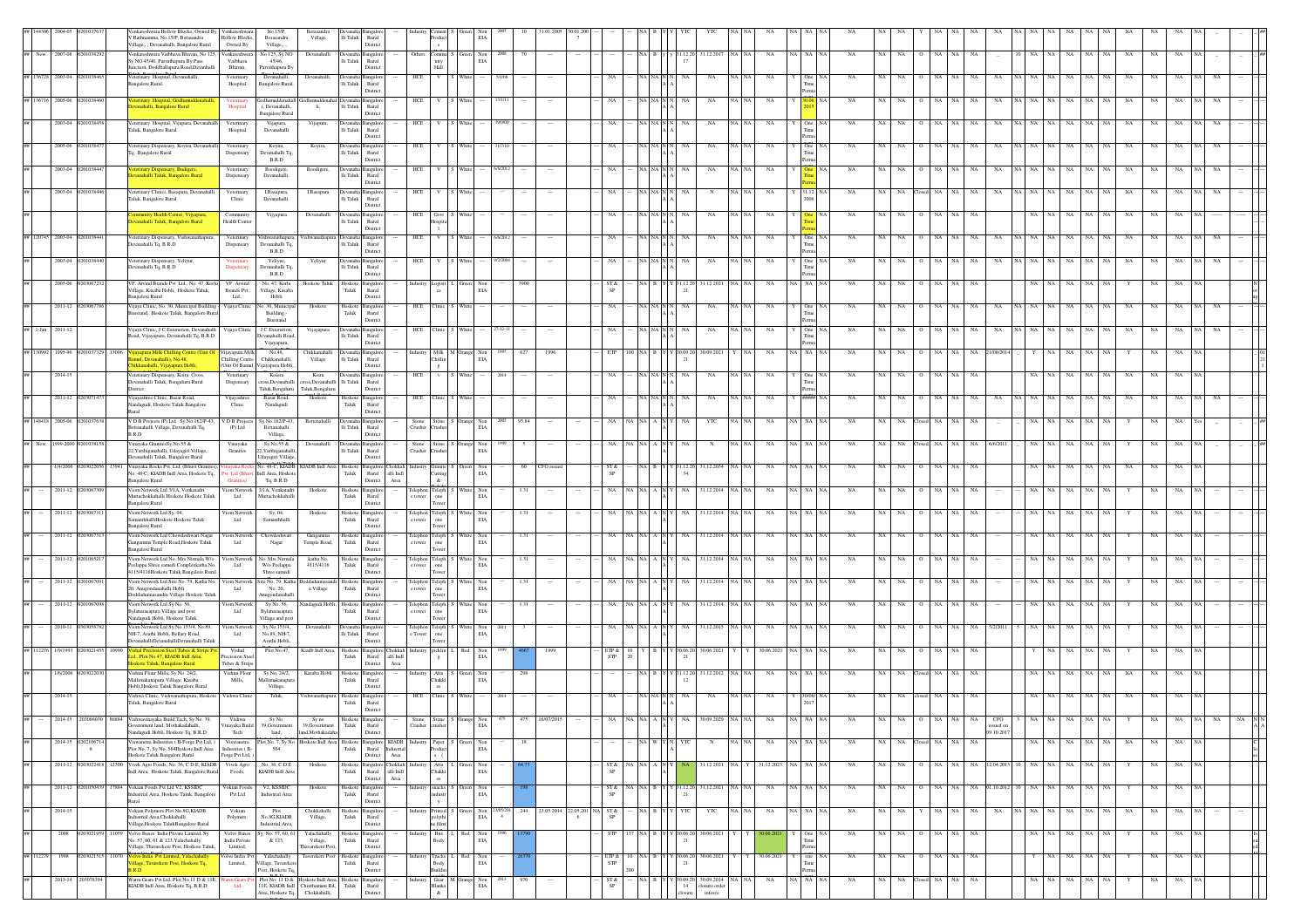|           |                    |                                  |                        | enkateshwara Hollow Blocks, Owned By<br>/.Rathnamma, No.15/P, Berasandra<br>/illage., , Devanahalli, Bangalore Rural      | Venkateshwar<br>Hollow Blocks,<br>Owned By       | No.15/P,<br>Berasandra<br>Village                          | Berasandra<br>Village                        | lli Taluk<br>Rural<br>Distric                                           |                          |                                                                                                                                                                                                                             |                                                                                                                                  | EIA                            |        |        |                                  |                                           |            |                   |               |                                     |         |             |             |             |     |             |               |           |             |                     |             |                   |             |           |             |             |  |                                |
|-----------|--------------------|----------------------------------|------------------------|---------------------------------------------------------------------------------------------------------------------------|--------------------------------------------------|------------------------------------------------------------|----------------------------------------------|-------------------------------------------------------------------------|--------------------------|-----------------------------------------------------------------------------------------------------------------------------------------------------------------------------------------------------------------------------|----------------------------------------------------------------------------------------------------------------------------------|--------------------------------|--------|--------|----------------------------------|-------------------------------------------|------------|-------------------|---------------|-------------------------------------|---------|-------------|-------------|-------------|-----|-------------|---------------|-----------|-------------|---------------------|-------------|-------------------|-------------|-----------|-------------|-------------|--|--------------------------------|
|           | New 2007-08        | 02010382                         |                        | /enkateshwara Vaibhava Bhavan, No 125,<br>Sy NO 45/46, Parvathapura By Pass                                               | enkateshwara<br>Vaibhaya                         | No 125, Sy NO<br>45/46.                                    | Devanahalli                                  | lli Taluk<br>Rural                                                      |                          | Other<br>ommu<br>nity                                                                                                                                                                                                       | Green                                                                                                                            | $_{\rm EIA}^{\rm Non}$<br>2008 |        |        |                                  |                                           | NA R       |                   | 31.12.20      | 31.12.2017                          | NA NA   | NA          | NA NA NA    | NA          | NA  | NA          | NA            | NA        | NA          |                     | NA          | $_{\rm NA}$<br>NA |             | NA        | $_{\rm NA}$ | NA          |  |                                |
|           | 2003-04            |                                  | Bangalore Rural.       | unction. Doddballapura Road.Devanhal<br>'eterinary Hospital, Devanahalli                                                  | Bhavan,<br>Veterinary<br>Hospital                | Parvathapura B<br>Devanahalli.<br>Bangalore Rural.         | Devanahalli.                                 | District<br>Devanal<br>lli Taluk<br>Rural                               |                          | Hall<br>HCE                                                                                                                                                                                                                 |                                                                                                                                  |                                |        |        |                                  |                                           |            |                   |               | NA                                  |         |             |             |             |     |             |               |           |             |                     |             |                   |             |           |             |             |  |                                |
| 136716    | 2005-06            |                                  |                        | erinary Hospital, Godlum                                                                                                  | Veterinary                                       | odlumuddenab                                               |                                              | District                                                                |                          | HCE                                                                                                                                                                                                                         |                                                                                                                                  |                                |        |        |                                  |                                           |            |                   |               | NA                                  |         | NA          |             |             |     |             |               |           |             |                     |             |                   |             |           |             |             |  |                                |
|           | 2003-04            | 2010384                          |                        | anahalli, Bangalore Rural<br>Veterinary Hospital, Vijapura, Devanahalli                                                   | Hospital                                         | i, Devanahalli,<br><b>Bangalore Rural</b><br>Vijapura,     | li,                                          | $\rm{Ili}$ Taluk<br>Rural<br>District                                   |                          |                                                                                                                                                                                                                             |                                                                                                                                  |                                |        |        |                                  | NA                                        |            |                   |               | NA                                  | NA I NA |             |             | <b>NA</b>   |     |             |               |           |             |                     |             |                   |             |           |             |             |  |                                |
|           |                    |                                  |                        | Taluk, Bangalore Rural                                                                                                    | Veterinary<br>Hospital                           | Devanahalli                                                | Vijapura,                                    | Devanaha Bangalor<br>lli Taluk<br>Rural<br>District                     |                          | HCE                                                                                                                                                                                                                         | White                                                                                                                            |                                |        |        |                                  |                                           |            | A NA N            |               |                                     |         | NA          | One N/      |             |     |             |               |           |             |                     |             | NA                |             |           |             |             |  |                                |
|           | 2005-06            |                                  |                        | /eterinary Dispensary, Koyira, Devanal<br><sup>Fq</sup> , Bangalore Rural                                                 | Veterinary<br>Dispensary                         | Koyira,<br>evanahalli Tq.<br>B.R.D                         | Koyira,                                      | evanaha Bangalo<br>lli Taluk<br>Rural<br>District                       |                          | HCE                                                                                                                                                                                                                         |                                                                                                                                  |                                |        |        |                                  |                                           |            |                   |               | NA                                  |         |             |             |             |     |             |               |           |             |                     |             |                   |             |           |             |             |  |                                |
|           | 2003-04            |                                  |                        | erinary Dispensary, Budigere,<br>anahalli Taluk, Bangalore Rural                                                          | Veterinary<br>Dispensary                         | Boodigere,<br>Devanahalli.                                 | Boodigere,                                   | <b>Devanaha</b> Bangalor<br>lli Taluk<br>Rural                          |                          | HCE                                                                                                                                                                                                                         |                                                                                                                                  |                                |        |        |                                  |                                           |            | A NA N            |               | $_{\rm NA}$                         |         | NA          |             | NA          |     |             |               |           |             |                     |             |                   |             |           |             |             |  |                                |
|           | 2003-04            |                                  |                        | Veterinary Clinici, Basapura, Devanahalli<br>Taluk, Bangalore Rural                                                       | Veterinary<br>Clinic                             | I.Basapura,<br>Devanahalli.                                | <b>I.Basapura</b>                            | Distric<br>Devanaha Bangalore<br>lli Taluk<br>Rural                     |                          | HCE                                                                                                                                                                                                                         |                                                                                                                                  |                                |        |        |                                  | NA                                        |            | NA NA N           | NA            | $_{\rm N}$                          | NA NA   | NA          | 31.12 NA    | NA          |     |             | NA            |           | NA          |                     |             | NA                |             | NA        | NA          |             |  |                                |
|           |                    |                                  |                        | munity Health Center, Vijyapura                                                                                           | Community                                        | Vijyapura                                                  | Devanahalli                                  | District<br>angalor<br>wuunah:                                          |                          | HCE<br>Govt                                                                                                                                                                                                                 |                                                                                                                                  |                                |        |        |                                  | NA                                        |            | A NA N            |               | NA                                  | NA I NA | NA          |             | <b>NA</b>   |     |             |               |           | <b>NA</b>   |                     |             | NA                | NA          | NA        | NA          |             |  |                                |
|           | ## 120745 2003-04  | 02010384                         |                        | anahalli Taluk, Bangalore Rural<br>Veterinary Dispensary, Vishwanathapura,                                                | Health Cente<br>Veterinary                       | Vishwanathapura.                                           |                                              | lli Taluk<br>Rural<br>District<br>Vishwanathapura Devanaha Bangalop     |                          | HCE                                                                                                                                                                                                                         | White                                                                                                                            | 6/6/201                        |        |        |                                  | NA                                        |            | <b>IA</b> NAN N   | NA.           | NA                                  | NA I NA | NA          | One NA      | <b>NA</b>   |     | NA.         | NA            |           | <b>NA</b>   | NA<br>NA   NA       |             | NA<br>NA          | NA          | <b>NA</b> | NA          |             |  |                                |
|           |                    |                                  |                        | evanahalli Tq, B.R.D                                                                                                      | Dispensary                                       | Devanahalli Tq.<br>B.R.D                                   |                                              | lli Taluk<br>Rural<br>District                                          |                          |                                                                                                                                                                                                                             |                                                                                                                                  |                                |        |        |                                  |                                           |            |                   |               |                                     |         |             |             |             |     |             |               |           |             |                     |             |                   |             |           |             |             |  |                                |
|           | 2003-04            |                                  |                        | Veterinary Dispensary, Yeliyur,<br>vanahalli Tq, B.R.D                                                                    | Veterinary<br>Dispensary                         | Yeliyur,<br>.<br>Jevanahalli Tq<br>$_{\rm B.R.D}$          | Yeliyur                                      | <b>Jevanah</b><br>angale<br>lli Taluk<br>Rural<br>District              |                          | HCE                                                                                                                                                                                                                         |                                                                                                                                  |                                |        |        |                                  | NA                                        |            |                   |               | NA                                  |         | NA          | One NA      | <b>NA</b>   |     |             |               |           |             |                     |             | NA                |             | NA        |             |             |  |                                |
|           | 2005-06            |                                  | <b>Bangalore Rural</b> | VF. Arvind Brands Pvt. Ltd., No. 47, Korlu<br>/illage, Kasaba Hobli, Hoskote Taluk,                                       | VF. Arvind<br>Brands Pvt.<br>Ltd.,               | No. 47, Korlu<br>/illage, Kasaba<br>Hobli                  | Hoskote Taluk                                | Hoskote<br>angalo<br>${\rm Taluk}$<br>Rural<br>Distric                  |                          | ogisti                                                                                                                                                                                                                      |                                                                                                                                  | Non<br>EIA                     |        |        |                                  | ST &<br>SP                                |            |                   |               | 81.12.2021                          |         |             | NA.         |             |     |             |               |           |             |                     |             |                   |             |           |             |             |  |                                |
|           |                    | 2011-12 02030677                 |                        | Vijaya Clinic, No. 30, Municipal Building<br>sstand, Hoskote Taluk, Bangalore Rural                                       | Vijaya Clinic                                    | x. 30, Municipa<br>Building -                              | Hoskote                                      | Hoskote Bangalor<br>Taluk Rural                                         |                          | HCE<br>Clinic                                                                                                                                                                                                               |                                                                                                                                  |                                |        |        |                                  | NA                                        |            | IA NAN            |               | $_{\rm NA}$                         |         | NA          |             | NA          |     |             |               |           |             |                     |             |                   |             |           | NA          |             |  |                                |
| $l$ -Jan  | 2011-1             |                                  |                        | Vijaya Clinic, J C Extenstion, Devanahalli<br>Road, Vijayapura, Devanahalli Tq, B.R.D                                     | Vijaya Clinic                                    | Busstand<br>J C Extenstion<br>Devanahalli Road,            | Vijayapura                                   | Distric<br>$\rm{Ili}$ Taluk<br>Rural                                    |                          | HCE                                                                                                                                                                                                                         |                                                                                                                                  |                                |        |        |                                  |                                           |            |                   |               | NA                                  |         |             |             |             |     |             |               |           |             |                     |             |                   |             |           |             |             |  |                                |
| 130992    | 1995-96            |                                  | ayapura Milk+          |                                                                                                                           | Vijayapura Milk                                  | Vijayapura,<br>No.48,                                      | Chikkanahalli                                | District<br>ıngalı                                                      |                          | Milk                                                                                                                                                                                                                        |                                                                                                                                  | Non                            | 627    | 1996   |                                  | ETP                                       |            |                   |               | 30.09.202                           |         | NA          | NA NA       |             |     |             |               |           |             |                     |             | NA                |             |           |             |             |  |                                |
|           | 2014-15            |                                  |                        | mul. Devanahalli). No.48.<br>ikkanahalli, Vijayapura Hobli<br>Veterinary Dispensary, Koira Cross,                         | Chilling Centre<br>(Unit Of Bamul,<br>Veterinary | Chikkanahalli.<br>ijayapura Hobli.<br>Koiera               | Village<br>Koira                             | Ili Taluk<br>Rural<br>District<br>Devanaha Bangalo                      |                          | Chillin<br>$\mathbf{z}$<br>HCE                                                                                                                                                                                              | White                                                                                                                            | EIA                            |        |        |                                  | <b>NA</b>                                 | VA NA N    |                   |               | NA                                  |         | NA          | One NA      | NA          | NA  |             | NA.           |           | <b>NA</b>   |                     |             | NA                |             |           | NA          |             |  |                                |
|           |                    |                                  | District               | Devanahalli Taluk, Bengaluru Rural                                                                                        | Dispensary                                       | ross, Devanahalli<br>Taluk, Bengaluru                      | oss, Devanahalli<br>Taluk, Bengaluru         | lli Taluk<br>Rural<br>District                                          |                          |                                                                                                                                                                                                                             |                                                                                                                                  |                                |        |        |                                  |                                           |            |                   |               |                                     |         |             |             |             |     |             |               |           |             |                     |             |                   |             |           |             |             |  |                                |
|           | 2011-12            |                                  |                        | Vijayashree Clinic, Bazar Road,<br>Nandagudi, Hoskote Taluk Bangalore                                                     | Vijayashre<br>Clinic                             | Bazar Road,<br>Nandagudi                                   | Hoskote                                      | Hoskote Bangalor<br>Taluk<br>Rural<br>District                          |                          | HCE<br>Clinic                                                                                                                                                                                                               |                                                                                                                                  |                                |        |        |                                  |                                           |            |                   |               | NA                                  |         | NA          |             |             |     |             |               |           |             |                     |             |                   |             |           |             |             |  |                                |
|           | ## 148418 2005-06  | 1010376                          | B.R.D                  | V D B Projects (P) Ltd Sy.No.162/P-43,<br>Bettanahalli Village, Devanahalli Tq.                                           | V D B Projects<br>(P) Ltd                        | Sy.No.162/P-43,<br>Bettanahalli<br>Village,                | Bettenahalli                                 | angalo<br><b>Jevanaha</b><br>li Taluk<br>Rural<br>District              |                          | Stone<br>Crusher                                                                                                                                                                                                            | Stone S Orange<br>Crusher                                                                                                        | Non<br>EIA                     | 95.84  |        |                                  | NA                                        |            | A N               |               | YTC                                 |         | NA          | NA NA NA    | NA          |     |             |               |           | NA          |                     |             | NA                |             |           | NA          |             |  |                                |
| New       | 1999-2000 02010381 |                                  |                        | /inayaka GranitesSy.No.55 &<br>22, Yarthiganahalli, Udayagiri Village,                                                    | Vinayaka<br>Granites                             | Sy.No.55 &<br>2, Yarthiganahall                            | Devanahalli                                  | evanaha Bangalor<br>lli Taluk<br>Rural                                  |                          | Stone<br>Crusher<br>rusher                                                                                                                                                                                                  | Stone S Orange Non                                                                                                               | EIA                            |        |        |                                  |                                           |            | A N               |               | $_{\rm N}$                          |         | NA          | NA          | NA          |     |             | NA            |           | NA          | 16/20               |             | NA                |             |           |             |             |  |                                |
|           | 1/4/2006           |                                  |                        | Devanahalli Taluk, Bangalore Rural<br>inayaka Rocks Pvt. Ltd, (Bhuvi Grani                                                | t. Ltd (Bhuvi                                    | Udayagiri Village,<br>Vo. 48-C, KIADB<br>Indl Area, Hoskot | KIADB Indi Are                               | District<br>angalore<br>Hoskote                                         | hokkah                   | <b>Iranite</b>                                                                                                                                                                                                              |                                                                                                                                  | Non<br>EIA                     | 60     | CFO is |                                  | ST &<br>SP                                |            |                   | 1.12.2        | 31.12.2034                          |         |             |             | NA          |     |             |               |           |             |                     |             |                   |             |           |             |             |  |                                |
|           | $2011 - 12$        | 0203067                          | Bangalore Rural        | No. 48-C, KIADB Indl Area, Hoskote Tq,<br>Viom Network Ltd 3/1A, Venkatadri                                               | <b>Granites</b> )<br>Viom Network                | Tq, B.R.D<br>3/1A, Venkatadri                              | Hoskote                                      | Taluk<br>Rural<br>District<br>Hoskote <sup>1</sup><br>angalor           | alli Indl<br>Area        | utting<br>&.<br>${\sf Telephone}$<br>Telepho                                                                                                                                                                                | White                                                                                                                            | Non                            | 1.31   |        |                                  | NA                                        |            |                   | NA            | 31.12.2014                          |         | NA          | NA NA NA    | NA          |     |             | NA            |           | NA          |                     |             | NA                |             |           | NA          |             |  |                                |
|           | 2011-12 02         |                                  | Bangalore Rural        | Muttachokkahalli Hoskote Hoskote Taluk<br>Viom Network Ltd Sv. 04.                                                        | Ltd<br>Tiom Network                              | duttachokkahalli                                           |                                              | Taluk<br>Rural<br>District<br>Hoskote                                   |                          | e tower<br>one<br>Tower                                                                                                                                                                                                     |                                                                                                                                  | EIA                            |        |        |                                  |                                           |            |                   |               |                                     |         |             |             |             |     |             |               |           |             |                     |             |                   |             |           |             |             |  |                                |
|           |                    |                                  | <b>Bangalore Rural</b> | amanthhalliHoskote Hoskote Taluk                                                                                          | Ltd                                              | Sy. 04,<br>Samanthhalli                                    | Hoskote                                      | Bangalor<br>Taluk<br>Rural<br>District                                  |                          | Teleph<br>Telephon<br>e tower<br>one<br>Tower                                                                                                                                                                               |                                                                                                                                  | hite Non<br>EIA                | 1.31   |        |                                  | NA.                                       |            |                   |               | 31.12.2014                          |         | NA          | NA   NA   N | <b>NA</b>   |     |             |               |           |             |                     |             |                   |             |           |             |             |  |                                |
|           | 2011-12            |                                  | <b>Bangalore Rural</b> | Viom Network Ltd Chowdeshwari Nagar<br>kangamma Temple Road, Hoskote Taluk                                                | Tiom Network<br>Ltd                              | Chowdeshwar<br>Nagar                                       | Gangamma<br>Temple Road,                     | Hoskote Bangalor<br>Taluk<br>Rural<br>Distric                           |                          | Telephon Teleph<br>one<br>e tower                                                                                                                                                                                           |                                                                                                                                  | Vhite Non<br>$_{\rm EIA}$      | 1.31   |        |                                  |                                           |            |                   |               | 1.12.2014                           |         | NA          | IA I NA IN  | NA          |     |             |               |           |             |                     |             |                   |             |           |             |             |  |                                |
|           |                    | 2011-12 02010652                 |                        | Viom Network Ltd No. Mrs Nirmala W/o<br>Peelappa Shree samedi Complexkatha No                                             | Tiom Network<br>Ltd                              | No. Mrs Nirmala<br>W/o Peelappa                            | katha No.<br>4115/4116                       | Hoskote Bangalore<br>Taluk<br>Rural                                     |                          | $\begin{tabular}{ll} Telephone & Telephone \\ \hline \end{tabular}$                                                                                                                                                         |                                                                                                                                  | White Non<br>EIA               | 1.31   |        |                                  | NA.                                       |            |                   | NA.           | 1.12.2014                           |         | NA          | VA   NA   N | NA          |     |             |               |           |             |                     |             |                   |             |           | NA          |             |  |                                |
|           | 2011-12            |                                  |                        | 4115/4116Hoskote Taluk Bangalore Rural<br>Viom Network Ltd Site No. 79, Katha No.<br>20, Anugondanahalli Hobli            | iom Network<br>Ltd                               | Shree samedi<br>ite No. 79, Kath<br>No. 20,                | a Village                                    | District<br>Hoskote<br>angale<br>${\rm Taluk}$<br>Rural                 |                          | owe<br>Teleph<br>Telephon<br>one<br>e tower                                                                                                                                                                                 |                                                                                                                                  | Non<br>$_{\rm EIA}$            | 1.31   |        |                                  |                                           |            |                   |               | 1.12.201                            |         |             |             |             |     |             |               |           |             |                     |             |                   |             |           |             |             |  |                                |
|           | $2011 - 12$        |                                  |                        | Doddadunnasandra Village Hoskote Taluk<br>Viom Network Ltd Sy No. 56,                                                     | iom Netwo                                        | nugondanahall<br>Sy No. 56,                                | ındagudi Hobli,                              | Distric<br>Hoskote<br>ingalo<br>Taluk<br>Rural                          |                          | Teleph<br>Telephor<br>one                                                                                                                                                                                                   |                                                                                                                                  | Vhite Non<br>EIA               | 1.31   |        |                                  |                                           |            |                   |               | 31.12.2014                          |         |             |             |             |     |             |               |           |             |                     |             |                   |             |           |             |             |  |                                |
|           | 2010-11            |                                  |                        | Bylanarasapura Village and post<br>andagudi Hobli, Hoskote Taluk<br>Viom Network Ltd Sy.No.153/4, No.89,                  | Ltd<br>Viom Networ                               | Bylanarasapura<br>Village and post<br>Sy.No.153/4,         | Devanahalli                                  | Distric                                                                 |                          |                                                                                                                                                                                                                             | White                                                                                                                            | 2011                           |        |        |                                  |                                           |            |                   |               | 31.12.2015                          |         | NA          | NA NA       |             |     |             |               |           |             |                     |             |                   |             |           |             |             |  |                                |
|           |                    |                                  |                        | NH-7. Avathi Hobli, Bellary Road.<br>evanahalliDevanahalliDevanahalli Taluk                                               | Ltd                                              | No.89, NH-7.<br>Avathi Hobli.                              |                                              | Ili Taluk<br>Rural<br>District                                          |                          | $\ensuremath{\mathrm{Teleph}}\xspace_{\mathrm{one}}$<br>Telephon<br>e Tower                                                                                                                                                 |                                                                                                                                  | Non<br>EIA                     |        |        |                                  |                                           |            |                   |               |                                     |         |             |             |             |     |             |               |           |             |                     |             |                   |             |           |             |             |  |                                |
|           | 1/9/1993           |                                  |                        | el Tubes & Strip<br>td., Plot No.47, KIADB Indl Area.<br>oskote Taluk, Bangalore Rural                                    | Vishal<br>Precission Stee<br>Tubes & Strips      | Plot No.47,                                                | Kiadb Indl Area,                             | Hoskote Bangalore Chokkah<br>Taluk<br>Rural<br>District                 | alli Indl<br>Area        | picklin<br>$_{\rm g}$                                                                                                                                                                                                       | Red                                                                                                                              | Non<br>EIA                     |        |        |                                  | ETP &<br>STP                              |            |                   |               | 30.06.2021                          |         | 30.06.2021  |             | NA          |     |             |               | NA.       | <b>NA</b>   |                     |             |                   |             |           |             |             |  |                                |
|           | 1/6/2006           |                                  |                        | Vishnu Flour Mills, Sv No. 24/2.<br>Mallimakanapura Village, Kasaba<br>Hobli, Hoskote Taluk Bangalore Rural               | Vishnu Flour<br>Mills,                           | Sy No. 24/2,<br>Mallimakanapu<br>Village,                  | Kasaba Hobli                                 | Hoskote Bangalore<br>${\rm Taluk}$<br>Rural<br>District                 |                          | Industry<br>es                                                                                                                                                                                                              | Atta $\hfill$ S $\hfill$ Green Chakki                                                                                            | Non<br>$_{\rm EIA}$            | 298    |        |                                  |                                           | NA BY      |                   | Y 31.12.20    | 31.12.2012                          |         | NA          | NA NA       | NA          |     |             |               |           | NA          |                     |             |                   |             |           | NA          |             |  |                                |
|           | 2014-15            |                                  |                        | Vishwa Clinic, Vishwanathapura, Hoskote<br>Taluk, Bangalore Rural                                                         | Vishwa Clinic                                    | Taluk,                                                     | 'ishwanathapura                              | Hoskote Bangalor<br>${\rm Taluk}$<br>Rural<br>District                  |                          | Clinic<br>HCE                                                                                                                                                                                                               |                                                                                                                                  |                                |        |        |                                  |                                           |            |                   |               | NA                                  |         |             |             |             |     |             |               |           |             |                     |             |                   |             |           |             |             |  |                                |
|           |                    |                                  |                        | Vishwavinavaka Build<br>vernment land, Mothakadahalli,                                                                    | /inayaka Build                                   | Sy N<br>39, Government                                     | 39, Government                               | ${\rm Taluk}$<br>Rural                                                  |                          | Crusher<br>rusher                                                                                                                                                                                                           |                                                                                                                                  | $_{\rm EIA}$                   |        |        |                                  |                                           |            |                   |               |                                     |         |             |             |             |     |             |               |           |             | ssued on            |             |                   |             |           |             |             |  |                                |
|           |                    | 2014-15 02021067<br>$\mathbf{g}$ |                        | Nandagudi Hobli, Hoskote Tq, B.R.D<br>/iswanetra Industries (B-Forge Pvt Ltd,)<br>Plot No. 7, Sy No. 564Hoskote Indl Area | Tech<br>Viswanetra<br>Industries (B-             | land,<br>Plot No. 7, Sy No.<br>564                         | land.Mothakadah                              | District<br>Hoskote Indl Area Hoskote Bangalore KIADB Industry<br>Taluk | Rural Industrial         | Paper                                                                                                                                                                                                                       | S Green                                                                                                                          | Non<br>EIA                     | $18\,$ |        |                                  |                                           |            | VA W Y N          |               | $_{\rm N}$                          | NA NA   | $_{\rm NA}$ | NA NA NA    | $_{\rm NA}$ | NA  |             | NA Closed NA  | NA        | NA          | 09.10.2017          | NA NA       | NA                | $\rm NA-NA$ | NA        | NA          | NA          |  | $\frac{1}{2}$ is $\frac{1}{2}$ |
|           | 2011-12            | 0203022418 12300                 |                        | Hoskote Taluk Bangalore Rural<br>Vivek Agro Foods, No. 36, C.D.E, KIADB                                                   | Forge Pvt Ltd, )<br>Vivek Agro                   | No. 36, C.D.E.                                             | Hoskote                                      | District<br>Hoskote                                                     | Area<br>angalore Chokkah | Atta                                                                                                                                                                                                                        |                                                                                                                                  | Non                            |        |        |                                  | ST &                                      |            | NA   A   N   Y    |               | 31.12.2021 NA Y 31.12.2023 NA NA NA |         |             |             | NA          | NA  | NA          | NA            |           | NA          | 12.04.2013 10       | NA NA       | NA<br>NA          | NA.         |           | NA          | NA          |  |                                |
|           | 2011-12            |                                  | 17884                  | ndl Area, Hoskote Taluk, Bangalore Rural<br>Vokian Foods Pvt Ltd V2, KSSIDC                                               | Foods,<br>Vokian Foods                           | KIADB Indl Area<br>V <sub>2</sub> , KSSIDC                 | Hoskote                                      | Taluk<br>Rural<br>District<br>Hoskote Bangalore                         | alli Indl<br>Area        | Chakki<br>es.                                                                                                                                                                                                               | snacks S Green                                                                                                                   | EIA<br>Non                     |        |        |                                  | SP<br>ST &                                |            | NA B Y Y 31.12.20 |               | 31.12.2021 NA NA                    |         | NA          | NA NA NA    | NA          | NA. | NA.         | NA            | NA        | NA          | 01.10.2012 10 NA NA |             | NA<br>NA          | NA.         |           | NA          | NA          |  |                                |
|           |                    |                                  |                        | dustrial Area, Hoskote Taluk, Bangalor                                                                                    | Pvt Ltd                                          | Industrial Area                                            |                                              | Taluk<br>Rural<br>District                                              |                          | ndustr                                                                                                                                                                                                                      |                                                                                                                                  | EIA                            |        |        |                                  | <b>SP</b>                                 |            |                   |               |                                     |         |             |             |             |     |             |               |           |             |                     |             |                   |             |           |             |             |  |                                |
|           | 2014-15            |                                  |                        | Vokian Polymers Plot No 8G KIADR<br>dustrial Area, Chokkahalli<br>/illage, Hoskote TalukBangalore Rural                   | Vokian<br>Polymers.                              | Plot<br>No.8G,KIADB<br>Industrial Area,                    | Chokkahalli<br>Village,                      | Hoskote Bangalore<br>Taluk<br>Rural<br>District                         |                          | $\begin{tabular}{ c c c c c c } \hline \textbf{Industry} & \textbf{Principal} & \textbf{S} & \textbf{Green} & \textbf{Non} & 23/05/201 \\ \hline \textbf{polythi} & \textbf{EIA} & & 4 \\ \hline \end{tabular}$<br>te film( |                                                                                                                                  | $_{\rm EIA}$                   |        |        | 244 23.05.2014 22.05.201 NA ST & | SP                                        |            | NA B Y Y Y YTC    |               | YTC                                 | NA NA   | NA          | NA NA NA    | NA          | NA  | NA.         | NA            | NA NA     |             | NA                  | NA NA NA    | NA<br>NA          | NA 1        | NA        | NA          | NA          |  |                                |
|           | 2008               | 03021                            | 11059                  | Volvo Buses India Private Limited, Sy.<br>No. 57, 60, 61 & 123, Yalachahally<br>llage, Thavarekere Post, Hoskote Taluk,   | Volvo Buses<br>India Private<br>Limited,         | y. No. 57, 60, 61<br>& 123,                                | Yalachahally<br>Village,<br>havarekere Post, | Hoskote Bangalor<br>Taluk<br>Rural<br>District                          |                          | Bus<br>Industry<br>Body                                                                                                                                                                                                     | Red                                                                                                                              | Non<br>EIA                     |        |        |                                  | STP                                       | <b>ABY</b> |                   | 0.06.2        | 30.06.2021                          |         |             |             | NA          | NA  | NA.         | NA            |           | NA          |                     | NA.         | NA<br>NA          | NA          |           | NA          | NA          |  | Is<br>su<br>ed                 |
| ## 112279 | 1998               | 0203021515                       | 11070                  | sivo India Pvt Limited, Yalachahally<br>lage, Tavarekere Post, Hoskote Tq,                                                | Volvo India Pvt<br>Limited,                      | Yalachahally<br>illage, Tavareke                           | Taverekere Post                              | Hoskote Bangalore<br>${\rm Taluk}$<br>Rural                             |                          | Trucks L<br>Industry<br>Body                                                                                                                                                                                                |                                                                                                                                  | Red Non<br>EIA                 |        |        |                                  | ETP &<br>${\tt STP}$                      |            | A B Y Y 30.06.20  |               | 30.06.2021                          |         | 30.06.2021  | one NA      | NA          | NA  | $_{\rm NA}$ | NA<br>$\circ$ | $NA$ $NA$ |             |                     | NA          | $_{\rm NA}$<br>NA | NA          | Y         | NA          | NA          |  |                                |
|           |                    | 2013-14 203078394                | <b>RD</b>              | Warm Gears Pvt Ltd, Plot No.11 D & 11E,<br>KIADB Indl Area, Hoskote Tq, B.R.D                                             | ırm Gears 1<br>Ltd                               | Post, Hoskote Tq.<br>Plot No. 11 D $\&$                    | 11E, KIADB Indl Chinthamani Rd,              | District<br>Hoskote Indl Area, Hoskote Bangalor<br>Taluk<br>Rural       |                          | nildir<br>Industry                                                                                                                                                                                                          | $\begin{tabular}{ll} \textbf{Ger} & \textbf{M} & \textbf{Orange} & \textbf{Non} \\ \textbf{Blanks} & \textbf{EIA} \end{tabular}$ | 2013                           | 970    |        |                                  | $\frac{\text{ST} \, \text{Å}}{\text{SP}}$ |            |                   | 0.09.20<br>14 | 30.09.2014<br>losure order          |         | $_{\rm NA}$ | NA NA NA    | $_{\rm NA}$ | NA  | NA          | losed NA      | NA        | $_{\rm NA}$ |                     | $_{\rm NA}$ | NA<br>$_{\rm NA}$ | NA          |           | $_{\rm NA}$ | $_{\rm NA}$ |  |                                |
|           |                    |                                  |                        |                                                                                                                           |                                                  | Irea, Hoskote Tq.                                          | Chokkahalli,                                 | Distric                                                                 |                          | $\mathcal{R}$                                                                                                                                                                                                               |                                                                                                                                  |                                |        |        |                                  |                                           |            |                   |               | inforce                             |         |             |             |             |     |             |               |           |             |                     |             |                   |             |           |             |             |  |                                |

order

B.R.D

 $-$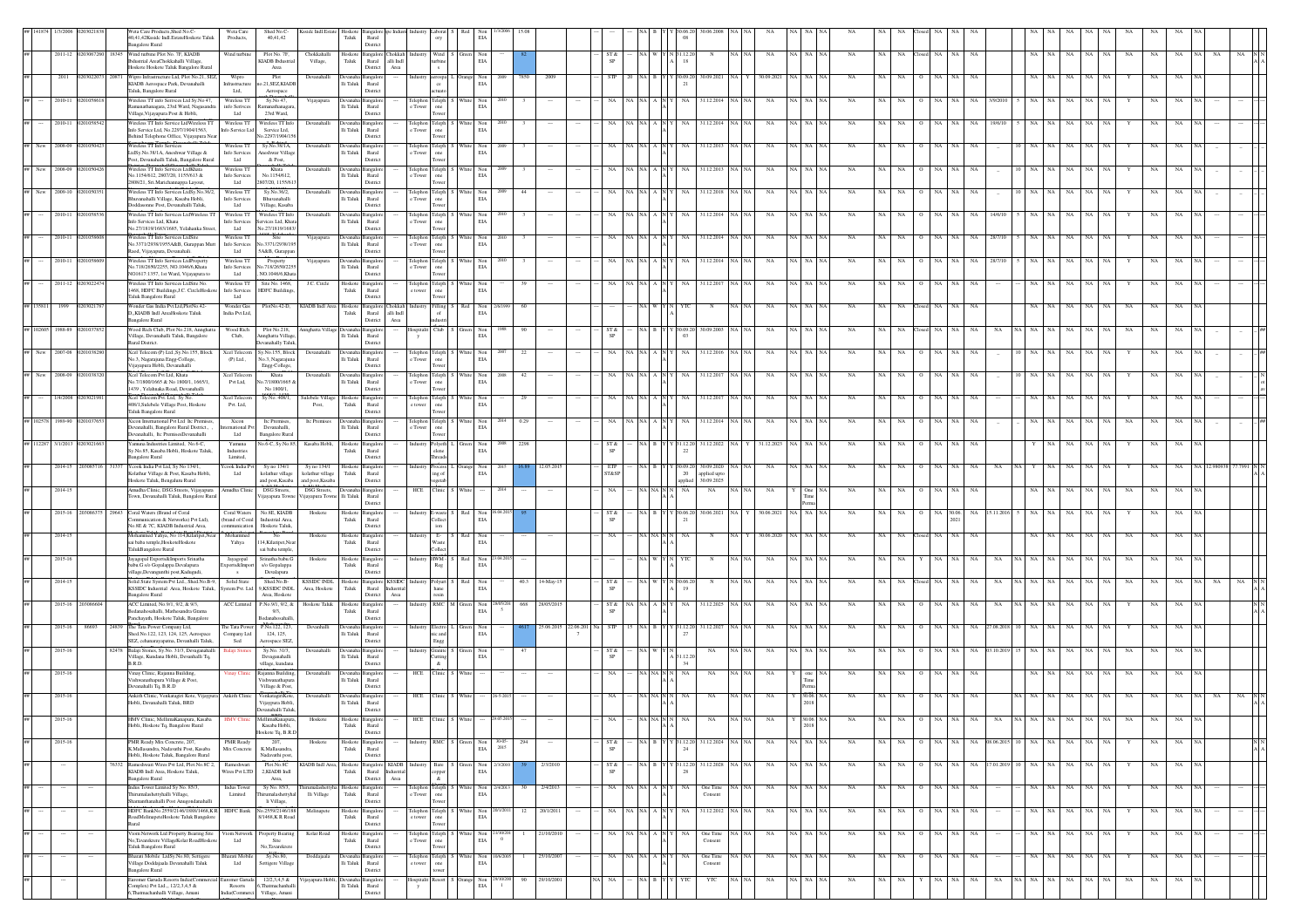|    |                    |                 |      | eta Care Products.Shed No.C<br>40.41.42Ksside Indl.EstateHoskote Taluk<br>angalore Rural                                                  | Weta Care<br>Products.                 | Shed No.C-<br>40.41.42                                                         | Ksside Indl.Estate                                  | Hoskote<br>$\operatorname{\textsf{T}aluk}$ | Rural<br>District                                                                         |                                 |                    | EIA                                                                         |                       |            |                      |                   |         |        | 08                        |                                        |           |                   |             |             |             |           |                  |                   |               |                        |             |             |    |             |                       |                        |
|----|--------------------|-----------------|------|-------------------------------------------------------------------------------------------------------------------------------------------|----------------------------------------|--------------------------------------------------------------------------------|-----------------------------------------------------|--------------------------------------------|-------------------------------------------------------------------------------------------|---------------------------------|--------------------|-----------------------------------------------------------------------------|-----------------------|------------|----------------------|-------------------|---------|--------|---------------------------|----------------------------------------|-----------|-------------------|-------------|-------------|-------------|-----------|------------------|-------------------|---------------|------------------------|-------------|-------------|----|-------------|-----------------------|------------------------|
|    |                    |                 |      | 2011-12 0203067260 18345 Wind turbine Plot No. 7F, KIADB<br>bdustrial AreaChokkahalli Village,<br>loskote Hoskote Taluk Bangalore Rural   | Wind turbine                           | Plot No. 7F.<br><b>KIADB</b> Ibdustrial<br>Area                                | Chokkahalli<br>Village,                             | ${\rm Taluk}$                              | Hoskote Bangalore Chokkah Industry Wind S Green<br>alli Indi<br>Rural<br>Area<br>District |                                 |                    | Non<br>EIA                                                                  |                       |            |                      | ST &              |         |        | $N$ 31.12.20<br>18        | $_{\rm N}$                             | NA NA     | NA                | NA NA NA    | <b>NA</b>   | NA          | <b>NA</b> | losed NA         | NA<br>NA          |               | NA.                    | NA          | NA<br>NA    | NA | $_{\rm NA}$ | NA                    |                        |
|    | 2011               |                 |      | Wipro Infrastructure Ltd, Plot No.21, SEZ<br>KIADB Aerospace Park, Devanahalli<br>Taluk, Bangalore Rural                                  | Wipro<br>Infrastructure<br>Ltd,        | Plot<br>to.21,SEZ,KIADE                                                        | Devanahall                                          | li Taluk                                   | Rural<br>Distric                                                                          |                                 | ce                 | Non<br>$\rm EIA$                                                            |                       | 200        |                      |                   |         |        | 30.09.20<br>21            | 30.09.202                              |           | 30.09.202         |             |             |             |           |                  |                   |               |                        |             |             |    |             |                       |                        |
|    | 2010-11            |                 |      | Vireless TT info Serives Ltd Sy.No 47.<br>anathanagara, 23rd Ward, Nagasandr.                                                             | Wireless TT<br>info Serivces           | Aerospace<br>Sy.No 47,                                                         | Vijayapura                                          | $\rm Ii$ Taluk                             | angalo<br>$\rm{Rural}$                                                                    | elephon<br>e Tower              | Teleph             | Non<br>$_{\rm EIA}$                                                         |                       |            |                      |                   |         |        |                           | 31.12.201                              |           |                   |             |             |             |           |                  |                   |               |                        |             |             |    |             |                       |                        |
|    | 2010-11            |                 |      | Village, Vijayapura Post & Hobli,<br>Wireless TT Info Service LtdWireless TT<br>info Service Ltd, No.2297/1904/1563,                      | Ltd<br>Wireless TT<br>Info Service Ltd | 23rd Ward,<br>Wireless TT Info<br>Service Ltd,                                 | Devanahall                                          | li Taluk                                   | District<br>angalor<br>$\rm{Rural}$                                                       | Telephon Teleph<br>e Towe       |                    | $_{\rm Non}$<br>$_{\rm EIA}$                                                |                       |            |                      |                   |         |        |                           | 1.12.201                               |           | NA                | NA          | NA          | NA          |           |                  |                   | 19/6/1        |                        |             |             |    | NA          |                       |                        |
|    | New 2008-09        |                 |      | Behind Telephone Office, Vijayapura Nea<br>Vireless TT Info Services                                                                      | Wireless <sub>TT</sub>                 | No.2297/1904/156<br>Sy.No.38/1A,                                               | Devanahalli                                         |                                            | District<br>evanaha Bangalor                                                              | Felephon Teleph                 | Tower<br>one       | Non<br>EIA                                                                  |                       |            |                      |                   |         |        |                           | 81.12.2013                             |           | NA                |             |             | NA          | NA        |                  |                   |               |                        |             |             |    | NA          |                       |                        |
| ## | New 2008-09        |                 |      | LtdSy.No.38/1A, Aneshwar Village &<br>Post, Devanahalli Taluk, Bangalore Rural<br>Wireless TT Info Services LtdKhata                      | Ltd<br>Wireless TT                     | Info Services Aneshwar Village<br>& Post.<br>Khata                             | Devanahalli                                         | lli Taluk                                  | $\rm{Rural}$<br>District                                                                  | e Tower<br>Telephon Teleph      | Tower              | Non                                                                         |                       |            |                      |                   | NA INA  |        | NA                        | 31.12.2013                             | NA NA     | $_{\rm NA}$<br>NA | NA          | NA          | NA          | NA        | NA               | NA                |               |                        |             | NA          |    | NA          | NA                    |                        |
|    | ## New 2009-10     |                 |      | No.1154/612, 2807/20, 1155/613 &<br>2808/21, Sri.Marichannappa Layout,<br>Wireless TT Info Services LtdSv.No.36/2.                        | Info Services<br>Ltd<br>Wireless TT    | No.1154/612<br>2807/20, 1155/613<br>Sy.No.36/2,                                | Devanahalli                                         | lli Taluk                                  | Rural<br>District<br>Devanaha Bangalore                                                   | e Tower<br>Telephon Teleph S    | one<br>Tower       | EIA<br>White Non                                                            | 44<br>2009            |            |                      |                   | ∛A ∣N∕  |        | NA                        | 1.12.2018                              |           | NA                | NA N        | <b>NA</b>   | NA          | NA.       | NA               | NA<br>NA          |               |                        |             | NA          |    | NA          | NA                    |                        |
|    |                    |                 |      | huvanahalli Village, Kasaba Hobli,<br>Ooddasonne Post, Devanahalli Taluk,<br>Vireless TT Info Services LtdWireless T                      | Info Services<br>Ltd                   | Bhuvanahalli<br>Village, Kasaba<br>Wireless TT Wireless TT Info                |                                                     | li Taluk                                   | Rural<br>District                                                                         | e Tower                         | one                | $_{\rm EIA}$                                                                |                       |            |                      |                   |         |        |                           |                                        |           |                   |             |             |             |           |                  |                   |               |                        |             |             |    |             |                       |                        |
|    | 2010-11 02         |                 |      | afo Services Ltd, Khata<br>lo.27/1819/1683/1685, Yelahanka Stree                                                                          | Info Services<br>Ltd                   | Services Ltd, Khat<br>No.27/1819/1683                                          | Devanahalli                                         | <b>Jevana</b><br>li Taluk                  | angalo<br>Rural<br>Distric                                                                | Telephon Teleph<br>e Tower      |                    | Vhite Non<br>$_{\rm EIA}$                                                   |                       |            |                      |                   |         |        |                           | 1.12.2014                              |           | NA                |             | <b>NA</b>   |             |           |                  |                   | 14/6/1        |                        |             |             |    | NA          |                       |                        |
|    | 2010-11            |                 |      | Wireless TT Info Services LtdSite<br>io.3371/2938/1955A&B, Gurappan Mut<br>laod, Vijayapura, Devanahali.                                  | Wireless TT<br>Info Services<br>Ltd    | Site<br>lo.3371/2938/19<br>5 A&B, Gurappan                                     | Vijayapura                                          | lli Taluk                                  | Devanaha Bangalore<br>Rural<br>District                                                   | Telephon Teleph<br>c Tower      |                    | Non<br>White<br>$\rm EIA$                                                   |                       |            |                      |                   | ∛A ∣N   |        |                           | 1.12.2014                              |           | NA                | <b>NA</b>   | NA          | NA          | NA.       |                  | NA<br>NA          | 28/7/10       |                        |             |             |    | NA          |                       |                        |
|    | 2010-11            |                 |      | Wireless TT Info Services LtdProperty<br>No.718/2650/2255, NO.1046/6, Khata<br>NO1617:1357, 1st Ward, Vijayapura to                       | Vireless TT<br>Info Services<br>Ltd    | Property<br>No.718/2650/2255<br>. NO.1046/6.Khat                               | Vijayapura                                          | lli Taluk                                  | ngalc<br>Rural<br>Distric                                                                 | Telephon<br>e Tower             | Teleph             | Non<br>$\rm EIA$                                                            |                       |            |                      |                   |         |        |                           | 1.12.201                               |           |                   |             |             |             |           |                  |                   |               |                        |             |             |    |             |                       |                        |
|    | 2011-12            |                 |      | <b>Wireless TT Info Services LtdSite No.</b><br>1468, HDFC Buildings, J.C. CircleHoskot<br>Taluk Bangalore Rural                          | Wireless <sub>TT</sub><br>Ltd          | Site No. 1468,<br>Info Services HDFC Buildings                                 | J.C. Circle                                         | Hoskote<br>Taluk                           | angalor<br>Rural<br>District                                                              | Telephon Teleph<br>e tower      | one                | Non<br>EIA                                                                  |                       |            |                      |                   |         |        |                           |                                        |           |                   |             |             |             |           |                  |                   |               |                        |             |             |    |             |                       |                        |
|    | ## 135811 1999     | 02030217        |      | Wonder Gas India Pvt.Ltd,PlotNo.42-<br>D., KIADB Indl AreaHoskote Taluk                                                                   | Wonder Gas<br>India Pvt.Ltd.           |                                                                                |                                                     | Taluk                                      | PlotNo.42-D, KIADB Indl Area Hoskote Bangalore Chokkah<br>Rural alli Indi                 | Industry                        | Filling<br>of      | $\begin{tabular}{ll} \bf Red & Non \\ \bf EIA \end{tabular}$                | 60                    |            |                      |                   |         |        |                           |                                        |           | NA<br><b>NA</b>   | NA N        | NA          | NA          | <b>NA</b> | NA               | NA<br>NA          |               |                        |             | NA<br>NA    | NA | $_{\rm NA}$ | NA                    |                        |
|    | 988-89             |                 |      | <b>Bangalore Rural</b><br>.<br>Wood Rich Club, Plot No.218, Annghatta<br>Village, Devanahalli Taluk, Bangalore                            | Wood Rich<br>Club,                     | Plot No.218.<br>Annghatta Village                                              | Annghatta Villas                                    | Ili Taluk Rural                            | District<br>Area                                                                          | $\mathbf{y}$                    | C1n1               | Non<br>$_{\rm EIA}$                                                         |                       |            |                      | ST &              |         |        | 0.09.20<br>0 <sup>3</sup> | 30.09.200                              |           | NA                | NA.         |             |             |           |                  |                   |               |                        |             |             |    |             |                       |                        |
|    | New 2007-08        |                 |      | Rural District.<br>Xcel Telecom (P) Ltd., Sy. No. 155, Block<br>No.3, Nagarajuna Engg-College,                                            | $(P)$ Ltd.,                            | Devanahally Taluk<br>Xcel Telecom Sy.No.155, Block<br>No.3, Nagarajuna         | Devanahalli                                         | <b>Devantal</b><br>lli Taluk               | District<br>mealor<br>Rural                                                               | Telephon<br>e Tower             | Teleph<br>one      | Non<br>$_{\rm EIA}$                                                         | 22                    |            |                      |                   |         |        |                           | 1.12.2016                              |           |                   |             |             |             |           |                  |                   |               |                        |             |             |    |             |                       |                        |
|    | 2008-09<br>New     | 2010383         |      | .<br>Vijayapura Hobli, Devanahalli<br>Xcel Telecom Pvt Ltd, Khata                                                                         | Xcel Telecon                           | Engg-College,<br>Khata                                                         | Devanahalli                                         | <b>Devanaha</b>                            | District<br>angalor                                                                       | Telephon Teleph                 |                    | Non<br>White 1                                                              | 42                    |            |                      |                   | NA N.   |        |                           | 31.12.2017                             |           | NA                |             | NA          | NA.         |           |                  |                   |               |                        |             |             |    | NA          |                       |                        |
|    | 1/4/2008           |                 |      | lo.7/1800/1665 & No 1800/1, 1665/1,<br>1439, Yelahnaka Road, Devanahalli<br>Keel Telecom Pvt. Ltd, Sy No.                                 | Pvt Ltd,<br>Xcel Teleco                | p.7/1800/1665<br>No 1800/1,<br>Sy No. 408/1                                    | ulebele Villag                                      | li Taluk<br>loskote                        | $\rm{Rural}$<br>District<br>angalor                                                       | c Tower<br>Telephon             | Teleph             | $\rm EIA$<br>Non                                                            |                       |            |                      |                   |         |        |                           | 31.12.20                               |           |                   |             |             |             |           |                  |                   |               |                        |             |             |    |             |                       |                        |
|    |                    |                 |      | 108/1, Sulebele Village Post, Hoskote<br>Taluk Bangalore Rural                                                                            | Pvt. Ltd,                              |                                                                                | Post,                                               | Taluk                                      | $\rm{Rural}$<br>District                                                                  | e tower                         |                    | $\rm EIA$                                                                   |                       |            |                      |                   |         |        |                           |                                        |           |                   |             |             |             |           |                  |                   |               |                        |             |             |    |             |                       |                        |
|    | 1989-90<br>102578  |                 |      | Gicon International Pvt Ltd Itc Premises<br>Jevanahalli, Bangalore Rural District.,<br>levanahalli, Itc PremisesDevanahalli               | Xicon<br>mational Pvt<br>Ltd           | Itc Premises<br>Devanahalli<br><b>Bangalore Rural</b>                          | Itc Premises                                        | li Taluk                                   | angalor<br>$\rm{Rural}$<br>District                                                       | Telephon Teleph<br>e Tower      |                    | $_{\rm Non}$<br>EIA                                                         | 0.29                  |            |                      |                   |         |        |                           | 1.12.2014                              |           | NA                | $_{\rm NA}$ | NA          | NA          |           |                  |                   |               |                        |             |             |    | NA          |                       |                        |
|    | ## 112287 3/1/2013 |                 |      | Camuna Industries Limited, No.6-C,<br>Sy.No.85, Kasaba Hobli, Hoskote Taluk<br>angalore Rural                                             | Yamuna<br>Industries<br>Limited.       | No.6-C, Sy.No.85,                                                              | Kasaba Hobli                                        | Taluk                                      | Hoskote Bangalore<br>Rural<br>District                                                    | Industr                         | Polyeth 1<br>elene | Non<br>EIA                                                                  | 2298<br>2008          |            |                      | ST &<br><b>SP</b> | NA.     |        | 31.12.20<br>22            | 31.12.2022                             | <b>NA</b> | 31.12.2023<br>NA  | NA N        | <b>NA</b>   | NA          | NA        | NA               | NA<br>NA          |               |                        |             | NA<br>NA    |    | $_{\rm NA}$ | NA                    |                        |
|    |                    | 2014-15 2030857 |      | Ycook India Pvt Ltd, Sv No 134/1.<br>Kolathur Village & Post, Kasaba Hobli<br>loskote Taluk, Bengaluru Rural                              | Ltd                                    | cook India Pvt Sy no 134/1<br>kolathur village<br>and post, Kasaba             | Sy no 134/1<br>kolathur village<br>and post, Kasaba | Hoskote<br>Taluk                           | angalore<br>Rural<br>District                                                             | Industry                        | ing of<br>vesetab  | Non<br><b>EIA</b>                                                           |                       | 12.05.20   |                      | ETP<br>ST&SP      |         |        | 30.09.20<br>20<br>applied | 30.09.2020<br>applied up<br>30.09.2025 |           | NA.               | NA NA NA    | <b>NA</b>   | NA          | NA.       | NA               | NA<br>NA.         |               |                        |             |             |    | NA          | NA                    |                        |
|    | 2014-15            |                 |      | Amudha Clinic, DSG Streets, Vijayapura<br>'own, Devanahalli Taluk, Bangalore Rura                                                         | Amudha Clinic                          | <b>DSG</b> Streets<br>Vijayapura Town                                          | <b>DSG</b> Streets.<br>ijayapura Towne Ili Taluk    | Devanaha Bangalore                         | Rural<br>District                                                                         | HCE                             | Clinic             | White                                                                       | 2014                  |            |                      | NA                |         |        | NA                        | NA                                     |           | NA                | One N.      | <b>NA</b>   | NA          | <b>NA</b> | NA<br>$\circ$    | NA<br>NA          |               |                        | NA          | NA          | NA | NA          | NA                    |                        |
|    |                    | 2015-16 2030863 | 9643 | Coral Waters (Brand of Coral<br>ommunication & Networks) Pvt Ltd),                                                                        | Coral Waters<br>(brand of Coral        | No.8E, KIADB<br>Industrial Area                                                | Hoskote                                             | Hoskote<br>Taluk                           | angalor<br>Rural                                                                          | Industry E-waste                | <b>Collect</b>     | Red Non<br>$_{\rm EIA}$                                                     |                       |            |                      | ST &              |         |        | 30.06.20<br>21            | 30.06.202                              |           | 30.06.2021        |             | NA          |             |           |                  | 30.06.            |               |                        |             |             |    |             |                       |                        |
|    | 2014-15            |                 |      | No.8E & 7C, KIADB Industrial Area,<br>Iohammed Yahya, No 114, Kilaripet, Nea<br>ai baba temple, HoskoteHoskote                            | munication<br>Mohammed<br>Yahya        | Hoskote Taluk<br>No<br>114, Kilaripet, Near                                    | Hoskoto                                             | loskote<br>Taluk                           | Distric<br>angalor<br>Rural                                                               |                                 | . Е-               | Non<br>$\rm EIA$                                                            |                       |            |                      |                   |         |        |                           |                                        |           |                   |             |             |             |           |                  |                   |               |                        |             |             |    |             |                       |                        |
|    | 2015-16            |                 |      | TalukBangalore Rural<br>Jayagopal Exports&Imports Srinatha<br>babu.G s/o Gopalappa Devalapura                                             | Jayagopal<br>ports&Import              | sai baba temple,<br>Srinatha babu.G<br>s/o Gopalappa                           | Hoskote                                             | Hoskote <sup>1</sup><br>Taluk              | Distric<br><b>Bangalor</b><br>Rural                                                       | industry HWM -                  | Reg                | Non<br>EIA<br>Red                                                           | 04.20                 |            |                      |                   |         |        |                           |                                        |           | NA                |             | NA          |             |           |                  | NA                |               |                        |             |             | NA | NA          |                       |                        |
|    | 2014-15            |                 |      | village,Devangunthi post,Kadugudi,<br>Solid State System Pvt Ltd., Shed No.B-9.                                                           | $\mathbf{s}$<br>Solid State            | Devalapura<br>Shed.No.B-                                                       | KSSIDC INDL Hoskote                                 |                                            | Distric<br>Bangalore KSSIDC                                                               |                                 |                    | Non                                                                         | 40.3                  | 14-May-1   |                      | ST &              |         |        |                           |                                        |           |                   |             |             |             |           |                  |                   |               |                        |             |             |    |             |                       |                        |
|    | 2015-16 2030       |                 |      | KSSIDC Industrial Area, Hoskote Taluk,<br><b>Bangalore Rural</b><br>ACC Limited, No.9/1, 9/2, & 9/3,                                      |                                        | ystem Pvt. Ltd. 9,KSSIDC INDL<br>Area, Hoskote<br>ACC Limited P.No.9/1, 9/2, & | Area, Hoskote<br>Hoskote Taluk                      | Taluk<br>Hoskote                           | Rural<br>Industrial<br>District<br>Area<br>nealor                                         |                                 | <b>RMC</b>         | $_{\rm EIA}$                                                                | 668<br>8/05/201       | 28/05/2013 |                      | SP<br>ST &        | NA N.   |        | 19                        | 31.12.202                              |           | NA                | NA.         | N/          |             |           |                  |                   |               |                        |             |             |    | NA          | NA                    |                        |
|    | $2015 - 16$        | 86693           |      | Bedanahosahalli, Mathesandra Grama<br>Panchavath, Hoskote Taluk, Bangalore<br>24839 The Tata Power Company Ltd                            |                                        | 9/3.<br>Bedanahosahall<br>The Tata Power P.No.122, 123,                        | Devanhalli                                          | Taluk<br>Devanaha <sup>1</sup>             | Rural<br>District                                                                         | Industry Electro                |                    | $\begin{tabular}{ll} M & Green & Non\\ \hline ELA & \end{tabular}$<br>Goven |                       |            | 25.06.2015 22.06.201 | <b>STP</b>        | 15 I NA |        | 31.12.20                  |                                        | NA INA    |                   | NA NA NA    | <b>NA</b>   |             |           |                  |                   |               |                        |             |             |    |             |                       |                        |
|    |                    |                 |      | Shed.No.122, 123, 124, 125, Aerospace<br>SEZ, cehanarayapatna, Devanhalli Taluk,                                                          | Company Ltd<br>Sed                     | 124, 125,<br>Aerospace SEZ                                                     |                                                     |                                            | angalop<br>li Taluk Rural<br>District                                                     |                                 | nic and<br>Engg    | Non<br>$_{\rm EIA}$                                                         |                       |            |                      |                   |         |        |                           | 31.12.2027                             |           | NA                |             |             | NA.         |           |                  | <b>NA</b>         | 27.08.201     |                        |             |             |    |             | NA.                   |                        |
|    | 2015-16            |                 |      | Balaji Stones, Sy.No. 31/3, Devaganahall<br>Village, Kundana Hobli, Devanhalli Tq,<br>B.R.D.                                              | alaii Ston                             | Sy.No. 31/3,<br>Devaganahalli<br>village, kundana                              | Devanahalli                                         | <b>Jevanaha</b><br>lli Taluk               | angalor<br>Rural<br>District                                                              | ndustrv                         | Granite<br>$\&$    | Non<br>$_{\rm EIA}$                                                         |                       |            |                      | ST &<br><b>SP</b> |         |        | 1.12.20<br>34             | NA                                     |           | NA.               | NA.         |             |             |           |                  |                   |               |                        |             |             |    | NA          | NA                    |                        |
|    | 2015-16            |                 |      | Vinay Clinic, Rajanna Building,<br>'ishwanathapura Village & Post,<br>evanahalli Tq, B.R.D                                                | Vinay Clini                            | Rajanna Building.<br>Vishwanathapu<br>Village & Post,                          | Devanahalli                                         | levanal<br>li Taluk                        | ingalor<br>$\rm{Rural}$<br>Distric                                                        | HCE                             | Clinic             |                                                                             |                       |            |                      |                   |         |        | NA                        | NA                                     | NA NA     | NA                |             | NA          | NA          | <b>NA</b> | NA               | NA<br>NA          |               |                        |             | NA          | NA | NA          | NA                    |                        |
|    | 2015-16            |                 |      | Ankith Clinic, Venkatagiri Kote, Vijaypur<br>Hobli, Devanahalli Taluk, BRD                                                                | Ankith Clini                           | Venkatagiri Kote<br>Vijaypura Hobli,<br>Devanahalli Taluk                      | Devanahal                                           | evana                                      | angalor<br>lli Taluk Rural<br>District                                                    | HCE                             |                    |                                                                             |                       |            |                      |                   |         |        |                           | NA                                     |           | NA                | 30.06. N    |             |             |           |                  |                   |               |                        |             |             |    |             |                       |                        |
|    |                    |                 |      | HMV Clinic, MellimaKanapura, Kasaba<br>Hobli, Hoskote Tq, Bangalore Rural                                                                 |                                        | MellimaKanapura,<br>Kasaba Hobli,<br>Hoskote Tq, B.R.D                         | Hoskote                                             | Hoskote                                    | $\begin{tabular}{ll} \bf Taluk & \tt Rural \\ \end{tabular}$                              |                                 |                    |                                                                             |                       |            |                      |                   |         |        |                           |                                        |           |                   | 2018        |             |             |           |                  |                   |               |                        |             |             |    |             |                       |                        |
|    | 2015-16            |                 |      | PMR Ready Mix Concrete, 207,<br>K.Mallasandra, Nadavathi Post, Kasaba                                                                     | PMR Ready<br>Mix Concrete              | 207,<br>K.Mallasandra                                                          | Hoskote                                             | Taluk                                      | District<br>Hoskote Bangalore<br>Rural                                                    | Industry                        | <b>RMC</b>         | Non<br>Green<br><b>EIA</b>                                                  | $30-05 - 2015$<br>294 |            |                      | ST &              |         | NA R Y | 31.12.20<br>24            | 31.12.2024                             | NA NA     | $_{\rm NA}$       | NA NA NA    | $_{\rm NA}$ | $_{\rm NA}$ | NA        | NA<br>$\circ$    | NA                |               | NA 08.06.2015 10 NA NA | NA          | NA<br>NA    |    | $_{\rm NA}$ | NA<br><b>NA</b>       | $_{\Lambda}^{\rm N}$ N |
|    |                    |                 |      | Hobli, Hoskote Taluk, Bangalore Rural<br>76332 Rameshwari Wires Pvt Ltd. Plot.No.8C 2.<br>KIADB Indl Area, Hoskote Taluk,                 | Rameshwar<br>Wires Pvt LTD             | Nadavathi post.<br>Plot.No.8C<br>2.KIADB Indi                                  | KIADB Indi Area.                                    | Taluk                                      | District<br>Hoskote Bangalore KIADB<br>Rural Industrial                                   |                                 | Bare               | Non<br><b>EIA</b>                                                           |                       | 2/3/2010   |                      | ST &<br>SP        |         |        | 31.12.20<br>28            | 31.12.2028                             | NA NA     | NA.               | NA NA NA    | <b>NA</b>   | NA.         | NA        | NA NA<br>$\circ$ |                   | NA 17.01.2019 | 10 NA NA               | NA          | NA NA       |    | NA          | NA<br>NA <sub>1</sub> |                        |
|    |                    |                 |      | <b>Bangalore Rural</b><br>Indus Tower Limited Sy No. 85/3,                                                                                | Indus Tower                            | Area,<br>Sy No. 85/3,                                                          | irumalashettyha Hoskote Bangalore                   |                                            | District<br>Area                                                                          | elephon Teleph                  | copper<br>$\alpha$ | Non                                                                         | :4/201<br>30          | 2/4/2013   |                      | NA                | ∛A ∣N∕  |        | NA.                       | One Time                               |           | NA                | NA N        | NA          | NA          | NA        | $\circ$<br>NA    | NA<br>NA          |               | NA 1                   | NA          | NA<br>NA    |    | NA          | NA                    |                        |
|    | $\sim$             | $\cdots$        |      | -<br>Thirumalashettyhalli Village,<br>manthanahalli Post Anugondanahalli<br>HDFC BankNo.2559/2146/1888/1468,KR HDFC Bank No.2559/2146/188 | Limited                                | umalashettyh:<br>li Village,                                                   | lli Village<br>Melinapete                           | ${\rm Taluk}$                              | Rural<br>Distric<br>Hoskote Bangalore                                                     | <b>Tower</b><br>Telephon Teleph |                    | $_{\rm EIA}$<br>White Non                                                   | 12<br>20/1/2011       | 20/1/2011  |                      | NA                | NA NA   | A NI   | NA                        | Consent<br>31.12.2012                  | NA NA     | NA                | NA NA NA    | NA          | NA          | NA        | NA  <br>$\circ$  | $_{\rm NA}$<br>NA |               | NA NA                  | NA          | $\rm NA-NA$ | Y  | $_{\rm NA}$ | NA                    |                        |
|    |                    |                 |      | RoadMelinapeteHoskote Taluk Bangalore<br>Rural<br>Viom Network Ltd Property Bearing Site                                                  | /iom Network                           | 8/1468, KR Road<br>Property Bearing                                            | Kolar Road                                          | Taluk                                      | $\rm{Rural}$<br>Distric                                                                   | e tower                         | Teleph             | $\rm EIA$<br>Non                                                            |                       | 1/10/20    |                      |                   | ∛A ∣N   |        |                           | One Time                               |           | NA                |             | NA          | NA          |           |                  | NA                |               |                        |             |             |    |             | NA                    |                        |
|    |                    |                 |      | io,Tavarekrere VillageKolar RoadHoskot<br>Taluk Bangalore Rural                                                                           | Ltd                                    | Site<br>No,Tavarekrer                                                          |                                                     | loskot<br>Taluk                            | angalor<br>Rural<br>Distric                                                               | Telephon<br><b>Tower</b>        |                    | $_{\rm EIA}$                                                                | $\overline{0}$        |            |                      |                   |         |        |                           | Consent                                |           |                   |             |             |             |           |                  |                   |               |                        |             |             |    |             |                       |                        |
|    |                    |                 |      | Bharati Mobile LtdSy.No.80, Settigere<br>Village Doddajaala Devanahalli Taluk<br>Bangalore Rural                                          | Bharati Mobile<br>Ltd                  | Sy.No.80,<br>Settigere Village                                                 | Doddajaala                                          | levanal                                    | angalor<br>lli Taluk Rural<br>Distric                                                     | Telephon Teleph<br>e tower      |                    | $\begin{tabular}{ll} \hbox{White} & Non \\ & \hbox{EIA} \end{tabular}$      |                       | 25/10/2007 |                      | NA                | NA NA   |        | NA                        | One Time<br>Consent                    | iA NA     | $_{\rm NA}$       | NA NA NA    | $_{\rm NA}$ | NA          | NA        | $\circ$<br>NA NA | $_{\rm NA}$       |               | NA  <br>NA             | $_{\rm NA}$ | NA NA       |    | $_{\rm NA}$ | $_{\rm NA}$           |                        |
|    |                    |                 |      | Euromer Garuda Resorts India(Comn<br>"omplex) Pvt Ltd. 12/2.3.4.5. $&$<br>6.Thatmachanhalli Village, Amani                                | Resorts<br>India(Commerci              | uromer Garuda 12/2,3,4,5 &<br>6. Thatmachanhalli<br>Village, Amani             | Vijayapura Hobli, Devanal                           | Ili Taluk Rural                            | ia Bangalor<br>Distric                                                                    | ospitalit Resort<br>y           |                    | $\begin{tabular}{ll} \bf{Orange} & \bf{Non} \\ \bf{EIA} & \end{tabular}$    | 90                    | 29/10/2001 |                      |                   |         |        | YTC                       | YTC                                    | NA NA     | $_{\rm NA}$       | NA NA NA    | NA          | NA          | NA.       | NA               | NA<br>NA          | NA            | <b>NA</b>              | $_{\rm NA}$ | NA NA       | NA | NA          | NA                    |                        |

KereVijayapura Hobli, Devanahalli

al Complex) Pvt

 $\mathbf{r}$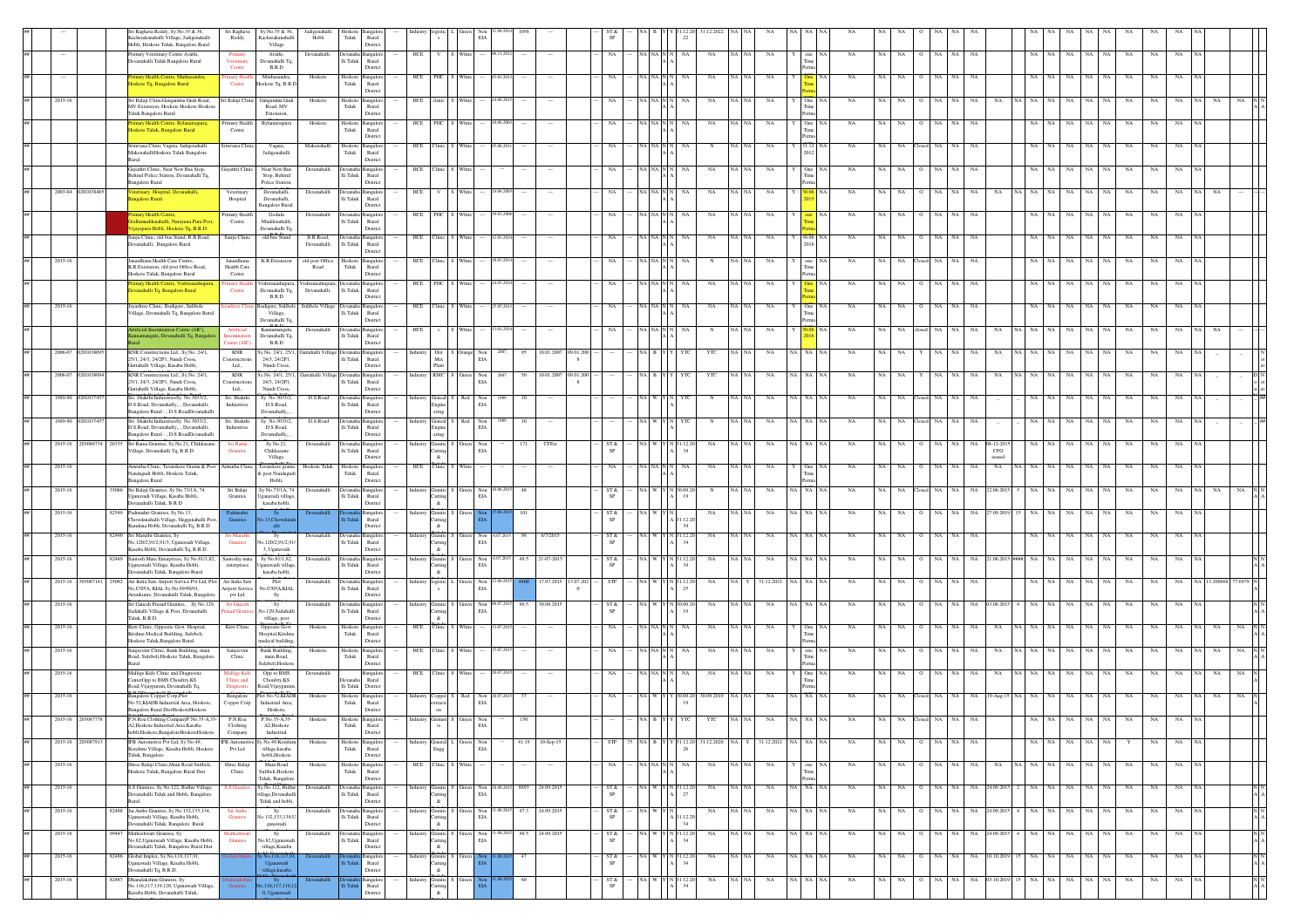|             |                   | ri Raghava Reddy, Sy.No.35 & 36,                                                                      | Sri Raghava                              | Sy.No.35 & 36,                                       | Jadigenahalli                            | Hoskote              | angalo                            |                                      |                              |                                      |                |                                          |                   |                                                          |                         |             |           |             |         |                         |                              |                 |                               |         |           |             |             |             |             |             |    |  |
|-------------|-------------------|-------------------------------------------------------------------------------------------------------|------------------------------------------|------------------------------------------------------|------------------------------------------|----------------------|-----------------------------------|--------------------------------------|------------------------------|--------------------------------------|----------------|------------------------------------------|-------------------|----------------------------------------------------------|-------------------------|-------------|-----------|-------------|---------|-------------------------|------------------------------|-----------------|-------------------------------|---------|-----------|-------------|-------------|-------------|-------------|-------------|----|--|
|             |                   | Cacherakanahalli Village, Jadigenahalli<br>Hobli, Hoskote Taluk, Bangalore Rural                      | Reddy                                    | Kacherakanahalli<br>Village                          | Hobli                                    | ${\rm Taluk}$        | $\rm{Rural}$<br>District          |                                      |                              |                                      |                |                                          | SP                |                                                          |                         |             |           |             |         |                         |                              |                 |                               |         |           |             |             |             |             |             |    |  |
|             |                   | rimary Veterinary Centre Avathi,                                                                      | Primary                                  | Avathi,                                              | Devanahalli.                             |                      | Devanaha Bangalo                  | HCE                                  |                              | Whit                                 |                |                                          | NA                | NA NA N                                                  | ŃA                      | $_{\rm NA}$ | NA NA     | NA          |         | $_{\rm NA}$             | NA<br>NA                     | NA<br>NA        | NA                            |         | NA        | $_{\rm NA}$ | $_{\rm NA}$ | $_{\rm NA}$ | NA          | NA          |    |  |
|             |                   | Devanahalli Taluk Bangalore Rural                                                                     | Veterinary<br>Centre                     | Devanahalli To<br>B.R.D                              |                                          | Ili Taluk            | Rural<br>District                 |                                      |                              |                                      |                |                                          |                   |                                                          |                         |             |           |             |         |                         |                              |                 |                               |         |           |             |             |             |             |             |    |  |
|             |                   | mary Health Centre, Mut                                                                               | imary Hea                                | Muthasandra                                          | Hoskot                                   | Hoskot               | angalo                            | PHC<br>HCE                           |                              |                                      |                |                                          |                   |                                                          |                         | NA          |           |             |         |                         |                              |                 |                               |         |           |             |             |             |             |             |    |  |
|             |                   | loskote Tq, Bangalore Rural                                                                           | Centre                                   | Hoskote Tq, B.R.D                                    |                                          | Taluk                | Rural<br>District                 |                                      |                              |                                      |                |                                          |                   |                                                          |                         |             |           |             |         |                         |                              |                 |                               |         |           |             |             |             |             |             |    |  |
| 2015-16     |                   | Sri Balaji ClinicGangamma Gudi Road,<br>MV Extension, Hoskote Hoskote Hoskote                         | ri Balaji Clinic                         | Gangamma Gudi<br>Road, MV                            | Hoskote                                  | Hoskot<br>Taluk      | angalo<br>Rural                   | HCE clinic                           |                              |                                      |                |                                          | NA                |                                                          |                         | NA          | NA NA     | NA          |         | One<br>NA               |                              |                 |                               |         | NA        | NA.         | NA.         | $_{\rm NA}$ | NA          | NA          |    |  |
|             |                   | Taluk Bangalore Rural                                                                                 |                                          | Extension,                                           |                                          |                      | District                          |                                      |                              |                                      |                |                                          |                   |                                                          |                         |             |           |             |         |                         |                              |                 |                               |         |           |             |             |             |             |             |    |  |
|             |                   | mary Health Centre, Bylanarsapura<br>skote Taluk, Bangalore Rural                                     | Primary Health<br>Centre                 | Bylanarsapura                                        | Hoskote                                  | ${\rm Taluk}$        | Hoskote Bangalon<br>Rural         | HCE PHC S White                      |                              |                                      | 06.200         |                                          | NA                | A I NA INT                                               |                         | NA          | NA NA     | NA          |         | One<br>NA               | NA NA<br>$\Omega$            | NA<br>NA        | <b>NA</b>                     | NA      | NA        | NA          |             | NA          | NA          | NA          |    |  |
|             |                   | Srinivasa Clinic Vagata, Jadigenahalli                                                                | inivasa Clinic                           | Vagata,                                              | Makenahalli                              | Hoskote              | District<br>angalor               | HCE Clinic S White                   |                              |                                      |                |                                          |                   |                                                          |                         | N           | NA   NA   | NA          |         | 31.12.<br>NA            | NA<br>NA.                    |                 |                               |         |           | NA.         | NA.         | NA          | NA          | NA          |    |  |
|             |                   | MakenahalliHoskote Taluk Bangalore<br>Rural                                                           |                                          | Jadigenahalli                                        |                                          | Taluk                | Rural<br>District                 |                                      |                              |                                      |                |                                          |                   |                                                          |                         |             |           |             |         |                         |                              |                 |                               |         |           |             |             |             |             |             |    |  |
|             |                   | Gayathri Clinic, Near New Bus Stop,                                                                   | Gayathri Clinic                          | Near New Bus                                         | Devanahalli                              |                      | Devanaha Bangalor                 | HCE Clinic S Whit                    |                              |                                      |                |                                          | NA                | A NA N                                                   |                         | NA          | NA NA     | NA          |         | NA<br>One               | NA<br>NA.                    | NA              | NA                            |         | NA        | NA.         |             | NA          | NA          | NA          |    |  |
|             |                   | hind Police Station, Devanahalli Tq.<br><b>Bangalore Rural</b>                                        |                                          | Stop, Behind<br>Police Station.                      |                                          | $\rm Ili$ Taluk      | Rural<br>District                 |                                      |                              |                                      |                |                                          |                   |                                                          |                         |             |           |             |         |                         |                              |                 |                               |         |           |             |             |             |             |             |    |  |
| 2003-04     |                   | sterinary Hospital, Devanahalli,<br>ngalore Rural.                                                    | Veterinary<br>Hospital                   | Devanahalli,<br>Devanahalli.                         | Devanahalli                              | lli Taluk            | Devanaha Bangalor<br>Rural        | HCE                                  |                              | White                                |                |                                          |                   | <b>A</b> NA N                                            |                         | $_{\rm NA}$ |           | NA          |         | NA                      | NA<br>NA                     |                 |                               |         | NA        | $_{\rm NA}$ | NA          | $_{\rm NA}$ | $_{\rm NA}$ | $_{\rm NA}$ |    |  |
|             |                   |                                                                                                       |                                          | Bangalore Rural.                                     |                                          |                      | District                          |                                      |                              |                                      |                |                                          |                   |                                                          |                         |             |           |             |         |                         |                              |                 |                               |         |           |             |             |             |             |             |    |  |
|             |                   | imary Health Centre,<br>Sodlumuddenahalli. Narayana Pura Post                                         | Primary Health<br>Centre                 | Godulu<br>Muddenahalli                               | Devanahall                               | lli Taluk            | angalor<br>Rural                  | HCE PHC S Whit                       |                              |                                      |                |                                          |                   |                                                          |                         | NA          | NA NA     | NA          |         | NA                      | NA  <br>NA<br>$\circ$        | NA<br>NA        | NA                            | NA      | NA        | NA          | NA          | NA          | NA          | NA          |    |  |
|             |                   | Vijavapura Hobli, Hoskote To, B.R.D.                                                                  |                                          | Devanahalli To.                                      | B.B Road.                                |                      | District                          |                                      |                              |                                      |                |                                          |                   |                                                          |                         |             |           |             |         |                         |                              |                 |                               |         |           |             |             |             |             |             |    |  |
|             |                   | Sanju Clinic, old bus Stand, B.B Road,<br>Devanahalli, Bangalore Rural                                | Sanju Clinic                             | old bus Stand                                        | Devanahalli                              | Ili Taluk            | Devanaha Bangalon<br>Rural        | HCE Clinic S White                   |                              |                                      |                |                                          | NA                | VA NA N N                                                | NA                      | NA          | NA NA     | NA          |         | 30.06. NA<br>NA         | NA  <br><b>NA</b><br>$\circ$ | NA<br>NA        | NA                            | NA NA   | NA        | NA          | NA          | NA          | NA          | NA          |    |  |
| 2015-16     |                   | Janardhana Health Care Centre.                                                                        | Janardhana                               | K.R.Extensio                                         | old post Office                          | Hoskote              | District<br><b>langalon</b>       | HCE Clinic                           |                              |                                      |                |                                          | NA                |                                                          |                         |             | NA NA     | <b>NA</b>   |         | one<br>NA               | NA<br><b>NA</b>              | NA.<br>NA       | <b>NA</b>                     | NA      | NA        | NA          | NA.         | NA          | NA          | NA          |    |  |
|             |                   | K.R.Extension, old post Office Road,<br>Hoskote Taluk, Bangalore Rural                                | Health Care<br>Centre                    |                                                      | Road                                     | Taluk                | Rural<br>District                 |                                      |                              |                                      |                |                                          |                   |                                                          |                         |             |           |             |         |                         |                              |                 |                               |         |           |             |             |             |             |             |    |  |
|             |                   | nary Health Centre, Vishwan<br>vanahalli Tq, Bangalore Rural                                          | imary Heal<br>Centre                     | Vishwanathapura<br>Devanahalli Tq.                   | Vishwanathapura, Devanah<br>Devanahalli. | lli Taluk            | Bangalo<br>Rural                  | HCE PHC                              |                              |                                      |                |                                          |                   | a NJ                                                     |                         | NA          |           | NA          |         | NA                      | NA                           |                 | -NA                           |         | NA        | NA          |             | NA          | NA          | NA          |    |  |
|             |                   |                                                                                                       |                                          | B.R.D                                                |                                          |                      | District                          |                                      |                              |                                      |                |                                          |                   |                                                          |                         |             |           |             |         |                         |                              |                 |                               |         |           |             |             |             |             |             |    |  |
| 2015-16     |                   | Jayashree Clinic, Budigere, Sulibele<br>Village, Devanahalli Tq, Bangalore Rural                      | ashree Clinic                            | Budigere, Sulibele<br>Village,                       | Sulibele Village Devanaha Bangalore      | lli Taluk            | Rural                             | HCE Clinic S White                   |                              |                                      |                |                                          | NA                | (A   NA   N   I                                          | NA                      | NA          | NA   NA   | NA          |         | NA<br>One NA            | NA<br>- NA                   | NA<br>NA        | NA                            |         | NA        | NA          | NA          | NA          | NA          | NA          |    |  |
|             |                   | ificial Insemination Centre (AIC).                                                                    | Artificial                               | Devanahalli Tq.<br>Kannamangala,                     | Devanahall                               |                      | District<br>angalo                | HCE                                  |                              |                                      |                |                                          |                   |                                                          |                         |             |           | NA          |         | NA                      |                              |                 |                               |         |           |             |             |             |             |             |    |  |
|             |                   | mamangala, Devanahalli Tq, Banga                                                                      | entre (AIC)                              | Devanahalli Tq.<br>B.R.D                             |                                          | $\rm{Ili}$ Taluk     | Rural<br>Distric                  |                                      |                              |                                      |                |                                          |                   |                                                          |                         |             |           |             |         |                         |                              |                 |                               |         |           |             |             |             |             |             |    |  |
| 2006-07     |                   | KNR Constructions Ltd., Sy.No. 24/1,<br>25/1, 24/3, 24/2P1, Nandi Cross,                              | KNR<br>onstructions                      | r.No. 24/1, 25/1<br>24/3, 24/2P1.                    | Suttahalli Village Dev                   | Ili Taluk            | Rural                             | Mix                                  | ustry Hot S Orange           | Non<br>EIA                           |                | 10.01.2007<br>09.01.20<br>$\mathbf{g}$   |                   |                                                          |                         | YTC         |           | NA          | IA I NA | NA                      |                              |                 |                               |         |           |             |             |             |             |             |    |  |
|             |                   | Guttaballi Village Kasaba Hobli                                                                       | Ltd                                      | Nandi Cross.                                         |                                          |                      | District                          | Plant                                |                              |                                      |                |                                          |                   |                                                          |                         |             |           |             |         |                         |                              |                 |                               |         |           |             |             |             |             |             |    |  |
| 2006-07     |                   | KNR Constructions Ltd., Sy.No. 24/1<br>25/1, 24/3, 24/2P1. Nandi Cross,                               | KNR<br><b>Constructions</b>              | Sy.No. 24/1, 25/1<br>24/3, 24/2P1.                   | Guttahalli Village Devanah               | Ili Taluk            | Rural                             | industry RMC S Green                 |                              | Non<br>EIA                           | 2007           | 10.01.2007<br>09.01.200<br>8             |                   |                                                          |                         | YTC         | NA NA     | NA          | IA I NA | $_{\rm NA}$             | NA                           |                 |                               |         |           | NA          |             |             |             |             |    |  |
| 1989-90     |                   | Guttahalli Village, Kasaba Hobli,<br>Sri. Shakthi InduistriesSy. No.3033/2                            | Ltd.,<br>Sri, Shakthi                    | Nandi Cross.<br>Sv. No.3033/2                        | D.S.Road                                 | Devanaba             | District<br>aneal                 | ndustry Geneal S                     |                              | Red<br>Non                           |                |                                          |                   |                                                          |                         | N           | NA NA     | NA          | NA I NA | <b>NA</b>               |                              |                 |                               |         | NA        | NA.         |             | $_{\rm NA}$ | NA          | NA          |    |  |
|             |                   | D.S.Road. Devanahally Devanahalli.<br>Bangalore Rural - , D.S.RoadDevanahalli                         | Induistries                              | D.S.Road.<br>Devanahally,                            |                                          | Ili Taluk            | Rural<br>District                 |                                      | Engine<br>ering              | EIA                                  |                |                                          |                   |                                                          |                         |             |           |             |         |                         |                              |                 |                               |         |           |             |             |             |             |             |    |  |
| 1989-90     |                   | Sri. Shakthi InduistriesSv. No.3033/2.                                                                | Sri, Shakthi                             | Sv. No.3033/2.                                       | D.S.Road                                 |                      | Devanaha Bangalor                 | industry Geneal S Red                |                              | Non                                  |                | 10                                       |                   |                                                          |                         | $_{\rm N}$  | NA NA     | NA          | NA I NA | NA                      | NA<br>NA 1                   | NA.             | NA                            |         |           | NA.         |             | NA          | <b>NA</b>   | NA          |    |  |
|             |                   | D.S.Road, Devanahally,, , Devanahalli,<br>Bangalore Rural - , D.S.RoadDevanahalli                     | Induistries                              | D.S.Road,<br>Devanahally,                            |                                          | lli Taluk            | Rural<br>District                 |                                      | Engine<br>ering              | EIA                                  |                |                                          |                   |                                                          |                         |             |           |             |         |                         |                              |                 |                               |         |           |             |             |             |             |             |    |  |
|             |                   | 2015-16 203086734 26335 Sri Rama Granites, Sy No.21, Chikkasane<br>illage, Devanahalli Tq, B.R.D.     | Sri Rama<br>Granites                     | Sy No.21,<br>Chikkasane                              | Devanahalli                              | $\rm{Ili}$ Taluk     | Devanaha Bangalor<br>Rural        | Industry Granite S Green Non         | Cutting                      | EIA                                  |                | CFEst<br>171                             | ST &              | NA W Y N 31.12.20                                        |                         | NA          | NA NA     | NA          |         | NA NA NA<br><b>NA</b>   | NA NA<br>$\circ$             | NA .<br>NA      | NA 08-12-2013<br>$_{\rm CFO}$ | NA      | NA        | NA          | NA          | NA          | NA          | NA          |    |  |
| 2015-16     |                   | Amrutha Clinic, Tavarekere Grama & Pos                                                                | nrutha Clinic                            | Village,<br>Tavarekere grama                         | Hoskote Talul                            | Hoskote              | District<br>angalo                | HCE<br>Clinic                        | $\&$                         |                                      |                |                                          |                   |                                                          |                         | NA          |           | NA          |         | NA                      |                              |                 | issued<br>NA                  |         |           |             |             |             |             |             |    |  |
|             |                   | andagudi Hobli, Hoskote Taluk,<br><b>Bangalore Rural</b>                                              |                                          | & post Nandague<br>Hobli.                            |                                          | Taluk                | Rural<br>District                 |                                      |                              |                                      |                |                                          |                   |                                                          |                         |             |           |             |         |                         |                              |                 |                               |         |           |             |             |             |             |             |    |  |
|             |                   |                                                                                                       |                                          |                                                      |                                          |                      |                                   |                                      |                              |                                      |                |                                          |                   |                                                          |                         |             |           |             |         |                         |                              |                 |                               |         |           |             |             |             |             |             |    |  |
| 2015-16     |                   | Sri Balaji Granites, Sy No.73/1A, 74                                                                  | Sri Balaji                               | Sy No.73/1A, 74                                      | Devanahal                                |                      | Devanaha Bangalor                 | Industry Granite S Green             |                              | Non                                  | 06.201         | 48                                       | $ST &$            |                                                          |                         |             |           | NA          | NA NA   |                         |                              |                 | NA<br>22.06.20                |         | NA        | NA          | NA          | $_{\rm NA}$ | $_{\rm NA}$ | NA          |    |  |
|             |                   | Jganavadi Village, Kasaba Hobli,<br>Devanahalli Taluk, B.R.D                                          | Granites                                 | Jganavadi village<br>kasaba hobli,                   |                                          | $\rm Ili$ Taluk      | Rural<br>District                 |                                      | Cutting<br>$\&$              | EIA                                  |                |                                          | SP                |                                                          |                         |             |           |             |         |                         |                              |                 |                               |         |           |             |             |             |             |             |    |  |
| 2015-16     |                   | 82549 Padmashri Granites, Sy No.13,                                                                   | Granites                                 | 13.Chox                                              |                                          |                      | angalor<br>Rural                  |                                      | Granite                      |                                      |                |                                          | ST &<br>SP        |                                                          | 1122                    | NA          | NA NA     | NA          | iA∣NA   | NA                      | NA                           |                 | 7.09.20                       |         | NA        | NA          |             | $_{\rm NA}$ | NA          | NA          |    |  |
|             |                   | Chowdanahalli Village, Hegganahalli Pos<br>Kundana Hobli, Devanahalli To, B.R.D.                      |                                          | alli                                                 |                                          |                      | District                          |                                      | Cutting<br>$\&$              |                                      |                |                                          |                   |                                                          | 34                      |             |           |             |         |                         |                              |                 |                               |         |           |             |             |             |             |             |    |  |
| 2015-16     |                   | 82490 Sri Maruthi Granites, Sv<br>No.120/2,91/2,91/3, Uganavadi Village.                              | iri Maruthi<br>Granites                  | Sv<br>No.120/2.91/2.9                                | Devanahalli                              | Devanak<br>Ili Taluk | Rural                             |                                      | Cutting                      | Granite S Green Non 6.07.2015<br>EIA |                | 6/7/201<br>96                            | ST &<br><b>SP</b> | va I w I                                                 | Y N 31.12.20            | <b>NA</b>   | NA NA     | <b>NA</b>   | iA∣NA   | <b>NA</b>               | NA 1<br>NA.<br>$\Omega$      | NA<br>NA        | NA.                           | NA.     | NA        | NA          | NA.         | NA.         | NA.         | NA.         |    |  |
| 2015-16     |                   | Kasaba Hobli, Devanahalli Tq, B.R.D.<br>82489 Santosh Mata Enterprises, Sv No.81/1.82.                | Santoshy mata                            | 3, Uganavadi<br>Sv No.81/1.82.                       | Devanahalli                              |                      | District<br>Devanaha Bangalore    | $\&$<br>Industry Granite S Green Non |                              |                                      |                | 5.07.2015 49.5 21-07-2015                | ST &              |                                                          | A W Y N 31.12.2         | NA          | NA NA     | NA          | NA I NA | <b>NA</b>               | NA<br>NA<br>$\circ$          | <b>NA</b><br>NA | NA 21.06.2015 ###             | NA NA   | NA        | NA          | NA.         | NA          | NA          | NA          |    |  |
|             |                   | Uganawadi Village, Kasaba Hobli,<br>Devanahalli Taluk, Bangalore Rural                                | enterprises                              | Iganawadi village<br>kasaba hobli,                   |                                          | lli Taluk            | Rural<br>District                 |                                      | Cutting<br>$\&$              | EI/                                  |                |                                          |                   |                                                          |                         |             |           |             |         |                         |                              |                 |                               |         |           |             |             |             |             |             |    |  |
| 2015-16     |                   | 25082 Air India Sats Airport Service Pvt Ltd, Plot                                                    | Air India Sats<br><b>Lirport Service</b> | Plot                                                 | Devanahalli                              | Devanah              | <b>Bangalo</b><br>Rural           | dustry logistic 1<br>$\mathbf{s}$    |                              | Green Non                            |                | 7.07.2015<br>13.07.202<br>$\overline{0}$ | STP               |                                                          | 1.12.21                 | NA          |           | 31.12.202   | A I NA  | NA                      | NA  <br>NA.                  | NA.             | -NA                           |         | NA        | NA          |             | NA          | NA          |             |    |  |
|             |                   | No.C/05A, KIAL Sy No.89/90/91,<br>rsinkunte, Devanahalli Taluk, Bangalore                             | pvt Ltd                                  | io.C/05A,KIAL<br>Sy                                  |                                          | lli Taluk            | District                          |                                      |                              | EIA                                  |                |                                          |                   |                                                          |                         |             |           |             |         |                         |                              |                 |                               |         |           |             |             |             |             |             |    |  |
| 2015-16     |                   | Sri Ganesh Prasad Granites, Sy No.129,<br>Sadahalli Village & Post, Devanahalli                       | Sri Ganesh                               | Sy<br>o.129, Sadahall                                | Devanahalli                              | $\rm{Ili}$ Taluk     | angalo<br>Rural                   | istry Granite S                      | utting                       | EIA                                  | Non 06.07.2015 | 96.5<br>30.08.201                        | ST &<br>SP        |                                                          |                         | NA          |           | NA          |         | NA                      |                              |                 | NA                            |         | NA        | NA          | NA          | NA          | NA          | NA          |    |  |
| 2015-16     |                   | Taluk, B.R.D.<br>Kirti Clinic, Opposite Govt. Hospital,                                               | Kirti Clinic                             | village, post<br>Opposite Govt.                      | Hoskote                                  | Hoskote              | District<br>Bangalor              | $\&$<br>HCE                          | ${\bf C}$ linic              | Whit                                 |                |                                          | NA                |                                                          |                         | $_{\rm NA}$ | NA NA     | NA          |         | $_{\rm NA}$             | NA<br>NA                     |                 | NA<br>NA                      |         | NA        | NA          | NA          | NA          | NA          |             |    |  |
|             |                   | Krishna Medical Building, Sulebeli,<br>Hoskote Taluk, Bangalore Rural                                 |                                          | Hospital, Krishna<br>medical building                |                                          | Taluk                | Rural<br>District                 |                                      |                              |                                      |                |                                          |                   |                                                          |                         |             |           |             |         |                         |                              |                 |                               |         |           |             |             |             |             |             |    |  |
| 2015-16     |                   | Sanjeevini Clinic, Bank Building, main                                                                |                                          | <b>Bank Building</b><br>main Road.                   | Hoskote                                  | Hoskote<br>Taluk     | angalo                            | HCE Clinic                           |                              |                                      |                |                                          |                   |                                                          |                         | NA          |           | NA          |         | NA                      |                              |                 |                               |         |           | NA          |             | NA          |             | NA          |    |  |
|             |                   | Road, Sulebeli, Hoskote Taluk, Bangalore<br>Rural                                                     | Clinic                                   | Sulebeli.Hoskot                                      |                                          |                      | Rural<br>District                 |                                      |                              |                                      |                |                                          |                   |                                                          |                         |             |           |             |         |                         |                              |                 |                               |         |           |             |             |             |             |             |    |  |
| $2015 - 16$ |                   | Mallige Kids Clinic and Diagnosti<br>CenterOpp to BMS Choultry, KS                                    | fallige Kids<br>Clinic and               | Opp to BMS<br>Choultry, KS                           | Devanahalli                              | <b>Manaha</b>        | Rural                             | HCE Clinic                           |                              |                                      |                |                                          | NA                |                                                          |                         | NA          | NA NA     | NA          |         | $_{\rm NA}$             | NA<br>NA                     | NA              | NA<br>NA                      |         | NA        | $_{\rm NA}$ |             | NA          | NA          |             |    |  |
| 2015-16     |                   | Road, Vijaypuram, Devanahalli Tq,<br>ngalore Copper Corp.Plot                                         | Diagnostic<br>Bangalore                  | Road. Vijavpura<br>Plot No.52.KIADB                  | Hoskote                                  | lli Taluk<br>Hoskote | District<br>anealo                |                                      |                              | Red<br>Non                           |                |                                          | NA                |                                                          |                         | 30.09.2019  | I NA I NA | NA          | NA I NA |                         |                              |                 | 19-Aug-1                      |         | NA        | NA.         | NA.         | NA          | NA          | NA          | NA |  |
|             |                   | No.52, KIADB Industrial Area, Hoskote,                                                                | Copper Corp                              | Industrial Area,<br>Hoskote,                         |                                          | Taluk                | Rural<br>District                 | dustry Copper S                      | extracti<br>on               | EIA                                  |                |                                          |                   |                                                          |                         |             |           |             |         |                         |                              |                 |                               |         |           |             |             |             |             |             |    |  |
|             |                   | Bangalore Rural DistHoskoteHoskote                                                                    |                                          |                                                      |                                          |                      |                                   |                                      |                              |                                      |                |                                          |                   |                                                          |                         |             |           |             |         |                         |                              |                 |                               |         |           |             |             |             |             |             |    |  |
|             |                   | A2, Hoskote Industrial Area. Kasaba<br>hobli, Hoskote, BangaloreHoskoteHoskote                        | Clothing<br>Company                      | A2, Hoskote<br>Industrial                            |                                          | Taluk                | Rural<br>District                 |                                      |                              | EIA                                  |                |                                          |                   |                                                          |                         |             |           |             |         |                         |                              |                 |                               |         |           |             |             |             |             |             |    |  |
|             | 2015-16 203087913 | IFB Automotive Pvt Ltd, Sy No.49,<br>raluru Village, Kasaba Hobli, Hoskote                            | Pvt Ltd                                  | IFB Automotive Sy No.49, Koraluru<br>village, kasaba | Hoskote                                  | ${\rm T}$ aluk       | Hoskote Bangalore<br>Rural        | ndustry General L Green Non          | Engg                         | EIA                                  |                | 41.19 10-Sep-15                          | <b>STP</b>        | 75 NA B Y Y 31.12.20 31.12.2026 NA Y 31.12.2021 NA NA NA |                         |             |           |             |         | NA                      | NA NA O NA NA NA             |                 |                               |         | NA NA     | NA NA       | $_{\rm NA}$ | Y           | NA          | NA          | NA |  |
| 2015-16     |                   | Taluk, Bangalore<br>Shree Balaji Clinic, Main Road Sulibeli                                           | Shree Balaji                             | hobli, Hoskote<br>Main Road                          | Hoskot                                   |                      | District<br>Hoskote Bangalore     | HCE                                  | Clinic <sup>1</sup>          |                                      |                |                                          |                   | NA NA N                                                  |                         | NA          | NA NA     | NA          |         | NA<br>one               | NA<br>NA                     |                 | NA<br>NA                      |         | ŃА        | NA          |             | NA          | NA          | NA          |    |  |
|             |                   | loskote Taluk, Bangalore Rural Dist                                                                   | Clinic                                   | Sulibeli, Hoskote<br>Taluk, Bangalore                |                                          | Taluk                | Rural<br>District                 |                                      |                              |                                      |                |                                          |                   |                                                          |                         |             |           |             |         |                         |                              |                 |                               |         |           |             |             |             |             |             |    |  |
| 2015-16     |                   | S.S.Granites, Sy No.122, Bidlur Village,                                                              | S.Gra                                    | Sy No.122, Bidlur                                    | Devanaha                                 |                      | angalo                            |                                      | Granite                      | Non<br>Green                         | 308.201        | 8893<br>24.09.201                        | ST &              | va I w                                                   | $(N$ 31.12.2            | NA          | NA NA     | NA          | NA NA   | NA                      | NA<br><b>NA</b>              | NA              | 24.09.20<br>NA                |         | NA        | NA          | NA          | NA          | NA          | NA          |    |  |
|             |                   | Devanahalli Taluk and Hobli, Bangalore<br>Rural                                                       |                                          | village, Devanahalli<br>Taluk and hobli,             |                                          | $\rm Ili$ Taluk      | Rural<br>District                 | $\alpha$                             | <b>Cutting</b>               | EIA                                  |                |                                          | SP                |                                                          |                         |             |           |             |         |                         |                              |                 |                               |         |           |             |             |             |             |             |    |  |
| 2015-16     |                   | 82488 Jai Ambe Granites, Sy No.132,133,134,<br>Uganawadi Village, Kasaba Hobli,                       | Jai Amb<br><b>Granites</b>               | Sy<br>No.132.133.134.1                               | Devanahall                               | lli Taluk            | Rural                             |                                      | Granite<br>Cutting           | Non<br>EIA                           |                | 1.08.2015 47.3 24.09.201                 | $ST &$<br>SP      | A W Y N                                                  | 1.12.2                  | NA          | NA NA     | $_{\rm NA}$ | NA NA   | NA                      | NA  <br>NA<br>$\circ$        | NA<br>NA        | NA 24.09.201                  | NA NA   | NA        | $_{\rm NA}$ | NA          | $_{\rm NA}$ | $_{\rm NA}$ | NA          |    |  |
| 2015-16     | 99447             | Devanahalli Taluk, Bangalore Rural<br>Matheshwari Granites, Sv                                        |                                          | ganawadi<br>Sv                                       | Devanahalli                              | Devanak              | District<br>anealo                |                                      | $\&$                         | Green Non                            | .08.2015       | 49.5<br>24.09.2013                       | ST &              |                                                          | 34<br>NA W Y N 31.12.20 | NA          | NA NA     | NA          |         | NA NA NA<br><b>NA</b>   | NA NA<br>$\circ$             | NA<br>NA        | NA 24.09.201                  | NA   NA | NA        | NA          | NA          | NA.         | NA          | NA          |    |  |
|             |                   | No.82, Uganawadi Village, Kasaba Hobli,<br>Devanahalli Taluk, Bangalore Rural Dist                    | Granites                                 | No.82, Uganawad<br>village, Kasaba                   |                                          | lli Taluk            | Rural<br>District                 |                                      | Granite S<br>Cutting<br>$\&$ | EIA                                  |                |                                          | <b>SP</b>         |                                                          |                         |             |           |             |         |                         |                              |                 |                               |         |           |             |             |             |             |             |    |  |
| 2015-16     |                   | 82486 Global Implex, Sv No. 118 117 91                                                                |                                          |                                                      |                                          |                      | angalore                          |                                      | Granite S                    |                                      |                | 47                                       | ST &              |                                                          | VA W Y N 31.12.2        | NA          | NA NA     | NA          |         | NA NA NA<br><b>NA</b>   | NA NA                        | O NA NA         | NA 10.10.2019 15 NA NA        |         |           | NA NA       | NA          | NA          | NA          | NA          |    |  |
|             |                   | Uganawadi Village, Kasaba Hobli,<br>Devanahalli Tq, B.R.D.                                            |                                          | Uganawadi<br>llage,kasaba                            |                                          |                      | Rural<br>District                 |                                      | Cutting<br>$\&$              |                                      |                |                                          | SP                |                                                          |                         |             |           |             |         |                         |                              |                 |                               |         |           |             |             |             |             |             |    |  |
| 2015-16     | 82487             | Dhanalakshmi Granites, Sy<br>No.116,117,119,120, Uganawadi Village,<br>saba Hobli, Devanahalli Taluk, | Granites                                 | Sy<br>116,117,119,                                   |                                          |                      | <b>Bangalor</b><br>$_{\rm Rural}$ |                                      | Granite<br>Cutting           |                                      |                | 60                                       | ST &<br>SP        |                                                          | VA W Y N 31.12.20       | NA          | NA NA     | NA          |         | NA NA NA<br>$_{\rm NA}$ | NA<br>$\circ$<br>NA          | NA<br>NA        | NA 03.10.2019                 | NA      | NA<br>NA. | $_{\rm NA}$ | NA          | NA          | NA          | NA          |    |  |

Bangalore Rural

village, kasaba

Polishi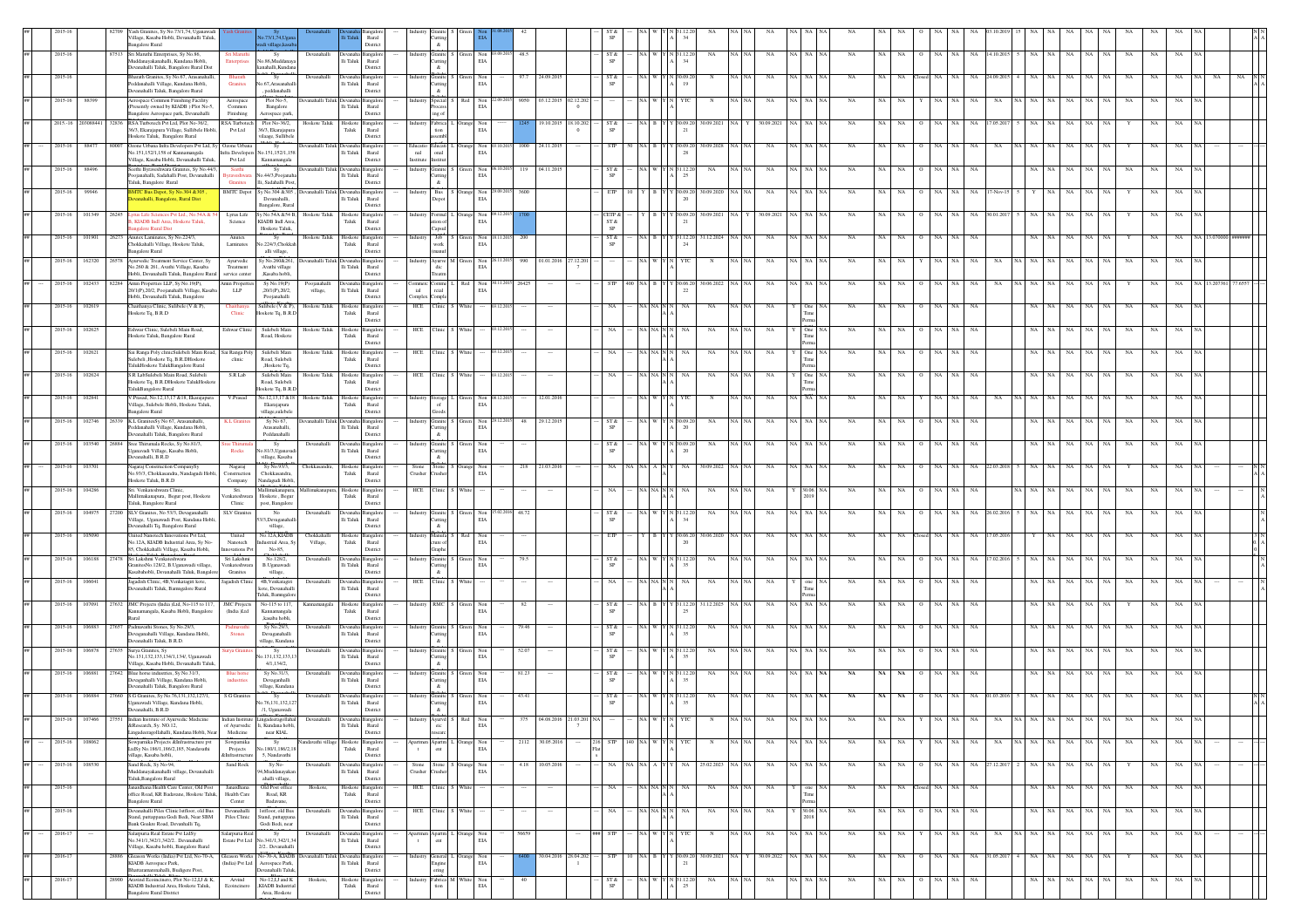|  |             |              | fash Granites, Sy No.73/1,74, Uganawadi                                                                                              |                                                                                                                                                      |                                                                        |                                                    |                         |                         |                              |           |                                                      |                  |                                                     |                                  |                        |          |           |             |                    |             |                 |     |                |         |                   |       |    |             |             |             |             |  |
|--|-------------|--------------|--------------------------------------------------------------------------------------------------------------------------------------|------------------------------------------------------------------------------------------------------------------------------------------------------|------------------------------------------------------------------------|----------------------------------------------------|-------------------------|-------------------------|------------------------------|-----------|------------------------------------------------------|------------------|-----------------------------------------------------|----------------------------------|------------------------|----------|-----------|-------------|--------------------|-------------|-----------------|-----|----------------|---------|-------------------|-------|----|-------------|-------------|-------------|-------------|--|
|  |             |              | Village, Kasaba Hobli, Devanahalli Taluk,<br><b>Bangalore Rural</b>                                                                  |                                                                                                                                                      | Rural<br>Distric                                                       | utting<br>&                                        |                         |                         |                              |           | SP                                                   |                  |                                                     |                                  |                        |          |           |             |                    |             |                 |     |                |         |                   |       |    |             |             |             |             |  |
|  | 2015-16     |              | 87513 Sri Manithi Enterprises Sv No 86<br>Muddanayakanahalli, Kundana Hobli,                                                         | Sri Maruthi<br>Sv<br>Devanahalli<br>lo.86,Muddana<br>interprises                                                                                     | Devanaha Bangalor<br>li Taluk<br>Rural                                 | Industry Granite S Green Non 03.09.2015<br>Cutting |                         | EIA                     | 48.5                         |           | ST &                                                 |                  |                                                     | NA W Y N 31.12.20<br>NA          | NA                     | NA NA NA |           | <b>NA</b>   | NA                 | <b>NA</b>   | NA.<br>$\Omega$ | NA  | NA 14.10.201   | NA      | NA<br>NA          | NA    | NA | <b>NA</b>   | NA          | NA          |             |  |
|  | 2015-10     |              | Devanahalli Taluk, Bangalore Rural Dist<br>Bharath Granites, Sy No.67, Arasanahalli,<br>Peddanahalli Village, Kundana Hobli,         | anahalli,Kunda<br>$S_3$<br>Devanahall<br>o.67, Arasanahal<br>Granites                                                                                | District<br>Ili Taluk<br>Rural                                         | $\&$<br>Granite<br>Cutting                         |                         | Non<br>EIA              | 24.09.201                    |           | ST &<br>$\mbox{SP}$                                  |                  |                                                     | 19                               |                        |          |           |             |                    |             |                 |     | 24.09.2        |         |                   |       |    |             |             |             |             |  |
|  | 2015-16     | 8839         | Devanahalli Taluk, Bangalore Rural<br>Aerospace Common Finishing Facility                                                            | , peddanahalli<br>Plot No-5,<br>vanahalli Taluk<br>Aerospace                                                                                         | District<br>angale                                                     | $\alpha$<br>Special :                              |                         | Non<br>109.201          | 9050<br>03.12.2015           | 02.12.202 |                                                      | NA WY            |                                                     |                                  |                        |          |           |             |                    |             |                 |     |                |         |                   |       |    |             |             |             |             |  |
|  |             |              | Presently owned by KIADB ) Plot No-5,<br>Bangalore Aerospace park, Devanahalli                                                       | Bangalore<br>Common<br>Finishing<br>Aerospace park                                                                                                   | li Taluk<br>Rural<br>District                                          | ing of                                             |                         | $_{\rm EIA}$            |                              |           |                                                      |                  |                                                     |                                  |                        |          |           |             |                    |             |                 |     |                |         |                   |       |    |             |             |             |             |  |
|  | 2015.-16    | 203088441    | 32836 RSA Turbotech Pvt Ltd, Plot No-36/2,<br>36/3, Ekarajapura Village, Sullibele Hobli<br>Hoskote Taluk, Bangalore Rural           | RSA Turbotech<br>Plot No-36/2,<br>Hoskote Taluk<br>Pvt Ltd<br>36/3, Ekarajapu<br>rilaage, Sullibele                                                  | Hoskote<br>langalor<br>Taluk<br>Rural<br>District                      | Fabrica 1<br>tion<br>ssembl                        |                         | Non<br>EIA              | 19.10.201                    | 18.10.20  | $ST\,\&$<br>SP                                       | NA BY            |                                                     | 30.09.20<br>30.09.202            | 30.09.2021             |          |           |             | NA                 |             |                 |     | NA<br>17.05.20 |         | NA                | NA    |    |             |             |             |             |  |
|  | 2015-16     | 8847         | Ozone Urbana Infra Developers Pvt Ltd, Sy<br>80007<br>No.151.152/1,158 of Kannamangala                                               | $\frac{1}{s_y}$<br>cinaballi Taluk<br>Ozone Urban<br><b>Infra Developers</b><br>No.151,152/1,15                                                      | angalo<br>$\rm{Ili}$ Taluk<br>Rural                                    | Educati<br>nal<br>$_{\rm{onal}}$                   |                         | Non<br>EIA              | 1000<br>24.11.201            |           | <b>STP</b>                                           | NAIR             |                                                     | 30.09.2028<br>0.09.20            | NA                     |          |           | NA          | NA                 |             | NA              | NA  | NA             |         | NA                | NA    | NA |             |             |             |             |  |
|  | 2015-16     | 88496        | Village, Kasaba Hobli, Devanahalli Taluk,<br>Seethi Byraveshwara Granites, Sy No.44/3,                                               | Pyt Ltd<br>Kannamangala<br>Seeth<br>Sy<br>anahalli Taluk                                                                                             | District                                                               | Institute Institut<br>Granite S                    |                         | Non<br>06.10.2015       | 119<br>04.11.201             |           | ST &                                                 |                  |                                                     | NA W Y N 31.12.20<br>NA          | NA                     | NA NA NA |           | NA          | NA                 | <b>NA</b>   | $_{\rm NA}$     | NA  | NA             | NA      | NA<br>NA          | NA    | NA | NA          | NA          | NA          |             |  |
|  |             |              | oojanahalli, Sadahalli Post, Devanahalli<br>Taluk, Bangalore Rural                                                                   | io.44/3.Poojana<br>raveshwa<br>Ili, Sadahalli Post<br>Granites                                                                                       | lli Taluk<br>Rural<br>District                                         | Cutting<br>$\alpha$                                |                         | EIA                     |                              |           | SP                                                   |                  |                                                     |                                  |                        |          |           |             |                    |             |                 |     |                |         |                   |       |    |             |             |             |             |  |
|  | 2015-16     | 99946        | MTC Bus Depot, Sy No.304 & 305<br>anahalli, Bangalore, Rural Dist                                                                    | <b>BMTC</b> Depot<br>Sv No.304 &305<br>Devanahalli,<br>Bangalore, Rural                                                                              | Jevanahalli Taluk Devanaha Bangalore<br>lli Taluk<br>Rural<br>District | Industry Bus S Orange Non 29.09.2015<br>Depot      |                         | EIA                     | 3600                         |           | ETP                                                  |                  | YBIY                                                | (30.09.20)<br>30.09.2020         | NA                     |          | VA NA NA  | NA          | NA                 | NA.         | NA              | NA  | NA.<br>7-Nov-1 |         | <b>NA</b><br>NA   | NA    | NA |             | NA          | NA          |             |  |
|  | 2015-16     | 101349       | 26245<br>yrus Life Sciences Pvt Ltd., No.54A &<br>KIADB Indl Area, Hoskote Taluk,                                                    | y No.54A &54 B,<br>Lyrus Life<br>Hoskote Taluk<br>KIADB Indl Area<br>Science                                                                         | Hoskote<br>Bangalor<br>Taluk<br>Rural                                  | ndustry Formul<br>ation of                         |                         | Non<br>EIA              |                              |           | CETP &<br>$ST\,\&$                                   |                  |                                                     | 30.09.2021<br>80.09.20           | 30.09.2021             | VА.      |           | NA          |                    |             | NA              | NA  | NA 30.01.20    |         | NA<br>NA          | NA    | NA |             | NA.         | NA.         |             |  |
|  | 2015-16     | 101901       | galore Rural Dist<br>Anutex Laminates, Sy No.224/3,<br>26273<br>hokkahalli Village, Hoskote Taluk,                                   | Hoskote Taluk,<br>Hoskote Taluk<br>Anutex<br>Sy<br>0.224/3,Chokkab                                                                                   | District<br>Hoskote Bangalor<br>Taluk<br>Rural                         | Capsul<br>Industry<br>work                         | Job S Green             | Non<br>18.11.201<br>EIA | 200                          |           | $\mbox{SP}$<br>ST &                                  |                  |                                                     | 31.12.2024<br>NA B Y Y 31.12.20  | NA                     |          | VA NA NA  | NA          | NA                 | NA          | NA              | NA  | NA             |         | <b>NA</b><br>NA   | NA    | NA |             | NA          | NA          |             |  |
|  | 2015-16     | 162320       | ngalore Rural<br>Ayurvedic Treatment Service Center, Sy                                                                              | Laminates<br>alli village,<br>y No.260&261<br>anahalli Taluk<br>Ayurvedic                                                                            | <b>Distric</b><br>ıngal                                                | industry Ayurve M                                  |                         | Non                     | 01.01.201<br>990<br>27.12.20 |           |                                                      |                  |                                                     |                                  | NA                     |          |           | NA          |                    |             |                 |     |                |         | NA                |       |    | NA          |             |             |             |  |
|  |             |              | No.260 & 261, Avathi Village, Kasaba<br>Hobli, Devanahalli Taluk, Bangalore Rur                                                      | Treatment<br>Avathi village<br>rvice center<br>.Kasaba hobli                                                                                         | lli Taluk<br>Rural<br>Distric                                          | dic<br>Treatm                                      |                         | EIA                     |                              |           |                                                      |                  |                                                     |                                  |                        |          |           |             |                    |             |                 |     |                |         |                   |       |    |             |             |             |             |  |
|  | 2015-16     | 10243        | Amin Properties LLP, Sy No.19(P),<br>82284<br>20/1(P),20/2, Poojanahalli Village, Kasaba<br>Hobli, Devanahalli Taluk, Bangalore      | Sy No.19(P)<br>min Prope<br>$_{\rm LLP}$<br>.20/1(P).20/2.<br>village,<br>Poojanahalli                                                               | lli Taluk<br>Rural<br>District                                         | `omme<br>ial<br>reial<br>Complex Comple            |                         | Non<br>EIA              |                              |           |                                                      |                  |                                                     | 30.06.20<br>22                   |                        |          |           |             |                    |             |                 |     |                |         |                   |       |    |             |             |             |             |  |
|  | 2015-16     | 102619       | Chaithanya Clinic, Sulibele (V & P),<br>Hoskote Tq, B.R.D                                                                            | Sulibele (V & P),<br>Hoskote Taluk<br>Clinic<br>Hoskote Tq, B.R.I                                                                                    | Hoskote<br>ingale<br>Taluk<br>Rural                                    | HCE Clinic S White                                 |                         | 1220                    |                              |           | NA                                                   | NA NA N          |                                                     | NA<br>NA                         | NA                     |          |           | NA          | NA                 |             | NA              | NA  | NA             |         | NA                | NA    | NA | $_{\rm NA}$ | NA          | NA          |             |  |
|  | 2015-16     | 102625       | Eshwar Clinic, Sulebeli Main Road,                                                                                                   | Eshwar Clinic<br>Sulebeli Main<br>Hoskote Taluk                                                                                                      | District<br>Hoskot<br>ngalc                                            | HCE<br>Clinic                                      |                         |                         |                              |           |                                                      |                  |                                                     | NA                               | NA                     |          |           | NA          |                    |             |                 |     | NA.            |         |                   |       |    |             |             |             |             |  |
|  | 2015-16     | 102621       | Hoskote Taluk, Bangalore Rural<br>Sai Ranga Poly clinicSulebeli Main Road. Sai Ranga Poly                                            | Road, Hoskote<br>Sulebeli Main<br>Hoskote Taluk                                                                                                      | Taluk<br>Rural<br>District<br>Hoskote<br>angalo                        | HCE Clinic                                         |                         |                         |                              |           | NA.                                                  |                  |                                                     | NA                               | <b>NA</b>              |          |           | <b>NA</b>   | NA                 |             |                 |     | NA             |         |                   |       |    | NA          |             |             |             |  |
|  |             |              | Sulebeli "Hoskote Tq, B.R.DHoskote<br>TalukHoskote TalukBangalore Rural                                                              | Road, Sulebeli<br>clinic<br>,Hoskote Tq,                                                                                                             | Taluk<br>Rural<br>District                                             |                                                    |                         |                         |                              |           |                                                      |                  |                                                     |                                  |                        |          |           |             |                    |             |                 |     |                |         |                   |       |    |             |             |             |             |  |
|  | 2015-16     | 102624       | S.R LabSulebeli Main Road, Sulebeli<br>Hoskote Tq, B.R.DHoskote TalukHoskote<br>TalukBangalore Rural                                 | Sulebeli Main<br>S.R Lab<br>Hoskote Taluk<br>Road, Sulebeli<br>loskote Tq, B.R.I                                                                     | Hoskote Bangalore<br>Taluk<br>Rural<br>District                        | HCE Clinic S White                                 |                         |                         |                              |           | NA.                                                  |                  | NA NA NN                                            | NA<br>NA                         | NA                     |          |           | NA          | NA                 | NA          | NA              | NA  | NA             | NA      | NA                | NA    |    | NA          |             | NA          |             |  |
|  | 2015-16     | 10284        | / Prasad, No.12,13,17 & 18, Ekarajapura<br>illage, Sulebele Hobli, Hoskote Taluk,                                                    | ∛o.12,13,17 &18<br>V.Prasad<br>oskote Talul<br>Ekarajapura                                                                                           | Bangalor<br>Hoskote<br>Taluk<br>Rural                                  | Industry Storage<br>of                             |                         | Non<br>EIA              | 12.01.201                    |           |                                                      |                  |                                                     |                                  |                        |          |           |             |                    |             |                 |     |                |         |                   |       |    |             |             |             |             |  |
|  | 2015-16     | 102746       | <b>Bangalore Rural</b><br>K.L GranitesSy No 67, Arasanahalli,<br>26339                                                               | village, sulebele<br>Sy No 67,<br>K.L. Granit<br>evanahalli Taluk Devanah                                                                            | District<br>Bangalo                                                    | ${\sf Goods}$<br>Granite S                         | Green                   | Non                     | 29.12.2015<br>$48\,$         |           | ST &                                                 |                  |                                                     | NA                               | NA                     |          |           | NA          | NA                 |             |                 |     | NA             |         | NА                |       |    | NA          |             | NA          |             |  |
|  | 2015-16     | 103540       | <sup>b</sup> eddanahalli Village, Kundana Hobli,<br>Devanahalli Taluk, Bangalore Rural<br>Sree Thirumala Rocks, Sy No.81/3,<br>26884 | Arasanahalli.<br>Peddanahalli<br>Sy<br>Devanahalli<br>ee Thii                                                                                        | lli Taluk<br>Rural<br>District<br>Devanaha Bangalore                   | Cutting<br>$\&$<br>Industr                         | Granite S Green         | EIA<br>Non              |                              |           | SP<br>ST &                                           |                  |                                                     | 20<br>NA W Y N 30.09.20<br>NA    | NA                     | NA NA NA |           | NA          | NA                 | <b>NA</b>   | NA              | NA  | NA             | NA      | NA.<br>NA         | NA    | NA | NA          | NA          | NA          |             |  |
|  |             |              | leanavadi Village, Kasaba Hobli,<br>Jevanahalli, B.R.D                                                                               | Rocks<br>io.81/3, Uganava<br>village, Kasaba                                                                                                         | Ili Taluk<br>Rural<br>District                                         | Cutting<br>$\alpha$                                |                         | EIA                     |                              |           | SP                                                   |                  |                                                     | 20                               |                        |          |           |             |                    |             |                 |     |                |         |                   |       |    |             |             |             |             |  |
|  | 2015-16     | 103701       | agaraj Construction CompanySy<br>No.93/3, Chokkasandra, Nandagudi Hobl<br>Hoskote Taluk, B.R.D                                       | Sv No.93/3<br>Nagaraj<br>Chokkasandra<br>Construction<br>Chokkasandra<br>Nandagudi Hobli<br>Company                                                  | Hoskote<br>angalor<br>Taluk<br>Rural<br>District                       | Stone S<br>Stone<br>rusher<br>Crusher              |                         | Non<br>EIA              | 218<br>21.03.201             |           | NA                                                   | NA   A   N       |                                                     | 30.09.202<br>NA                  | NA                     |          |           | NA          | NA                 |             | NA              | NA  | NA 22.03.20    |         | NA.               |       |    |             |             |             |             |  |
|  | 2015-16     | 104286       | Sri. Venkateshwara Clinic.<br>Mallimakanapura, Begur post, Hoskote                                                                   | Mallimakanapura<br>Sri.<br>enkateshwara<br>Hoskote, Begur                                                                                            | Mallimakanapura, Hoskote Bangalore<br>Taluk<br>Rural                   | HCE Clinic S White                                 |                         |                         |                              |           | NA                                                   |                  | NA NA N N                                           | NA<br>NA                         | NA                     |          | 30.06. NA | NA          | NA                 | NA.         | NA              | NA  | NA             | VA I NA | NA<br>NA          | NA    | NA | NA          | NA.         | NA          |             |  |
|  | 2015-16     | 104975       | aluk, Bangalore Rural<br>SLV Granites, No 53/3, Devaganahalli<br>27200                                                               | Clinic<br>post, Bangalore<br><b>SLV</b> Granite<br>No<br>Devanahalli                                                                                 | District<br><b>Jevanah</b><br>angalor                                  | Industry Granite S                                 | Green                   | Non                     | 48.72                        |           | ST &                                                 |                  |                                                     | NA W Y N 31.12.2<br>NA           | NA                     |          |           | <b>NA</b>   |                    |             |                 |     | NA 26.02.20    |         | NA<br>NA          | NA    | NA | NA          |             |             |             |  |
|  | 2015-16     |              | /illage, Uganawadi Post, Kundana Hobli<br>vanahalli Tq, Bangalore Rural<br>sited Nanotech Innovations Pvt Ltd,                       | /3,Devaganaha<br>village,<br>o.12A,KIADB<br>United<br>Chokkahalli                                                                                    | lli Taluk<br>Rural<br>District<br>loskote<br>ingale                    | Cutting<br>$\&$<br>Manufa                          |                         | EIA<br>Non              |                              |           | SP<br>ETP                                            |                  |                                                     | 30.06.20<br>0.6.2                | NA                     |          |           |             |                    |             |                 |     |                |         |                   |       |    |             |             |             |             |  |
|  |             |              | No.12A, KIADB Industrial Area, Sy No-<br>85, Chokkahalli Village, Kasaba Hobli,                                                      | strial Area, Sy<br>Village,<br>Nanotech<br>ovations Pv<br>No-85,                                                                                     | Taluk<br>Rural<br>Distric                                              | ture of<br>Graphe                                  |                         | EIA                     |                              |           |                                                      |                  |                                                     |                                  |                        |          |           |             |                    |             |                 |     |                |         |                   |       |    |             |             |             |             |  |
|  | 2015-16     | 106188       | 27478 Sri Lakshmi Venkateshwara<br>iranitesNo.128/2, B.Uganawadi village<br>Kasabahobli, Devanahalli Taluk, Bangal                   | Sri Lakshmi<br>No.128/2,<br>Devanahalli<br>Venkateshwara<br>B.Uganawadi<br>Granites<br>village,                                                      | angale<br>lli Taluk<br>Rural<br>Distric                                | Industry Granite<br>Cutting<br>$\&$                | Green                   | Non<br>EIA              | 79.5                         |           | ST &<br>SP                                           |                  |                                                     | NA W Y N 31.12.20<br>$_{\rm NA}$ | $_{\rm NA}$            | NA NA N  |           | NA          |                    |             | NA              | NA  | NA 17.02.20    |         | NA<br>ŃА          |       | NA | $_{\rm NA}$ | NA          | NA          |             |  |
|  | 2015-16     | 10604        | lagadish Clinic, 4B, Venkatagiri kote,<br>Devanahalli Taluk, Bamngalore Rural                                                        | 4B, Venkatagir<br>radish Clini<br>Devanahalli<br>kote, Devanahall                                                                                    | lli Taluk<br>Rural                                                     | Clinic<br>HCE                                      |                         |                         |                              |           | NA                                                   |                  |                                                     |                                  |                        |          |           |             |                    |             |                 |     |                |         |                   |       |    |             |             |             |             |  |
|  | 2015-16     | 107091       | 27632 JMC Projects (India )Ltd, No-115 to 117,                                                                                       | aluk, Bamnealo<br>No-115 to 117<br><b>JMC</b> Projects<br>Kannamangala                                                                               | District<br>Hoskote<br>vagalo-                                         | Industry RMC S Green                               |                         | Non<br>EIA              | 82                           |           | ST &                                                 | NA R IY          |                                                     | 31.12.2025<br>81.12.2            | NA                     |          |           |             |                    |             | NA              | NA  | <b>NA</b>      |         | NA                |       |    |             |             | NA          |             |  |
|  | 2015-16     |              | Kannamangala, Kasaba Hobli, Bangalore<br>Rural<br>106883 77657 Padmavathi Stones Sv No 29/3                                          | (India )Ltd<br>Kannamangala<br>kasaba hobli.<br>Sy No.29/3,<br>Padmayath<br>Devanahalli                                                              | Taluk<br>Rural<br>District<br>Devanaha<br>anealor                      | Industry Granite S                                 | Green                   | Non                     | 79.46                        |           | <b>SP</b><br>ST &                                    |                  |                                                     | NA W Y N 31.12.20<br>NA          | NA                     | NA I     |           | NA          | NA                 | <b>NA</b>   | NA              | NA  | NA             |         | NA                |       |    | NA.         |             | NA          |             |  |
|  |             |              | Devaganahalli Village, Kundana Hobli,<br>evanahalli Taluk, B.R.D.                                                                    | <b>Stones</b><br>Devaganahalli<br>village, Kundana                                                                                                   | Ili Taluk<br>Rural<br>District                                         | Cutting<br>$\&$                                    |                         | EIA                     |                              |           | SP                                                   |                  |                                                     |                                  |                        |          |           |             |                    |             |                 |     |                |         |                   |       |    |             |             |             |             |  |
|  | 2015-16     | 106878       | 27635<br>Surya Granites, Sy<br>No.131,132,133,134/1,134/, Uganawadi<br>Village, Kasaba Hobli, Devanahalli Taluk,                     | Sy<br>Devanahalli<br>0.131,132,133,13<br>4/1,134/2,                                                                                                  | <b>Jevanaha</b><br>Ili Taluk<br>Rural<br>District                      | Granite<br>Cutting<br>$\&$                         |                         | Non<br>EIA              | 52.07                        |           | ST &<br>SP                                           |                  |                                                     | 1.12.2<br>NA<br>35               | NA                     |          |           |             | NA.                |             | NA              | NA  | NA.            |         | NA.               | NA    |    | <b>NA</b>   |             | NA          |             |  |
|  | 2015-16     | 106881       | Blue horse industries, Sy No.31/3,<br>27642<br>Devaganhalli Village, Kundana Hobli,                                                  | Sy No.31/3,<br><b>Blue</b> horse<br>Devanahalli<br>Devaganhalli                                                                                      | ıngalc<br>li Taluk<br>Rural                                            | Granite<br>Cutting                                 |                         | Non<br>EIA              | 81.23                        |           | ST &<br>SP                                           |                  |                                                     | NA W Y N 31.12.20<br>NA          | NA                     | NA 1     |           | NA          | NA                 | <b>NA</b>   | NA              | NA  | NA             | NA      | NA.<br>NA         | NA    | NA | NA          | NA          | NA          |             |  |
|  | 2015-16     | 106884       | anahalli Taluk, Bangalore Rural<br>S.G Granites, Sy No.76,131,132,127/1<br>27660                                                     | village, Kundar<br>'Sy<br>S.G Grani<br>Devanahall                                                                                                    | District<br>Bangalo<br>Jevanah                                         | $\&$<br>Granite :                                  |                         | Non                     | 43.41                        |           | ST &                                                 |                  |                                                     | N 31.12.2                        |                        |          |           |             | NA                 |             |                 |     |                |         | NA                |       |    | NA          |             |             |             |  |
|  | 2015-16     | 107466 27551 | ganawadi Village, Kundana Hobli,<br>Devanahalli, B.R.D.<br>Indian Institute of Avur<br>rvedic Medicino                               | io.76,131,132,12<br>/1, Uganawadi                                                                                                                    | $\rm Ili$ Taluk<br>Rural<br>District                                   | Cutting<br>$\&$<br>Ayurvd                          |                         | EIA                     |                              |           | SP                                                   |                  |                                                     | 35                               |                        |          |           |             |                    |             |                 |     |                |         |                   |       |    |             |             |             |             |  |
|  |             |              | &Research, Sy. NO.12,<br>.ingadeeragollahalli, Kundana Hobli. Near                                                                   | of Ayurvedic<br>li, Kundana hobli,<br>Medicine<br>near KIAL                                                                                          | $\rm{Hi\;Taluk}$<br>Rural<br>District                                  | $_{\rm{circ}}$<br>researc                          |                         | EIA                     |                              |           |                                                      |                  |                                                     |                                  |                        |          |           |             |                    |             |                 |     |                |         |                   |       |    |             |             |             |             |  |
|  | 2015-16     | 108062       | owparnika Projects &Infrastructure pvt<br>1dSv No.186/1.186/2.185. Nandavathi<br>village, Kasaba hobli,                              | Sowparnika<br>Sv<br>lavathi village<br>vo.180/1.186/2.1<br>Projects<br>5. Nandavathi<br>&Infrastructure                                              | Hoskote<br>Bangalore<br>Taluk<br>Rural<br>District                     | $_{\rm{cnt}}$                                      | Apartm L Orange         | Non<br>EIA              | 2112<br>30.05.2016           | 216       | STP                                                  | 140 NA W Y N YTC |                                                     | N                                | $_{\rm NA}$<br>NA   NA | NA NA NA |           | $_{\rm NA}$ | $\rm NA$ $ \rm NA$ |             | $_{\rm NA}$     | NA  | NA<br>NA       |         | NA NA NA<br>NA    | NA NA |    | NA          | NA          | NA          | $_{\rm NA}$ |  |
|  | 2015-16     | 108530       | Sand Rock, Sy No-94,<br>Muddanayakanahalli village, Devanahalli                                                                      | Sy No-<br>Sand Rock<br>Devanahalli<br>4.Muddanayaka                                                                                                  | <b>Manaha</b> F<br>anealor<br>lli Taluk<br>Rural                       | Stone<br>Crusher<br>Tusher                         | Stone S Orange Non      | EIA                     | 4.18 10.05.2016              |           | NA                                                   | NA NA A Y        |                                                     | NA<br>25.02.2023                 | NA<br>NA   NA          | NA NA NA |           | NA          | NA NA              |             | O NA NA         |     | NA 27.12.201   |         | 2 NA NA NA        | NA NA |    |             | NA.         | NA          | <b>NA</b>   |  |
|  | 2015-16     |              | Taluk, Bangalore Rural<br>Janardhana Health Care Center, Old Post                                                                    | ahalli village,<br>Old Post office<br>Janardhana<br>Hoskote                                                                                          | District<br>Hoskote Bangalor                                           | HCE Clinic S White                                 |                         |                         |                              |           | NA                                                   |                  | $\overline{\text{NA}}$ -NA $\overline{\text{N}}$ -N | NA<br>NA                         | NA                     |          |           | NA          | NA                 | NA.         | losed NA        | NA. | NA             | NA      | NA<br>NA          | NA    | NA | NA.         | NA          | NA          |             |  |
|  | 2015-16     |              | office Road, KR Badavane, Hoskote Taluk,<br><b>Bangalore Rural</b><br>Devanahalli Piles Clinic1stfloor, old Bus                      | Health Care<br>Road, KR<br>Badavane,<br>Center<br>1stfloor, old Bus<br>Devanahalli<br>Devanahalli                                                    | Taluk<br>Rural<br>District<br>Jevanaha Bangalore                       | HCE Clinic S White                                 |                         |                         | $\cdots$                     |           | NA                                                   |                  | $\it NA$ $\it NA$ $\it N$ $\it N$                   | NA<br>NA                         | NA                     |          | 30.06. NA | NA          | NA                 | NA          | 0 NA NA         |     | NA             | NA I    | $_{\rm NA}$<br>NA | NA    | NA | NA          | $_{\rm NA}$ | NA          | <b>NA</b>   |  |
|  |             |              | Stand, puttappana Godi Bedi, Near SBM<br>Bank Goakre Road, Devanhalli Tq,                                                            | Piles Clinic<br>Stand, puttappana<br>Godi Bedi, near                                                                                                 | li Taluk<br>Rural<br>District                                          |                                                    |                         |                         |                              |           |                                                      |                  |                                                     |                                  |                        |          |           |             |                    |             |                 |     |                |         |                   |       |    |             |             |             |             |  |
|  | $2016 - 1$  |              | Salarpuria Real Estate Pvt LtdSy<br>No.341/1,342/1,342/2 Devanahalli<br>Village, Kasaba hobli, Bangalore Rural                       | Salarpuria Real<br>Sy<br>Devanahall<br>Estate Pvt Ltd No.341/1,342/1,34<br>2/2 Devanahalli                                                           | Bangal<br>Jevana<br>$\rm{Ili}$ Taluk<br>Rural<br>District              | Apartmen Apartm<br>$_{\rm{cnt}}$<br>$\mathbf{t}$   | Orange                  | Non<br>EIA              |                              |           | STP                                                  |                  |                                                     |                                  | $_{\rm NA}$            |          |           | NA          | NA                 | NA          | NA              |     | NA<br>NA       |         | NA<br>NA          |       |    | NA.         |             |             |             |  |
|  | $2016 - 17$ |              | 28886 Gleason Works (India) Pvt Ltd, No-70-A, Gleason Works<br>KIADB Aerospace Park,                                                 | No-70-A, KIADB<br>Devanahalli Taluk Devanaha<br>(India) Pvt Ltd<br>Aerospace Park,                                                                   | Bangalor<br>lli Taluk<br>Rural                                         | industry General 1<br>Engine                       | Orange Non              | EIA                     | 30.04.2016 28.04.202         |           | STP                                                  | 10 NA B Y        |                                                     | 30.09.2021<br>(30.09.20)         | 30.09.2022             | NA NA NA |           | $_{\rm NA}$ | NA                 | $_{\rm NA}$ | NA              | NA  | NA 31.05.201   | NA      | NA<br>$_{\rm NA}$ | NA    | NA |             | $_{\rm NA}$ | $_{\rm NA}$ |             |  |
|  | $2016 - 17$ |              | Bhattaramarenahalli, Budigere Post.<br>Aravind Ecoincinero, Plot No-12, IJ & K,<br>28900<br>KIADB Industrial Area, Hoskote Taluk,    | Devanahalli Talul<br>$\mathrm{No}\text{-}\mathrm{12},\mathrm{I}\mathrm{J}$ and $\mathrm{K}$<br>Hoskote,<br>Arvind<br>.KIADB Industria<br>Ecoincinero | Distric<br>Hoskote<br>Taluk<br>ingaloi<br>Rural                        | ring                                               | Fabrica M White<br>tion | Non<br>EIA              |                              |           | $\frac{\text{ST} \, \&\text{S} \text{P}}{\text{SP}}$ |                  |                                                     | NA W Y N 31.12.20<br>NA          | $_{\rm NA}$            | NA NA NA |           | $_{\rm NA}$ | $_{\rm NA}$        | NA          | $_{\rm NA}$     | NA  | NA             | NA      | $_{\rm NA}$<br>NA | NA    | NA | $_{\rm NA}$ | NA          | NA          |             |  |
|  |             |              | nealore Rural District                                                                                                               | Area, Hoskote                                                                                                                                        | Distric                                                                |                                                    |                         |                         |                              |           |                                                      |                  |                                                     |                                  |                        |          |           |             |                    |             |                 |     |                |         |                   |       |    |             |             |             |             |  |

Taluk,Bangalore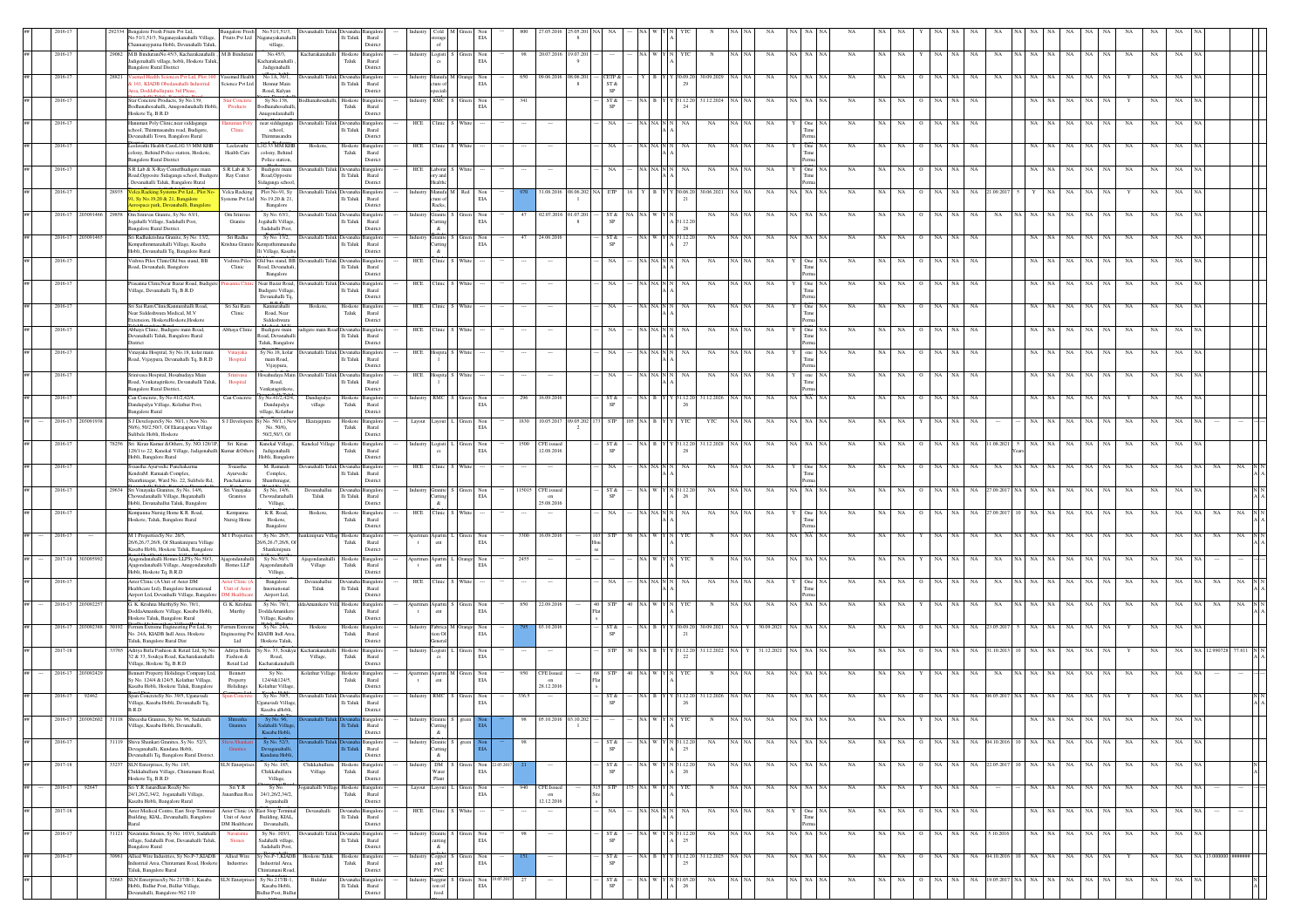|         |                  |         | nealore Fresh Fruits Pvt Ltd<br>No.51/1.51/3. Naganayakanahalli Village.<br>hannaraypatna Hobli, Devanahalli Taluk                             | <b>Bangalore Fresh</b>                   | No.51/1.51/3.<br>Fruits Pvt Ltd Naganayakanahalli<br>village,                     | Devanahalli Taluk Devanaha                  | Ili Taluk                          | Rural<br>District                    |            |                                           | EIA                                   |       |                                       |               |                |                                   |                |                  |         |             |                 |             |     |             |                        |           |            |                  |                      |                   |      |             |     |           |               |
|---------|------------------|---------|------------------------------------------------------------------------------------------------------------------------------------------------|------------------------------------------|-----------------------------------------------------------------------------------|---------------------------------------------|------------------------------------|--------------------------------------|------------|-------------------------------------------|---------------------------------------|-------|---------------------------------------|---------------|----------------|-----------------------------------|----------------|------------------|---------|-------------|-----------------|-------------|-----|-------------|------------------------|-----------|------------|------------------|----------------------|-------------------|------|-------------|-----|-----------|---------------|
|         | 2016-17          |         | 29082 M.B BinduraniNo.45/3, Kacharakanahalli, M.B Bindurani<br>Jadigenahalli village, hobli, Hoskote Taluk,<br><b>Bangalore Rural District</b> |                                          | No.45/3.<br>Kacharakanahall<br>Jadigenahalli                                      | Kacharakanahalli Hoskote Bangalor           | Taluk                              | Rural<br>District                    | Industry   |                                           | Logisti S Green Non<br>$_{\rm EIA}$   |       | 98 20.07.2016 19.07.201               |               |                |                                   |                | $_{\rm N}$       | NA NA   | NA          | NA NA NA        | <b>NA</b>   | NA  | <b>NA</b>   | NA                     | NA.<br>NA | NA         |                  | NA NA NA             | NA.<br>NA         | NA.  | <b>NA</b>   | NA  | <b>NA</b> |               |
|         | 2016-17          |         | asmed Health Sciences Pvt Ltd, Plot.16<br>§ 161, KIADB Obedanahalli Industrial<br>trea, Doddaballapura 3rd Phase,                              | Vasemed Health<br>Science Pvt Ltd        | No.1A, 36/1.<br>Hennur Main<br>Road, Kalyan                                       | anahalli "                                  | lli Taluk                          | Rural<br>District                    |            | Manufa <sup>1</sup><br>ture of<br>peciali | $_{\rm EIA}$                          | 650   | 09.06.201                             | 38.06.20<br>8 | $ST\,\&$<br>SP |                                   |                | 80.09.2029       |         |             |                 |             |     |             |                        |           |            |                  |                      |                   |      |             |     |           |               |
|         | 2016-17          |         | Star Concrete Products, Sy No.139,<br>Bodhanahosahalli, Anugondanahalli Hobli<br>Hoskote Tq, B.R.D                                             | tar Conc<br>Products                     | Sy No.138,<br>odhanahosaha<br>Anugondanahalli                                     |                                             | loskot<br>${\rm T}$ aluk           | ngalo<br>Rural<br>Distric            |            | RMC                                       | Non<br>$_{\rm EIA}$                   | 341   |                                       |               | ST&            |                                   | 31.12.2        | 31.12.2024       |         |             |                 |             |     |             |                        |           |            |                  |                      |                   |      |             |     |           |               |
|         | 2016-17          |         | Hanuman Poly Clinic, near siddaganga<br>school, Thimmasandra road, Budigere<br>Devanahalli Town, Bangalore Rural                               | tuman Pe<br>Clinic                       | near siddaganga<br>school,<br>Thimmassadra                                        | vanahalli Taluk Dev                         | lli Taluk                          | Rural<br>District                    | HCE        | <b>linic</b>                              | White                                 |       |                                       |               |                |                                   |                | $_{\rm NA}$      | NA NA   | NA          |                 | NA          | NA  |             |                        | NA        |            |                  |                      | $_{\rm NA}$       |      | NA          | NA  |           |               |
|         | 2016-17          |         | Leelavathi Health CareL1G 33 MM KHB<br>colony, Behind Police station, Hoskote,<br><b>Bangalore Rural District</b>                              | Leelayathi<br>Health Care                | LIG 33 MM KHB<br>colony, Behind<br>Police station.                                | Hoskote                                     | Hoskote<br>Taluk                   | langalor<br>Rural<br>District        | HCE        | <b>Tinic</b>                              |                                       |       |                                       |               |                |                                   |                | NA               | NA NA   | NA          |                 | NA          | NA  |             |                        |           |            |                  |                      |                   |      |             |     |           |               |
|         | $2016 - 17$      |         | S.R Lab & X-Ray CenterBudigere main<br>Road, Opposite Sidaganga school, Budigen<br>, Devanahalli Taluk, Bangalore Rural                        | $S.R$ Lab & X-<br>Ray Center             | Budigere main<br>Road, Opposite<br>Sidaganga school,                              | vanahalli Taluk                             | Ili Taluk                          | Rural<br>District                    | HCE        | aborat<br>v and<br>fealthc                | <b>White</b>                          |       |                                       |               |                |                                   | NA             | $_{\rm NA}$      | NA NA   | NA          | $Q_{\text{in}}$ | NA          | NA  | NA          | NA                     | NA.<br>NA |            |                  | NA NA                | $_{\rm NA}$<br>NA | NA   | NA          | NA  | NA        |               |
|         | 2016-17          |         | 28935 Velca Racking Systems Pvt Ltd., Plot No<br>I, Sy No.19,20 & 21, Bangalore<br>ospace park, Devanahalli, Bangalor                          | Systems Pvt Ltd                          | Velca Racking Plot No-91, Sy<br>No.19,20 & 21<br>Bangalore                        | Xevanahalli Taluk Devanaha Bangalon         | $\rm Ili$ Taluk                    | Rural<br>Distric                     |            | ture of<br>Racks,                         | Industry Manufa M Red Non<br>EIA      |       | 31.08.2016                            | 08.06.202     | <b>ETP</b>     |                                   | $Y$ 30.06.20   | 30.06.2021       | NA NA   | NA          | NA NA NA        | <b>NA</b>   | NA  | NA.         | NA                     | NA<br>NA. | .09.20     |                  |                      | NA<br>NA          | NA   |             | NA  | NA.       |               |
|         | 2016-17          | 2030914 | 29858 Om Srinivas Granite, Sy No. 63/1,<br>Jogahalli Village, Sadahalli Post,<br>Bangalore Rural District.                                     | Om Srinivas<br>Granite                   | Sy No. 63/1,<br>Jogahalli Villag<br>Sadahalli Post                                | levanahalli Taluk Devar                     | $\rm{Hi}$ Taluk                    | Rural<br>Distric                     |            | Granite<br><b>Cutting</b><br>$\&$         | en Non<br>$_{\rm EIA}$                | 47    | 02.07.2016                            | 01.07.20      | ST &           |                                   | 31.12.20<br>28 | NA               | NA I NA | NA          | IA I NA         | <b>NA</b>   |     |             |                        | NA.       | NA         |                  |                      | NA.               | NA   | NA          | NA  | NA.       |               |
|         | 2016-17          |         | Sri Radhakrishna Granite, Sy No. 13/2,<br>Kempathimmanahalli Village, Kasaba<br>Hobli, Devanahalli Tq, Bangalore Rural                         | Sri Radha<br>ishna Granit                | Sy No. 13/2,<br>lli Village, Kasaba                                               | levanahalli Taluk Devanah                   | $\rm Ili$ Taluk                    | angalo<br>Rural<br>Distric           |            | Granite <sup>3</sup><br>utting            | Green Non<br>$_{\rm EIA}$             | 47    | 24.06.2016                            |               | ST &           |                                   | Y N 31.12.20   | NA               | NA NA   | NA          | A NA NA         | NA          | NA  | NA.         | NA                     | NA<br>NA. |            |                  | NA NA                | NA<br>NA          | NA   | NA          | NA  | NA        |               |
|         | $2016 - 1$       |         | Vishwa Piles ClinicOld bus stand, BB<br>Road, Devanahali, Bangalore                                                                            | ishwa Piles<br>Clinic                    | Old bus stand, BB<br>Road, Devanahali                                             | ınahalli Taluk Dev                          | lli Taluk                          | Rural<br>Distric                     | HCE        | 'linic                                    |                                       |       |                                       |               |                |                                   |                | NA               |         | NA          |                 | NA          |     |             |                        |           |            |                  |                      |                   |      |             |     |           |               |
|         | $2016 - 1$       |         | Prasanna ClinicNear Bazar Road, Budiger<br>Village, Devanahalli Tq, B.R.D                                                                      |                                          | Bangalore<br>Near Bazar Road<br><b>Budigere Village</b>                           | anahalli Taluk De                           | lli Taluk                          | Rural                                |            |                                           |                                       |       |                                       |               |                |                                   |                | NA               |         |             |                 |             |     |             |                        |           |            |                  |                      |                   |      |             |     |           |               |
|         | $2016 - 17$      |         | Sri Sai Ram Clinic Kannurahalli Road,<br>Near Siddeshwara Medical, M.V                                                                         | Sri Sai Ram<br>Clinic                    | Devanahalli To<br>Kannurahalli<br>Road, Near                                      | Hoskote.                                    | Hoskote<br>Taluk                   | District<br>ngalo<br>Rural           | <b>HCE</b> | Clinic                                    |                                       |       |                                       |               |                |                                   |                | NA               | NA NA   | NA          |                 | NA          | NA  |             | NA                     | NA.<br>NA |            |                  | NA                   | NA                |      | $_{\rm NA}$ | NA  | NA        |               |
|         | 2016-17          |         | Extension. HoskoteHoskote.Hoskote<br>Abhava Clinic, Budigere main Road<br>Devanahalli Taluk, Bangalore Rural                                   | Abhaya Clinic                            | Siddeshwara<br>Budigere main<br>Road, Devanahalli                                 | ligere main Road Deva                       | Ili Taluk                          | District<br>Rural                    | HCE        |                                           |                                       |       |                                       |               |                |                                   |                | NA               |         | NA          |                 | NA          |     |             |                        |           |            |                  |                      |                   |      |             |     |           |               |
|         | 2016-17          |         | District<br>Vinayaka Hospital, Sy No.18, kolar main<br>Road, Vijaypura, Devanahalli Tq, B.R.D                                                  | Vinavaka<br>Hospital                     | Taluk, Bangalore<br>Sy No.18, kolar<br>main Road,                                 | evanahalli Taluk Devan                      | lli Taluk                          | District<br>Rural                    | HCE        | Iospita                                   |                                       |       |                                       |               |                |                                   |                | NA               |         | <b>NA</b>   |                 |             |     |             |                        |           |            |                  |                      |                   |      |             |     |           |               |
|         | 2016-17          |         | Srinivasa Hospital, Hosahudaya Main<br>oad, Venkatagirikote, Devanahalli Taluk,                                                                | Srinivasa<br>Hospital                    | Vijaypura,<br>Hosahudaya Main<br>Road,                                            | levanahalli Taluk Devanah                   | $\rm Ili$ Taluk                    | District<br>angalo<br>Rural          | HCE        | Hospita !                                 | <b>White</b>                          |       |                                       |               |                |                                   |                | NA               | NA NA   | NA          | one             | NA          | NA  | NA.         | NA                     | NA        |            |                  | NA I                 | NA<br>NA          |      | <b>NA</b>   | NA  |           |               |
|         | 2016-17          |         | Bangalore Rural District,<br>Can Concrete, Sy No.41/2,42/4,                                                                                    | Can Concrete                             | Venkatagiriko<br>Sy No.41/2,42/4                                                  | Dandupalya                                  | Hoskote                            | District<br><b>Bangalo</b>           |            | RMC                                       | Non                                   | 296   | 16.09.201                             |               |                |                                   | .12.2          | 31.12.202        |         |             |                 |             |     |             |                        |           |            |                  |                      |                   |      |             |     |           |               |
| ##      | 2016-17 2030919  |         | Dandupalya Village, Kolathur Post,<br><b>Bangalore Rural</b><br>S J DevelopersSy No. 50/1, (New No.                                            | S J Developers                           | Dandupalya<br>village, Kolathur<br>y No. 50/1, (New                               | village<br>Ekarajapura                      | ${\rm T}$ aluk<br>Hoskote Bangalon | Rural<br>District                    | Layout     | ayout                                     | $_{\rm EIA}$<br>Green Non             |       | 1830 10.05.2017                       | 09.05.202     |                |                                   |                | YTC              |         | NA          |                 | NA          |     |             |                        |           |            |                  |                      |                   |      |             |     |           |               |
|         | 2016-17          |         | 50/6), 50/2,50/3, Of Ekarajapura Village<br>Sulibele Hobli, Hoskote<br>78256 Sri Kiran Kumar & Others, Sy. NO.128/1P,                          | Sri Kiran                                | No. 50/6).<br>50/2,50/3, Of<br>Kanekal Village,                                   | Kanekal Village                             | Taluk<br>Hoskote Bangalore         | Rural<br>District                    |            | Logisti                                   | EIA<br>Green Non                      |       | 1500 CFE issued                       |               | ST &           |                                   | Y 31.12.20     | 31.12.2028 NA NA |         | NA          | NA NA NA        | <b>NA</b>   | NA  | <b>NA</b>   | NA                     | NA.<br>NA | .08.20     |                  | NA                   | NA<br>NA          | NA   | NA          | NA  | NA        |               |
|         | 2016-17          |         | 128/1 to 22, Kanekal Village, Jadigenahalli Kumar &Others<br>Hobli, Bangalore Rural<br>vaastha Avurvedic Panchakarma                           | Syaastha                                 | Jadisenahalli<br>Hobli, Bangalore<br>M. Ramaiah                                   | vanahalli Taluk                             | Taluk                              | Rural<br>District<br>nealo           | HCE        | linic.                                    | EIA                                   |       | 12.08.2016                            |               |                |                                   |                | NA               |         | <b>NA</b>   | One             | <b>NA</b>   |     |             |                        |           |            |                  |                      | NA.               |      | NA          |     |           |               |
|         | 2016-17          |         | KendraM. Ramaiah Complex.<br>hanthinagar, Ward No. 22, Sulibele Rd.<br>29634 Sri Vinavaka Granites, Sv No. 14/6.                               | Ayurvedic<br>Panchakarma<br>Sri Vinavaka | Complex,<br>Shanthinagar,<br>Sv No. 14/6.                                         | Devanahallui                                | lli Taluk<br>Devanaha Bangalore    | Rural<br>Distric                     | Industry   |                                           | Granite S Green Non                   |       | 15015 CFE issued                      |               | ST &           |                                   | Y N 31.12.20   | NA               | NA NA   | NA          | <b>A</b> NA NA  | <b>NA</b>   |     | NA.         | NA.                    | NA        | 1.09.201   |                  |                      | NA<br>NA          | NA   | NA          | NA  | NA.       |               |
|         | 2016-17          |         | Chowadanahalli Village, Heganahalli<br>Hobli, Devanahallui Taluk, Bangalore<br>Kempanna Nursig Home K R. Road,                                 | Granites<br>Kempanna                     | Chowadanahall<br>Village,<br>K R. Road,                                           | Taluk<br>Hoskote,                           | $\rm Ili$ Taluk                    | Rural<br>District                    | HCE        | utting<br>&.<br>linic                     | EIA                                   |       | on<br>25.08.2016                      |               |                |                                   |                |                  | NA I NA |             |                 | <b>NA</b>   |     |             |                        |           |            |                  |                      |                   |      |             |     |           |               |
|         |                  |         | Hoskote, Taluk, Bangalore Rural                                                                                                                | Nursig Home                              | Hoskote,<br>Bangalore                                                             |                                             | Hoskote<br>Taluk                   | langalo<br>Rural<br>District         |            |                                           |                                       |       |                                       |               |                |                                   |                | NA               |         | NA          |                 |             |     |             |                        |           |            |                  |                      |                   |      | NA          |     |           |               |
|         | $2016 - 1$       |         | M 1 PropertiesSy No. 26/5,<br>26/6,26/7,26/8, Of Shankinipura Village<br>Kasaba Hobli, Hoskote Taluk, Bangalon                                 | M 1 Properties                           | Sy No. 26/5,<br>26/6,26./7,26/8, O<br>Shankinipura                                | unkinipura Villag Hoskote                   | Taluk                              | langalo<br>Rural<br>Distric          |            | Apartm<br>ent                             | Non<br>EIA                            | 3300  | 16.09.2016                            |               |                |                                   |                |                  |         |             | - NA            |             |     |             |                        |           |            |                  |                      |                   |      |             |     |           |               |
|         | 2017-18 30309    |         | Ajagondanahalli Homes LLPSy No.50/3,<br>Ajagondanahalli Village, Anugondanahalli<br>Hobli, Hoskote Tq, B.R.D                                   | Ajagondanahall<br>Homes LLP              | Sy No.50/3,<br>jagondanahall<br>Village,                                          | <b>Vjagondanahalli</b><br>Village           | Hoskote<br>Taluk                   | <b>Bangalo</b><br>Rural<br>Distric   |            | Apartm<br>ent                             | Orange Non<br>EIA                     | 2455  |                                       |               |                |                                   |                | $_{\rm N}$       |         | NA          | NA NA NA        | NA          |     |             |                        | NA        | NA         |                  |                      | $_{\rm NA}$<br>NA |      | NA          | NA  |           |               |
|         | $2016 - 1$       |         | Aster Clinic (A Unit of Aster DM<br>Healthcare Ltd), Bangalore International<br>Airport Ltd, Devanhalli Village, Bangalore                     | Init of Aster<br>M Healthca              | Bangalore<br>$\operatorname{International}$<br>Airport Ltd.                       | Devanahallu<br>Taluk                        | $\rm Ili$ Taluk                    | Rural<br>District                    | HCE        | <b>Tinic</b>                              |                                       |       |                                       |               |                |                                   |                |                  |         |             |                 |             |     |             |                        |           |            |                  |                      |                   |      |             |     |           |               |
|         | 2016-17 2030922  |         | G. K. Krishna MurthySy No. 78/1,<br>DoddaAmanikere Village, Kasaba Hobli,<br>Hoskote Taluk, Bangalore Rural                                    | 3. K. Krishna<br>Murthy                  | Sy No. 78/1,<br>DoddaAmmiker<br>Village, Kasaba                                   | JaAmanikere Villa Hoskot                    | Taluk                              | ngale<br>Rural<br>District           |            | <b>Apartm</b><br>$_{\rm{cnt}}$            | Non<br>EIA                            |       | 850 22.09.201                         |               |                |                                   |                |                  |         | NA          | ia∣ na          |             |     |             |                        |           |            |                  |                      | NA.               |      |             |     |           |               |
|         | 2016-17 20309238 |         | 80192 Ferrum Extreme Engineering Pvt Ltd, Sy<br>No. 24A, KIADB Indl Area, Hoskote<br>Taluk, Bangalore Rural Dist                               | Ferrum Extreme<br>Ltd                    | Sv No. 24A.<br>agineering Pvt KIADB Indl Area,<br>Hoskote Taluk,                  | Hoskote                                     | Hoskote Bangalor<br>${\rm Taluk}$  | Rural<br>District                    | ndustry    | ion Of<br>eneral                          | Fabrica M Orange Non<br>$_{\rm EIA}$  |       | 03.10.2016                            |               | ST &           |                                   | Y Y 30.09.20   | 30.09.2021 NA    |         | 30.09.2021  | NA NA NA        | <b>NA</b>   | NA. | NA.         |                        | NA        | 23.05.201  |                  |                      | NA.               |      |             | NA. |           |               |
|         | 2017-18          |         | Aditya Birla Fashion & Retail Ltd, Sy No.<br>32 & 33, Soukya Road, Kacharakanahalli<br>Village, Hoskote Tq, B.R.D                              | Aditya Birla<br>Fashion &<br>Retail Ltd  | Road,<br>Kacharakanahai                                                           | No. 33, Soukya Kacharakanahalli<br>Village, | Hoskote<br>Taluk                   | ngalo<br>Rural<br>District           |            | ogisti<br>cs                              | Non<br>$_{\rm EIA}$                   |       |                                       |               |                |                                   | Y 31.12.20     | 31.12.2022       |         | 31.12.2021  | IA I NA         |             |     |             |                        |           | .10.20     |                  |                      |                   |      |             |     |           |               |
|         | 2016-17 2030924  |         | Bennett Property Holidings Company Ltd,<br>Sy No. 124/4 & 124/5, Kolathur Village,<br>Kasaba Hobli, Hoskote Taluk, Bangalore                   | Bennett<br>Property<br>Holidings         | Sy No<br>124/4&124/5,<br>Kolathur Village                                         | Kolathur Village                            | Hoskote<br>${\rm T}$ aluk          | ngalo<br>Rural<br>Distric            |            | .<br>ent                                  | Apartm M Green<br>Non<br>$_{\rm EIA}$ | 950   | <b>CFE</b> Issued<br>on<br>28.12.2016 |               |                |                                   |                |                  | NA N.   | NA          | IA I NA         | NA          | NA  |             |                        |           | NA         |                  |                      | NA                | NA   | NA          | NA  | NA.       |               |
|         | 2016-17          | 9246    | Span ConcreteSy No. 39/5, Uganavadi<br>Village, Kasaba Hobli, Devanahalli Tq.<br>B.R.D                                                         |                                          | Sy No. 39/5,<br>Iganavadi Village<br>Kasaba aHobli.                               | mahalli Taluk Devar                         | $\rm{Hi}$ Taluk                    | angalo<br>Rural<br>District          |            | RMC                                       | Green Non<br>EIA                      | 336.5 |                                       |               | ST &           |                                   | 31.12.20       | 31.12.2026       |         |             |                 |             |     |             |                        |           |            |                  |                      | NA                |      |             |     |           |               |
| $\# \#$ | 2016-17 20309260 |         | 1118 Shreesha Granites, Sy No. 96, Sadahalli<br>Village, Kasaba Hobli, Devanahalli,                                                            |                                          | Kasaba Hobli.                                                                     |                                             |                                    | Rural<br>District                    |            | 'utting<br>&                              |                                       |       |                                       |               |                |                                   |                |                  |         |             |                 |             |     |             |                        |           |            |                  |                      |                   |      |             |     |           |               |
| ##      | $2016 - 17$      |         | 31119 Shiva Shankari Granites, Sy No. 52/3,<br>eyaganahalli, Kundana Hobli,<br>levanahalli Tq, Bangalore Rural District.                       | Granite                                  | Sy No. 52/3,<br><b>Devaganahalli</b><br>Kundana Hobli.                            |                                             |                                    | <b>Bangalon</b><br>Rural<br>District |            | <b>Granite</b><br>utting<br>$\alpha$      | greet                                 |       |                                       |               | ST &           | NA W Y N 31.12.2                  |                | NA               | NA NA   | $_{\rm NA}$ | NA NA NA        | NA          | NA  | NA          | NA                     | NA<br>NA  |            |                  | 04.10.2016 10 NA NA  | $_{\rm NA}$<br>NA | NA   | NA          | NA  | NA        |               |
| ##      | 2017-18          |         | 33237 SLN Enterprises, Sy No. 185,<br>Chikkahulluru Village, Chintamani Road,                                                                  | <b>SLN</b> Enterprises                   | Sv No. 185.<br>Chikkahulluru                                                      | Chikkahulluru<br>Village                    | Hoskote<br>Taluk                   | langalon<br>Rural                    |            | Water                                     | DM S Green<br>Non<br>EIA              |       |                                       |               | ST &           |                                   | N 31.12.20     | NA               | NA NA   | NA          | NA NA NA        | <b>NA</b>   |     | NA NA       | NA  <br>$\Omega$       | NA 1      |            |                  | NA 22052017 10 NA NA | NA<br>NA 1        | NA I | <b>NA</b>   | NA. | NA        | $\frac{N}{2}$ |
|         | 2016-17          | 9264    | Hoskote Tq, B.R.D<br>Sri Y.R Janardhan RoaSy No.<br>24/1,26/2,34/2, Joganahalli Village,                                                       | Sri Y.R<br>Janardhan Roa                 | Village,<br>Sy No.<br>24/1,26/2,34/2,                                             | oganahalli Village Hoskote Bangalor         | Taluk                              | District<br>Rural                    | Layout     | Plant<br>ayout                            | Green Non<br>$_{\rm EIA}$             | 940   | <b>CFE</b> Issued<br>on               |               | <b>STP</b>     |                                   |                | N                | NA   NA | <b>NA</b>   | IA NA NA        | NA          | NA  | NA          | NA                     | NA.       |            |                  | NA   NA              | NA<br>NA          | NA   | NA          | NA  | NA        |               |
| ##      | 2017-18          |         | Kasaba Hobli, Bangalore Rural<br>Aster Medical Centre, East Stop Terminal<br>Building, KIAL, Devanahalli, Bangalore                            |                                          | Joganahalli<br>Aster Clinic (A East Stop Terminal<br>Unit of Aster Building, KIAL | Devanahalli                                 | Devanah<br>$\rm{Ili}$ Taluk        | District<br>langalo<br>Rural         | HCE        | linic                                     | White                                 |       | 12.12.2016<br>$\cdots$                |               | NA             | $\rm NA$ $\rm NA$ $\rm N$ $\rm N$ | NA             | NA               | NA NA   | NA          | One NA          | NA          | NA  | NA          | $\rm NA-NA$<br>$\circ$ | NA        |            |                  | NA NA                | $_{\rm NA}$<br>NA | NA   | NA          | NA  | NA        |               |
|         | $2016 - 1$       |         | 31121 Navaratna Stones, Sy No. 103/1, Sadahalli<br>village, Sadahalli Post, Devanahalli Taluk,                                                 | DM Healthcare<br><b>Stones</b>           | Devanahalli,<br>Sy No. 103/1,<br>Sadahalli village.                               | rvanahalli Taluk Dev                        | $\rm Ili$ Taluk                    | Distric<br>Rural                     |            | utting                                    | Non<br>$_{\rm EIA}$                   |       |                                       |               | ST &           |                                   |                | NA               |         | NA          |                 | NA          |     | NA          |                        | NA        | 10.20      |                  |                      | NA                |      |             |     |           |               |
| ##      | $2016 - 17$      |         | <b>Bangalore Rural</b><br>30961 Allied Wire Industries, Sy No.P-7, KIADB<br>Industrial Area, Chintamani Road, Hoskote                          | Allied Wire<br>Industries                | Sadahalli Post<br>Sy No.P-7,KIADB<br>Industrial Area                              | Hoskote Taluk                               | Hoskote<br>Taluk                   | Distric<br>Bangalo<br>Rural          |            | $\&$<br>$Copper$ and                      | Non<br>EIA                            |       |                                       |               | ST &           |                                   | Y 31.12.2      | 31.12.2025       | NA NA   | $_{\rm NA}$ | NA NA NA        | $_{\rm NA}$ | NA  | $_{\rm NA}$ | NA                     | NA<br>NA  | 04.10.2016 |                  |                      | $_{\rm NA}$<br>NA | NA   |             | NA  | NA        |               |
| ##      |                  |         | Taluk, Bangalore Rural<br>32663 SLN EnterprisesSy No.217/B-1, Kasaba<br>Hobli, Bidlur Post, Bidlur Village,                                    | <b>SLN</b> Enterp                        | Chintamani Road<br>Sy No.217/B-1,<br>Kasaba Hobli,                                | Bidalur                                     | lli Taluk                          | Distric<br>Rural                     |            | PVC<br>Seggrat<br>ion of                  | Non<br>EIA                            |       |                                       |               | ST &<br>SP     |                                   | N 31.05.2      | NA               | NA NA   | NA          | NA NA NA        | NA          | NA  | NA          | NA                     | NA<br>NA  |            | 19.05.2017 NA NA | NA                   | $_{\rm NA}$<br>NA | NA   | NA          | NA  | NA        |               |
|         |                  |         | levanahalli, Bangalore-562 110                                                                                                                 |                                          | Bidlur Post, Bidlu                                                                |                                             |                                    | Distric                              |            |                                           |                                       |       |                                       |               |                |                                   |                |                  |         |             |                 |             |     |             |                        |           |            |                  |                      |                   |      |             |     |           |               |

Village,

Waste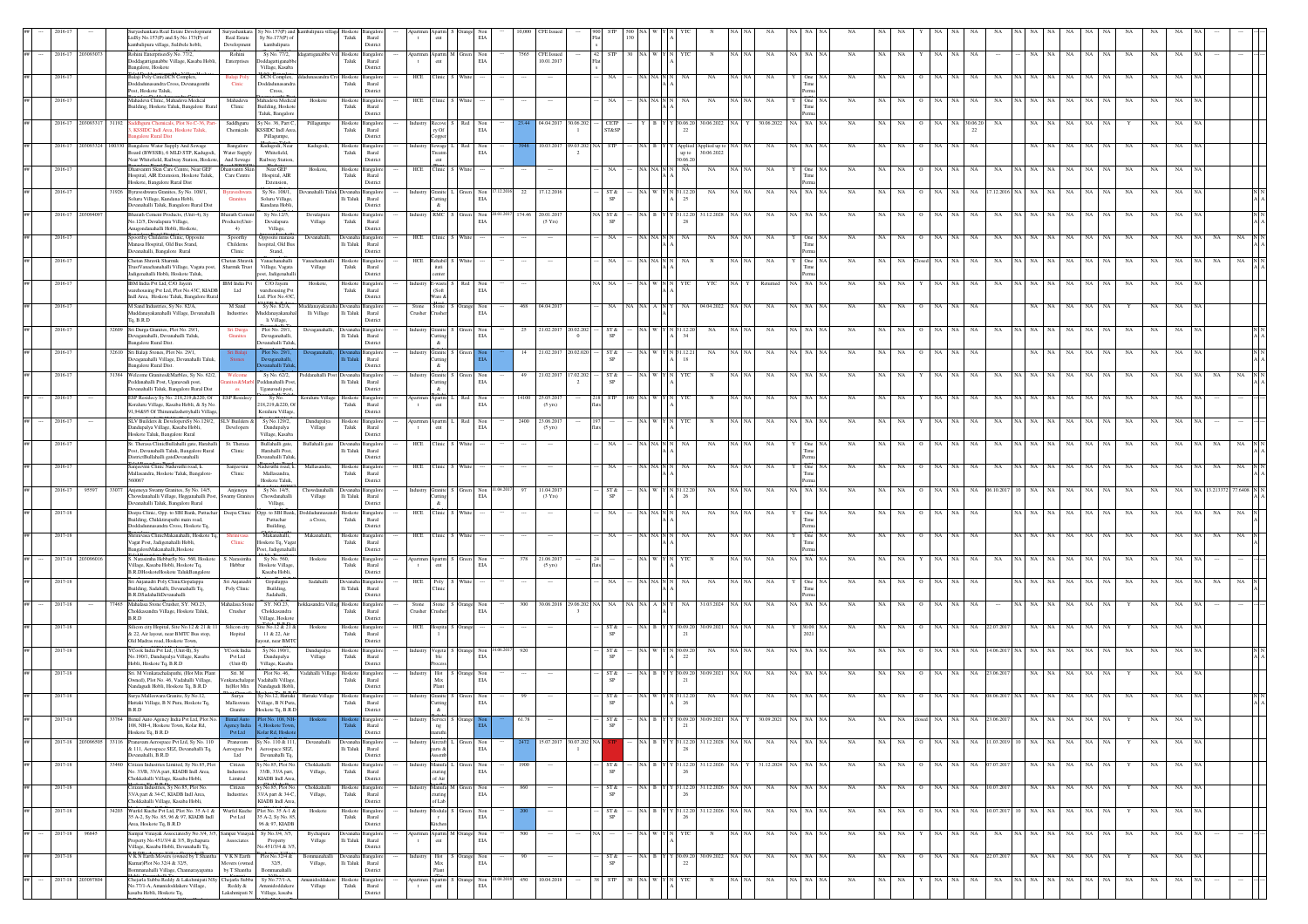|         |             |                   |       |                                                                                                                                                    | Survashankara Sv No.157(P) and |                                                             |                                            |                       |                               |                                                                                                          |                     |                   |         |        |                                |              |                                       |                       |             |                                 |                      |              |             |           |             |                |                      |                           |          |       |                     |       |           |             |    |  |
|---------|-------------|-------------------|-------|----------------------------------------------------------------------------------------------------------------------------------------------------|--------------------------------|-------------------------------------------------------------|--------------------------------------------|-----------------------|-------------------------------|----------------------------------------------------------------------------------------------------------|---------------------|-------------------|---------|--------|--------------------------------|--------------|---------------------------------------|-----------------------|-------------|---------------------------------|----------------------|--------------|-------------|-----------|-------------|----------------|----------------------|---------------------------|----------|-------|---------------------|-------|-----------|-------------|----|--|
|         |             |                   |       | yashankara Real Estate Development<br>AdSv No.157(P) and Sv No.173(P) of<br>Real Estate<br>cambalipura village, Sulibele hobli,<br>Development     |                                | Sv No.173(P) of<br>kambalipura                              |                                            | Taluk                 | Rural<br>District             | ent                                                                                                      |                     | EV                |         |        |                                |              |                                       |                       |             |                                 |                      |              |             |           |             |                |                      |                           |          |       |                     |       |           |             |    |  |
|         |             | 2016-17 20309307  |       | Rohini EnterprisesSy No. 77/2,<br>Rohini<br>Ooddagattiganabbe Village, Kasaba Hobli<br>Enterprises                                                 |                                | Sv No. 77/2.<br>oddagattigana                               | sattiganabbe Vil Hoskote Bangalon          | Taluk                 | Rural                         | $\begin{array}{ccc} \rm{upartmen} & \rm{Apartm} & \rm{M} & \rm{Green} \\ \rm t & \rm{ent} & \end{array}$ |                     | Non<br>E1         |         | 7565   | CFE Issued<br>10.01.201        | 42           | <b>STP</b>                            |                       | NA WYN      | YTC<br>- N                      | NA                   | NA NA NA     | <b>NA</b>   | NA        | <b>NA</b>   | NA             | NA<br>NA             |                           | NA       |       | NA<br>NA            | NA    | <b>NA</b> | NA          | NA |  |
|         |             |                   |       | angalore, Hoskote<br>Balaji Poly CinicDCN Complex,                                                                                                 |                                | Village, Kasaba<br>DCN Complex,                             |                                            |                       | District                      |                                                                                                          |                     |                   |         |        |                                |              |                                       |                       |             |                                 |                      |              |             |           |             |                |                      |                           |          |       |                     |       |           |             |    |  |
|         | $2016 - 1$  |                   |       | Balaji Poly<br>oddadunasandra Cross, Devanagonthi<br>Cinic<br>ost, Hoskote Taluk,                                                                  |                                | Doddadunasandr<br>Cross,                                    | nasandra Cro Hoskote                       | Taluk                 | angalor<br>Rural<br>District  | HCE Clinic                                                                                               |                     |                   |         |        |                                |              |                                       |                       | VA I NA INT | -NA                             | NA                   |              | NA          |           |             |                |                      |                           |          |       |                     |       |           | NA          |    |  |
|         | $2016 - 1$  |                   |       | Mahadeva Clinic, Mahadeva Medical<br>Mahadeva<br>Building, Hoskote Taluk, Bangalore Rural<br>Clinic                                                |                                | lahadeva Medic<br><b>Building</b> , Hoskot                  | Hoskote                                    | Hoskote<br>Taluk      | ingalor<br>Rural              | HCE Clinic                                                                                               |                     |                   |         |        |                                |              |                                       |                       | VA NA N     | NA                              | NA                   |              |             |           |             |                |                      |                           |          |       |                     |       |           |             |    |  |
|         |             |                   |       |                                                                                                                                                    |                                | Taluk, Bangalore                                            |                                            |                       | District                      |                                                                                                          |                     |                   |         |        |                                |              |                                       |                       |             |                                 |                      |              |             |           |             |                |                      |                           |          |       |                     |       |           |             |    |  |
|         | 2016-17     |                   | 31192 | Saddhguru<br>addhguru Chemicals, Plot No.C-36, Par<br>KSSIDC Indi Area, Hoskote Taluk,<br>Chemicals<br>galore Rural Dist                           |                                | Sy No. 36, Part C.<br><b>KSSIDC</b> Indi Are<br>Pillagumpe, | Pillagumpe                                 | Hoskote<br>Taluk      | ingalo<br>Rural<br>District   | adustry Recove<br>ry Of                                                                                  | Red                 | Non<br>EL         |         |        | 04.04.2017<br>30.06.20         |              | $\ensuremath{\mathsf{CETP}}$<br>ST&SF |                       |             | 30.06.2022<br>0.06.20           | 30.06.2022           | NA NA N      | NA          | NA        |             | NA             | NA<br>30.06.20<br>22 | NA                        |          |       | NA<br>NA            |       |           |             |    |  |
|         | 2016-17     | 2030933           |       | 100330 Bangalore Water Supply And Sewage                                                                                                           |                                | Kadugodi, Near                                              | Kadugodi                                   | Hoskot                | ingalo                        | Sewage                                                                                                   |                     |                   |         |        | 10.03.201<br>09.03.20          |              | <b>STP</b>                            |                       |             | Applied up to                   | NA                   | NA 1         | NA          |           |             |                | NA                   |                           |          |       |                     |       |           |             |    |  |
|         |             |                   |       | Board (BWSSB), 6 MLD STP, Kadugodi,<br>Water Supply<br>Near Whitefield, Railway Station, Hoskote,<br>And Sewage                                    |                                | Whitefield.<br><b>Railway Station</b>                       |                                            | Taluk                 | Rural<br>District             | Treatm<br>ent                                                                                            |                     | EIA               |         |        | $\overline{2}$                 |              |                                       |                       |             | 30.06.2022<br>up to<br>30.06.20 |                      |              |             |           |             |                |                      |                           |          |       |                     |       |           |             |    |  |
|         | 2016-17     |                   |       | hanvantri Skin Care Centre, Near GEF<br>Hospital, AIR Extension, Hoskote Taluk,<br>Care Centre<br>Hoskote, Bangalore Rural Dist.                   | antri Skin                     | Near GEF<br>Hospital, AIR                                   | Hoskote                                    | Hosko<br>Taluk        | Rural                         | $\rm{HCE}$ $\,$ $\rm{Clinic}$                                                                            | S Whit              |                   |         |        |                                |              | NA                                    | NA NA N               |             | NA<br>NA                        | NA                   |              | NA          |           |             | NA             | NA                   |                           |          |       | NA                  |       |           |             |    |  |
|         | 2016-17     |                   |       | 31926 Byraveshwara Granites, Sy No. 108/1,<br>vraveshwar                                                                                           |                                | Extension.<br>Sy No. 108/1,                                 | Xeyanahalli Taluk Devanaha Bangalor        |                       | District                      | Industry Granite L Green                                                                                 |                     | Non               | 12.2016 | 22     | 17.12.2016                     |              | ST &                                  |                       |             | NA W Y N 31 12 20<br>NA         | NA                   | NA NA NA     | <b>NA</b>   | NA        |             | NA.            | NA.                  | 17.12.20                  |          |       | NA<br>NA.           | NA    | NA        | NA          | NA |  |
|         |             |                   |       | oluru Village, Kundana Hobli,<br>Granites<br>Devanahalli Taluk, Bangalore Rural Dist                                                               |                                | Soluru Village,<br>Kundana Hobli                            |                                            | $\rm Ili$ Taluk       | Rural<br>District             | Cutting<br>$\&$                                                                                          |                     | EIA               |         |        |                                |              |                                       |                       |             |                                 |                      |              |             |           |             |                |                      |                           |          |       |                     |       |           |             |    |  |
|         | 2016-17     |                   |       | Bharath Cement Products, (Unit-4), Sy<br><b>Bharath Cemen</b><br>No.12/5, Devalapura Village,<br>Products(Unit-                                    |                                | Sy No.12/5,<br>Devalapura                                   | Devalapura<br>Village                      | Hoskote<br>Taluk      | ıngalo<br>Rural               | ustry RMC S Green                                                                                        |                     | Non<br>EIA        |         | 174.46 | 20.01.201<br>$(5 \text{ Yrs})$ |              | NA ST&<br>SP                          |                       |             | 31.12.2028<br>\$1.12.20<br>28   | <b>NA</b>            | NA 1         |             |           |             |                |                      |                           |          |       |                     |       |           |             |    |  |
| ##      | 2016-17     |                   |       | unugondanahalli Hobli, Hoskote<br>4)<br>Spoorthy Childems Clinic, Opposite<br>Spoorthy                                                             |                                | Village,<br>Opposite manas                                  | Devanahalli,                               |                       | District<br>Jevanaha Bangalor | HCE Clinic S White                                                                                       |                     |                   |         |        |                                |              | NA                                    | NA NA N               |             | NA<br>NA                        | NA                   |              | NA          | NA        |             | NA             |                      |                           |          |       |                     |       |           | NA          |    |  |
|         |             |                   |       | Childerns<br>anasa Hospital, Old Bus Stand,<br>vanahalli, Bangalore Rural<br>${\bf C}$                                                             |                                | ospital, Old Bus<br>Stand,                                  |                                            | li Taluk              | Rural<br>District             |                                                                                                          |                     |                   |         |        |                                |              |                                       |                       |             |                                 |                      |              |             |           |             |                |                      |                           |          |       |                     |       |           |             |    |  |
|         | 2016-1      |                   |       | Chetan Shravik Sharmik<br>Chetan Shravik<br>TrustVanachanahalli Village, Vagata post,<br>Sharmik Trust                                             |                                | Vanachanahalli<br>Village, Vagata                           | anachanaha<br>Village                      | Taluk                 | ingalo<br>Rural               | Rehabil<br>itati                                                                                         |                     |                   |         |        |                                |              |                                       |                       |             |                                 | NA                   |              |             |           |             |                |                      |                           |          |       |                     |       |           |             |    |  |
|         | 2016-1      |                   |       | Jadigenahalli Hobli, Hoskote Taluk,<br>IBM India Pvt Ltd, C/O Jayem<br>IBM India Pvt                                                               |                                | post, Jadigenahall<br>C/O Jayem                             | Hoskote                                    | Hoskot                | District<br>langalor          | $\mbox{center}$<br>S-waste S                                                                             |                     |                   |         |        |                                |              |                                       |                       |             |                                 |                      |              |             |           |             |                |                      |                           |          |       |                     |       |           |             |    |  |
|         |             |                   |       | arehousing Pvt Ltd, Plot No.43C, KIADB<br>Ltd<br>Indl Area, Hoskote Taluk, Bangalore Rural                                                         |                                | warehousing Pv<br>Ltd. Plot No.43C                          |                                            | Taluk                 | Rural<br>District             | (Soft<br>Ware &                                                                                          |                     | EIA               |         |        |                                |              |                                       |                       |             |                                 |                      |              |             |           |             |                |                      |                           |          |       |                     |       |           |             |    |  |
|         | 2016-17     |                   |       | M Sand Industries, Sy No. 82/A,<br>M Sand<br>Muddanayakanahalli Village, Devanahalli<br>Industries                                                 |                                | Sy No. 82/A,<br>fuddanayakanah                              | lli Village                                | Ili Taluk             | Rural                         | Stone S<br>Crusher<br>Tusher                                                                             |                     | Non<br>EIA        |         | 468    | 04.04.201                      |              | NA                                    | $NA$ $NA$ $A$ $N$ $3$ |             | 04.04.2022<br>NA                | NA                   | NA NA NA     | NA          | NA        | NA          | NA             | NA<br>NA             |                           |          |       | $_{\rm NA}$<br>NA   |       |           | NA          | NA |  |
|         | 2016-17     |                   | 32609 | To, B.R.D<br>Sri Durga Granites, Plot No. 29/1.<br>Sri Durg                                                                                        |                                | li Village.<br>Plot No. 29/1.                               | Devaganahalli                              | <b>Devanak</b>        | District<br>ıneal             | Industry Granite S                                                                                       |                     | Green Non         |         | 25     | 21.02.2017<br>20.02.202        |              | ST &                                  |                       |             | NA W Y N 31.12.20<br><b>NA</b>  | <b>NA</b>            | NA NA NA     | <b>NA</b>   | NA        | NA          | NA.            | NA.                  |                           | NA.      |       | NA<br>NA.           |       |           | NA          |    |  |
|         |             |                   |       | levaganahalli, Devanahalli Taluk,<br>Granite<br>angalore Rural Dist.                                                                               |                                | Devaganahalli<br><b>Devanahalli Taluk</b>                   |                                            | Ili Taluk             | Rural<br>District             | Cutting<br>$\&$                                                                                          |                     | EIA               |         |        |                                |              | SP                                    |                       |             |                                 |                      |              |             |           |             |                |                      |                           |          |       |                     |       |           |             |    |  |
|         | 2016-1      |                   |       | Sri Balaji Stones, Plot No. 29/1,<br>Devaganahalli Village, Devanahalli Taluk,<br><b>Stones</b>                                                    |                                | <b>Devaganahal</b>                                          |                                            |                       | ingalor<br>Rural              | ustry Granite<br>Cutting                                                                                 |                     |                   |         | 14     | 21.02.2017<br>20.02.02         |              | ST &                                  |                       |             | NA W Y N 31.12.<br>NA           | NA                   | NA I NA      | <b>NA</b>   |           |             |                | NA                   |                           |          |       | NA<br>NA            |       | NA.       | NA          |    |  |
|         | $2016 - 17$ |                   |       | angalore Rural Dist.<br>31384 Welcome Granites&Marbles, Sy No. 62/2,<br>Welcome                                                                    |                                | ahalli Tal<br>Sy No. 62/2,                                  | lanahalli Post Devanal                     |                       | District<br>Bangalo           | $\&$                                                                                                     |                     | Non               |         | 49     | 21.02.201<br>17.02.202         |              | ST &                                  |                       | NA WY       | YTC                             | NA                   | NA   NA   N  | NA          |           |             |                |                      | NA                        |          |       |                     |       | NA        | NA          |    |  |
|         |             |                   |       | eddanahalli Post, Uganavadi post,<br>vanahalli Taluk, Bangalore Rural Dist<br>es                                                                   |                                | eddanahalli Pos<br>Uganavadi post,                          |                                            | lli Taluk             | Rural<br>District             | ndustry Granite<br>Cutting<br>$\&$                                                                       |                     | EI/               |         |        |                                |              |                                       |                       |             |                                 |                      |              |             |           |             |                |                      |                           |          |       |                     |       |           |             |    |  |
|         | $2016 - 17$ |                   |       | ESP Residecy Sy No. 218,219,&220, Of<br><b>ESP</b> Residecy<br>Koraluru Village, Kasaba Hobli, & Sy No.                                            |                                | Sy No.<br>218,219,&220, O                                   | Coraluru Village                           | Hoskot<br>Taluk       | ıngalo<br>Rural               | partmen Apartm<br>$_{\rm{cnt}}$                                                                          |                     | Non<br>EIA        |         | 14100  | 25.05.20<br>$(5 \text{ yrs})$  |              | STP                                   |                       |             |                                 | NA                   |              | NA          |           |             |                |                      |                           |          |       |                     |       |           |             |    |  |
|         | $2016 - 17$ |                   |       | 91,94&95 Of Thirumalashettyhalli Village<br>SLV Builders & DevelopersSy No.129/2, SLV Builders &                                                   |                                | Koraluru Villag<br>Sy No.129/2,                             | Dandupalya                                 | Hoskote               | District<br>langalor          | partmen Apartm                                                                                           | Red                 | No                |         | 2400   | 23.06.201                      |              |                                       |                       |             |                                 | NA                   |              | NA          |           |             |                |                      | NA                        |          |       |                     |       |           |             |    |  |
|         |             |                   |       | Jandupalya Village, Kasaba Hobli,<br>Developers<br>Hoskote Taluk, Bangalore Rural                                                                  |                                | Dandupalya<br>Village, Kasab                                | Village                                    | Taluk                 | Rural<br>District             | $_{\rm{cnt}}$                                                                                            |                     | EV                |         |        | $(5 \text{ yrs})$              |              |                                       |                       |             |                                 |                      |              |             |           |             |                |                      |                           |          |       |                     |       |           |             |    |  |
|         | 2016-17     |                   |       | .<br>I. Therasa ClinicBullahalli gate, Harahalli<br>St. Theras<br>Post, Devanahalli Taluk, Bangalore Rural<br>Clinic                               |                                | Bullahalli gate,<br>Harahalli Post.                         | Bullahalli gate                            | Ili Taluk             | Rural                         | HCE Clinic S White                                                                                       |                     |                   |         |        |                                |              | NA                                    | NA NA N               |             | NA                              | NA                   |              | NA          | NA        |             | NA.            | NA                   |                           |          |       | NA                  |       | NA        | NA          | NA |  |
|         | 2016-17     |                   |       | DistrictBullahalli gateDevanahalli<br>eevini Clinic Naduvathi road, k.<br>Sanic                                                                    |                                | Devanahalli Taluk<br>Vaduvathi road, k                      | Mallasandra.                               | Hoskot                | District                      | HCE Clinic                                                                                               |                     |                   |         |        |                                |              | NA                                    |                       |             | NA                              | NA                   |              | NA          |           |             |                |                      |                           |          |       |                     |       |           |             |    |  |
|         |             |                   |       | Clinic<br>Mallasandra, Hoskote Taluk, Bangalore-<br>560067                                                                                         |                                | Mallasandra.<br>Hoskote Taluk                               |                                            | Taluk                 | Rural<br>District             |                                                                                                          |                     |                   |         |        |                                |              |                                       |                       |             |                                 |                      | Tim          |             |           |             |                |                      |                           |          |       |                     |       |           |             |    |  |
|         | 2016-17     | 9559              | 33077 | Anjeneya Swamy Granites, Sy No. 14/5,<br>Anjeneya<br>howdanahalli Village, Hegganahalli Post,<br>Swamy Granite                                     |                                | Sy No. 14/5,<br>Chowdanahalli                               | Chowdanahalli Devanaha Bangalon<br>Village | lli Taluk             | Rural                         | Industry Granite S Green<br>Cutting                                                                      |                     | Non<br>EIA        | 04.2017 | 97     | 11.04.2017<br>$(3 \text{Yrs})$ |              | ST &                                  |                       |             | NA W Y N 31.12.2<br>NA          | NA                   | NA NA NA     | <b>NA</b>   | <b>NA</b> |             |                | NA                   |                           |          |       | NA                  |       | <b>NA</b> | NA          |    |  |
|         | 2017-18     |                   |       | Devanahalli Taluk, Bangalore Rural<br>Deepa Clinic, Opp. to SBI Bank, Puttachar                                                                    | Deepa Clinic Opp. to SBI Bank  | Village,                                                    |                                            | Hoskote               | District<br>angalo            | $\&$<br>HCE Clinic                                                                                       |                     |                   |         |        |                                |              |                                       |                       |             | NA                              |                      |              |             |           |             |                |                      |                           |          |       |                     |       |           |             |    |  |
|         |             |                   |       | Building, Chikktirupathi main road,<br>oddadunnasandra Cross, Hoskote Tq.                                                                          |                                | Puttachar<br>Building,                                      | a Cross,                                   | Taluk                 | Rural<br>District             |                                                                                                          |                     |                   |         |        |                                |              |                                       |                       |             |                                 |                      |              |             |           |             |                |                      |                           |          |       |                     |       |           |             |    |  |
|         | 2017-18     |                   |       | rinivasa ClinicMakanahalli, Hoskote Tq.<br>Shrinivas;<br>agat Post, Jadigenahalli Hobli,<br>Clinic                                                 |                                | Makanahalli,<br>Hoskote Tq, Vaga                            | Makanahal                                  | Hoskot<br>${\rm Tau}$ | ingalor<br>Rural              | HCE Clinic                                                                                               |                     |                   |         |        |                                |              |                                       |                       |             |                                 |                      |              |             |           |             |                |                      |                           |          |       |                     |       |           |             |    |  |
|         | 2017-18     |                   |       | ngaloreMakanahalli,Hoskote<br>. Narasimha HebbarSy No. 560, Hoskote<br>S. Narasimh                                                                 |                                | Post, Jadigenahall<br>Sy No. 560,                           | Hoskote                                    | Hoskot                | District<br>langalor          |                                                                                                          |                     |                   |         | 378    | 21.06.201                      |              |                                       |                       |             |                                 | NA                   |              |             |           |             |                |                      |                           |          |       |                     |       |           |             |    |  |
|         |             |                   |       | Village, Kasaba Hobli, Hoskote Tq,<br>Hebbar<br>B.R.DHoskoteHoskote TalukBangalore                                                                 |                                | Hoskote Village<br>Kasaba Hobli,                            |                                            | Taluk                 | Rural<br>District             | artmen Apartm S Green<br>$_{\rm{cnt}}$                                                                   |                     | EL/               |         |        | $(5 \text{ yrs})$              |              |                                       |                       |             |                                 |                      |              |             |           |             |                |                      |                           |          |       |                     |       |           |             |    |  |
|         | 2017-18     |                   |       | Sri Anjanadri Poly ClinicGopalappa<br>Sri Anjanadr<br>uilding, Sadahalli, Devanahalli Tq,<br>Poly Clinic                                           |                                | Gopalappa<br>Building,                                      | Sadahalli                                  | lli Taluk             | Devanaha Bangalor<br>Rural    | HCE Poly S<br>Clinic                                                                                     | White               |                   |         |        |                                |              |                                       | NA NA N               |             | NA                              | NA                   |              | NA          |           |             |                |                      |                           |          |       |                     |       |           |             |    |  |
|         | 2017-18     |                   | 7465  | B.R.DSadahalliDevanahalli<br>Mahalasa Stone Crusher, SY. NO.23,<br>Mahalasa Stone                                                                  |                                | Sadahalli.<br>SY. NO.23,                                    | skkasandra Villag Hoskot                   |                       | District<br>angalor           |                                                                                                          |                     |                   |         | 300    | 30.06.2018                     | 29.06.202 NA | NA                                    | NA NA AN              |             | 31.03.2024<br>NA                | NA.                  | NA NA NA     | <b>NA</b>   |           |             |                | NA.                  |                           | NA NA    |       | NA<br>NA            |       |           | NA.         | NA |  |
|         |             |                   |       | Chokkasandra Village, Hoskote Taluk,<br>Crusher<br>B.R.D                                                                                           |                                | Chokkasandra<br>Village, Hoskote                            |                                            | Taluk                 | Rural<br>District             | Stone Stone S Orange Non<br>Crusher<br>Tusher                                                            |                     | EIA               |         |        |                                |              |                                       |                       |             |                                 |                      |              |             |           |             |                |                      |                           |          |       |                     |       |           |             |    |  |
|         | 2017-18     |                   |       | Silicon city Hopital, Site No.12 & 21 & 11<br>Silicon city<br>& 22, Air layout, near BMTC Bus stop,<br>Hopital                                     |                                | Site No.12 & 21 &<br>11 & 22, Air                           | Hoskote                                    | Taluk                 | Hoskote Bangalore<br>Rural    | HCE Hospita S Orange                                                                                     |                     |                   |         |        |                                |              | ST &<br>SP                            | NA B Y                |             | Y 30.09.20<br>30.09.2021        | NA                   | 30.09. NA    | <b>NA</b>   | NA        | NA          | NA.            | NA                   | 22.07.201                 |          |       | NA<br>NA            | NA    |           | NA          |    |  |
|         | 2017-18     |                   |       | Old Madras road, Hoskote Town,<br>YCook India Pvt Ltd, (Unit-II), Sy<br>YCook India                                                                |                                | yout, near BMT<br>Sy No.190/1,                              | Dandupalya                                 | Hoskote               | District<br>langalor          |                                                                                                          |                     | Orange Non        |         | 920    |                                |              | ST &                                  |                       |             | NA<br>0.09.2                    | NA                   | NA I NA I    | NA          |           |             |                |                      | 14.06.2                   |          |       |                     |       | NA        | NA          |    |  |
|         |             |                   |       | No.190/1, Dandupalya Village, Kasaba<br>Pvt Ltd<br>Hobli, Hoskote Tq, B.R.D<br>(Unit-II)                                                           |                                | Dandupalya<br>Village, Kasaba                               | Village                                    | Taluk                 | Rural<br>District             | lustry Vegeta S<br>$b\bar{b}c$                                                                           |                     | EI/               |         |        |                                |              | SP                                    |                       |             | 22                              |                      |              |             |           |             |                |                      |                           |          |       |                     |       |           |             |    |  |
|         | 2017-18     |                   |       | Sri. M Venkatachalapathi, (Hot Mix Plant<br>Sri. M<br>wned), Plot No. 46, Vadahalli Village,<br>nkatachalap                                        |                                | Plot No. 46,<br>adahalli Village.                           | Vadahalli Village Hoskote Bangalon         | Taluk                 | Rural                         | ndustry<br>$_{\rm Mix}$                                                                                  | Hot S Orange Non    | EI/               |         |        |                                |              | ST &                                  | NA B Y                |             | 30.09.2021<br>Y 30.09.20        | NA                   | NA   NA   NA | NA          | NA        |             | NA             | NA                   | 23.06.201                 |          |       | NA<br>NA            | NA    | Y         | NA          | NA |  |
|         |             |                   |       | ndagudi Hobli, Hoskote Tq, B.R.D<br>hi(Hot Mix                                                                                                     |                                | Nandagudi Hobli                                             |                                            |                       | District                      | Plant                                                                                                    |                     |                   |         |        |                                |              |                                       |                       |             |                                 |                      |              |             |           |             |                |                      |                           |          |       |                     |       |           |             |    |  |
|         | 2017-18     |                   |       | Surya Malleswara Granite, Sy No.12,<br>Surya<br>Hattaki Village, B N Pura, Hoskote Tq,<br>Malleswara<br>B.R.D<br>Granite                           |                                | y No.12, Hattaki<br>Village, B N Pura<br>Hoskote Tq, B.R.I  | Hattaki Village                            | Hoskot<br>Taluk       | ingalo<br>Rural<br>District   | Granite<br>$\&$                                                                                          |                     | EV                |         |        |                                |              | ST &                                  |                       |             |                                 |                      |              |             |           |             |                |                      |                           |          |       |                     |       |           |             |    |  |
|         |             |                   |       |                                                                                                                                                    |                                |                                                             |                                            |                       |                               |                                                                                                          |                     |                   |         |        |                                |              |                                       |                       |             | 21                              |                      |              |             |           |             |                |                      |                           |          |       |                     |       |           |             |    |  |
|         |             |                   |       | 108, NH-4, Hoskote Town, Kolar Rd,<br>kgency India<br>Pvt Ltd<br>Hoskote Tq, B.R.D                                                                 |                                | 4, Hoskote Tow<br>Kolar Rd, Hosko                           |                                            |                       | Rural<br>District             | $\rm ng$                                                                                                 |                     |                   |         |        |                                |              | SP                                    |                       |             |                                 |                      |              |             |           |             |                |                      |                           |          |       |                     |       |           |             |    |  |
| $\#$    |             | 2017-18 203096505 | 33116 | avam Aerospace Pvt Ltd, Sy No. 110<br>Pranavam<br>& 111. Aerospace SEZ, Devanahalli Tq,<br>Aerospace Pvt<br>Devanahalli, B.R.D<br>Ltd              |                                | Sy No. 110 & 111,<br>Aerospace SEZ,<br>Devanahalli To       | Devanahalli                                | lli Taluk             | Bangalo<br>Rural<br>District  | Aircraft L<br>parts &<br><b>Assemb</b>                                                                   | Green               | Non<br>EIA        |         |        | 15.07.2017 30.07.202 NA        |              |                                       | NA B Y                |             | Y 31.12.20<br>31.12.2028 NA NA  | NA                   | NA NA NA     | NA          | NA        | NA          | NA<br>$\Omega$ |                      | NA NA 11.03.2019 10 NA NA |          |       | NA                  | NA NA |           | NA          | NA |  |
| ##      | 2017-18     |                   | 08455 | Citizen Industries Limited, Sv No.85, Plot<br>Citizen                                                                                              |                                | Sv No.85, Plot No.                                          | Chokkahalli                                | Hoskot                | ıngalo                        | Manufa <sup>1</sup>                                                                                      |                     | Non               |         | 1900   |                                |              | ST &                                  |                       |             | 31.12.2026<br>81.12.2           | 31.12.2024           | NA I         | <b>NA</b>   | NA        |             | NA             | NA.                  | 07.07.20                  |          |       | NA<br>NA.           |       |           | NA.         |    |  |
|         |             |                   |       | No. 33/B, 33/A part, KIADB Indl Area,<br>Industries<br>Chokkahalli Village, Kasaba Hobli,<br>Limited<br><br>Titizen Industries, Sy No.85, Plot No. |                                | 33/B, 33/A part.<br>KIADB Indl Area                         | Village,                                   | Taluk                 | Rural<br>District             | $\tt{cturing}$ of $\tt{Air}$                                                                             |                     | EIA               |         |        |                                |              | SP                                    |                       |             |                                 |                      |              |             |           |             |                |                      |                           |          |       |                     |       |           |             |    |  |
| $\# \#$ | 2017-18     |                   |       | Citizen<br>33/A part & 34-C, KIADB Indl Area,<br>Industries<br>Chokkahalli Village, Kasaba Hobli,                                                  |                                | Sy No.85, Plot No.<br>33/A part & 34-C,<br>KIADB Indl Area  | Chokkahalli<br>Village,                    | Taluk                 | Hoskote Bangalo<br>Rural      | Manufa <sup>1</sup><br>cturing<br>of Lab                                                                 |                     | Non<br>EIA        |         | 860    |                                |              | ST &<br>SP                            |                       |             | 31.12.2026<br>1.12.20           | NA                   | NA   NA   NA | <b>NA</b>   | NA        |             |                |                      | NA 10.07.201              |          |       | NA<br>NA.           |       |           | NA          | NA |  |
| H       | 2017-18     |                   |       | 34203 Wurfel Kuche Pvt Ltd, Plot No. 35 A-1 & Wurfel Kuche Plot No. 35 A-1 &                                                                       |                                |                                                             | Hoskote                                    |                       | District<br>Hoskote Bangalore | Modula S                                                                                                 | Green               | Non               |         |        |                                |              | ST &                                  |                       |             | 31.12.2026<br>NA B Y Y 31.12.20 | NA                   | NA NA NA     | NA          | NA        | NA          | NA             | NA                   | NA 10.07.2017 10          |          | NA NA | $_{\rm NA}$<br>NA 1 | NA    | Y         | NA          | NA |  |
|         |             |                   |       | 35 A-2, Sy No. 85, 96 & 97, KIADB Indl<br>Pvt Ltd<br>Area, Hoskote Tq, B.R.D                                                                       |                                | 35 A-2, Sy No. 85<br>96 & 97, KIADB                         |                                            | Taluk                 | Rural<br>District             | $\Gamma$<br>Kitchen                                                                                      |                     | $_{\rm EIA}$      |         |        |                                |              | SP                                    |                       |             |                                 |                      |              |             |           |             |                |                      |                           |          |       |                     |       |           |             |    |  |
| $\# \#$ | 2017-18     |                   |       | Sampat Vinayak AssociatesSy No.3/4, 3/5, Sampat Vinayak<br>perty No.451/3/4 & 3/5, Bychapura<br>Associates                                         |                                | Sy No.3/4, 3/5,<br>Property<br>Vo. 451/3/4 & 3/5            | Bychapura<br>Village                       | $\rm Ili$ Taluk       | evanaha Bangalor<br>Rural     | Apartm M<br>$_{\rm{cnt}}$                                                                                |                     | Orange Non<br>EIA |         | 500    |                                |              |                                       |                       |             |                                 | NA                   | NA           | NA          | NA        |             |                | NA                   | NA                        |          |       | NA<br>NA            |       |           | NA          |    |  |
| ##      | 2017-18     |                   |       | Village, Kasaba Hobli, Devanahalli Tq,<br>V K N Earth Movers (owned by T Shantha<br>V K N Earth                                                    |                                | Plot No.32/4 &                                              | kommanahalli                               |                       | District<br>Bangalon          | Hot S                                                                                                    |                     |                   |         | 90     |                                |              | $ST\,\&$                              | VA B                  |             | 30.09.2022                      | NA                   | NA NA NA     | NA          | NA        | $_{\rm NA}$ | $_{\rm NA}$    |                      | NA 22.07.201              | NA       |       | NA<br>$_{\rm NA}$   | NA    |           | $_{\rm NA}$ | NA |  |
|         |             |                   |       | Kumar)Plot No.32/4 & 32/5.<br>fovers (owne<br>mmanahalli Village, Channarayapatna<br>by T Shantha                                                  |                                | 32/5,<br>Bommanahall                                        | Village,                                   | $\rm Ili$ Taluk       | Rural<br>District             | $_{\rm Mix}$<br>Plant                                                                                    |                     | EIA               |         |        |                                |              | SP                                    |                       |             | 22                              |                      |              |             |           |             |                |                      |                           |          |       |                     |       |           |             |    |  |
| ##      |             | 2017-18 20309780  |       | Chejarla Subba Reddy & Lakshmipati NSy<br>Chejarla Subba<br>No.77/1-A, Amanidoddakere Village,<br>Reddy &                                          |                                | Sy No.77/1-A,<br>Amanidoddakero                             | manidoddakere<br>Village                   | Hoskote<br>Taluk      | Bangalore<br>Rural            | $\rm{cnt}$                                                                                               | Apartm S Orange Non | EIA               | 04.2018 | 450    | 10.04.2018                     | 38           | STP                                   | 30 NA W Y N YTC       |             | $_{\rm N}$                      | $_{\rm NA}$<br>NA NA | NA NA NA     | $_{\rm NA}$ | NA        | $_{\rm NA}$ | $_{\rm NA}$    | NA<br>NA             | NA                        | NA NA NA |       | NA<br>$_{\rm NA}$   | NA    | NA        | $_{\rm NA}$ | NA |  |
|         |             |                   |       | casaba Hobli Hoskote To<br>Lakshmipati N                                                                                                           |                                | Village, kasaba                                             |                                            |                       | District                      |                                                                                                          |                     |                   |         |        |                                |              |                                       |                       |             |                                 |                      |              |             |           |             |                |                      |                           |          |       |                     |       |           |             |    |  |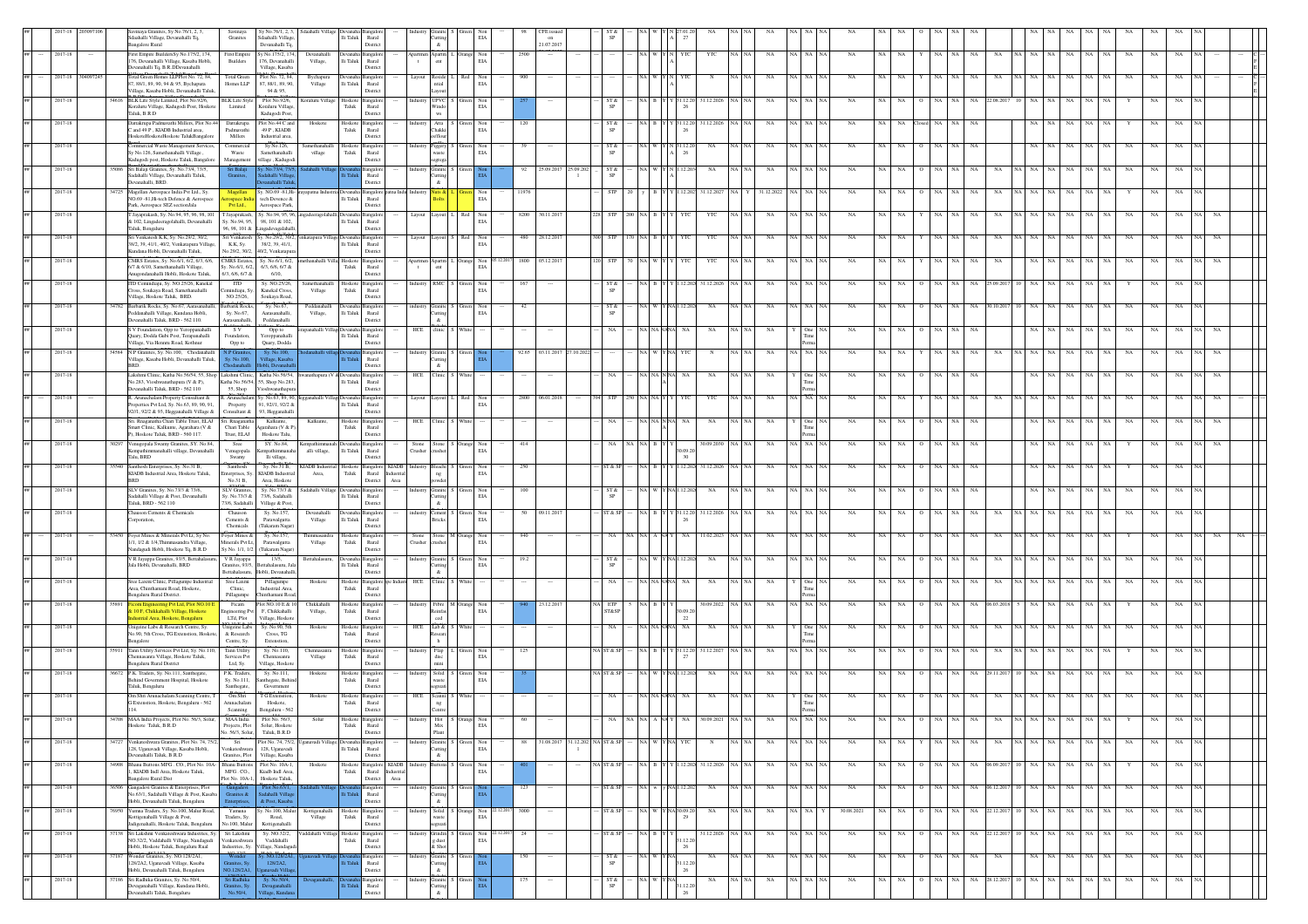|         |       | inaya Granites, Sy No.76/1, 2, 3,<br>Sdaahalli Village, Devanahalli Tq,<br>angalore Rural                                                    | Savinaya<br>Granites                                                              | Sy No.76/1, 2, 3,<br>daahalli Village<br>Devanahalli Tq               | Sdaahalli Village                                              | $\rm Ili$ Taluk            | Rural<br>District                                                                                  |                     | $\&$                                     | $_{\rm EIA}$                        |       | on<br>21.07.2017 |                                    |                   |                |                   |               |             |               |             |              |            |             |           |                  |           |                   |             |                   |             |           |             |             |             |  |
|---------|-------|----------------------------------------------------------------------------------------------------------------------------------------------|-----------------------------------------------------------------------------------|-----------------------------------------------------------------------|----------------------------------------------------------------|----------------------------|----------------------------------------------------------------------------------------------------|---------------------|------------------------------------------|-------------------------------------|-------|------------------|------------------------------------|-------------------|----------------|-------------------|---------------|-------------|---------------|-------------|--------------|------------|-------------|-----------|------------------|-----------|-------------------|-------------|-------------------|-------------|-----------|-------------|-------------|-------------|--|
| 2017-18 |       | First Empire BuildersSy No.175/2, 174,<br>176, Devanahalli Village, Kasaba Hobli,<br>Devanahalli Tq, B.R.DDevanahalli                        | <b>First Empire</b><br>Builder                                                    | y No.175/2, 174<br>176, Devanahalli<br>Village, Kasaba                | Devanahalli<br>Village,                                        | Ili Taluk                  | Rural<br>District                                                                                  |                     | Apartm<br>ent                            | Drange Non<br>EIA                   | 2500  |                  |                                    |                   |                |                   |               | YTC         | NA            |             | NA NA NA     | NA         | $_{\rm NA}$ |           | $_{\rm NA}$      | NA        | $_{\rm NA}$<br>NA | NA NA       | NA<br>$_{\rm NA}$ | $_{\rm NA}$ | NA        | $_{\rm NA}$ | $_{\rm NA}$ | $_{\rm NA}$ |  |
| 2017-18 |       | Total Green Homes LLPPlot No. 72, 84,<br>87, 88/1, 89, 90, 94 & 95, Bychapura<br>Village, Kasaba Hobli, Devanahalli Taluk                    | <b>Total Green</b><br>Homes LLP                                                   | Plot No. 72, 84,<br>87, 88/1, 89, 90,<br>94 & 95.                     | Bychapur<br>Village                                            | lli Taluk                  | Rural<br>District                                                                                  |                     | Reside<br>ntial<br>avout                 | Not<br>$_{\rm EIA}$                 |       |                  |                                    |                   |                |                   |               |             |               |             |              |            |             |           |                  |           |                   |             |                   |             |           |             |             |             |  |
| 2017-18 |       | BLK Life Style Limited, Plot No.92/6,<br>Koraluru Village, Kadugodi Post, Hoskote<br>Taluk, B.R.D                                            | <b>BLK</b> Life Style<br>Limited                                                  | Plot No.92/6<br>Koraluru Village<br>Kadugodi Post                     | Koraluru Village                                               | Hoskot<br>Taluk            | Rural<br>District                                                                                  |                     | UPVC<br>Windo<br>WS                      | Non<br>$_{\rm EIA}$                 |       |                  |                                    | ST &<br><b>SP</b> |                |                   | 31.12.20      | 31.12.2026  | NA            | NA I        |              | <b>NA</b>  | NA          |           | NA               | NA        | NA 22.08.201      | NA.         | NA<br>NA.         |             | NA NA     |             |             |             |  |
| 2017-18 |       | Dattakrupa Padmavathi Millers, Plot No.44 Dattakrupa<br>and 49 P, KIADB Industrial area,<br>HoskoteHoskoteHoskote TalukBangalor              | Padmavathi<br>Millers                                                             | Plot No.44 C and<br>$49\ \mathrm{P}$ , KIADB<br>Industrial area       | Hoskote                                                        | Hoskote<br>${\rm T}$ aluk  | nealor<br>Rural                                                                                    |                     | Atta<br>Chakki<br>s/flour                | Green Non<br>$_{\rm EIA}$           | 120   |                  |                                    | ST &              | NA B Y         |                   | $Y$ 31.12.20  | 31.12.2026  | NA            | NA I        |              | NA         | NA.         | NA.       | NA               | NA        | NA.               | NA          | NA<br>NA          | NA.         | - NA      |             |             |             |  |
| 2017-18 |       | Commercial Waste Management Services,<br>Sy No.126, Samethanahalli Village,<br>Kadugodi post, Hoskote Taluk, Bangalore                       | Commercia<br>Waste<br>Management                                                  | Sy No.126,<br>Samethanahalli<br>illage, Kadugodi                      | Samethanahalli<br>village                                      | Hoskote<br>${\rm T}$ aluk  | District<br>Bangalo<br>Rural<br>District                                                           |                     | Yiggery<br>waste<br>segrega              | Non<br>$_{\rm EIA}$                 | 39    |                  |                                    | ST &<br>SP        |                |                   | 1.12.2        | NA          | <b>NA</b>     |             |              | <b>NA</b>  | NA          |           |                  | NA.       |                   | NA.         | NA<br>NA          | NA          | - NA      |             |             |             |  |
| 2017-18 |       | 35086 Sri Balaji Granites, Sy. No.73/4, 73/5,<br>Sadahalli Village, Devanahalli Taluk,<br>Devanahalli, BRD.                                  | franites,                                                                         | dahalli Villag<br>nahalli Talu                                        |                                                                |                            | angalore<br>Rural<br>District                                                                      | ıdustrv             | Granite S Gree<br><b>Iutting</b><br>$\&$ |                                     |       |                  | 92 25.09.2017 25.09.202            | ST &              |                | VA W Y N 1.12.20  |               | NA          |               | NA          | NA   NA   N  | NA         | NA          | NA.       | NA.              | NA        | NA<br>NA.         | NA NA       | NA<br>NA          |             | NA NA     | <b>NA</b>   |             |             |  |
| 2017-18 |       | Magellan Aerospace India Pvt Ltd., Sy.<br>NO.69 -81, Hi-tech Defence & Aerospace<br>Park, Aerospace SEZ sectionJala                          | space India<br>Pyt Ltd.,                                                          | tech Devence &<br>Aerospace Park,                                     |                                                                | $\rm{Ili}$ Taluk           | Magellan Sy. NO.69 -81, Hi- rrayapatna Industria Devanaha Bangalore patna Ind<br>Rural<br>District |                     | luts &                                   | Non<br>EIA                          | 11976 |                  |                                    | STI               |                |                   | .12.20        | 31.12.202   |               | 31.12.2022  |              |            | NA          |           |                  | NA        | NA                | NA          | NA<br>NA          | NA          | NA        |             |             |             |  |
| 2017-18 |       | T Jayaprakash, Sy. No.94, 95, 96, 98, 101 T Jayaprakash,<br>& 102, Lingadeeragolahalli, Devanahalli<br>Taluk, Bengaluru                      | Sy. No.94, 95,<br>96, 98, 101 &                                                   | v No.94 95 96<br>98, 101 & 102,<br>ingadevagalahall                   |                                                                | lli Taluk                  | angalor<br>Rural<br>District                                                                       |                     | ayout                                    | Red Non<br>EIA                      |       | 8200 30.11.2017  |                                    | <b>STP</b>        |                |                   |               | YTC         |               | NA<br>NA I  |              | NA         |             |           |                  |           |                   |             | NA<br>NA          | NA          | NA        | NA          |             |             |  |
| 2017-18 |       | Sri Venkatesh K.K, Sy. No.29/2, 30/2,<br>38/2, 39, 41/1, 40/2. Venkatapura Villag<br>Kundana Hobli, Devanahalli Taluk,                       | Sri Venkatesh<br>K.K. Sy.                                                         | 38/2, 39, 41/1.<br>No.29/2, 30/2, 40/2, Venkatapura                   | Sy. No.29/2, 30/2, <sup>r</sup> enkatapura Village Devanaha Ba | Ili Taluk                  | angalor<br>Rural<br>District                                                                       | Layout              |                                          | ayout S Red Non<br>EIA              |       | 480 28.12.2017   |                                    | <b>STP</b>        |                |                   | YTC           | YTC         | NA            |             | NA NA NA     | NA         | NA          | NA        | NA               | NA        | NA<br>NA          | VA NA       | NA<br>NA          | NA          | <b>NA</b> | NA          | NA          | NA          |  |
| 2017-18 |       | CMRS Estates, Sy. No.6/1, 6/2, 6/3, 6/6,<br>6/7 & 6/10, Samethanahalli Village,                                                              | <b>CMRS</b> Estat<br>Sy. No.6/1, 6/2,                                             | Sy. No.6/1, 6/2,<br>6/3, 6/6, 6/7 &                                   | anahalli Villa: Hoskot                                         | Taluk                      | nealo<br>Rural                                                                                     |                     | <b>Apartm</b><br>ent                     | Orange Non<br>EIA                   |       | 1800 05.12.201   |                                    | <b>STP</b>        |                |                   |               | YTC         | NA            |             | NA   NA   NA | NA         | NA          |           | NA               | <b>NA</b> | NA<br>NA          | NA          | NA.<br>NA.        | NA          | - NA      | NA          |             |             |  |
| 2017-18 |       | Anugondanahalli Hobli, Hoskote Taluk,<br>TD Cemindiaju, Sy. NO.25/26, Kanekal<br>Cross, Soukaya Road, Samethanahalli                         | 6/3, 6/6, 6/7 &<br>$\overline{m}$<br>Temindiaju, S                                | 6/10,<br>Sy. NO.25/26,<br>Kanekal Cross                               | Samethanahalli<br>$_{\rm Village}$                             | Taluk                      | District<br>Hoskote Bangalor<br>Rural                                                              | ıdustrv             | RMC                                      | Green Non<br>$_{\rm EIA}$           | 167   |                  |                                    | ST &<br><b>SP</b> |                |                   | 12.20         | 31.12.2026  |               | NA          | a I          | NA         |             |           |                  |           | 5.09.20           | NA.         | NA<br>NA          | NA          | -NA       |             |             |             |  |
| 2017-18 |       | illage, Hoskote Taluk, BRD.<br>14782 Barbarik Rocks, Sy. No.67, Aarasanahalli,<br><sup>b</sup> eddanahalli Village, Kundana Hobli,           | NO.25/26,<br>Barbarik Rocks,<br>Sy. No.67.                                        | Soukaya Road,<br>Sy. No.67.<br>Aarasanahalli.                         | Peddanahalli<br>Village,                                       | $\rm{Ili}$ Taluk           | District<br>langalon<br>Rural                                                                      | ndustrv             | Granite S                                | Green Non<br>EIA                    | 42    |                  |                                    | ST &              |                |                   | 12.20         | NA          |               | NA<br>va i  |              | NA         |             |           |                  | NA        | NA.<br>0.10.20    |             | NA                | NA          |           |             |             |             |  |
| 2017-18 |       | Devanahalli Taluk, BRD - 562 110.<br>S V Foundation, Opp to Yeroppanahalli<br>Quary, Dodda Gubi Post, Terapanahalli                          | <b>Aarasanahall</b><br>$\overline{\text{s}}$ $\overline{\text{v}}$<br>Foundation, | Peddanahalli<br>Opp to<br>Yeroppanahalli                              | anahalli Villagı Devar                                         | $\rm Ili$ Taluk            | District<br>Rural                                                                                  | HCE                 | $\&$<br>linic                            |                                     |       |                  |                                    |                   |                |                   |               | NA          |               | NA          |              |            |             |           |                  |           |                   |             | NA<br>NA          | NA          |           |             |             |             |  |
| 2017-18 |       | Village, Via Hennru Road, Kothnur<br>14584 N.P Granites, Sy. No.100, Chodanahalli<br>Village, Kasaba Hobli, Devanahalli Taluk,               | Opp to<br>$v$ No.100                                                              | Quary, Dodda<br>fillage, Kasab                                        |                                                                |                            | District<br>angalor<br>Rural                                                                       |                     | Granite<br>uttins                        |                                     |       | 92.65 03.11.2017 | 27.10.202                          |                   |                |                   |               |             | NA            |             |              | NA         | NA          |           |                  | NA        |                   | NA NA       | NA<br>NA          | NA          | <b>NA</b> |             |             |             |  |
| 2017-18 |       | BRD.<br>Lakshmi Clinic, Katha No.56/54, 55, Shop Lakshmi Clinic, Katha No.56/54,<br>No.283, Vioshwanathapura (V & P),                        |                                                                                   | bli. Devanaha<br>Katha No.56/54, 55, Shop No.283,                     |                                                                | Ili Taluk                  | District<br>Rural                                                                                  | HCE                 | $\alpha$<br>Clinic                       |                                     |       |                  |                                    |                   | NA NA NN       |                   |               | NA          | NA            |             |              | NA         | NA          | NA        | NA               | NA        | NA                | <b>NA</b>   | NA<br>NA          | NA          | NA        | NA          |             |             |  |
| 2017-18 |       | Devanahalli Taluk, BRD - 562 110<br>R. Arunachalam Property Consultant &<br>Properties Pvt Ltd. Sv. No.63, 89, 90, 91.                       | 55. Shop<br>R. Arunachalar<br>Property                                            | ioshwanathapu<br>y. No.63, 89, 90,<br>91.92//1.92/2 &                 |                                                                | Ili Taluk                  | District<br>Rural                                                                                  | Layout              | Layout                                   | Red Non<br>EIA                      |       | 2800 06.01.2018  |                                    | <b>STP</b>        |                |                   |               | YTC         |               | NA          |              | NA         | NA          |           | NA.              | NA        | NA.<br>NA         | NA   NA     | NA.<br>NA.        | NA          |           |             |             |             |  |
| 2017-18 |       | 92/1, 92/2 & 93, Hegganahalli Village &<br>Sri. Rnaganatha Chari Table Trust, ELAJ Sri. Rnaganatha<br>Smart Clinic, Kalkunte, Agarahara (V & | Consultant &<br>Chari Table                                                       | 93, Hegganahall<br>Kalkunte.<br>Agarahara (V & P)                     | Kalkunte.                                                      | Hoskote<br>${\rm Taluk}$   | District<br>angalore<br>Rural                                                                      |                     | HCE Clinic                               | White                               |       |                  |                                    | NA                | NA NA NN       |                   |               | NA          | NA            |             |              | NA         | NA          | <b>NA</b> | NA               | NA        | NA.               | NA.         | NA<br>NA          | NA          | <b>NA</b> | NA          |             |             |  |
| 2017-18 |       | P). Hoskote Taluk, BRD - 560 117.<br>30297 Venugopala Swamy Granites, SY. No.84,                                                             | Trust, ELAJ<br>Sree                                                               | Hoskote Talu,<br>SY. No.84,                                           | empathimmanah Devanal                                          |                            | District<br>Bangalo                                                                                | Stone               | usher                                    | Stone S Orange Non                  | 414   |                  |                                    | <b>NA</b>         | NA NA B Y      |                   |               | 30.09.2030  | NA            |             | NA NA NA     | NA         | NA          | NA.       | NA               | NA        |                   | NA          | NA<br>NA          | NA          | - NA      |             |             | NA.         |  |
| 2017-18 | \$540 | lempathimmanahalli village, Devanahalli<br>Talu, BRD<br>Santhosh Enterprises, Sy. No.31 B,                                                   | enugopala<br>Swamy<br>Santhosh                                                    | mpathimman<br>lli village,<br>Sy. No.31 B,                            | alli village,<br><b>CIADB</b> Indu                             | $\rm Ili$ Taluk<br>Hoskote | Rural<br>District<br>Bangalore KIADI                                                               | Crusher             | <b>Heachi</b>                            | $_{\rm EIA}$<br>Non                 | 250   |                  |                                    |                   |                |                   |               | 1.12.202    |               |             |              |            |             |           |                  |           |                   |             |                   |             |           |             |             |             |  |
| 2017-18 |       | KIADB Industrial Area, Hoskote Taluk,<br><b>BRD</b><br>SLV Granites, Sy. No.73/3 & 73/6,                                                     | interprises, Sy<br>No.31 B.<br>SLV Granites,                                      | KIADB Industria<br>Area, Hoskote<br>Sy. No.73/3 &                     | Area,<br>Sadahalli Village Devanaha                            | ${\rm Tau}$                | Rural<br>Industria<br>District<br>Area<br>Bangalor                                                 | ndustry             | ng<br>powder<br>Granite !                | $_{\rm EIA}$<br>Green Non           | 100   |                  |                                    | $ST \&$           | iA ∣ W         |                   | 12.20         | NA          |               | NA          |              | NA         | NA          |           | NA               | NA        |                   | $_{\rm NA}$ | NA<br>NA          | NA          | NA        |             |             |             |  |
| 2017-18 |       | Sadahalli Village & Post, Devanahalli<br>Taluk, BRD - 562 110<br>Chauson Cements & Chemicals                                                 | Sv. No.73/3 &<br>73/6, Sadahalli<br>Chauso                                        | 73/6, Sadahalli<br>Village & Post,<br>Sv. No.157                      | Devanahall                                                     | $\rm{Ili}$ Taluk           | Rural<br>District<br>ngalo                                                                         |                     | utting<br>&.<br>cment                    | EIA<br>Non                          |       | 50 09.11.201     |                                    | SP<br>ST & SP     |                |                   | \$1.12.2      | 31.12.2026  |               | NA<br>NA I  |              | NA         |             |           |                  |           |                   | <b>NA</b>   | NA<br>NA          | NA          | NA        | NA          |             |             |  |
| 2017-18 |       | rporation,<br>3450 Fover Mines & Minerals Pvt Lt. Sv No                                                                                      | Cements &<br>Chemicals<br>Foyer Mines &                                           | Parawalgutta<br>Tukaram Nagar)<br>Sy. No.157,                         | Village<br>Thimmasandra                                        | lli Taluk<br>Hoskote       | Rural<br>District<br>Bangalor                                                                      | Stone               | Bricks                                   | EIA<br>Stone M Orange Non           | 940   |                  |                                    | <b>NA</b>         |                |                   | NA.           | 1.02.2023   | <b>NA</b>     |             | va I na Ing  | NA         | NA.         | NA.       | NA.              | NA        | NA.<br>NA         | iA∣ NA      | NA.<br>NA.        | NA          | <b>NA</b> |             |             |             |  |
| 2017-18 |       | 1/1, 1/2 & 1/4.Thimmasandra Village<br>Vandagudi Hobli, Hoskote Tq, B.R.D<br>V R Javappa Granites, 93/5. Bettahalasuru.                      | Minerals Pvt Lt<br>Sy No. 1/1, 1/2<br>V R Javappa                                 | Parawalgutta<br>(Tukaram Nagar)<br>13/5.                              | Village<br>Bettahalasuru.                                      | Taluk                      | Rural<br>District<br>Devanaha Bangalore                                                            | Crusher<br>Industry | usher                                    | EIA                                 | 19.2  |                  |                                    | ST &              |                | (A W Y NA1.12.20) |               | NA          | NA            |             | NA NA NA     | NA         | NA.         | NA        | NA               | NA        | NA.<br>NA         | VA NA I     | NA<br>NA          |             | NA NA     | NA          | NA.         | <b>NA</b>   |  |
| 2017-18 |       | Jala Hobli, Devanahalli, BRD<br>iree Laxmi Clinic, Pillagumpe Industrial                                                                     | Granites, 93/5<br>Bettahalasuru<br>Sree Laxmi                                     | ettahalasuru, Ja<br>lobli, Devanahalli,<br>Pillagumpe                 |                                                                | lli Taluk<br>Hoskote       | Rural<br>District                                                                                  | HCE                 | utting<br>$\&$<br><b>Timic</b>           | Granite S Green Non<br>EIA          |       |                  |                                    | <b>NA</b>         |                |                   |               |             |               |             |              |            |             |           |                  | <b>NA</b> |                   |             |                   |             |           |             |             |             |  |
|         |       | Area, Chinthamani Road, Hoskote,<br>engaluru Rural District.                                                                                 | Clinic,<br>Pillagumpe                                                             | Industrial Area<br>iinthamani Road                                    | Hoskote                                                        | Taluk                      | Bangalore ape Indust<br>Rural<br>District                                                          |                     |                                          |                                     |       |                  |                                    |                   |                |                   |               | NA          |               | NA          |              | NA         |             |           |                  |           | NA                | NA          | NA<br>NA          | NA          | - NA      |             |             |             |  |
| 2017-18 |       | ring Pvt Ltd, Plot NO.10<br><sup>2</sup> 10 F, Chikkahalli Village, Hoskote<br>astrial Area, Hoskote, Bengaluru                              | Ficam<br>gineering P<br>LTd, Plot                                                 | ot NO.10 E & 1<br>F, Chikkahalli<br>Village, Hoskote                  | Chikkahall<br>Village,                                         | Hoskote<br>Taluk           | angalor<br>Rural<br>District                                                                       |                     | <b>bro</b>                               | Fibre M Orange Non<br>EIA           |       | 23.12.20         |                                    | ia ETP<br>ST&SP   |                |                   | 09.2<br>22    | 30.09.2022  |               | NA          |              |            |             |           |                  |           |                   |             |                   | NA          |           |             |             |             |  |
| 2017-18 |       | Jnigeine Labs & Research Centre, Sy.<br>No.90, 5th Cross, TG Extenstion, Hoskot<br>engalore                                                  | <b>Unigeine Labs</b><br>& Research<br>Centre, Sy                                  | Sy. No.90, 5th<br>Cross, TG<br><b>Extenstion</b>                      | Hoskote                                                        | Hoskote<br>Taluk           | Bangalor<br>Rural<br>District                                                                      |                     | $\text{HCE} = \text{Lab} \ \&$<br>sear   | White                               |       |                  |                                    | NA                | <b>NA NAN</b>  |                   | NA            | $_{\rm NA}$ |               | $_{\rm NA}$ |              | NA         |             |           |                  |           | NA                | NA          | NA<br>NA          | NA          | NA        |             |             |             |  |
| 2017-18 |       | Tann Utility Services Pvt Ltd, Sy. No.1<br>Chennasanra Village, Hoskote Taluk,<br>Bengaluru Rural District                                   | Tann Utility<br>Services Pvt<br>Ltd. Sv.                                          | Sy. No.110,<br>Chennasanra<br>Village, Hoskote                        | Chennasanra<br>Village                                         | loskot<br>Taluk            | ngale<br>Rural<br>District                                                                         |                     | Flap<br>disc<br>mini                     | $_{\rm EIA}$                        | 125   |                  |                                    | VA ST & SI        |                |                   | 1.12.2        | 31.12.2027  | NA            |             |              | NA         |             |           |                  |           |                   |             |                   | NA          |           |             |             |             |  |
| 2017-18 | 6672  | P.K. Traders, Sy. No.111, Santhegate<br>Behind Government Hospital, Hoskote<br>Taluk, Bengaluru                                              | P.K. Traders<br>Sy. No.111,<br>Santhegate.                                        | Sy. No.111,<br>inthegate, Behir<br>Government                         | Hoskote                                                        | Hoskot<br>Taluk            | Rural<br>District                                                                                  |                     | $\operatorname{\mathsf{Solid}}$<br>waste | Non<br>EIA                          |       |                  |                                    | VA ST & SF        |                |                   |               | NA          | NA            |             | NA NA NA     | NA         | NA          | NA        | NA               | NA        | NA<br>29.11.20    |             | $_{\rm NA}$       | NA          | NA        |             |             |             |  |
| 2017-18 |       | Om Shri Arunachalam Scanning Centre, T<br>G Extenstion, Hoskote, Bengaluru - 562<br>114.                                                     | Om Shri<br>Arunachalam<br>Scanning                                                | T G Extenstic<br>Hoskote,<br>Bengaluru - 562                          | Hoskote                                                        | Hoskote<br>${\rm T}$ aluk  | Rural<br>District                                                                                  | HCE                 | Scanni<br>ng                             |                                     |       |                  |                                    |                   |                |                   |               | NA          |               | NA          |              | NA         |             |           |                  |           | NA.               | NA I NA     | NA<br>NA          |             | NA NA     |             |             |             |  |
|         |       | Hoskote Taluk, B.R.D                                                                                                                         | Projects, Plot<br>No. 56/3, Solur,                                                | Solur, Hoskote<br>Taluk, B.R.D                                        |                                                                | Taluk                      | Rural<br>District                                                                                  |                     | $_{\rm Mix}$<br>Plant                    | EIA                                 |       |                  |                                    |                   |                |                   |               |             |               |             |              |            |             |           |                  |           |                   |             |                   |             |           |             |             |             |  |
| 2017-18 |       | 34727 Venkateshwara Granites, Plot No. 74, 75/2,<br>128, Uganavadi Village, Kasaba Hobli,<br>Devanahalli Taluk, B.R.D                        | Sri<br>Venkateshwara<br>Granites, Plot                                            | 128, Uganavadi<br>Village, Kasaba                                     | Plot No. 74, 75/2, Uganavadi Village, Devanaha Bangalore       | $\rm Ili$ Taluk            | Rural<br>District                                                                                  | Industry            | utting<br>$\&$                           | Granite S Green Non<br>$_{\rm EIA}$ |       |                  | 88 31.08.2017 31.12.202 NA ST & SP |                   | - NA W YNA YTC |                   |               | N           | NA NA<br>NA   |             | NA NA NA     | NA         |             | NA NA     | $Y$ NA NA        |           | NA                |             | NA NA NA NA NA    |             |           | NA NA NA    | NA 1        | NA          |  |
| 2017-18 | 34908 | Bhanu Buttons MFG . CO., Plot No. 10A<br>1, KIADB Indl Area, Hoskote Taluk,<br><b>Bangalore Rural Dist</b>                                   | <b>Bhanu Buttons</b><br>MFG.CO.,                                                  | Plot No. 10A-1,<br>Kiadb Indl Area,<br>Plot No. 10A-1. Hoskote Taluk. | Hoskot                                                         | Hoskote<br>${\rm T}$ aluk  | Bangalore KIADB<br>Rural<br>Industria<br>District<br>Area                                          |                     |                                          | Non<br>$_{\rm EIA}$                 |       |                  |                                    | ST & SI           |                |                   |               | 31.12.2026  |               | NA<br>NA.   |              | NA         | NA          | NA        | NA               | NA        | 06.09.20          | NA          | NA<br>NA          | NA          | NA        |             |             | NA          |  |
| 2017-18 | 36506 | Gangadevi Granites & Enterprises, Plot<br>No.63/1, Sadahalli Village & Post, Kasaba<br>Hobli, Devanahalli Taluk, Bengaluru                   |                                                                                   | dahalli Villa<br>& Post, Kasaba                                       |                                                                |                            | langalore<br>Rural<br>District                                                                     |                     | ranite<br>uttins<br>$\alpha$             |                                     | 123   |                  |                                    | ST & SF           | val w I        | v NAJ             |               | NA          | NA   NA       | NA          | NA NA NA     | NA         | NA          | NA        | NA               | NA        | NA 06.12.201      | NA.         | NA<br>NA          | NA          | <b>NA</b> | NA          | NA          | NA          |  |
| 2017-18 |       | 76950 Yumna Traders, Sy. No.100, Malur Road,<br>Kottigenahalli Village & Post.<br>Jadigenahalli, Hoskote Taluk, Bengaluru                    | Yamuna<br>Traders, Sv.<br>No.100, Malur                                           | Sy. No.100, Malur<br>Road.<br>Kottigenahalli                          | Kottigenahalli<br>Village                                      | Hoskote<br>Taluk           | <b>Bangalore</b><br>Rural<br>District                                                              |                     | vaste<br>ereati                          | Solid S Orange Non 22.12.201<br>EIA | 3000  |                  |                                    | ST & SP           |                | NA W YNA30.09.2   |               | NA          | NA NA         | $_{\rm NA}$ | NA NA Y      | 30.08.2021 |             | NA NA     | $O$ NA NA        |           | NA 22.12.201      |             | 10 NA NA NA       |             | NA NA     | NA          | NA          | NA          |  |
| 2017-18 |       | 57138 Sri Lakshmi Venkateshwara Industries, Sy.<br>NO.32/2. Vaddahalli Village, Nandagudi<br>Hobli, Hoskote Taluk, Bengaluru Rual            | Sri Lakshmi<br>Venkateshwara<br>Industries, Sy.                                   | Sv. NO.32/2.<br>Vaddahalli<br>illage, Nandagud                        | addahalli Village                                              | Hoskote<br>Taluk           | Bangalor<br>Rural<br>District                                                                      |                     | <b>Grindin</b><br>e dust<br>$k$ Shot     | Non<br>EIA                          | 24    |                  |                                    | ST & SP           | NA BI          |                   | 1.12.2        | 31.12.2026  | NA<br>NA   NA |             | NA   NA   NA | NA         | NA          | NA        | NA<br>$\Omega$   | <b>NA</b> | NA 22.12.201      | 10 NA       | NA.<br>NA         |             | NA NA     | NA          |             | NA.         |  |
| 2017-18 |       | 37187 Wonder Granites, Sv. NO 128/2A1<br>128/2A2, Uganavadi Village, Kasaba<br>Hobli, Devanahalli Taluk, Bengaluru                           | 0.128/2A1                                                                         | 128/2A2,<br>avadi Villa                                               |                                                                |                            | angalore<br>Rural<br>District                                                                      | ndustry             | Granite S Gre<br>utting<br>$\&$          |                                     | 150   | $\sim$           |                                    | ST &<br>SP        |                | VA W YNA          | 1.12.20<br>26 | NA.         | NA NA         | NA          | NA NA NA     | NA         |             | NA NA     | O NA NA          |           | NA<br>NA          |             | NA NA NA          |             | NA NA     | NA          | NA          | NA          |  |
| 2017-18 |       | 37186 Sri Radhika Granites, Sy. No.50/4,<br>aganahalli Village, Kundana Hobli,<br>ahalli Taluk, Bengaluru                                    | ri Radhika                                                                        | Sy. No.50/4,<br>vaganahali                                            |                                                                |                            | <b>Bangalon</b><br>Runal                                                                           |                     | <b>Granite</b><br>utting                 | - Gre                               | 175   |                  |                                    | ST &<br>SP        |                |                   | 1.12.20       | NA          | A I NA        | NA          | NA NA NA     | NA         | NA          | NA        | NA NA<br>$\circ$ |           | NA 28.12.201      | $10$ NA     | NA 1<br>NA        |             | NA NA     | NA          | NA          | NA          |  |

Devaganahalli

Hobli, Bengaluru

Polishi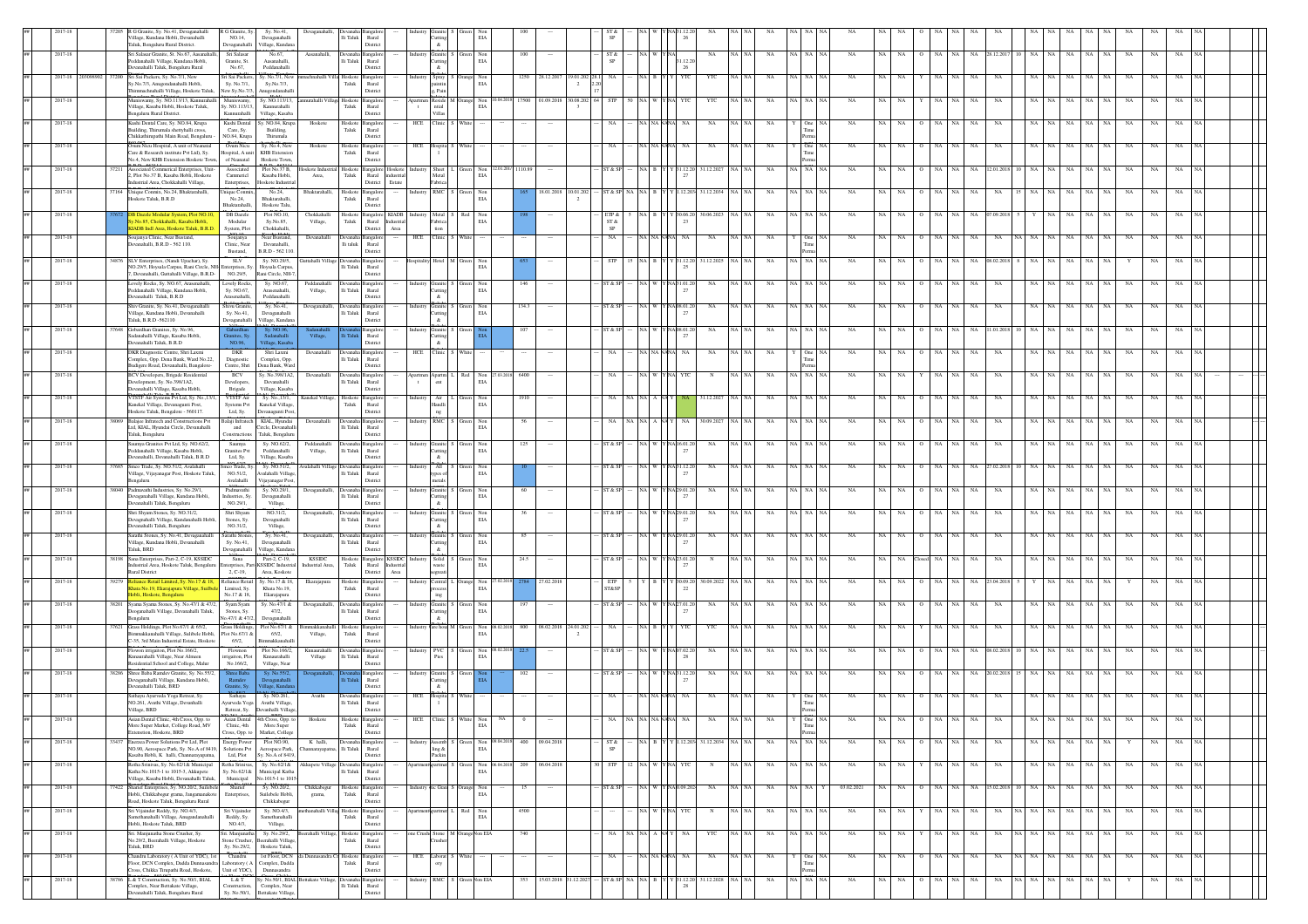|         | R G Granite, Sy. No.41, Devaganahall<br>R G Granite, Sy<br>Sy. No.41,<br>Village, Kundana Hobli, Devanahalli<br>NO.14.<br>Devaganahalli<br>Taluk Rengaluru Rural District<br>Devaganahall<br>/illage, Kundan                        | Devaganaha<br>lli Taluk                                   | Rural<br>Distric                                                         | s.                                                         | EIA                 |                       |                      |                                  |                 |                             |                               |             |                 |                         |       |               |                   |               |           |          |                 |                 |     |                 |  |
|---------|-------------------------------------------------------------------------------------------------------------------------------------------------------------------------------------------------------------------------------------|-----------------------------------------------------------|--------------------------------------------------------------------------|------------------------------------------------------------|---------------------|-----------------------|----------------------|----------------------------------|-----------------|-----------------------------|-------------------------------|-------------|-----------------|-------------------------|-------|---------------|-------------------|---------------|-----------|----------|-----------------|-----------------|-----|-----------------|--|
| 2017-18 | Sri Salasar Granite, St. No.67, Aasanaha<br>Sri Salasa<br>No.67<br>Peddanahalli Village, Kundana Hobli.<br>Granite, St.<br>Aasanahalli.                                                                                             | Aasanahalli,<br>li Taluk                                  | Rural                                                                    | Industry<br>Granite<br>utting                              | Non<br>EIA          | 100                   |                      | ST &                             | INA W           | 31.12.20                    | NA<br>$NA$ $N$                | NA          | NA NA           | NA<br>NA                | NA    | NA            | NA<br>NA          | 28.12.201     |           | NA       | NA<br>NA        | NA              | NA  | NA              |  |
| 2017-18 | Devanahalli Taluk, Bengaluru Rural<br>No.67.<br>Peddanahalli<br>Sri Sai Packers, Sy. No.7/1, New<br>Sri Sai Packers.<br>Sv. No.7/1, New                                                                                             | Hoskot                                                    | Distric                                                                  | $\mathcal{R}^{\prime}$                                     | Non                 |                       | 1250 28.12.20        | 19.01.202                        |                 | 26                          | YT                            |             |                 |                         |       |               |                   |               |           |          |                 |                 |     |                 |  |
|         | Sy.No.7/3, Anugondanahalli Hobli,<br>Sv. No.7/1.<br>Sv.No.7/3.<br>himmachnahalli Village, Hoskote Taluk,<br>New Sy.No.7/3<br><b>Anugondanahal</b>                                                                                   | Taluk                                                     | Rural<br>Distric                                                         | Spray<br>aintin<br>g, Pain                                 | EIA                 |                       |                      | $\overline{2}$                   |                 |                             |                               |             |                 |                         |       |               |                   |               |           |          |                 |                 |     |                 |  |
| 2017-18 | Muniswamy, Sy. NO.113/13, Kannurahall<br>Sy. NO.113/13,<br>Muniswamy,<br>Village, Kasaba Hobli, Hoskote Taluk,<br>Sy. NO.113/13,<br>Kannurahalli<br>engaluru Rural District.<br>Village, Kasaba<br>Kannurahalli                     | turahalli Village Hoskote<br>Taluk                        | angalo<br>Rural<br>Distric                                               | Apartmen Reside<br>$_{\rm ntid}$<br>$\mathbf{t}$<br>Villas | Non<br>$_{\rm EIA}$ |                       | 17500 01.09.2018     | 30.08.202                        |                 |                             | YTC                           |             |                 |                         |       |               |                   |               |           |          |                 | NA              |     |                 |  |
| 2017-18 | Kushi Dental Care, Sy. NO.84, Krupa<br>Kushi Dental Sv. NO.84, Krupa<br>uilding, Thirumala shettyhalli cross,<br>Care, Sy.<br>Building,                                                                                             | Hoskote<br>Taluk                                          | Hoskote Bangalor<br>Rural                                                | HCE<br>Tinic L                                             | White               |                       |                      |                                  |                 | NA NA NANA                  | NA<br>NA.                     | NA          | <b>One</b>      | NA                      |       |               | NA                |               |           |          |                 | NA              |     |                 |  |
| 2017-18 | Chikkathirupathi Main Road, Bengaluru<br>Thirumala<br>NO.84, Krupa<br>Sonora<br>Dvum Nicu Hospital, A unit of Neanatal<br>Sy. No.4, New<br>Oum Nicu                                                                                 | Hoskote<br>loskoto                                        | Distric<br><b>Bangalo</b>                                                | HCF                                                        |                     |                       |                      |                                  |                 |                             |                               |             |                 |                         |       |               |                   |               |           |          |                 |                 |     |                 |  |
|         | Care & Research institute Pvt Ltd), Sy.<br><b>KHB</b> Extension<br>Hospital, A unit<br>No.4, New KHB Extension Hoskote Town.<br>of Neanatal<br>Hoskote Town                                                                         | ${\rm Taluk}$                                             | Rural<br>Distric                                                         |                                                            |                     |                       |                      |                                  |                 |                             |                               |             |                 |                         |       |               |                   |               |           |          |                 |                 |     |                 |  |
| 2017-18 | Associated Commerical Enterprises, Unit<br>Plot No.37 B,<br>37211<br>Associated<br>2, Plot No.37 B, Kasaba Hobli, Hoskote<br>Cammericl<br>Kasaba Hobli<br>ndustrial Area, Chokkahalli Village,<br>Enterprises,<br>Hoskote Industria | skote Ind<br>loskot<br>Area,<br>Taluk                     | Bangalor<br>Hoskote<br>Rural<br>dustrial<br>District<br>Estate           | Sheet  <br>Metal<br>Fabrica                                | Non<br>EIA          | 2.01.201/ 1110.8      |                      |                                  |                 | 1.12.20<br>27               | 31.12.2027                    | NA          | NA NA           | NA                      |       |               | NA                | 2.01.2        |           | ŃA       |                 | $_{\rm NA}$     | NA  | NA              |  |
| 2017-18 | Unique Conmix, No.24, Bhaktarahalli,<br>No.24,<br>37164<br>Unique Conmix,<br>Hoskote Taluk B R D<br>No.24.<br>Bhaktarahalli                                                                                                         | Bhaktarahalli,<br>Taluk                                   | Hoskote Bangalore<br>Rural                                               | RMC S<br>Industry                                          | Non<br>EIA          |                       | 18.01.2018           | 10.01.202<br>$\overline{2}$      | ST & SP NA NA B | $Y = 1.12.203$              | 31.12.2034<br>NA N            | NA          | NA NA           | NA                      |       | NA.           | NA.<br>NA         | NA            |           | NA       | NA<br>NA        | NA              | NA  | NA              |  |
| 2017-18 | Hoskote Talu.<br>Bhaktarahalli.<br>DB Dazzle<br>Plot NO.10,<br><b>B Dazzle Modular System, Plot NO.</b>                                                                                                                             | Chokkahall<br>loskote                                     | District<br>Bangalor<br>KIADB Industr                                    | Metal                                                      | Non                 |                       |                      | SIP &                            |                 | (30.06.2)                   | 30.06.2023<br>NA.             | NA          | NA I NA         |                         |       |               | NA                | .09.20        |           | NA       | NA              | NA<br>NA        | NA. | <b>NA</b>       |  |
|         | v.No.85, Chokkahalli, Kasaba Hobli,<br>Modular<br>Sv.No.85.<br><b>IADB</b> Indl Area, Hoskote Taluk, B.R.D.<br>Chokkahalli,<br>System, Plot                                                                                         | Village,<br>Taluk                                         | Rural<br>Industrial<br>Area<br>District                                  | 'abrica<br>tion                                            | EIA                 |                       |                      | ST &<br>SP                       |                 | 23                          |                               |             |                 |                         |       |               |                   |               |           |          |                 |                 |     |                 |  |
| 2017-18 | Soujanya<br>Clinic, Near<br>Near Bustand.<br>Soujanya Clinic, Near Bustand.<br>levanahalli, B.R.D - 562 110.<br>Devanahalli,<br>Bustand,<br>B.R.D - 562 110.                                                                        | Devanahalli<br>li taluk                                   | levanaha Bangalor<br>Rural<br>Distric                                    | HCE<br>∷linic∣5                                            | White               |                       |                      | NA                               |                 | NA NA NANA<br>NA            | NA                            | NA<br>NA NA | One             | NA<br><b>NA</b>         | NA.   | NA            | NA<br>NA          | NA            | NA.       | NA<br>NA | NA<br><b>NA</b> | NA              | NA  | NA.             |  |
| 2017-18 | <b>SLV</b><br>Sy. NO.29/5,<br>4876 SLV Enterprises, (Nandi Upachar), Sy.<br>NO.29/5, Hoysala Carpus, Rani Circle, NH<br>Hoysala Carpus<br>nterprises, 5                                                                             | Guttahalli Village<br>Devana<br>li Taluk                  | angale<br>Rural                                                          | lotel I M                                                  | Non<br>EIA          |                       |                      |                                  | INAI B          | 6 31.12.20                  | 31.12.2025                    | NA          | A NA            | NA                      |       |               | NA.               | 08.02.2       |           |          |                 |                 |     |                 |  |
| 2017-18 | , Devanahalli, Guttahalli Village, B.R.D-<br>NO.29/5,<br>Rani Circle, NH-7<br>ovely Rocks.<br>Lovely Rocks, Sy. NO.67, Arasenahalli,<br>Sy. NO.67,                                                                                  | Peddanahal                                                | Distric<br>angale                                                        |                                                            | Non                 | 146                   |                      |                                  |                 | A31.01.2                    | NA                            | NA          |                 | NA                      |       |               |                   |               |           |          |                 |                 |     |                 |  |
|         | Peddanahalli Village, Kundana Hobli,<br>Sy. NO.67,<br>Arasenahalli,<br>Devanahalli Taluk, B.R.D.<br>Arasenahalli<br>Peddanahalli                                                                                                    | Village,<br>li Taluk                                      | Rural<br>Distric                                                         | utting                                                     | $\rm EIA$           |                       |                      |                                  |                 | 27                          |                               |             |                 |                         |       |               |                   |               |           |          |                 |                 |     |                 |  |
| 2017-18 | Shiv Granite, Sy. No.41, Devaganahalli<br>Shivu Granite.<br>Sy. No.41,<br>Village, Kundana Hobli, Devanahalli<br>Sy. No.41,<br>Devaganahalli<br>Taluk, B.R.D -562110<br>Yevaganahalli<br>/illage, Kundan                            | Devaganahalli<br>li Taluk                                 | angale<br>Rural<br>Distric                                               | Granite<br>utting                                          | $_{\rm Non}$<br>EIA | 134.3                 |                      | T & S                            |                 | NA 08.01.2<br>$\mathcal{D}$ | NA                            | NA          |                 |                         |       |               |                   |               |           |          |                 | NA              |     |                 |  |
| 2017-18 | Gobardhan Granites, Sy. No.96,<br>Sadanahalli Village, Kasaba Hobli,<br>Sadanahalli                                                                                                                                                 | Village,                                                  | ingal<br>Rural                                                           | utting                                                     |                     |                       |                      |                                  |                 | 27                          | NA                            |             |                 |                         |       |               |                   |               |           |          |                 |                 |     |                 |  |
| 2017-18 | ranites, S <sub>1</sub><br>NO.96,<br>Devanahalli Taluk, B.R.D.<br>Village, Kasab<br>DKR Diagnostic Centre, Shri Laxmi<br>DKR<br>Shri Laxmi                                                                                          | Devanahalli                                               | Distric                                                                  | HCE Clinic                                                 |                     |                       |                      |                                  | NA NA           |                             | NA                            | NA          |                 | NA                      |       |               | NA<br>NA          |               |           | NA       |                 | NA              |     | NA              |  |
|         | Complex, Opp. Dena Bank, Ward No.22.<br>Diagnostic<br>Complex, Opp.<br>Budigere Road, Devanahalli, Bangalore-<br>Centre, Shri<br>Dena Bank, Ward<br>Sv. No.398/1A2.                                                                 | lli Taluk                                                 | Rural<br>Distric                                                         |                                                            |                     |                       |                      |                                  |                 |                             |                               |             |                 |                         |       |               |                   |               |           |          |                 |                 |     |                 |  |
| 2017-18 | <b>BCV Developers</b> , Brigade Residential<br><b>BCV</b><br>Development, Sy. No.398/1A2,<br>Developers,<br>Devanahalli<br>.<br>Devanahalli Village, Kasaba Hobli,<br>Village, Kasaba<br>Brigade                                    | Devanahalli<br>i Taluk                                    | Xeyanaha Bangalo<br>Rural<br>Distric                                     | partmen Apartm I<br>$\mathbf{t}$<br>ent                    | Red<br>$\rm EIA$    | Non 27.03.201<br>6400 |                      |                                  |                 |                             |                               | NA          | NA NA           | <b>NA</b>               |       |               | NA                |               |           |          |                 | NA              |     |                 |  |
| 2017-18 | VTSTF Air Systems Pvt Ltd, Sy. No., 13/<br>VTSTF Air<br>Sy. No., 13/1,<br>Kanekal Village, Devanagunti Post,<br>Kanekal Village,<br>Systems Pvt                                                                                     | Kanekal Village,<br>Hoskote<br>Taluk                      | Bangalo<br>Rural                                                         | Industry<br>Air  <br>Handli                                | $_{\rm EIA}$        | 1910                  |                      |                                  |                 |                             | 1.12.202                      |             |                 |                         |       |               |                   |               |           |          |                 |                 |     |                 |  |
| 2017-18 | Hoskote Taluk, Bengalore - 560117.<br>Ltd, Sy.<br>Devanagunti Post,<br>8069 Balajee Infratech and Constructions Pvt<br>Balaji Infratech KIAL, Hyundai                                                                               | Devanahalli                                               | Distric<br>Devanaha Bangalor                                             | ng<br>Industry RMC                                         | Non                 | 56                    |                      |                                  |                 | NA.                         | 30.09.2027                    | NA          |                 |                         |       |               |                   |               |           |          |                 | NA              |     |                 |  |
| 2017-18 | Ltd, KIAL, Hyundai Circle, Devanahalli<br>$\;$ and $\;$<br>Circle, Devanahal<br>Taluk, Bengaluru<br>Constructio<br>Taluk, Bengalun<br>Saumya Granites Pvt Ltd, Sy. NO.62/2,<br>Sy. NO.62/2,<br>Saumya                               | li Taluk<br>Peddanahal                                    | Rural<br>Distric<br>evanaha Bangalor                                     | Industry<br>Granite                                        | EIA<br>Non          | 125                   |                      |                                  |                 | NA 16.01.2                  | NA                            | NA          |                 |                         |       |               | NA                |               |           |          |                 | NA              |     |                 |  |
|         | Peddanahalli Village, Kasaba Hobli,<br>Granites Pvt<br>Peddanahalli<br>Devanahalli, Devanahalli Taluk, B.R.D<br>Ltd, Sy.<br>Village, Kasaba                                                                                         | Village,<br>lli Taluk                                     | Rural<br>Distric                                                         | &                                                          | EIA                 |                       |                      |                                  |                 | 27                          |                               |             |                 |                         |       |               |                   |               |           |          |                 |                 |     |                 |  |
| 2017-18 | Smco Trade, Sy. NO.51/2, Avalahalli<br>Smoo Trade, Sy<br>Sy. NO.51/2.<br>7685<br>Village, Vijayanagar Post, Hoskote Taluk<br>NO.51/2<br>Avalahalli Villag<br>Avalahalli                                                             | walahalli V<br>lli Taluk                                  | ingale<br>Rural<br>Distric                                               | All<br>metals                                              | Non<br>EIA          |                       |                      | T A S                            | NA W            | NA 31.12.2<br>27            | NA                            |             |                 |                         |       |               |                   | (02.2)        |           |          |                 |                 |     |                 |  |
| 2017-18 | <b>Bengaluru</b><br>Vijayanagar Post<br>Padmavathi Industries, Sy. No.29/1,<br>Padmavathi<br>Sy. NO.29/1.<br>8040<br>Jevaganahalli Village, Kundana Hobli.<br>Industries, Sv.<br>Devaganahalli                                      | Devaganahalli<br>lli Taluk                                | evanaha Bangalor<br>Rural                                                | Granite S<br>Industr<br>uttine                             | $_{\rm Non}$<br>EIA | 60                    |                      | ST & ST                          | NA W            | NA 29.01.2<br>27            | NA                            | NA          | NA   NA         | NA                      |       | NA.           | NA<br>NA          | NA            |           | NA       | NA<br>NA        | NA              | NA  | NA              |  |
| 2017-18 | Devanahalli Taluk, Bengaluru<br>NO.29/1.<br>Village,<br>Shri Shyam Stones, Sy. NO.31/2,<br>Shri Shyam<br>NO.31/2,                                                                                                                   | Devaganahall                                              | Distric                                                                  | &<br>Granite<br>Industry                                   | Non                 | 36                    |                      | T & S                            | <b>NA</b>       | NA 29.01.2                  | <b>NA</b><br>$NA$ $N/$        | NA          | NA   NA         | NA                      |       |               | NA<br>NA          | NA            |           | NA       | NA.             | <b>NA</b><br>NA | NA. | <b>NA</b>       |  |
|         | Devagnahalli Village, Kundanahalli Hob<br>Stones, Sv.<br>Devagnahalli<br>Devanahalli Taluk, Bengaluru<br>NO.31/2,<br>Village,                                                                                                       | li Taluk                                                  | Rural<br>District                                                        | utting<br>&                                                | EIA                 |                       |                      |                                  |                 | 27                          |                               |             |                 |                         |       |               |                   |               |           |          |                 |                 |     |                 |  |
| 2017-18 | Sarathi Stones, Sy. No.41, Devaganahalli<br>Sarathi Stones,<br>Sy. No.41,<br>Village, Kundana Hobli, Devanahalli<br>Sy. No.41,<br>Devaganahalli<br>Faluk, BRD<br>Devaganahalli<br>/illage, Kundana                                  | Devaganahalli<br>levanah:<br>li Taluk                     | Bangalo<br>Rural<br>Distric                                              | Granite<br>ndustr<br>utting                                | Non<br>EIA          | 85                    |                      | T & S                            |                 | A 29.01.2<br>-27            | NA                            | NA          | A I NA          | NA                      |       |               | NA                | NA            |           | NA       |                 | NA              |     |                 |  |
| 2017-18 | 8198 Sana Enterprises, Part-2, C-19, KSSIDC<br>Sana<br>Part-2, C-19,<br>ustrial Area, Hoskote Taluk, Bengaluri<br>KSSIDC Industri<br>erprises, P.                                                                                   | <b>KSSIDC</b><br>${\rm Taluk}$<br>dustrial Area           | Hoskote Bangalore KSSIDC Industry<br>Rural<br>dustria                    | Solid                                                      | Non<br>EIA          | 24.5                  |                      | ST & SI                          |                 | NA 23.01.2                  |                               | NA          | A NA            | NA                      |       | NA            | <b>NA</b>         | NA            |           | NA       |                 | NA              | NA. | <b>NA</b>       |  |
| 2017-18 | Rural District<br>2, C-19,<br>Area, Koskote<br>sy. No.17 & 18,<br>liance Retail Limited, Sy. No.17 & 18,<br>Reliance Retail                                                                                                         | loskot<br>Ekarajapura                                     | District<br>Area<br>Bangalo                                              | entral                                                     | Non                 |                       |                      |                                  |                 |                             | 0.09.202                      |             |                 | NA                      |       |               |                   |               |           |          |                 |                 |     |                 |  |
|         | Ihata No.19, Ekarajapura Village, Suilbe<br>Khata No.19,<br>Limited, Sy.<br>ilobli, Hoskote, Bengaluru<br>No.17 & 18.<br>Ekarajapura                                                                                                | Taluk                                                     | Rural<br>Distric                                                         |                                                            | EIA                 |                       |                      | ST&SP                            |                 | 22                          |                               |             |                 |                         |       |               |                   |               |           |          |                 |                 |     |                 |  |
| 2017-18 | Syam Syam<br>38201 Syama Syama Stones, Sy. No.47/1 & 47/2<br>Sy. No.47/1 &<br>Deoganahalli Village, Devanahalli Taluk,<br>Stones, Sy.<br>47/2.<br><b>Bengaluru</b><br>lo.47/1 & 47/2<br>Devaganahalli                               | Devaganaha<br>lli Taluk                                   | Rural<br>Distric                                                         | Granite<br>utting                                          | Non<br>$\rm EIA$    |                       |                      | T & SI                           |                 | 27                          | NA                            |             |                 |                         |       |               |                   |               |           |          |                 |                 |     |                 |  |
| 2017-18 | Grass Holdings, Plot No.67/1 & 65/2,<br>Grass Holdings,<br>Plot No.67/1 &<br>37621<br>Bimmakkanahalli Village, Sulibele Hobli, Plot No.67/1 &<br>65/2.                                                                              | makkanaha<br>loskot<br>Taluk<br>Village,                  | angalo<br>Rural                                                          | /are hous M                                                | Non<br>EIA          | 800                   | 08.02.2018 24.01.202 |                                  | NA B            | YTC                         | YTC                           | NA          | 1 NA            | NA                      |       |               | NA                |               |           | NA       |                 | NA              |     |                 |  |
| 2017-18 | 2-35, 3rd Main Industrial Estate, Hoskote<br>65/2.<br>immakkanahal<br>Flowon irrigaiton, Plot No.166/2,<br>Plot No.166/2<br>Flownon<br>Knnaurahalli Village Near Almeen                                                             | Knnaurahal<br>li Taluk                                    | Distric                                                                  | <b>PVC</b><br>Industry                                     | Non<br>EIA          |                       |                      | T & SI                           | NA W            |                             | NA                            | NA          | NA   NA         | NA                      |       |               | NA                |               |           | NA       |                 | NA              | NA. | <b>NA</b>       |  |
| 2017-18 | migaiton, Plot<br>Knnaurahalli<br>Residential School and College, Malur<br>No.166/2,<br>Village, Near<br>38286 Shree Baba Ramdey Granite, Sv. No.55/2<br>ree Bab.                                                                   | Village                                                   | Rural<br>Distric<br>angalo                                               | Pies<br>Industry Granite                                   |                     | 102                   |                      | ST & SI                          | NA W            | 28<br>Y NA31.12.20          | NA                            | NA          | A I NA          | NA                      |       |               | NA                | 20.02.201     |           |          |                 | NA              | NA  | <b>NA</b>       |  |
|         | Devaganahalli<br>Devaganahalli Village, Kundana Hobli,<br>Ramdev<br>Devanahalli Taluk, BRD<br>ranite, Sy.<br>Hage, Kund                                                                                                             |                                                           | Runal<br>Distric                                                         | utting<br>$\&$                                             |                     |                       |                      |                                  |                 | 27                          |                               |             |                 |                         |       |               |                   |               |           |          |                 |                 |     |                 |  |
| 2017-18 | Sathayu Ayurveda Yoga Retreat, Sy.<br>Sy. NO.261,<br>Sathayu<br>NO.261, Avathi Village, Devanhalli<br>Ayurveda Yoga Avathi Village,<br>Village, BRD<br>Retreat, Sy. Devanhalli Village,                                             | Avathi<br>li Taluk                                        | Devanaha Bangalo<br>$\ensuremath{\mathsf{R}\text{ural}}$                 | HCE                                                        |                     |                       |                      |                                  |                 |                             | NA                            |             |                 |                         |       |               |                   |               |           |          |                 |                 |     |                 |  |
|         | Asian Dental 4th Cross, Opp. to<br>Asian Dental Clin<br>ross, Opp. to<br>More Super Market, College Road, MV<br>More Super<br>Clinic, 4th                                                                                           | Hoskote<br>Hoskote                                        | District<br>$\begin{tabular}{ll} \bf Taluk & \tt Rural \\ \end{tabular}$ |                                                            | EIA                 |                       |                      |                                  |                 |                             |                               |             |                 |                         |       |               |                   |               |           |          |                 |                 |     |                 |  |
| 2017-18 | Extenstion, Hoskote, BRD<br>Cross, Opp. to<br>Market, College<br>33437 Enerzea Power Solutions Pvt Ltd, Plot<br><b>Energy Power</b><br>Plot NO.90,                                                                                  | K halli,                                                  | Distric<br>levanaha Bangalor                                             | Industry<br>ssemb                                          |                     | Non 09.04.2018<br>400 | 09.04.2018           | ST &                             | NA B            |                             | Y Y 1.12.203 31.12.2034 NA NA | NA          | Per<br>NA NA NA | $_{\rm NA}$             | NA NA | NA<br>$\circ$ | NA NA             | NA            | NA NA     | NA       | NA              | NA              | NA  | NA<br>NA        |  |
|         | NO.90, Aerospace Park, Sy. No.A of 8419, Solutions Pvt<br>Aerospace Park,<br>Kasaba Hobli, K halli, Channarayapatna,<br>Ltd. Plot Sv. No.A of 8419.                                                                                 | li Taluk                                                  | Rural<br>Distric                                                         | ackir                                                      | EIA                 |                       |                      |                                  |                 |                             |                               |             |                 |                         |       |               |                   |               |           |          |                 |                 |     |                 |  |
| 2017-18 | Sy. No.62/1&<br>etha Srinivas, Sy. No.62/1& Municipal<br>Retha Sriniyas<br>Katha No.1015-1 to 1015-3, Akkupete<br>Sy. No.62/1&<br>Municipal Katha<br>No.1015-1 to 1015<br>Village, Kasaba Hobli, Devanahalli Taluk,<br>Municipal    | Akkupete <sup>®</sup><br>lli Taluk                        | Bangalo<br>Rural<br>District                                             |                                                            | EIA                 | Non 06.04.2018<br>209 | 06.04.2018           | <b>STP</b>                       | NA W            |                             | NA NA                         | NA          | NA NA NA        | NA<br>NA                | NA    | NA.           | NA<br>NA          | NA            | NA.       | NA       | NA<br>NA        | NA              | NA  | NA<br><b>NA</b> |  |
| 2017-18 | Sharief Enterprises, Sy. NO.20/2, Suilebele<br>Sy. NO.20/2,<br>Sharief<br>7422<br>Hobli, Chikkabegur grama, Jangamanakote<br>Enterprises,<br>Suilebele Hobli                                                                        | Chikkabegu<br>grama,<br>Taluk                             | loskote Bangalor<br>Rural                                                | tic Grant S<br>Industry                                    | Non<br>EIA          | 15                    |                      | ST & SI                          | NA W            | NAJ0.09.202                 | NA                            | NA NA<br>NA | NA NA           | 03.02.2021<br><b>NA</b> | NA    | NA            | NA.<br>NA         | 15.02.2018 10 | NA.<br>NA | NA       | NA<br><b>NA</b> | NA              | NA  | <b>NA</b>       |  |
| 2017-18 | Chikkabegur<br>Road, Hoskote Taluk, Bengaluru Rural<br>Sv. NO.4/3.<br>Sri Vijainder Reddy, Sv. NO.4/3.<br>Sri Vijainder                                                                                                             | nethanahalli Villas Hoskote Bangalop                      | District                                                                 | AnartmentAnartmen L. Red                                   | Non                 | 4500                  |                      |                                  |                 | NA WYNA YTC                 | N<br>NA NA                    | NA          | NA NA NA        | NA<br>NA.               | NA    | NA            | NA NA             | NA            | NA NA NA  | NA       | NA              | <b>NA</b><br>NA | NA  | NA<br><b>NA</b> |  |
|         | Samethanahalli Village, Anugandanaha<br>Reddy, Sy.<br>Samethanahalli<br>Hobli, Hoskote Taluk, BRD<br>NO.4/3,<br>Village,                                                                                                            | Taluk                                                     | Rural<br>Distric                                                         |                                                            | EIA                 |                       |                      |                                  |                 |                             |                               |             |                 |                         |       |               |                   |               |           |          |                 |                 |     |                 |  |
| 2017-18 | Sy. No.29/2,<br>Sri. Manjunatha Stone Crusher, Sy.<br>.<br>Sri. Manjunal<br>No.29/2, Beerahalli Village, Hoskote<br>Stone Crusher, Beerahalli Village,<br>Sy. No.29/2,<br>Hoskote Taluk,<br>Taluk, BRD                              | erahalli Village<br>Taluk                                 | Hoskote Bangalor<br>Rural<br>Distric                                     | tone Crush Stone 1                                         | M OrangeNon EIA     | 740                   |                      | NA.                              | NA NA A NAY     | NA                          | YTC                           | NA          | A NA            | NA<br>NA                | NA.   |               | NA<br>NA.         | NA            | NA .      | NA<br>NA | NA              | NA              | NA  | NA              |  |
| 2017-18 | Chandru<br>Chandru Laboratory (A Unit of YDC), 1st<br>loor, DCN Complex, Dadda Dunnasan<br>Complex, Dadda<br>aboratory (A                                                                                                           | 1st Floor, DCN da Dunnasandra<br>Hoskote<br>${\rm Taluk}$ | Bangalor<br>Rural                                                        | HCE Laborat S White                                        |                     | $\sim$                | $\cdots$             | NA                               |                 | NA NA NANA<br>NA.           | NA                            | NA NA<br>NA | One NA          | NA<br>NA                | NA    | NA<br>$\circ$ | NA NA             | NA            | NA NA NA  | NA       | NA              | NA<br>NA        | NA  | NA<br>NA        |  |
| 2017-18 | ss, Chikka Tirupathi Road, Hoskote,<br>Unit of YDC),<br>Dunnasandra<br>L & T Construction, Sy. No.50/1, BIAL<br>Sy. No.50/1, BIAL Bettakate Village,<br>L & T<br>8786                                                               | Jevana                                                    | Distric<br>Bangalo                                                       | RMC                                                        | Non EIA             | 353                   |                      | 15.03.2018 31.12.2027<br>ST & SP | $\rm NA-NA-B-Y$ | 1.12.20<br>28               | 31.12.2028<br>NA NA           | $_{\rm NA}$ | NA NA<br>NA     | $_{\rm NA}$<br>NA       | NA    | $_{\rm NA}$   | NA<br>$_{\rm NA}$ | $_{\rm NA}$   | NA        | NA<br>NA | $_{\rm NA}$     | NA              | NA  | $_{\rm NA}$     |  |
|         | lomplex, Near Bettakate Village,<br>Complex, Near<br>onstruction<br>anahalli Taluk, Bengaluru Rural<br>Sy. No.50/1, Bettakate Village,                                                                                              | li Taluk                                                  | Rural<br>Distric                                                         |                                                            |                     |                       |                      |                                  |                 |                             |                               |             |                 |                         |       |               |                   |               |           |          |                 |                 |     |                 |  |

District

BIAL Complex,

Devanahalli Taluk,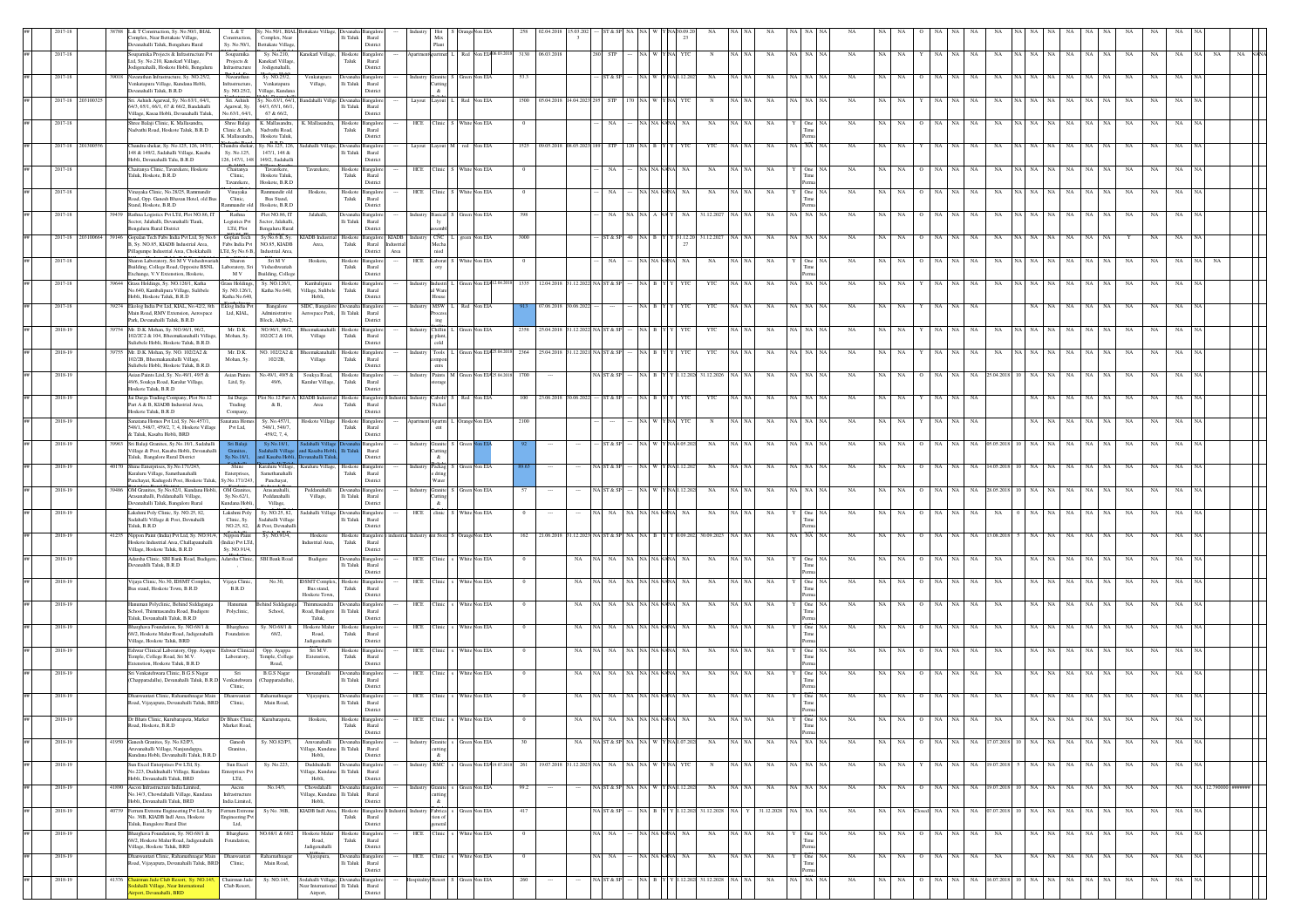|         |  | L&T<br>L & T Construction, Sv. No.50/1, BIAI<br>Complex, Near Bettakate Village.<br>Construction<br>Sy. No.50/1,<br>Devanahalli Taluk, Bengaluru Rural                        | Sy. No.50/1, BIAL Bettakate Village,<br>Complex, Near<br><b>Settakate Village</b> |                                                                      | Ili Taluk Rural                    | Distric                             |                | Mix<br>Plant                       |                |                                          |      |                 |        |                            |                |                              |                      |                     |        |             |                   |              |                   |                              |           |                      |             |             |             |             |             |    |  |
|---------|--|-------------------------------------------------------------------------------------------------------------------------------------------------------------------------------|-----------------------------------------------------------------------------------|----------------------------------------------------------------------|------------------------------------|-------------------------------------|----------------|------------------------------------|----------------|------------------------------------------|------|-----------------|--------|----------------------------|----------------|------------------------------|----------------------|---------------------|--------|-------------|-------------------|--------------|-------------------|------------------------------|-----------|----------------------|-------------|-------------|-------------|-------------|-------------|----|--|
| 2017-18 |  | Souparnika Projects & Infrastructure Pvt<br>Soupamika<br>Ltd, Sy. No.210, Kanekarl Village,<br>Projects &                                                                     | Sv. No.210.<br>Kanekarl Village                                                   | Kanekarl Village, Hoskote Bangalo                                    | Taluk                              | Rural                               |                |                                    |                | partment partmen L Red Non EIA06.03.2013 |      | 3130 06.03.2018 |        | 280 STP                    |                | YTC<br>N                     | NA NA<br>NA          | <b>NA</b>           | NA NA  | NA          | NA<br>NA          |              | NA NA             | NA<br>NA                     |           | NA NA<br>NA          | NA          | NA          | NA          | NA          | NA          | NA |  |
| 2017-18 |  | Jodigenahalli, Hoskote Hobli, Bengaluru<br>Infrastructure<br>Navarathan Infrastructure, Sy. NO.25/2,<br>Navarathan<br>Venkatapura Village, Kundana Hobli,<br>Infrastructure   | Jodigenahalli<br>Sy. NO.25/2,<br>Venkatapura                                      | Venkatapus<br>Village,                                               | li Taluk                           | Distric<br>Rural                    |                | iranite l                          |                | Von EIA                                  |      |                 |        | T & S                      |                |                              |                      |                     |        |             |                   |              |                   |                              |           |                      |             |             | NA          | NA          |             |    |  |
| 2017-18 |  | Devanahalli Taluk, B.R.D<br>Sy. NO.25/2,<br>Sri. Ashish Agarwal, Sy. No.63/1, 64/1<br>Sri. Ashish                                                                             | Village, Kundana<br>y. No.63/1, 64/1,                                             |                                                                      |                                    | Distric<br>angale                   | Layout         | utting<br>Layout                   |                | Non EIA                                  | 1500 |                 |        |                            |                |                              |                      |                     |        |             |                   |              |                   |                              |           |                      | NA          | NA          | NA          | NA          | NA          |    |  |
|         |  | 64/3, 65/1, 66/1, 67 & 66/2, Bandahalli<br>Agarwal, Sy.<br>Village, Kasaa Hobli, Devanahalli Taluk,<br>No.63/1, 64/1.                                                         | 64/3, 65/1, 66/1,<br>67 & 66/2,                                                   |                                                                      | li Taluk                           | Rural<br>Distric                    |                |                                    |                |                                          |      |                 |        |                            |                |                              |                      |                     |        |             |                   |              |                   |                              |           |                      |             |             |             |             |             |    |  |
| 2017-18 |  | Shree Balaji Clinic, K. Mallasandra,<br>Shree Balaji<br>Nadvathi Road, Hoskote Taluk, B.R.D<br>Clinic & Lab,<br>K. Mallasandra.                                               | K. Mallasandra,<br>Nadvathi Road,<br>Hoskote Taluk.                               | K. Mallasano                                                         | loskot<br>Taluk                    | <b>Bangalor</b><br>Rural<br>Distric | HCE            | Clinic :                           | White Non EIA  |                                          |      |                 |        |                            |                | NA                           | NA                   | One                 |        | NA          |                   |              |                   |                              |           |                      | NA          | $_{\rm NA}$ | NA          | NA          | NA          |    |  |
| 2017-18 |  | Chandra shekar<br>Chandra shekar, Sy. No.125, 126, 147/1<br>148 & 149/2, Sadahalli Village, Kasaba<br>Sy. No.125,                                                             | Sy. No.125, 126,<br>147/1, 148 &                                                  | adahalli Villa                                                       | lli Taluk                          | angale<br>Rural                     | Layout         | Lavout                             | ned            | Non EIA                                  | 1525 | 09.05.2018      |        |                            |                | YTC                          |                      | NA                  |        |             |                   |              | NA.               |                              |           |                      | NA          | NA          | NA          | NA          | NA          |    |  |
| 2017-18 |  | Hobli, Devanahalli Talu, B.R.D<br>Chaitanya Clinic, Tavarekere, Hoskote<br>Chaitany<br>Taluk, Hoskote, B.R.D<br>Clinic,                                                       | 126, 147/1, 148 149/2, Sadahalli<br>Tavarekere<br>Hoskote Taluk                   | Tavarekere                                                           | loskoto<br>Taluk                   | Distric<br>ingale<br>Rural          | HCE            | Clinic S                           | White Non EIA  |                                          |      |                 |        | <b>NA</b>                  | NA NAP         | $_{\rm NA}$<br>NA            | NA NA<br>NA          | One                 |        | NA          | NA                |              | NA<br>NA          | NA<br>NA                     | <b>NA</b> | NA<br>NA             | NA          | $_{\rm NA}$ | $_{\rm NA}$ | $_{\rm NA}$ | NA          |    |  |
| 2017-18 |  | Tavarekere.<br>Vinavaka<br>Vinavaka Clinic, No.28/25, Rammandir                                                                                                               | Hoskote, B.R.D.<br>Rammandir old                                                  | Hoskote.                                                             | Hoskote Bangalor                   | Distric                             |                | HCE Clinic S                       | White Non EIA  |                                          |      |                 |        | NA.                        |                | NA NAP<br>NA<br>NA.          | NA                   |                     | One N/ | NA          | NA                | $\Omega$     | NA<br>NA          | NA<br>NA                     | <b>NA</b> | NA<br><b>NA</b>      | NA          | NA          | NA          | NA          | NA          |    |  |
|         |  | toad, Opp. Ganesh Bhavan Hotel, old Bus<br>Clinic,<br>Itand, Hoskote, B.R.D<br>Rammandir old                                                                                  | Bus Stand,<br>Hoskote, B.R.D                                                      |                                                                      | Taluk                              | Rural<br>Distric                    |                |                                    |                |                                          |      |                 |        |                            |                |                              |                      |                     |        |             |                   |              |                   |                              |           |                      |             |             |             |             |             |    |  |
| 2017-18 |  | Rathna<br>Rathna Logistics Pvt LTd, Plot NO.86, IT<br>Sector, Jalahalli, Devanahalli Tlauk,<br>Logistics Pvt<br>ngaluru Rural District<br>LTd, Plot                           | Plot NO.86, IT<br>Sector, Jalahalli<br>engaluru Rural                             | Jalahalli,                                                           | evanah<br>li Taluk                 | <b>Bangalo</b><br>Rural<br>Distric  |                | Industry Basical S                 | Green Non EIA  |                                          | 398  |                 |        | NA.                        |                | 31.12.202                    | NA                   |                     | NA NA  | NA          |                   |              | NA                |                              |           | NA                   | NA          | NA          | NA          | NA          | NA          |    |  |
| 2017-18 |  | 9146 Gopalan Tech Fabs India Pvt Ltd, Sy No.6<br>Goplan Tech<br>Sy. NO.85, KIADB Industrial Area,<br>Fabs India Pvt                                                           | Sy No.6 B, Sy.<br>NO.85, KIADB                                                    | <b>KIADB</b> Indust<br>Area,                                         | Hoskote Bangalore<br>${\rm Taluk}$ | Rural<br>astria                     | KIADB Industry | <b>CNC</b>                         |                | green Non EIA                            | 3000 |                 |        | ST & SP<br>40              | B <sub>1</sub> | 31.12.2027<br>1.12.20        | NA                   | NA                  |        | NA          | <b>NA</b>         | $\circ$      | NA<br>NA          | NA<br>NA                     | NA        | NA<br>- NA           | $_{\rm NA}$ | $_{\rm NA}$ | Y           | NA          | NA          |    |  |
| 2017-18 |  | Pillagumpe Industrial Area, Chokkahalli<br>LTd, Sy No.6 B,<br>Sharon Laboratory, Sri M V Visheshwar<br>Sharon<br>Building, College Road, Opposite BSNL<br>Laboratory, Sr      | Industrial Area,<br>Sin MV<br>Visheshwariah                                       | Hoskote,                                                             | loskot<br>Taluk                    | Distric<br>Area<br>Bangalo<br>Rural | HCE            | Laborat                            |                | Non EIA                                  |      |                 |        | NA                         |                | NA                           | NA                   | One                 |        | NA          |                   |              |                   |                              |           |                      |             |             | NA          | NA          |             |    |  |
| 2017-18 |  | Exchange, V.V Extenstion, Hoskote,<br>M V<br>Grass Holdings, Sy. NO.126/1, Katha<br>Grass Holding                                                                             | Building, College<br>Sy. NO.126/1.                                                | Kambalipur                                                           | loskot                             | Distric<br>angale                   |                |                                    |                |                                          |      |                 |        |                            |                |                              |                      |                     |        |             |                   |              |                   |                              |           |                      |             |             |             |             |             |    |  |
| 2017-18 |  | No.640, Kambalipura Village, Sulibele<br>Sv. NO.126/1.<br>Hobli, Hoskote Taluk, B.R.D.<br>Katha No.640                                                                        | Katha No.640,                                                                     | Village, Sulibele<br>Hobli.                                          | Taluk                              | Rural<br>Distric                    | Industry       | al Ware<br>MSW <sup>1</sup>        |                | Red Non EIA                              |      | 17.06.2018      |        |                            |                |                              | NA                   | NA                  |        | NA          | NA                |              | NA NA             | NA                           | NA        |                      | NA          | NA          |             |             | NA          |    |  |
|         |  | 9274 Ekolog India Pvt Ltd, KIAL, No.42/2, 8th<br>Eklog India Pvt<br>Ltd. KIAL.<br>Main Road, RMV Extension, Aerospace<br>Park, Devanahalli Taluk, B.R.D.                      | Bangalore<br>Administrative<br>Block, Alpha-2                                     | SIDC, Bangalor<br>Aerospace Park,                                    | li Taluk                           | Rural<br>Distric                    |                | <b>DOM:</b>                        |                |                                          |      |                 |        |                            |                | YTC                          |                      |                     |        |             |                   |              |                   |                              |           |                      |             |             | NA          | NA          |             |    |  |
| 2018-19 |  | 7754 Mr. D.K. Mohan, Sv. NO.96/1, 96/2.<br>Mr. D.K.<br>102/2C2 & 104. Bheemakanahalli Village<br>Mohan, Sv.<br>Suliebele Hobli, Hoskote Taluk, B.R.D.                         | NO.96/1, 96/2.<br>102/2C2 & 104.                                                  | Village                                                              | loskote<br>Taluk                   | Rural<br>Distric                    |                | <b>Chillin</b><br>e plant.<br>blo: |                | Non EIA                                  |      | 25.04.20        |        |                            |                | YTC                          |                      |                     |        |             |                   |              |                   |                              |           |                      | NA.         |             |             |             |             |    |  |
| 2018-19 |  | Mr. D.K. Mohan, Sy. NO. 102/2A2 &<br>Mr. D.K.<br>102/2B, Bheemakanahalli Village,<br>Mohan, Sy.                                                                               | VO. 102/2A2 &<br>$102/2B$ ,                                                       | <b>Bheemakana</b><br>Village                                         | loskote<br>Taluk                   | Bangalo<br>Rural                    | ndustry        | <b>Tools</b><br>mpos               |                | Non EIA                                  | 2364 | 25.04.2018      | 12.202 | IA IST & S                 |                | YTC                          | NA                   |                     |        |             |                   |              |                   |                              |           |                      | NA.         |             | NA          | NA          | NA          |    |  |
| 2018-19 |  | Suliebele Hobli, Hoskote Taluk, B.R.D.<br>Asian Paints Litd, Sy. No.49/1, 49/5 &<br>Asian Paints<br>49/6, Soukya Road, Karalur Village,<br>Litd, Sy.                          | No.49/1, 49/5 & Soukva Road.<br>49/6,                                             | Karalur Village,                                                     | Hoskote Bangalo<br>${\rm Tauk}$    | Distric<br>Rural                    | Industry       | Paints<br>orage                    |                | Non EIA <sub>2</sub>                     | 1700 |                 |        | <b>IA ST &amp; SF</b>      |                | 31.12.2026<br>12.202         | NA                   | NA.                 |        | NA          | NA                |              | NA<br>NA          | NA<br>!5.04.201              |           | NA.                  | NA          | NA.         | NA          | NA          | NA          |    |  |
| 2018-19 |  | Hoskote Taluk, B.R.D<br>Jai Durga Trading Company, Plot No.12<br>Jai Durga                                                                                                    | ot No.12 Part.                                                                    | KIADB Indu                                                           | loskoto                            | Distric<br>Bangalor                 |                | Cabolt/                            |                | Non EIA                                  | 100  |                 |        |                            |                | YTC                          |                      |                     |        |             |                   |              |                   |                              |           |                      | NA          |             | NA          | NA          | NA          |    |  |
| 2018-19 |  | Part A & B, KIADB Industrial Area,<br>Trading<br>Hoskote Taluk, B.R.D<br>Company,<br>Sanatana Homes Pvt Ltd, Sy. No.457/1,<br>Sanatana Home                                   | $\&$ B,<br>Sy. No.457/1                                                           | Area<br>Hoskote Village                                              | ${\rm Taluk}$<br>loskote           | Rural<br>Distric<br>Bangalor        |                | partment Apartm                    | Orange Non EIA |                                          | 2100 |                 |        |                            |                |                              | NA                   |                     |        | NA          |                   |              |                   |                              | NA        |                      | NA          |             | NA          | NA          | $_{\rm NA}$ |    |  |
|         |  | 548/1, 548/7, 459/2, 7, 4, Hoskote Villag<br>Pvt Ltd,<br>& Taluk, Kasaba Hobli, BRD                                                                                           | 548/1.548/7.<br>459/2, 7, 4,                                                      |                                                                      | Taluk                              | Rural<br>Distric                    |                |                                    |                |                                          |      |                 |        |                            |                |                              |                      |                     |        |             |                   |              |                   |                              |           |                      |             |             |             |             |             |    |  |
| 2018-19 |  | 9963 Sri Balaji Granites, Sy.No.18/1, Sadahalli<br>Village & Post, Kasaba Hobli, Devanahalli<br>Granites.<br>v.No.18/1.<br>Taluk, Bangalore Rural District                    | dahalli Villas<br>nd Kasaba Hobli.                                                | d Kasaba Hob<br>evanahalli Taluk.                                    |                                    | angalo<br>Rural<br>Distric          |                | Industry Granite                   |                |                                          |      |                 |        | ST & SI                    |                | NA                           | NA                   |                     | NA NA  | NA          | NA                |              | NA<br>NA.         | NA<br>05.05.20               | NA.       | NA<br>NA             | NA          | NA          | NA          | NA          | NA          |    |  |
| 2018-19 |  | 40170 Shine Enterprises, Sv.No.171/243.<br>Shine<br>Karaluru Village, Samethanahalli<br>Enterprises.<br>Sy.No.171/243,<br>Panchayat, Kadugodi Post, Hoskote Talul             | Karaluru Village, Karaluru Village<br>Samethanahalli<br>Panchayat,                |                                                                      | loskote<br>Taluk                   | angalo<br>Rural<br>Distric          | ndustry        | Packag<br>Water                    |                | een Non EIA                              |      |                 |        | A ST & S                   |                | <b>NA</b>                    | NA                   | NA                  |        | -NA         |                   |              |                   | 4.05.20                      |           | NA                   | NA          | NA.         | NA          | NA          | NA          |    |  |
| 2018-19 |  | 9486   OM Granites, Sv.No.62/1, Kundana Hobli.   OM Granites<br>Arasanahalli, Peddanahalli Village,<br>Sy.No.62/1,                                                            | Arasanahalli.<br>Peddanahalli                                                     | Peddanahalli<br>Village,                                             | Devanaha Bangalor<br>li Taluk      | Rural                               |                | Industry Granite<br>uttin:         | Green Non EIA  |                                          | 57   |                 |        | <b>AST &amp; SE</b>        |                | NA<br>12.202                 | NA                   |                     | NA NA  | NA          | NA                |              | NA<br>NA          | 28.05.201<br>NA              | <b>NA</b> | NA                   | NA          | NA          | NA          | NA          | NA          |    |  |
| 2018-19 |  | Devanahalli Taluk, Bangalore Rural<br>Kundana Hobli,<br>Lakshmi Poly Clinic, Sy. NO.25, 82,<br>Lakshmi Poly<br>Sadahalli Village & Post, Devnahalli<br>Clinic, Sy             | Village,<br>Sy. NO.25, 82,<br>Sadahalli Village                                   | Sadahalli Villa;                                                     | evana<br>li Taluk                  | Distric<br>angalo<br>Rural          | HCE            | linic 1                            |                | White Non EIA                            |      |                 |        |                            |                | NA                           | NA                   | One                 |        | NA          |                   |              |                   |                              |           | NA                   | NA          | NA.         | NA          | NA          | NA          |    |  |
| 2018-19 |  | Taluk, B.R.D<br>NO.25, 82,<br>Nippon Paint (India) Pvt Ltd, Sy. NO.91/<br>Nippon Paint                                                                                        | Post, Devnahal<br>Sy. NO.91/4                                                     | Hoskote                                                              | loskote                            | Distric<br>Bangalo                  |                |                                    |                | angeNon EIA                              | 162  | 21.06.201       |        |                            |                | 30.09.202                    | NA                   | NA                  |        |             |                   |              |                   |                              |           |                      |             |             |             |             |             |    |  |
| 2018-19 |  | .<br>Hoskote Industrial Area, Challapanahalli<br>(India) Pvt LTd<br>Village, Hoskote Taluk, B.R.D<br>Sv. NO.91/4.<br>Adarsha Clinic, SBI Bank Road, Budiger<br>Adarsha Clinic | SBI Bank Road                                                                     | ndustrial Area,<br>Budigere                                          | ${\rm Taluk}$                      | Rural<br>Distric<br>a Bangalo       |                | HCE Clinic                         | White Non EIA  |                                          |      |                 | NA     | $_{\rm NA}$                | NA NAN         | $_{\rm NA}$                  | NA                   |                     | One N/ | NA          | NA                |              | NA<br>$_{\rm NA}$ | NA<br>NA                     |           | NA                   | NA          | $_{\rm NA}$ | $_{\rm NA}$ | $_{\rm NA}$ | $_{\rm NA}$ |    |  |
|         |  | Devanahlli Taluk, B.R.D                                                                                                                                                       |                                                                                   |                                                                      | li Taluk                           | Rural<br>Distric                    |                |                                    |                |                                          |      |                 |        |                            |                |                              |                      |                     |        |             |                   |              |                   |                              |           |                      |             |             |             |             |             |    |  |
| 2018-19 |  | Vijaya Clinic, No.30, IDSMT Complex<br>Vijaya Clinic<br>Bus stand, Hoskote Town, B.R.D<br>B.R.D                                                                               | No.30.                                                                            | <b>IDSMT</b> Comple<br>Bus stand,<br>Hoskote Town                    | loskote<br>Taluk                   | Bangalo<br>Rural<br>Distric         | HCE            |                                    |                | Vhite Non EIA                            |      |                 |        |                            |                |                              |                      | Tim                 |        |             |                   |              |                   |                              |           |                      |             |             |             |             |             |    |  |
| 2018-19 |  | Hanuman Polyclinic, Behind Siddagan<br>Hanumar<br>School. Thimmasandra Road, Budigere<br>Polyclinic<br>Taluk, Devanahalli Taluk, B.R.D                                        | und Sidda<br>School.                                                              | Thimmasandra<br>Road, Budigere<br>Taluk.                             | li Taluk                           | Rural<br>Distric                    |                | HCE Clinic                         | White Non EIA  |                                          |      |                 |        |                            |                | NA NAI<br>NA                 | NA                   | One<br>Tim          |        |             |                   |              | NA                |                              |           |                      | NA.         | NA.         | NA          | NA          | NA          |    |  |
| 2018-19 |  | Bharghava Foundation, Sv. NO.68/1 &<br>Bharghava<br>68/2, Hoskote Malur Road, Jadigenahalli<br>Foundation                                                                     | Sv. NO.68/1 &<br>68/2,                                                            | Hoskote Malur<br>Road,                                               | Hoskote Bangalo<br>Taluk           | Rural                               |                | HCE Clinic                         | White Non EIA  |                                          |      |                 | NA     | NA.                        | NA NAP         | NA                           | NA<br>NA NA          | One<br>Tim          |        | NA          | NA                |              | NA<br>NA.         | NA<br>NA                     |           | NA NA<br>NA          | NA          | NA.         | NA          | NA          | NA.         |    |  |
| 2018-19 |  | Village, Hoskote Taluk, BRD<br>Eshwar Clinical Laboratory, Opp. Ayappa<br>Eshwar Clinica<br>Temple, College Road, Sri M.V.<br>Laboratory,                                     | Opp. Ayappa<br>Temple, College                                                    | Jadigenahalli<br>Sri M.V.<br>Extenstion,                             | Hoskote Bangalo<br>Taluk           | Distric<br>Rural                    | HCE            | linic.                             | White Non EIA  |                                          |      |                 | NA.    |                            |                | NA NAP<br>NA                 | NA                   | One<br>Tim          |        |             |                   |              | NA                |                              | NA        |                      | NA.         | NA.         | NA          | NA          | NA          |    |  |
| 2018-19 |  | Extenstion, Hoskote Taluk, B.R.D<br>Sri Venkatehwara Clinic, B.G.S Nagar<br>Sri                                                                                               | Road,<br><b>B.G.S Nagar</b>                                                       | Devanahalli                                                          |                                    | Distric<br>ıngalc                   | HCE            |                                    | White Non EIA  |                                          |      |                 | NA     | <b>NA</b>                  |                | NA NAI<br>NA                 | NA<br>NA             | One                 |        | NA          | NA                |              | NA<br>NA          | NA<br>NA                     |           | NA NA<br>NA          | NA          | NA.         | NA          | NA          | NA          |    |  |
| 2018-19 |  | Tapparadallu), Devanahalli Taluk, B.R.D<br>Venkatehwar<br>Clinic,<br>Dhanwantari Clinic, Rahamathnagar Main<br>Dhanwantari                                                    | Chapparadallu)<br>Rahamathnaga                                                    | Vijayapura,                                                          | $\mathop{\mathsf{li}}$ Taluk       | Rural<br>Distric<br>Bangalo         | HCE            | linic                              | White Non EIA  |                                          |      |                 | NA     | NA                         |                | NA                           | NA                   | Tim<br>One          |        |             |                   |              | NA                |                              | NA        | NA                   | NA          | NA          | NA          | NA          | NA          |    |  |
|         |  | Road, Vijayapura, Devanahalli Taluk, BRD<br>Clinic,                                                                                                                           | Main Road,                                                                        |                                                                      | lli Taluk                          | Rural<br>Distric                    |                |                                    |                |                                          |      |                 |        |                            |                |                              |                      |                     |        |             |                   |              |                   |                              |           |                      |             |             |             |             |             |    |  |
| 2018-19 |  | Dr Bhats Clinic, Kurubarapeta, Market<br>Dr Bhats Clinic,<br>Road, Hoskote, B.R.D<br>Market Road,                                                                             | Kurubarapeta,                                                                     | Hoskote,                                                             | Hoskote Bangalor<br>Taluk          | Rural<br>District                   |                | HCE Clinic                         |                |                                          |      |                 |        |                            |                |                              |                      | Time<br>Perma       |        |             |                   |              |                   |                              |           |                      |             |             |             |             |             |    |  |
| 2018-19 |  | 41950 Ganesh Granites, Sy. No.82/P3,<br>Ganesh<br>Aruvanahalli Village, Nanjundapna<br>Granites.<br>Kundana Hobli, Devanahalli Taluk, B.R.D                                   | Sy. NO.82/P3,                                                                     | Aruvanahalli<br>/illage, Kundana<br>Hobli.                           | li Taluk                           | vanaha Bangalo<br>Rural<br>Distric  | ndustr         |                                    |                | Green Non EIA                            |      |                 | NA     | NA ST&SP NA NA W YN        |                | NA<br>A 107202               | NA NA<br>$_{\rm NA}$ | NA                  | NA NA  | $_{\rm NA}$ | $_{\rm NA}$<br>NA | $\circ$      |                   | NA NA NA 17.07.2018 10 NA NA |           | NA                   | NA          | NA          | NA          | NA          | NA          |    |  |
| 2018-19 |  | Sun Excel Enternrises Pvt LTd. Sv.<br>Sun Excel<br>No.223, Duddnahalli Village, Kundana<br>nterprises Pv<br>Hobli, Devanahalli Taluk, BRD<br>LTd,                             | Sv. No.223.                                                                       | Duddnahalli<br>/illage, Kundana<br>Hobli,                            | lli Taluk Rural                    | District                            | Industry       | RMC                                |                | Green Non EIA 19.                        | 261  | 19.07.2018      |        | 31.12.2023 NA NA NA NA WYN |                | J YTC<br>$_{\rm N}$          | NA NA<br>NA          | NA NA NA            |        | NA          | NA  <br>NA        | Y            | NA NA             | NA 19.07.2018                |           | NA NA<br>NA .        |             | NA NA NA    |             | NA          | NA.         |    |  |
| 2018-19 |  | 11890 Ascon Infrastructure India Limited,<br>Ascon<br>No.14/3, Chowdahalli Village, Kundana<br>Infrastructure                                                                 | No.14/3,                                                                          | Chowdahalli<br>Village, Kundana                                      | li Taluk Rural                     | Bangalo                             | ndustry        | <i>iranite</i>                     |                | een Non EIA                              | 99.2 |                 |        | IA ST & SP<br>NA 1         |                | 12.202<br>NA                 | NA<br>NA I NA        |                     | NA NA  | <b>NA</b>   | NA.<br>NA.        | $\circ$      | NA NA             | 19.07.2018<br>NA             | - 10      | NA<br>NA NA          | NA          | NA          | NA          | NA          | NA          |    |  |
| 2018-19 |  | Hobli, Devanahalli Taluk, BRD<br>India Limited<br>40739 Ferrum Extreme Engineering Pvt Ltd, Sy<br>Ferrum Extrem<br>No. 36B, KIADB Indl Area, Hoskote                          | Sy No. 36B,                                                                       | Hobli,<br>KIADB Indl Area,                                           | Hoskote Bangalor<br>${\rm Taluk}$  | Distric<br>Rural                    |                | Industry Fabrica                   | Green Non EIA  |                                          | 417  |                 |        | A ST & SP                  |                | NA B Y Y 1.12.202 31.12.2028 | NA Y                 | 31.12.2028 NA NA NA |        | NA          | NA<br>NA          |              | $\rm NA-NA$       | 07.07.2018 10 NA NA<br>NA    |           | NA                   | NA          | NA          | NA          | NA          | NA          |    |  |
| 2018-19 |  | agineering P<br>Taluk, Bangalore Rural Dist<br>Ltd,<br>Bharghava Foundation, Sy. NO.68/1 &<br>Bharghava                                                                       | VO.68/1 & 68/2                                                                    | Hoskote Mal                                                          | loskote                            | Distric<br>Bangalo                  | HCE            |                                    |                | Vhite Non EIA                            |      |                 |        | NA                         | NA NAP         | NA                           | NA                   | One                 |        | NA          | NA<br>NA          |              | NA<br>NA          | NA<br>NA                     |           | ٧A                   | NA          | NA          | NA          | NA          | NA          |    |  |
| 2018-19 |  | 68/2, Hoskote Malur Road, Jadigenahalli<br>Foundation,<br>Village, Hoskote Taluk, BRD<br>Dhanwantari Clinic, Rahamathnagar Main<br>Dhanwantari                                | Rahamathnagar                                                                     | Road,<br>Jadigenahalli<br>Vijayapura,                                | ${\rm Tauk}$<br>evana              | Rural<br>Distric<br>Bangalo         | <b>HCE</b>     | Clinic <sup>1</sup>                | White Non EIA  |                                          |      |                 |        | NA                         | A NA NAN       | NA<br>$_{\rm NA}$            | NA NA<br>$_{\rm NA}$ |                     | One NA | $_{\rm NA}$ | NA<br>NA          | $\mathbf{o}$ | NA NA             | $_{\rm NA}$<br>$_{\rm NA}$   |           | NA NA<br>$_{\rm NA}$ | NA          | $_{\rm NA}$ | $_{\rm NA}$ | $_{\rm NA}$ | $_{\rm NA}$ |    |  |
|         |  | Road, Vijayapura, Devanahalli Taluk, BRD<br>Clinic,                                                                                                                           | Main Road,                                                                        |                                                                      | Ili Taluk Rural                    | Distric                             |                |                                    |                |                                          |      |                 |        |                            |                |                              |                      |                     |        |             |                   |              |                   |                              |           |                      |             |             |             |             |             |    |  |
| 2018-19 |  | 41376 Chairman Jade Club Resort, Sy. NO.145,<br>Chairman Jade<br>Sodahalli Village, Near International<br>Club Resort.<br>port, Devanahalli, BRD                              | Sy. NO.145,                                                                       | Sodahalli Village.<br>Near International Ili Taluk Rural<br>Airport. |                                    | Bangalo<br>Distric                  |                |                                    |                | Green Non EIA                            | 260  |                 |        | <b>NA ST &amp; SP</b>      |                | 12.202 31.12.2028            | $_{\rm NA}$<br>NA NA | NA                  | NA NA  | NA          | $_{\rm NA}$<br>NA | $\circ$      | $\rm NA-NA$       | NA<br>16.07.2018             | 10        | NA NA<br>NA          | $_{\rm NA}$ | $_{\rm NA}$ | NA          | NA          | NA          |    |  |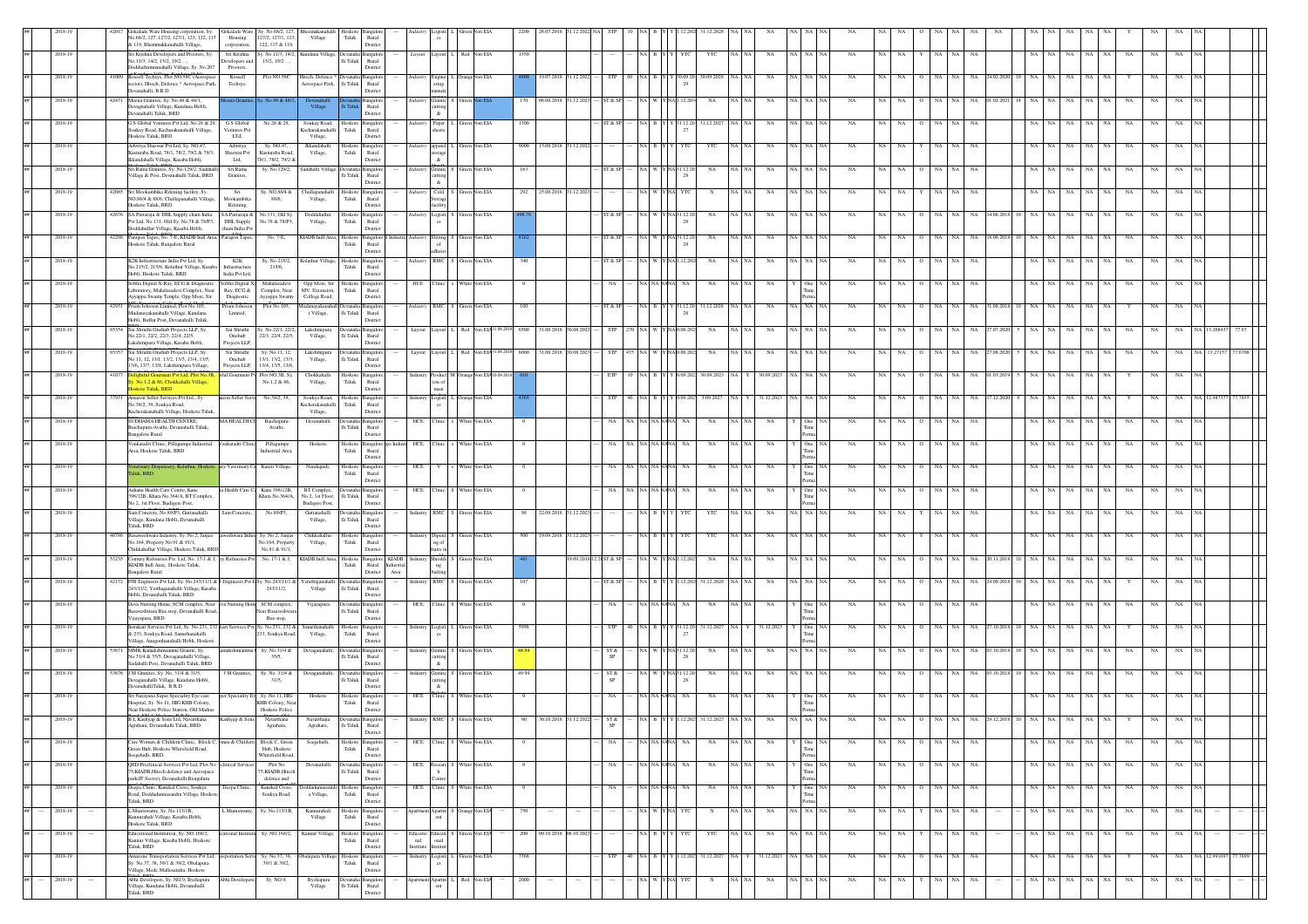|    |                   |        |       | Gokalads Ware<br>Gokalads Ware Housing corporation, Sy.<br>No.68/2, 127, 127/2, 127/1, 123, 122, 117<br>Housing<br>& 119, Bhemmakkanahalli Village,<br>corporation.               | Sy. No.68/2, 127.<br>127/2, 127/1, 123,<br>122, 117 & 119, | Village                                                           | Taluk                     | Rural<br>District                                                          |                 |                                        |                                   |            |                           |                         |            |               |                          |                                           |       |             |          |             |                            |                  |             |            |         |       |                                        |             |             |                      |  |
|----|-------------------|--------|-------|-----------------------------------------------------------------------------------------------------------------------------------------------------------------------------------|------------------------------------------------------------|-------------------------------------------------------------------|---------------------------|----------------------------------------------------------------------------|-----------------|----------------------------------------|-----------------------------------|------------|---------------------------|-------------------------|------------|---------------|--------------------------|-------------------------------------------|-------|-------------|----------|-------------|----------------------------|------------------|-------------|------------|---------|-------|----------------------------------------|-------------|-------------|----------------------|--|
|    | 2018-19           |        |       | Sri Krishna Developers and Prooters, Sy.<br>Sri Krishna<br>No.11/3, 14/2, 15/2, 19/2,<br>Developers and<br>Doddachimmanahalli Village, Sy. No.207<br>Prooters,                    | 15/2, 19/2                                                 | v No 11/3 14/2 Kundana Village Devanaha Bangalon                  | li Taluk                  | Rural<br>District                                                          |                 |                                        | Layout Layout L Red Non EIA       | 1350       |                           |                         |            |               | INAI B Y Y<br><b>YTC</b> | YTC                                       | NA NA | NA          | NA NA    | NA          | NA.<br>NA                  | NA NA            | NA          |            | NA NA   |       | NA<br>NA  <br>NA<br>NA                 | NA          | <b>NA</b>   |                      |  |
|    | 2018-19           |        |       | Rossell Techsys, Plot NO.58C (Aerospace<br>Rossell<br>sector), Hitech, Defence * Aerospace Park,<br>Techsys,<br>Devanahalli, B.R.D                                                | Plot NO.580                                                | litech, Defence<br>Aerospace Park,                                | li Taluk                  | Rural<br>District                                                          |                 | Engine<br>$_{\rm{mminfa}}$             | lon EIA                           |            | 19.07.2018                |                         |            |               | 29                       | 0.09.20                                   |       |             |          |             |                            |                  |             |            |         |       |                                        |             |             |                      |  |
|    | 2018-19           |        |       | 42471 Meena Granites, Sy. No.48 & 48/1<br>Devagnahalli Village, Kundana Hobli,                                                                                                    |                                                            | $_{\rm Village}$                                                  |                           | angaloi<br>Rural                                                           |                 | Granite<br>utting                      |                                   |            | 06.08.201                 |                         |            |               |                          | NA                                        |       |             |          |             |                            |                  |             |            |         |       |                                        |             |             |                      |  |
|    | 2018-19           |        |       | Devanahalli Taluk, BRD<br>G S Global Ventures Pvt Ltd, No.28 & 29, G S Global<br>Soukay Road, Kacharakanahalli Village,<br>Ventures Pv<br>Hoskote Talnk RRD                       | No.28 & 29,                                                | Soukay Road,<br>Cacharakanahalli                                  | Hoskote<br>Taluk          | Distric<br>Bangalore<br>Rural                                              | <i>Indust</i>   | $\&$<br>Paper                          | Creen Non EIA                     | 1300       |                           |                         |            | NA E          | 31.12.2<br>27            | 31.12.2027                                |       | NA          | iA NA    | NA          | $_{\rm NA}$<br>$_{\rm NA}$ | NA               | NA          |            |         |       | $_{\rm NA}$<br>NA<br>NA                | NA          | NA          |                      |  |
|    | 2018-19           |        |       | LTd,<br>Adwitya Shaswat Pvt Ltd, Sy. NO.47,<br>Adwitya<br>Kasturaba Road, 78/1, 78/2, 79/2 & 79/3<br>Shaswat Pvt                                                                  | Sy. NO.47.<br>Kasturaba Road                               | Village,<br>Ikkandahalli<br>Village,                              | loskoto<br>Taluk          | District<br>langalor<br>Rural                                              |                 | apparel<br>orage                       | von EIA                           | 9000       | 13.08.2018 31.12.2023     |                         |            | NA R          |                          | YTC                                       |       | NA          | iA∣NA    | NA          | NA<br>NA                   |                  | NA          |            |         |       | NA<br>NA                               | NA          |             |                      |  |
|    | 2018-19           |        |       | Ikkandahalli Village, Kasaba Hobli,<br>Ltd,<br>Sri Rama Granites, Sy. No.129/2, Sadahalli<br>Sri Rama<br>Village & Post, Devanahalli Taluk, BRD<br>Granites,                      | 78/1.78/2.79/2 &<br>Sy. No.129/2,                          | Sadahalli Villag                                                  | lli Taluk                 | District<br>Rural                                                          |                 | $\alpha$<br>Granite<br>utting          | lon EIA                           | 163        |                           |                         | ST & SP    | NA W          | NA 31.12.2<br>-28        | NA                                        |       | NA          | NA NA    | NA          | NA<br>NA                   | NA               | NA<br>NA    |            | NA NA   |       | NA<br>$_{\rm NA}$<br>NA<br>NA          | NA          | NA          |                      |  |
|    | 2018-19           |        |       | 42085 Sri Mookambika Rifening facility, Sy.<br>Sri<br>NO.88/4 & 88/6, Challapanahalli Village,<br>Mookambika                                                                      | Sv. NO.88/4 &<br>88/6,                                     | Challapanahalli<br>Village,                                       | $_{\rm Taluk}$            | District<br>Hoskote Bangalore<br>Runal                                     |                 | $\alpha$<br>Industry Cold S<br>Storage | Green Non EIA                     | 292        | 25.08.2018 31.12.2023     |                         |            | NA W          | YNA YTC                  | N                                         |       | NA          | NA NA    | NA          | <b>NA</b><br>NA            | NA               | NA<br>NA    |            | NA NA   |       | NA<br>NA<br>NA<br>NA.                  | NA          | <b>NA</b>   |                      |  |
|    | 2018-19           |        |       | loskote Taluk, BRD<br>Rifening<br>SA Puttaraju &<br>42676 SA Puttaraju & DHL Supply chain India<br>Pvt Ltd, No.131, Old Sy. No.78 & 78/P3,<br>DHL Supply                          | Vo.131, Old Sy.<br>No.78 & 78/P3,                          | Doddahullu<br>Village,                                            | loskote<br>Taluk          | District<br>langalor<br>Rural                                              | ndustry         | facility<br>Logisti !                  | Von EIA                           |            |                           |                         | T & SI     | <b>NA</b>     | NA 31.12.2<br>28         | NA                                        |       | - NA        | (A   NA  | NA          |                            |                  | NA          | 4.08.201   |         |       | NA<br>NA<br>NA.<br>NA.                 | NA          | NA          |                      |  |
|    | 2018-19           |        |       | Doddahullur Village, Kasaba Hobli,<br>chain India Py<br>42298 Paragon Tapes, No. 7-E, KIADB Indl Area, Paragon Tapes,<br>Hoskote Taluk, Bangalore Rural                           | No. 7-E.                                                   | KIADB Indl Area,                                                  | Hoskote<br>Taluk          | <b>Jistric</b><br>Bangalore B Industria Industry Slitting S Green<br>Rural |                 |                                        | Non EIA                           |            |                           |                         | ST & SP    | NA W          | NA31.12.20               | NA                                        |       | NA          | ia∣ na   | NA          | NA<br>NA                   | NA<br>$\circ$    | NA.<br>NA   | 18.08.2018 | 10   NA | NA    | NA<br><b>NA</b><br>NA.<br>NA           | NA          | NA.         |                      |  |
|    | 2018-19           |        |       | K2K Infrastructure India Pvt Ltd, Sy.<br>K2K<br>No.215/2, 215/6, Kolathur Village, Kasa<br>Infrastructure                                                                         | Sy. No.215/2,<br>215/6,                                    | Kolathur Village,                                                 | Hoskote<br>Taluk          | <b>Jistric</b><br>Bangalor<br>Rural                                        |                 | RMC                                    | von EIA                           | 340        |                           |                         |            |               |                          | NA                                        |       | NA          |          | NA          |                            |                  |             |            |         |       |                                        |             |             |                      |  |
|    | 2018-19           |        |       | Hobli, Hoskote Taluk, BRD<br>India Pvt Ltd<br>Sobha Digital X-Ray, ECG & Diagnosti<br>Sobha Digital X<br>Laboratory, Mahalasadevi Complex, Near<br>Ray, ECG &                     | Mahalasadey<br>Complex, Near                               | Opp More, Sir<br>MV Extension,                                    | Hoskot<br>Taluk           | District<br>angaloi<br>Rural                                               | <b>HCE</b>      |                                        | on EL/                            |            |                           |                         |            |               |                          |                                           |       |             |          |             |                            |                  |             |            |         |       |                                        |             |             |                      |  |
|    | 2018-19           |        |       | Ayyappa Swamy Temple, Opp More, Sir<br>Diagnostic<br>42931 Prism Johoson Limited, Plot No.105,<br>Prism Johoso                                                                    | Ayyappa Swamy<br>Plot No.105,                              | College Road,<br>ludanayakanahal                                  |                           | District<br>ingaloi<br>Rural                                               |                 |                                        | Industry RMC S Green Non EIA      | 100        |                           |                         | ST & SI    | NA B          | Y 31.12.20               | 31.12.2028                                |       | NA          | NA NA    | NA          |                            |                  |             |            |         |       | NA                                     | NA          | NA          |                      |  |
|    | 2018-19           |        |       | Mudanayakanahalli Village, Kundana<br>Limited.<br>Hobli, Bidlur Post, Devanahalli Taluk.<br>85354 Sai Shruthi Quebub Projects LLP Sv<br>Sai Shruthi                               | Sv. No.22/1, 22/2.                                         | i Village,<br>Lakshmipur                                          | Ili Taluk                 | District                                                                   | Layout          | Lavout                                 |                                   | 6500       | 31.08.2018                | 30.08.207               |            |               | -28                      | NA                                        |       |             |          | NA          |                            |                  |             |            |         |       |                                        |             |             |                      |  |
|    | 2018-19           |        |       | No.22/1, 22/2, 22/3, 22/4, 22/5.<br>Onchub<br>Lakshmipura Village, Kasaba Hobli,<br>Projects LLP<br>Sai Shruthi Onehub Projects LLP, Sy.<br>Sai Shruthi                           | 22/3, 22/4, 22/5,<br>Sy. No.11, 12,                        | Village,<br>Lakshmipura                                           | lli Taluk                 | Rural<br>District<br>Bangalo                                               |                 | Layout Layout L Red                    |                                   |            | 8000 31.08.2018 30.08.202 |                         |            |               |                          | NA                                        |       | NA          |          |             |                            |                  |             | .08.2      |         |       |                                        |             |             |                      |  |
|    | 2018-19           |        | 41077 | No.11, 12, 13/1, 13/2, 13/3, 13/4, 13/5,<br>$\it Onehub$<br>13/6, 13/7, 13/8, Lakshmipura Village,<br>Projects LLP.<br>Delightful Gourment Pvt Ltd, Plot No.3B, atful Gourment P- | 13/1, 13/2, 13/3,<br>13/4, 13/5, 13/6,<br>Plot NO.3B, Sy.  | Village,<br>Chokkahalli                                           | li Taluk                  | Rural<br>Distric<br>Hoskote Bangalor                                       |                 | Industry Product M Ora                 | ion EL⁄                           |            |                           |                         |            |               |                          | Y 0.09.202 30.09.2023                     |       | 30.09.2023  | 'A I NA  | NA          | NA<br>NA                   |                  | NA          | 01.03.20   |         |       | NA                                     | NA          |             |                      |  |
|    | 2018-19           |        |       | No.1,2 & 86, Chokkahalli Village,<br>loskote Taluk, BRD<br>Amazon Seller Services Pvt Ltd., Sy.<br>azon Seller Ser                                                                | No.1,2 & 86,<br>No.38/2, 39.                               | Village,<br>Soukya Road,                                          | ${\rm Tauk}$<br>loskoto   | $\rm{Rural}$<br>District<br>Bangalor                                       |                 | ion of<br>meat<br>Logisti              | Orange Non EIA                    |            |                           |                         |            |               |                          | 3.09.20                                   |       | 1.12.202    |          |             |                            |                  |             |            |         |       |                                        |             |             |                      |  |
|    |                   |        |       | No.38/2, 39, Soukya Road,<br>Kacherakanahalli Village, Hoskote Taluk,                                                                                                             |                                                            | Cacherakanahall<br>Village,                                       | ${\rm Tauk}$              | Rural<br>District                                                          |                 |                                        |                                   |            |                           |                         |            |               |                          |                                           |       |             |          |             |                            |                  |             |            |         |       |                                        |             |             |                      |  |
|    | 2018-19           |        |       | SUDHAMA HEALTH CENTRE,<br>MA HEALTH CI<br>Baichapura-Avathi, Devanahalli Taluk,<br><b>Bangalore Rural</b>                                                                         | Baichapura<br>Avathi,                                      | Devanahalli                                                       | evana<br>li Taluk         | Bangalor<br>Rural<br>Distric                                               |                 | HCE Clinic                             | White Non EIA                     |            |                           |                         |            |               |                          | NA                                        |       | NA          |          | $_{\rm NA}$ | NA<br>NA                   |                  | NA          |            |         |       | NA                                     | NA          |             |                      |  |
|    | 2018-19           |        |       | Venkatadri Clinic, Pillagumpe Industrial<br>Venkatadri Clini<br>Area, Hoskote Taluk, BRD                                                                                          | Pillagumpe<br><b>Industrial Area</b>                       | Hoskote                                                           | Taluk                     | Hoskote Bangalore ape Industr HCE Clinic<br>Rural<br>District              |                 |                                        | White Non EIA                     | $\Omega$   |                           |                         | NA.        | NA NA NANANA  | <b>NA</b>                | NA                                        | NA N/ | NA          | One      | NA          | NA<br>NA                   | $\circ$<br>NA    | NA.<br>NA   |            | NA NA   |       | NA<br>NA<br>NA<br>NA                   | NA          | NA          |                      |  |
|    | 2018-19           |        |       | eterinary Dispensery, Kolathur, Hoskot<br>ary Veterinary<br>aluk, BRD                                                                                                             | Karati Village.                                            | Nandagudi,                                                        | Hoskote<br>Taluk          | ingalor<br>Rural<br>District                                               | HCE             |                                        | White Non EIA                     | $\theta$   |                           |                         |            | NA NA NA NANA | NA.                      | NA                                        |       | NA          | One      | NA          | NA.                        | NA.              | NA.<br>NA   |            |         |       | NA<br>NA                               | NA          | NA.         |                      |  |
|    | 2018-19           |        |       | Aahana Health Care Centre, Kane<br>a Health Care Co<br>398/12B, Khata No.364/A, BT Complex,<br>No.2, 1st Floor, Budigere Post,                                                    | Kane 398/12B.<br>Khata No.364/A,                           | BT Complex.<br>No.2, 1st Floor,<br>Budigere Post,                 | li Taluk                  | Devanaha Bangalore<br>Rural<br>District                                    |                 |                                        | HCE Clinic S White Non EIA        | $^{\circ}$ |                           |                         | NA         | NA NA NANA    | NA                       | NA                                        |       | NA          | One      | NA          | NA<br>NA.                  | NA<br>$\circ$    | NA.<br>NA   |            | NA 1    | NA.   | NA<br>NA<br><b>NA</b><br>NA            | NA          | NA.         |                      |  |
|    | 2018-19           |        |       | Sam Concrete, No.89/P3, Guttanahalli<br>Sam Concrete,<br>Village, Kundana Hobli, Devanahalli<br>Taluk, BRD                                                                        | No.89/P3,                                                  | Guttanahall<br>Village,                                           | li Taluk                  | <b>Bangalor</b><br>Rural<br>District                                       |                 |                                        | Industry RMC S Green Non EIA      | 98         | 22.09.2018                | 1.12.202                |            |               |                          | YTC                                       |       | NA          | A NA     | NA          |                            |                  | NA          |            |         |       | NA<br>NA.<br>NA                        | NA          | NA.         |                      |  |
|    | 2018-19           |        |       | Basaweshwara Industry, Sy. No.2, Janjas<br>eshwara Indi<br>No.164, Property No.91 & 91/1,<br>Chikkahallur Village, Hoskote Taluk, BRD                                             | Sy. No.2, Janjas<br>No.164, Property<br>No.91 & 91/1.      | Chikkahallur<br>Village,                                          | loskote<br>Taluk          | Bangalor<br>Rural<br>Distric                                               |                 | Dipeni<br>ng of                        | Non EIA                           | 500        | 19.09.2018                |                         |            |               |                          | YT                                        |       |             |          |             |                            |                  |             |            |         |       |                                        |             |             |                      |  |
|    | 2018-19           |        |       | 53235 Century Refineries Pvt. Ltd, No. 17-1 & J, ry Refineries Pvt<br>KIADB Indl Area, Hoskote Taluk,<br>Bangalore Rural                                                          |                                                            | No. 17-1 & J, KIADB Indl Area,                                    | Hoskote<br>Taluk          | Bangalore KIADB<br>Rural<br>Industria<br>District<br>Area                  |                 | adustry Shreddi S                      | Non EIA                           |            |                           | 19.09.2018 12.20ST & SP |            |               | Y NA 1.12.202            | NA                                        |       | $_{\rm NA}$ | NA NA    | NA          | NA                         | NA               | NA<br>NA    | 20.11.201  |         |       | NA<br>NA<br>NA<br>NA                   | NA          | NA          |                      |  |
|    | 2018-19           |        |       | 12172 PJB Engineers Pvt Ltd, Sy. No.243/11/1 & 8 Engineers Pvt L Sy. No.243/11/1 &<br>243/11/2, Yerthaganahalli Village, Kasaba<br>Hobli, Devanahalli Taluk, BRD                  | 243/11/2,                                                  | ferathiga<br>Village                                              | $\rm{Ili}$ Taluk          | angaloi<br>Rural<br>District                                               |                 | <b>RMC</b>                             | lon EL/                           |            |                           |                         |            |               |                          | 31.12.202                                 |       |             |          |             |                            |                  |             |            |         |       |                                        |             |             |                      |  |
|    | 2018-19           |        |       | Deva Nursing Home, SCM complex, Near eva Nursing Hom SCM complex,<br>Basaveshwara Bus stop, Devanahalli Road,<br>Vijayapura, BRD                                                  | <b>Near Basaveshwa</b><br>Bus stop.                        | Vijayapura                                                        | lli Taluk                 | ngalo<br>Rural<br>District                                                 |                 |                                        | HCE Clinic S White Non EIA        |            |                           |                         |            |               |                          | NA                                        |       | NA          | One      | NA          |                            |                  | <b>NA</b>   |            |         |       | NA<br>NA.<br>NA<br>NA                  | NA          | <b>NA</b>   |                      |  |
|    | 2018-19           |        |       | Instakart Services Pvt Ltd, Sy. No.231, 232 kart Services Pvt Sy. No.231, 232 &<br>& 233, Soukya Road, Samethanahalli<br>Village, Anugonhanahalli Hobli, Hoskote                  | .<br>33, Soukya Road,                                      | Samethanahalli<br>Village,                                        | Hoskote<br>$_{\rm Taluk}$ | Bangalop<br>Rural<br>District                                              |                 |                                        | Industry Logisti L Green Non EIA  | 5998       |                           |                         | <b>STP</b> |               |                          | 40   NA   B   Y   Y   31.12.20 31.12.2027 |       | 31.12.2023  | One      | NA          | NA.<br>- NA                | NA               | NA          | 27.10.2018 |         |       | NA                                     | NA.         | NA.         |                      |  |
|    | 2018-19           |        |       | MMK Kamakshmiamma Granite, Sy.<br>amakshmiamma<br>No.31/4 & 35/5, Devaganahalli Village,<br>Sadahalli Post, Devanahalli Taluk, BRD                                                | Sy. No.31/4 &<br>35/5,                                     | Devaganaha                                                        | li Taluk                  | ıngalo<br>Rural<br>District                                                |                 | Industry Granite<br>cutting<br>$\&$    | √on EIA                           | 18.94      |                           |                         | ST &<br>SP |               | NA 31.12.2<br>28         | NA                                        |       | NA          | ∛A∣NA    |             | NA.<br>NA                  |                  | NA          | 13.10.201  |         |       | NA.                                    | NA          | NA.         |                      |  |
|    | 2018-19           |        |       | 53676 J M Granites, Sy. No. 31/4 & 31/5,<br>J M Granites,<br>Devaganahalli Village, Kundana Hobli,<br>DevanahalliTaluk, B.R.D                                                     | Sy. No. 31/4 &<br>31/5,                                    | Devaganahal                                                       | evana<br>li Taluk         | ngalo<br>Rural<br>Distric                                                  |                 | Industry Granite<br>cutting<br>$\&$    | √on EIA                           | 49.94      |                           |                         | ST &       | NA W          | Y NA 31.12.2<br>28       | NA                                        |       | NA          | ëA   NA  | NA          | NA.<br>NA                  |                  | NA.         | 03.10.201  |         |       | NA<br>NA.<br>-NA                       | NA          | NA          |                      |  |
|    | 2018-19           |        |       | Sri Narayana Super Speciality Eye care<br>per Speciality Ey Sy. No.11, HIC<br>Hospital, Sy. No.11, HIG KHB Colony<br>Near Hoskote Police Station, Old Madras                      | KHB Colony, Ne.<br>Hoskote Police                          | Hoskote                                                           | Hoskote<br>Taluk          | Bangalor<br>Rural<br>District                                              |                 | HCE Clinic                             | White Non EIA                     |            |                           |                         |            |               | NA NANANA<br>NA          | NA                                        |       | NA          |          |             | NA                         |                  |             |            |         |       | NA<br>NA<br>NA                         | NA          |             |                      |  |
|    | 2018-19           |        |       | B L Kashyap & Sons Ltd, Navarthana<br>Agrahara, Devanahalli Taluk, BRD                                                                                                            | Navarthana<br>Agrahara,                                    | Agrahara,                                                         | $\rm Ili$ Taluk           | Rural<br>District                                                          |                 | Industry RMC S Green                   |                                   |            |                           |                         | SP         |               |                          |                                           |       |             |          |             |                            |                  |             |            |         |       |                                        |             |             |                      |  |
|    | 2018-19           |        |       | Care Women & Childern Clinic, Block C, omen & Childer<br>Green Hub, Hoskote Whitefield Road,                                                                                      | Block C, Green<br>Hub, Hoskote                             | Seegehalli                                                        | loskote<br>Taluk          | Bangalore<br>Rural                                                         |                 |                                        | HCE Clinic S White Non EIA        |            |                           |                         | <b>NA</b>  |               | NA NANANA<br>NA          | NA                                        | NA NA | NA          | One      | NA          | NA<br>NA                   | NA NA<br>$\circ$ | NA          |            |         | NA NA | NA<br>NA  <br>NA  <br>NA               | NA          | NA          |                      |  |
| ## | 2018-19           |        |       | Seerehalli, BRD.<br>OED Preclinical Services Pyt Ltd. Plot No. eclinical Ser-<br>75.KIADB, Hitech defence and Aerospace                                                           | Whitefield Road.<br>Plot No<br>5.KIADB.Hitech              | Devanahall                                                        | lli Taluk                 | District<br>mealor<br>Rural                                                |                 | HCE Researc S                          | White Non EIA                     | $\theta$   |                           |                         | NA         |               | NA NANANA<br><b>NA</b>   | NA                                        | NA NA | NA          | One NA   | NA          | NA NA                      | O NA NA          | NA          |            |         | NA NA | NA .<br>NA NA<br>NA                    | NA          | NA.         |                      |  |
|    | 2018-19           |        |       | park(IT Sector), Devanahalli, Bengaluru<br>Deepa Clinic, Kanekal Cross, Soukya<br>Deepa Clinic<br>Road, Doddadunnasandra Village, Hoskote                                         | defence and<br>Kanekal Cross,<br>Soukya Road,              | oddadunnasand<br>a Village,                                       | Taluk                     | District<br>Hoskote Bangalore<br>Rural                                     |                 | Centre<br>HCE Clinic S                 | White Non EIA                     | $^{\circ}$ |                           |                         |            |               | NA NANANA<br>NA.         | <b>NA</b>                                 |       | - NA        | One      | NA          | NA<br>NA                   | $\circ$<br>NA    | NA<br>NA.   |            |         | NA NA | NA<br>NA<br>NA<br>NA                   | NA          | NA          |                      |  |
|    | 2018-19<br>$\sim$ | $\sim$ |       | Taluk, BRD<br>Muniswamy, Sy. No.113/1B,<br>L Muniswamy<br>Kannurahali Village, Kasaba Hobli,                                                                                      | Sy. No.113/1B,                                             | Kannurahali<br>Village                                            | Hoskote<br>${\rm Taluk}$  | District<br>Bangalor<br>Rural                                              |                 |                                        | Apartment Apartm S Orange Non EL/ | 750        | $\sim$                    |                         |            |               | NA W YNA YTC             | $\mathbb{N}$                              | NA NA | NA          | NA NA NA | NA          | <b>NA</b><br>NA.           | NA NA<br>Y       | NA          |            |         | NA NA | NA<br>NA<br>NA<br>NA                   | NA          | NA          |                      |  |
|    | 2018-19           |        |       | Hoskote Taluk, BRD<br>Educational Institution, Sy. NO.168/2,<br>cational Inst<br>Kannur Village, Kasaba Hobli, Hoskote                                                            | Sy. NO.168/2,                                              | Kannur Village                                                    | loskot<br>Taluk           | Distric<br>Bangalo<br>Rural                                                | Educatio<br>nal | Educati<br>onal                        |                                   | 200        | 09.10.2018                | 08.10.20                |            |               |                          | YTC                                       |       | NA          |          | NA          | NA                         |                  | NA          |            |         |       | NA                                     | NA          |             |                      |  |
|    | 2018-19           |        |       | Taluk, BRD<br>Amazone Transportation Services Pvt Ltd, insportation Servi<br>Sy. No.37, 38, 39/1 & 39/2, Obalapura                                                                | Sy. No.37, 38,<br>39/1 & 39/2,                             | balapura Village                                                  | Hoskote<br>Taluk          | District<br>Bangalor<br>Rural                                              |                 | Institute Institut                     | Industry Logisti L Green Non EIA  | 7368       |                           |                         | STF        |               |                          | 1.12.202 31.12.2027                       |       | 31.12.2023  | NA NA    | $_{\rm NA}$ | $_{\rm NA}$<br>$_{\rm NA}$ | NA NA<br>$\circ$ | $_{\rm NA}$ |            |         | NA    | NA<br>$_{\rm NA}$<br>NA                | NA          | $_{\rm NA}$ | NA 12.991097 77.7899 |  |
|    | 2018-19           |        |       | /illage, Medi, Mallesandra, Hoskote<br>Abhi Developers, Sy. NO.9, Bychapura<br>Abhi Develop                                                                                       | Sy. NO.9,                                                  | $\begin{array}{c} \text{Bychapura} \\ \text{Village} \end{array}$ |                           | Distric<br>ngalor                                                          |                 | Apartm                                 | Red<br>lon EL                     | 2000       |                           |                         |            |               |                          | N                                         | NA N/ | NA          | NA NA    | NA          | $_{\rm NA}$<br>NA          | NA               | NA<br>NA    |            | NA.     | NA    | $_{\rm NA}$<br>$_{\rm NA}$<br>NA<br>NA | $_{\rm NA}$ | NA          |                      |  |
|    |                   |        |       | Village, Kundana Hobli, Devanahalli<br>Taluk, BRD                                                                                                                                 |                                                            |                                                                   | lli Taluk                 | Rural                                                                      |                 | ent                                    |                                   |            |                           |                         |            |               |                          |                                           |       |             |          |             |                            |                  |             |            |         |       |                                        |             |             |                      |  |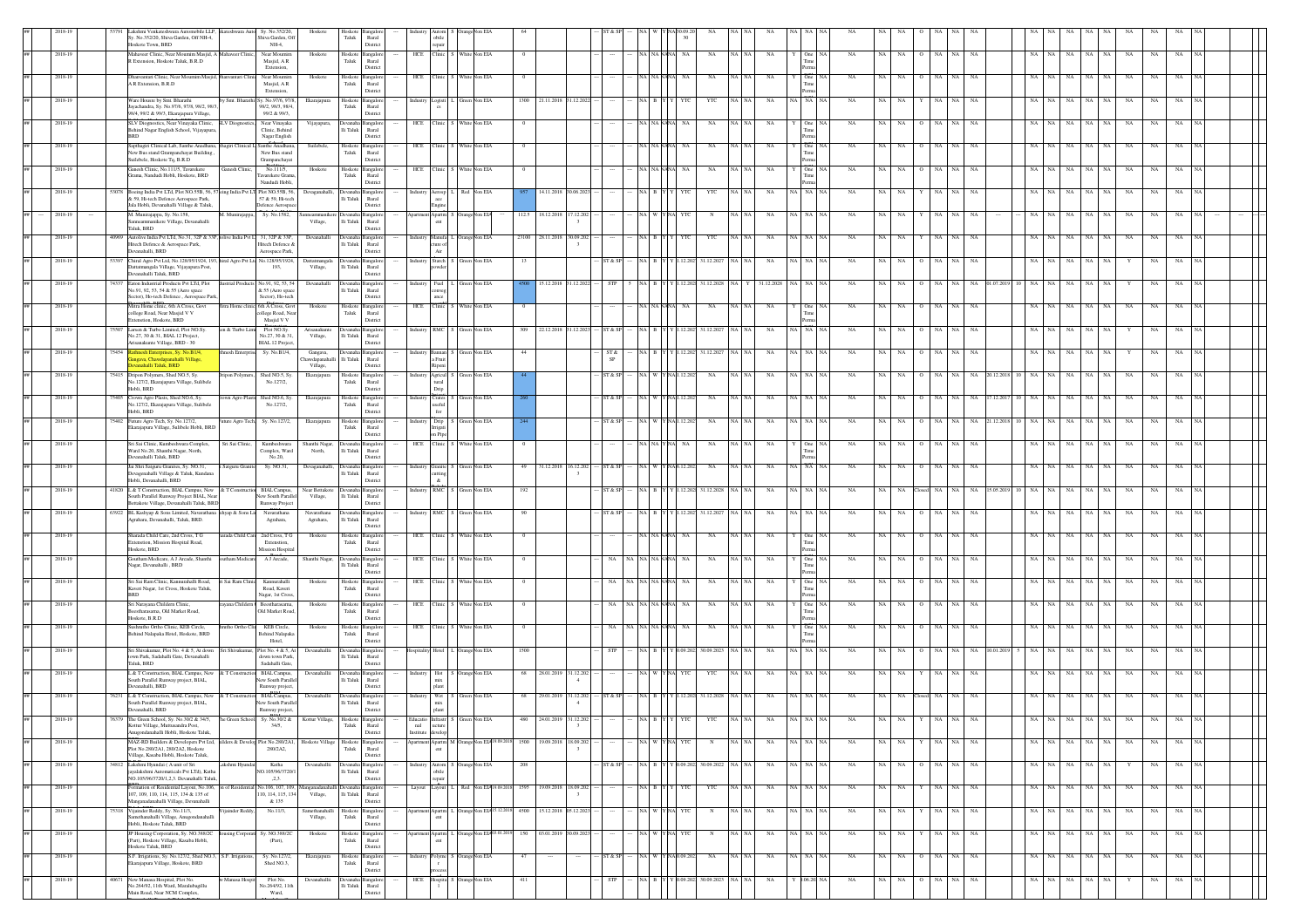|         |         |       | akshmi Venkateshwara Automobile LLP, nkateshwara Auto<br>Sy. No.352/20,<br>Sy. No.352/20, Shiva Garden, Off NH-4,<br>Shiva Garden, Off<br>Hoskote Town, BRD<br>NH-4.                                                | Hosko                                        | Taluk                          | Rural<br>District                       |          | obile<br>repair                                                                                                 |               |                                              |                |                                           |             |       |                   |              |                  |         |             |              |                   |               |             |                 |            |                 |             |           |    |             |                               |  |
|---------|---------|-------|---------------------------------------------------------------------------------------------------------------------------------------------------------------------------------------------------------------------|----------------------------------------------|--------------------------------|-----------------------------------------|----------|-----------------------------------------------------------------------------------------------------------------|---------------|----------------------------------------------|----------------|-------------------------------------------|-------------|-------|-------------------|--------------|------------------|---------|-------------|--------------|-------------------|---------------|-------------|-----------------|------------|-----------------|-------------|-----------|----|-------------|-------------------------------|--|
|         | 2018-19 |       | Mahaveer Clinic, Near Moumim Masjid, A Mahaveer Clinic,<br>Near Moumin<br>R Extension, Hoskote Taluk, B.R.D<br>Masjid, AR<br>Extension.                                                                             | Hoskote                                      | Hoskote<br>Taluk               | ingalo<br>Rural<br>District             |          | HCE Clinic S White Non EIA                                                                                      |               |                                              |                |                                           |             |       | NA NAN            | NA           | $_{\rm NA}$      | NA NA   | NA          |              | NA<br><b>NA</b>   | NA            | NA          | NA<br><b>NA</b> |            | <b>NA</b><br>NA | NA<br>NA    | NA        | NA | $_{\rm NA}$ | NA<br>N <sub>A</sub>          |  |
|         | 2018-19 |       | Near Moumin<br>Dhanvantari Clinic, Near Moumim Masjid, 0<br>antari Clini<br>A R Extension, B.R.D<br>Masjid, AR                                                                                                      | Hoskote                                      | Hoskot<br>Taluk                | ingalo<br>Rural                         |          | HCE Clinic                                                                                                      |               | Vhite Non EIA                                |                |                                           |             |       |                   |              | NA               |         | NA          |              | NA                |               |             |                 |            |                 |             |           |    |             | NA.                           |  |
|         | 2018-19 |       | Extension,<br>by Smt. Bharathi Sy. No.97/6, 97/8.<br>Ware Housre by Smt. Bharathi<br>Jayachandra, Sy. No.97/6, 97/8, 98/2, 98/3,<br>98/2, 98/3, 98/4,                                                               | Ekarajapura                                  | Hoskote<br>Taluk               | District<br>langalor<br>Rural           |          | Industry Logisti L Green Non EIA                                                                                |               |                                              |                | 1300 21.11.2018<br>31.12.20               |             |       |                   |              | YTC              | NA   NA | NA          | NA NA        | NA<br>NA.         |               |             |                 |            |                 | NA          | NA        | NA | NA          | NA                            |  |
| ##      | 2018-19 |       | 98/4, 99/2 & 99/3, Ekarajapura Village,<br>99/2 & 99/3,<br>Near Vinayaka<br>SLV Diognostics, Near Vinayaka Clinic, SLV Diognostics<br>Behind Nagar English School, Vijayapura,<br>Clinic, Behind                    | Vijayapura,                                  | $\rm{Ili}$ Taluk               | District<br>Devanaha Bangalore<br>Rural |          | HCE Clinic S White Non EIA                                                                                      |               |                                              | $\overline{0}$ |                                           |             |       | NA NANA           |              | NA               | NA NA   | NA          | 1 One        | NA<br>NA.         | NA<br>$\circ$ | NA          | NA<br>NA.       |            | <b>NA</b>       | NA  <br>NA. | - NA      | NA | NA          | NA<br><b>NA</b>               |  |
| $\# \#$ | 2018-19 |       | <b>BRD</b><br>Nagar English<br>Sapthagiri Clinical Lab, Santhe Anadhana, thagiri Clinical L Santhe Anadhar<br>New Bus stand Grampanchayat Building,<br>New Bus stand                                                | Suilebele                                    | Hoskote<br>Taluk               | District<br>Bangalor<br>Rural           |          | HCE Clinic S White Non EIA                                                                                      |               |                                              |                |                                           |             |       |                   |              | NA               |         | NA          |              | NA<br>NA          | NA            |             |                 |            |                 | NA          |           |    | NA          | NA                            |  |
|         | 2018-19 |       | Suilebele, Hoskote Tq, B.R.D<br>Grampanchayat<br>Ganesh Clinic, No.111/5, Tavarekere<br>No.111/5,<br>Ganesh Clinic                                                                                                  | Hoskote                                      | Hoskote                        | District<br>Bangalore                   |          | HCE Clinic S White Non EIA                                                                                      |               |                                              |                |                                           |             |       | <b>NANAN</b>      |              | $_{\rm NA}$      |         | NA          |              | NA<br>NA          | $_{\rm NA}$   |             | NA              |            |                 | NA          |           | NA | NA          | NA                            |  |
|         | 2018-19 |       | rama, Nandudi Hobli, Hoskote, BRD<br>Favarekere Gram<br>Nandudi Hobli.<br>53078 Boeing India Pvt LTd, Plot NO.55B, 56, 57 eing India Pvt LT Plot NO.55B, 56,                                                        | Devaganahalli                                | Taluk                          | Rural<br>District<br>a Bangalor         |          | Industry Aerosp L                                                                                               | Red Non EIA   |                                              |                | 14.11.2018<br>0.06.202                    |             | VAIRI |                   | YΤ           | YTC              | NA NA   | NA          | NA NA NA     | NA<br>NA          | NA            | NA          | NA<br>NA        |            | <b>NA</b>       | NA<br>NA    | NA        | NA | $_{\rm NA}$ | $_{\rm NA}$<br>NA             |  |
|         | 2018-19 |       | & 59, Hi-tech Defence Aerospace Park,<br>57 & 59. Hi-tech<br>Jala Hobli, Devanahalli Village & Taluk,<br>Defence Aerospac<br>Sy. No.1582,<br>M. Munirajappa, Sy. No.158,<br>M. Munirajappa,                         |                                              | Ili Taluk                      | Rural<br>District<br>nealo              |          | ace<br>Engine<br>nt Apartm S O                                                                                  |               | angeNon EIA                                  |                | 112.5 18.12.201<br>17.12.202              |             |       |                   |              | $_{\rm N}$       | NA   NA | NA          | NA   NA   NA | NA<br>NA.         | NA            | NA          | NA.<br>NA.      |            | NA.             | NA.<br>NA.  | NA        | NA | NA          | NA                            |  |
|         |         |       | anneammanikere Village, Devanahalli<br>Taluk, BRD                                                                                                                                                                   | Village,                                     | Ili Taluk                      | Rural<br>District                       |          | ent                                                                                                             |               |                                              |                |                                           |             |       |                   |              |                  |         |             |              |                   |               |             |                 |            |                 |             |           |    |             |                               |  |
|         | 2018-19 |       | 40969 Autolive India Pvt LTd, No.31, 32P & 33P, tolive India Pvt L 31, 32P & 33P,<br>Hitech Defence &<br>Hitech Defence & Aerospace Park,<br>evanahalli, BRD<br>Aerospace Park,                                     | Devanahalli                                  | li Taluk                       | Devanaha Bangalore<br>Rural<br>District |          | Industry Manufa L OrangeNon EIA<br>cture of<br>Air                                                              |               |                                              |                | 23100 28.11.2018 30.09.202                |             |       | AIR Y             | YTC          | YTC              | NA NA   | NA          | NA NA NA     | NA<br>NA.         | NA            | NA.         | NA.<br>NA       |            | NA NA I         | NA<br>NA    | NA.       | NA | NA          | NA                            |  |
|         | 2018-19 | 53397 | Chiral Agro Pvt Ltd, No.128/95/1924, 193, hiral Agro Pvt Lt No.128/95/1924,<br>attatmangala Village, Vijayapura Post,<br>193,<br>vanahalli Taluk, BRD                                                               | Dattatmangala<br>Village,                    | <b>Jevanal</b><br>lli Taluk    | <b>Bangalo</b><br>Rural<br>District     |          | Industry Starch S                                                                                               | Green Non EIA |                                              | 13             |                                           | ST & SI     |       |                   | .12.20       | 31.12.2027       | NA   NA | NA          | VA NA NA     | NA                | NA.           |             | NA              |            |                 | NA          |           |    | NA          | NA                            |  |
|         | 2018-19 |       | Eaton Industrial Products Pvt LTd, Plot<br>No.91, 92, 53, 54<br>No.91, 92, 53, 54 & 55 (Aero space<br>& 55 (Aero space<br>Sector), Ho-tech Defence, Aerospace Park<br>Sector), Ho-tech                              | Devanahall                                   | lli Taluk                      | ıngal<br>Rural<br>Distric               |          | ndustry Fuel<br>conveg<br>ance                                                                                  |               | Non EIA                                      |                | 12.201                                    |             |       |                   |              | 31.12.2021       |         |             |              | NA                |               |             |                 |            |                 |             |           |    |             |                               |  |
|         | 2018-19 |       | Mitra Home clinic, 6th A Cross, Govt<br>fitra Home clinic 6th A Cross, Govt<br>college Road, Near Masjid V V<br>college Road, Nea<br>tenstion, Hoskote, BRD<br>Masjid V V                                           | Hoskote                                      | Taluk                          | Hoskote Bangalor<br>Rural<br>Distric    |          | HCE Clinic S White Non EIA                                                                                      |               |                                              |                |                                           |             |       |                   |              | $_{\rm NA}$      | NA NA   | NA          |              | $_{\rm NA}$       |               |             |                 |            |                 | NA          | NA        | NA | NA          | $_{\rm NA}$                   |  |
|         | 2018-19 |       | 75507 Larsen & Turbo Limited, Plot NO.Sy<br>Plot NO.Sy.<br>en & Turbo Limi<br>No.27, 30 & 31, BIAL 12 Project,<br>No.27, 30 & 31.<br>Arisanakunte Village, BRD - 30<br>BIAL 12 Project                              | Arisanakunte<br>Village,                     | Ili Taluk                      | ingal<br>Rural<br>District              |          | Industry RMC S Green Non EIA                                                                                    |               |                                              | 309            | 22.12.2018 31.12.202                      | ST & SF     |       |                   |              | 31.12.2027       |         | NA          | NA NA NA     | NA                |               |             |                 |            |                 |             |           |    |             |                               |  |
|         | 2018-19 | 5454  | <b>Rathnesh Enternrises Sv. No R1/4</b><br>thnesh Enterprise<br>Sy. No.B1/4,<br>kangaya, Chawdapanahalli Village,                                                                                                   | Gangaya,<br>hawdapanahalli                   | Ili Taluk                      | Rural                                   |          | Industry Bannan<br>a Fruit                                                                                      | Green Non EIA |                                              | 44             |                                           | ST &<br>SP  |       |                   | (1.12.20     | 31.12.2027       | NA NA   | NA          | NA   NA      | NA<br>NA          | NA            | NA          | NA.<br>NA.      |            |                 | NA.<br>NA.  |           |    | NA          | NA                            |  |
|         | 2018-19 |       | vanahalli Taluk, BRD<br>75415 Drinon Polymers, Shed NO.5, Sv.<br>Oripon Polymers,<br>Shed NO.5, Sv.<br>No.127/2, Ekarajapura Village, Sulibele<br>No.127/2,                                                         | Village,<br>Ekarajapura                      | Hoskote<br>Taluk               | District<br><b>Bangalore</b><br>Rural   |          | Ripeni<br>$\begin{tabular}{ll} \bf Industry & \bf Agricul & S & \bf Green Non EIA \\ \tt tural & \end{tabular}$ |               |                                              |                |                                           | ST & SP     |       |                   | 12.20        | NA               | NA NA   | NA          | NA I NA      | NA<br>NA.         | NA            | NA.         | NA.             | 20.12.201  |                 | NA          |           | NA | NA          | NA<br>N <sub>A</sub>          |  |
|         | 2018-19 |       | Hobli, BRD<br>5405 Crown Agro Plasts, Shed NO.6, Sy.<br>Shed NO.6, Sy.<br>rown Agro Plasts<br>No.127/2, Ekarajapura Village, Sulibele<br>No.127/2,                                                                  | Ekarajapura                                  | Hoskote<br>Taluk               | District<br>angalor<br>Rural            |          | Drip<br>Industry Crates S<br>$\,$ useful                                                                        | Green Non EIA |                                              |                |                                           | ST & SF     |       |                   |              | NA               |         | NA          | VA I NA      | NA<br>NA.         |               |             |                 |            |                 | NA          |           | NA | NA          | NA                            |  |
| ##      | 2018-19 |       | Hobli, BRD<br>75402 Future Agro Tech, Sy. No.127/2,<br>Future Agro Tech<br>Sy. No.127/2,<br>Ekarajapura Village, Sulibele Hobli, BRD                                                                                | Ekarajapura                                  | Taluk                          | District<br>Hoskote Bangalore<br>Rural  |          | for<br>Industry Drip S Green Non EIA<br>Irrigati                                                                |               |                                              |                |                                           | ST & SP     |       | A WYNAH           | .12.20       | NA               | NA   NA | NA          | VA NA NA     | NA<br>NA.         | NA.           |             | NA              | 21.12.2018 |                 | NA          | NA        | NA | NA          | NA<br><b>NA</b>               |  |
| $\#$    | 2018-19 |       | Sri Sai Clinic, Kumbeshwara Complex,<br>Sri Sai Clinic,<br>Kumbeshwara                                                                                                                                              | Shanthi Nagar                                |                                | District<br><b>Devanaha</b> Bangalor    |          | on Pipe<br>HCE Clinic S White Non EIA                                                                           |               |                                              |                |                                           |             |       |                   |              | NA               |         | NA          |              | NA<br>$_{\rm NA}$ | $_{\rm NA}$   | NA          | NA              |            |                 | NA          | NA        | NA | NA          | NA                            |  |
|         | 2018-19 |       | Ward No.20, Shanthi Nagar, North,<br>Complex, Ward<br>Devanahalli Taluk, BRD<br>No.20,<br>Jai Shri Satguru Granites, Sy. NO.31,<br>i Satguru Granite<br>Sy. NO.31,                                                  | North,<br>Devaganahal                        | $\rm Ili$ Taluk                | Rural<br>District<br>angalore           |          | dustry Granite S                                                                                                | Green Non EIA |                                              |                | 49 31.12.2018 16.12.202                   | ST & SF     |       |                   |              | NA               |         | NA          | VA NA NA     | NA                |               |             |                 |            |                 |             |           | NA | NA          | NA<br>N <sub>A</sub>          |  |
| ##      | 2018-19 |       | Devagenahalli Village & Taluk, Kundana<br>Hobli, Devanahalli, BRD<br>41820 L & T Construction, BIAL Campus, New & T Constructio BIAL Campus,                                                                        | Near Bettakote                               | lli Taluk                      | Rural<br>District<br>Devanaha Bangalore | Industry | utting<br>$\alpha$<br>RMC S Green Non EIA                                                                       |               |                                              | 192            |                                           | ST & SP     | VAIR  |                   | Y 1.12.202   | 31.12.2028 NA NA |         | NA          | NA NA NA     | NA<br>NA          | NA            | Closed NA   | <b>NA</b><br>NA | .05.201    |                 | NA<br>NA    | NA        | NA | NA          | $_{\rm NA}$<br>N <sub>A</sub> |  |
|         | 2018-19 |       | South Parallel Runway Project BIAL, Near<br>New South Paralle<br>ettakote Village, Devanahalli Taluk, BRD<br><b>Runway Project</b><br>63922 BL Kashyap & Sons Limited, Navarathana<br>shyap & Sons L<br>Navarathana | Village,<br>Navarathana                      | Ili Taluk                      | Rural<br>District<br>angalor            |          | Industry RMC S Green Non EIA                                                                                    |               |                                              | 90             |                                           | ST & SF     |       |                   | $Y$ 1.12.20. | 31.12.2027       | NA NA   | NA          | NA NA NA     | NA<br>NA.         | NA.           | NA          | NA.<br>NA       |            | NA              | NA.<br>NA   | NA        | NA | NA          | NA                            |  |
|         |         |       | Aerahara, Devanahalli, Taluk, BRD.<br>Agrahara,                                                                                                                                                                     | Agrahara,                                    | Ili Taluk                      | Rural<br>District                       |          |                                                                                                                 |               |                                              |                |                                           |             |       |                   |              |                  |         |             |              |                   |               |             |                 |            |                 |             |           |    |             |                               |  |
|         | 2018-19 |       | Sharada Child Care, 2nd Cross, T G<br>2nd Cross, T G<br>ada Child Can<br>xtenstion, Mission Hospital Road,<br>Extenstion,<br>Hoskote, BRD<br><b>Mission Hospita</b>                                                 | Hoskote                                      | Taluk                          | Hoskote Bangalor<br>Rural<br>District   |          | HCE Clinic                                                                                                      | White Non EIA |                                              | $\mathbf{0}$   |                                           |             |       |                   |              | NA               | 4A I NA | NA          | One.         | NA                |               |             |                 |            |                 |             |           | NA | NA          | NA                            |  |
|         | 2018-19 |       | Goutham Medicare, A J Arcade, Shanthi<br>outham Medican<br>A J Arcade,<br>Nagar, Devanahalli, BRD                                                                                                                   | Shanthi Nagar,                               | Devanaha Bangalore<br>li Taluk | Rural<br>District                       |          | HCE Clinic S White Non EIA                                                                                      |               |                                              | $\overline{0}$ |                                           | NA          |       | NA NANA           | NA           | NA               | NA NA   | NA          | One NA       | NA<br>NA.         | NA            | NA          | NA<br>NA        |            |                 | NA<br>NA    | NA        | NA | NA          | NA                            |  |
|         | 2018-19 |       | Sri Sai Ram Clinic, Kannurahalli Road,<br>ri Sai Ram Clinic<br>Kannurahalli<br>Kaveri Nagar, 1st Cross, Hoskote Taluk,<br>Road, Kaveri<br><b>BRD</b><br>Nagar, 1st Cross                                            | Hoskote                                      | Hoskote<br>Taluk               | angaloi<br>Rural<br>Distric             | HCE      | Clinic                                                                                                          |               | Non EIA                                      |                |                                           |             |       |                   |              | NA               |         |             |              | NA                |               |             |                 |            |                 |             |           |    |             |                               |  |
|         | 2018-19 |       | Sri Narayana Childern Clinic,<br>rayana Childern Beestharasama,<br>estharasarna, Old Market Road,<br>Old Market Road<br>Hoskote, B.R.D                                                                              | Hoskote                                      | Hoskote<br>Table               | angaloi<br>Rural<br>Distric             |          | HCE Clinic S White Non EIA                                                                                      |               |                                              |                |                                           | NA          |       |                   |              | NA               |         | NA          |              | NA                |               |             |                 |            |                 | NA          |           | NA | NA          | NA                            |  |
|         | 2018-19 |       | Sushrutho Ortho Clinic, KEB Circle,<br>hrutho Ortho Clis<br>KEB Circle,<br>Behind Nalapaka Hotel, Hoskote, BRD<br><b>Behind Nalapaka</b><br>Hotel.                                                                  | Hoskote                                      | Hoskote<br>Taluk               | ingalor<br>Rural<br>District            |          | HCE Clinic S White Non EIA                                                                                      |               |                                              |                |                                           | NA          |       |                   |              | $_{\rm NA}$      | NA NA   | NA          |              | NA                |               |             | NA              |            |                 | NA          |           |    |             | NA                            |  |
|         | 2018-19 |       | Sri Shivakumar, Plot No. 4 & 5. At down<br>Sri Shiyakumar, Plot No. 4 & 5. A<br>own Park, Sadahalli Gate, Devanahalli<br>down town Park.                                                                            | Devanahallii                                 | Devanaba<br>Ili Taluk          | ıngalo<br>Rural                         |          | lospitality Hotel L OrangeNon EIA                                                                               |               |                                              | 1500           |                                           | <b>STP</b>  |       |                   |              | 30.09.2023       | NA NA   | NA          | NA NA        | NA<br>NA.         | NA.           | NA.         | NA.             | 0.01.20    |                 | NA.         | NA        | NA | NA          | NA                            |  |
|         | 2018-19 |       | Sadahalli Gate,<br>Taluk, BRD<br>L & T Construction, BIAL Campus, New & T Construction BIAL Campus.<br>South Parallel Runway project, BIAL,<br>New South Paralle                                                    | Devanahallii Devanaha Bangalor               | Ili Taluk                      | District<br>Rural                       |          | Industry Hot S OrangeNon EIA<br>mix                                                                             |               |                                              |                | 68 28.01.2019 31.12.202<br>$\overline{4}$ |             |       |                   | YTC          | YTC              | NA NA   | NA          | NA NA NA     | NA<br>NA.         | NA            | NA          | NA<br>NA        |            | <b>NA</b>       | NA          |           | NA | NA          | NA<br><b>NA</b>               |  |
| $\#$    | 2018-19 |       | Devanahalli, BRD<br>Runway project,<br>L & T Construction, BIAL Campus, New<br>& T Construction BIAL Campus,<br>South Parallel Runway project, BIAL,<br>New South Paralle                                           | Devanahallii                                 | Devanaha<br>$\rm{Ili}$ Taluk   | District<br>ıngalo<br>Rural             |          | plant<br>Wet S<br>$_{\rm mix}$                                                                                  | Green Non EIA |                                              | 68             | 29.01.2019<br>31.12.202                   | $-$ ST & SF |       | NA B Y Y 1.12.202 |              | 31.12.2028       |         | NA          |              |                   |               |             |                 |            |                 | NA          | NA        |    | NA          | NA                            |  |
| $\# \#$ | 2018-19 |       | Devanahalli, BRD<br>Runway project,<br>6379 The Green School,<br>ool Sy. No.30/2 &<br>Kottur Village, Muttusandra Post,<br>34/5,                                                                                    | Kottur Vil                                   | Hoskot<br>Taluk                | District<br>$\rm{Rural}$                | nal      | plant<br>Infrastr S<br>ucture                                                                                   |               |                                              |                |                                           |             |       |                   |              |                  |         |             |              |                   |               |             |                 |            |                 |             |           |    |             |                               |  |
| $\# \#$ | 2018-19 |       | Anugondanahalli Hobli, Hoskote Taluk,<br>MAZ-RD Builders & Developers Pvt Ltd, uilders & Develop Plot No.280/2A1,<br>Plot No. 280/2A1 280/2A2 Hoskote                                                               | Hoskote Village                              |                                | District<br>Hoskote Bangalore           |          | Institute develop                                                                                               |               | Apartment Apartm M Orange Non EIA 19.09.2018 | 1500           | 19.09.2018 18.09.202                      |             |       | NA W YNA          |              | $_{\rm N}$       | NA NA   | $_{\rm NA}$ | NA NA NA     | $_{\rm NA}$       | NA NA         | Y NA NA     | NA              |            | NA NA NA        |             | NA NA     | NA | NA          | NA<br>NA                      |  |
| $\# \#$ | 2018-19 |       | 280/2A2,<br>Village, Kasaba Hobli, Hoskote Taluk,<br>34812 Lakshmi Hyundai (A unit of Sri<br>Katha<br>Lakshmi Hv                                                                                                    | Devanahalli                                  | Taluk                          | Rural<br>District<br>Bangalore          |          | ent<br>Autom S OrangeNon EIA                                                                                    |               |                                              | 208            |                                           | ST & SP     |       | NA B Y Y 0.09.201 |              | 30.09.2022 NA NA |         | NA          | NA NA NA     | NA<br>NA.         | NA.           | NA          | NA.<br>NA       |            | NA 1<br>NA 1    | NA<br>NA    | NA        |    | NA          | NA<br>NA                      |  |
| ##      | 2018-19 |       | iavalakshmi Automaticals Pvt LTd). Katha<br>0.105/96/3720<br>NO.105/96/3720/1.2.3. Devanahalli Taluk.<br>.2.3.<br>formation of Residential Layout. No.106<br>No.106, 107, 109<br>on of Reside                       |                                              | lli Taluk                      | Rural<br>District<br>evanaha Bangalore  | Layout   | $_{\rm obile}$<br>repair<br>Lavout L                                                                            | Red Non EIA19 |                                              | 1595           | 19.09.2018<br>18.09.202                   |             |       | NA B Y            |              | YTC              | NA NA   | NA          | NA NA NA     | NA<br>NA.         | NA            | NA          | <b>NA</b><br>NA |            | NA NA           | NA<br>NA    | <b>NA</b> | NA | NA          | NA<br>NA                      |  |
| ##      | 2018-19 |       | 107, 109, 110, 114, 115, 134 & 135 of<br>10, 114, 115, 13<br>Manganadanahalli Village, Devanahalli<br>& 135<br>75318 Vijainder Reddy, Sv. No.11/3.<br>No.11/3.<br>Vijainder Reddy.                                  | Village,<br>Samethanahalli Hoskote Bangalore | Ili Taluk                      | Rural<br>District                       |          |                                                                                                                 |               |                                              |                | 4500 15.12.2018 05.12.2023                |             |       | NA W YNA YTC      |              | $\mathbb N$      | NA NA   | NA          | NA NA NA     | NA<br>NA.         | NA            | Y NA NA     | NA              |            | NA NA NA        |             | NA NA     |    | NA          | NA<br><b>NA</b>               |  |
|         |         |       | Samethanahalli Village, Anugondanahalli<br>Hobli, Hoskote Taluk, BRD                                                                                                                                                | Village,                                     | Taluk                          | Rural<br>District                       |          | ent                                                                                                             |               | Apartment Apartm L Orange Non EIA 15.12.2018 |                |                                           |             |       |                   |              |                  |         |             |              |                   |               |             |                 |            |                 |             |           | NA |             |                               |  |
| ##      | 2018-19 |       | JP Housing Corporation, Sy. NO.388/2C<br>Sy. NO.388/2C<br>using Corporat<br>(Part), Hoskote Village, Kasaba Hobli,<br>(Part),<br>Hoskote Taluk, BRD                                                                 | Hoskote                                      | Taluk                          | Hoskote Bangalore<br>Rural<br>District  |          | partment Apartm L Orange Non EIA<br>ent                                                                         |               |                                              | 150            | 03.01.2019<br>30.09.202                   |             |       |                   |              | N                | NA   NA | NA          | VA NA NA     | NA<br>NA          | NA            |             | NA              |            | NA 1            | NA<br>NA    | NA        | NA | NA          | NA                            |  |
| $\# \#$ | 2018-19 |       | S.F. Irrigations, Sy. No.127/2, Shed NO.3, S.F. Irrigations<br>Sy. No.127/2,<br>Ekarajapura Village, Hoskote, BRD<br>Shed NO.3,                                                                                     | Ekarajapura                                  | Taluk                          | Hoskote Bangalore<br>Rural<br>District  |          | Industry Polyme S OrangeNon EIA                                                                                 |               |                                              | 47             |                                           | ST & SP     |       | VA W Y NA 0.09.20 |              | NA               | NA NA   | NA          | NA NA NA     | $_{\rm NA}$<br>NA | NA<br>$\circ$ | $\rm NA-NA$ | NA              |            | NA NA           | NA          | NA NA     | NA | NA          | NA<br>NA                      |  |
| $\# \#$ | 2018-19 |       | 40671 New Manasa Hospital, Plot No.                                                                                                                                                                                 | Devanahallii                                 |                                |                                         |          |                                                                                                                 |               | Hospita S OrangeNon EIA                      |                |                                           |             |       |                   |              | 30.09.2023 NA NA |         |             |              |                   |               |             |                 |            |                 |             |           |    |             |                               |  |

Devanahalli Town & Taluk, B.R.D

Maralubagillu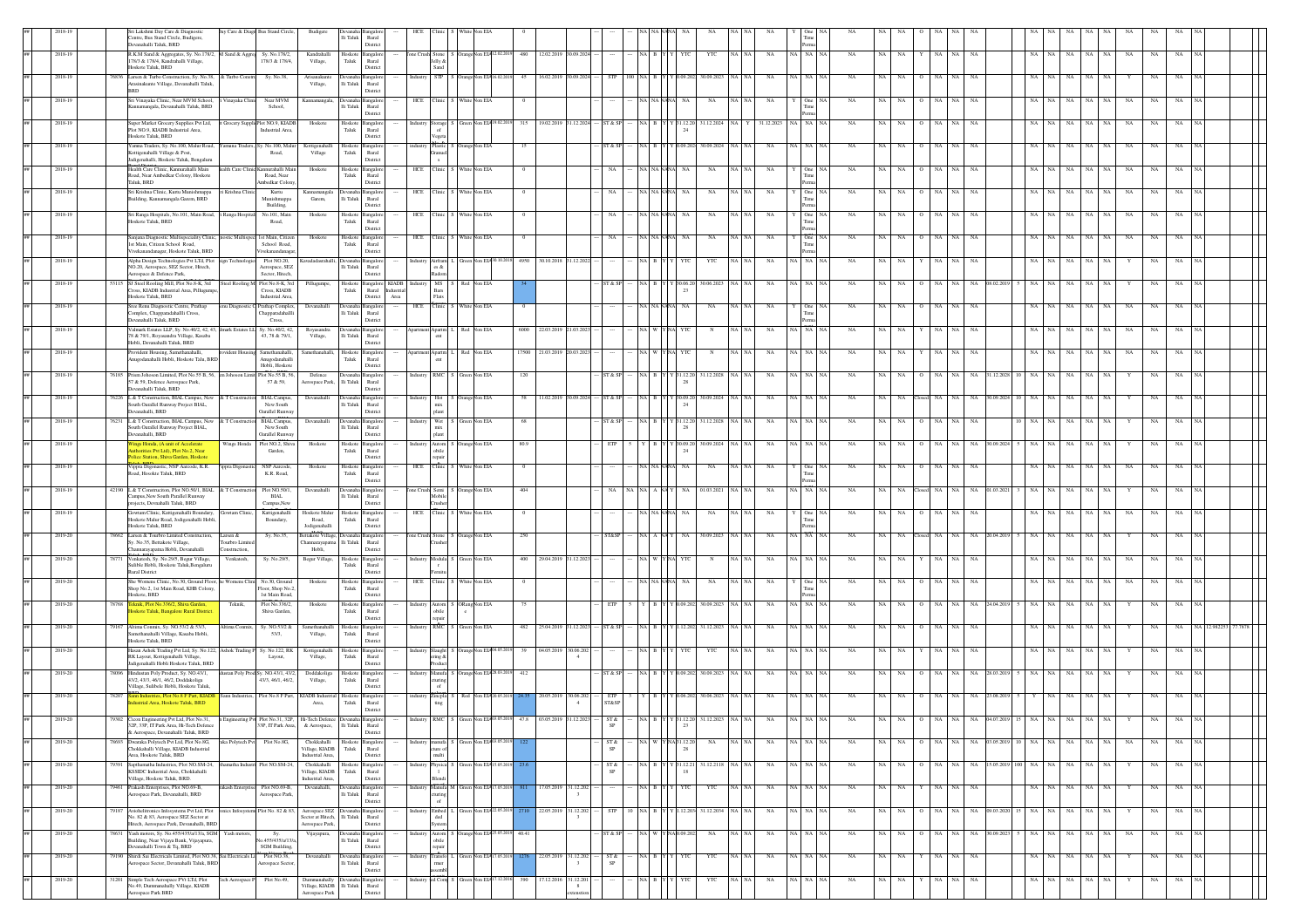|    |         | Sri Lakshmi Day Care & Diagnostic<br>Centre, Bus Stand Circle, Budigere,<br>Devanahalli Taluk, BRD                                                      |                            | Jay Care & Diagr Bus Stand Circle,                                    | Budigere                                           | Devanaha Bangalo<br>lli Taluk<br>Rural<br>Distric                      |                                                                                            |                                  |                   |                                     |                  |                   |            |               |                         |                       |          |             |                         |             |             |                        |      |            |     |           |             |             |                 |  |
|----|---------|---------------------------------------------------------------------------------------------------------------------------------------------------------|----------------------------|-----------------------------------------------------------------------|----------------------------------------------------|------------------------------------------------------------------------|--------------------------------------------------------------------------------------------|----------------------------------|-------------------|-------------------------------------|------------------|-------------------|------------|---------------|-------------------------|-----------------------|----------|-------------|-------------------------|-------------|-------------|------------------------|------|------------|-----|-----------|-------------|-------------|-----------------|--|
|    | 2018-19 | R.K.M Sand & Aggregates, Sy. No.178/2,<br>178/3 & 178/4, Kandrahalli Village,                                                                           | M Sand & Aggrej            | Sy. No.178/2,<br>178/3 & 178/4.                                       | Kandrahall<br>Village.                             | Hoskote<br>Bangalo<br>Taluk<br>Rural                                   | one Crush Stone<br>Jelly &                                                                 | Orange Non EIA 12.02.20          |                   | 480 12.02.2019 30.09.2024           |                  | NA B Y            | YTC        | YTC           | NA                      | NA NA NA              |          | NA          | NA                      | $_{\rm NA}$ | $_{\rm NA}$ | NA                     | NA   | NA<br>NA   | NA  |           | $_{\rm NA}$ | $_{\rm NA}$ | NA              |  |
|    | 2018-19 | Hoskote Taluk, BRD<br>6836 Larsen & Turbo Construction, Sy. No.38,                                                                                      | & Turbo Consti             | Sy. No.38,                                                            | Arisanakur                                         | District                                                               | Sand<br><b>STP</b>                                                                         | Non EL                           | 16.02.201         |                                     |                  |                   |            | 30.09.202     |                         |                       |          |             |                         |             |             |                        |      |            |     |           |             |             |                 |  |
|    |         | Arasinakunte Village, Devanahalli Taluk,<br><b>BRD</b>                                                                                                  |                            |                                                                       | Village,                                           | Ili Taluk<br>Rural<br>Distric                                          |                                                                                            |                                  |                   |                                     |                  |                   |            |               |                         |                       |          |             |                         |             |             |                        |      |            |     |           |             |             |                 |  |
|    | 2018-19 | Sri Vinavaka Clinic, Near MVM School,<br>Kannamangala, Devanahalli Taluk, BRD                                                                           | /inayaka Clini             | Near MVM<br>School.                                                   | Kannamangala                                       | Ili Taluk Rural<br>District                                            | HCE Clinic                                                                                 | White Non EIA                    |                   |                                     |                  | <b>NA NA NAP</b>  |            | NA            | NA   NA<br>NA           |                       | One      | NA          | <b>NA</b>               | NA          | <b>NA</b>   | NA                     |      | NA         | NA  | <b>NA</b> | NA          | NA          | <b>NA</b>       |  |
|    | 2018-19 | Super Market Grocery Supplies Pvt Ltd,<br>Plot NO.9, KIADB Industrial Area,                                                                             |                            | t Grocery Suppli Plot NO.9. KIADB<br>Industrial Area,                 | Hoskote                                            | Hoskote<br>angalc<br>Taluk<br>Rural                                    | $\operatorname*{Storage}\operatorname*{of}$<br>ndustry                                     | Green Non EIA19                  | 19.02.2019<br>315 | 1.12.202                            | ST & SP          | NA B Y Y 31.12.20 |            | 31.12.2024 NA |                         | Y 31.12.2023 NA NA NA |          | NA          | <b>NA</b>               | NA.         | NA          | NA                     |      | NA.        | NA  |           | NA.         |             | NA.             |  |
|    | 2018-19 | Hoskote Taluk, BRD<br>Yamna Traders, Sy. No.100, Malur Road,                                                                                            |                            | Yamuna Traders, Sy. No.100, Malu                                      | Kottigenahalli                                     | District<br>Hoskote Bangalo                                            | egeta<br>Plastic                                                                           | Orange Non EIA                   | 15                |                                     | ST & SI          |                   | .09.202    | 30.09.2024    | NA NA<br>NA             | NA NA                 |          | NA          | NA                      | NA.         |             | <b>NA</b>              |      | NA.        | NA  |           | NA          |             |                 |  |
|    |         | Kottigenahalli Village & Post,<br>Jadigenahalli, Hoskote Taluk, Bengaluru                                                                               |                            | Road,                                                                 | Village                                            | Taluk<br>Rural<br>District                                             | ranue                                                                                      |                                  |                   |                                     |                  |                   |            |               |                         |                       |          |             |                         |             |             |                        |      |            |     |           |             |             |                 |  |
|    | 2018-19 | Health Care Clinic, Kannurahalli Main<br>Road, Near Ambedkar Colony, Hoskote<br>Taluk, BRD                                                              |                            | lealth Care Clinic Kannurahalli Mair<br>Road, Near<br>unbedkar Colony | Hoskote                                            | Hoskote Bangalor<br>${\rm Taluk}$<br>Rural<br>District                 | HCE Clinic                                                                                 | White Non EIA                    | $\theta$          |                                     | NA               | NA NANA           | NA         | NA            | NA<br>NA I NA           |                       | $One$ N  | NA          | NA<br>NA                | NA          | <b>NA</b>   | NA                     |      | NA         | NA  |           | NA          | NA          | <b>NA</b>       |  |
| ## | 2018-19 | Sri Krishna Clinic, Kurtu Munishmappa<br>Building, Kannamangala Garem, BRD                                                                              | Krishna Clini              | Kurtu<br>Munishmappa                                                  | Kannamangala<br>Garem,                             | Bangalo<br>lli Taluk<br>Rural                                          | HCE<br>Clinic                                                                              | White Non EIA                    |                   |                                     |                  | <b>JA NANA</b>    |            | NA            | NA                      |                       |          | NA          | NA<br>NA                | NA          | NA          | NA                     |      | NA         | NA  |           | $_{\rm NA}$ | NA          | NA              |  |
|    | 2018-19 | Sri Ranga Hospitals, No.101, Main Road,                                                                                                                 | i Ranga Hospital           | Building,<br>No.101, Main                                             | Hoskot                                             | District<br>Hoskote<br>angalon                                         | <b>HCE</b><br>Clinic                                                                       | White Non EIA                    |                   |                                     |                  | A NA NAN          |            | NA            | NA                      |                       | One      | NA          |                         |             |             | NA                     |      |            |     |           | NA          |             |                 |  |
|    |         | Hoskote Taluk, BRD                                                                                                                                      |                            | Road,                                                                 |                                                    | Taluk<br>Rural<br>District                                             |                                                                                            |                                  |                   |                                     |                  |                   |            |               |                         |                       |          |             |                         |             |             |                        |      |            |     |           |             |             |                 |  |
|    | 2018-19 | Sanjana Diagnostic Multispeciality Clinic,<br>1st Main, Citizen School, Road<br>Vivekanandanagar, Hoskote Taluk, BRD                                    |                            | ostic Multispec 1st Main, Citize<br>School Road.<br>Vivekanandanaga   | Hoskote                                            | Hoskote Bangalon<br>Taluk<br>Rural<br>District                         | HCE Clinic                                                                                 | White Non EIA                    |                   |                                     | <b>NA</b>        | NA NANANA         | <b>NA</b>  | NA            | NA NA<br>NA             |                       | One NA   | NA          | NA<br>NA                | NA          | <b>NA</b>   | NA                     | NA   | NA<br>NA   | NA  | NA        | NA          | NA          | NA              |  |
|    | 2018-19 | Alpha Design Technologies Pvt LTd, Plot<br>NO.20, Aerospace, SEZ Sector, Hitech,                                                                        | cien Technologi            | Plot NO.20.<br>Aerospace, SEZ                                         |                                                    | lli Taluk<br>Rural                                                     | Airfram<br>es &                                                                            | een Non EIA3                     | 4950 30.10.201    | 1.12.202                            |                  |                   |            | YTC           | NA                      | NA NA NA              |          | NA          | NA                      | NA.         | NA.         | NA.                    |      | NA.        |     |           |             | NA.         | <b>NA</b>       |  |
|    | 2018-19 | Aerospace & Defence Park,<br>SJ Steel Rooling Mill, Plot No.8-K, 3rd                                                                                    |                            | Sector, Hitech,<br>Steel Rooling M Plot No.8-K, 3rd                   | Pillugumpe                                         | District<br>Hoskote Bangalore KIADB                                    | Radom<br>MS                                                                                | Red Non EIA                      |                   |                                     | ST & S           |                   | 0.06.2     | 30.06.2023    | NA                      | VA I NA IP            |          | NA          |                         |             |             |                        |      |            |     |           |             |             |                 |  |
|    |         | Cross, KIADB Industrial Area, Pillugumpe<br>Hoskote Taluk, BRD                                                                                          |                            | Cross, KIADB<br>Industrial Area,                                      |                                                    | Taluk<br>District                                                      | Rural Industria<br>Bars<br>Area<br>Flats                                                   |                                  |                   |                                     |                  |                   |            |               |                         |                       |          |             |                         |             |             |                        |      |            |     |           |             |             |                 |  |
|    | 2018-19 | Sree Renu Diagnostic Centre, Prathap<br>Complex, Chapparadahallli Cross,<br>Devanahalli Taluk, BRD                                                      |                            | enu Diagnostic C Prathap Complex,<br>Chapparadahall<br>Cross,         | Devanahalli                                        | Devanaha Bangalo<br>lli Taluk<br>Rural<br>District                     | Clinic<br>HCE                                                                              | White Non EIA                    |                   |                                     |                  | (A NANA)          | NA         | NA            | NA                      |                       | One N    | NA          | <b>NA</b><br>NA         | NA.         | <b>NA</b>   | NA.                    |      | NA.        | NA. |           | NA          | NA.         | NA              |  |
|    | 2018-19 | Valmark Estates LLP, Sy. No.40/2, 42, 43,<br>78 & 79/1, Royasandra Village, Kasaba                                                                      |                            | mark Estates LL Sy. No.40/2, 42,<br>43, 78 & 79/1,                    | Royasandra<br>Village,                             | ngalo<br>lli Taluk<br>Rural                                            | Apartm                                                                                     | Red Non EIA                      | 6000              |                                     |                  |                   |            |               | NA                      |                       |          |             |                         |             |             |                        |      |            |     |           |             |             |                 |  |
|    | 2018-19 | Hobli, Devanahalli Taluk, BRD<br>Provident Housing, Samethanahalli,                                                                                     |                            | ident Housing Samethanahalli                                          | Samethanahalli                                     | Distric<br>Hoskot<br>angale                                            | Apartm                                                                                     | Red Non EIA                      | 17500 21.03.2019  |                                     |                  |                   |            |               | NA                      | NA 1                  |          | NA          |                         |             |             |                        |      |            |     |           |             |             |                 |  |
|    |         | Anugodanahalli Hobli, Hoskote Talu, BRD                                                                                                                 |                            | Anugodanahalli<br>Hobli, Hoskote                                      |                                                    | Taluk<br>Rural<br>District                                             |                                                                                            |                                  |                   |                                     |                  |                   |            |               |                         |                       |          |             |                         |             |             |                        |      |            |     |           |             |             |                 |  |
|    | 2018-19 | 76185 Prism Johoson Limited, Plot No.55 B, 56,<br>57 & 59, Defence Aerospace Park,<br>Devanahalli Taluk, BRD                                            |                            | m Johoson Limit Plot No.55 B, 56,<br>57 & 59.                         | Defence                                            | Aerospace Park, Ili Taluk Rural<br>District                            | RMC<br>Industry                                                                            | Green Non EIA                    | $120\,$           |                                     | ST & SP          |                   | 31.12.2    | 31.12.2028    | NA                      | NA NA N               |          | NA          |                         |             |             | NA                     |      |            |     |           |             |             |                 |  |
|    | 2018-19 | 6226 L & T Construction, BIAL Campus, New<br>South Oarallel Runway Project BIAL,                                                                        |                            | & T Construction BIAL Campus<br>New South                             | Devanahalli                                        | Ili Taluk Rural                                                        | Hot<br>mix                                                                                 | OrangeNon EIA                    | 58<br>11.02.2019  | 09.202                              | ST & SI          |                   |            | 30.09.2024    | NA                      |                       |          | NA          |                         |             |             |                        |      |            |     |           |             |             | <b>NA</b>       |  |
|    | 2018-19 | Devanahalli, BRD<br>76231 L & T Construction RIAL Campus New                                                                                            |                            | Oarallel Runwa<br>& T Construction BIAL Campus,                       | Devanahalli                                        | District<br>Devanaha Bangalo                                           | plant<br>Industry                                                                          | Wet S Green Non EIA              | 68                |                                     | ST & SP          | NA B Y Y 31.12.20 |            | 31.12.2028    | NA NA<br>NA             | NA NA NA              |          | NA          | <b>NA</b>               |             |             | NA.                    |      |            |     |           |             |             |                 |  |
|    |         | South Oarallel Runway Project BIAL,<br>Devanahalli, BRD                                                                                                 |                            | New South<br>Oarallel Runway                                          |                                                    | lli Taluk<br>Rural<br>District                                         | mix<br>plant                                                                               |                                  |                   |                                     |                  |                   |            |               |                         |                       |          |             |                         |             |             |                        |      |            |     |           |             |             |                 |  |
|    | 2018-19 | Wings Honda, (A unit of Accelerate<br>horities Pvt Ltd), Plot No.2, Near<br>Police Station, Shiva Garden, Hoskote                                       |                            | Wings Honda Plot NO.2, Shiva<br>Garden,                               | Hoskote                                            | Hoskote Bangalore<br>Taluk<br>Rural<br>$\it District$                  | obile<br>repair                                                                            | Industry Autom S OrangeNon EIA   | 80.9              |                                     | ETP              | Y B Y Y 30.09.20  |            | 30.09.2024    | NA<br>NA   NA           | NA NA NA              |          | NA          | <b>NA</b><br>NA         | NA          | NA.         | NA 30.09.202           |      | NA         | NA. |           |             |             | NA.             |  |
|    | 2018-19 | Vippra Digonastic, NSP Aarcode, K.R.<br>pad, Hosokte Taluk, BRD                                                                                         | ippra Digonast             | NSP Aarcode.<br>K.R. Road,                                            | Hoskote                                            | Hoskote<br>angale<br>Taluk<br>Rural                                    | Clinic<br>HCE                                                                              | Vhite Non EIA                    |                   |                                     |                  | A NANA!           |            | NA            | NA                      |                       |          |             |                         |             |             |                        |      |            |     |           |             |             |                 |  |
| ## | 2018-19 | 42190 L & T Construciton, Plot NO.50/1, BIAL & T Construction                                                                                           |                            | Plot NO.50/1,                                                         | Devanahalli                                        | Distric<br>evanaha Bangalor                                            | Tone Crush Semi                                                                            | Orange Non EIA                   | 404               |                                     |                  |                   |            | 01.03.2021    | NA                      | NA NA N               |          |             |                         | $_{\rm NA}$ |             | $_{\rm NA}$            |      |            |     |           |             | NA          |                 |  |
|    | 2018-19 | Campus, New South Parallel Runway<br>rojects, Devnahalli Taluk, BRD<br>Gowtam Clinic, Kattigenahalli Boundary,                                          | Gowtam Clinic              | BIAL<br>Campus, New<br>Kattigenahall                                  | Hoskote Mal                                        | Ili Taluk Rural<br>District<br>angalo<br>loskote                       | Mobile<br>$C$ linic<br>HCE.                                                                | White Non EIA                    |                   |                                     |                  | <b>JA NANAN</b>   |            | NA            | NA                      |                       |          | NA          | $_{\rm NA}$             |             |             | NA                     |      |            |     |           |             |             |                 |  |
|    |         | Hoskote Malur Road, Jodigenahalli Hobli.<br>Hoskote Taluk, BRD                                                                                          |                            | Boundary,                                                             | Road,<br>Jodisenahalli                             | Taluk<br>Rural<br>District                                             |                                                                                            |                                  |                   |                                     |                  |                   |            |               |                         |                       |          |             |                         |             |             |                        |      |            |     |           |             |             |                 |  |
|    | 2019-20 | 8662 Larsen & Tourbro Limited Construction,                                                                                                             |                            |                                                                       |                                                    | nealo                                                                  | one Crush Stone                                                                            | OrangeNon EIA                    | 250               |                                     | <b>ST&amp;SE</b> | JA   A   NA '     |            | 30.09.2023    | NA                      |                       | NA NA NA | NA          | <b>NA</b>               | NA          |             | NA                     |      | NA.        |     |           |             |             |                 |  |
|    | 2019-20 | Sv. No.35. Bettakote Village.                                                                                                                           | Larsen &<br>ourbro Limit   | Sv. No.35.                                                            | Bettakote Village<br>Thannarayapatna Ili Taluk     | Rural                                                                  |                                                                                            |                                  |                   |                                     |                  |                   |            |               |                         |                       |          |             |                         |             |             |                        |      |            |     |           |             |             |                 |  |
|    |         | Channarayapatna Hobli, Devanahalli<br>78771 Venkatesh, Sy. No.29/5, Begur Village,                                                                      | onstruction,<br>Venkatesh. | Sy. No.29/5,                                                          | Hobli,<br>Begur Village,                           | District<br>Hoskote Bangalore                                          |                                                                                            | Industry Modula S Green Non EIA  | 400 29.04.2019    | 31.12.202                           |                  | <b>A WYNA</b>     | <b>YTC</b> | N             | NA<br>NA   NA           |                       | NA NA NA | NA          | <b>NA</b><br>NA         | NA          | <b>NA</b>   | NA                     | NA   | NA<br>NA.  | NA  | <b>NA</b> | NA          | NA          | <b>NA</b>       |  |
|    |         | Sulible Hobli, Hoskote Taluk, Bengaluru<br>Rural District                                                                                               |                            |                                                                       |                                                    | Taluk<br>Rural<br>District                                             |                                                                                            |                                  |                   |                                     |                  |                   |            |               |                         |                       |          |             |                         |             |             |                        |      |            |     |           |             |             |                 |  |
|    | 2019-20 | She Womens Clinic, No.30, Ground Floor, he Womens Clini No.30, Ground<br>Shop No.2, 1st Main Road, KHB Colony,<br>skote, BRD                            |                            | Floor, Shop No.2.<br>1st Main Road,                                   | Hoskote                                            | Hoskote Bangalor<br>Taluk<br>Rural<br>District                         | linic <sup>1</sup><br>HCE                                                                  | White Non EIA                    |                   |                                     |                  |                   |            | NA            | NA                      |                       | One 1    | NA          | NA                      |             |             | NA                     |      | NA.        |     |           | NA          |             |                 |  |
|    | 2019-20 | 78768 Teknik, Plot No.336/2, Shiva Garden,<br>loskote Taluk, Bangalore Rural District                                                                   | Teknik,                    | Plot No.336/2,<br>Shiva Garden,                                       | Hoskote                                            | Hoskote<br>angale<br>Taluk<br>Rural                                    | Autom<br>obile                                                                             | ORang Non EIA                    |                   |                                     | ETP              |                   |            | 30.09.2023    | NA                      |                       |          |             |                         |             |             |                        |      |            |     |           |             |             |                 |  |
|    | 2019-20 | 79167 Altima Conmix, Sy. NO.53/2 & 53/3,                                                                                                                | Altima Conmix.             | Sy. NO.53/2 &                                                         | Samethanahalli                                     | District<br>Hoskote Bangalo                                            | $\mathbf{RMC}$                                                                             | Green Non EIA                    | 482 25.04.2019    | 31.12.202                           | ST & SF          | NA B Y Y 1.12.202 |            | 31.12.2023    | $_{\rm NA}$             | NA NA N               |          | NA          | NA<br>NA                | NA          | NA          | $_{\rm NA}$            |      | NA         |     |           |             | NA          |                 |  |
|    |         | Samethanahalli Village, Kasaba Hobli,<br>Hoskote Taluk, BRD                                                                                             |                            | 53/3,                                                                 | Village,                                           | Taluk<br>Rural<br>Distric                                              |                                                                                            |                                  |                   |                                     |                  |                   |            |               |                         |                       |          |             |                         |             |             |                        |      |            |     |           |             |             |                 |  |
|    | 2019-20 | Hasan Ashok Trading Pvt Ltd, Sy. No.122, Ashok Trading P Sy. No.122, RK<br>RK Layout, Kottigenahalli Village,<br>Jadigenahalli Hobli Hoskote Taluk, BRE |                            | Layout,                                                               | Kottigenahall<br>Village,                          | loskot<br>ngale<br>Taluk<br>Rural<br>District                          | ndustry Slaught<br>ering &                                                                 | FangeNon EIA04.05.2              | 39                | 04.05.2019 30.06.20<br>$\mathbf{A}$ |                  |                   |            | YTC           | NA                      |                       |          | NA          |                         |             | <b>NA</b>   | NA                     |      |            |     |           |             |             |                 |  |
|    | 2019-20 | Hindustan Poly Product, Sy. NO.43/1,<br>43/2, 43/3, 46/1, 46/2, Doddakoliga                                                                             |                            | tan Poly Prod Sy. NO.43/1, 43/2,<br>43/3, 46/1, 46/2.                 | Doddakoliga<br>Village,                            | Hoskote<br>Taluk<br>Rural                                              | Manufa<br>turing                                                                           | mgeNon ELA <sub>2</sub>          | $412\,$           |                                     | ST & SI          |                   |            | 30.09.2023    | NA                      | NA NA NA              |          | NA          |                         | NA          | NA          | NA                     |      |            |     |           |             | NA          | NA              |  |
|    | 2019-20 | Village, Sulibele Hobli, Hoskote Taluk<br>78207 Sann Industries, Plot No.8 F Part. KIADB                                                                |                            | Sann Industries, Plot No.8 F Part, KIADB Industrial Hoskote           |                                                    | Distric                                                                |                                                                                            | Red Non EIA2                     | 20.05.2019        | 30.06.202                           | ETP              |                   |            | 30.06.2023    | NA                      | NA NA                 |          | NA          |                         |             |             | NA                     |      |            |     |           |             |             | <b>NA</b>       |  |
|    |         | lustrial Area, Hoskote Taluk, BRD<br>Cicon Engineering Pvt Ltd. Plot No.31                                                                              |                            |                                                                       | Area,                                              | Taluk<br>Rural<br>District                                             | Zincpla<br>ting                                                                            |                                  |                   | $\sim$                              | ST&SP            |                   |            |               |                         |                       |          |             |                         |             |             |                        |      |            |     |           |             |             |                 |  |
|    |         | 32P, 33P, IT Park Area, Hi-Tech Defence<br>& Aerospace, Devanahalli Taluk, BRD                                                                          |                            |                                                                       |                                                    | 33P, IT Park Area, & Aerospace, Ili Taluk Rural<br>District            |                                                                                            |                                  |                   |                                     | SP               |                   |            |               |                         |                       |          |             |                         |             |             |                        |      |            |     |           |             |             |                 |  |
| ## | 2019-20 | 78693 Dwaraka Polytech Pvt Ltd, Plot No.8G,<br>Chokkahalli Village, KIADB Industrial                                                                    | aka Polytech Pvt           | Plot No.8G,                                                           | Chokkahalli<br>Village, KIADB                      | Hoskote Bangalon<br>Taluk<br>Rural                                     | ranufa<br>ure o                                                                            | S Green Non ELA03.05.20          |                   |                                     | ST &             | NA W YNA31.12.20  |            | $_{\rm NA}$   | $\rm NA$ $\rm NA$<br>NA | NA NA NA              |          | NA          | $\rm NA$<br>$_{\rm NA}$ | $0$ NA      | NA          | NA 03.05.2019 10 NA NA |      | NA         |     | NA NA     | $_{\rm NA}$ | NA          | NA NA           |  |
| ## | 2019-20 | Area, Hoskote Taluk, BRD<br>Sapthamatha Industries, Plot NO.SM-24<br>1050                                                                               | natha Indus                | Plot NO.SM-2                                                          | Industrial Area,<br>Chokkahalli                    | District<br>Hoskote Bangalor                                           | itlun<br>hysica                                                                            | ireen Non EIA                    |                   |                                     | ST &             |                   |            | 31.12.211     | NA                      |                       |          | NA          | NA                      |             |             | NA 15.05.20            |      |            |     |           |             |             | NA              |  |
| ## | 2019-20 | KSSIDC Industrial Area, Chokkahalli<br>Village, Hoskote Taluk, BRD.<br>79461 Prakash Enterprises, Plot NO.69-B,                                         | rakash Enterprise          | Plot NO.69-B                                                          | Village, KIADB<br>Industrial Area,<br>Devanahalli, | Taluk<br>Rural<br>District<br>Bangalore                                | Blendi                                                                                     | Manufa M Green Non EIA 17.05.201 | 17.05.2019        | 31.12.202                           | SP               | NAI BI            |            | YTC           | NA                      | NA NA NA              |          | NA          | NA                      |             |             | NA                     |      | NA<br>NA   | NA  |           |             | NA          | NA              |  |
|    |         | Aerospace Park, Devanahalli, BRD                                                                                                                        |                            | Aerospace Park                                                        |                                                    | $\rm Ili$ Taluk Rural<br>District                                      | uring<br>of                                                                                |                                  |                   | $\mathcal{R}$                       |                  |                   |            |               |                         |                       |          |             |                         |             |             |                        |      |            |     |           |             |             |                 |  |
| ## | 2019-20 | 79187 Aviohelitronics Infosystems Pvt Ltd, Plot<br>No. 82 & 83. Aerospace SEZ Sector at                                                                 |                            | nics Infosystem Plot No. 82 & 83.                                     | Aerospace SEZ                                      | Sector at Hitech, Ili Taluk Rural                                      | <b>Embed</b><br>ded                                                                        | Green Non EIA 22.05.20           | 22.05.2019        | 31.12.202                           | <b>STP</b>       | NA B Y Y 1.12.203 |            | 31.12.2034    | $_{\rm NA}$<br>NA NA    | NA NA NA              |          | NA          | NA<br>NA                | NA          | NA          | NA 09.03.2020          | NA 1 | NA<br>NA   | NA  | NA        |             | NA          | NA<br><b>NA</b> |  |
| ## | 2019-20 | Hitech, Aerospace Park, Devanahalli. BRD<br>78631 Yash motors, Sy. No.455/435/a/13/a, SGM                                                               | Yash motors,               | Sy.<br>Vo.455/435/a/13/a                                              | Aerospace Park,<br>Vijayapura                      | District<br>angalor<br>Ili Taluk Rural                                 | stem<br>Autom<br>obile                                                                     | S Orange Non EIA 25.05.20        | 40.41             |                                     | ST & SF          | NA I W I          | Y NAK      | NA            | NA<br>VA I NA           | NA NA NA              |          | NA          | NA<br>NA.               | NA.         | NA          | NA<br>30.09.20         |      | NA.<br>NA  | NA  | <b>NA</b> | NA.         | NA.         | NA.             |  |
| ## | 2019-20 | .<br>Building, Near Vijaya Bank, Vijayapura,<br>Devanahalli Town & Tq, BRD<br>79190 Shirdi Sai Electricals Limited, Plot NO.38, Sai Electricals Li      |                            | SGM Building.<br>Plot NO.38.                                          | Devanahalli                                        | Distric<br>Devanaha Bangalon                                           | epair<br>Industry                                                                          | Green Non EIA1                   |                   | 22.05.2019 31.12.202                | ST&              | <b>ABYY</b>       | <b>YTC</b> | YTC           | NA NA<br>NA             | NA NA NA              |          | NA          | NA.<br>NA               | NA          | NA.         | NA                     | NA   | NA .<br>NA | NA  | NA        | Y           | NA          | NA<br>I NA      |  |
| ## | 2019-20 | Aerospace Sector, Devanahalli Taluk, BRD<br>31201 Simple Tech Aerospace PVt LTd, Plot                                                                   | Fech Aerospace P           | erospace Sector<br>Plot No.49,                                        |                                                    | $\rm Ili$ Taluk<br>Rural<br>District<br>Dummanahally Devanaha Bangalor | $\begin{array}{c} \text{Transfo}\\ \text{rmer} \end{array}$<br>sembi<br>ed Com<br>Industry | Green Non EIA 17.12.20           | 390<br>17.12.2016 | 31.12.201                           |                  | NA B Y            | YTC        | YTC           | NA<br>VA NA             | NA NA NA              |          | $_{\rm NA}$ | NA<br>NA                | NA          | NA          | NA                     | NA   | NA  <br>NA | NA  | NA        | Y           | NA          | NA              |  |

order -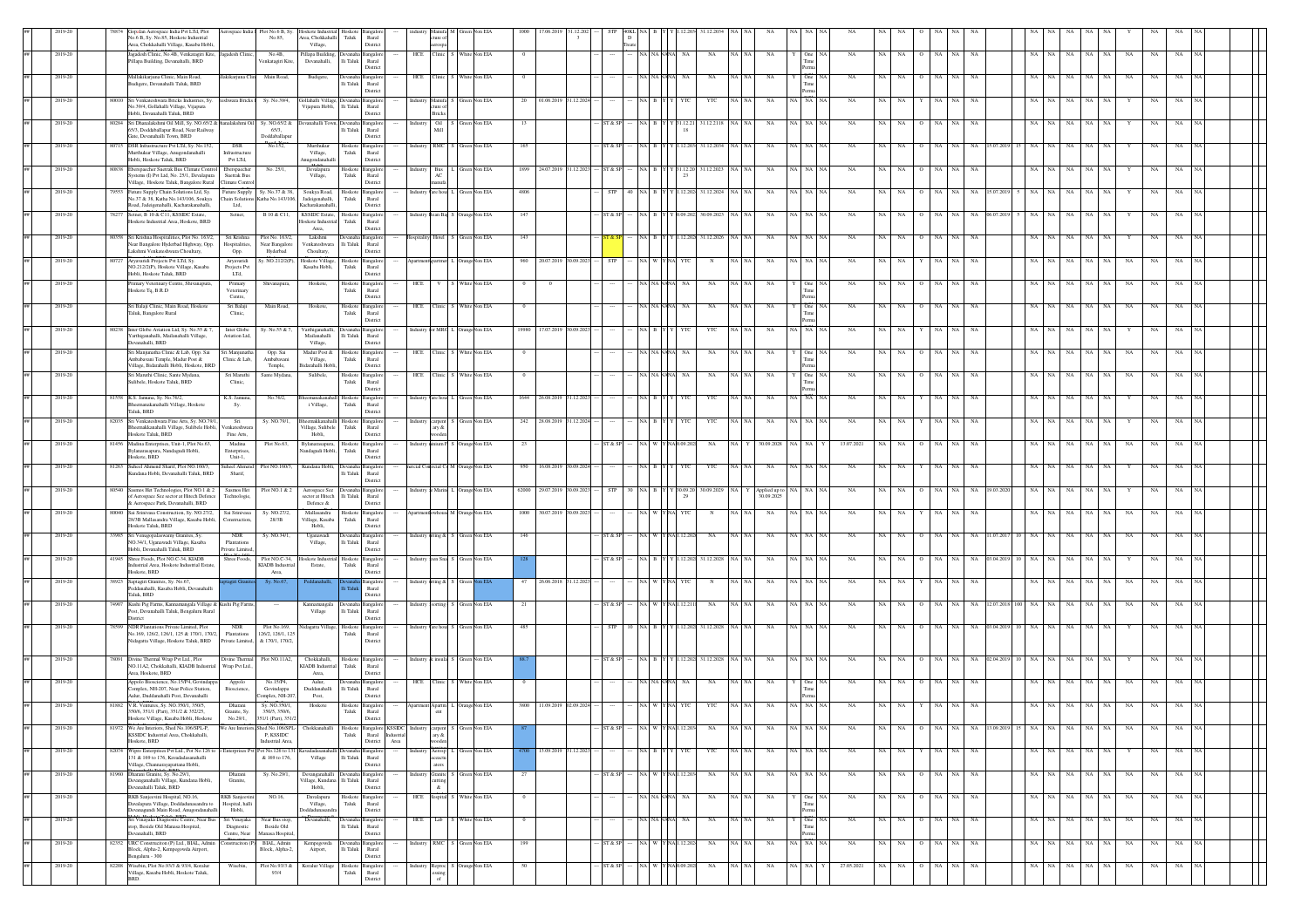|         |         |       | palan Aerospace India Pvt LTd, Plot<br>Aerospace India   Plot No.6 B, Sy.<br>No.6 B, Sy. No.85, Hoskote Industrial<br>No.85,<br>Area, Chokkahalli Village, Kasaba Hobli,                                             | skote Indu<br>krea, Chokkahalli Taluk<br>Village.      | Hoskote<br>Rural<br>District                                                      |                                               |                                      |                |                      |           |         |                   |            |                                    |          |                             |                |             |                                   |                     |                |          |       |                  |             |             |             |    |             |  |
|---------|---------|-------|----------------------------------------------------------------------------------------------------------------------------------------------------------------------------------------------------------------------|--------------------------------------------------------|-----------------------------------------------------------------------------------|-----------------------------------------------|--------------------------------------|----------------|----------------------|-----------|---------|-------------------|------------|------------------------------------|----------|-----------------------------|----------------|-------------|-----------------------------------|---------------------|----------------|----------|-------|------------------|-------------|-------------|-------------|----|-------------|--|
| ##      | 2019-20 |       | Jagadesh Clinic, No.4B, Venkatagiri Kite,<br>Jagadesh Clinis<br>No.4B.<br><sup>2</sup> illapa Building, Devanahalli, BRD<br>Venkatagiri Kite                                                                         | Pillapa Building,<br>Devanahalli.                      | Bangalor<br>lli Taluk<br>Rural                                                    | HCE<br>Clinic                                 | White Non EIA                        |                |                      |           |         | NA NANANA         | <b>NA</b>  | NA                                 | NA NA    | NA                          | One            | NA          | $_{\rm NA}$<br>NA                 | NA<br>NA.           | NA             |          | NA.   | NA<br>NA.        | NA          | NA          | NA          | NA | <b>NA</b>   |  |
|         | 2019-20 |       | Mallakikariuna Clinic, Main Road,<br>Ilakikarjuna Clin<br>Main Road.<br>Budigere, Devanahalli Taluk, BRD                                                                                                             | Budigere,                                              | District<br>mealo<br>Ili Taluk<br>Rural                                           | HCE Clinic                                    | S White Non EIA                      |                |                      |           |         |                   | NA         | <b>NA</b>                          | NA N     | NA                          | One            | NA          | NA  <br>NA<br>$\circ$             | NA<br>NA.           | NA             |          | NA NA | NA               | NA          | NA.         | NA          | NA | NA.         |  |
| ##      | 2019-20 |       | Sri Venkateshwara Bricks Industries, Sy. teshwara Bricks<br>Sy. No.39/4,                                                                                                                                             | Sollahalli Village,                                    | District<br>Devanaha Bangalo                                                      | Industry Manufa                               | Green Non EIA                        | 20             | 01.06.2019           | 1.12.202  |         |                   |            | YTC                                |          | NA                          | A NA           | NA          | NA<br>NA                          |                     | - NA           |          |       | NA               | NA          |             |             | NA | NA.         |  |
|         | 2019-20 |       | No.39/4, Gollahalli Village, Vijapura<br>Hobli, Devanahalli Taluk, BRD<br>80284 Sri Dhanalakshmi Oil Mill, Sy. NO.65/2 & hanalakshmi Oil<br>Sy. NO.65/2 &                                                            | Vijapura Hobli,                                        | lli Taluk<br>Rural<br>District                                                    | ture o<br><b>Bricks</b><br>Oil<br>Industry    | Green Non EIA                        | 13             |                      |           | ST & SI |                   |            | 31.12.2118                         |          | NA                          | NA NA          | NA          | NA<br>NA.                         | NA<br>NA            | NA             |          |       |                  | NA          | <b>NA</b>   |             |    |             |  |
|         |         |       | 65/3, Doddaballapur Road, Near Railway<br>65/3.<br>Gate, Devanahalli Town, BRD<br>Doddaballapu                                                                                                                       |                                                        | vanahalli Town, Devanaha Bangalo<br>li Taluk<br>Rura<br>Distric                   | Mill                                          |                                      |                |                      |           |         |                   | (31.12.2)  |                                    |          |                             |                |             |                                   |                     |                |          |       | NA               |             |             |             | NA | NA          |  |
|         | 2019-20 |       | No.152,<br>80715 DSR Infrastructure Pvt LTd, Sy. No.152,<br>DSR<br>Murthukur Village, Anugondanahalli<br>Infrastructur<br>Hobli, Hoskote Taluk, BRD<br>Pvt LTd.                                                      | Murthukur<br>Village,<br>ugondanahall                  | Hoskote<br><b>Bangalo</b><br>Taluk<br>Rural<br>Distric                            | RMC                                           | ireen Non EIA                        |                |                      |           | ST & S  |                   |            | 31.12.203                          |          | NA                          |                | NA          | NA                                |                     |                |          |       | NA               | NA          |             |             |    |             |  |
|         | 2019-20 |       | 80838 Eberspaecher Suetrak Bus Climate Control<br>Eberspaecher<br>No. 25/1,<br>Systems (I) Pvt Ltd, No. 25/1, Devalapura<br>Suetrak Bus                                                                              | Devalapura<br>Village,                                 | Hoskote Bangalo<br>Taluk<br>Rural                                                 | Bus<br>Industry                               | Green Non EIA                        |                | 1899 24.07.2019      | 1.12.202  | ST & SI |                   | [31.12.20] | 31.12.2023                         |          | NA                          | NA NA          | NA          | $_{\rm NA}$<br>NA                 | NA<br>$_{\rm NA}$   | NA             |          |       | NA               | $_{\rm NA}$ | $_{\rm NA}$ |             | NA | $_{\rm NA}$ |  |
|         | 2019-20 |       | Village, Hoskote Taluk, Bangalore Rural Climate Contr<br>Future Supply Chain Solutions Ltd, Sy.<br>Future Supply<br>Sv. No.37 & 38.<br>No.37 & 38, Katha No.143/106, Soukva<br>Chain Solution<br>1s Katha No.143/106 | Soukya Road,<br>Jadeigenahalli,                        | District<br>Hoskot<br>Taluk<br>Rural                                              | are hous                                      | ireen Non EIA                        | 4806           |                      |           |         |                   | Y 112.207  | 31.12.2024                         |          | NA                          | NA   NA        | NA          | NA<br>NA                          | NA<br>NA.           | NA             | 15.07.20 |       | NA               | NA          |             |             | NA | NA          |  |
|         | 2019-20 | 78277 | Road, Jadeigenahalli, Kacharakanahalli,<br>Ltd.<br>Setner, B 10 & C11, KSSIDC Estate,<br>Setner,<br><b>B</b> 10 & C11.                                                                                               | Kacharakanahalli<br><b>KSSIDC</b> Estate.              | District<br>Hoskote<br>angalor                                                    | Industry                                      | Bean Bas S OrangeNon EIA             | 147            |                      |           | 2.3T    |                   |            | 30.09.2023                         |          | NA                          | NA NA          | NA          | NA.<br>NA.<br>$\Omega$            | NA.<br>NA           | NA 06.07.20    |          |       | NA               | NA          | NA          |             | NA | NA          |  |
| $\# \#$ | 2019-20 |       | Hoskote Industrial Area, Hoskote, BRD<br>80358 Sri Krishna Hospitalities, Plot No. 163/2.<br>Sri Krishna<br>Plot No. 163/2.                                                                                          | loskote Industrial<br>Area,<br>Lakshmi                 | Taluk<br>Rural<br>District<br>Devanaha Bangalor                                   |                                               | Hospitality Hotel S Green Non EIA    | 143            |                      |           |         |                   |            | NA B Y Y 1.12.202 31.12.2026 NA NA |          | NA                          | NA NA          | NA          | <b>NA</b><br><b>NA</b><br>$\circ$ | NA<br>NA.           | NA             |          | NA    | NA               | NA          | NA          |             | NA | <b>NA</b>   |  |
|         |         |       | Near Bangalore<br>Near Bangalore Hyderbad Highway, Opp.<br>Hospitalities,<br>akshmi Venkateshwara Choultary,<br>Hyderbad<br>Opp.                                                                                     | Venkateshwara<br>Choultary,                            | lli Taluk<br>Rural<br>District                                                    |                                               |                                      |                |                      |           |         |                   |            |                                    |          |                             |                |             |                                   |                     |                |          |       |                  |             |             |             |    |             |  |
| $\# \#$ | 2019-20 |       | Aryavaridi Projects Pvt LTd, Sy.<br>y. NO.212/2(P)<br>Aryavaridi<br>NO.212/2(P), Hoskote Village, Kasaba<br>Projects Pvt<br>Hobli, Hoskote Taluk, BRD<br>LTd,                                                        | loskote Village,<br>Kasaba Hobli,                      | Hoskote Bangalo<br>${\rm Taluk}$<br>$\rm{Rural}$<br>District                      | ApartmentApartmen                             | OrangeNon EIA                        |                | 960 20.07.2019       | 1.09.202  |         |                   |            |                                    |          | NA                          | ëA   NA        | NA          | NA<br>NA.                         |                     | NA             |          |       | NA               | NA.         |             | NA          | NA | NA          |  |
|         | 2019-20 |       | Primary Veterinary Centre, Shivanapura,<br>Primary<br>Shivanapura,<br>Hoskote Tq, B.R.D<br>Veterinary<br>Centre                                                                                                      | Hoskote                                                | angalo<br>loskote<br>Taluk<br>Rural<br>District                                   | HCE                                           | Vhite Non EIA                        |                |                      |           |         |                   |            | NA                                 |          | NA                          |                | NA          | NA                                |                     |                |          |       |                  | NA          |             |             |    |             |  |
| $\#$    | 2019-20 |       | Sri Balaji<br>Sri Balaji Clinic, Main Road, Hoskote<br>Main Road,<br>Taluk, Bangalore Rural<br>Clinic,                                                                                                               | Hoskote,                                               | Hoskote Bangalor<br>Taluk<br>Rural                                                | HCE<br>Clinic                                 | S White Non EIA                      |                |                      |           |         |                   |            | NA                                 |          | NA                          | One            | NA          | $_{\rm NA}$<br>NA                 | NA                  |                |          |       | NA               | $_{\rm NA}$ | $_{\rm NA}$ | NA          | NA | NA          |  |
|         | 2019-20 |       | 80238 Inter Globe Aviation Ltd. Sv. No.55 & 7<br>Inter Globe<br>y. No.55 & 7<br>Yarthiganahalli, Mailanahalli Village,<br>Aviation Ltd,                                                                              | Varthiganahalli,<br>Mailanahalli                       | District<br>Bangalor<br>$\rm Ili$ Taluk<br>Rural                                  | Industry for MRO                              | <b>OrangeNon EIA</b>                 |                | 19980 17.07.201      |           |         |                   |            | YTC                                |          | NA                          | A NA           | NA          |                                   |                     |                |          |       |                  |             |             |             |    |             |  |
| ##      | 2019-20 |       | Devanahalli, BRD<br>Sri Maniunatha Clinic & Lab. Opp. Sai<br>Sri Maniunatha<br>Opp. Sai                                                                                                                              | Village,<br>Madur Post &                               | District<br>Hoskote Bangalor                                                      | HCE Clinic                                    | White Non EIA                        |                |                      |           |         |                   |            | <b>NA</b>                          | NA N/    | NA                          | One            | NA          | <b>NA</b><br><b>NA</b>            | NA<br>NA.           | NA             |          | NA NA | NA               | NA          | NA.         | NA.         | NA | NA.         |  |
|         | 2019-20 |       | Ambabayani Temple, Madur Post &<br>Clinic & Lab,<br>Ambabayani<br>Village, Bidarahalli Hobli, Hoskote, BRD<br>Temple,<br>Sri Maruthi Clinic, Sante Mydana<br>Sante Mydana<br>Sri Maruthi                             | Village,<br>idarahalli Hobli,<br>Sulibele.             | Taluk<br>Rural<br>District<br>Hoskote Bangalore                                   |                                               | HCE Clinic S White Non EIA           | $\mathbf{0}$   |                      |           |         | NA NANANA         | NA.        | NA                                 | NA NA    | NA                          | One            | NA          | <b>NA</b><br>NA<br>$\circ$        | NA 1<br>NA.         | NA             |          | NA NA | NA NA            |             | NA          | NA          | NA | NA.         |  |
|         |         |       | Sulibele, Hoskote Taluk, BRD<br>Clinic,                                                                                                                                                                              |                                                        | Taluk<br>Rural<br>District                                                        |                                               |                                      |                |                      |           |         |                   |            |                                    |          |                             |                |             |                                   |                     |                |          |       |                  |             |             |             |    |             |  |
|         | 2019-20 |       | 81558 K.S. Jamuna, Sy. No.76/2,<br>K.S. Jamana<br>No.76/2,<br>eemanakanahalli Village, Hoskote<br>Sy.<br>Taluk, BRD                                                                                                  | i Village,                                             | manakanahall Hoskote Bangalor<br>Taluk<br>Rural<br>District                       | Industry Vare hous                            | Green Non EIA                        |                | 1644 26.08.2019      | 31.12.202 |         |                   |            | YTC                                |          | NA                          | A NA           | NA          | NA.                               | NA                  | - NA           |          |       | NA               | NA.         |             |             | NA | NA          |  |
|         | 2019-20 |       | 82035 Sri Venkateshwara Fine Arts, Sy. NO.79/1,<br>Sy. NO.79/1,<br>Sri<br>emakkanahalli Village, Sulibele Hobli,<br>enkateshwar<br>Hoskote Taluk, BRD<br>Fine Arts,                                                  | illage, Sulibele<br>Hobli,                             | teemakkanahalli Hoskote Bangalore<br>Taluk<br>Rural<br>District                   | Industry<br>carpent                           | Green Non EIA                        |                | 242 28.08.2019       | 1.12.202  |         |                   | YTC        | YTC                                |          | NA                          | (A   NA        | NA          | NA<br><b>NA</b>                   | NA<br>NA            | NA             |          |       | NA               | NA          | NA          | Y           | NA | NA          |  |
|         | 2019-20 |       | 81456 Madina Enterprises, Unit-1, Plot No.63,<br>Plot No.63,<br>Madina<br>Bylanarasapura, Nandagudi Hobli,<br>Enterprise                                                                                             | Bylanarasapura,<br>landagudi Hobli,                    | Hoskote Bangalor<br>Taluk<br>Rural                                                | ium F<br>Industry                             | OrangeNon EIA                        | -23            |                      |           | ST & SI |                   |            | NA                                 |          | 30.09.2028                  | A NA           | 13.07.2021  | NA<br>NA                          |                     | NA             |          |       | NA               | $_{\rm NA}$ | NA          | NA          | NA |             |  |
|         | 2019-20 |       | Hoskote, BRD<br>Unit-1,<br>81263 Suheel Ahmend Sharif, Plot NO.160/3,<br>Suheel Ahmend<br>Plot NO.160/3,<br>Kundana Hobli, Devanahalli Taluk, BRD<br>Sharif,                                                         | Kundana Hobli,                                         | Distric<br>angal<br>lli Taluk<br>Rural                                            |                                               | nercial Conercial Cc M OrangeNon EIA |                | 950 16.08.2019       | 0.9.20    |         |                   |            | YTC                                |          | NA                          |                | NA          |                                   | NA.                 |                |          |       |                  | NA          |             |             |    | NA          |  |
|         | 2019-20 |       | 80540 Sasmos Het Technologies, Plot NO.1 & 2<br>Plot NO.1 & 2<br>Sasmos Het                                                                                                                                          | Aerospace Sez                                          | District                                                                          | Marine                                        | angeNon EIA                          |                | 62000 29.07.2019     | .09.202   |         |                   | Y 30.09.2  | 30.09.2029                         |          | Applied up to<br>30.09.2025 |                | NA          | NA                                | NA                  | NA             | 19.03.20 |       |                  | NA          |             |             |    |             |  |
|         | 2019-20 |       | of Aerospace Sez sector at Hitech Defence Technologie<br>& Aerospace Park, Devanahalli, BRD<br>80040 Sai Sriniyasa Construction, Sv. NO.27/2.<br>Sai Sriniyasa<br>Sy. NO.27/2                                        | sector at Hitech IIi Taluk<br>Defence &<br>Mallasandra | Rural<br>District<br>Hoskote<br>ingalo                                            |                                               | Apartment ownouse M OrangeNon EIA    |                | 1000 30.07.2019      |           |         |                   |            | N                                  |          | NA                          | NA NA          | NA          | NA.                               | NA<br>NA.           | NA             |          |       | NA               | NA          | NA          | NA          | NA | NA          |  |
|         |         |       | 28/3B Mallasandra Village, Kasaba Hobli, Construction,<br>28/3B<br>Hoskote Taluk, BRD                                                                                                                                | Village, Kasaba<br>Hobli,                              | Taluk<br>Rural<br>District                                                        |                                               |                                      |                |                      |           |         |                   |            |                                    |          |                             |                |             |                                   |                     |                |          |       |                  |             |             |             |    |             |  |
|         | 2019-20 |       | Sri Venugopalaswamy Granites, Sy.<br>Sy. NO.34/1,<br><b>NDR</b><br>NO.34/1, Uganawadi Village, Kasaba<br>Plantations<br>Hobli, Devanahalli Taluk, BRD<br>Private Limito                                              | Uganawad<br>Village,                                   | Ili Taluk<br>Rural                                                                | tting &                                       | Green Non EIA                        | 146            |                      |           |         |                   |            | NA                                 |          | -NA                         |                |             |                                   |                     |                | 11.07.20 |       |                  |             |             |             |    |             |  |
| $\# \#$ | 2019-20 |       | 11945 Shree Foods, Plot NO.C-34, KIADB<br>Shree Foods,<br>Plot NO.C-34,<br>KIADB Industrial<br>astrial Area, Hoskote Industrial Estate,<br>Hoskote, BRD<br>Area,                                                     | Estate,                                                | loskote Industrial Hoskote Bangalore<br>${\rm Taluk}$<br>$\rm{Rural}$<br>District |                                               | Industry szen Sna S Green Non EIA    |                |                      |           | ST & SI |                   |            | NA B Y Y 1.12.202 31.12.2028 NA NA |          | NA                          | NA NA NA       | NA          | NA  <br>NA.<br>$\circ$            | NA<br>NA 1          | NA 03.04.2019  |          | NA NA | NA               | NA          | NA          |             | NA | NA          |  |
|         | 2019-20 |       | Saptagin Granites, Sy. No.67,<br>ddanahalli, Kasaba Hobli, Devanahalli<br>Taluk, BRD                                                                                                                                 |                                                        | ingale<br>$\mathop{\rm Rural}\nolimits$<br>District                               | ing &                                         |                                      |                | 26.06.20             |           |         |                   |            |                                    |          |                             |                | NA          |                                   |                     |                |          |       |                  |             |             |             |    |             |  |
|         | 2019-20 | 74907 | Kushi Pig Farns, Kannamangala Village & Kushi Pig Farns,<br>Post, Devanahalli Taluk, Bengaluru Rural                                                                                                                 | Kannamangala<br>Village                                | Bangalore<br>$\rm Ili$ Taluk<br>Rural                                             | orting o                                      | Green Non EIA                        | 21             |                      |           |         |                   |            | NA                                 |          |                             | (A∣NA          |             |                                   |                     |                |          |       | NA               | NA          |             | NΑ          | NA |             |  |
|         | 2019-20 |       | District<br>78599 NDR Plantations Private Limited, Plot<br><b>NDR</b><br>Plot No.169,<br>No.169, 126/2, 126/1, 125 & 170/1, 170/2,<br>Plantations<br>126/2, 126/1, 125                                               | vidagatta Village,                                     | Distric<br>Hoskote<br>angalore<br>Taluk<br>Rural                                  | Industry                                      | <sup>/are hour</sup> S Green Non EIA | 485            |                      |           |         |                   |            | Y 1.12.202 31.12.2028              |          | NA                          | NA   NA        | NA          | NA<br>NA                          | NA<br>NA.           | NA<br>03.04.20 |          | NA    | NA               | NA          |             |             | NA | NA          |  |
|         |         |       | Nidagatta Village, Hoskote Taluk, BRD<br>& 170/1, 170/2.<br>Private Limited.                                                                                                                                         |                                                        | District                                                                          |                                               |                                      |                |                      |           |         |                   |            |                                    |          |                             |                |             |                                   |                     |                |          |       |                  |             |             |             |    |             |  |
|         | 2019-20 |       | 78091 Divine Thermal Wrap Pvt Ltd., Plot<br>Plot NO.11A2.<br>Divine Thermal<br>NO.11A2, Chokkahalli, KIADB Industrial<br>Wrap Pvt Ltd.,<br>Area, Hoskote, BRD                                                        | Chokkahalli.<br>KIADB Industrial<br>Area,              | Hoskote Bangalore<br>Taluk<br>Rural<br>District                                   | Industry                                      | insulat S Green Non EIA              |                |                      |           | ST & SP |                   |            | NA B Y Y 11.12.202 31.12.2028      | NA NA    | NA                          | NA NA NA       | NA          | <b>NA</b><br>NA<br>$\circ$        | NA<br>NA.           | NA 02.04.2019  |          | NA NA | NA               | NA          | NA          |             | NA | NA          |  |
|         | 2019-20 |       | Appolo Bioscience, No.15/P4, Govindappa<br>No.15/P4,<br>Appolo<br>Complex, NH-207, Near Police Station,<br>Govindappa<br>Bioscience,                                                                                 | Aalur,<br>Duddanahalli                                 | evanaha Bangalo<br>lli Taluk<br>Rural                                             | HCE Clinic                                    | S White Non EIA                      | $\mathbf{0}$   |                      |           |         | <b>JA NANA</b>    | NA         | NA.                                |          | NA                          | One            | NA          | NA 1<br>NA.<br>$\circ$            | NA -<br>NA 1        | NA             |          |       | NA 1             | NA          | NA          | NA          | NA | NA          |  |
|         | 2019-20 |       | alur, Duddanahalli Post, Devanahalli<br>mplex, NH-20<br>81882 V.R. Ventures, Sy. NO.350/1, 350/5,<br>Sy. NO.350/1,<br>Dharani<br>350/6, 351/1 (Part), 351/2 & 352/25,<br>350/5, 350/6,<br>Granite, Sy.               | Post,<br>Hoskote                                       | District<br>Hoskote Bangalore<br>Taluk<br>Rural                                   |                                               | Apartment Apartm L Orange Non EIA    | 3800           | 11.09.2019           | 12.09.202 |         |                   |            | YTC                                |          | NA                          | <b>A</b> NA    | NA          | NA                                | NA.                 |                |          |       | NA               | NA.         |             |             |    |             |  |
|         | 2019-20 | 81972 | Hoskote Village, Kasaba Hobli, Hoskote<br>No.29/1,<br>351/1 (Part), 351/2<br>We Are Interiors, Shed No.106/SPL-P,<br>We Are Inter<br>hed No.106/SP                                                                   | Chokkanahall                                           | District<br>Hoskote Bangalore KSSIDC                                              | carpent                                       | Green Non EIA                        |                |                      |           |         |                   |            | NA                                 |          | NA                          | NA   NA        | $_{\rm NA}$ | NA<br>NA<br>$\circ$               | NA<br>NA            | NA 13.09.2019  |          |       | NA               | NA          | NA          | NA          | NA | NA.         |  |
| $\# \#$ | 2019-20 | 82074 | KSSIDC Industrial Area, Chokkahalli,<br>P, KSSIDC<br>Hoskote, BRD<br><b>Industrial Area</b><br>Wipro Enterprises Pvt Ltd., Pot No.126 to p Enterprises Pvt Pot No.126 to 13                                          |                                                        | Taluk<br>District<br>Bangalo                                                      | Rural Industria<br>ary $\&$<br>Area<br>Aerosp | Green Non EIA                        |                | 13.09.2019 31.12.202 |           |         |                   |            | YTC                                |          | NA                          | NA   NA        | NA          | NA                                | NA.                 |                |          |       | NA               | NA          |             |             |    |             |  |
|         |         |       | 131 & 169 to 176, Kavadadasanahalli<br>& 169 to 176,<br>Village, Channarayapattana Hobli,                                                                                                                            | Village                                                | lli Taluk<br>Rural<br>District                                                    | ceactu<br>ators                               |                                      |                |                      |           |         |                   |            |                                    |          |                             |                |             |                                   |                     |                |          |       |                  |             |             |             |    |             |  |
| $\#$    | 2019-20 |       | 81960 Dharani Granite, Sy. No.29/1,<br>Sy. No.29/1,<br>Dharani<br>Devanganahalli Village, Kundana Hobli,<br>Granite.<br>Devanahalli Taluk, BRD                                                                       | Devanganahalli<br>Hobli.                               | 'illage, Kundana Ili Taluk Rural<br>District                                      | atting<br>$\alpha$                            | Granite S Green Non EIA              |                |                      |           | ST & SP | NA W YNA 1.12.20  |            | $_{\rm NA}$                        | NA NA    | $_{\rm NA}$                 | NA NA NA       | NA          | NA NA                             | $\hbox{O}$ NA NA NA |                |          | NA NA |                  | $NA$ $NA$   | NA          | $_{\rm NA}$ | NA | NA<br>NA    |  |
| ##      | 2019-20 |       | RKB Sanjeevini Hospital, NO.16,<br><b>RKB</b> Sanicevin<br>NO.16.<br>Davalapura Village, Doddadunasandra to Hospital, halli<br>Devanagundi Main Road, Anugondanahalli<br>Hobli,                                      | Davalapura<br>Village,                                 | Hoskote Bangalore<br>Taluk<br>Rural                                               | HCE Hospital                                  | White Non EIA                        |                |                      |           |         |                   |            | NA                                 | $NA$ $N$ | NA                          | Tin            | NA          | NA 1<br>NA.<br>$\circ$            | NA NA               | NA.            |          | NA NA | <b>NA</b>        | NA          | NA          | NA          | NA | NA.         |  |
| ##      | 2019-20 |       | Sri Vinayaka Diagnostic Centre, Near Bus Sri Vinayaka<br>Near Bus stop,<br>stop, Beside Old Manasa Hospital,<br><b>Beside Old</b><br>Diagnostic                                                                      | <b>voddadunasandı</b><br>Devanahalli.                  | District<br>Jevanaha Bangalor<br>Ili Taluk Rural                                  |                                               | HCE Lab S White Non EIA              | $\overline{0}$ |                      |           |         | NA NA NANA        | NA.        | NA                                 | NA NA    | NA                          | One<br>Tin     | NA          | NA NA                             | 0 NA NA             | NA             |          |       | NA NA<br>NA NA I |             | NA          | NA          | NA | NA          |  |
| $\# \#$ | 2019-20 |       | Devanahalli, BRD<br>Centre, Near<br>Manasa Hospital<br>82352 URC Construciton (P) Ltd., BIAL, Admin Construciton (P)<br>BIAL, Admin                                                                                  | Kempegowda                                             | District<br>Devanaha Bangalor                                                     | Industry                                      | RMC S Green Non EIA                  | 199            |                      |           | ST & SP | NA W Y NA1.12.202 |            | NA                                 | NA NA    | NA                          | $\rm NA-NA-NA$ | $_{\rm NA}$ | $\rm NA$ $ \rm NA$                | O NA<br>NA          | NA             |          |       | NA NA<br>NA NA   |             | NA          | NA          | NA | NA<br>NA    |  |
| ##      | 2019-20 |       | Block, Alpha-2, Kempegowda Airport,<br>Block, Alpha-2,<br>Bengaluru - 300<br>82208 Wisebin, Plot No.93/3 & 93/4, Koralur<br>Wisebin,<br>Plot No.93/3 &                                                               | Airport,<br>Coralur Village                            | $\rm Ili$ Taluk<br>Rural<br>District<br>Hoskote Bangalor                          |                                               | Industry Reproc S OrangeNon EIA      | 50             |                      |           | ST & SI |                   | Y NAC      | NA                                 | NA NA    | NA                          | NA NA          | 27.05.2021  | NA  <br>NA<br>$\circ$             | NA<br>NA            | NA             |          |       | NA               | NA          | NA          | NA          | NA | NA<br>NA    |  |
|         |         |       | Village, Kasaba Hobli, Hoskote Taluk,<br>93/4<br><b>BRD</b>                                                                                                                                                          |                                                        | ${\rm Taluk}$<br>Rural<br>District                                                | ssing<br>of                                   |                                      |                |                      |           |         |                   |            |                                    |          |                             |                |             |                                   |                     |                |          |       |                  |             |             |             |    |             |  |

waste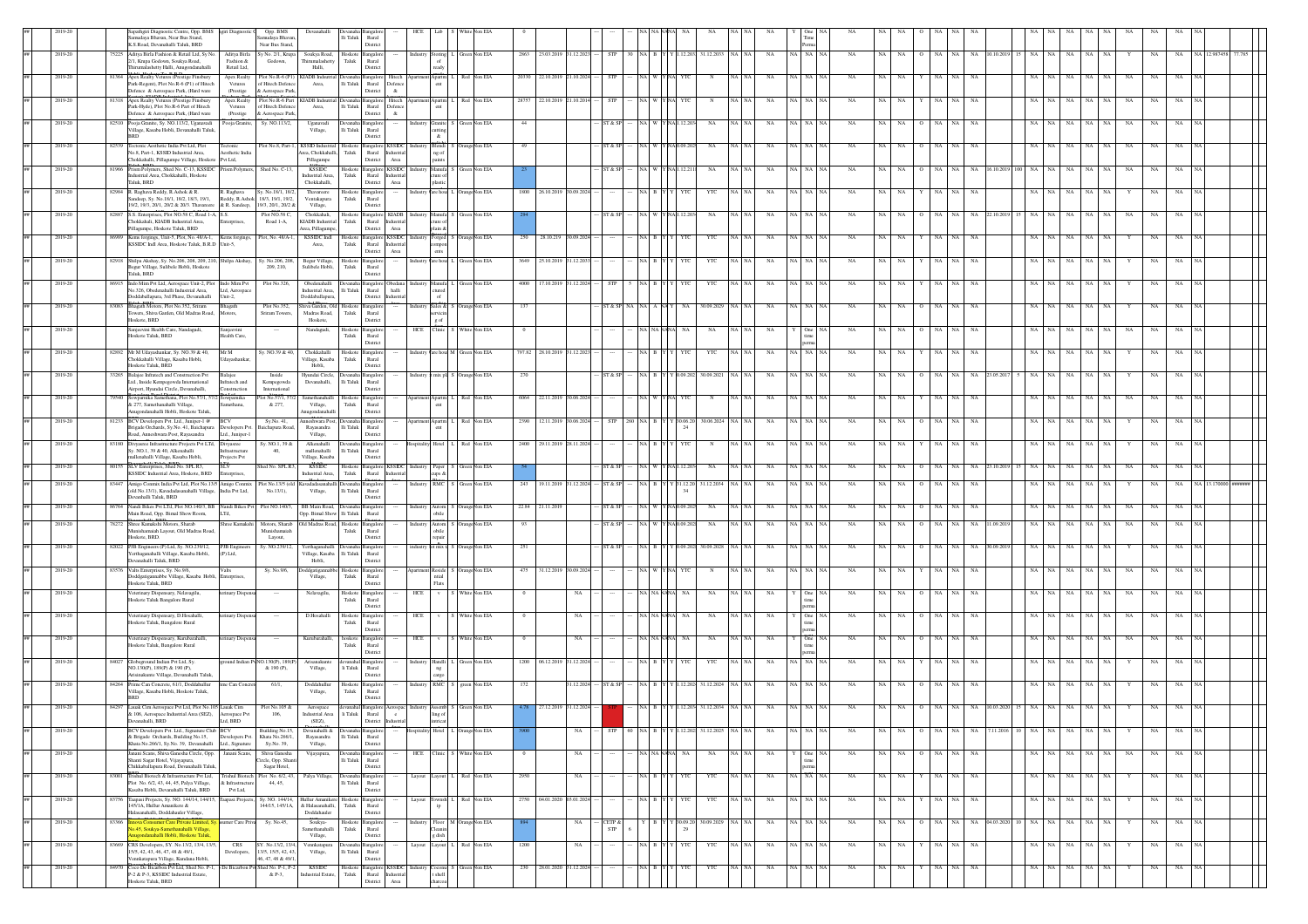|         |       | apathgiri Diagnostic Centre, Opp. BMS ngiri Diagnosti<br>Samudaya Bhavan, Near Bus Stand,<br>K.S.Road, Devanahalli Taluk, BRD                                                                        | Opp. BMS<br>Samudaya Bhavan<br>Near Bus Stand, | Devanahall                                           | Devanaha<br>$\rm{Hi\;Taluk}$          | Rural<br>District                                               |                   |                                                                                  |                                    |                            |                       |            |                      |             |                          |               |              |        |    |           |     |                   |                  |                        |             |             |     |           |     |    |             |              |  |
|---------|-------|------------------------------------------------------------------------------------------------------------------------------------------------------------------------------------------------------|------------------------------------------------|------------------------------------------------------|---------------------------------------|-----------------------------------------------------------------|-------------------|----------------------------------------------------------------------------------|------------------------------------|----------------------------|-----------------------|------------|----------------------|-------------|--------------------------|---------------|--------------|--------|----|-----------|-----|-------------------|------------------|------------------------|-------------|-------------|-----|-----------|-----|----|-------------|--------------|--|
| 2019-20 |       | 75225 Aditya Birla Fashion & Retail Ltd, Sy No.<br>Aditya Birla<br>1, Krupa Godown, Soukya Road,<br>Fashion &                                                                                        | iy No. 2/1, Krupa<br>Godown,                   | Soukya Road,                                         | ${\rm T}$ aluk                        | Hoskote Bangalon<br>Rural                                       |                   | Storing                                                                          | L Green Non EIA                    | 2863 23.03.2019 31.12.2023 |                       | <b>STP</b> | 30 NA B Y Y 1.12.203 |             | 31.12.2033               | NA            | NA NA NA     |        | NA | NA        | NA. | NA                | NA               | NA 10.10.201           | 15 NA       | NA.<br>NA   | NA  | NA        |     |    |             | VA 12.987458 |  |
| 2019-21 |       | Thirumalashetty Halli, Anugondanahalli<br>Retail Ltd,<br>Apex Realty Vetures (Prestige Finsbury<br>Apex Realty                                                                                       | Plot No.R-6 (P1                                | Halli,<br><b>IADB</b> Inds                           |                                       | District<br>langalor                                            |                   | eady<br>Apartm                                                                   | Non EI/<br>20330                   |                            |                       |            |                      |             |                          |               |              |        |    |           |     |                   |                  |                        |             |             |     |           |     |    |             |              |  |
|         |       | Park-Regent), Plot No.R-6 (P1) of Hitech<br>Vetures<br>Defence & Aerospace Park, (Hard ware<br>(Prestige                                                                                             | f Hitech Defence<br>k Aerospace Park           | Area,                                                | $\rm Ili$ Taluk                       | Rural<br>Defence<br>District<br>$\&$                            |                   | ent                                                                              |                                    |                            |                       |            |                      |             |                          |               |              |        |    |           |     |                   |                  |                        |             |             |     |           |     |    |             |              |  |
| 2019-20 |       | \$1318 Apex Realty Vetures (Prestige Finsbury<br>Apex Realty<br>Park-Hyde), Plot No.R-6 Part of Hitech<br>Vetures                                                                                    | Plot No.R-6 Part<br>f Hitech Defenc            | KIADB Indsutria<br>Area,                             | $\rm Ili$ Taluk                       | Devanaha Bangalore<br>Hitech<br>Rural<br>Defence                |                   | Apartm<br>ent                                                                    | Red Non EIA                        | 28757 22.10.2019           |                       |            |                      |             |                          | NA            |              |        |    |           |     |                   | NA               |                        | <b>NA</b>   | NA<br>NA    |     |           |     |    |             |              |  |
| 2019-20 |       | Defence & Aerospace Park, (Hard ware<br>(Prestige<br>82510 Pooja Granite, Sy. NO.113/2, Uganavadi<br>Pooja Granite<br>Village, Kasaba Hobli, Devanahalli Taluk.                                      | & Aerospace Park<br>Sy. NO.113/2,              | Uganavad<br>Village,                                 | lli Taluk                             | District<br>$\alpha$<br>ngalor<br>Rural                         |                   | utting                                                                           | Granite S Green Non EIA<br>44      |                            |                       | ST & SF    |                      |             | NA                       | NA            |              |        | NA | NA        | NA  | NA                | <b>NA</b><br>NA  |                        | NA.         | NA<br>NA    | NA  | NA        | NA  |    |             |              |  |
| 2019-20 |       | <b>BRD</b><br>82539 Tectonic Aesthetic India Pvt Ltd. Plot<br>Tectonic                                                                                                                               | Plot No.8, Part-1.                             | <b>KSSID</b> Industrial                              |                                       | District<br>Hoskote Bangalore KSSIDC                            |                   | $\&$<br>Blendi                                                                   | OrangeNon EIA<br>49                |                            |                       | ST & SI    | A I W                | Y NAJ0.09.2 | NA                       | NA            | NA   NA   NA |        | NA | NA        | NA. | NA                | NA               |                        | NA.         | NA.<br>NA   | NA  | NA        | NA  |    |             |              |  |
|         |       | No.8, Part-1, KSSID Industrial Area.<br>Aesthetic India<br>Chokkahalli, Pillagumpe Village, Hoskote Pvt Ltd,                                                                                         |                                                | rea, Chokkahalli,<br>Pillagumpe                      | Taluk                                 | Rural Industria<br>District<br>Area                             |                   | ng of                                                                            |                                    |                            |                       |            |                      |             |                          |               |              |        |    |           |     |                   |                  |                        |             |             |     |           |     |    |             |              |  |
| 2019-20 |       | 81966 Prism Polymers, Shed No. C-13, KSSIDC Prism Polymers,<br>Industrial Area, Chokkahalli, Hoskote                                                                                                 | Shed No. C-13                                  | <b>KSSIDC</b><br>Industrial Area,                    | Taluk                                 | Hoskote Bangalore KSSIDC<br>Rural Industria                     |                   | ture of                                                                          | ndustry Manufa S Green Non EIA     |                            |                       | ST & SP    | (A W Y NAIL12.2)     |             | NA                       | NA            | NA NA NA     |        | NA | NA.       | NA  | NA.               | NA               | NA.<br>16.10.2019      | $100$ NA    | NA.<br>NA   |     | NA NA     | NA  |    |             |              |  |
| 2019-20 |       | Taluk, BRD<br>82984 R. Raghava Reddy, R.Ashok & R.<br>R. Raghava<br>Sandeep, Sy. No.18/1, 18/2, 18/3, 19/1,<br>Reddy, R.Ashok                                                                        | Sy. No.18/1, 18/2,<br>18/3, 19/1, 19/2,        | Chokkahalli,<br>Thavareere<br>Ventakapura            | ${\rm Taluk}$                         | District<br>Area<br>Hoskote Bangalore<br>Rural                  |                   | lastic                                                                           | Industry Vare hous L OrangeNon EIA | 1800 26.10.2019            | 09.202                |            |                      |             | YTC                      | NA            | va i         |        | NA | NA        | NA  | NA                | <b>NA</b><br>NA  |                        | NA.         | NA<br>NA    | NA  | -NA       |     |    |             |              |  |
| 2019-20 |       | 19/2, 19/3, 20/1, 20/2 & 20/3. Thavareere & R. Sandeep,<br>82887 S.S. Enterprises, Plot NO.58 C, Road I-A, S.S.                                                                                      | 19/3, 20/1, 20/2 &<br>Plot NO.58 C             | Village,<br>Chokkahali,                              | Hoskote                               | District<br>Bangalore KIADB                                     |                   | lustry Manufa                                                                    | en Non EIA                         |                            |                       |            |                      |             | NA                       |               |              |        |    |           |     |                   |                  |                        |             |             |     |           |     |    |             |              |  |
|         |       | Chokkahali, KIADB Industrial Area,<br>Enterprises<br>Pillagumpe, Hoskote Taluk, BRD                                                                                                                  | Road 1-A,                                      | KIADB Industrial<br>rea, Pillagumpe                  | ${\rm T}$ aluk                        | Rural<br>Industria<br>District<br>Area                          |                   | dain &                                                                           |                                    |                            |                       |            |                      |             |                          |               |              |        |    |           |     |                   |                  |                        |             |             |     |           |     |    |             |              |  |
| 2019-20 |       | 86989 Kems forgings, Unit-5, Plot, No. 48/A-1,<br>Kems forgings,<br>KSSIDC Indl Area, Hoskote Taluk, B.R.D Unit-5,                                                                                   | Plot, No. 48/A-1                               | <b>KSSIDC</b> Indi<br>Area,                          | Taluk                                 | Hoskote Bangalore KSSIDC<br>Rural Industria<br>District<br>Area |                   | Forged                                                                           | OrangeNon EIA<br>250               | 28.10.219                  | 0.09.202              |            |                      |             | YTC                      | $_{\rm NA}$   |              |        | NA | NA        | NA  | NA                | NA<br>NA         |                        | NA          | NA<br>NA    | NA  | NA        |     |    |             |              |  |
| 2019-20 |       | 82918 Shilpa Akshay, Sy. No.206, 208, 209, 210, Shilpa Akshay,<br>Begur Village, Sulibele Hobli, Hoskote                                                                                             | Sy. No.206, 208,<br>209.210.                   | Begur Village,<br>Sulibele Hobli.                    | Hoskote<br>Taluk                      | angalor<br>Rural                                                |                   | are hous                                                                         | <b>Green Non EIA</b>               | 3649 25.10.2019            | 31.12.20              |            |                      |             | YTC                      | NA            |              |        | NA |           |     |                   | <b>NA</b>        |                        |             | NA<br>NA    | NA  |           |     |    |             |              |  |
| 2019-20 |       | Taluk, BRD<br>86915 Indo Mim Pvt Ltd, Aerospace Unit-2, Plot Indo Mim Pvt                                                                                                                            | Plot No.326.                                   | Obedenahalli                                         |                                       | District                                                        |                   | Manufa                                                                           | een Non EIA                        | 4000 17.10.201             | .12.20                |            |                      |             | YTC                      | NA            |              |        |    |           |     | NA                | NA               |                        | NA.         | NA.<br>NA   | NA  |           |     |    |             |              |  |
|         |       | No.326. Obedenahalli Industrial Area.<br>Ltd, Aerospace<br>Doddaballapura, 3rd Phase, Devanahalli<br>Unit-2,                                                                                         |                                                | Industrial Area. Ili Taluk<br>Doddaballapura,        |                                       | Rural<br>halli<br>District Industria                            |                   | ctured<br>of                                                                     |                                    |                            |                       |            |                      |             |                          |               |              |        |    |           |     |                   |                  |                        |             |             |     |           |     |    |             |              |  |
| 2019-20 |       | 83083 Bhagath Motors, Plot No.352, Sriram<br>Bhagath<br>Towers, Shiva Garden, Old Madras Road, Motors,<br>Hoskote, BRD                                                                               | Plot No.352.<br>Sriram Towers,                 | hiva Garden, Old Hoskote<br>Madras Road,<br>Hoskote, | ${\rm Taluk}$                         | angalor<br>Rural<br>District                                    | ndustr            | rvicin<br>g of                                                                   | Sales & S OrangeNon EIA<br>137     |                            |                       | ST & SP    |                      |             | 30.09.2029               | NA            | NA NA INA    |        | NA | NA.       |     | NA                | <b>NA</b>        |                        | NA.         | NA.<br>NA.  | NA  | - NA      |     |    |             |              |  |
| 2019-20 |       | Sanjeevini Health Care, Nandagudi,<br>Sanjeevini<br>Hoskote Taluk, BRD<br>Health Care,                                                                                                               |                                                | Nandagudi                                            | Hoskote<br>${\rm T}$ aluk             | Bangalor<br>Rural                                               | HCE Clinic        |                                                                                  | White Non EIA                      |                            |                       |            |                      |             | NA                       |               |              |        |    |           |     |                   |                  |                        |             | NA.         | NA. |           |     |    |             |              |  |
| 2019-20 | 82892 | Mr M Udayashankar, Sy. NO.39 & 40,<br>Mr M                                                                                                                                                           | y. NO.39 & 40                                  | Chokkahall                                           | Hoskote                               | District<br>Bangalor                                            |                   |                                                                                  | ndustry Vare hous M Green Non EIA  | 97.82 28.10.201            |                       |            |                      |             | YTO                      |               |              |        |    | NA        |     |                   |                  |                        |             |             | NA  |           |     |    |             |              |  |
|         |       | Chokkahalli Village, Kasaba Hobli,<br>Udayashanka<br>Hoskote Taluk, BRD                                                                                                                              |                                                | Village, Kasaba<br>Hobli,                            | ${\rm T}$ aluk                        | Rural<br>District                                               |                   |                                                                                  |                                    |                            |                       |            |                      |             |                          |               |              |        |    |           |     |                   |                  |                        |             |             |     |           |     |    |             |              |  |
| 2019-20 | 3265  | Balajee Infratech and Construction Pvt<br>Balajee<br>Ltd., Inside Kempegowda International<br>Infratech and<br>Airport, Hyundai Circle, Devanahalli,<br>Construction                                 | Inside<br>Kempegowda<br>International          | Hyundai Circle,<br>Devanahalli,                      | lli Taluk                             | Bangalo<br>Rural<br>District                                    |                   |                                                                                  | mix pls S OrangeNon EIA<br>270     |                            |                       | ST & S     |                      |             | 30.09.202                | NΑ            |              |        | NA | NA        |     |                   |                  |                        |             |             |     |           |     |    |             |              |  |
| 2019-20 |       | 79540 Sowparnika Samethana, Plot No.57/1, 57/2 Sowparnika<br>& 277. Samethanahalli Village.<br>methana,                                                                                              | lot No.57/1, 57/.<br>& 277,                    | Samethanahalli<br>Village,                           | Taluk                                 | Hoskote Bangalore<br>Rural                                      |                   | Apartm                                                                           | Red Non EIA                        | 6064 22.11.2019            |                       |            |                      |             |                          | NA            |              |        | NA |           |     |                   | NA               |                        | <b>NA</b>   | NA<br>NA    |     |           |     |    |             |              |  |
| 2019-20 |       | Anugondanahalli Hobli, Hoskote Taluk,<br>81233 BCV Developers Pvt. Ltd., Juniper-1 @<br>BCV                                                                                                          | Sy.No. 41,                                     | hugondanahalli<br>aneshwara Post,                    |                                       | District<br>Devanaha Bangalon                                   |                   |                                                                                  | Apartm L Red Non EIA               | 2390 12.11.2019            | 106.207               | <b>STP</b> |                      |             | 30.06.2024<br>30.06.20   | NA            | NA NA NA     |        | NA | NA        | NA  | NA                | NA<br>NA         |                        | NA 1        | NA<br>NA    | NA  | NA        |     |    |             |              |  |
|         |       | Brigade Orchards, Sy.No. 41, Baichapura Developers Pv<br>Road, Anneshwara Post, Rayasandra<br>Ltd., Juniper-1                                                                                        | aichapura Road                                 | Rayasandra<br>Village.                               | Ili Taluk                             | Rural<br>District                                               |                   |                                                                                  |                                    |                            |                       |            |                      |             |                          |               |              |        |    |           |     |                   |                  |                        |             |             |     |           |     |    |             |              |  |
| 2019-20 |       | 83180 Divyasree Infrastructure Projects Pvt LTd, Divyasree<br>Sy. NO.1, 39 & 40, Alkenahalli<br>nfrastructure<br>.<br>nallenahalli Village, Kasaba Hobli,<br>Projects Pvt                            | Sy. NO.1, 39 &<br>40,                          | Alkenahalli<br>mallenahalli<br>Village, Kasaba       | lli Taluk                             | Devanaha Bangalore<br>Rural<br>District                         | lospitality Hotel |                                                                                  | L Red Non EIA                      | 2400 29.11.2019 28.11.2024 |                       |            | NA BIY               |             | <b>YTC</b><br>$_{\rm N}$ | NA<br>NA   NA | NA NA NA     |        | NA | NA NA     |     | NA.               | NA<br>NA.        |                        |             | NA NA<br>NA |     | NA NA     |     | NA |             |              |  |
| 2019-20 | 8015  | SLV Enterprises, Shed No. SPL R3,<br><b>SLV</b><br>KSSIDC Industrial Area, Hoskote, BRD<br><b>Enterprises</b>                                                                                        | hed No. SPL R3                                 | KSSIDC<br>Industrial Area,                           | ${\rm Taluk}$                         | Hoskote Bangalore KSSIDO<br>Rural                               |                   | Paper<br>& zqu:                                                                  | Green Non EIA                      |                            |                       | ST & SI    |                      |             | NA                       | NA            |              |        | NA | NΑ        | NA  |                   |                  | NA<br>3.10.20          | 15 NA       | NA.<br>NA   | NA  | NA        | NA  |    |             |              |  |
| 2019-20 |       | 83447 Amigo Connix India Pvt Ltd, Plot No.13/5 Amigo Connix<br>(old No.13/1), Kavadadasanahalli Village, India Pvt Ltd,                                                                              | No.13/5 (oli<br>No.13/1).                      | Village,                                             | Ili Taluk                             | Rural                                                           |                   | <b>RMC</b>                                                                       | Green Non EIA<br>243               | 19.11.2019                 | 1.12.202              | ST & SI    |                      | 31.12.2     | 31.12.2034               | NA            | NA NA NA     |        | NA | NA        | NA  | NA<br>$\Omega$    | NA<br>NA         |                        | NA.         | NA<br>NA    | NA  | NA        |     |    | NA          |              |  |
| 2019-20 |       | Devanhalli Taluk, BRD<br>86764 Nandi Bikes Pvt LTd, Plot NO.140/3, BB Nandi Bikes P                                                                                                                  | Plot NO.140/3.                                 | BB Main Road.                                        |                                       | District                                                        |                   | Autom                                                                            | ngeNon EIA                         | 22.84 21.11.20             |                       | ST & S     |                      |             | NA                       |               |              |        | NA |           |     |                   |                  |                        | NA.         | NA.<br>NA   | NA  |           |     |    |             |              |  |
| 2019-20 |       | Main Road, Opp. Bimal Show Room.<br>LTd.<br>78272 Shree Kamakshi Motors, Sharab<br>Shree Kamaksh                                                                                                     | Motors, Sharab<br>Munishamaial                 | Opp. Bimal Show Ili Taluk<br>Old Madras Road,        | Hoskote                               | Rural<br>Bangalon                                               |                   | obile<br>Autom<br>obile                                                          | <b>S</b> OrangeNon EIA<br>93       |                            |                       | ST & SI    | A W Y NA0.09.2       |             | NA                       | NA            |              |        | NA | NA        |     |                   |                  | 1.09.20                | NA          | NA<br>NA    | NA  | NA        |     |    |             |              |  |
| 2019-20 |       | Munishamaiah Layout, Old Madras Road<br>Hoskote RRD<br>82022 PJB Engineers (P) Ltd, Sy. NO.239/12,<br>PJB Engin                                                                                      | Layout,<br>Sy. NO.239/12,                      | Yerthaganahalli                                      | Taluk                                 | Rural<br>District<br>levanaha Bangalon                          | ndustry           | roair                                                                            | ot mix ta S OrangeNon EIA<br>251   |                            |                       | ST & SF    | VA B Y Y 0.09.20     |             | 30.09.2028               | NA            | NA NA NA     |        | NA | NA        | NA  | NA                | NA<br>NA         | 0.09.20                | NA.         | NA<br>NA    | NA  | NA        |     |    |             |              |  |
|         |       | Certhaganahalli Village, Kasaba Hobli,<br>(P) Ltd,<br>Jevanahalli Taluk, BRD                                                                                                                         |                                                | Village, Kasaba<br>Hobli.                            | Ili Taluk                             | Rural<br>District                                               |                   |                                                                                  |                                    |                            |                       |            |                      |             |                          |               |              |        |    |           |     |                   |                  |                        |             |             |     |           |     |    |             |              |  |
| 2019-20 |       | 83576 Valts Enterprises, Sy. No.9/6,<br>Valts<br>Doddgatigannabbe Village, Kasaba Hobli, Enterprises,<br>Hoskote Taluk, BRD                                                                          | Sy. No.9/6,                                    | ddgatigann<br>Village,                               | Hoskot<br>Taluk                       | nealo<br>Rural                                                  |                   | <b>Reside</b><br>ntial<br>Flats                                                  | <b>OrangeNon EIA</b>               | 475 31.12.2019             | 0.9.202               |            | {A   W   Y   NA      |             |                          | NA            | NA   NA   NA |        | NA | NA        | NA  | NA                | <b>NA</b>        |                        | NA.         | NA.<br>NA   | NA  | NA        | NA  |    |             |              |  |
| 2019-20 |       | Veterinary Dispensary, Nelayagilu<br>terinary Dispe<br>Hoskote Taluk Bangalore Rural                                                                                                                 |                                                | Nelavagilu                                           | ${\rm Taluk}$                         | District<br>Hoskote Bangalon<br>Rural                           | HCE               | $\mathbf{v}$                                                                     | White Non EIA                      |                            | NA                    |            | <b>JA NANA</b>       |             | NA<br>NA.                | NA            |              | One NA | NA | NA        | NA  | NA                | <b>NA</b><br>NA. |                        | NA 1        | NA.<br>NA   | NA  | <b>NA</b> | NA  |    |             |              |  |
| 2019-20 |       | Veterinary Dispensary, D.Hosahalli,<br>terinary Disper                                                                                                                                               | $\sim$                                         | D.Hosahalli                                          | Hoskote                               | District<br><b>Bangalor</b>                                     | HCE               |                                                                                  | White Non EIA                      |                            | NA                    |            | A NA NAN             |             | NA                       | NA            |              | One I  | NA |           | NA. | NA.               | NA<br>NA         |                        | NA.         | NA.<br>NA   | NA  | - NA      | NA. |    |             |              |  |
|         |       | Hoskote Taluk, Bangalore Rural                                                                                                                                                                       |                                                |                                                      | ${\rm Taluk}$                         | Rural<br>District                                               |                   |                                                                                  |                                    |                            |                       |            |                      |             |                          |               |              |        |    |           |     |                   |                  |                        |             |             |     |           |     |    |             |              |  |
| 2019-21 |       | 'eterinary Dispensary, Kurubarahalli,<br>terinary Disper<br>Hoskote Taluk, Bangalore Rural                                                                                                           | $\cdots$                                       | Kurubarahalli,                                       | hoskote<br>Taluk                      | Bangalo<br>Rural<br>District                                    | HCE               | ${\bf v}$                                                                        | tite Non EIA                       |                            | NA                    |            |                      |             | NA                       | $_{\rm NA}$   |              |        | NA |           |     |                   |                  |                        |             | NA          | NA  |           |     |    |             |              |  |
| 2019-20 |       | 64027 Globeground Indian Pvt Ltd, Sy.<br>NO.130(P), 189(P) & 190 (P).                                                                                                                                | ground Indian PvNO.130(P), 189(P<br>& 190 (P), | Arisanakunte<br>Village,                             | li Taluk                              | <b>Bangalor</b><br>Rural                                        |                   | Handli                                                                           | Green Non EIA<br>1200              | 06.12.201                  | 1.12.20               |            |                      |             | YTC                      | NA            |              |        | NA |           |     | NA                | NA               |                        | NA          | NA          | NA  | NA        |     |    |             |              |  |
| 2019-20 |       | Arisinakunte Village, Devanahalli Taluk,<br>64264 Prime Can Concrete, 61/1, Doddahullur<br>time Can Concr                                                                                            | 61/1                                           | Doddahul <sup>In</sup>                               | Hoskote                               | District<br>langalo                                             |                   | cargo<br>RMC                                                                     | green Non EIA                      |                            | .12.202               |            |                      |             | 31.12.2024               |               |              |        |    |           |     |                   |                  |                        |             | NA<br>NA    |     |           |     |    |             |              |  |
|         |       | Village, Kasaba Hobli, Hoskote Taluk,<br><b>RRD</b>                                                                                                                                                  |                                                | Village,                                             | Taluk                                 | Rural<br>District                                               |                   |                                                                                  |                                    |                            |                       |            |                      |             |                          |               |              |        |    |           |     |                   |                  |                        |             |             |     |           |     |    |             |              |  |
| 2019-20 |       | 84297 Lauak Cim Aerospace Pvt Ltd, Plot No.105 Lauak Cim<br>& 106. Aerospace Industrial Area (SEZ). Aerospace Pvt<br>vanaballi RRD<br><b>ERRD</b>                                                    | Plot No.105 &<br>106.                          | Aerospace<br>Industrial Area<br>(SFZ)                | li Taluk                              | Rural<br>$-e$<br>listria                                        |                   | Assemb<br>ling of                                                                | Green Non EIA                      | 27.12.2019                 | 31.12.202             |            |                      |             | 31.12.2034               | NA            | NA I         |        |    |           |     |                   |                  |                        | NA.         | NA.<br>NA.  |     |           |     |    |             |              |  |
| 2019-20 |       | BCV Developers Pvt. Ltd., Signature Club BCV<br>Developers Pvt.<br>& Brigade Orchards, Building No.15,                                                                                               | Building No.15,<br>Khata No.266/1,             | Devanahalli & Devanaha Bangalor<br>Rayasandra        | $\rm{Hi}$ Taluk                       | Rural                                                           |                   | Hotel                                                                            | OrangeNon EIA                      |                            | NA                    | <b>STP</b> | 60 NA R Y Y 112202   |             | 31.12.2025               | NA            | NA NA NA     |        | NA | NA.       | NA  | NA<br>$\Omega$    | <b>NA</b>        | <b>NA</b><br>7.11.2016 | NA.<br>IO I | NA.<br>NA   | NA  | NA        |     | NA | NA          |              |  |
| 2019-20 |       | Khata No.266/1, Sy.No. 39, Devanahalli Ltd., Signature<br>Janani Scans, Shiva Ganesha Circle, Opp. Janani Scans,                                                                                     | Sy.No. 39,<br>Shiva Ganesha                    | Village,<br>Vijayapura,                              |                                       | District<br><b>Bangalo</b>                                      | HCE               |                                                                                  | Clinic S White Non EIA             |                            | NA                    |            | NA NA NAN            |             | NA                       | NA<br>iA∣NA ∶ |              |        | NA | <b>NA</b> | NA. | NA<br>$\circ$     | NA<br>NA         |                        | NA.         | NA<br>NA    |     | NA NA     | NA  | NA | $_{\rm NA}$ |              |  |
|         |       | Shanti Sagar Hotel, Vijayapura,<br>Chikkaballapura Road, Devanahalli Taluk                                                                                                                           | lircle, Opp. Shant<br>Sagar Hotel,             |                                                      | lli Taluk                             | Rural<br>District                                               |                   |                                                                                  |                                    |                            |                       |            |                      |             |                          |               |              |        |    |           |     |                   |                  |                        |             |             |     |           |     |    |             |              |  |
| 2019-20 |       | 83001 Trishul Biotech & Infrastructure Pvt Ltd, Trishul Biotech Plot No. 6/2, 43,<br>Plot No. 6/2, 43, 44, 45, Palya Village,<br>& Infrastructur<br>Kasaba Hobli, Devanahalli Taluk, BRD<br>Pvt Ltd, | 44, 45,                                        | Palya Village,                                       | Devanaha Bangalor<br>$\rm{Ili}$ Taluk | Rural<br>District                                               | Layout            |                                                                                  | Layout L Red Non EIA<br>2950       |                            | $_{\rm NA}$           |            | NABYY                |             | YTC<br>YΤ                | $_{\rm NA}$   | NA NA NA     |        | NA | NA        | NA  | NA NA<br>Y I      | NA               |                        | NA 1        | NA<br>NA    |     | NA NA     |     | NA | $_{\rm NA}$ |              |  |
| 2019-20 |       | 83756 Taapasi Projects, Sy. NO. 144/14, 144/15, Taapasi Projects<br>145/1A, Hullur Amanikere &                                                                                                       | Sy. NO. 144/14,<br>144/15, 145/1A,             | Hullur Amanike<br>& Halasanahalli.                   | Hoskote<br>Taluk                      | Bangalor<br>Rural                                               | Layout            | ownsh                                                                            | 2750<br>L Red Non EIA              |                            | 04.01.2020 03.01.2024 |            | NA B Y               |             | YTC                      | NA<br>NA NA   | NA NA NA     |        | NA | NA        | NA  | NA 1              | NA<br>NA         |                        | NA          | NA<br>NA    | NA  | NA        |     | NA | NA          |              |  |
| 2019-20 | 83366 | Halasanahalli, Doddahauler Village,<br>ova Consumer Care Private Limited, Sy.<br>sumer Care Priva                                                                                                    | Sy. No.45                                      | Doddahauler<br>Soukya-                               | Hoskote                               | District<br>Bangalore                                           |                   |                                                                                  | Floor M OrangeNon EIA              |                            | NA                    | CETP &     | R                    |             | 30.09.2029<br>30.09.2    | NA<br>NA NA   | NA NA NA     |        | NA | NA NA     |     | NA NA<br>$\Omega$ |                  | NA 04.03.202           | 10 NA NA    | - NA        |     | NA NA     |     | NA | NA          |              |  |
|         |       | io.45, Soukya-Samethanahalli Village,<br>nueondanahalli Hobli, Hoskote Taluk.                                                                                                                        |                                                | Samethanahalli<br>Village,                           | Taluk                                 | Rural<br>District                                               |                   | dish                                                                             |                                    |                            |                       | <b>STP</b> |                      |             |                          |               |              |        |    |           |     |                   |                  |                        |             |             |     |           |     |    |             |              |  |
| 2019-20 |       | 83669 CRS Developers, SY. No.13/2, 13/4, 13/5,<br><b>CRS</b><br>15/5, 42, 43, 46, 47, 48 & 49/1.<br>Developers<br><b>Zennkatanura Village Kundana Hobli</b>                                          | SY. No.13/2, 13/4<br>13/5, 15/5, 42, 43        | Vennkatapura<br>Village,                             | lli Taluk                             | evanaha Bangalore<br>Rural                                      | Layou             | ayout                                                                            | L Red Non EIA<br>1200              |                            | $_{\rm NA}$           |            | NA BIY               |             | YTC<br>YTC               | NA<br>NA   NA | NA NA NA     |        | NA | $NA$ $NA$ |     | NA NA             | NA               |                        |             | NA NA<br>NA |     | NA NA     |     | NA | $_{\rm NA}$ |              |  |
|         |       |                                                                                                                                                                                                      | 46, 47, 48 & 49/1                              |                                                      |                                       | District                                                        |                   |                                                                                  |                                    |                            |                       |            |                      |             |                          |               |              |        |    |           |     |                   |                  |                        |             |             |     |           |     |    |             |              |  |
| 2019-20 | 84970 | Coco De Bicarbon Pvt Ltd, Shed No. P-1, De Bicarbon<br>P-2 & P-3. KSSIDC Industrial Estate.<br>loskote Taluk, BRD                                                                                    | hed No. P-1, P-2<br>& P-3,                     | <b>KSSIDC</b><br>ndustrial Estate,                   | Hoskote<br>Taluk                      | angalore KSSIDC<br>Rural Industrial<br>Area<br>District         |                   | $\begin{array}{l} \text{Cocomu} \\ \text{t shell} \\ \text{charcoa} \end{array}$ | Green Non EIA                      | 230 28.01.2020             | 31.12.202             |            | a Bl                 |             | YTC                      | NA            | NA NA NA     |        | NA | NA.       | NA. | NA                | <b>NA</b><br>NA  |                        | NA.         | NA<br>NA    | NA  | <b>NA</b> |     | NA | NA.         |              |  |

l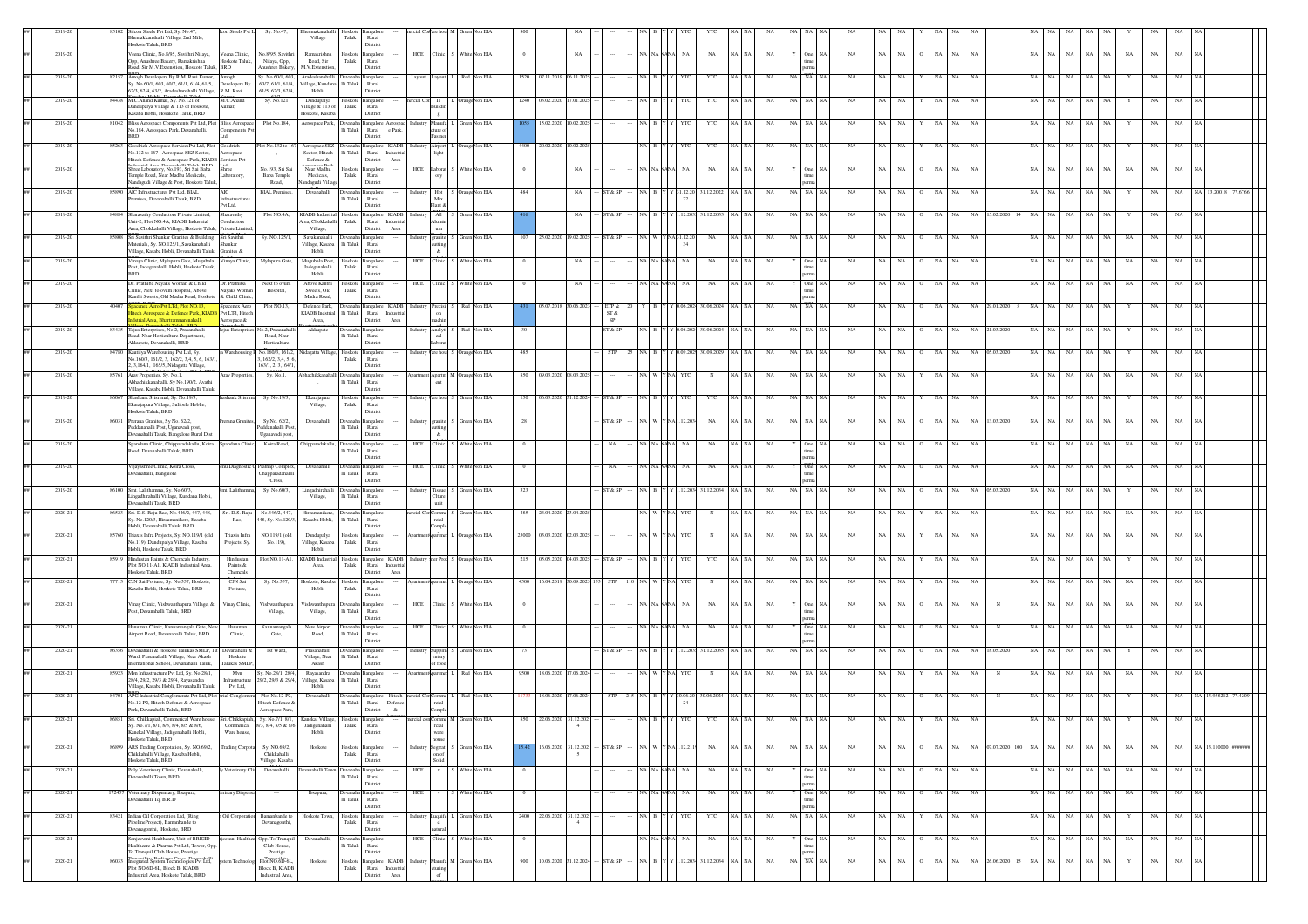|    |            |      | Silcon Steels Pvt Ltd. Sv. No.47.<br>Icon Steels Pvt L<br>Bhemakkanahalli Village, 2nd Mile,<br>Hoskote Taluk, BRD                                                               | Sy. No.47,                                                 | beemakanahall<br>Village                          | Hoskote<br>Taluk                   | Rural<br>District                                                 |          |                                                    |                                   |                  |            |                           |                     |                   |              |                  |         |             |              |                |           |       |                      |             |                                    |     |                   |             |           |    |             |             |                            |  |
|----|------------|------|----------------------------------------------------------------------------------------------------------------------------------------------------------------------------------|------------------------------------------------------------|---------------------------------------------------|------------------------------------|-------------------------------------------------------------------|----------|----------------------------------------------------|-----------------------------------|------------------|------------|---------------------------|---------------------|-------------------|--------------|------------------|---------|-------------|--------------|----------------|-----------|-------|----------------------|-------------|------------------------------------|-----|-------------------|-------------|-----------|----|-------------|-------------|----------------------------|--|
|    | 2019-20    |      | Veena Clinic, No.8/95, Savithri Nilaya,<br>Veena Clinic,<br>Opp, Anushree Bakery, Ramakrishna<br>Hoskote Taluk,<br>Road, Sir M.V.Extenstion, Hoskote Taluk, BRD                  | No.8/95, Savithri<br>Nilaya, Opp,<br>nushree Bakery.       | Ramakrishna<br>Road, Sir<br>M.V.Extenstion        | ${\rm Taluk}$                      | Hoskote Bangalon<br>Rural<br>District                             |          |                                                    | HCE Clinic S White Non EIA        |                  |            | $_{\rm NA}$               |                     | NA NANANA         |              | NA               | NA NA   | NA          |              | NA             | NA        | NA    | NA                   | <b>NA</b>   | NA                                 |     | NA                | NA          |           | NA |             |             |                            |  |
|    | 2019-21    |      | Amogh Developers By R.M. Ravi Kumar,<br>Amogh<br>Sy. No.60/1, 603, 60/7, 61/1, 61/4, 61/5,<br>Developers By<br>62/3, 62/4, 63/2, Aradeshanahalli Village, R.M. Ravi              | y. No.60/1, 60.<br>60/7, 61/1, 61/4,<br>61/5, 62/3, 62/4,  | Aradeshanahal<br>'illage, Kundana<br>Hobli,       | lli Taluk                          | <b>Bangalo</b><br>Rural<br>District                               |          |                                                    |                                   | 1520             | 07.11.201  |                           |                     |                   |              | YTO              |         |             |              |                |           |       |                      |             |                                    |     |                   |             |           |    |             |             |                            |  |
|    | 2019-20    |      | 84438 M.C. Anand Kumar, Sy. No.121 of<br>M.C.Anand<br>Dandupalva Village & 113 of Hoskote.<br>Kumar,<br>Kasaba Hobli, Hosakote Taluk, BRD                                        | Sy. No.121                                                 | Dandupalya<br>Village & 113 of<br>Hoskote, Kasaba | Taluk                              | Hoskote Bangalore<br>Rural<br>District                            |          | cial Cos IT<br>mildir<br>$\mathbf g$               | OrangeNon EIA                     | 1240 03.02.2020  |            |                           |                     |                   |              | YTO              |         |             |              |                |           |       |                      |             |                                    |     |                   |             |           |    |             |             |                            |  |
|    | 2019-20    |      | 81042 Bliss Aerospace Components Pvt Ltd, Plot Bliss Aerospace<br>No.184, Aerospace Park, Devanahalli,<br>Components P<br><b>BRD</b>                                             | Plot No.184,                                               | Aerospace Park                                    | Ili Taluk                          | angalore Ac<br>Rural e Park.<br>District                          |          | Manufa I<br>ture of<br>Fastner                     | Green Non EIA                     |                  | 15.02.2020 |                           |                     |                   |              | YTC              | NA NA   | NA          | NA   NA   N. | NA             |           |       |                      | NA.         | NA                                 |     |                   |             |           |    |             |             |                            |  |
|    | 2019-20    |      | 85263 Goodrich Aerospace ServicesPvt Ltd, Plot Goodrich<br>No.132 to 167, Aerospace SEZ Sector,<br>Aerospace<br>Hitech Defence & Aerospace Park, KIADB Services Pvt              | Plot No.132 to 16                                          | Aerospace SEZ<br>Sector, Hitech<br>Defence $\&$   | Ili Taluk                          | Devanaha Bangalore KIADB<br>Rural Industria<br>Area<br>District   |          | Airport 1<br>light                                 | L OrangeNon EIA                   | 4400 20.02.2020  |            | 0.02.202                  |                     |                   |              | YTC              | NA   NA | NA          | VA   NA   NA | NA             | NA.       |       |                      |             | <b>NA</b>                          |     | NA.               | NA.         |           |    |             |             |                            |  |
|    | 2019-20    |      | Shree Laboratory, No.193, Sri Sai Baba<br>Shree<br>Temple Road, Near Madhu Medicals,<br>Laboratory,<br>Nandagudi Village & Post, Hoskote Taluk,                                  | No.193, Sri Sai<br>Baba Temple<br>Road,                    | Near Madhu<br>Medicals,<br>andagudi Village       | Taluk                              | Hoskote Bangalore<br>Rural<br>District                            |          |                                                    | HCE Laborat S White Non EIA       | $\Omega$         |            | NA                        |                     | VA NANANA         | NA.          | NA               | NA NA   | NA          |              | NA<br>One NA   | NA        | NA    | NA                   | <b>NA</b>   | NA                                 |     | NA                | NA.         | <b>NA</b> | NA | NA.         | <b>NA</b>   |                            |  |
|    | 2019-20    |      | 85890 AIC Infrastructures Pvt Ltd, BIAL<br>AIC<br>remises, Devanahalli Taluk, BRD<br>Pvt Ltd,                                                                                    | <b>BIAL Premises</b> ,                                     | Devanahalli                                       | li Taluk                           | Devanaha Bangalore<br>Rural<br>District                           | Industry | Mix<br>lant &                                      | Hot S OrangeNon EIA               | 484              |            | NA                        |                     |                   | (31.12.20    | 31.12.2022       | NA   NA | NA          | A NA NA      | NA             |           |       | NA.                  | <b>NA</b>   | NA                                 |     |                   |             |           |    | NA          |             |                            |  |
|    | 2019-20    |      | 84884 Sharavathy Conductors Private Limited,<br>Sharavathy<br>Unit-2, Plot NO.4A, KIADB Industrial<br>conductors<br>Area, Chokkahalli Village, Hoskote Taluk, Private Limited    | Plot NO.4A,                                                | KIADB Industrial<br>rea, Chokkahalli<br>Village,  | Hoskote<br>Taluk                   | Bangalore KIADB<br>Rural<br>District<br>Area                      |          | All <sup>-1</sup><br>Alumir<br>$_{\text{um}}$      | Non EIA                           |                  |            |                           |                     |                   |              | 31.12.203        |         |             |              |                |           |       |                      |             |                                    |     |                   |             |           |    |             |             |                            |  |
|    | 2019-20    |      | 5808 Sri Savithri Shankar Granites & Building Sri Savithri<br>Materials, Sv. NO.125/1, Savakanahalli<br>Shankar<br>Village, Kasaba Hobli, Devanahalli Taluk,<br>Granites &       | Sy. NO.125/1,                                              | Savakanahalli<br>Village, Kasaba<br>Hobli,        | Ili Taluk                          | Bangalor<br>Rural<br>District                                     |          | idustry granite<br>atting<br>$\boldsymbol{\kappa}$ | Green Non EIA                     |                  |            | 25.02.2020 19.02.2025     | ST & SI             |                   | NA 31.12.2   | $_{\rm NA}$      | NA NA   | NA          |              | NA NA<br>NA    |           |       | NA                   | $_{\rm NA}$ | NA                                 |     | ŃА                |             |           | NA |             |             |                            |  |
|    | 2019-21    |      | Vinaya Clinic, Mylapura Gate, Mugubala Vinaya Clinic,<br>Post, Jadeganahalli Hobli, Hoskote Taluk<br><b>BRD</b>                                                                  | Mylapura Gate,                                             | Mugubala Post,<br>Jadeganahalli<br>Hobli.         | Hoskote<br>Taluk                   | langalor<br>Rural<br>District                                     |          | HCE Clinic                                         | White Non EIA                     |                  |            | NA                        |                     |                   |              | NA               |         | NA          |              | NA             |           |       |                      | <b>NA</b>   | NA                                 |     |                   |             |           |    |             |             |                            |  |
|    | 2019-20    |      | Dr. Prathiba Nayaks Woman & Child<br>Dr. Prathiba<br>Navaks Woman<br>Clinic. Next to ovum Hospital. Above<br>Kanthi Sweets, Old Madra Road, Hoskote & Child Clinic,              | Next to ovun<br>Hospital,                                  | Above Kanthi<br>Sweets, Old<br>Madra Road,        | Hoskote<br>Taluk                   | ngalo<br>Rural<br>District                                        |          | HCE Clinic                                         | White Non EIA                     |                  |            |                           |                     |                   |              | NA               |         | NA          |              |                |           |       |                      |             | NA                                 |     |                   |             |           |    |             |             |                            |  |
|    | 2019-20    |      | 40407 Spacenex Aero Pvt LTd, Plot NO.13.<br>Spacenex Aero<br>litech Aerospace & Defence Park, KIADB Pvt LTd, Hitech<br>Istrial Area, Bhartrammarenahalli<br>Aerospace &          | Plot NO.13.                                                | Defence Park.<br>KIADB Indstrial<br>Area,         | lli Taluk                          | evanaha Bangalore KIADB<br>Rural Industria<br>District<br>Area    |          | on<br>machin                                       | ndustry Precisi S Red Non EIA     |                  |            | 05.07.2018 30.06.2023     | ETP &<br>ST &<br>SP |                   | 06.20        | 30.06.2024       |         | NA          | NA NA        | NA             |           |       |                      |             |                                    |     |                   |             |           |    | NA.         | <b>NA</b>   |                            |  |
|    | 2019-20    |      | 83435 Tejus Enterprises, No.2, Prasanahalli<br>l'ejus Enterprise<br>Road, Near Horticulture Department,<br>Akkupete, Devanahalli, BRD                                            | lo.2, Prasanahal<br>Road, Near<br>Horticulture             | Akkupete                                          | Devanah<br>lli Taluk               | Bangalo<br>Rural<br>District                                      |          | Analyti<br>$_{\rm cal}$<br>aborat                  | Non EIA                           |                  |            |                           | ST & S              |                   |              | 30.06.2024       |         |             |              |                |           |       |                      |             |                                    |     |                   |             |           |    |             |             |                            |  |
|    | 2019-20    |      | Kautilya Warehousing Pvt Ltd, Sy.<br>a Warehousing<br>No.160/3, 161/2, 3, 162/2, 3,4, 5, 6, 163/1,<br>2, 3, 164/1, 165/5, Nidagatta Village,                                     | No.160/3, 161/2<br>, 162/2, 3, 4, 5, 6<br>163/1.2.3.164/1. | dagatta Village,                                  | Hoskote<br>Taluk                   | Bangalor<br>Rural<br>District                                     |          | are hous                                           | Orange Non EIA                    | 485              |            |                           |                     |                   |              | 30.09.202        |         |             |              |                |           |       |                      |             |                                    |     |                   |             |           |    |             |             |                            |  |
|    | 2019-20    |      | 85761 Arav Properties, Sy. No.1,<br>Arav Propertie<br>Abhachikkanahalli, Sy No.190/2, Avathi<br>Village, Kasaba Hobli, Devanahalli Taluk.                                        | Sy. No.1,                                                  | hachikkanal<br>$\rightarrow$                      | <b>Devan</b><br>$\rm{Ili}$ Taluk   | Bangalo<br>Rural<br>District                                      |          |                                                    | d Apartm M OrangeNon EIA          | 850              | 09.03.2020 |                           |                     |                   |              |                  |         |             |              |                |           |       |                      |             |                                    |     |                   |             |           |    |             |             |                            |  |
|    | 2019-20    |      | 86067 Shashank Srisrimal, Sv. No.19/3.<br>hashank Srisrin<br>Ekarajapura Village, Sulibele Hoblie<br>Hoskote Taluk, BRD                                                          | Sy. No.19/3,                                               | Ekarajapura<br>Village,                           | Taluk                              | Hoskote Bangalore<br>Rural<br>District                            |          |                                                    | ndustry Vare hous S Green Non EIA | 150              | 06.03.2020 |                           |                     |                   |              | YTO              |         |             |              | NA             |           |       |                      |             | NA                                 |     |                   |             |           |    |             |             |                            |  |
|    | 2019-20    |      | 86031 Prerana Granites, Sy No. 62/2,<br>Prerana Granite<br>Peddanahalli Post, Uganavadi post.<br>Devanahalli Taluk, Bangalore Rural Dist                                         | Sy No. 62/2,<br>Peddanahalli Pos<br>Uganavadi post         | Devanahalli                                       | lli Taluk                          | nealor<br>Rural<br>District                                       |          | tting<br>&.                                        | Industry granite S Green Non EIA  | 28               |            |                           |                     |                   |              | NA               | NA NA   | NA          | NA NA NA     | NA             |           |       | NA                   | NA          | NA<br>13.03.20                     |     | NA                | NA          |           | NA | NA          | NA          |                            |  |
|    | 2019-20    |      | Spandana Clinic, Chipparadakallu, Koira Spandana Clinic,<br>Road, Devanahalli Taluk, BRD                                                                                         | Koira Road.                                                | Chipparadakallu, Devanaha Bangalore               | li Taluk                           | Rural<br>District                                                 |          |                                                    | HCE Clinic S White Non EIA        | $\Omega$         |            |                           |                     | <b>A NANANA</b>   | NA.          | NA               | NA NA   | NA          |              | NA<br>One   NA | NA.       | NA.   | NA                   | NA.         | NA                                 | NA  | NA<br>NA.         | NA.         | <b>NA</b> | NA | NA.         |             |                            |  |
|    | 2019-20    |      | Vijayashree Clinic, Koira Cross,<br>enu Diagnostic O<br>evanahalli, Bangalore                                                                                                    | rathap Comple.<br>Thapparadahall<br>Cross,                 | Devanahalli                                       | Devana<br>lli Taluk                | langalor<br>Rural<br>District                                     |          |                                                    | HCE Clinic S White Non EIA        |                  |            |                           |                     |                   |              | NA               |         | NA          |              | One NA<br>NA   |           |       |                      |             |                                    |     |                   |             |           |    |             |             |                            |  |
|    | 2019-20    |      | 86100 Smt. Lalithamma, Sy. No.60/3,<br>Smt. Lalithamn<br>ingadhirahalli Village, Kundana Hobli,<br>anahalli Taluk, BRD                                                           | Sy. No.60/3,                                               | Lingadhirahalli<br>Village,                       | Devanaha Bangalor<br>lli Taluk     | Rural<br><b>Jistric</b>                                           |          |                                                    | Industry Tissue S Green Non EIA   | 323              |            |                           |                     |                   |              | 31.12.2034       |         | NA          | A NA NA      | <b>NA</b>      |           |       |                      |             | NA                                 |     |                   |             |           |    |             |             |                            |  |
|    | 2020-21    |      | 86523 Sri. D.S. Raju Rao, No.446/2, 447, 448,<br>Sri. D.S. Raju<br>Sy. No.120/3, Hireamanikere, Kasaba<br>Rao,<br>Hobli, Devanahalli Taluk, BRD                                  | No.446/2, 447<br>448, Sy. No.120/3,                        | Hireamanikere<br>Kasaba Hobli,                    | lli Taluk                          | angalor<br>Rural<br>District                                      |          | rcial CorComme<br>'omple                           | <b>Non EIA</b>                    | 485              | 24.04.202  |                           |                     |                   |              |                  |         |             |              |                |           |       |                      | NA          |                                    |     |                   |             |           |    |             |             |                            |  |
|    | 2020-2     |      | 55760 Triaxis Infra Projects, Sy. NO.119/1 (old<br>Triaxis Infra<br>No.119), Dandupalya Village, Kasaba<br>Projects, Sy.<br>Hobli, Hoskote Taluk, BRD                            | NO.119/1 (old<br>No.119).                                  | Dandupalya<br>Village, Kasaba<br>Hobli.           | Hoskote<br>Taluk                   | angalor<br>Rural<br>District                                      |          | artmen                                             | Orange Non EIA                    | 25000 03.03.2020 |            | 2.03.202                  |                     |                   |              |                  |         |             |              |                |           |       |                      |             |                                    |     |                   |             |           |    |             |             |                            |  |
|    | 2020-21    |      | 85919 Hindustan Paints & Chemcals Industry<br>Hindustar<br>Plot NO.11-A1. KIADB Industrial Area<br>Paints &<br>Hoskote Taluk, BRD<br>Chemcals                                    | Plot NO.11-A1,                                             | KIADB Industrial<br>Area.                         | Hoskote<br>Taluk                   | Bangalore KIADB<br>Rural Industria<br>District<br>Area            |          |                                                    | dustry mer Prod S OrangeNon EIA   | 215 05.05.2020   |            | 04.03.202                 |                     |                   |              | YTC              | NA NA   | NA          | NA NA NA     | NA             | NA        |       | NA.                  | NA          | NA                                 |     | NA                | NA          |           |    | NA          | NA          |                            |  |
|    | $2020 - 2$ |      | CJN Sai<br>CJN Sai Fortune, Sv. No.357, Hoskote<br>Kasaba Hobli, Hoskote Taluk, BRD<br>Fortune.                                                                                  | Sy. No.357                                                 | Hoskote, Kasaba<br>Hobli.                         | Hoskote<br>Taluk                   | ngalor<br>Rural<br>District                                       |          |                                                    | Non EIA                           | 4500 16.04.201   |            |                           |                     |                   |              |                  |         |             |              |                |           |       |                      | NA          | NA                                 |     |                   |             |           |    |             |             |                            |  |
|    | 2020-21    |      | Vinay Clinic, Vishwanthapura Village, & Vinay Clinic,<br>Post, Devanahalli Taluk, BRD                                                                                            | Vishwanthapur<br>Village,                                  | ishwanthapu<br>Village,                           | $\rm{Ili}$ Taluk                   | ingaloi<br>Rural<br>District                                      |          | HCE Clinic                                         | White Non EIA                     |                  |            |                           |                     |                   |              | NA               |         |             |              |                |           |       |                      |             |                                    |     |                   |             |           |    |             |             |                            |  |
|    | 2020-21    |      | Hanuman Clinic, Kannamangala Gate, New<br>Hanuman<br>sirport Road, Devanahalli Taluk, BRD<br>Clinic,                                                                             | Kannamangala<br>Gate,                                      | New Airpor<br>Road,                               | <b>Jevanal</b><br>$\rm{Ili}$ Taluk | Bangalor<br>Rural<br>District                                     |          |                                                    | HCE Clinic S White Non EIA        |                  |            |                           |                     |                   |              | NA               | NA NA   | NA          |              | NA             | <b>NA</b> |       |                      |             | NA                                 |     |                   |             |           | NA |             |             |                            |  |
|    | 2020-21    |      | Devanahalli & Hoskote Talukas SMLP, 1st Devanahalli &<br>Ward, Prasanahalli Village, Near Akash<br>Hoskote<br>International School, Devanahalli Taluk,<br>Talukas SMLP,          | 1st Ward,                                                  | Prasanahal<br>Village, Near<br>Akash              | li Taluk                           | Bangalo<br>Rural<br>District                                      |          | ndustry Supplm<br>entary<br>of food                | Green Non EIA                     | 73               |            |                           |                     |                   |              | 31.12.203        |         |             |              |                |           |       |                      |             |                                    |     |                   |             |           |    |             |             |                            |  |
|    | 2020-21    |      | 85923 Mvn Infrastructure Pvt Ltd, Sy. No.28/1,<br>Mvn<br>28/4, 29/2, 29/3 & 29/4, Rayasandra<br>Infrastructur<br>Village, Kasaba Hobli, Devanahalli Taluk,<br>Pvt Ltd,           | y. No.28/1, 28/4,<br>19/2, 29/3 & 29/4,                    | Rayasandra<br>Village, Kasaba<br>Hobli,           | li Taluk                           | Bangalor<br>Rural<br>District                                     |          |                                                    | Non EIA                           | 9500 18.06.2020  |            |                           |                     |                   |              |                  |         |             |              |                |           |       |                      |             |                                    |     |                   |             |           |    |             |             |                            |  |
|    | 2020-21    |      | 84701 APG Industrial Conglomerate Pvt Ltd, Plot strial Conglomes<br>No.12-P2, Hitech Defence & Aerospace<br>Park, Devanahalli Taluk, BRD                                         | Plot No.12-P2<br>Hitech Defence &<br>Aerospace Park,       | Devanahalli                                       | Ili Taluk                          | evanaha Bangalore Hitech<br>Rural Defence<br>District<br>$\alpha$ |          | reial<br>Comple                                    | rcial Cor Comme L Red Non EIA     |                  | 18.06.2020 |                           |                     |                   | 30.06.20     | 30.06.2024       |         |             |              |                |           |       |                      |             |                                    |     |                   |             |           |    |             |             |                            |  |
| ## | 2020-21    |      | 86851 Sri. Chikkapiah, Commerical Ware house, Sri. Chikkapiah, Sy. No.7/1, 8/1,<br>Sy. No.7/1, 8/1, 8/3, 8/4, 8/5 & 8/6,<br>Kanekal Village, Jadigenahalli Hobli,<br>Ware house, | Commerical 8/3, 8/4, 8/5 & 8/6, Jadigenahalli Taluk Rural  | Kanekal Village, Hoskote Bangalore<br>Hobli,      |                                    | District                                                          |          | reial<br>ware                                      | nercial con Comme M Green Non EIA | 850              |            | $\sim$                    |                     |                   |              | YTC              |         | NΑ          |              |                |           |       |                      |             |                                    |     |                   |             |           |    | NA          | <b>NA</b>   |                            |  |
|    | 2020-21    |      | Hoskote Taluk, BRD<br>86899 ARS Trading Corpotation, Sy. NO.69/2,<br><b>Trading Corpota</b><br>Chikkahalli Village, Kasaba Hobli,                                                | Sy. NO.69/2,<br>Chikkahalli                                | Hoskote                                           | Taluk                              | Hoskote Bangalore<br>Rural                                        |          | house<br>on of                                     | Segrrati S Green Non EIA          |                  |            | 16.06.2020 31.12.202      | ST & SP             | NA W Y NA1.12.211 |              | NA               | NA NA   | NA          | NA NA NA     | NA             |           | NA NA |                      |             | 0 NA NA NA 07.07.2020 100 NA NA NA |     |                   |             | NA NA     | NA |             |             | NA NA NA 13.110000 ####### |  |
|    | 2020-21    |      | Hoskote Taluk RRD<br>Poly Veterinary Clinic, Devanahalli,<br>Veterinary<br>Jevanahalli Town, BRD                                                                                 | Village, Kasaba<br>Devanahalli                             | vanahalli Tow                                     | <b>Jevanah</b><br>lli Taluk        | District<br>Bangalon<br>Rural                                     | HCE      | Solid                                              | White Non EIA                     |                  |            |                           |                     | NA NANANA         | <b>NA</b>    | <b>NA</b>        | NA NA   | NA          |              | NA<br>One NA   | <b>NA</b> | NA    | NA                   | <b>NA</b>   | NA                                 | NA  | NA<br>NA          | NA          | NA        | NA | NA          | <b>NA</b>   |                            |  |
|    | 2020-21    |      | 172457 Veterinary Dispensary, Ibsapura,<br>erinary Dispens<br>evanahalli Tq, B.R.D                                                                                               | $\sim$                                                     | Ibsapura,                                         | <b>Jevanal</b><br>lli Taluk        | District<br><b>Bangalon</b><br>Rural                              | HCE      | V                                                  | White Non EIA                     |                  |            |                           |                     | NA NA NANA        | <b>NA</b>    | NA               | NA NA   | NA          |              | NA<br>One NA   | NA        | NA    | NA                   | NA          | NA                                 | NA  | NA<br>NA          | NA          | <b>NA</b> | NA | NA          | NA          |                            |  |
|    | 2020-21    |      | 83421 Indian Oil Corporation Ltd, (Ring<br>Oil Corporatio<br>PipelineProject), Barnanbande to                                                                                    | Bamanbande to<br>Devanagonthi,                             | Hoskote Town,                                     | Taluk                              | District<br>Hoskote Bangalore<br>Rural                            | Industry |                                                    | Luquife L Green Non EIA           |                  |            | 2400 22.06.2020 31.12.202 |                     |                   |              | YTC              | NA NA   | NA          | VA NA NA     | $_{\rm NA}$    | NA        | NA    | NA                   | <b>NA</b>   | NA                                 | NA. | $_{\rm NA}$<br>NA | $_{\rm NA}$ | <b>NA</b> | Y  | NA          | NA          |                            |  |
|    | 2020-21    |      | evanagonthi, Hoskote, BRD<br>njeevani Healthcare, Unit of BRIGID<br>evani Health<br>Healthcare & Pharma Pvt Ltd, Tower, Opp.                                                     | Opp. To Tranqu<br>Club House,                              | Devanahalli                                       | $\rm{Ili}$ Taluk                   | District<br>Bangalore<br>Rural                                    |          | stural<br>HCE Clinic                               | White Non EIA                     |                  |            |                           |                     | NA NA NANA        | NA           | NA               | NA NA   | NA          | One          | NA             | NA        | NA    | NA<br>$\overline{0}$ | NA          | NA                                 | NA. | $_{\rm NA}$<br>NA | NA          | - NA      | NA | NA          | NA          |                            |  |
|    | 2020-21    | 6033 | To Tranquil Club House, Prestige<br>Integrated System Technologies Pvt Ltd,<br>Plot NO.6D-6L, Block B, KIADB                                                                     | Prestige<br>Plot NO.6D-6L,<br><b>Block B, KIADB</b>        | Hoskote                                           | Taluk                              | District<br>Hoskote Bangalore KIADB<br>Rural Industrial           |          | turing                                             | ndustry Manufa M Green Non EIA    | 900              |            | 10.06.2020 31.12.2024     | ST & SP             |                   | $Y$ 1.12.20. | 31.12.2034 NA NA |         | $_{\rm NA}$ | NA NA NA     | $_{\rm NA}$    | NA        | NA    | $_{\rm NA}$          | $_{\rm NA}$ | NA 26.06.2020 15 NA                |     | NA<br>NA          | $_{\rm NA}$ | NA        | Y  | $_{\rm NA}$ | $_{\rm NA}$ |                            |  |
|    |            |      | dustrial Area, Hoskote Taluk, BRD                                                                                                                                                | Industrial Area                                            |                                                   |                                    | District Area                                                     |          | of                                                 |                                   |                  |            |                           |                     |                   |              |                  |         |             |              |                |           |       |                      |             |                                    |     |                   |             |           |    |             |             |                            |  |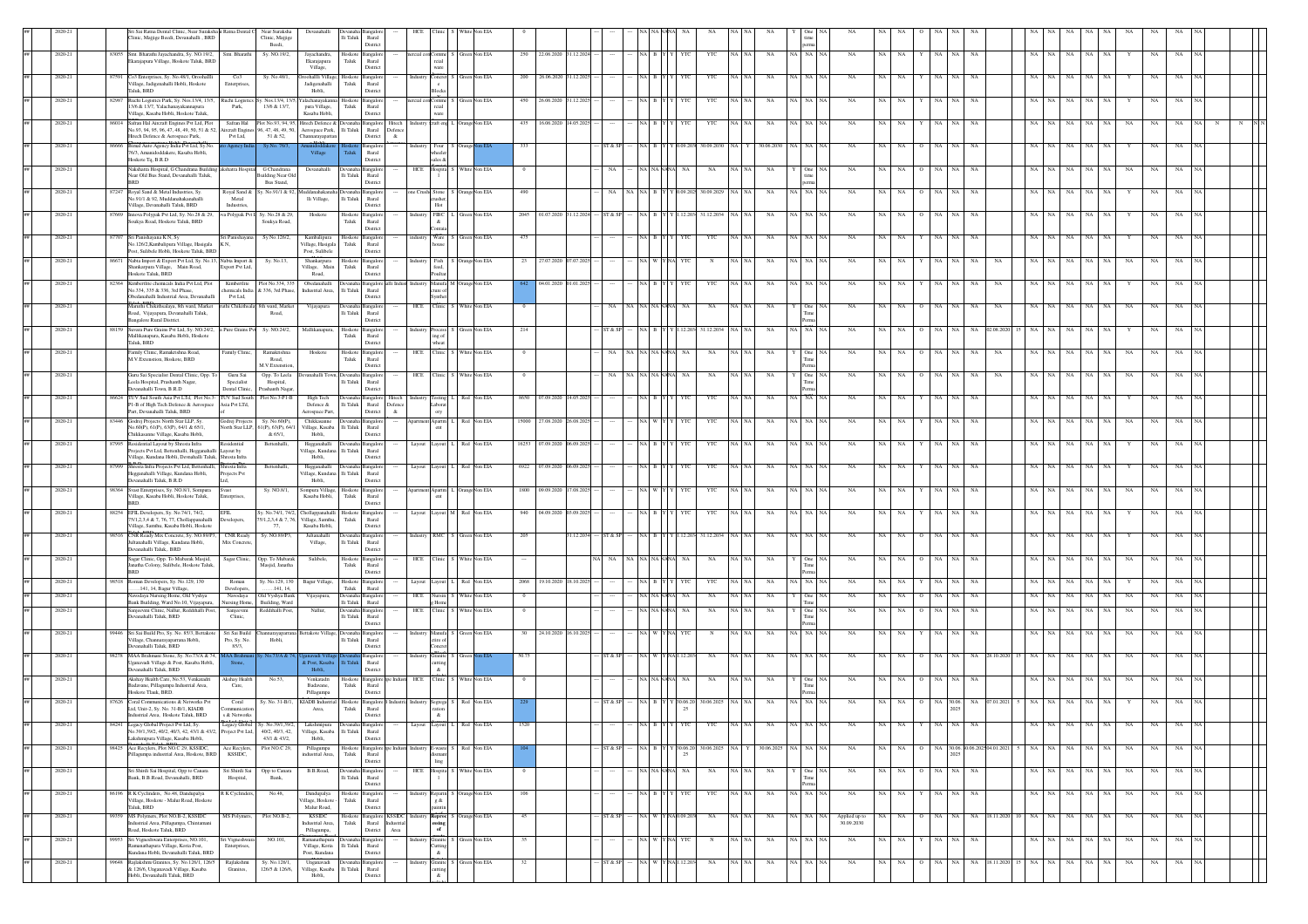|                    | ri Sai Ratna Dental Clinic, Near Suraksha i Ratna Dental C<br>linic, Majjige Beedi, Devanahalli, BRD                                                          |                                              | Near Suraksha<br>Clinic, Majjige<br>Beedi.                |                                                                | $\rm{Ili}$ Taluk             | Rural<br>District                                                        |         |                                                                             |                |                                     |           |              |                 |             |                              |         |             |      |                     |                              |                            |         |                                |                  |      |           |                   |           |           |             |             |           |  |
|--------------------|---------------------------------------------------------------------------------------------------------------------------------------------------------------|----------------------------------------------|-----------------------------------------------------------|----------------------------------------------------------------|------------------------------|--------------------------------------------------------------------------|---------|-----------------------------------------------------------------------------|----------------|-------------------------------------|-----------|--------------|-----------------|-------------|------------------------------|---------|-------------|------|---------------------|------------------------------|----------------------------|---------|--------------------------------|------------------|------|-----------|-------------------|-----------|-----------|-------------|-------------|-----------|--|
| 2020-21            | 83055 Smt. Bharathi Jayachandra, Sy. NO.19/2,<br>ikarajapura Village, Hoskote Taluk, BRD                                                                      | Smt. Bharathi                                | Sy. NO.19/2,                                              | Jayachandra<br>Ekarajapura                                     | Hoskote<br>Taluk             | <b>Bangalor</b><br>Rural                                                 |         | ercial cor Comm<br>reial                                                    | Green Non EIA  | 22.06.2020 31.12.2024<br>250        |           |              |                 | <b>YTC</b>  | YTC                          |         | $_{\rm NA}$ |      | NA NA NA            | NA                           | NA<br>NA                   |         | NA<br><b>NA</b>                | NA               |      | NA.       | NA.<br>NA         | NA        | NA        |             | NA          | <b>NA</b> |  |
| 2020-21            | 87591 Co3 Enterprises, Sy. No.48/1, Oroohallli                                                                                                                | Co3                                          | Sv. No.48/1.                                              | Village,<br>koohallli Villase<br>Jadigenahalli                 | Hoskote                      | District<br>langalor<br>Rural                                            |         | ware<br>Concret                                                             | een Non EIA    | 200 26.06.2020<br>31.12.202         |           |              |                 |             | YTC                          |         | NA          |      | NA NA NA            | NA                           | <b>NA</b><br>NA            |         | <b>NA</b><br>NA.               | <b>NA</b>        |      | NA.       | NA<br>NA.         | NA.       |           |             | NA.         | NA.       |  |
| $2020 - 21$        | Village, Jadigenahalli Hobli, Hoskote<br>Taluk, BRD<br>Ruchi Logistics Park, Sy. Nos.13/4, 13/5,<br>8298                                                      | Enterprises<br>tuchi Logistics               | y. Nos.13/4, 13/.                                         | Hobli,<br>Yalachanayakanna                                     | Taluk<br>Hoskote             | District<br>Bangalor                                                     |         | <b>Blocks</b><br>nercial cor Comme                                          | reen Non EIA   | 26.06.2020<br>450<br>1.12.202       |           |              |                 |             | YTC                          |         | NA          | ÝА   |                     | <b>NA</b>                    | N/<br>NA                   |         |                                |                  |      | NA.       | NA<br>NA          | NA.       |           |             | NA          | NA        |  |
|                    | 13/6 & 13/7, Yalachanayakannapura<br>.<br>Village, Kasaba Hobli, Hoskote Taluk,                                                                               | Park,                                        | 13/6 & 13/7,                                              | pura Village,<br>Kasaba Hobli.                                 | Taluk                        | Rural<br>District                                                        |         | rcial                                                                       |                |                                     |           |              |                 |             |                              |         |             |      |                     |                              |                            |         |                                |                  |      |           |                   |           |           |             |             |           |  |
| $2020 - 21$        | 86014 Safran Hal Aircraft Engines Pvt Ltd, Plot<br>vo.93, 94, 95, 96, 47, 48, 49, 50, 51 & 52,<br>Hitech Defence & Aerospace Park,                            | Safran Hal<br>Aircraft Engine<br>Pvt Ltd,    | Plot No.93, 94, 95<br>96, 47, 48, 49, 50<br>51 & 52,      | Hitech Defence &<br>Aerospace Park,<br>Channarayapattan        | lli Taluk                    | anaha Bangalore Hitech<br>Rural Defence<br>District<br>$\&$              |         | idustry craft eng L                                                         | Orange Non EIA | 16.06.2020<br>435<br>1.05.20        |           |              |                 | YTC         | YTC                          |         | NA          | NA I | NA IN               | NA                           | NA<br>NA                   |         | NA<br>NA                       | NA               |      | NA.       | NA<br>NA.         |           |           | NA.         | NA          | <b>NA</b> |  |
| 2020-21            | Bimal Auto Agency India Pvt Ltd, Sy.No<br>76/3, Amanidoddakere, Kasaba Hobli,<br>Hoskote Tq, B.R.D                                                            |                                              |                                                           | Village                                                        |                              | angalor<br>Rural<br>District                                             |         | Four<br>ales /                                                              |                |                                     |           |              |                 |             | 30.09.203                    |         | 30.06.2030  |      |                     | NA                           | N/<br>NA                   |         |                                |                  |      |           | NA<br>NA          | NA        |           |             | NA          |           |  |
| 2020-21            | Nakshatra Hospital, G Chandrana Building<br>Near Old Bus Stand, Devanahalli Taluk,                                                                            |                                              | kshatra Hospita G Chandrana<br><b>Building Near Old</b>   | Devanahalli                                                    | Ili Taluk                    | langalon<br>Rural                                                        | HCE     | Hospita S                                                                   | White Non EIA  |                                     | NA        |              | A NANA          | $_{\rm NA}$ | $_{\rm NA}$                  |         | $_{\rm NA}$ |      | One                 | $_{\rm NA}$                  | NA<br>$_{\rm NA}$          |         | NA<br>NA                       |                  |      | NA        | NA<br>NA          | NA        | NA        | $_{\rm NA}$ | $_{\rm NA}$ | NA        |  |
| 2020-21            | <b>BRD</b><br>87247 Royal Sand & Metal Industries, Sy<br>No.91/1 & 92. Muddanahakanahalli                                                                     | Metal                                        | Bus Stand.<br>Royal Sand & Sv. No.91/1 & 92.              | Muddanahakanaha I<br>lli Village,                              | Ili Taluk                    | District<br>Rural                                                        |         | tone Crush Stone<br>crusher                                                 | Orange Non EIA | 490                                 | NA        |              |                 | 09.202      | 30.09.2029                   |         | NA          | NA 1 | NA                  | NA                           | NA<br>NA                   |         |                                |                  |      | NA        | NA                |           |           |             | NA          | NA        |  |
| 2020-21            | Village, Devanahalli Taluk, BRD<br>87669 Innova Polypak Pvt Ltd, Sy. No.28 & 29,                                                                              | Industries.<br>va Polypak Pvt I              | Sv. No.28 & 29                                            | Hoskote                                                        | Hoskote                      | District<br>angalo                                                       |         | Hot<br>Industry FIBC                                                        | Green Non EIA  | 2045 01.07.202                      | 2.3T      |              |                 | (1.12.203)  | 31.12.203                    |         | NA          |      | NA NA NA            | NA                           | <b>NA</b><br>NA            |         | NA<br><b>NA</b>                |                  |      | <b>NA</b> | NA<br>NA.         | NA        | <b>NA</b> |             | NA          | <b>NA</b> |  |
| 2020-21            | Soukya Road, Hoskote Taluk, BRD<br>87707 Sri Panishayana K N, Sv                                                                                              | Sri Panishayana                              | Soukya Road,<br>Sy No.126/2,                              | Kambalipura                                                    | Taluk                        | Rural<br>District<br>Hoskote Bangalop                                    |         | $\mathcal{R}$<br>Contai<br>industry Ware S Green Non EIA                    |                | 475                                 |           |              |                 | YTC         | YTC                          | VA   NA | NA          |      | NA NA NA            | NA                           | <b>NA</b><br>NA            |         | NA.<br>NA.                     | NA               |      | NA.       | NA.               | NA        |           |             | NA          | <b>NA</b> |  |
|                    | No.126/2, Kambalipura Village, Hasigala<br>ost, Sulibele Hobli, Hoskote Taluk, BRD                                                                            |                                              |                                                           | Village, Hasigala<br>Post, Sulibele                            | Taluk                        | Runal<br>District                                                        |         | house                                                                       |                |                                     |           |              |                 |             |                              |         |             |      |                     |                              |                            |         |                                |                  |      |           |                   |           |           |             |             |           |  |
| 2020-21            | Nabta Import & Export Pvt Ltd, Sy. No.13, Nabta Import &<br>ankarpura Village, Main Road,<br>Hoskote Taluk, BRD                                               | xport Pvt Ltd                                | Sy. No.13.                                                | Shankarpura<br>Village, Main<br>Road,                          | Hoskote<br>Taluk             | <b>Bangalor</b><br>Rural<br>District                                     | ndustry | Fish S Orange Non EIA<br>feed,<br>Poultar                                   |                | 23 27.07.2020                       |           |              |                 |             |                              |         | NA          |      | NA NA NA            | <b>NA</b>                    | NA<br>NA                   |         | NA.<br>NA.                     |                  |      | NA.       | NA<br>NA.         | NA        |           | NA          | NA          |           |  |
| 2020-21            | 82364 Kimbertlite chemicals India Pvt Ltd, Plo<br>No.334, 335 & 336, 3rd Phase,<br>Obedanahalli Industrial Area, Devanahalli                                  | Kimbertlit<br>temicals India<br>Pvt Ltd,     | lot No.334, 335<br>& 336, 3rd Phase                       | Obedanahalli<br>Industrial Area,                               | $\rm{Ili}$ Taluk             | angalor<br>Rural<br>District                                             |         | Manufa M<br>cture o<br>Synthet                                              | ageNon EIA     | 14.01.2020                          |           |              |                 |             |                              |         |             |      |                     |                              |                            |         |                                |                  |      |           |                   |           |           |             |             |           |  |
| 2020-21            | Maruthi Chikithsalaya, 8th ward, Market<br>Road, Vijayapura, Devanahalli Taluk,                                                                               | uthi Chikithsala                             | 8th ward, Market<br>Road,                                 | Vijayapura                                                     | lli Taluk                    | levanaha Bangalor<br>Rural                                               |         | HCE Clinic                                                                  | White Non EIA  |                                     | NA        |              |                 | NA          | $_{\rm NA}$                  |         | $_{\rm NA}$ |      | One                 | NA                           | NA<br>NA                   |         | $_{\rm NA}$<br>NA              | NA               |      | NA        | NA<br>$_{\rm NA}$ | NA        |           | $_{\rm NA}$ | $_{\rm NA}$ | NA        |  |
| 2020-21            | Bangalore Rural District.<br>88159 Suvara Pure Grains Pvt Ltd, Sy. NO.24/2, a Pure Grains P<br>Mallikanapura, Kasaba Hobli, Hoskote                           |                                              | Sy. NO.24/2,                                              | Mallikanapu                                                    | Hoskote<br>Taluk             | District<br>langalor<br>Rural                                            |         | Process<br>ing o                                                            | reen Non EIA   | 214                                 | ST & S1   |              |                 | (1.12.203)  | 31.12.203                    |         | NA          |      | NA NA               | NA                           | <b>NA</b>                  |         | NA                             | 0821             |      |           | NA                |           |           |             |             |           |  |
| 2020-21            | Taluk, BRD<br>Family Clinic, Ramakrishna Road,<br><b>M V Extenstion Hoskote RRD</b>                                                                           | Family Clinic.                               | Ramakrishn<br>Road.                                       | Hoskote                                                        | Hoskote<br>Taluk             | District<br>Bangalor<br>Rural                                            |         | wheat<br>HCE Clinic                                                         | White Non EIA  |                                     | NA.       |              | <b>NA NANA</b>  | <b>NA</b>   | <b>NA</b>                    |         | NA.         |      | One IN              | NA                           | <b>NA</b><br>NA            |         | NA.<br>NA.                     | NA               |      | NA.       | NA.<br>NA.        | NA        | <b>NA</b> | NA          |             |           |  |
| 2020-21            | Guru Sai Specialist Dental Clinic, Opp. To                                                                                                                    | Guru Sai                                     | M.V.Extenstion<br>Opp. To Leela                           | Devanahalli Town, Devanaha Bangalore                           |                              | District                                                                 |         | HCE Clinic S White Non EIA                                                  |                | $\overline{0}$                      | NA.       |              | NA NA NANANA NA |             | NA                           | ∛A∣NA   | <b>NA</b>   |      | $Y$ One $N$         | NA                           | <b>NA</b><br>NA            |         | NA.<br>NA.                     | NA<br>NA.        |      | NA 1      | NA.<br>NA         | NA.       | <b>NA</b> | NA          | NA          | NA        |  |
| 2020-21            | Leela Hospital, Prashanth Nagar,<br>evanahalli Town, B.R.D<br>86624 TUV Sud South Asia Pvt LTd, Plot No.3-                                                    | Specialist<br>Dental Clinic,<br>UV Sud South | Hospital,<br>rashanth Nagar<br>Plot No.3-P1-B             | High Tech                                                      | lli Taluk                    | Rural<br>District<br>Devanaha Bangalore Hitech                           |         | Industry Testing                                                            | Red Non EIA    | 8650<br>07.09.2020<br>4.05.202      |           |              |                 |             | YTC                          |         | NA          | ŃА   | NA IN               | NA                           | N/<br>NA                   |         |                                |                  |      | NA.       | NA<br>NA          |           |           |             | NA.         |           |  |
|                    | P1-B of High Tech Defence & Aerospace<br>art, Devanahalli Taluk, BRD                                                                                          | Asia Pvt LTd,                                |                                                           | Defence &<br>terospace Part                                    | Ili Taluk                    | Rural Defence<br>District<br>æ                                           |         | abora<br>ory                                                                |                |                                     |           |              |                 |             |                              |         |             |      |                     |                              |                            |         |                                |                  |      |           |                   |           |           |             |             |           |  |
| 2020-21            | 83446 Godrej Projects North Star LLP, Sy.<br>ko.60(P), 61(P), 63(P), 64/1 & 65/1,<br>Chikkasanne Village, Kasaba Hobli,                                       | Godrej Projects<br>North Star LLP,           | Sy. No.60(P),<br>i1(P), 63(P), 64/<br>& 65/1,             | Chikkasanne<br>Village, Kasaba<br>Hobli,                       | lli Taluk                    | Devanaha Bangalor<br>Rural<br>District                                   |         | rtment Apartm L Red Non EIA                                                 |                | 15000<br>27.08.2020                 |           |              |                 | YTC         | YTC                          |         | NA          | NA 1 | NA IN               | NA                           | NA                         |         | <b>NA</b><br>NA.               | -NA              |      | NA.       | NA.<br>NA         | NA        |           | NA          | NA          | <b>NA</b> |  |
| 2020-21            | 87995 Residential Layout by Shresta Infra<br>Projects Pvt Ltd, Bettenhalli, Hegganahalli Layout by<br>/illage, Kundana Hobli, Devnahalli Taluk, Shresta Infra | esidentia                                    | Bettenhalli,                                              | Hegganahalli<br>Village, Kundana Ili Taluk<br>Hobli,           |                              | Devanaha Bangalor<br>Rural<br>District                                   | Layout  | Layout                                                                      | Red Non EIA    | 16253<br>07.09.2020<br>.09.202      |           |              |                 | YТC         | YTC                          |         | $_{\rm NA}$ | ÝА   | NA 1                | NA                           | NA                         |         |                                |                  |      |           | NA                |           |           |             |             |           |  |
| 2020-21            | 87999 Shresta Infra Projects Pvt Ltd, Bettenhalli,<br>Hegganahalli Village, Kundana Hobli,<br>Devanahalli Taluk, B.R.D.                                       | Shresta Infra<br>rojects Pvt                 | Bettenhalli,                                              | Hegganahalli<br>Village, Kundana<br>Hobli.                     | Ili Taluk                    | langalor<br>Rural<br>District                                            |         | Layout Layout L Red Non EIA                                                 |                | 6922 07.09.2020 06.09.20            |           |              |                 |             | YTC                          |         | $_{\rm NA}$ |      | NA NA               | NA                           | NA<br>NA                   |         | NA<br>NA.                      |                  |      | NA 1      | NA<br>NA          |           |           |             | NA          | NA        |  |
| 2020-21            | 98364 Svast Enterprises, Sy. NO.8/1, Sompura<br>Village, Kasaba Hobli, Hoskote Taluk,                                                                         | Svast<br>interprises.                        | Sy. NO.8/1,                                               | Sompura Village, Hoskote Bangalon<br>Kasaba Hobli, Taluk Rural |                              |                                                                          |         | utment Apartm L OrangeNon EIA                                               |                | 1800 09.09.2020<br>7.08.20          |           |              |                 |             | YTC                          |         | $_{\rm NA}$ | NA I |                     | NA                           | NA                         |         |                                |                  |      | NA        |                   |           |           |             | NA          |           |  |
| 2020-2             | BRD.<br>88254 EFIL Developers, Sv. No. 74/1, 74/2.<br>75/1.2.3.4 & 7, 76, 77, Chollappanahalli                                                                | ाना .                                        | Sv. No.74/1, 74/2<br>75/1,2,3,4 & 7, 76, Village, Samthu, | Chollappanahal                                                 | Hoskot                       | District<br>langalo<br>Rural                                             |         | Layout Layout M Red Non EIA                                                 |                | 04.09.2020<br>940<br>3.09.20        |           |              |                 |             | YTC                          |         | NA          |      | NA NA               | NA                           | NA<br>NA                   |         | NA.<br>NA.                     |                  |      | NA.       | NA.<br>NA         | NA        |           |             | NA          |           |  |
| 2020-21            | Village, Samthu, Kasaba Hobli, Hoskote<br>8516 CNR Ready Mix Concrete, Sy. NO.89/P3,                                                                          | Developers,<br><b>CNR</b> Ready              | 77,<br>Sy. NO.89/P3.                                      | Kasaba Hobli,<br>Jultanahalli                                  | Taluk                        | District                                                                 |         | ndustry RMC                                                                 | Green Non EIA  | 205<br>1.12.20                      |           |              |                 | .12.203     | 31.12.203                    |         |             |      |                     |                              |                            |         |                                |                  |      |           |                   |           |           |             |             |           |  |
| ##<br>2020-21      | Jultanahalli Village, Kundana Hobli,<br>Jevanahalli Taluk,. BRD<br>Sagar Clinic, Opp. To Mubarak Masjid,                                                      | Mix Concrete                                 | Sagar Clinic, Opp. To Mubarak                             | Village,<br>Sulibele,                                          | lli Taluk                    | Rural<br>Distric<br>Hoskote Bangalore                                    |         | HCE Clinic S White Non EIA                                                  |                |                                     | <b>NA</b> |              | NA NA NANANA    | NA          | NA                           |         | NA          |      | Y One NA            | NA                           | NA<br>NA                   | $\circ$ | NA NA                          | NA               |      | NA NA     | NA                | NA        | <b>NA</b> | NA          | NA.         |           |  |
|                    | anatha Colony, Sulibele, Hoskote Talul<br><b>BRD</b>                                                                                                          |                                              | Masjid, Janatha                                           |                                                                | Taluk                        | Rural<br>District                                                        |         |                                                                             |                |                                     |           |              |                 |             |                              |         |             |      |                     |                              |                            |         |                                |                  |      |           |                   |           |           |             |             |           |  |
| 2020-21<br>2020-21 | 8518 Roman Developers, Sy. No.129, 130<br>141, 14, Bagur Village,<br>lavodaya Nursing Home, Old Vyshya                                                        | Roman<br>Developers,<br>Navodaya             | iy. No.129, 130<br>$141, 14,$<br>Old Vyshya Bank          | lagur Village<br>Vijayapura,                                   | Hoskote<br>Taluk<br>Devanaha | langalo<br>Rural<br>angalor                                              |         | Layout Layou<br>HCE Nursin S White Non EIA                                  | Non EIA        | 2068<br>19.10.202<br>$\overline{0}$ |           |              | IA NANA         | NA          | NA                           | NA I NA | NA          |      | Y One N             | NA                           | NA<br>NA                   | $\circ$ | NA<br>NA                       | NA               |      | NA .      | NA<br>NA          | NA        | NA        | NA          | NA          | NA        |  |
| 2020-21            | Jank Building, Ward No.10, Vijayapura,<br>anjeevini Clinic, Nallur, Reddihalli Post,                                                                          | sursing Home,<br>Sanjeevini                  | Building, Ward<br>Reddihalli Post                         | Nallur                                                         | Devanaha                     | lli Taluk Rural<br>langalor                                              |         | g Home<br>HCE Clinic S White Non EIA                                        |                |                                     |           |              |                 |             | NA                           |         | NA          |      | Time<br>One         | NA                           | <b>NA</b><br>NA.           |         | NA.<br>NA.                     |                  |      | <b>NA</b> | NA.               |           |           |             |             |           |  |
| 2020-21            | evanahalli Taluk, BRD<br>99446 Sri Sai Build Pro, Sy. No. 85/3, Bettakote                                                                                     | Clinic,<br>Sri Sai Build                     |                                                           | nnaravarvarrana Bettakote Village. Devanaha                    |                              | lli Taluk Rural<br>District<br>langalo                                   |         | Industry Manufa S Green Non EIA                                             |                | 30 24.10.2020<br>6.10.202           |           |              |                 | YTC         |                              |         | $_{\rm NA}$ |      | Time<br>NA NA NA    | $_{\rm NA}$                  | $_{\rm NA}$<br>$_{\rm NA}$ |         | $_{\rm NA}$<br>NA              |                  |      | NA 1      | NA<br>NA          | NA        | <b>NA</b> | NA          | NA          | <b>NA</b> |  |
|                    | 'illage, Channarayaparrana Hobli,<br>anahalli Taluk, BRD                                                                                                      | Pro, Sy. No.<br>85/3,                        | Hobli,                                                    |                                                                | $\rm{Ili}$ Taluk             | $\ensuremath{\mathsf{R}\text{ural}}$<br>District                         |         | ctire c                                                                     |                |                                     |           |              |                 |             |                              |         |             |      |                     |                              |                            |         |                                |                  |      |           |                   |           |           |             |             |           |  |
| 2020-21            | 98278 MAA Brahmani Stone, Sy. No.73/A & 74<br>Uganavadi Village & Post, Kasaba Hobli,<br>Devanahalli Taluk, BRD                                               | Stone,                                       |                                                           | & Post, Kasaba<br>Hobli.                                       |                              | $\mathop{\rm Rural}\nolimits$<br>District                                |         | Graniti<br>cutting<br>$\alpha$                                              |                |                                     |           |              |                 |             |                              |         |             |      |                     |                              |                            |         |                                |                  |      |           |                   |           |           |             |             |           |  |
| $2020 - 21$        | Akshay Health Care, No.53, Venkatadri<br>adavane, Pillagumpa Industrial Area,<br>Hoskote Tlauk, BRD.                                                          | Akshay Health<br>Care,                       | No.53,                                                    | Venkatadri<br>Badavane,<br>Pillagumpa                          | Taluk                        | Hoskote Bangalore pp<br>Rural<br>District                                |         | HCE Clinic                                                                  | White Non EIA  |                                     |           |              |                 | NA          | $_{\rm NA}$                  |         | $_{\rm NA}$ |      | One                 | $_{\rm NA}$                  | NA<br>$_{\rm NA}$          |         | NA<br>NA                       |                  |      | NA        | NA<br>NA          | NA        | NA        | $_{\rm NA}$ | $_{\rm NA}$ | NA        |  |
| 2020-21            | 87626 Coral Communications & Networks Pvt<br>Ltd. Unit-2, Sv. No. 31-B/1, KIADB<br>Industrial Area. Hoskote Taluk, BRD                                        | Coral<br>emunicatio<br>s & Networks          | Sy. No. 31-B/1,                                           | KIADB Industrial<br>Area,                                      | Hoskote<br>Taluk             | Bangalore B<br>Rural                                                     |         | $\operatorname{Segrega}$ $\,$ S $\,$ Red $\,$ Non EIA<br>ration<br>$\alpha$ |                |                                     | ST & SP   |              |                 |             | NA B Y Y 30.06.20 30.06.2025 | VA NA   | NA          |      | NA NA NA            | NA                           | NA<br>NA                   | $\circ$ | NA 30.06.                      | NA 07.01.202     | 5 NA |           | NA 1<br>NA        | NA        | NA        |             | NA          | NA        |  |
| 2020-21            | 84241 Lemcy Global Project Pvt Ltd. Sv.<br>No.39/1,39/2, 40/2, 40/3, 42, 43/1 & 43/2, Project Pvt Ltd,                                                        |                                              | Legacy Global Sy. No.39/1,39/2,<br>40/2, 40/3, 42,        | Lakshmipura<br>Village, Kasaba Ili Taluk Rural                 |                              | District                                                                 |         |                                                                             | Red Non EIA    |                                     |           |              |                 | YTC         | YTC                          | NA I NA | NA.         | NA 1 |                     | NA                           | <b>NA</b><br>NA.           |         | NA.                            | NA               |      | NA I      | NA I<br>NA        | <b>NA</b> | <b>NA</b> | NA.         | NA.         | NA.       |  |
| 2020-21            | Lakshmipura Village, Kasaba Hobli,<br>98425 Ace Recylers, Plot NO.C 29, KSSIDC.                                                                               | Ace Recylers.                                | 43/1 & 43/2,<br>Plot NO.C 29.                             | Hobli,<br>Pillagumpa                                           |                              | District<br>Hoskote Bangalore ppe Industr Industry E-waste S Red Non EIA |         |                                                                             |                |                                     |           | $ST & SP$ -- |                 |             | NA B Y Y 30.06.20 30.06.2025 | NA Y    |             |      | 30.06.2025 NA NA NA | NA                           | NA<br>NA                   | $\circ$ | NA 30.06, 80.06.202104.01.2021 |                  |      |           | 5 NA NA NA        | NA NA     |           | NA.         | NA 1        | NA        |  |
| 2020-21            | illagumpa industrial Area, Hoskote, BRD<br>Sri Shirdi Sai Hospital, Opp to Canara                                                                             | KSSIDC,<br>Sri Shirdi Sai                    | Opp to Canara                                             | industrial Area,<br>B.B.Road,                                  | Taluk                        | Rural<br>District<br>Devanaha Bangalor                                   | HCE     | ling<br>Hospita                                                             | White Non EIA  | $\mathbf{0}$                        |           |              | NA NANA         | 25<br>NA.   | NA                           |         | NA          |      | Y One N             | NA                           | NA<br>NA                   |         | NA<br>NA                       | NA               |      | NA.       | NA<br>NA          | NA        | NA        | NA          | NA          | NA        |  |
| H<br>2020-21       | Bank, B.B.Road, Devanahalli, BRD<br>86196 R K Cyclinders, No.48, Dandupalya                                                                                   | Hospital,                                    | Bank,<br>No.48,                                           |                                                                | lli Taluk                    | Rural<br>District<br>langalor                                            |         |                                                                             | IrangeNon EIA  | 106                                 |           |              |                 | YTC         | YTC                          |         | NA          |      | NA NA NA            | NA                           | NA<br>NA                   |         | NA NA NA                       |                  |      | NA        | NA 1<br>NA        | NA        | - NA      | NA          | NA          | NA        |  |
|                    | Village, Hoskote - Malur Road, Hoskote<br>Taluk, BRD                                                                                                          | R K Cyclinder                                |                                                           | Dandupalya<br>illage, Hoskote<br>Malur Road,                   | Hoskote<br>Taluk             | Rural<br>District                                                        |         | Reparin<br>$g$ &                                                            |                |                                     |           |              |                 |             |                              |         |             |      |                     |                              |                            |         |                                |                  |      |           |                   |           |           |             |             |           |  |
| ##<br>2020-21      | 99359 MS Polymers, Plot NO.B-2, KSSIDC<br>Industrial Area, Pillagumpa, Chintamani<br>Road, Hoskote Taluk, BRD                                                 | MS Polymers                                  | Plot NO.B-2,                                              | KSSIDC<br>Industrial Area,<br>Pillagumpa,                      | Taluk                        | Hoskote Bangalore KSSIDC<br>Rural Industria<br>District<br>Area          |         | Reproc<br>essing<br>of                                                      | mgeNon EIA     | 45                                  | ST & SP   |              |                 | NA0.09.203  | $_{\rm NA}$                  |         | $_{\rm NA}$ |      | NA NA N             | Applied up to $30.09.2030\,$ | $_{\rm NA}$<br>N/          |         | NA NA                          | NA 18.11.202     |      | NA        | NA<br>$_{\rm NA}$ | NA        | NA        | $_{\rm NA}$ | NA          | NA        |  |
| ##<br>2020-21      | 99953 Sri Vigneshwara Enterprises, NO.101,<br>amanathapura Village, Koria Post,<br>Kundana Hobli, Devanahalli Taluk, BRD                                      | Vigneshwa<br>Enterprises,                    | NO.101                                                    | Ramanathapura<br>Village, Koria Ili Taluk<br>Post, Kundana     |                              | Rural<br>District                                                        |         | Granite<br>Cuttin<br>$\alpha$                                               | en Non EIA     |                                     |           |              |                 |             |                              | NA NA   | NA          | NA   | NA                  | NA                           | NA<br>NA                   |         | NA NA                          | NA               |      | <b>NA</b> | NA<br>NA          | NA        | NA        | $_{\rm NA}$ | NA          | NA        |  |
| 2020-2             | 99648 Rajlakshmi Granites, Sy. No.126/1, 126/5<br>& 126/6, Unganavadi Village, Kasaba                                                                         | Rajlakshmi<br>Granites.                      | Sv. No.126/1<br>126/5 & 126/6.                            | Unganavadi<br>Village, Kasaba Ili Taluk Rural                  |                              |                                                                          |         | Granite<br>cutting                                                          | ireen Non EIA  |                                     | ST & SP   |              |                 | NAI.12.20   | NA                           |         | NA          | NA   | NA.                 | NA                           | <b>NA</b><br>NA            |         | NA.<br>NA.                     | 18.11.202<br>NA. | 15 I | NA.       | NA<br>NA.         | NA.       | <b>NA</b> | NA          | NA          | NA        |  |
|                    | Hobli, Devanahalli Taluk, BRD                                                                                                                                 |                                              |                                                           | Hobli.                                                         |                              | District                                                                 |         | $\alpha$                                                                    |                |                                     |           |              |                 |             |                              |         |             |      |                     |                              |                            |         |                                |                  |      |           |                   |           |           |             |             |           |  |